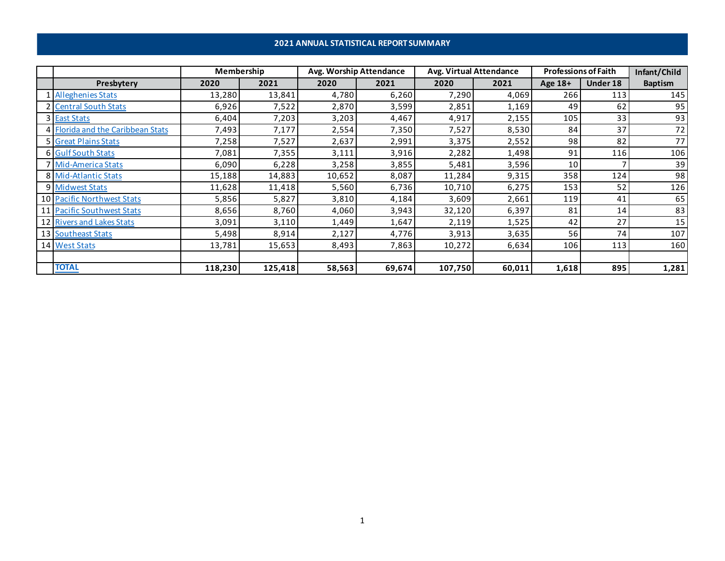# **2021 ANNUAL STATISTICAL REPORT SUMMARY**

|                                   | Membership |         | Avg. Worship Attendance |        | Avg. Virtual Attendance |        | <b>Professions of Faith</b> |          | Infant/Child   |
|-----------------------------------|------------|---------|-------------------------|--------|-------------------------|--------|-----------------------------|----------|----------------|
| Presbytery                        | 2020       | 2021    | 2020                    | 2021   | 2020                    | 2021   | Age 18+                     | Under 18 | <b>Baptism</b> |
| 1 Alleghenies Stats               | 13,280     | 13,841  | 4,780                   | 6,260  | 7,290                   | 4,069  | 266                         | 113      | 145            |
| 2 Central South Stats             | 6,926      | 7,522   | 2,870                   | 3,599  | 2,851                   | 1,169  | 49                          | 62       | 95             |
| 3 East Stats                      | 6,404      | 7,203   | 3,203                   | 4,467  | 4,917                   | 2,155  | 105                         | 33       | 93             |
| 4 Florida and the Caribbean Stats | 7,493      | 7,177   | 2,554                   | 7,350  | 7,527                   | 8,530  | 84                          | 37       | 72             |
| 5 Great Plains Stats              | 7,258      | 7,527   | 2,637                   | 2,991  | 3,375                   | 2,552  | 98                          | 82       | 77             |
| 6 Gulf South Stats                | 7,081      | 7,355   | 3,111                   | 3,916  | 2,282                   | 1,498  | 91                          | 116      | 106            |
| 7 Mid-America Stats               | 6,090      | 6,228   | 3,258                   | 3,855  | 5,481                   | 3,596  | 10                          |          | 39             |
| 8 Mid-Atlantic Stats              | 15,188     | 14,883  | 10,652                  | 8,087  | 11,284                  | 9,315  | 358                         | 124      | 98             |
| 9 Midwest Stats                   | 11,628     | 11,418  | 5,560                   | 6,736  | 10,710                  | 6,275  | 153                         | 52       | 126            |
| 10 Pacific Northwest Stats        | 5,856      | 5,827   | 3,810                   | 4,184  | 3,609                   | 2,661  | 119                         | 41       | 65             |
| 11 Pacific Southwest Stats        | 8,656      | 8,760   | 4,060                   | 3,943  | 32,120                  | 6,397  | 81                          | 14       | 83             |
| 12 Rivers and Lakes Stats         | 3,091      | 3,110   | 1,449                   | 1,647  | 2,119                   | 1,525  | 42                          | 27       | 15             |
| 13 Southeast Stats                | 5,498      | 8,914   | 2,127                   | 4,776  | 3,913                   | 3,635  | 56                          | 74       | 107            |
| 14 West Stats                     | 13,781     | 15,653  | 8,493                   | 7,863  | 10,272                  | 6,634  | 106                         | 113      | 160            |
|                                   |            |         |                         |        |                         |        |                             |          |                |
| <b>TOTAL</b>                      | 118,230    | 125,418 | 58,563                  | 69,674 | 107,750                 | 60,011 | 1,618                       | 895      | 1,281          |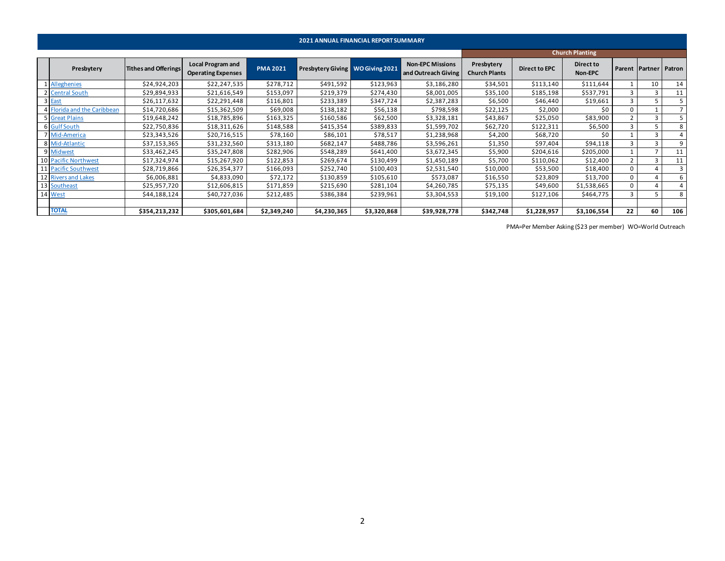|                             |                             |                                                       |                 | <b>2021 ANNUAL FINANCIAL REPORT SUMMARY</b> |             |                                                |                                    |                      |                        |              |                       |        |
|-----------------------------|-----------------------------|-------------------------------------------------------|-----------------|---------------------------------------------|-------------|------------------------------------------------|------------------------------------|----------------------|------------------------|--------------|-----------------------|--------|
|                             |                             |                                                       |                 |                                             |             |                                                |                                    |                      | <b>Church Planting</b> |              |                       |        |
| Presbytery                  | <b>Tithes and Offerings</b> | <b>Local Program and</b><br><b>Operating Expenses</b> | <b>PMA 2021</b> | Presbytery Giving WO Giving 2021            |             | <b>Non-EPC Missions</b><br>and Outreach Giving | Presbytery<br><b>Church Plants</b> | <b>Direct to EPC</b> | Direct to<br>Non-EPC   |              | <b>Parent Partner</b> | Patron |
| Alleghenies                 | \$24,924,203                | \$22,247,535                                          | \$278,712       | \$491,592                                   | \$123,963   | \$3,186,280                                    | \$34,501                           | \$113,140            | \$111,644              |              | 10                    | 14     |
| 2 Central South             | \$29,894,933                | \$21,616,549                                          | \$153,097       | \$219,379                                   | \$274,430   | \$8,001,005                                    | \$35,100                           | \$185,198            | \$537,791              |              |                       | 11     |
| 3 East                      | \$26,117,632                | \$22,291,448                                          | \$116,801       | \$233,389                                   | \$347,724   | \$2,387,283                                    | \$6,500                            | \$46,440             | \$19,661               |              |                       |        |
| 4 Florida and the Caribbean | \$14,720,686                | \$15,362,509                                          | \$69,008        | \$138,182                                   | \$56,138    | \$798,598                                      | \$22,125                           | \$2,000              | \$0                    | $\Omega$     |                       |        |
| 5 Great Plains              | \$19,648,242                | \$18,785,896                                          | \$163,325       | \$160,586                                   | \$62,500    | \$3,328,181                                    | \$43,867                           | \$25,050             | \$83,900               |              |                       |        |
| 6 Gulf South                | \$22,750,836                | \$18,311,626                                          | \$148,588       | \$415,354                                   | \$389,833   | \$1,599,702                                    | \$62,720                           | \$122,311            | \$6,500                |              |                       | 8      |
| 7 Mid-America               | \$23,343,526                | \$20,716,515                                          | \$78,160        | \$86,101                                    | \$78,517    | \$1,238,968                                    | \$4,200                            | \$68,720             | \$0                    |              | 3                     |        |
| 8 Mid-Atlantic              | \$37,153,365                | \$31,232,560                                          | \$313,180       | \$682,147                                   | \$488,786   | \$3,596,261                                    | \$1,350                            | \$97,404             | \$94,118               |              | $\mathbf{a}$          |        |
| 9 Midwest                   | \$33,462,245                | \$35,247,808                                          | \$282,906       | \$548,289                                   | \$641,400   | \$3,672,345                                    | \$5,900                            | \$204,616            | \$205,000              |              |                       | 11     |
| 10 Pacific Northwest        | \$17,324,974                | \$15,267,920                                          | \$122,853       | \$269,674                                   | \$130,499   | \$1,450,189                                    | \$5,700                            | \$110,062            | \$12,400               |              |                       | 11     |
| 11 Pacific Southwest        | \$28,719,866                | \$26,354,377                                          | \$166,093       | \$252,740                                   | \$100,403   | \$2,531,540                                    | \$10,000                           | \$53,500             | \$18,400               | $\Omega$     |                       |        |
| 12 Rivers and Lakes         | \$6,006,881                 | \$4,833,090                                           | \$72,172        | \$130,859                                   | \$105,610   | \$573,087                                      | \$16,550                           | \$23,809             | \$13,700               | $\Omega$     |                       |        |
| 13 Southeast                | \$25,957,720                | \$12,606,815                                          | \$171,859       | \$215,690                                   | \$281,104   | \$4,260,785                                    | \$75,135                           | \$49,600             | \$1,538,665            | <sup>n</sup> |                       |        |
| 14 West                     | \$44,188,124                | \$40,727,036                                          | \$212,485       | \$386,384                                   | \$239,961   | \$3,304,553                                    | \$19,100                           | \$127,106            | \$464,775              |              |                       | 8      |
|                             |                             |                                                       |                 |                                             |             |                                                |                                    |                      |                        |              |                       |        |
| <b>TOTAL</b>                | \$354,213,232               | \$305,601,684                                         | \$2,349,240     | \$4,230,365                                 | \$3,320,868 | \$39,928,778                                   | \$342,748                          | \$1,228,957          | \$3,106,554            | 22           | 60                    | 106    |

PMA=Per Member Asking (\$23 per member) WO=World Outreach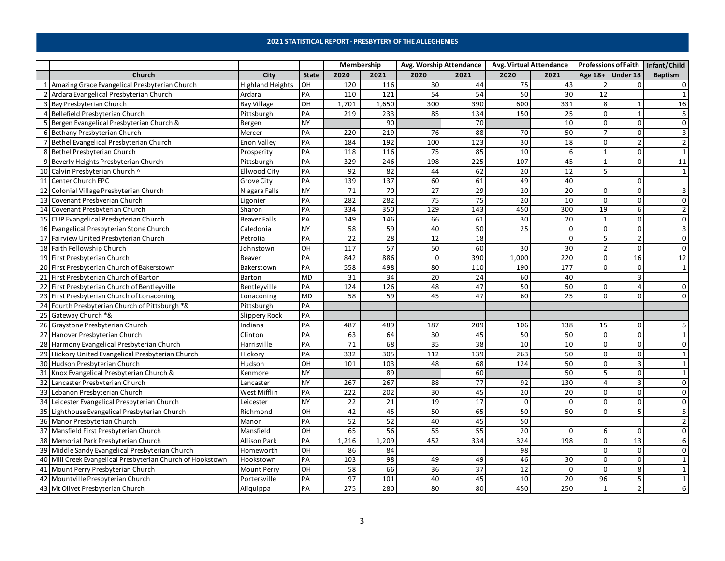#### **2021 STATISTICAL REPORT - PRESBYTERY OF THE ALLEGHENIES**

<span id="page-2-0"></span>

|                 |                                                            |                         |              | Membership |       |                 | Avg. Worship Attendance | Avg. Virtual Attendance |                 |                |                    | Professions of Faith   Infant/Child |
|-----------------|------------------------------------------------------------|-------------------------|--------------|------------|-------|-----------------|-------------------------|-------------------------|-----------------|----------------|--------------------|-------------------------------------|
|                 | Church                                                     | City                    | <b>State</b> | 2020       | 2021  | 2020            | 2021                    | 2020                    | 2021            |                | Age $18+$ Under 18 | <b>Baptism</b>                      |
|                 | 1 Amazing Grace Evangelical Presbyterian Church            | <b>Highland Heights</b> | OH           | 120        | 116   | 30              | 44                      | 75                      | 43              |                | 0                  | 0                                   |
|                 | 2 Ardara Evangelical Presbyterian Church                   | Ardara                  | PA           | 110        | 121   | 54              | 54                      | 50                      | 30              | 12             |                    |                                     |
|                 | 3 Bay Presbyterian Church                                  | <b>Bay Village</b>      | OH           | 1,701      | 1,650 | 300             | 390                     | 600                     | 331             | 8              | $\mathbf 1$        | 16                                  |
|                 | 4 Bellefield Presbyterian Church                           | Pittsburgh              | PA           | 219        | 233   | 85              | 134                     | 150                     | 25              | 0              | $\mathbf{1}$       | 5                                   |
|                 | 5 Bergen Evangelical Presbyterian Church &                 | Bergen                  | NY           |            | 90    |                 | 70                      |                         | 10              | $\mathbf 0$    | $\Omega$           | $\Omega$                            |
|                 | 6 Bethany Presbyterian Church                              | Mercer                  | PA           | 220        | 219   | 76              | 88                      | 70                      | 50              | $\overline{7}$ | $\Omega$           | 3                                   |
|                 | 7 Bethel Evangelical Presbyterian Church                   | <b>Enon Valley</b>      | PA           | 184        | 192   | 100             | 123                     | 30                      | 18              | 0              | 2                  | $\overline{2}$                      |
|                 | 8 Bethel Presbyterian Church                               | Prosperity              | PA           | 118        | 116   | 75              | 85                      | 10                      | 6               | $\mathbf{1}$   | 0                  | $\mathbf{1}$                        |
|                 | 9 Beverly Heights Presbyterian Church                      | Pittsburgh              | PA           | 329        | 246   | 198             | 225                     | 107                     | 45              | $\mathbf{1}$   | $\Omega$           | 11                                  |
|                 | 10 Calvin Presbyterian Church ^                            | Ellwood City            | PA           | 92         | 82    | 44              | 62                      | 20                      | 12              | 5              |                    | 1                                   |
|                 | 11 Center Church EPC                                       | <b>Grove City</b>       | PA           | 139        | 137   | 60              | 61                      | 49                      | 40              |                | $\Omega$           |                                     |
|                 | 12 Colonial Village Presbyterian Church                    | Niagara Falls           | <b>NY</b>    | $71\,$     | 70    | 27              | 29                      | 20                      | $\overline{20}$ | 0              | $\Omega$           | 3                                   |
|                 | 13 Covenant Presbyerian Church                             | Ligonier                | PA           | 282        | 282   | 75              | 75                      | 20                      | 10              | 0              | 0                  | $\mathbf 0$                         |
|                 | 14 Covenant Presbyterian Church                            | Sharon                  | PA           | 334        | 350   | 129             | 143                     | 450                     | 300             | 19             | 6                  | $\overline{2}$                      |
|                 | 15 CUP Evangelical Presbyterian Church                     | <b>Beaver Falls</b>     | PA           | 149        | 146   | 66              | 61                      | 30                      | 20              | $\mathbf{1}$   | 0                  | $\mathbf 0$                         |
|                 | 16 Evangelical Presbyterian Stone Church                   | Caledonia               | <b>NY</b>    | 58         | 59    | 40              | 50                      | 25                      | $\mathbf 0$     | 0              | 0                  | 3                                   |
|                 | 17 Fairview United Presbyterian Church                     | Petrolia                | PA           | 22         | 28    | 12              | 18                      |                         | $\mathbf 0$     | 5              | $\overline{2}$     | $\mathbf 0$                         |
|                 | 18 Faith Fellowship Church                                 | Johnstown               | OH           | 117        | 57    | 50              | 60                      | 30                      | 30              | $\overline{2}$ | $\Omega$           | $\mathbf 0$                         |
|                 | 19 First Presbyterian Church                               | <b>Beaver</b>           | PA           | 842        | 886   | $\mathbf 0$     | 390                     | 1,000                   | 220             | 0              | 16                 | 12                                  |
|                 | 20 First Presbyterian Church of Bakerstown                 | Bakerstown              | PA           | 558        | 498   | 80              | 110                     | 190                     | 177             | $\Omega$       | $\Omega$           | $\mathbf{1}$                        |
|                 | 21 First Presbyterian Church of Barton                     | Barton                  | <b>MD</b>    | 31         | 34    | 20              | 24                      | 60                      | 40              |                | 3                  |                                     |
|                 | 22 First Presbyterian Church of Bentleyville               | Bentleyville            | PA           | 124        | 126   | 48              | 47                      | 50                      | 50              | 0              | 4                  | $\mathbf 0$                         |
|                 | 23 First Presbyterian Church of Lonaconing                 | Lonaconing              | <b>MD</b>    | 58         | 59    | 45              | 47                      | 60                      | $\overline{25}$ | $\Omega$       | $\Omega$           | $\Omega$                            |
|                 | 24 Fourth Presbyterian Church of Pittsburgh *&             | Pittsburgh              | PA           |            |       |                 |                         |                         |                 |                |                    |                                     |
|                 | 25 Gateway Church *&                                       | Slippery Rock           | PA           |            |       |                 |                         |                         |                 |                |                    |                                     |
|                 | 26 Graystone Presbyterian Church                           | Indiana                 | PA           | 487        | 489   | 187             | 209                     | 106                     | 138             | 15             | 0                  | 5                                   |
|                 | 27 Hanover Presbyterian Church                             | Clinton                 | PA           | 63         | 64    | 30              | 45                      | 50                      | 50              | 0              | 0                  | $\overline{1}$                      |
|                 | 28 Harmony Evangelical Presbyterian Church                 | Harrisville             | PA           | 71         | 68    | 35              | 38                      | 10                      | 10              | 0              | 0                  | $\mathbf 0$                         |
|                 | 29 Hickory United Evangelical Presbyterian Church          | Hickory                 | PA           | 332        | 305   | 112             | 139                     | 263                     | 50              | 0              | 0                  | $\mathbf{1}$                        |
|                 | 30 Hudson Presbyterian Church                              | Hudson                  | OH           | 101        | 103   | 48              | 68                      | 124                     | 50              | 0              | 3                  | $\mathbf{1}$                        |
|                 | 31 Knox Evangelical Presbyterian Church &                  | Kenmore                 | <b>NY</b>    |            | 89    |                 | 60                      |                         | 50              | 5              | 0                  | $\mathbf{1}$                        |
|                 | 32 Lancaster Presbyterian Church                           | Lancaster               | <b>NY</b>    | 267        | 267   | 88              | 77                      | 92                      | 130             | $\overline{a}$ | 3                  | $\mathbf 0$                         |
| $\overline{33}$ | Lebanon Presbyterian Church                                | West Mifflin            | PA           | 222        | 202   | $\overline{30}$ | 45                      | 20                      | 20              | 0              | 0                  | $\mathbf 0$                         |
|                 | 34 Leicester Evangelical Presbyterian Church               | Leicester               | <b>NY</b>    | 22         | 21    | 19              | $\overline{17}$         | 0                       | $\mathsf{o}$    | 0              | 0                  | $\mathbf 0$                         |
|                 | 35 Lighthouse Evangelical Presbyterian Church              | Richmond                | OH           | 42         | 45    | 50              | 65                      | 50                      | 50              | $\mathbf 0$    | 5                  | 5                                   |
|                 | 36 Manor Presbyterian Church                               | Manor                   | PA           | 52         | 52    | 40              | 45                      | 50                      |                 |                |                    |                                     |
|                 | 37 Mansfield First Presbyterian Church                     | Mansfield               | OH           | 65         | 56    | 55              | 55                      | 20                      | 0               | 6              | 0                  | $\Omega$                            |
|                 | 38 Memorial Park Presbyterian Church                       | Allison Park            | PA           | 1,216      | 1,209 | 452             | 334                     | 324                     | 198             | 0              | 13                 | 6                                   |
|                 | 39 Middle Sandy Evangelical Presbyterian Church            | Homeworth               | OH           | 86         | 84    |                 |                         | 98                      |                 | $\mathbf 0$    | $\Omega$           | $\Omega$                            |
|                 | 40 Mill Creek Evangelical Presbyterian Church of Hookstown | Hookstown               | PA           | 103        | 98    | 49              | 49                      | 46                      | 30              | 0              | 0                  | $\mathbf{1}$                        |
|                 | 41 Mount Perry Presbyterian Church                         | <b>Mount Perry</b>      | OH           | 58         | 66    | 36              | 37                      | 12                      | $\mathbf 0$     | $\mathbf 0$    | 8                  | $\mathbf{1}$                        |
|                 | 42 Mountville Presbyterian Church                          | Portersville            | PA           | 97         | 101   | 40              | 45                      | 10                      | 20              | 96             | 5                  | $\mathbf 1$                         |
|                 | 43 Mt Olivet Presbyterian Church                           | Aliquippa               | PA           | 275        | 280   | 80              | 80                      | 450                     | 250             | $\mathbf{1}$   | $\overline{2}$     | 6                                   |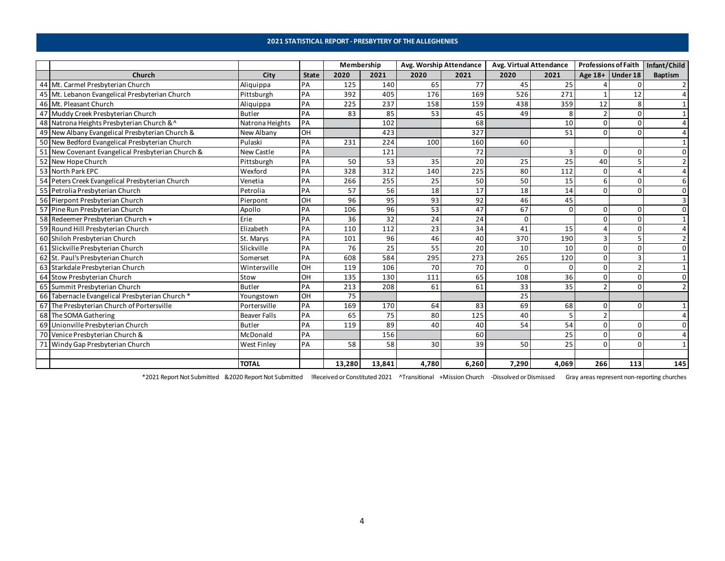#### **2021 STATISTICAL REPORT - PRESBYTERY OF THE ALLEGHENIES**

|    |                                                   |                     |              | Membership |        | Avg. Worship Attendance |       | Avg. Virtual Attendance |          | <b>Professions of Faith</b> |                       | Infant/Child   |
|----|---------------------------------------------------|---------------------|--------------|------------|--------|-------------------------|-------|-------------------------|----------|-----------------------------|-----------------------|----------------|
|    | Church                                            | City                | <b>State</b> | 2020       | 2021   | 2020                    | 2021  | 2020                    | 2021     |                             | Age $18+$ Under 18    | <b>Baptism</b> |
|    | 44 Mt. Carmel Presbyterian Church                 | Aliquippa           | PA           | 125        | 140    | 65                      | 77    | 45                      | 25       |                             |                       |                |
|    | 45 Mt. Lebanon Evangelical Presbyterian Church    | Pittsburgh          | PA           | 392        | 405    | 176                     | 169   | 526                     | 271      |                             | 12                    |                |
|    | 46 Mt. Pleasant Church                            | Aliquippa           | PA           | 225        | 237    | 158                     | 159   | 438                     | 359      | 12                          | $\mathsf{\mathsf{R}}$ |                |
|    | 47 Muddy Creek Presbyterian Church                | Butler              | PA           | 83         | 85     | 53                      | 45    | 49                      | 8        |                             | $\Omega$              |                |
|    | 48 Natrona Heights Presbyterian Church &^         | Natrona Heights     | PA           |            | 102    |                         | 68    |                         | 10       |                             | $\Omega$              |                |
|    | 49 New Albany Evangelical Presbyterian Church &   | New Albany          | OH           |            | 423    |                         | 327   |                         | 51       | $\Omega$                    | $\Omega$              |                |
|    | 50 New Bedford Evangelical Presbyterian Church    | Pulaski             | PA           | 231        | 224    | 100                     | 160   | 60                      |          |                             |                       |                |
|    | 51 New Covenant Evangelical Presbyterian Church & | New Castle          | PA           |            | 121    |                         | 72    |                         |          | $\Omega$                    | O                     |                |
|    | 52 New Hope Church                                | Pittsburgh          | PA           | 50         | 53     | 35                      | 20    | 25                      | 25       | 40                          |                       |                |
|    | 53 North Park EPC                                 | Wexford             | PA           | 328        | 312    | 140                     | 225   | 80                      | 112      | $\Omega$                    |                       |                |
|    | 54 Peters Creek Evangelical Presbyterian Church   | Venetia             | PA           | 266        | 255    | 25                      | 50    | 50                      | 15       |                             | $\Omega$              |                |
|    | 55 Petrolia Presbyterian Church                   | Petrolia            | PA           | 57         | 56     | 18                      | 17    | 18                      | 14       | $\Omega$                    | $\Omega$              |                |
|    | 56 Pierpont Presbyterian Church                   | Pierpont            | OH           | 96         | 95     | 93                      | 92    | 46                      | 45       |                             |                       |                |
|    | 57 Pine Run Presbyterian Church                   | Apollo              | PA           | 106        | 96     | 53                      | 47    | 67                      | $\Omega$ | 0                           | O                     |                |
|    | 58 Redeemer Presbyterian Church +                 | Erie                | PA           | 36         | 32     | 24                      | 24    | $\Omega$                |          | ŋ                           | O                     |                |
|    | 59 Round Hill Presbyterian Church                 | Elizabeth           | PA           | 110        | 112    | 23                      | 34    | 41                      | 15       |                             | $\Omega$              |                |
|    | 60 Shiloh Presbyterian Church                     | St. Marys           | PA           | 101        | 96     | 46                      | 40    | 370                     | 190      | 3                           |                       |                |
|    | 61 Slickville Presbyterian Church                 | Slickville          | PA           | 76         | 25     | 55                      | 20    | 10                      | 10       | $\Omega$                    | O                     |                |
|    | 62 St. Paul's Presbyterian Church                 | Somerset            | PA           | 608        | 584    | 295                     | 273   | 265                     | 120      | $\Omega$                    |                       |                |
|    | 63 Starkdale Presbyterian Church                  | Wintersville        | OH           | 119        | 106    | 70                      | 70    | O                       | O        | $\Omega$                    |                       |                |
|    | 64 Stow Presbyterian Church                       | Stow                | OH           | 135        | 130    | 111                     | 65    | 108                     | 36       |                             |                       |                |
|    | 65 Summit Presbyterian Church                     | <b>Butler</b>       | PA           | 213        | 208    | 61                      | 61    | 33                      | 35       | $\mathcal{D}$               | n                     |                |
|    | 66 Tabernacle Evangelical Presbyterian Church *   | Youngstown          | OH           | 75         |        |                         |       | 25                      |          |                             |                       |                |
|    | 67 The Presbyterian Church of Portersville        | Portersville        | PA           | 169        | 170    | 64                      | 83    | 69                      | 68       | 0                           | O                     |                |
|    | 68 The SOMA Gathering                             | <b>Beaver Falls</b> | PA           | 65         | 75     | 80                      | 125   | 40                      | -5       |                             |                       |                |
|    | 69 Unionville Presbyterian Church                 | <b>Butler</b>       | PA           | 119        | 89     | 40                      | 40    | 54                      | 54       | $\Omega$                    | $\Omega$              |                |
|    | 70 Venice Presbyterian Church &                   | McDonald            | PA           |            | 156    |                         | 60    |                         | 25       |                             |                       |                |
| 71 | Windy Gap Presbyterian Church                     | <b>West Finley</b>  | PA           | 58         | 58     | 30                      | 39    | 50                      | 25       | $\Omega$                    | $\Omega$              |                |
|    |                                                   |                     |              |            |        |                         |       |                         |          |                             |                       |                |
|    |                                                   | <b>TOTAL</b>        |              | 13,280     | 13,841 | 4,780                   | 6,260 | 7,290                   | 4,069    | 266                         | 113                   | 145            |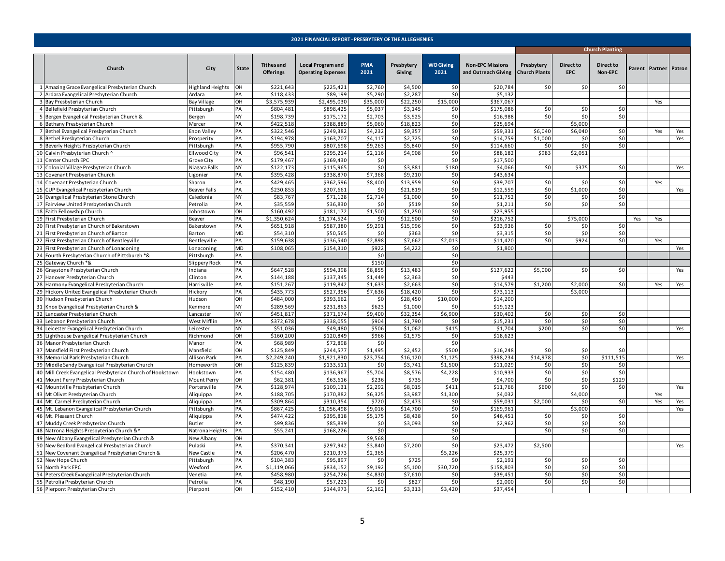<span id="page-4-0"></span>

|                                                            |                     |              |                                       | 2021 FINANCIAL REPORT - PRESBYTERY OF THE ALLEGHENIES |                    |                      |                          |                                                |                                    |                                |                        |        |                       |     |
|------------------------------------------------------------|---------------------|--------------|---------------------------------------|-------------------------------------------------------|--------------------|----------------------|--------------------------|------------------------------------------------|------------------------------------|--------------------------------|------------------------|--------|-----------------------|-----|
|                                                            |                     |              |                                       |                                                       |                    |                      |                          |                                                |                                    |                                | <b>Church Planting</b> |        |                       |     |
| Church                                                     | City                | <b>State</b> | <b>Tithes and</b><br><b>Offerings</b> | <b>Local Program and</b><br><b>Operating Expenses</b> | <b>PMA</b><br>2021 | Presbytery<br>Giving | <b>WO Giving</b><br>2021 | <b>Non-EPC Missions</b><br>and Outreach Giving | Presbytery<br><b>Church Plants</b> | <b>Direct to</b><br><b>EPC</b> | Direct to<br>Non-EPC   | Parent | <b>Partner</b> Patron |     |
| 1 Amazing Grace Evangelical Presbyterian Church            | Highland Heights    | OH           | \$221,643                             | \$225,421                                             | \$2,760            | \$4,500              | \$0                      | \$20,784                                       | \$0                                | \$0                            | \$0                    |        |                       |     |
| 2 Ardara Evangelical Presbyterian Church                   | Ardara              | PA           | \$118,433                             | \$89,199                                              | \$5,290            | \$2,287              | \$0                      | \$5,132                                        |                                    |                                |                        |        |                       |     |
| 3 Bay Presbyterian Church                                  | <b>Bay Village</b>  | OH           | \$3,575,939                           | \$2,495,030                                           | \$35,000           | \$22,250             | \$15,000                 | \$367,067                                      |                                    |                                |                        |        | Yes                   |     |
| 4 Bellefield Presbyterian Church                           | Pittsburgh          | PA           | \$804,481                             | \$898,425                                             | \$5,037            | \$3,145              | \$0                      | \$175,086                                      | \$0                                | \$0                            | \$0                    |        |                       |     |
| 5 Bergen Evangelical Presbyterian Church &                 | Bergen              | <b>NY</b>    | \$198,739                             | \$175,172                                             | \$2,703            | \$3,525              | \$0                      | \$16,988                                       | \$0                                | \$0                            | \$0                    |        |                       |     |
| 6 Bethany Presbyterian Church                              | Mercer              | PA           | \$422,518                             | \$388,889                                             | \$5,060            | \$18,823             | \$0                      | \$25,694                                       |                                    | \$5,000                        |                        |        |                       |     |
| 7 Bethel Evangelical Presbyterian Church                   | <b>Enon Valley</b>  | PA           | \$322,546                             | \$249,382                                             | \$4,232            | \$9,35               | \$0                      | \$59,331                                       | \$6,040                            | \$6,040                        | \$0                    |        | Yes                   | Yes |
| 8 Bethel Presbyterian Church                               | Prosperity          | PA           | \$194,978                             | \$163,707                                             | \$4,117            | \$2,725              | \$0                      | \$14,759                                       | \$1,000                            | \$0                            | \$0                    |        |                       | Yes |
| 9 Beverly Heights Presbyterian Church                      | Pittsburgh          | PA           | \$955,790                             | \$807,698                                             | \$9,263            | \$5,840              | \$0                      | \$114,660                                      | \$0                                | \$0                            | \$0                    |        |                       |     |
| 10 Calvin Presbyterian Church ^                            | Ellwood City        | PA           | \$96,541                              | \$295,214                                             | \$2,116            | \$4,908              | \$0                      | \$88,182                                       | \$983                              | \$2,051                        |                        |        |                       |     |
| 11 Center Church EPC                                       | Grove City          | PA           | \$179,467                             | \$169,430                                             | \$0                |                      | \$0                      | \$17,500                                       |                                    |                                |                        |        |                       |     |
| 12 Colonial Village Presbyterian Church                    | Niagara Falls       | <b>NY</b>    | \$122.173                             | \$115.965                                             | \$0                | \$3,883              | \$180                    | \$4,066                                        | \$0                                | \$375                          | 50                     |        |                       | Yes |
| 13 Covenant Presbyerian Church                             | Ligonier            | PA           | \$395,428                             | \$338,870                                             | \$7,368            | \$9,210              | \$0                      | \$43,634                                       |                                    |                                |                        |        |                       |     |
| 14 Covenant Presbyterian Church                            | Sharon              | PA           | \$429,465                             | \$362,596                                             | \$8,400            | \$13,959             | \$0                      | \$39,707                                       | \$0                                | \$0                            | \$0                    |        | Yes                   |     |
| 15 CUP Evangelical Presbyterian Church                     | <b>Beaver Falls</b> | PA           | \$230,853                             | \$207,661                                             | \$0                | \$21,819             | \$0                      | \$12,559                                       | \$0                                | \$1,000                        | \$0                    |        |                       | Yes |
| 16 Evangelical Presbyterian Stone Church                   | Caledonia           | <b>NY</b>    | \$83,767                              | \$71,128                                              | \$2,714            | \$1,000              | \$0                      | \$11,752                                       | \$0                                | \$0                            | \$0                    |        |                       |     |
| 17 Fairview United Presbyterian Church                     | Petrolia            | PA           | \$35,559                              | \$36,830                                              | \$0                | \$519                | \$0                      | \$1,211                                        | \$0                                | \$0                            | \$0                    |        |                       |     |
| 18 Faith Fellowship Church                                 | Johnstown           | <b>OH</b>    | \$160,492                             | \$181,172                                             | \$1,500            | \$1,250              | \$0                      | \$23,955                                       |                                    |                                |                        |        |                       |     |
| 19 First Presbyterian Church                               | Beaver              | PA           | \$1,350,624                           | \$1,174,524                                           | \$0                | \$12,500             | \$0                      | \$216,752                                      |                                    | \$75,000                       |                        | Yes    | Yes                   |     |
| 20 First Presbyterian Church of Bakerstown                 | Bakerstown          | PA           | \$651,918                             | \$587,380                                             | \$9,291            | \$15,996             | \$0                      | \$33,936                                       | \$0                                | \$0                            | \$0                    |        |                       |     |
| 21 First Presbyterian Church of Barton                     | Barton              | <b>MD</b>    | \$54,310                              | \$50,565                                              | \$0                | \$363                | \$0                      | \$3,315                                        | \$0                                | \$0                            | \$0                    |        |                       |     |
| 22 First Presbyterian Church of Bentleyville               | Bentleyville        | PA           | \$159,638                             | \$136,540                                             | \$2,898            | \$7,662              | \$2,013                  | \$11,420                                       | \$0                                | \$924                          | \$0                    |        | Yes                   |     |
| 23 First Presbyterian Church of Lonaconing                 | Lonaconing          | <b>MD</b>    | \$108,065                             | \$154,310                                             | \$922              | \$4,222              | \$0                      | \$1,800                                        |                                    |                                |                        |        |                       | Yes |
| 24 Fourth Presbyterian Church of Pittsburgh *&             | Pittsburgh          | PA           |                                       |                                                       | \$0                |                      | \$0                      |                                                |                                    |                                |                        |        |                       |     |
| 25 Gateway Church *&                                       | Slippery Rock       | PA           |                                       |                                                       | \$150              |                      | \$0                      |                                                |                                    |                                |                        |        |                       |     |
| 26 Graystone Presbyterian Church                           | Indiana             | PA           | \$647.528                             | \$594,398                                             | \$8,855            | \$13,483             | \$0                      | \$127,622                                      | \$5,000                            | \$0                            | \$0                    |        |                       | Yes |
| 27 Hanover Presbyterian Church                             | Clinton             | PA           | \$144,188                             | \$137,345                                             | \$1,449            | \$2,363              | \$0                      | \$443                                          |                                    |                                |                        |        |                       |     |
| 28 Harmony Evangelical Presbyterian Church                 | Harrisville         | PA           | \$151,267                             | \$119,842                                             | \$1,633            | \$2,663              | \$0                      | \$14,579                                       | \$1,200                            | \$2,000                        | \$0                    |        | Yes                   | Yes |
| 29 Hickory United Evangelical Presbyterian Church          | Hickory             | PA           | \$435,773                             | \$527,356                                             | \$7,636            | \$18,420             | \$0                      | \$73,113                                       |                                    | \$3,000                        |                        |        |                       |     |
| 30 Hudson Presbyterian Church                              | Hudson              | OH           | \$484,000                             | \$393,662                                             | \$0                | \$28,450             | \$10,000                 | \$14,200                                       |                                    |                                |                        |        |                       |     |
| 31 Knox Evangelical Presbyterian Church &                  | Kenmore             | NY           | \$289,569                             | \$231,863                                             | \$623              | \$1,000              | \$0                      | \$19,123                                       |                                    |                                |                        |        |                       |     |
| 32 Lancaster Presbyterian Church                           | Lancaster           | <b>NY</b>    | \$451,817                             | \$371,674                                             | \$9,400            | \$32.354             | \$6,900                  | \$30,402                                       | \$0                                | \$0                            | \$0                    |        |                       |     |
| 33 Lebanon Presbyterian Church                             | West Mifflin        | PA           | \$372,678                             | \$338,055                                             | \$904              | \$1,790              | \$0                      | \$15,231                                       | \$0                                | \$0                            | \$0                    |        |                       |     |
| 34 Leicester Evangelical Presbyterian Church               | Leicester           | NY           | \$51,036                              | \$49,480                                              | \$506              | \$1,062              | \$415                    | \$1,704                                        | \$200                              | \$0                            | \$0                    |        |                       | Yes |
| 35 Lighthouse Evangelical Presbyterian Church              | Richmond            | OH           | \$160,200                             | \$120,849                                             | \$966              | \$1,575              | \$0                      | \$18,623                                       |                                    |                                |                        |        |                       |     |
| 36 Manor Presbyterian Church                               | Manor               | PA           | \$68,989                              | \$72,898                                              | \$0                |                      | \$0                      |                                                |                                    |                                |                        |        |                       |     |
| 37 Mansfield First Presbyterian Church                     | Mansfield           | OH           | \$125,849                             | \$244,577                                             | \$1,495            | \$2,452              | \$500                    | \$16,248                                       | \$0                                | \$0                            | \$0                    |        |                       |     |
| 38 Memorial Park Presbyterian Church                       | <b>Allison Park</b> | PA           | \$2,249,240                           | \$1,921,830                                           | \$23,754           | \$16,120             | \$1,125                  | \$398.234                                      | \$14,978                           | \$0                            | \$111,515              |        |                       | Yes |
| 39 Middle Sandy Evangelical Presbyterian Church            | Homeworth           | OH           | \$125,839                             | \$133,511                                             | \$0                | \$3,741              | \$1,500                  | \$11,029                                       | \$0                                | \$0                            | \$0                    |        |                       |     |
| 40 Mill Creek Evangelical Presbyterian Church of Hookstown | Hookstown           | PA           | \$154,480                             | \$136,967                                             | \$5,704            | \$8,576              | \$4,228                  | \$10,933                                       | \$0                                | \$0                            | \$0                    |        |                       |     |
| 41 Mount Perry Presbyterian Church                         | Mount Perry         | OH           | \$62,381                              | \$63,616                                              | \$236              | \$73!                | \$0                      | \$4,700                                        | \$0                                | \$0                            | \$129                  |        |                       |     |
| 42 Mountville Presbyterian Church                          | Portersville        | PA           | \$128,974                             | \$109,131                                             | \$2,292            | \$8,019              | \$411                    | \$11,766                                       | \$600                              | \$0                            | \$0                    |        |                       | Yes |
| 43 Mt Olivet Presbyterian Church                           | Aliquippa           | PA           | \$188,705                             | \$170,882                                             | \$6,325            | \$3,987              | \$1,300                  | \$4,03                                         |                                    | \$4,000                        |                        |        | Yes                   |     |
| 44 Mt. Carmel Presbyterian Church                          | Aliquippa           | PA           | \$309,864                             | \$310,354                                             | \$720              | \$2,473              | \$0                      | \$59,031                                       | \$2,000                            | \$0                            | \$0                    |        | Yes                   | Yes |
| 45 Mt. Lebanon Evangelical Presbyterian Church             | Pittsburgh          | PA           | \$867,425                             | \$1,056,498                                           | \$9,016            | \$14,700             | \$0                      | \$169,961                                      |                                    | \$3,000                        |                        |        |                       | Yes |
| 46 Mt. Pleasant Church                                     | Aliquippa           | PA           | \$474,422                             | \$395,818                                             | \$5,175            | \$8,438              | \$0                      | \$46,451                                       | \$0                                | \$0                            | \$0                    |        |                       |     |
| 47 Muddy Creek Presbyterian Church                         | Butler              | PA           | \$99,836                              | \$85,839                                              | \$0                | \$3,093              | \$0                      | \$2,962                                        | \$0                                | \$0                            | \$0                    |        |                       |     |
| 48 Natrona Heights Presbyterian Church &^                  | Natrona Heights     | PA           | \$55,241                              | \$168,226                                             | \$0                |                      | \$0                      |                                                | \$0                                | \$0                            | \$0                    |        |                       |     |
| 49 New Albany Evangelical Presbyterian Church &            | New Albany          | OН           |                                       |                                                       | \$9,568            |                      | \$0                      |                                                |                                    |                                |                        |        |                       |     |
| 50 New Bedford Evangelical Presbyterian Church             | Pulaski             | PA           | \$370,341                             | \$297,942                                             | \$3,840            | \$7,200              | \$0                      | \$23,472                                       | \$2,500                            |                                |                        |        |                       | Yes |
| 51 New Covenant Evangelical Presbyterian Church &          | New Castle          | PA           | \$206,470                             | \$210,373                                             | \$2,365            |                      | \$5,226                  | \$25,379                                       |                                    |                                |                        |        |                       |     |
| 52 New Hope Church                                         | Pittsburgh          | PA           | \$104,383                             | \$95,897                                              | \$0                | \$725                | \$0                      | \$2,191                                        | \$0                                | \$0                            | \$0                    |        |                       |     |
| 53 North Park EPC                                          | Wexford             | PA           | \$1,119,066                           | \$834,152                                             | \$9,192            | \$5,100              | \$30,720                 | \$158,803                                      | \$0                                | \$0                            | \$0                    |        |                       |     |
| 54 Peters Creek Evangelical Presbyterian Church            | Venetia             | PA           | \$458,980                             | \$254,726                                             | \$4,830            | \$7,610              | \$0                      | \$39,451                                       | \$0                                | \$0                            | \$0                    |        |                       |     |
| 55 Petrolia Presbyterian Church                            | Petrolia            | PA           | \$48,190                              | \$57,223                                              | \$0                | \$827                | \$0                      | \$2,000                                        | \$0                                | \$0                            | \$0                    |        |                       |     |
| 56 Pierpont Presbyterian Church                            | Pierpont            | OH           | \$152,410                             | \$144,973                                             | \$2,162            | \$3,313              | \$3,420                  | \$37,454                                       |                                    |                                |                        |        |                       |     |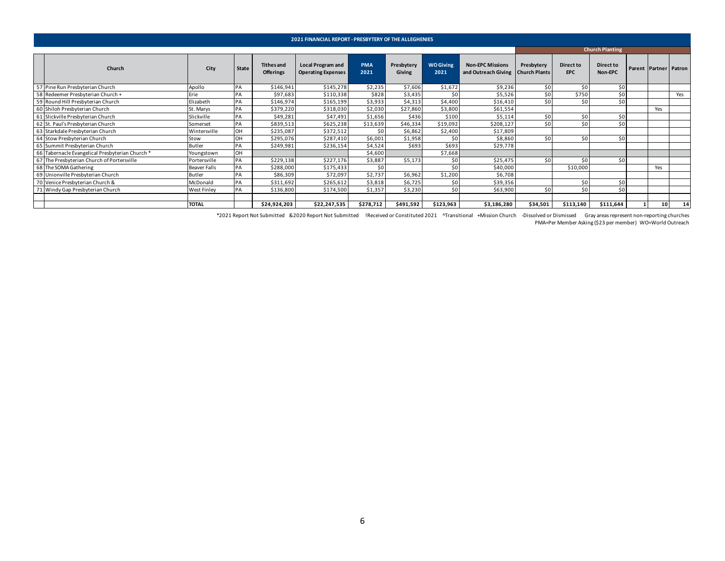|                                                |                    |       |                                       | <b>2021 FINANCIAL REPORT - PRESBYTERY OF THE ALLEGHENIES</b> |                    |                      |                          |                                                                |                  |                         |                        |                       |     |
|------------------------------------------------|--------------------|-------|---------------------------------------|--------------------------------------------------------------|--------------------|----------------------|--------------------------|----------------------------------------------------------------|------------------|-------------------------|------------------------|-----------------------|-----|
|                                                |                    |       |                                       |                                                              |                    |                      |                          |                                                                |                  |                         | <b>Church Planting</b> |                       |     |
| Church                                         | City               | State | <b>Tithes and</b><br><b>Offerings</b> | <b>Local Program and</b><br><b>Operating Expenses</b>        | <b>PMA</b><br>2021 | Presbytery<br>Giving | <b>WO Giving</b><br>2021 | <b>Non-EPC Missions</b><br>and Outreach Giving   Church Plants | Presbytery       | Direct to<br><b>EPC</b> | Direct to<br>Non-EPC   | Parent Partner Patron |     |
| 57 Pine Run Presbyterian Church                | Apollo             | PA    | \$146,941                             | \$145,278                                                    | \$2,235            | \$7,606              | \$1,672                  | \$9,236                                                        | \$0              | \$0                     | \$0                    |                       |     |
| 58 Redeemer Presbyterian Church +              | Erie               | PA    | \$97,683                              | \$110,338                                                    | \$828              | \$3,435              | \$0 <sub>1</sub>         | \$5,526                                                        | \$0 <sub>1</sub> | \$750                   | \$0                    |                       | Yes |
| 59 Round Hill Presbyterian Church              | Elizabeth          | PA    | \$146,974                             | \$165,199                                                    | \$3,933            | \$4,313              | \$4,400                  | \$16,410                                                       | \$0              | \$0                     | \$0                    |                       |     |
| 60 Shiloh Presbyterian Church                  | St. Marys          | PA    | \$379,220                             | \$318,030                                                    | \$2,030            | \$27,860             | \$3,800                  | \$61,554                                                       |                  |                         |                        | Yes                   |     |
| 61 Slickville Presbyterian Church              | Slickville         | PA    | \$49,281                              | \$47,491                                                     | \$1,656            | \$436                | \$100                    | \$5,114                                                        | \$0              | \$0                     | \$0                    |                       |     |
| 62 St. Paul's Presbyterian Church              | Somerset           | PA    | \$839,513                             | \$625,238                                                    | \$13,639           | \$46,334             | \$19,092                 | \$208,127                                                      | \$0              | \$0                     | \$0                    |                       |     |
| 63 Starkdale Presbyterian Church               | Wintersville       | OH    | \$235,087                             | \$372,512                                                    | \$0                | \$6,862              | \$2,400                  | \$17,809                                                       |                  |                         |                        |                       |     |
| 64 Stow Presbyterian Church                    | Stow               | OH    | \$295,076                             | \$287,410                                                    | \$6,001            | \$1,958              | \$0                      | \$8,860                                                        | \$0              | \$0                     | \$0                    |                       |     |
| 65 Summit Presbyterian Church                  | Butler             | PA    | \$249,981                             | \$236,154                                                    | \$4,524            | \$693                | \$693                    | \$29,778                                                       |                  |                         |                        |                       |     |
| 66 Tabernacle Evangelical Presbyterian Church* | Youngstown         | OH    |                                       |                                                              | \$4,600            |                      | \$7,668                  |                                                                |                  |                         |                        |                       |     |
| 67 The Presbyterian Church of Portersville     | Portersville       | PA    | \$229,138                             | \$227,176                                                    | \$3,887            | \$5,173              | \$0                      | \$25,475                                                       | \$0              | \$0                     | 50 <sub>1</sub>        |                       |     |
| 68 The SOMA Gathering                          | Beaver Falls       | PA    | \$288,000                             | \$175,433                                                    | \$0                |                      | \$0 <sub>1</sub>         | \$40,000                                                       |                  | \$10,000                |                        | Yes                   |     |
| 69 Unionville Presbyterian Church              | Butler             |       | \$86,309                              | \$72,097                                                     | \$2,737            | \$6,962              | \$1,200                  | \$6,708                                                        |                  |                         |                        |                       |     |
| 70 Venice Presbyterian Church &                | McDonald           | PA    | \$311,692                             | \$265,612                                                    | \$3,818            | \$6,725              | \$0                      | \$39,356                                                       |                  | \$0                     | \$0                    |                       |     |
| 71 Windy Gap Presbyterian Church               | <b>West Finley</b> | PA    | \$136,800                             | \$174,500                                                    | \$1,357            | \$3,230              | \$0                      | \$63,900                                                       | \$0              | \$0                     | \$0                    |                       |     |
|                                                |                    |       |                                       |                                                              |                    |                      |                          |                                                                |                  |                         |                        |                       |     |
|                                                | <b>TOTAL</b>       |       | \$24,924,203                          | \$22,247,535                                                 | \$278,712          | \$491,592            | \$123,963                | \$3,186,280                                                    | \$34,501         | \$113,140               | \$111,644              | 10                    | 14  |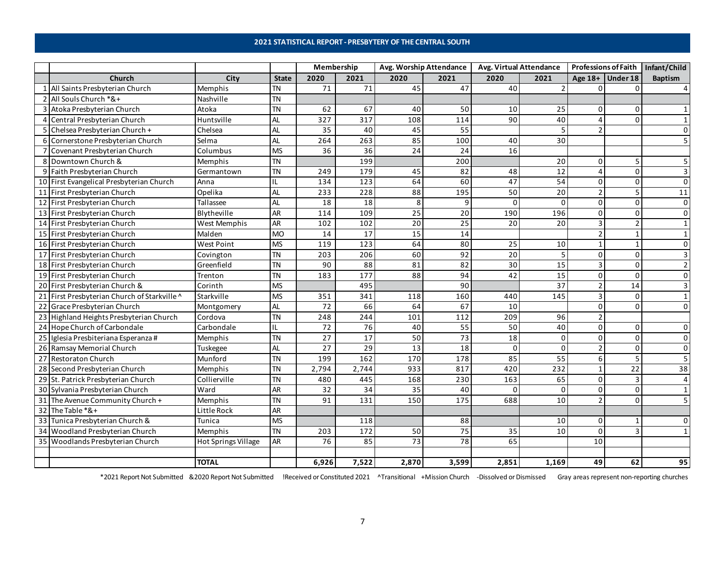### **2021 STATISTICAL REPORT - PRESBYTERY OF THE CENTRAL SOUTH**

<span id="page-6-0"></span>

|    |                                              |                     |                                   | Membership      |                  | Avg. Worship Attendance |                   | <b>Avg. Virtual Attendance</b> |                 |                     |                    | Professions of Faith   Infant/Child |
|----|----------------------------------------------|---------------------|-----------------------------------|-----------------|------------------|-------------------------|-------------------|--------------------------------|-----------------|---------------------|--------------------|-------------------------------------|
|    | Church                                       | City                | <b>State</b>                      | 2020            | 2021             | 2020                    | 2021              | 2020                           | 2021            |                     | Age $18+$ Under 18 | <b>Baptism</b>                      |
|    | All Saints Presbyterian Church               | Memphis             | TN                                | 71              | 71               | 45                      | 47                | 40                             | $\overline{2}$  | 0                   |                    |                                     |
|    | All Souls Church *&+                         | Nashville           | <b>TN</b>                         |                 |                  |                         |                   |                                |                 |                     |                    |                                     |
|    | 3 Atoka Presbyterian Church                  | Atoka               | <b>TN</b>                         | 62              | 67               | 40                      | 50                | 10                             | 25              | 0                   | $\Omega$           |                                     |
|    | 4 Central Presbyterian Church                | Huntsville          | <b>AL</b>                         | 327             | 317              | 108                     | 114               | 90                             | 40              | 4                   | $\Omega$           |                                     |
| -5 | Chelsea Presbyterian Church +                | Chelsea             | AL                                | 35              | 40               | 45                      | 55                |                                | 5               | $\overline{2}$      |                    |                                     |
| 6  | Cornerstone Presbyterian Church              | Selma               | AL                                | 264             | 263              | 85                      | 100               | 40                             | 30              |                     |                    |                                     |
|    | Covenant Presbyterian Church                 | Columbus            | <b>MS</b>                         | 36              | 36               | 24                      | 24                | 16                             |                 |                     |                    |                                     |
| 8  | Downtown Church &                            | Memphis             | TN                                |                 | 199              |                         | 200               |                                | 20              | 0                   | 5                  |                                     |
| 9  | Faith Presbyterian Church                    | Germantown          | <b>TN</b>                         | 249             | 179              | 45                      | 82                | 48                             | 12              | $\overline{4}$      | $\Omega$           |                                     |
|    | 10 First Evangelical Presbyterian Church     | Anna                | IL                                | 134             | 123              | 64                      | 60                | 47                             | 54              | $\mathbf 0$         | $\Omega$           | $\Omega$                            |
|    | 11 First Presbyterian Church                 | Opelika             | AL                                | 233             | 228              | $\overline{88}$         | $\frac{195}{1}$   | 50                             | 20              | $\overline{2}$      | 5                  | 11                                  |
|    | 12 First Presbyterian Church                 | Tallassee           | AL                                | 18              | 18               | 8                       | 9                 | $\Omega$                       | $\Omega$        | $\mathsf{O}\xspace$ | $\Omega$           | $\Omega$                            |
|    | 13 First Presbyterian Church                 | Blytheville         | AR                                | 114             | 109              | 25                      | 20                | 190                            | 196             | 0                   | $\Omega$           | $\Omega$                            |
|    | 14 First Presbyterian Church                 | West Memphis        | <b>AR</b>                         | 102             | 102              | 20                      | 25                | 20                             | 20              | 3                   | $\mathcal{P}$      |                                     |
|    | 15 First Presbyterian Church                 | Malden              | <b>MO</b>                         | 14              | 17               | $\overline{15}$         | 14                |                                |                 | $\overline{2}$      | $\mathbf{1}$       |                                     |
|    | 16 First Presbyterian Church                 | West Point          | <b>MS</b>                         | 119             | $\frac{1}{2}$    | 64                      | 80                | 25                             | 10              | $\mathbf{1}$        | $\mathbf{1}$       |                                     |
|    | 17 First Presbyterian Church                 | Covington           | <b>TN</b>                         | 203             | 206              | 60                      | 92                | 20                             | 5               | 0                   | $\Omega$           |                                     |
|    | 18 First Presbyterian Church                 | Greenfield          | <b>TN</b>                         | 90              | 88               | 81                      | 82                | 30                             | $\overline{15}$ | $\overline{3}$      | $\Omega$           |                                     |
|    | 19 First Presbyterian Church                 | Trenton             | <b>TN</b>                         | 183             | 177              | 88                      | 94                | 42                             | 15              | 0                   | $\Omega$           | $\Omega$                            |
|    | 20 First Presbyterian Church &               | Corinth             | <b>MS</b>                         |                 | 495              |                         | 90                |                                | 37              | $\overline{2}$      | 14                 |                                     |
|    | 21 First Presbyterian Church of Starkville ^ | Starkville          | <b>MS</b>                         | 351             | 341              | 118                     | 160               | 440                            | 145             | 3                   | $\Omega$           | $\mathbf 1$                         |
|    | 22 Grace Presbyterian Church                 | Montgomery          | <b>AL</b>                         | 72              | 66               | 64                      | 67                | 10                             |                 | 0                   | <sup>0</sup>       |                                     |
|    | 23 Highland Heights Presbyterian Church      | Cordova             | <b>TN</b>                         | 248             | 244              | 101                     | 112               | 209                            | 96              | $\overline{2}$      |                    |                                     |
|    | 24 Hope Church of Carbondale                 | Carbondale          | IL                                | 72              | 76               | 40                      | $\overline{55}$   | 50                             | 40              | $\mathsf{O}\xspace$ | $\Omega$           | $\Omega$                            |
|    | 25 Iglesia Presbiteriana Esperanza #         | Memphis             | <b>TN</b>                         | $\overline{27}$ | 17               | 50                      | $\overline{73}$   | 18                             | $\mathbf 0$     | 0                   | $\Omega$           | $\Omega$                            |
|    | 26 Ramsay Memorial Church                    | Tuskegee            | AL                                | 27              | 29               | 13                      | 18                | $\Omega$                       | $\Omega$        | $\overline{2}$      | $\Omega$           | $\Omega$                            |
|    | 27 Restoraton Church                         | Munford             | $\overline{\mathsf{T}}\mathsf{N}$ | 199             | 162              | 170                     | $\overline{178}$  | 85                             | 55              | 6                   | 5                  |                                     |
|    | 28 Second Presbyterian Church                | Memphis             | TN                                | 2,794           | 2,744            | 933                     | 817               | 420                            | 232             | $\mathbf{1}$        | 22                 | 38                                  |
|    | 29 St. Patrick Presbyterian Church           | Collierville        | <b>TN</b>                         | 480             | 445              | 168                     | 230               | 163                            | 65              | 0                   | 3                  |                                     |
|    | 30 Sylvania Presbyterian Church              | Ward                | AR                                | 32              | 34               | 35                      | 40                | $\Omega$                       | $\Omega$        | $\mathbf 0$         | $\Omega$           |                                     |
|    | 31 The Avenue Community Church +             | Memphis             | <b>TN</b>                         | 91              | $\overline{131}$ | 150                     | $\frac{175}{175}$ | 688                            | 10              | $\overline{2}$      | $\Omega$           | 5                                   |
|    | 32 The Table *&+                             | Little Rock         | AR                                |                 |                  |                         |                   |                                |                 |                     |                    |                                     |
|    | 33 Tunica Presbyterian Church &              | Tunica              | <b>MS</b>                         |                 | 118              |                         | 88                |                                | 10              | 0                   |                    |                                     |
|    | 34 Woodland Presbyterian Church              | Memphis             | <b>TN</b>                         | 203             | 172              | 50                      | 75                | 35                             | 10              | $\mathbf 0$         | 3                  |                                     |
|    | 35 Woodlands Presbyterian Church             | Hot Springs Village | <b>AR</b>                         | 76              | 85               | $\overline{73}$         | 78                | 65                             |                 | 10                  |                    |                                     |
|    |                                              |                     |                                   |                 |                  |                         |                   |                                |                 |                     |                    |                                     |
|    |                                              | <b>TOTAL</b>        |                                   | 6,926           | 7,522            | 2,870                   | 3,599             | 2,851                          | 1,169           | 49                  | 62                 | 95                                  |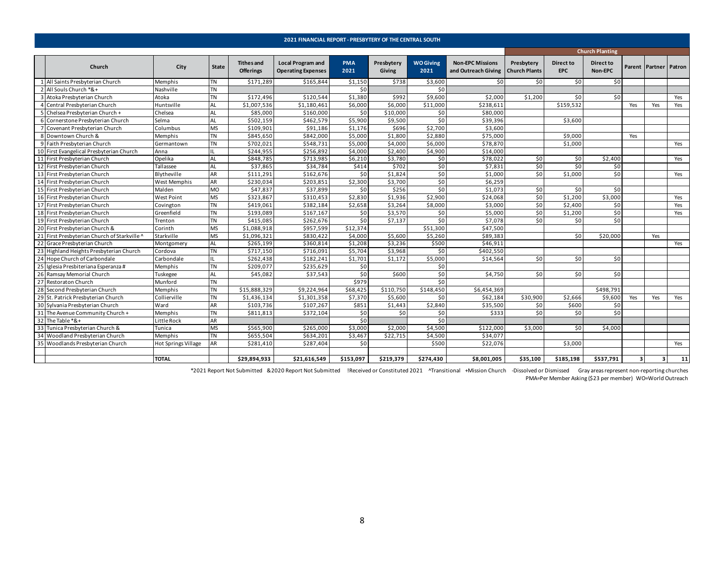<span id="page-7-0"></span>

|                                           |                            |                |                                       | 2021 FINANCIAL REPORT - PRESBYTERY OF THE CENTRAL SOUTH |                    |                      |                          |                                                                |            |                         |                        |                         |                         |        |
|-------------------------------------------|----------------------------|----------------|---------------------------------------|---------------------------------------------------------|--------------------|----------------------|--------------------------|----------------------------------------------------------------|------------|-------------------------|------------------------|-------------------------|-------------------------|--------|
|                                           |                            |                |                                       |                                                         |                    |                      |                          |                                                                |            |                         | <b>Church Planting</b> |                         |                         |        |
| Church                                    | City                       | State          | <b>Tithes and</b><br><b>Offerings</b> | <b>Local Program and</b><br><b>Operating Expenses</b>   | <b>PMA</b><br>2021 | Presbytery<br>Giving | <b>WO Giving</b><br>2021 | <b>Non-EPC Missions</b><br>and Outreach Giving   Church Plants | Presbytery | Direct to<br><b>EPC</b> | Direct to<br>Non-EPC   |                         | Parent Partner          | Patron |
| All Saints Presbyterian Church            | Memphis                    | TN             | \$171,289                             | \$165.844                                               | \$1,150            | \$738                | \$3,600                  | \$0                                                            | \$0        | \$0                     | \$0                    |                         |                         |        |
| All Souls Church *&+                      | Nashville                  | TN             |                                       |                                                         | \$0                |                      | \$0                      |                                                                |            |                         |                        |                         |                         |        |
| Atoka Presbyterian Church                 | Atoka                      | TN             | \$172,496                             | \$120,544                                               | \$1,380            | \$992                | \$9,600                  | \$2,000                                                        | \$1,200    | \$0                     | \$0                    |                         |                         | Yes    |
| Central Presbyterian Church               | Huntsville                 | AL             | \$1,007,536                           | \$1,180,461                                             | \$6,000            | \$6,000              | \$11,000                 | \$238,611                                                      |            | \$159,532               |                        | Yes                     | Yes                     | Yes    |
| Chelsea Presbyterian Church +             | Chelsea                    | AL             | \$85,000                              | \$160,000                                               | \$0                | \$10,000             | \$0                      | \$80,000                                                       |            |                         |                        |                         |                         |        |
| Cornerstone Presbyterian Church           | Selma                      | AL             | \$502,159                             | \$462,579                                               | \$5,900            | \$9,500              | \$0                      | \$39,396                                                       |            | \$3,600                 |                        |                         |                         |        |
| Covenant Presbyterian Church              | Columbus                   | MS             | \$109,901                             | \$91,186                                                | \$1,176            | \$696                | \$2,700                  | \$3,600                                                        |            |                         |                        |                         |                         |        |
| Downtown Church &                         | Memphis                    | TN             | \$845,650                             | \$842,000                                               | \$5,000            | \$1,800              | \$2,880                  | \$75,000                                                       |            | \$9,000                 |                        | Yes                     |                         |        |
| Faith Presbyterian Church                 | Germantown                 | TN             | \$702,021                             | \$548,731                                               | \$5,000            | \$4,000              | \$6,000                  | \$78,870                                                       |            | \$1,000                 |                        |                         |                         | Yes    |
| First Evangelical Presbyterian Church     | Anna                       |                | \$244,955                             | \$256,892                                               | \$4,000            | \$2,400              | \$4,900                  | \$14,000                                                       |            |                         |                        |                         |                         |        |
| First Presbyterian Church                 | Opelika                    | <b>AL</b>      | \$848,785                             | \$713,985                                               | \$6,210            | \$3,780              | \$0                      | \$78,022                                                       | \$0        | \$0                     | \$2,400                |                         |                         | Yes    |
| First Presbyterian Church                 | Tallassee                  | AL             | \$37,865                              | \$34,784                                                | \$414              | \$702                | \$0                      | \$7,831                                                        | \$0        | 50 <sub>1</sub>         | \$0                    |                         |                         |        |
| First Presbyterian Church                 | Blytheville                | AR             | \$111,291                             | \$162,676                                               | \$0                | \$1,824              | \$0                      | \$1,000                                                        | \$0        | \$1,000                 | \$0                    |                         |                         | Yes    |
| First Presbyterian Church                 | West Memphis               | AR             | \$230,034                             | \$203,851                                               | \$2,300            | \$3,700              | \$0                      | \$6,259                                                        |            |                         |                        |                         |                         |        |
| First Presbyterian Church                 | Malden                     | M <sub>O</sub> | \$47,837                              | \$37,899                                                | \$0                | \$256                | \$0                      | \$1,073                                                        | \$0        | 50                      | \$0                    |                         |                         |        |
| First Presbyterian Church                 | <b>West Point</b>          | MS             | \$323,867                             | \$310,453                                               | \$2,830            | \$1,936              | \$2,900                  | \$24,068                                                       | \$0        | \$1,200                 | \$3,000                |                         |                         | Yes    |
| First Presbyterian Church                 | Covington                  | TN             | \$419,061                             | \$382,184                                               | \$2,658            | \$3,264              | \$8,000                  | \$3,000                                                        | \$0        | \$2,400                 | \$0                    |                         |                         | Yes    |
| First Presbyterian Church                 | Greenfield                 | TN             | \$193,089                             | \$167,167                                               | \$0                | \$3,570              | \$0                      | \$5,000                                                        | \$0        | \$1,200                 | \$0                    |                         |                         | Yes    |
| First Presbyterian Church                 | Trenton                    | TN             | \$415,085                             | \$262,676                                               | \$0                | \$7,137              | \$0                      | \$7,078                                                        | \$0        | \$0                     | \$0                    |                         |                         |        |
| First Presbyterian Church &               | Corinth                    | MS             | \$1,088,918                           | \$957,599                                               | \$12,374           |                      | \$51,300                 | \$47,500                                                       |            |                         |                        |                         |                         |        |
| First Presbyterian Church of Starkville ^ | Starkville                 | MS             | \$1,096,321                           | \$830,422                                               | \$4,000            | \$5,600              | \$5,260                  | \$89,383                                                       |            | \$0                     | \$20,000               |                         | Yes                     |        |
| Grace Presbyterian Church                 | Montgomery                 | AL             | \$265,199                             | \$360,814                                               | \$1,208            | \$3,236              | \$500                    | \$46,911                                                       |            |                         |                        |                         |                         | Yes    |
| Highland Heights Presbyterian Church      | Cordova                    | TN             | \$717,150                             | \$716,091                                               | \$5,704            | \$3,968              | \$0                      | \$402,550                                                      |            |                         |                        |                         |                         |        |
| Hope Church of Carbondale                 | Carbondale                 | IL             | \$262,438                             | \$182,241                                               | \$1,701            | \$1,172              | \$5,000                  | \$14,564                                                       | \$0        | \$0                     | \$0                    |                         |                         |        |
| Iglesia Presbiteriana Esperanza #         | Memphis                    | TN             | \$209,077                             | \$235,629                                               | \$0                |                      | \$0                      |                                                                |            |                         |                        |                         |                         |        |
| Ramsay Memorial Church                    | Tuskegee                   | AL             | \$45,082                              | \$37,543                                                | \$0                | \$600                | \$0                      | \$4,750                                                        | \$0        | 50 <sup>1</sup>         | \$0                    |                         |                         |        |
| <b>Restoraton Church</b>                  | Munford                    | TN             |                                       |                                                         | \$979              |                      | \$0                      |                                                                |            |                         |                        |                         |                         |        |
| Second Presbyterian Church                | Memphis                    | TN             | \$15,888,329                          | \$9,224,964                                             | \$68,425           | \$110,750            | \$148,450                | \$6,454,369                                                    |            |                         | \$498,791              |                         |                         |        |
| St. Patrick Presbyterian Church           | Collierville               | TN             | \$1,436,134                           | \$1,301,358                                             | \$7,370            | \$5,600              | \$0                      | \$62,184                                                       | \$30,900   | \$2,666                 | \$9,600                | Yes                     | Yes                     | Yes    |
| Sylvania Presbyterian Church              | Ward                       | AR             | \$103,736                             | \$107,267                                               | \$851              | \$1,443              | \$2,840                  | \$35,500                                                       | \$0        | \$600                   | \$0                    |                         |                         |        |
| The Avenue Community Church +             | Memphis                    | TN             | \$811,813                             | \$372,104                                               | \$0                | 50 <sub>1</sub>      | \$0                      | \$333                                                          | \$0        | 50 <sub>1</sub>         | \$0                    |                         |                         |        |
| The Table *&+                             | Little Rock                | AR             |                                       |                                                         | \$0                |                      | \$0                      |                                                                |            |                         |                        |                         |                         |        |
| Tunica Presbyterian Church &              | Tunica                     | MS             | \$565,900                             | \$265,000                                               | \$3,000            | \$2,000              | \$4,500                  | \$122,000                                                      | \$3,000    | \$0                     | \$4,000                |                         |                         |        |
| Woodland Presbyterian Church              | Memphis                    | TN             | \$655,504                             | \$634,201                                               | \$3,467            | \$22,715             | \$4,500                  | \$34,077                                                       |            |                         |                        |                         |                         |        |
| Woodlands Presbyterian Church             | <b>Hot Springs Village</b> | AR             | \$281,410                             | \$287,404                                               | \$0                |                      | \$500                    | \$22,076                                                       |            | \$3,000                 |                        |                         |                         | Yes    |
|                                           | <b>TOTAL</b>               |                | \$29,894,933                          | \$21,616,549                                            | \$153.097          | \$219.379            | \$274.430                | \$8,001,005                                                    | \$35,100   | \$185,198               | \$537,791              | $\overline{\mathbf{3}}$ | $\overline{\mathbf{3}}$ | 11     |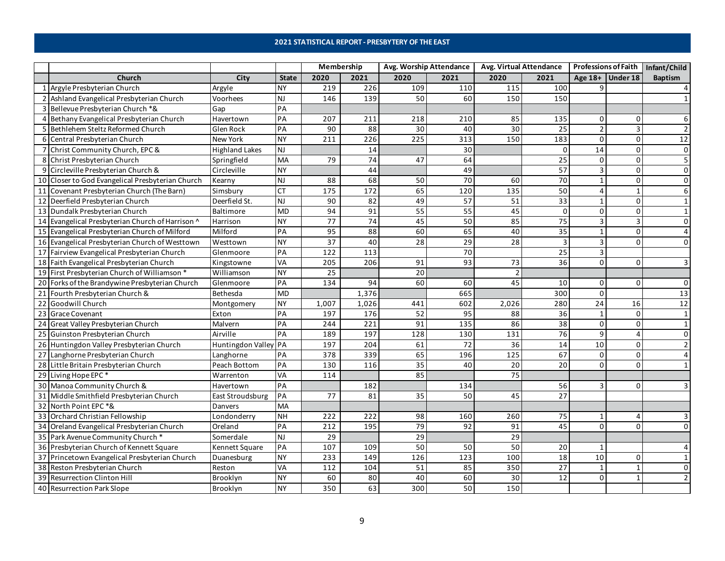### **2021 STATISTICAL REPORT - PRESBYTERY OF THE EAST**

<span id="page-8-0"></span>

|                                                  |                       |              | Membership        |                 | Avg. Worship Attendance |                 | Avg. Virtual Attendance |                 | <b>Professions of Faith</b> |             | Infant/Child    |
|--------------------------------------------------|-----------------------|--------------|-------------------|-----------------|-------------------------|-----------------|-------------------------|-----------------|-----------------------------|-------------|-----------------|
| Church                                           | City                  | <b>State</b> | 2020              | 2021            | 2020                    | 2021            | 2020                    | 2021            | Age $18+$ Under 18          |             | <b>Baptism</b>  |
| 1 Argyle Presbyterian Church                     | Argyle                | <b>NY</b>    | 219               | 226             | 109                     | 110             | 115                     | 100             | q                           |             |                 |
| 2 Ashland Evangelical Presbyterian Church        | Voorhees              | <b>NJ</b>    | 146               | 139             | 50                      | 60              | 150                     | 150             |                             |             |                 |
| 3 Bellevue Presbyterian Church *&                | Gap                   | PA           |                   |                 |                         |                 |                         |                 |                             |             |                 |
| 4 Bethany Evangelical Presbyterian Church        | Havertown             | PA           | 207               | 211             | 218                     | 210             | 85                      | 135             | 0                           | 0           |                 |
| 5 Bethlehem Steltz Reformed Church               | Glen Rock             | PA           | 90                | 88              | 30                      | 40              | 30                      | 25              | $\overline{2}$              | ₹           |                 |
| 6 Central Presbyterian Church                    | New York              | <b>NY</b>    | 211               | 226             | 225                     | 313             | 150                     | 183             | $\Omega$                    | $\Omega$    | 12              |
| 7 Christ Community Church, EPC &                 | <b>Highland Lakes</b> | <b>NJ</b>    |                   | 14              |                         | 30              |                         | $\Omega$        | 14                          | $\Omega$    | 0               |
| 8 Christ Presbyterian Church                     | Springfield           | MA           | 79                | $\overline{74}$ | 47                      | 64              |                         | 25              | 0                           | 0           | 5               |
| 9 Circleville Presbyterian Church &              | Circleville           | <b>NY</b>    |                   | 44              |                         | 49              |                         | 57              | $\overline{3}$              | $\Omega$    | $\mathbf 0$     |
| 10 Closer to God Evangelical Presbyterian Church | Kearny                | <b>NJ</b>    | 88                | 68              | 50                      | $\overline{70}$ | 60                      | $\overline{70}$ | $\mathbf{1}$                | $\mathbf 0$ | 0               |
| 11 Covenant Presbyterian Church (The Barn)       | Simsbury              | <b>CT</b>    | $\frac{175}{175}$ | 172             | 65                      | 120             | $\frac{135}{1}$         | 50              | 4                           |             |                 |
| 12 Deerfield Presbyterian Church                 | Deerfield St.         | NJ           | 90                | 82              | 49                      | $\overline{57}$ | 51                      | 33              | $\mathbf{1}$                | 0           |                 |
| 13 Dundalk Presbyterian Church                   | Baltimore             | <b>MD</b>    | 94                | $\overline{91}$ | 55                      | 55              | 45                      | $\mathbf{0}$    | $\mathbf 0$                 | 0           |                 |
| 14 Evangelical Presbyterian Church of Harrison ^ | Harrison              | <b>NY</b>    | $\overline{77}$   | 74              | 45                      | 50              | 85                      | $\overline{75}$ | 3                           |             | 0               |
| 15 Evangelical Presbyterian Church of Milford    | Milford               | PA           | 95                | 88              | 60                      | 65              | 40                      | 35              | $\mathbf{1}$                | $\Omega$    | $\overline{4}$  |
| 16 Evangelical Presbyterian Church of Westtown   | Westtown              | <b>NY</b>    | 37                | 40              | 28                      | 29              | 28                      | 3               | 3                           | $\Omega$    | $\Omega$        |
| 17 Fairview Evangelical Presbyterian Church      | Glenmoore             | PA           | 122               | 113             |                         | 70              |                         | 25              | $\overline{\mathbf{3}}$     |             |                 |
| 18 Faith Evangelical Presbyterian Church         | Kingstowne            | VA           | 205               | 206             | $\overline{91}$         | 93              | 73                      | 36              | $\Omega$                    | $\Omega$    | 3               |
| 19 First Presbyterian Church of Williamson *     | Williamson            | <b>NY</b>    | $\overline{25}$   |                 | $\overline{20}$         |                 |                         |                 |                             |             |                 |
| 20 Forks of the Brandywine Presbyterian Church   | Glenmoore             | PA           | 134               | 94              | 60                      | 60              | 45                      | 10              | $\mathbf 0$                 | $\Omega$    | $\Omega$        |
| 21 Fourth Presbyterian Church &                  | Bethesda              | <b>MD</b>    |                   | 1,376           |                         | 665             |                         | 300             | $\mathsf 0$                 |             | 13              |
| 22 Goodwill Church                               | Montgomery            | <b>NY</b>    | 1,007             | 1,026           | 441                     | 602             | 2,026                   | 280             | $\overline{24}$             | 16          | $\overline{12}$ |
| 23 Grace Covenant                                | Exton                 | PA           | 197               | 176             | 52                      | 95              | 88                      | 36              | 1                           | $\Omega$    | $\mathbf{1}$    |
| 24 Great Valley Presbyterian Church              | Malvern               | PA           | 244               | 221             | 91                      | 135             | 86                      | 38              | 0                           | $\Omega$    |                 |
| 25 Guinston Presbyterian Church                  | Airville              | PA           | 189               | 197             | 128                     | 130             | 131                     | 76              | 9                           |             | 0               |
| 26 Huntingdon Valley Presbyterian Church         | Huntingdon Valley PA  |              | 197               | 204             | 61                      | 72              | 36                      | 14              | 10                          | $\Omega$    |                 |
| 27 Langhorne Presbyterian Church                 | Langhorne             | PA           | 378               | 339             | 65                      | 196             | $\frac{125}{25}$        | 67              | $\mathbf 0$                 | $\Omega$    |                 |
| 28 Little Britain Presbyterian Church            | Peach Bottom          | PA           | 130               | 116             | $\overline{35}$         | 40              | 20                      | 20              | $\Omega$                    | $\Omega$    |                 |
| 29 Living Hope EPC <sup>*</sup>                  | Warrenton             | VA           | 114               |                 | 85                      |                 | $\overline{75}$         |                 |                             |             |                 |
| 30 Manoa Community Church &                      | Havertown             | PA           |                   | 182             |                         | 134             |                         | 56              | 3                           | 0           |                 |
| 31 Middle Smithfield Presbyterian Church         | East Stroudsburg      | PA           | 77                | 81              | $\overline{35}$         | 50              | 45                      | $\overline{27}$ |                             |             |                 |
| 32 North Point EPC *&                            | Danvers               | MA           |                   |                 |                         |                 |                         |                 |                             |             |                 |
| 33 Orchard Christian Fellowship                  | Londonderry           | <b>NH</b>    | 222               | 222             | 98                      | 160             | 260                     | 75              | 1                           | 4           |                 |
| 34 Oreland Evangelical Presbyterian Church       | Oreland               | PA           | 212               | 195             | 79                      | 92              | 91                      | 45              | $\Omega$                    | $\Omega$    | 0               |
| 35 Park Avenue Community Church *                | Somerdale             | <b>NJ</b>    | 29                |                 | $\overline{29}$         |                 | 29                      |                 |                             |             |                 |
| 36 Presbyterian Church of Kennett Square         | Kennett Square        | PA           | 107               | 109             | 50                      | 50              | 50                      | 20              | 1                           |             |                 |
| 37 Princetown Evangelical Presbyterian Church    | Duanesburg            | <b>NY</b>    | 233               | 149             | $\frac{126}{2}$         | 123             | 100                     | $\overline{18}$ | 10                          | $\Omega$    |                 |
| 38 Reston Presbyterian Church                    | Reston                | VA           | 112               | 104             | 51                      | 85              | 350                     | $\overline{27}$ | $\mathbf{1}$                |             | $\Omega$        |
| 39 Resurrection Clinton Hill                     | Brooklyn              | <b>NY</b>    | 60                | 80              | 40                      | 60              | 30                      | 12              | 0                           |             |                 |
| 40 Resurrection Park Slope                       | Brooklyn              | <b>NY</b>    | 350               | 63              | 300                     | 50              | 150                     |                 |                             |             |                 |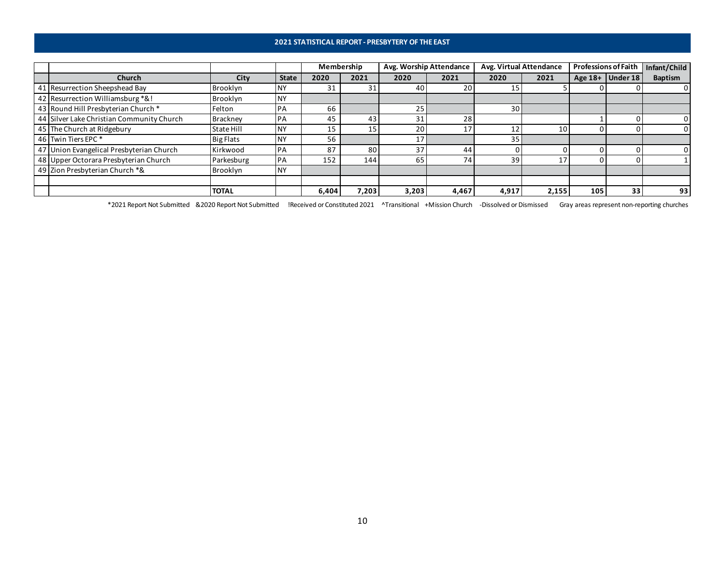### **2021 STATISTICAL REPORT - PRESBYTERY OF THE EAST**

|                                           |                  |              | Membership |       | Avg. Worship Attendance |       | Avg. Virtual Attendance |                 | <b>Professions of Faith</b> |                  | Infant/Child   |
|-------------------------------------------|------------------|--------------|------------|-------|-------------------------|-------|-------------------------|-----------------|-----------------------------|------------------|----------------|
| <b>Church</b>                             | City             | <b>State</b> | 2020       | 2021  | 2020                    | 2021  | 2020                    | 2021            |                             | Age 18+ Under 18 | <b>Baptism</b> |
| 41 Resurrection Sheepshead Bay            | Brooklyn         | <b>NY</b>    | 31         | 31    | 40                      | 20    | 15                      |                 |                             |                  |                |
| 42 Resurrection Williamsburg *&!          | Brooklyn         | <b>NY</b>    |            |       |                         |       |                         |                 |                             |                  |                |
| 43 Round Hill Presbyterian Church *       | Felton           | PA           | 66         |       | 25 <sub>1</sub>         |       | 30 <sub>1</sub>         |                 |                             |                  |                |
| 44 Silver Lake Christian Community Church | <b>Brackney</b>  | PA           | 45         | 43    | 31                      | 28    |                         |                 |                             |                  |                |
| 45 The Church at Ridgebury                | State Hill       | <b>INY</b>   | 15         | 15    | 20                      | 17    |                         | 10 <sup>1</sup> |                             |                  |                |
| 46 Twin Tiers EPC <sup>*</sup>            | <b>Big Flats</b> | <b>NY</b>    | 56         |       |                         |       | 35                      |                 |                             |                  |                |
| 47 Union Evangelical Presbyterian Church  | Kirkwood         | <b>PA</b>    | 87         | 80    | 37                      | 44    |                         |                 |                             |                  |                |
| 48 Upper Octorara Presbyterian Church     | Parkesburg       | <b>PA</b>    | 152        | 144   | 65                      | 74    | 39                      | 17              | 0                           |                  |                |
| 49 Zion Presbyterian Church *&            | Brooklyn         | <b>NY</b>    |            |       |                         |       |                         |                 |                             |                  |                |
|                                           |                  |              |            |       |                         |       |                         |                 |                             |                  |                |
|                                           | <b>TOTAL</b>     |              | 6,404      | 7,203 | 3,203                   | 4,467 | 4,917                   | 2,155           | 105                         | 33               | 93             |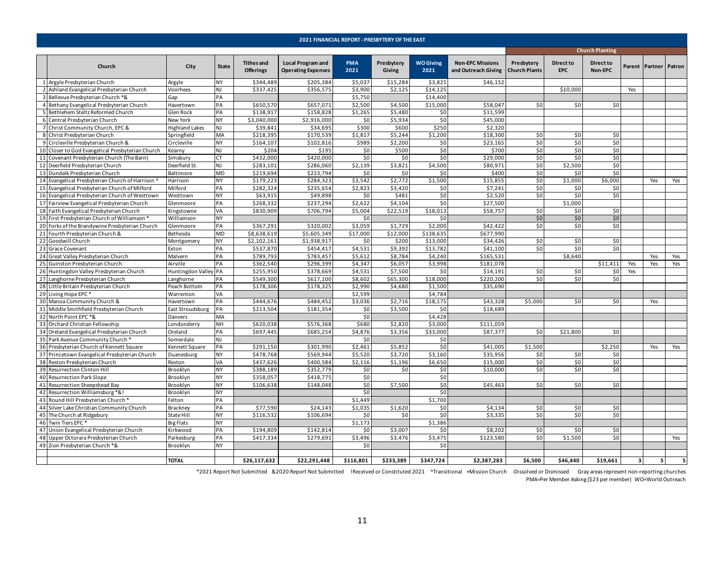<span id="page-10-0"></span>

|                                                  |                       |              |                                       |                                                       |                    | <b>2021 FINANCIAL REPORT - PRESBYTERY OF THE EAST</b> |                          |                                                |                                    |                  |                        |                |                       |     |
|--------------------------------------------------|-----------------------|--------------|---------------------------------------|-------------------------------------------------------|--------------------|-------------------------------------------------------|--------------------------|------------------------------------------------|------------------------------------|------------------|------------------------|----------------|-----------------------|-----|
|                                                  |                       |              |                                       |                                                       |                    |                                                       |                          |                                                |                                    |                  | <b>Church Planting</b> |                |                       |     |
| Church                                           | City                  | <b>State</b> | <b>Tithes and</b><br><b>Offerings</b> | <b>Local Program and</b><br><b>Operating Expenses</b> | <b>PMA</b><br>2021 | Presbytery<br>Giving                                  | <b>WO Giving</b><br>2021 | <b>Non-EPC Missions</b><br>and Outreach Giving | Presbytery<br><b>Church Plants</b> | Direct to<br>EPC | Direct to<br>Non-EPC   |                | Parent Partner Patron |     |
| 1 Argyle Presbyterian Church                     | Argyle                | NY           | \$344,489                             | \$205,384                                             | \$5,037            | \$15,284                                              | \$3,825                  | \$46,152                                       |                                    |                  |                        |                |                       |     |
| 2 Ashland Evangelical Presbyterian Church        | Voorhees              | NJ           | \$337,425                             | \$356,575                                             | \$3,900            | \$2,125                                               | \$14,125                 |                                                |                                    | \$10,000         |                        | Yes            |                       |     |
| 3 Bellevue Presbyterian Church *&                | Gap                   | PA           |                                       |                                                       | \$5,750            |                                                       | \$14,400                 |                                                |                                    |                  |                        |                |                       |     |
| 4 Bethany Evangelical Presbyterian Church        | Havertown             | PA           | \$650,570                             | \$657,071                                             | \$2,500            | \$4,500                                               | \$15,000                 | \$58,047                                       | \$0                                | \$0              | \$0                    |                |                       |     |
| 5 Bethlehem Steltz Reformed Church               | Glen Rock             | PA           | \$138,917                             | \$158,828                                             | \$1,265            | \$5,480                                               | \$0                      | \$11,599                                       |                                    |                  |                        |                |                       |     |
| 6 Central Presbyterian Church                    | New York              | NY           | \$3,040,000                           | \$2,916,000                                           | \$0                | \$5,934                                               | \$0                      | \$45,000                                       |                                    |                  |                        |                |                       |     |
| 7 Christ Community Church, EPC &                 | <b>Highland Lakes</b> | NJ           | \$39,841                              | \$34,695                                              | \$300              | \$600                                                 | \$250                    | \$2,320                                        |                                    |                  |                        |                |                       |     |
| 8 Christ Presbyterian Church                     | Springfield           | MA           | \$218,395                             | \$170,539                                             | \$1,817            | \$5,244                                               | \$1,200                  | \$18,300                                       | \$0                                | \$0              | \$0                    |                |                       |     |
| 9 Circleville Presbyterian Church &              | Circleville           | NY           | \$164,107                             | \$102,816                                             | \$989              | \$2,200                                               | \$0                      | \$23,165                                       | \$0                                | \$0              | \$0                    |                |                       |     |
| 10 Closer to God Evangelical Presbyterian Church | Kearny                | NJ           | \$204                                 | \$195                                                 | \$0                | \$500                                                 | \$0                      | \$700                                          | \$0                                | \$0              | \$0                    |                |                       |     |
| 11 Covenant Presbyterian Church (The Barn)       | Simsbury              | <b>CT</b>    | \$432,000                             | \$420,000                                             | \$0                | \$0                                                   | \$0                      | \$29,000                                       | \$0                                | \$0              | \$0                    |                |                       |     |
| 12 Deerfield Presbyterian Church                 | Deerfield St.         | NJ           | \$283,101                             | \$286,060                                             | \$2,139            | \$3,821                                               | \$4,500                  | \$80,971                                       | \$0                                | \$2,500          | \$0                    |                |                       |     |
| 13 Dundalk Presbyterian Church                   | Baltimore             | <b>MD</b>    | \$219,694                             | \$223,794                                             | \$0                | \$0                                                   | \$0                      | \$400                                          | \$0                                | \$0              | \$0                    |                |                       |     |
| 14 Evangelical Presbyterian Church of Harrison ^ | Harrison              | <b>NY</b>    | \$179,223                             | \$284,323                                             | \$3,542            | \$2,772                                               | \$1,500                  | \$15,855                                       | \$0                                | \$1,000          | \$6,000                |                | Yes                   | Yes |
| 15 Evangelical Presbyterian Church of Milford    | Milford               | PA           | \$282,324                             | \$235,654                                             | \$2,823            | \$3,420                                               | \$0                      | \$7,241                                        | \$0                                | \$0              | \$0                    |                |                       |     |
| 16 Evangelical Presbyterian Church of Westtown   | Westtown              | <b>NY</b>    | \$63,915                              | \$49,898                                              | \$0                | \$481                                                 | \$0                      | \$2,520                                        | \$0                                | \$0              | \$0                    |                |                       |     |
| 17 Fairview Evangelical Presbyterian Church      | Glenmoore             | PA           | \$268,332                             | \$237,294                                             | \$2,622            | \$4,104                                               | \$0                      | \$27,500                                       |                                    | \$1,000          |                        |                |                       |     |
| 18 Faith Evangelical Presbyterian Church         | Kingstowne            | VA           | \$830,909                             | \$706,794                                             | \$5,004            | \$22,519                                              | \$18,013                 | \$58,757                                       | \$0                                | \$0              | \$0                    |                |                       |     |
| 19 First Presbyterian Church of Williamson *     | Williamson            | NY           |                                       |                                                       | \$0                |                                                       | \$0                      |                                                | \$0                                | \$0              | \$0                    |                |                       |     |
| 20 Forks of the Brandywine Presbyterian Church   | Glenmoore             | PA           | \$367,291                             | \$320,002                                             | \$3,059            | \$1,729                                               | \$2,000                  | \$42,422                                       | \$0                                | \$0              | \$0                    |                |                       |     |
| 21 Fourth Presbyterian Church &                  | Bethesda              | <b>MD</b>    | \$8,638,619                           | \$5,605,349                                           | \$17,000           | \$12,000                                              | \$138,635                | \$677,990                                      |                                    |                  |                        |                |                       |     |
| 22 Goodwill Church                               | Montgomery            | NY           | \$2,102,161                           | \$1,938,917                                           | \$0                | \$200                                                 | \$13,000                 | \$34,426                                       | \$0                                | \$0              | \$0                    |                |                       |     |
| 23 Grace Covenant                                | Exton                 | PA           | \$537,870                             | \$454,417                                             | \$4,531            | \$9,392                                               | \$13,782                 | \$41,100                                       | \$0                                | \$0              | \$0                    |                |                       |     |
| 24 Great Valley Presbyterian Church              | Malvern               | PA           | \$789,793                             | \$783,457                                             | \$5,612            | \$8,784                                               | \$4,240                  | \$165,531                                      |                                    | \$8,640          |                        |                | Yes                   | Yes |
| 25 Guinston Presbyterian Church                  | Airville              | PA           | \$362,540                             | \$296,399                                             | \$4,347            | \$6,057                                               | \$3,998                  | \$181,078                                      |                                    |                  | \$11,411               | Yes            | Yes                   | Yes |
| 26 Huntingdon Valley Presbyterian Church         | Huntingdon Valley     | PA           | \$255,950                             | \$378,669                                             | \$4,531            | \$7,500                                               | \$0                      | \$14,191                                       | \$0                                | \$0              | \$0                    | Yes            |                       |     |
| 27 Langhorne Presbyterian Church                 | Langhorne             | PA           | \$549,300                             | \$617,100                                             | \$8,602            | \$65,300                                              | \$18,000                 | \$220,200                                      | \$0                                | \$0              | \$0                    |                |                       |     |
| 28 Little Britain Presbyterian Church            | Peach Bottom          | PA           | \$178,306                             | \$178,325                                             | \$2,990            | \$4,680                                               | \$1,500                  | \$35,690                                       |                                    |                  |                        |                |                       |     |
| 29 Living Hope EPC*                              | Warrenton             | VA           |                                       |                                                       | \$2,599            |                                                       | \$4,784                  |                                                |                                    |                  |                        |                |                       |     |
| 30 Manoa Community Church &                      | Havertown             | PA           | \$444,676                             | \$484,452                                             | \$3,036            | \$2,716                                               | \$18,175                 | \$43,328                                       | \$5,000                            | \$0              | \$0                    |                | Yes                   |     |
| 31 Middle Smithfield Presbyterian Church         | East Stroudsburg      | PA           | \$213,504                             | \$181,354                                             | \$0                | \$3,500                                               | \$0                      | \$18,689                                       |                                    |                  |                        |                |                       |     |
| 32 North Point EPC *&                            | Danvers               | MA           |                                       |                                                       | \$0                |                                                       | \$4,428                  |                                                |                                    |                  |                        |                |                       |     |
| 33 Orchard Christian Fellowship                  | Londonderry           | NΗ           | \$620,038                             | \$576,368                                             | \$680              | \$2,820                                               | \$3,000                  | \$111,059                                      |                                    |                  |                        |                |                       |     |
| 34 Oreland Evangelical Presbyterian Church       | Oreland               | PA           | \$697,445                             | \$685,254                                             | \$4,876            | \$3,356                                               | \$33,000                 | \$87,377                                       | \$0                                | \$21,800         | \$0                    |                |                       |     |
| 35 Park Avenue Community Church '                | Somerdale             | <b>NJ</b>    |                                       |                                                       | \$0                |                                                       | \$0                      |                                                |                                    |                  |                        |                |                       |     |
| 36 Presbyterian Church of Kennett Square         | Kennett Square        | PA           | \$291,150                             | \$301,990                                             | \$2,461            | \$5,852                                               | \$0                      | \$41,005                                       | \$1,500                            |                  | \$2,250                |                | Yes                   | Yes |
| 37 Princetown Evangelical Presbyterian Church    | Duanesburg            | NY           | \$478,768                             | \$569,944                                             | \$5,520            | \$3,720                                               | \$3,160                  | \$35,956                                       | \$0                                | \$0              | \$0                    |                |                       |     |
| 38 Reston Presbyterian Church                    | Reston                | VA           | \$437,626                             | \$400,584                                             | \$2,116            | \$1,196                                               | \$6,650                  | \$15,000                                       | \$0                                | \$0              | \$0                    |                |                       |     |
| 39 Resurrection Clinton Hill                     | Brooklyn              | <b>NY</b>    | \$388,189                             | \$352,779                                             | \$0                | \$0                                                   | \$0                      | \$10,000                                       | \$0                                | \$0              | \$0                    |                |                       |     |
| 40 Resurrection Park Slope                       | Brooklyn              | <b>NY</b>    | \$358,057                             | \$418,775                                             | \$0                |                                                       | \$0                      |                                                |                                    |                  |                        |                |                       |     |
| 41 Resurrection Sheepshead Bay                   | Brooklyn              | NY           | \$106,638                             | \$148,048                                             | \$0                | \$7,500                                               | \$0                      | \$45,463                                       | \$0                                | \$0              | \$0                    |                |                       |     |
| 42 Resurrection Williamsburg *&!                 | Brooklyn              | <b>NY</b>    |                                       |                                                       | \$0                |                                                       | \$0                      |                                                |                                    |                  |                        |                |                       |     |
| 43 Round Hill Presbyterian Church *              | Felton                | PA           |                                       |                                                       | \$1,449            |                                                       | \$1,700                  |                                                |                                    |                  |                        |                |                       |     |
| 44 Silver Lake Christian Community Church        | Brackney              | PA           | \$77,590                              | \$24,143                                              | \$1,035            | \$1,620                                               | \$0                      | \$4,134                                        | \$0                                | \$0              | \$0                    |                |                       |     |
| 45 The Church at Ridgebury                       | State Hill            | NY           | \$116,532                             | \$106,694                                             | \$0                | \$0                                                   | \$0                      | \$3,335                                        | \$0                                | \$0              | \$0                    |                |                       |     |
| 46 Twin Tiers EPC *                              | <b>Big Flats</b>      | NY           |                                       |                                                       | \$1,173            |                                                       | \$1,386                  |                                                |                                    |                  |                        |                |                       |     |
| 47 Union Evangelical Presbyterian Church         | Kirkwood              | PA           | \$194,809                             | \$142,814                                             | \$0                | \$3,007                                               | \$0                      | \$8,202                                        | \$0                                | \$0              | \$0                    |                |                       |     |
| 48 Upper Octorara Presbyterian Church            | Parkesburg            | PA           | \$417,334                             | \$279,691                                             | \$3,496            | \$3,476                                               | \$3,475                  | \$123,580                                      | \$0                                | \$1,500          | \$0                    |                |                       | Yes |
| 49 Zion Presbyterian Church *&                   | Brooklyn              | NY           |                                       |                                                       | \$0                |                                                       | \$0                      |                                                |                                    |                  |                        |                |                       |     |
|                                                  |                       |              |                                       |                                                       |                    |                                                       |                          |                                                |                                    |                  |                        |                |                       |     |
|                                                  | <b>TOTAL</b>          |              | \$26,117,632                          | \$22,291,448                                          | \$116,801          | \$233,389                                             | \$347,724                | \$2,387,283                                    | \$6,500                            | \$46,440         | \$19,661               | 3 <sup>1</sup> | 5 <sup>1</sup>        | 5   |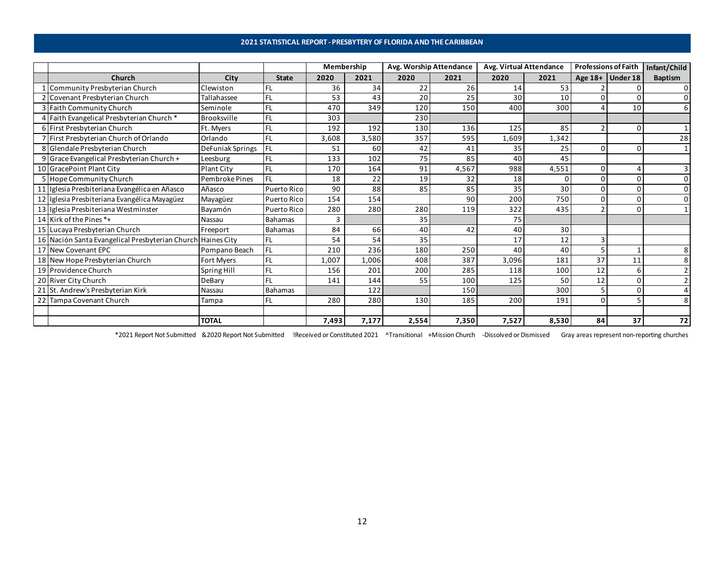### **2021 STATISTICAL REPORT - PRESBYTERY OF FLORIDA AND THE CARIBBEAN**

<span id="page-11-0"></span>

|                                                             |                    |              | Membership |       | Avg. Worship Attendance |       | Avg. Virtual Attendance |       | <b>Professions of Faith</b> |          | Infant/Child   |
|-------------------------------------------------------------|--------------------|--------------|------------|-------|-------------------------|-------|-------------------------|-------|-----------------------------|----------|----------------|
| <b>Church</b>                                               | City               | <b>State</b> | 2020       | 2021  | 2020                    | 2021  | 2020                    | 2021  | Age 18+                     | Under 18 | <b>Baptism</b> |
| Community Presbyterian Church                               | Clewiston          |              | 36         | 34    | 22                      | 26    | 14                      | 53    |                             |          |                |
| Covenant Presbyterian Church                                | Tallahassee        | FL           | 53         | 43    | 20                      | 25    | 30                      | 10    |                             |          | $\Omega$       |
| 3 Faith Community Church                                    | Seminole           | FL.          | 470        | 349   | 120                     | 150   | 400                     | 300   |                             | 10       | 6              |
| 4 Faith Evangelical Presbyterian Church*                    | <b>Brooksville</b> | FL           | 303        |       | 230                     |       |                         |       |                             |          |                |
| 6 First Presbyterian Church                                 | Ft. Myers          | FL           | 192        | 192   | 130                     | 136   | 125                     | 85    |                             | 0        |                |
| 7 First Presbyterian Church of Orlando                      | Orlando            | <b>FL</b>    | 3,608      | 3,580 | 357                     | 595   | 1,609                   | 1,342 |                             |          | 28             |
| 8 Glendale Presbyterian Church                              | DeFuniak Springs   | FL           | 51         | 60    | 42                      | 41    | 35                      | 25    | O                           |          |                |
| 9 Grace Evangelical Presbyterian Church +                   | Leesburg           | FL           | 133        | 102   | 75                      | 85    | 40                      | 45    |                             |          |                |
| 10 GracePoint Plant City                                    | <b>Plant City</b>  | FL           | 170        | 164   | 91                      | 4,567 | 988                     | 4,551 | $\Omega$                    |          |                |
| 5 Hope Community Church                                     | Pembroke Pines     | FL.          | 18         | 22    | 19                      | 32    | 18                      |       |                             |          |                |
| 11 Iglesia Presbiteriana Evangélica en Añasco               | Añasco             | Puerto Rico  | 90         | 88    | 85                      | 85    | 35                      | 30    | $\Omega$                    |          |                |
| 12 Iglesia Presbiteriana Evangélica Mayagüez                | Mayagüez           | Puerto Rico  | 154        | 154   |                         | 90    | 200                     | 750   | $\Omega$                    |          |                |
| 13 Iglesia Presbiteriana Westminster                        | Bayamón            | Puerto Rico  | 280        | 280   | 280                     | 119   | 322                     | 435   |                             |          |                |
| 14 Kirk of the Pines *+                                     | Nassau             | Bahamas      | 3          |       | 35                      |       | 75                      |       |                             |          |                |
| 15 Lucaya Presbyterian Church                               | Freeport           | Bahamas      | 84         | 66    | 40                      | 42    | 40                      | 30    |                             |          |                |
| 16 Nación Santa Evangelical Presbyterian Church Haines City |                    | FL           | 54         | 54    | 35                      |       | 17                      | 12    | 3                           |          |                |
| 17 New Covenant EPC                                         | Pompano Beach      | <b>FL</b>    | 210        | 236   | 180                     | 250   | 40                      | 40    | 5                           |          |                |
| 18 New Hope Presbyterian Church                             | Fort Myers         | FL           | 1,007      | 1,006 | 408                     | 387   | 3,096                   | 181   | 37                          | 11       |                |
| 19 Providence Church                                        | Spring Hill        | FL           | 156        | 201   | 200                     | 285   | 118                     | 100   | 12                          |          |                |
| 20 River City Church                                        | DeBarv             |              | 141        | 144   | 55                      | 100   | 125                     | 50    | 12                          |          |                |
| 21 St. Andrew's Presbyterian Kirk                           | Nassau             | Bahamas      |            | 122   |                         | 150   |                         | 300   |                             |          |                |
| 22 Tampa Covenant Church                                    | Tampa              | FL           | 280        | 280   | 130                     | 185   | 200                     | 191   | $\Omega$                    |          |                |
|                                                             |                    |              |            |       |                         |       |                         |       |                             |          |                |
|                                                             | <b>TOTAL</b>       |              | 7,493      | 7,177 | 2,554                   | 7,350 | 7,527                   | 8,530 | 84                          | 37       | 72             |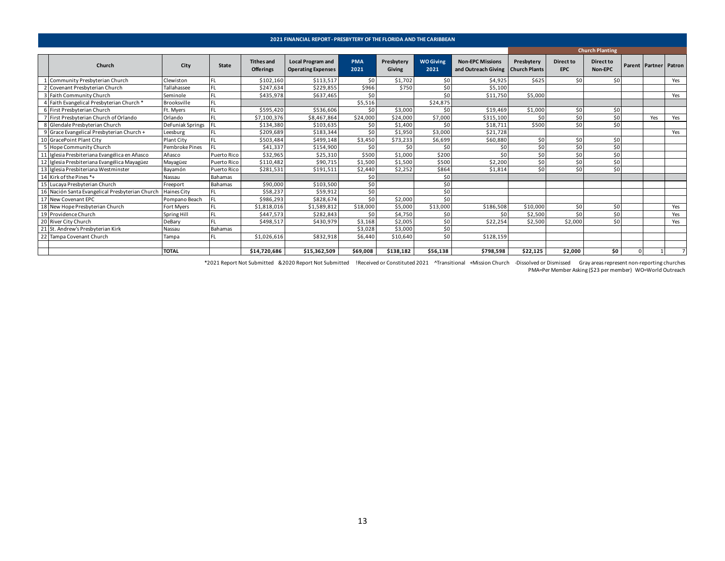<span id="page-12-0"></span>

|                                                 |                  |                |                                       | 2021 FINANCIAL REPORT - PRESBYTERY OF THE FLORIDA AND THE CARIBBEAN |                    |                      |                          |                                                |                                    |                                |                        |   |                       |     |
|-------------------------------------------------|------------------|----------------|---------------------------------------|---------------------------------------------------------------------|--------------------|----------------------|--------------------------|------------------------------------------------|------------------------------------|--------------------------------|------------------------|---|-----------------------|-----|
|                                                 |                  |                |                                       |                                                                     |                    |                      |                          |                                                |                                    |                                | <b>Church Planting</b> |   |                       |     |
| Church                                          | City             | State          | <b>Tithes and</b><br><b>Offerings</b> | <b>Local Program and</b><br><b>Operating Expenses</b>               | <b>PMA</b><br>2021 | Presbytery<br>Giving | <b>WO Giving</b><br>2021 | <b>Non-EPC Missions</b><br>and Outreach Giving | Presbytery<br><b>Church Plants</b> | <b>Direct to</b><br><b>EPC</b> | Direct to<br>Non-EPC   |   | Parent Partner Patron |     |
| 1 Community Presbyterian Church                 | Clewiston        | FL             | \$102,160                             | \$113,517                                                           | \$0                | \$1,702              | \$0                      | \$4,925                                        | \$625                              | \$0                            | 50 <sup>1</sup>        |   |                       | Yes |
| 2 Covenant Presbyterian Church                  | Tallahassee      | FL             | \$247,634                             | \$229,85                                                            | \$966              | \$750                | \$0                      | \$5,100                                        |                                    |                                |                        |   |                       |     |
| 3 Faith Community Church                        | Seminole         | <b>FL</b>      | \$435,978                             | \$637,465                                                           | \$0                |                      | \$0                      | \$11,750                                       | \$5,000                            |                                |                        |   |                       | Yes |
| 4 Faith Evangelical Presbyterian Church*        | Brooksville      | FL             |                                       |                                                                     | \$5,516            |                      | \$24,875                 |                                                |                                    |                                |                        |   |                       |     |
| 6 First Presbyterian Church                     | Ft. Myers        | <b>FL</b>      | \$595,420                             | \$536,606                                                           | \$0                | \$3,000              | \$0                      | \$19,469                                       | \$1,000                            | \$0                            | 50 <sup>1</sup>        |   |                       |     |
| 7 First Presbyterian Church of Orlando          | Orlando          | <b>FL</b>      | \$7,100,376                           | \$8,467,864                                                         | \$24,000           | \$24,000             | \$7,000                  | \$315,100                                      | \$0                                | \$0                            | 50 <sub>1</sub>        |   | Yes                   | Yes |
| 8 Glendale Presbyterian Church                  | DeFuniak Springs | <b>IFL</b>     | \$134,380                             | \$103,635                                                           | \$0                | \$1,400              | \$0                      | \$18,711                                       | \$500                              | \$0                            | \$0                    |   |                       |     |
| 9 Grace Evangelical Presbyterian Church +       | Leesburg         | <b>FL</b>      | \$209,689                             | \$183,344                                                           | \$0                | \$1,950              | \$3,000                  | \$21,728                                       |                                    |                                |                        |   |                       | Yes |
| 10 GracePoint Plant City                        | Plant City       | IFL.           | \$503,484                             | \$499,148                                                           | \$3,450            | \$73,233             | \$6,699                  | \$60,880                                       | \$0                                | \$0                            | \$0                    |   |                       |     |
| Hope Community Church                           | Pembroke Pines   | I FL           | \$41,337                              | \$154,900                                                           | \$0                | \$0                  | \$0                      | \$0                                            | \$0                                | \$0                            | \$0                    |   |                       |     |
| 11 Iglesia Presbiteriana Evangélica en Añasco   | Añasco           | Puerto Rico    | \$32,965                              | \$25,310                                                            | \$500              | \$1,000              | \$200                    | \$0                                            | \$0                                | \$0                            | \$0                    |   |                       |     |
| 12 Iglesia Presbiteriana Evangélica Mayagüez    | Mayagüez         | Puerto Rico    | \$110,482                             | \$90,715                                                            | \$1,500            | \$1,500              | \$500                    | \$2,200                                        | \$0]                               | \$0                            | \$0                    |   |                       |     |
| 13 Iglesia Presbiteriana Westminster            | Bayamón          | Puerto Rico    | \$281,531                             | \$191,513                                                           | \$2,440            | \$2,252              | \$864                    | \$1,814                                        | \$0                                | \$0                            | \$0                    |   |                       |     |
| 14 Kirk of the Pines *+                         | Nassau           | Bahamas        |                                       |                                                                     | \$0                |                      | \$0                      |                                                |                                    |                                |                        |   |                       |     |
| 15 Lucaya Presbyterian Church                   | Freeport         | Bahamas        | \$90,000                              | \$103,500                                                           | \$0                |                      | \$0                      |                                                |                                    |                                |                        |   |                       |     |
| 16 Nación Santa Evangelical Presbyterian Church | Haines City      | FL             | \$58,237                              | \$59,91                                                             | \$0                |                      | \$0                      |                                                |                                    |                                |                        |   |                       |     |
| 17 New Covenant EPC                             | Pompano Beach    | I FL           | \$986,293                             | \$828,674                                                           | \$0                | \$2,000              | \$0                      |                                                |                                    |                                |                        |   |                       |     |
| 18 New Hope Presbyterian Church                 | Fort Myers       | FL             | \$1,818,016                           | \$1,589,812                                                         | \$18,000           | \$5,000              | \$13,000                 | \$186,508                                      | \$10,000                           | \$0                            | \$0                    |   |                       | Yes |
| 19 Providence Church                            | Spring Hill      | FL             | \$447,573                             | \$282,843                                                           | \$0                | \$4,750              | \$0                      | \$0                                            | \$2,500                            | \$0                            | 50 <sub>1</sub>        |   |                       | Yes |
| 20 River City Church                            | DeBary           | IFL.           | \$498,517                             | \$430,979                                                           | \$3,168            | \$2,005              | \$0                      | \$22,254                                       | \$2,500                            | \$2,000                        | \$0                    |   |                       | Yes |
| 21 St. Andrew's Presbyterian Kirk               | Nassau           | <b>Bahamas</b> |                                       |                                                                     | \$3,028            | \$3,000              | \$0                      |                                                |                                    |                                |                        |   |                       |     |
| 22 Tampa Covenant Church                        | Tampa            | <b>FL</b>      | \$1,026,616                           | \$832,918                                                           | \$6,440            | \$10,640             | 50                       | \$128,159                                      |                                    |                                |                        |   |                       |     |
|                                                 | <b>TOTAL</b>     |                | \$14,720,686                          | \$15,362,509                                                        | \$69,008           | \$138.182            | \$56.138                 | \$798,598                                      | \$22,125                           | \$2.000                        | \$0                    | 0 |                       |     |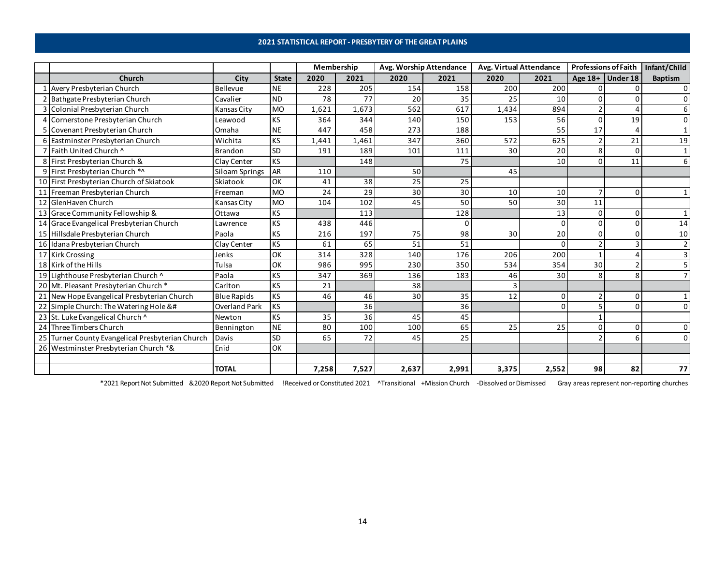### **2021 STATISTICAL REPORT - PRESBYTERY OF THE GREAT PLAINS**

<span id="page-13-0"></span>

|    |                                                                                                                                                                                                                                                                                                                                                                                                                                                                                                                                                                                                                                                                                                                                                                                                                                                                                                                                                                                                                                                                                                                                                                                                                                                                                                                               |                    |              | Membership |       | Avg. Worship Attendance |          | Avg. Virtual Attendance |          | <b>Professions of Faith</b> |                    | Infant/Child   |
|----|-------------------------------------------------------------------------------------------------------------------------------------------------------------------------------------------------------------------------------------------------------------------------------------------------------------------------------------------------------------------------------------------------------------------------------------------------------------------------------------------------------------------------------------------------------------------------------------------------------------------------------------------------------------------------------------------------------------------------------------------------------------------------------------------------------------------------------------------------------------------------------------------------------------------------------------------------------------------------------------------------------------------------------------------------------------------------------------------------------------------------------------------------------------------------------------------------------------------------------------------------------------------------------------------------------------------------------|--------------------|--------------|------------|-------|-------------------------|----------|-------------------------|----------|-----------------------------|--------------------|----------------|
|    | Church                                                                                                                                                                                                                                                                                                                                                                                                                                                                                                                                                                                                                                                                                                                                                                                                                                                                                                                                                                                                                                                                                                                                                                                                                                                                                                                        | City               | <b>State</b> | 2020       | 2021  | 2020                    | 2021     | 2020                    | 2021     |                             | Age $18+$ Under 18 | <b>Baptism</b> |
|    | Avery Presbyterian Church                                                                                                                                                                                                                                                                                                                                                                                                                                                                                                                                                                                                                                                                                                                                                                                                                                                                                                                                                                                                                                                                                                                                                                                                                                                                                                     | Bellevue           | <b>NE</b>    | 228        | 205   | 154                     | 158      | 200                     | 200      | 0                           |                    | $\Omega$       |
|    | Bathgate Presbyterian Church                                                                                                                                                                                                                                                                                                                                                                                                                                                                                                                                                                                                                                                                                                                                                                                                                                                                                                                                                                                                                                                                                                                                                                                                                                                                                                  | Cavalier           | <b>ND</b>    | 78         | 77    | 20                      | 35       | 25                      | 10       | 0                           | $\Omega$           |                |
|    | Colonial Presbyterian Church                                                                                                                                                                                                                                                                                                                                                                                                                                                                                                                                                                                                                                                                                                                                                                                                                                                                                                                                                                                                                                                                                                                                                                                                                                                                                                  | <b>Kansas City</b> | <b>MO</b>    | 1,621      | 1,673 | 562                     | 617      | 1,434                   | 894      | $\overline{2}$              |                    |                |
|    | Cornerstone Presbyterian Church                                                                                                                                                                                                                                                                                                                                                                                                                                                                                                                                                                                                                                                                                                                                                                                                                                                                                                                                                                                                                                                                                                                                                                                                                                                                                               | Leawood            | KS           | 364        | 344   | 140                     | 150      | 153                     | 56       | $\mathbf 0$                 | 19                 |                |
|    | 5 Covenant Presbyterian Church                                                                                                                                                                                                                                                                                                                                                                                                                                                                                                                                                                                                                                                                                                                                                                                                                                                                                                                                                                                                                                                                                                                                                                                                                                                                                                | Omaha              | <b>NE</b>    | 447        | 458   | 273                     | 188      |                         | 55       | 17                          |                    |                |
|    | 6 Eastminster Presbyterian Church                                                                                                                                                                                                                                                                                                                                                                                                                                                                                                                                                                                                                                                                                                                                                                                                                                                                                                                                                                                                                                                                                                                                                                                                                                                                                             | Wichita            | KS           | 1,441      | 1,461 | 347                     | 360      | 572                     | 625      | $\overline{2}$              | 21                 | 19             |
|    | Faith United Church ^                                                                                                                                                                                                                                                                                                                                                                                                                                                                                                                                                                                                                                                                                                                                                                                                                                                                                                                                                                                                                                                                                                                                                                                                                                                                                                         | <b>Brandon</b>     | SD           | 191        | 189   | 101                     | 111      | 30                      | 20       | 8                           | $\Omega$           |                |
|    | 8 First Presbyterian Church &                                                                                                                                                                                                                                                                                                                                                                                                                                                                                                                                                                                                                                                                                                                                                                                                                                                                                                                                                                                                                                                                                                                                                                                                                                                                                                 | Clay Center        | KS           |            | 148   |                         | 75       |                         | 10       | $\Omega$                    | 11                 | 6              |
|    | 9 First Presbyterian Church *^                                                                                                                                                                                                                                                                                                                                                                                                                                                                                                                                                                                                                                                                                                                                                                                                                                                                                                                                                                                                                                                                                                                                                                                                                                                                                                | Siloam Springs     | <b>AR</b>    | 110        |       | 50                      |          | 45                      |          |                             |                    |                |
|    | 10 First Presbyterian Church of Skiatook                                                                                                                                                                                                                                                                                                                                                                                                                                                                                                                                                                                                                                                                                                                                                                                                                                                                                                                                                                                                                                                                                                                                                                                                                                                                                      | Skiatook           | OK           | 41         | 38    | 25                      | 25       |                         |          |                             |                    |                |
| 11 | Freeman Presbyterian Church                                                                                                                                                                                                                                                                                                                                                                                                                                                                                                                                                                                                                                                                                                                                                                                                                                                                                                                                                                                                                                                                                                                                                                                                                                                                                                   | Freeman            | <b>MO</b>    | 24         | 29    | 30                      | 30       | 10                      | 10       | $\overline{7}$              | $\Omega$           |                |
|    | 12 GlenHaven Church                                                                                                                                                                                                                                                                                                                                                                                                                                                                                                                                                                                                                                                                                                                                                                                                                                                                                                                                                                                                                                                                                                                                                                                                                                                                                                           | Kansas City        | <b>MO</b>    | 104        | 102   | 45                      | 50       | 50                      | 30       | 11                          |                    |                |
|    | 13 Grace Community Fellowship &                                                                                                                                                                                                                                                                                                                                                                                                                                                                                                                                                                                                                                                                                                                                                                                                                                                                                                                                                                                                                                                                                                                                                                                                                                                                                               | Ottawa             | KS           |            | 113   |                         | 128      |                         | 13       | 0                           | $\Omega$           |                |
|    | 14 Grace Evangelical Presbyterian Church                                                                                                                                                                                                                                                                                                                                                                                                                                                                                                                                                                                                                                                                                                                                                                                                                                                                                                                                                                                                                                                                                                                                                                                                                                                                                      | Lawrence           | KS           | 438        | 446   |                         | $\Omega$ |                         | $\Omega$ | $\mathbf 0$                 | $\Omega$           | 14             |
|    | 15 Hillsdale Presbyterian Church                                                                                                                                                                                                                                                                                                                                                                                                                                                                                                                                                                                                                                                                                                                                                                                                                                                                                                                                                                                                                                                                                                                                                                                                                                                                                              | Paola              | KS           | 216        | 197   | 75                      | 98       | 30                      | 20       | $\mathbf 0$                 | n                  | 10             |
|    | 16 Idana Presbyterian Church                                                                                                                                                                                                                                                                                                                                                                                                                                                                                                                                                                                                                                                                                                                                                                                                                                                                                                                                                                                                                                                                                                                                                                                                                                                                                                  | Clay Center        | KS           | 61         | 65    | 51                      | 51       |                         | $\Omega$ | $\overline{2}$              |                    | $\overline{2}$ |
|    | 17 Kirk Crossing                                                                                                                                                                                                                                                                                                                                                                                                                                                                                                                                                                                                                                                                                                                                                                                                                                                                                                                                                                                                                                                                                                                                                                                                                                                                                                              | Jenks              | OK           | 314        | 328   | 140                     | 176      | 206                     | 200      | $\mathbf{1}$                |                    |                |
|    | 18 Kirk of the Hills                                                                                                                                                                                                                                                                                                                                                                                                                                                                                                                                                                                                                                                                                                                                                                                                                                                                                                                                                                                                                                                                                                                                                                                                                                                                                                          | Tulsa              | OK           | 986        | 995   | 230                     | 350      | 534                     | 354      | 30                          |                    |                |
|    | 19 Lighthouse Presbyterian Church ^                                                                                                                                                                                                                                                                                                                                                                                                                                                                                                                                                                                                                                                                                                                                                                                                                                                                                                                                                                                                                                                                                                                                                                                                                                                                                           | Paola              | KS           | 347        | 369   | 136                     | 183      | 46                      | 30       | 8                           | 8                  |                |
|    | 20 Mt. Pleasant Presbyterian Church *                                                                                                                                                                                                                                                                                                                                                                                                                                                                                                                                                                                                                                                                                                                                                                                                                                                                                                                                                                                                                                                                                                                                                                                                                                                                                         | Carlton            | KS           | 21         |       | 38                      |          |                         |          |                             |                    |                |
|    | 21 New Hope Evangelical Presbyterian Church                                                                                                                                                                                                                                                                                                                                                                                                                                                                                                                                                                                                                                                                                                                                                                                                                                                                                                                                                                                                                                                                                                                                                                                                                                                                                   | <b>Blue Rapids</b> | KS           | 46         | 46    | 30                      | 35       | 12                      | 0        | $\overline{2}$              | $\Omega$           |                |
|    | 22 Simple Church: The Watering Hole &#</td><td><b>Overland Park</b></td><td><b>KS</b></td><td></td><td>36</td><td></td><td>36</td><td></td><td><math>\Omega</math></td><td>5</td><td>n</td><td></td></tr><tr><td></td><td>23 St. Luke Evangelical Church ^</td><td>Newton</td><td>KS</td><td>35</td><td>36</td><td>45</td><td>45</td><td></td><td></td><td></td><td></td><td></td></tr><tr><td></td><td>24 Three Timbers Church</td><td>Bennington</td><td><b>NE</b></td><td>80</td><td>100</td><td>100</td><td>65</td><td>25</td><td>25</td><td>0</td><td><math>\Omega</math></td><td></td></tr><tr><td></td><td>25 Turner County Evangelical Presbyterian Church</td><td>Davis</td><td>SD</td><td>65</td><td>72</td><td>45</td><td>25</td><td></td><td></td><td><math>\overline{2}</math></td><td>6</td><td></td></tr><tr><td></td><td>26 Westminster Presbyterian Church *&</td><td>Enid</td><td>OK</td><td></td><td></td><td></td><td></td><td></td><td></td><td></td><td></td><td></td></tr><tr><td></td><td></td><td></td><td></td><td></td><td></td><td></td><td></td><td></td><td></td><td></td><td></td><td></td></tr><tr><td></td><td></td><td><b>TOTAL</b></td><td></td><td>7,258</td><td>7,527</td><td>2,637</td><td>2,991</td><td>3,375</td><td>2,552</td><td>98</td><td>82</td><td>77</td></tr></tbody></table> |                    |              |            |       |                         |          |                         |          |                             |                    |                |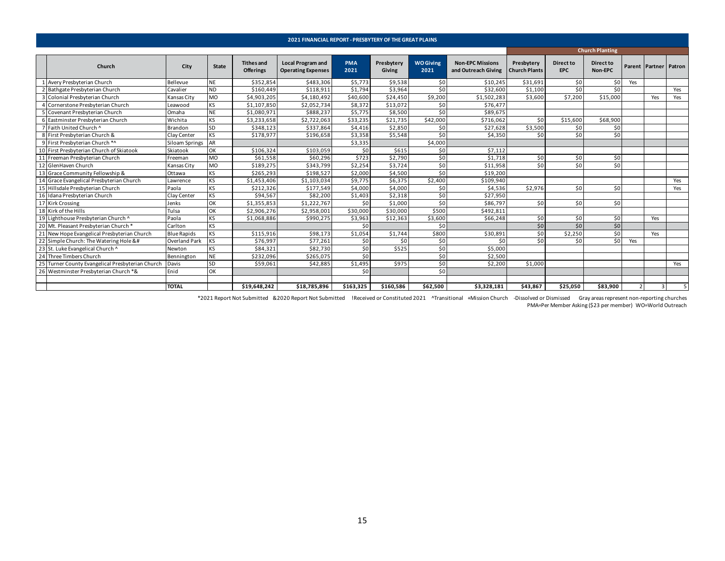<span id="page-14-0"></span>

|    |                                                                                                                                                                                                                                                                                                                                                                                                                                                                                                                                                                                                                                                                                                                                                                                                                                                                                                                                                                                                                                                                                                                                                                                                                                                                                                                                                                                                                                                                                                                                                                                                                                            |                    |              |                                       | <b>2021 FINANCIAL REPORT - PRESBYTERY OF THE GREAT PLAINS</b> |                    |                      |                          |                                                |                                    |                         |                             |     |                              |     |
|----|--------------------------------------------------------------------------------------------------------------------------------------------------------------------------------------------------------------------------------------------------------------------------------------------------------------------------------------------------------------------------------------------------------------------------------------------------------------------------------------------------------------------------------------------------------------------------------------------------------------------------------------------------------------------------------------------------------------------------------------------------------------------------------------------------------------------------------------------------------------------------------------------------------------------------------------------------------------------------------------------------------------------------------------------------------------------------------------------------------------------------------------------------------------------------------------------------------------------------------------------------------------------------------------------------------------------------------------------------------------------------------------------------------------------------------------------------------------------------------------------------------------------------------------------------------------------------------------------------------------------------------------------|--------------------|--------------|---------------------------------------|---------------------------------------------------------------|--------------------|----------------------|--------------------------|------------------------------------------------|------------------------------------|-------------------------|-----------------------------|-----|------------------------------|-----|
|    |                                                                                                                                                                                                                                                                                                                                                                                                                                                                                                                                                                                                                                                                                                                                                                                                                                                                                                                                                                                                                                                                                                                                                                                                                                                                                                                                                                                                                                                                                                                                                                                                                                            |                    |              |                                       |                                                               |                    |                      |                          |                                                |                                    |                         | <b>Church Planting</b>      |     |                              |     |
|    | Church                                                                                                                                                                                                                                                                                                                                                                                                                                                                                                                                                                                                                                                                                                                                                                                                                                                                                                                                                                                                                                                                                                                                                                                                                                                                                                                                                                                                                                                                                                                                                                                                                                     | City               | <b>State</b> | <b>Tithes and</b><br><b>Offerings</b> | <b>Local Program and</b><br><b>Operating Expenses</b>         | <b>PMA</b><br>2021 | Presbytery<br>Giving | <b>WO Giving</b><br>2021 | <b>Non-EPC Missions</b><br>and Outreach Giving | Presbytery<br><b>Church Plants</b> | Direct to<br><b>EPC</b> | <b>Direct to</b><br>Non-EPC |     | <b>Parent Partner Patron</b> |     |
|    | Avery Presbyterian Church                                                                                                                                                                                                                                                                                                                                                                                                                                                                                                                                                                                                                                                                                                                                                                                                                                                                                                                                                                                                                                                                                                                                                                                                                                                                                                                                                                                                                                                                                                                                                                                                                  | Bellevue           | <b>NE</b>    | \$352.854                             | \$483.306                                                     | \$5,773            | \$9,538              | \$0                      | \$10.245                                       | \$31.691                           | \$0                     | 50 <sub>1</sub>             | Yes |                              |     |
|    | Bathgate Presbyterian Church                                                                                                                                                                                                                                                                                                                                                                                                                                                                                                                                                                                                                                                                                                                                                                                                                                                                                                                                                                                                                                                                                                                                                                                                                                                                                                                                                                                                                                                                                                                                                                                                               | Cavalier           | <b>ND</b>    | \$160,449                             | \$118,911                                                     | \$1,794            | \$3,964              | \$0                      | \$32,600                                       | \$1,100                            | \$0                     | \$0                         |     |                              | Yes |
|    | 3 Colonial Presbyterian Church                                                                                                                                                                                                                                                                                                                                                                                                                                                                                                                                                                                                                                                                                                                                                                                                                                                                                                                                                                                                                                                                                                                                                                                                                                                                                                                                                                                                                                                                                                                                                                                                             | Kansas City        | <b>MO</b>    | \$4,903,205                           | \$4,180,492                                                   | \$40,600           | \$24,450             | \$9,200                  | \$1,502,283                                    | \$3,600                            | \$7,200                 | \$15,000                    |     | Yes                          | Yes |
|    | 4 Cornerstone Presbyterian Church                                                                                                                                                                                                                                                                                                                                                                                                                                                                                                                                                                                                                                                                                                                                                                                                                                                                                                                                                                                                                                                                                                                                                                                                                                                                                                                                                                                                                                                                                                                                                                                                          | Leawood            | <b>KS</b>    | \$1,107,850                           | \$2,052,734                                                   | \$8,372            | \$13.072             | 50 <sub>1</sub>          | \$76.477                                       |                                    |                         |                             |     |                              |     |
|    | Covenant Presbyterian Church                                                                                                                                                                                                                                                                                                                                                                                                                                                                                                                                                                                                                                                                                                                                                                                                                                                                                                                                                                                                                                                                                                                                                                                                                                                                                                                                                                                                                                                                                                                                                                                                               | Omaha              | <b>NE</b>    | \$1,080,971                           | \$888,237                                                     | \$5,775            | \$8,500              | \$0                      | \$89,675                                       |                                    |                         |                             |     |                              |     |
|    | Eastminster Presbyterian Church                                                                                                                                                                                                                                                                                                                                                                                                                                                                                                                                                                                                                                                                                                                                                                                                                                                                                                                                                                                                                                                                                                                                                                                                                                                                                                                                                                                                                                                                                                                                                                                                            | Wichita            | KS           | \$3,233,658                           | \$2,722,063                                                   | \$33,235           | \$21,735             | \$42,000                 | \$716.062                                      | \$0                                | \$15,600                | \$68,900                    |     |                              |     |
|    | Faith United Church ^                                                                                                                                                                                                                                                                                                                                                                                                                                                                                                                                                                                                                                                                                                                                                                                                                                                                                                                                                                                                                                                                                                                                                                                                                                                                                                                                                                                                                                                                                                                                                                                                                      | Brandon            | SD           | \$348,123                             | \$337,864                                                     | \$4,416            | \$2.850              | \$0                      | \$27.628                                       | \$3,500                            | \$0                     | \$0                         |     |                              |     |
|    | 8 First Presbyterian Church &                                                                                                                                                                                                                                                                                                                                                                                                                                                                                                                                                                                                                                                                                                                                                                                                                                                                                                                                                                                                                                                                                                                                                                                                                                                                                                                                                                                                                                                                                                                                                                                                              | Clay Center        | <b>KS</b>    | \$178,977                             | \$196,658                                                     | \$3,358            | \$5,548              | \$0                      | \$4,350                                        | \$0                                | \$0                     | \$0                         |     |                              |     |
|    | 9 First Presbyterian Church *^                                                                                                                                                                                                                                                                                                                                                                                                                                                                                                                                                                                                                                                                                                                                                                                                                                                                                                                                                                                                                                                                                                                                                                                                                                                                                                                                                                                                                                                                                                                                                                                                             | Siloam Springs     | AR           |                                       |                                                               | \$3,335            |                      | \$4,000                  |                                                |                                    |                         |                             |     |                              |     |
|    | 10 First Presbyterian Church of Skiatook                                                                                                                                                                                                                                                                                                                                                                                                                                                                                                                                                                                                                                                                                                                                                                                                                                                                                                                                                                                                                                                                                                                                                                                                                                                                                                                                                                                                                                                                                                                                                                                                   | Skiatook           | OK           | \$106,324                             | \$103,059                                                     | \$0                | \$615                | 50 <sub>1</sub>          | \$7.112                                        |                                    |                         |                             |     |                              |     |
|    | 11 Freeman Presbyterian Church                                                                                                                                                                                                                                                                                                                                                                                                                                                                                                                                                                                                                                                                                                                                                                                                                                                                                                                                                                                                                                                                                                                                                                                                                                                                                                                                                                                                                                                                                                                                                                                                             | Freeman            | <b>MO</b>    | \$61,558                              | \$60,296                                                      | \$723              | \$2,790              | \$0                      | \$1,718                                        | \$0                                | \$0                     | \$0                         |     |                              |     |
|    | 12 GlenHaven Church                                                                                                                                                                                                                                                                                                                                                                                                                                                                                                                                                                                                                                                                                                                                                                                                                                                                                                                                                                                                                                                                                                                                                                                                                                                                                                                                                                                                                                                                                                                                                                                                                        | Kansas City        | <b>MO</b>    | \$189,275                             | \$343,799                                                     | \$2,254            | \$3,724              | \$0                      | \$11,958                                       | \$0                                | \$0                     | \$0                         |     |                              |     |
|    | 13 Grace Community Fellowship &                                                                                                                                                                                                                                                                                                                                                                                                                                                                                                                                                                                                                                                                                                                                                                                                                                                                                                                                                                                                                                                                                                                                                                                                                                                                                                                                                                                                                                                                                                                                                                                                            | Ottawa             | <b>KS</b>    | \$265,293                             | \$198,527                                                     | \$2,000            | \$4,500              | \$0                      | \$19,200                                       |                                    |                         |                             |     |                              |     |
| 14 | Grace Evangelical Presbyterian Church                                                                                                                                                                                                                                                                                                                                                                                                                                                                                                                                                                                                                                                                                                                                                                                                                                                                                                                                                                                                                                                                                                                                                                                                                                                                                                                                                                                                                                                                                                                                                                                                      | Lawrence           | <b>KS</b>    | \$1,453,406                           | \$1,103,034                                                   | \$9,775            | \$6,375              | \$2,400                  | \$109,940                                      |                                    |                         |                             |     |                              | Yes |
|    | 15 Hillsdale Presbyterian Church                                                                                                                                                                                                                                                                                                                                                                                                                                                                                                                                                                                                                                                                                                                                                                                                                                                                                                                                                                                                                                                                                                                                                                                                                                                                                                                                                                                                                                                                                                                                                                                                           | Paola              | <b>KS</b>    | \$212,326                             | \$177,549                                                     | \$4,000            | \$4,000              | \$0                      | \$4,536                                        | \$2,976                            | \$0                     | \$0                         |     |                              | Yes |
|    | 16 Idana Presbyterian Church                                                                                                                                                                                                                                                                                                                                                                                                                                                                                                                                                                                                                                                                                                                                                                                                                                                                                                                                                                                                                                                                                                                                                                                                                                                                                                                                                                                                                                                                                                                                                                                                               | Clay Center        | <b>KS</b>    | \$94.567                              | \$82,200                                                      | \$1,403            | \$2,318              | \$0                      | \$27.950                                       |                                    |                         |                             |     |                              |     |
|    | 17 Kirk Crossing                                                                                                                                                                                                                                                                                                                                                                                                                                                                                                                                                                                                                                                                                                                                                                                                                                                                                                                                                                                                                                                                                                                                                                                                                                                                                                                                                                                                                                                                                                                                                                                                                           | Jenks              | OK           | \$1,355,853                           | \$1,222,767                                                   | \$0                | \$1,000              | \$0                      | \$86,797                                       | \$0                                | \$0                     | \$0                         |     |                              |     |
|    | 18 Kirk of the Hills                                                                                                                                                                                                                                                                                                                                                                                                                                                                                                                                                                                                                                                                                                                                                                                                                                                                                                                                                                                                                                                                                                                                                                                                                                                                                                                                                                                                                                                                                                                                                                                                                       | Tulsa              | OK           | \$2,906,276                           | \$2,958,001                                                   | \$30,000           | \$30,000             | \$500                    | \$492,811                                      |                                    |                         |                             |     |                              |     |
|    | 19 Lighthouse Presbyterian Church ^                                                                                                                                                                                                                                                                                                                                                                                                                                                                                                                                                                                                                                                                                                                                                                                                                                                                                                                                                                                                                                                                                                                                                                                                                                                                                                                                                                                                                                                                                                                                                                                                        | Paola              | <b>KS</b>    | \$1,068,886                           | \$990,275                                                     | \$3,963            | \$12,363             | \$3,600                  | \$66.248                                       | \$0                                | \$0                     | \$0                         |     | Yes                          |     |
|    | 20 Mt. Pleasant Presbyterian Church *                                                                                                                                                                                                                                                                                                                                                                                                                                                                                                                                                                                                                                                                                                                                                                                                                                                                                                                                                                                                                                                                                                                                                                                                                                                                                                                                                                                                                                                                                                                                                                                                      | Carlton            | <b>KS</b>    |                                       |                                                               | 50                 |                      | \$0                      |                                                | \$0                                | \$0                     | \$0                         |     |                              |     |
|    | 21 New Hope Evangelical Presbyterian Church                                                                                                                                                                                                                                                                                                                                                                                                                                                                                                                                                                                                                                                                                                                                                                                                                                                                                                                                                                                                                                                                                                                                                                                                                                                                                                                                                                                                                                                                                                                                                                                                | <b>Blue Rapids</b> | KS           | \$115,916                             | \$98,173                                                      | \$1,054            | \$1,744              | \$800                    | \$30,891                                       | \$0                                | \$2,250                 | \$0                         |     | Yes                          |     |
|    | 22 Simple Church: The Watering Hole &#</td><td>Overland Park</td><td><b>KS</b></td><td>\$76,997</td><td>\$77,261</td><td>\$0</td><td>\$0</td><td>\$0</td><td>\$0</td><td>\$0</td><td>\$0</td><td>\$0</td><td>Yes</td><td></td><td></td></tr><tr><td></td><td>23 St. Luke Evangelical Church ^</td><td>Newton</td><td>KS</td><td>\$84,321</td><td>\$82,730</td><td>\$0</td><td>\$525</td><td>\$0</td><td>\$5,000</td><td></td><td></td><td></td><td></td><td></td><td></td></tr><tr><td></td><td>24 Three Timbers Church</td><td>Bennington</td><td><b>NE</b></td><td>\$232,096</td><td>\$265,075</td><td>\$0</td><td></td><td>\$0</td><td>\$2,500</td><td></td><td></td><td></td><td></td><td></td><td></td></tr><tr><td></td><td>25 Turner County Evangelical Presbyterian Church</td><td>Davis</td><td>SD</td><td>\$59,061</td><td>\$42,885</td><td>\$1,495</td><td>\$975</td><td>\$0</td><td>\$2,200</td><td>\$1,000</td><td></td><td></td><td></td><td></td><td>Yes</td></tr><tr><td></td><td>26 Westminster Presbyterian Church *&</td><td>Enid</td><td>OK</td><td></td><td></td><td>50<sup>1</sup></td><td></td><td>\$0</td><td></td><td></td><td></td><td></td><td></td><td></td><td></td></tr><tr><td></td><td></td><td></td><td></td><td></td><td></td><td></td><td></td><td></td><td></td><td></td><td></td><td></td><td></td><td></td><td></td></tr><tr><td></td><td></td><td><b>TOTAL</b></td><td></td><td>\$19,648,242</td><td>\$18,785,896</td><td>\$163.325</td><td>\$160,586</td><td>\$62,500</td><td>\$3,328,181</td><td>\$43.867</td><td>\$25.050</td><td>\$83.900</td><td></td><td>3</td><td></td></tr></tbody></table> |                    |              |                                       |                                                               |                    |                      |                          |                                                |                                    |                         |                             |     |                              |     |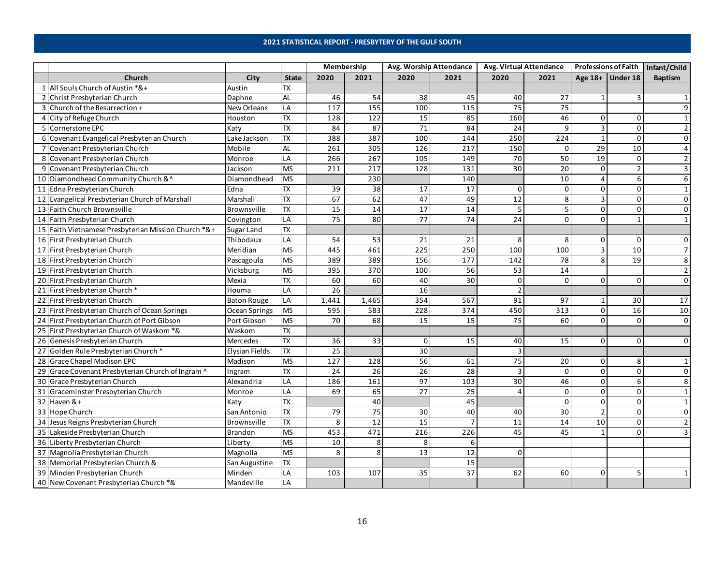### **2021 STATISTICAL REPORT - PRESBYTERY OF THE GULF SOUTH**

<span id="page-15-0"></span>

|                |                                                     |                    |                          | Membership       |                   |                  | Avg. Worship Attendance | Avg. Virtual Attendance |                 |                |                  | Professions of Faith   Infant/Child |
|----------------|-----------------------------------------------------|--------------------|--------------------------|------------------|-------------------|------------------|-------------------------|-------------------------|-----------------|----------------|------------------|-------------------------------------|
|                | Church                                              | City               | <b>State</b>             | 2020             | 2021              | 2020             | 2021                    | 2020                    | 2021            |                | Age 18+ Under 18 | <b>Baptism</b>                      |
|                | 1 All Souls Church of Austin *&+                    | Austin             | <b>TX</b>                |                  |                   |                  |                         |                         |                 |                |                  |                                     |
|                | 2 Christ Presbyterian Church                        | Daphne             | <b>AL</b>                | 46               | 54                | 38               | 45                      | 40                      | 27              | $\mathbf{1}$   |                  |                                     |
|                | 3 Church of the Resurrection +                      | <b>New Orleans</b> | LA                       | 117              | $\frac{155}{155}$ | 100              | 115                     | 75                      | 75              |                |                  | 9                                   |
|                | 4 City of Refuge Church                             | Houston            | <b>TX</b>                | 128              | 122               | 15               | 85                      | 160                     | 46              | 0              | O                |                                     |
|                | 5 Cornerstone EPC                                   | Katy               | <b>TX</b>                | 84               | 87                | 71               | 84                      | 24                      | 9               | $\overline{3}$ | $\Omega$         | $\overline{2}$                      |
|                | 6 Covenant Evangelical Presbyterian Church          | Lake Jackson       | $\overline{\mathsf{R}}$  | 388              | 387               | 100              | 144                     | 250                     | 224             | $\mathbf{1}$   | $\Omega$         | $\Omega$                            |
| $\overline{7}$ | Covenant Presbyterian Church                        | Mobile             | <b>AL</b>                | 261              | 305               | 126              | 217                     | 150                     | 0               | 29             | 10               | $\overline{4}$                      |
|                | 8 Covenant Presbyterian Church                      | Monroe             | LA                       | 266              | 267               | 105              | 149                     | 70                      | 50              | 19             | $\Omega$         | $\overline{2}$                      |
|                | 9 Covenant Presbyterian Church                      | Jackson            | <b>MS</b>                | $\overline{211}$ | 217               | 128              | 131                     | $\overline{30}$         | 20              | $\mathbf 0$    |                  | 3                                   |
|                | 10 Diamondhead Community Church &^                  | Diamondhead        | <b>MS</b>                |                  | 230               |                  | 140                     |                         | 10              | $\overline{4}$ |                  | 6                                   |
|                | 11 Edna Presbyterian Church                         | Edna               | <b>TX</b>                | 39               | 38                | 17               | 17                      | 0                       | $\mathbf 0$     | 0              | O                | $\mathbf{1}$                        |
|                | 12 Evangelical Presbyterian Church of Marshall      | Marshall           | <b>TX</b>                | 67               | 62                | 47               | 49                      | $\overline{12}$         | 8               | $\overline{3}$ | $\Omega$         | $\mathbf 0$                         |
|                | 13 Faith Church Brownsville                         | Brownsville        | $\overline{\mathsf{TX}}$ | 15               | 14                | 17               | 14                      | 5                       | 5               | $\mathbf 0$    | 0                | $\mathbf 0$                         |
|                | 14 Faith Presbyterian Church                        | Covington          | LA                       | 75               | 80                | 77               | 74                      | 24                      | $\Omega$        | $\Omega$       |                  | $\mathbf{1}$                        |
|                | 15 Faith Vietnamese Presbyterian Mission Church *&+ | Sugar Land         | $\overline{\mathsf{TX}}$ |                  |                   |                  |                         |                         |                 |                |                  |                                     |
|                | 16 First Presbyterian Church                        | Thibodaux          | $\overline{LA}$          | 54               | 53                | 21               | 21                      | 8                       | 8               | $\mathbf 0$    | $\Omega$         | $\mathbf 0$                         |
|                | 17 First Presbyterian Church                        | Meridian           | <b>MS</b>                | 445              | 461               | $\overline{225}$ | 250                     | 100                     | 100             | $\overline{3}$ | 10               | $\overline{7}$                      |
|                | 18 First Presbyterian Church                        | Pascagoula         | <b>MS</b>                | 389              | 389               | 156              | 177                     | 142                     | $\overline{78}$ | 8              | 19               | 8                                   |
|                | 19 First Presbyterian Church                        | Vicksburg          | <b>MS</b>                | 395              | 370               | 100              | 56                      | 53                      | 14              |                |                  | $\overline{2}$                      |
|                | 20 First Presbyterian Church                        | Mexia              | $\overline{\mathsf{R}}$  | 60               | 60                | 40               | 30                      | 0                       | $\mathbf 0$     | $\Omega$       | $\Omega$         | 0                                   |
|                | 21 First Presbyterian Church *                      | Houma              | LA                       | 26               |                   | 16               |                         | $\overline{2}$          |                 |                |                  |                                     |
|                | 22 First Presbyterian Church                        | <b>Baton Rouge</b> | LA                       | 1,441            | 1,465             | 354              | 567                     | 91                      | 97              | -1             | 30               | 17                                  |
|                | 23 First Presbyterian Church of Ocean Springs       | Ocean Springs      | <b>MS</b>                | 595              | 583               | 228              | 374                     | 450                     | 313             | $\mathbf 0$    | 16               | 10                                  |
|                | 24 First Presbyterian Church of Port Gibson         | Port Gibson        | <b>MS</b>                | 70               | 68                | 15               | 15                      | 75                      | 60              | $\Omega$       | $\Omega$         | $\mathbf 0$                         |
|                | 25 First Presbyterian Church of Waskom *&           | Waskom             | $\overline{\mathsf{TX}}$ |                  |                   |                  |                         |                         |                 |                |                  |                                     |
|                | 26 Genesis Presbyterian Church                      | Mercedes           | TX                       | 36               | $\overline{33}$   | 0                | 15                      | 40                      | 15              | $\mathbf 0$    | $\Omega$         | $\mathbf 0$                         |
|                | 27 Golden Rule Presbyterian Church*                 | Elysian Fields     | $\overline{\mathsf{TX}}$ | 25               |                   | 30               |                         | $\overline{3}$          |                 |                |                  |                                     |
|                | 28 Grace Chapel Madison EPC                         | Madison            | <b>MS</b>                | $\frac{127}{2}$  | 128               | 56               | 61                      | $\overline{75}$         | 20              | $\mathbf 0$    | 8                | $\mathbf{1}$                        |
|                | 29 Grace Covenant Presbyterian Church of Ingram ^   | Ingram             | <b>TX</b>                | $\overline{24}$  | 26                | $\overline{26}$  | 28                      | 3                       | $\mathbf 0$     | $\Omega$       | O                | $\Omega$                            |
|                | 30 Grace Presbyterian Church                        | Alexandria         | LA                       | 186              | 161               | 97               | 103                     | 30                      | 46              | $\mathbf 0$    |                  | 8                                   |
|                | 31 Graceminster Presbyterian Church                 | Monroe             | LA                       | 69               | 65                | 27               | $\overline{25}$         | $\Lambda$               | $\mathsf 0$     | $\mathbf 0$    | $\Omega$         | $\mathbf{1}$                        |
|                | 32 Haven &+                                         | Katy               | $\overline{\mathsf{R}}$  |                  | 40                |                  | 45                      |                         | $\mathbf 0$     | $\mathbf 0$    | $\Omega$         | $\mathbf{1}$                        |
|                | 33 Hope Church                                      | San Antonio        | <b>TX</b>                | 79               | 75                | 30               | 40                      | 40                      | 30              | $\overline{2}$ | $\Omega$         | $\Omega$                            |
|                | 34 Jesus Reigns Presbyterian Church                 | Brownsville        | <b>TX</b>                | 8                | 12                | 15               |                         | 11                      | 14              | 10             | ŋ                | $\mathcal{P}$                       |
|                | 35 Lakeside Presbyterian Church                     | <b>Brandon</b>     | <b>MS</b>                | 453              | 471               | 216              | 226                     | 45                      | 45              | $\mathbf{1}$   |                  |                                     |
|                | 36 Liberty Presbyterian Church                      | Liberty            | <b>MS</b>                | 10               | 8                 | 8                | 6                       |                         |                 |                |                  |                                     |
|                | 37 Magnolia Presbyterian Church                     | Magnolia           | <b>MS</b>                | 8                | 8                 | 13               | 12                      | $\Omega$                |                 |                |                  |                                     |
|                | 38 Memorial Presbyterian Church &                   | San Augustine      | <b>TX</b>                |                  |                   |                  | 15                      |                         |                 |                |                  |                                     |
|                | 39 Minden Presbyterian Church                       | Minden             | LA                       | 103              | 107               | 35               | 37                      | 62                      | 60              | $\Omega$       |                  |                                     |
|                | 40 New Covenant Presbyterian Church *&              | Mandeville         | LA                       |                  |                   |                  |                         |                         |                 |                |                  |                                     |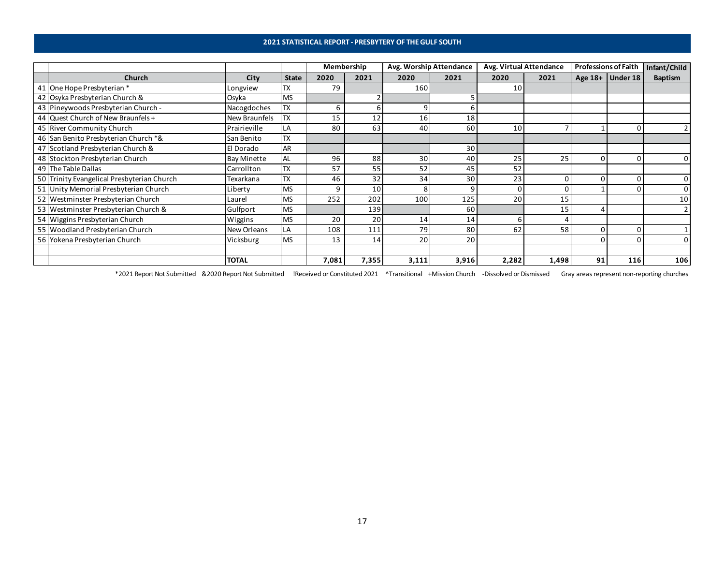### **2021 STATISTICAL REPORT - PRESBYTERY OF THE GULF SOUTH**

|                                            |                    |              | Membership |       | Avg. Worship Attendance |       | Avg. Virtual Attendance |       | <b>Professions of Faith</b> |                  | Infant/Child   |
|--------------------------------------------|--------------------|--------------|------------|-------|-------------------------|-------|-------------------------|-------|-----------------------------|------------------|----------------|
| <b>Church</b>                              | City               | <b>State</b> | 2020       | 2021  | 2020                    | 2021  | 2020                    | 2021  |                             | Age 18+ Under 18 | <b>Baptism</b> |
| 41 One Hope Presbyterian *                 | Longview           | <b>TX</b>    | 79         |       | 160                     |       | 10                      |       |                             |                  |                |
| 42 Osyka Presbyterian Church &             | Osyka              | <b>MS</b>    |            |       |                         |       |                         |       |                             |                  |                |
| 43 Pineywoods Presbyterian Church -        | Nacogdoches        | <b>TX</b>    | 6          |       | 9                       |       |                         |       |                             |                  |                |
| 44 Quest Church of New Braunfels +         | New Braunfels      | TX           | 15         | 12    | 16                      | 18    |                         |       |                             |                  |                |
| 45 River Community Church                  | Prairieville       | LA           | 80         | 63    | 40                      | 60    | 10                      |       |                             |                  |                |
| 46 San Benito Presbyterian Church *&       | San Benito         | <b>TX</b>    |            |       |                         |       |                         |       |                             |                  |                |
| 47 Scotland Presbyterian Church &          | El Dorado          | <b>AR</b>    |            |       |                         | 30    |                         |       |                             |                  |                |
| 48 Stockton Presbyterian Church            | <b>Bay Minette</b> | AL           | 96         | 88    | 30                      | 40    | 25                      | 25    |                             |                  | 0              |
| 49 The Table Dallas                        | Carrollton         | <b>TX</b>    | 57         | 55    | 52                      | 45    | 52                      |       |                             |                  |                |
| 50 Trinity Evangelical Presbyterian Church | Texarkana          | <b>TX</b>    | 46         | 32    | 34                      | 30    | 23                      | n     |                             |                  | 0              |
| 51 Unity Memorial Presbyterian Church      | Liberty            | <b>MS</b>    | 9          | 10    | 8                       | q     |                         |       |                             |                  |                |
| 52 Westminster Presbyterian Church         | Laurel             | <b>MS</b>    | 252        | 202   | 100                     | 125   | 20                      | 15    |                             |                  | 10             |
| 53 Westminster Presbyterian Church &       | Gulfport           | <b>MS</b>    |            | 139   |                         | 60    |                         | 15    |                             |                  |                |
| 54 Wiggins Presbyterian Church             | Wiggins            | <b>MS</b>    | 20         | 20    | 14                      | 14    |                         |       |                             |                  |                |
| 55 Woodland Presbyterian Church            | New Orleans        | LA           | 108        | 111   | 79                      | 80    | 62                      | 58    |                             |                  |                |
| 56 Yokena Presbyterian Church              | Vicksburg          | <b>MS</b>    | 13         | 14    | 20                      | 20    |                         |       |                             |                  |                |
|                                            |                    |              |            |       |                         |       |                         |       |                             |                  |                |
|                                            | <b>TOTAL</b>       |              | 7,081      | 7,355 | 3,111                   | 3,916 | 2,282                   | 1,498 | 91                          | 116              | 106            |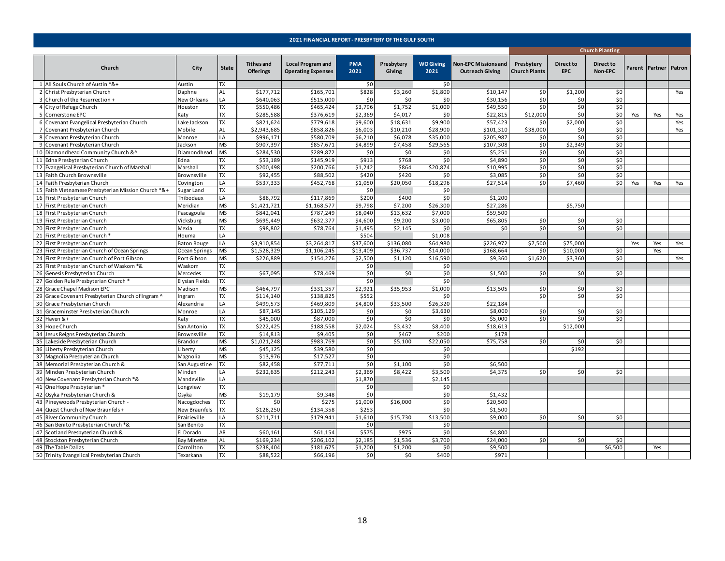<span id="page-17-0"></span>

|    |                                                     |                    |                |                                       | 2021 FINANCIAL REPORT - PRESBYTERY OF THE GULF SOUTH  |                    |                      |                          |                                                       |                                    |                                |                        |     |                       |     |
|----|-----------------------------------------------------|--------------------|----------------|---------------------------------------|-------------------------------------------------------|--------------------|----------------------|--------------------------|-------------------------------------------------------|------------------------------------|--------------------------------|------------------------|-----|-----------------------|-----|
|    |                                                     |                    |                |                                       |                                                       |                    |                      |                          |                                                       |                                    |                                | <b>Church Planting</b> |     |                       |     |
|    | Church                                              | City               | <b>State</b>   | <b>Tithes and</b><br><b>Offerings</b> | <b>Local Program and</b><br><b>Operating Expenses</b> | <b>PMA</b><br>2021 | Presbytery<br>Giving | <b>WO Giving</b><br>2021 | <b>Non-EPC Missions and</b><br><b>Outreach Giving</b> | Presbytery<br><b>Church Plants</b> | <b>Direct to</b><br><b>EPC</b> | Direct to<br>Non-EPC   |     | Parent Partner Patron |     |
|    | 1 All Souls Church of Austin *&+                    | Austin             | <b>TX</b>      |                                       |                                                       | \$0                |                      | \$0                      |                                                       |                                    |                                |                        |     |                       |     |
|    | 2 Christ Presbyterian Church                        | Daphne             | AL             | \$177,712                             | \$165,701                                             | \$828              | \$3,260              | \$1,800                  | \$10,147                                              | \$0                                | \$1,200                        | \$0                    |     |                       | Yes |
|    | 3 Church of the Resurrection +                      | New Orleans        | LA             | \$640,063                             | \$515,000                                             | \$0                | \$0                  | \$0                      | \$30,156                                              | \$0                                | \$0                            | \$0                    |     |                       |     |
|    | 4 City of Refuge Church                             | Houston            | TX             | \$550,486                             | \$465,424                                             | \$3,796            | \$1,752              | \$1,000                  | \$49,550                                              | \$0                                | \$0                            | \$0                    |     |                       |     |
|    | 5 Cornerstone EPC                                   | Katy               | TX             | \$285,588                             | \$376,619                                             | \$2,369            | \$4,017              | \$0                      | \$22,815                                              | \$12,000                           | \$0                            | \$0                    | Yes | Yes                   | Yes |
|    | 6 Covenant Evangelical Presbyterian Church          | Lake Jackson       | <b>TX</b>      | \$821,624                             | \$779,618                                             | \$9,600            | \$18,631             | \$9,900                  | \$57,423                                              | \$0                                | \$2,000                        | \$0                    |     |                       | Yes |
|    | 7 Covenant Presbyterian Church                      | Mobile             | <b>AL</b>      | \$2,943,685                           | \$858,826                                             | \$6,003            | \$10,210             | \$28,900                 | \$101,310                                             | \$38,000                           | \$0                            | \$0                    |     |                       | Yes |
|    | 8 Covenant Presbyterian Church                      | Monroe             | LA             | \$996,171                             | \$580,709                                             | \$6,210            | \$6,078              | \$35,000                 | \$205,987                                             | \$0                                | \$0                            | \$0                    |     |                       |     |
|    | 9 Covenant Presbyterian Church                      | Jackson            | <b>MS</b>      | \$907,397                             | \$857,671                                             | \$4,899            | \$7,458              | \$29,565                 | \$107,308                                             | \$0                                | \$2,349                        | \$0                    |     |                       |     |
|    | 10 Diamondhead Community Church &^                  | Diamondhead        | <b>MS</b>      | \$284,530                             | \$289,872                                             | \$0                | \$0                  | \$0                      | \$5,251                                               | \$0                                | \$0                            | \$0                    |     |                       |     |
|    | 11 Edna Presbyterian Church                         | Edna               | TX             | \$53,189                              | \$145,919                                             | \$913              | \$768                | \$0                      | \$4,890                                               | \$0                                | \$0                            | \$0                    |     |                       |     |
|    | 12 Evangelical Presbyterian Church of Marshall      | Marshall           | $\n  TX\n$     | \$200,498                             | \$200,766                                             | \$1,242            | \$864                | \$20,874                 | \$10,995                                              | \$0                                | \$0                            | \$0                    |     |                       |     |
|    | 13 Faith Church Brownsville                         | Brownsville        | TX             | \$92,455                              | \$88,502                                              | \$420              | \$420                | \$0                      | \$3,085                                               | \$0                                | \$0                            | \$0                    |     |                       |     |
|    | 14 Faith Presbyterian Church                        | Covington          | LA             | \$537,333                             | \$452,768                                             | \$1,050            | \$20,050             | \$18,296                 | \$27,514                                              | \$0                                | \$7,460                        | \$0                    | Yes | Yes                   | Yes |
|    | 15 Faith Vietnamese Presbyterian Mission Church *&+ | Sugar Land         | TX             |                                       |                                                       | \$0                |                      | \$0                      |                                                       |                                    |                                |                        |     |                       |     |
|    | 16 First Presbyterian Church                        | Thibodaux          | LA             | \$88,792                              | \$117,869                                             | \$200              | \$400                | \$0                      | \$1,200                                               |                                    |                                |                        |     |                       |     |
|    | 17 First Presbyterian Church                        | Meridian           | <b>MS</b>      | \$1,421,721                           | \$1,168,577                                           | \$9,798            | \$7,200              | \$26,300                 | \$27,286                                              |                                    | \$5,750                        |                        |     |                       |     |
|    | 18 First Presbyterian Church                        | Pascagoula         | <b>MS</b>      | \$842,041                             | \$787,249                                             | \$8,040            | \$13,632             | \$7,000                  | \$59,500                                              |                                    |                                |                        |     |                       |     |
|    | 19 First Presbyterian Church                        | Vicksburg          | <b>MS</b>      | \$695,449                             | \$632,377                                             | \$4,600            | \$9,200              | \$3,000                  | \$65,805                                              | \$0                                | \$0                            | \$0                    |     |                       |     |
|    | 20 First Presbyterian Church                        | Mexia              | <b>TX</b>      | \$98,802                              | \$78,764                                              | \$1,495            | \$2,145              | \$0                      | \$0                                                   | \$0                                | \$0                            | \$0                    |     |                       |     |
|    | 21 First Presbyterian Church *                      | Houma              | LA             |                                       |                                                       | \$504              |                      | \$1,008                  |                                                       |                                    |                                |                        |     |                       |     |
|    | 22 First Presbyterian Church                        | <b>Baton Rouge</b> | LA             | \$3,910,854                           | \$3,264,817                                           | \$37,600           | \$136,080            | \$64,980                 | \$226,972                                             | \$7,500                            | \$75,000                       |                        | Yes | Yes                   | Yes |
|    | 23 First Presbyterian Church of Ocean Springs       | Ocean Springs      | MS             | \$1,528,329                           | \$1,106,245                                           | \$13,409           | \$36,737             | \$14,000                 | \$168,664                                             | \$0                                | \$10,000                       | \$0                    |     | Yes                   |     |
|    | 24 First Presbyterian Church of Port Gibson         | Port Gibson        | <b>MS</b>      | \$226,889                             | \$154,276                                             | \$2,500            | \$1,120              | \$16,590                 | \$9,360                                               | \$1,620                            | \$3,360                        | \$0                    |     |                       | Yes |
|    | 25 First Presbyterian Church of Waskom *&           | Waskom             | <b>TX</b>      |                                       |                                                       | \$0                |                      | \$0                      |                                                       |                                    |                                |                        |     |                       |     |
|    | 26 Genesis Presbyterian Church                      | Mercedes           | TX             | \$67,095                              | \$78,469                                              | \$0                | \$0                  | \$0                      | \$1,500                                               | \$0                                | \$0                            | \$0                    |     |                       |     |
|    | 27 Golden Rule Presbyterian Church *                | Elysian Fields     | TX             |                                       |                                                       | \$0                |                      | \$0                      |                                                       |                                    |                                |                        |     |                       |     |
| 28 | Grace Chapel Madison EPC                            | Madison            | <b>MS</b>      | \$464,797                             | \$331,357                                             | \$2,921            | \$35,953             | \$1,000                  | \$13,505                                              | \$0                                | \$0                            | \$0                    |     |                       |     |
|    | 29 Grace Covenant Presbyterian Church of Ingram ^   | Ingram             | $\overline{D}$ | \$114,140                             | \$138,825                                             | \$552              |                      | \$0                      |                                                       | \$0                                | \$0                            | \$0                    |     |                       |     |
|    | 30 Grace Presbyterian Church                        | Alexandria         | LA             | \$499,573                             | \$469,809                                             | \$4,800            | \$33,500             | \$26,320                 | \$22,184                                              |                                    |                                |                        |     |                       |     |
| 31 | Graceminster Presbyterian Church                    | Monroe             | LA             | \$87,145                              | \$105,129                                             | \$0                | \$0                  | \$3,630                  | \$8,000                                               | \$0                                | \$0                            | \$0                    |     |                       |     |
|    | 32 Haven &+                                         | Katy               | ${\sf TX}$     | \$45,000                              | \$87,000                                              | \$0                | \$0                  | \$0                      | \$5,000                                               | \$0                                | \$0                            | \$0                    |     |                       |     |
|    | 33 Hope Church                                      | San Antonio        | <b>TX</b>      | \$222,425                             | \$188,558                                             | \$2,024            | \$3,432              | \$8,400                  | \$18,613                                              |                                    | \$12,000                       |                        |     |                       |     |
| 34 | Jesus Reigns Presbyterian Church                    | Brownsville        | TX             | \$14,813                              | \$9,405                                               | 50                 | \$467                | \$200                    | \$178                                                 |                                    |                                |                        |     |                       |     |
|    | 35 Lakeside Presbyterian Church                     | Brandon            | <b>MS</b>      | \$1,021,248                           | \$983,769                                             | \$0                | \$5,100              | \$22,050                 | \$75,758                                              | \$0                                | \$0                            | \$0                    |     |                       |     |
|    | 36 Liberty Presbyterian Church                      | Liberty            | <b>MS</b>      | \$45,125                              | \$39,580                                              | \$0                |                      | \$0                      |                                                       |                                    | \$192                          |                        |     |                       |     |
|    | 37 Magnolia Presbyterian Church                     | Magnolia           | <b>MS</b>      | \$13,976                              | \$17,527                                              | 50                 |                      | \$0                      |                                                       |                                    |                                |                        |     |                       |     |
|    | 38 Memorial Presbyterian Church &                   | San Augustine      | <b>TX</b>      | \$82,458                              | \$77,711                                              | \$0                | \$1,100              | \$0                      | \$6,500                                               |                                    |                                |                        |     |                       |     |
|    | 39 Minden Presbyterian Church                       | Minden             | LA             | \$232,635                             | \$212,243                                             | \$2,369            | \$8,422              | \$3,500                  | \$4,375                                               | \$0                                | \$0                            | \$0                    |     |                       |     |
|    | 40 New Covenant Presbyterian Church *&              | Mandeville         | LA             |                                       |                                                       | \$1,870            |                      | \$2,145                  |                                                       |                                    |                                |                        |     |                       |     |
|    | 41 One Hope Presbyterian *                          | Longview           | TX             |                                       |                                                       | \$0                |                      | \$0                      |                                                       |                                    |                                |                        |     |                       |     |
|    | 42 Osyka Presbyterian Church &                      | Osyka              | <b>MS</b>      | \$19,179                              | \$9,348                                               | \$0                |                      | \$0                      | \$1,432                                               |                                    |                                |                        |     |                       |     |
|    | 43 Pineywoods Presbyterian Church -                 | Nacogdoches        | TX             | \$0                                   | \$275                                                 | \$1,000            | \$16,000             | \$0                      | \$20,500                                              |                                    |                                |                        |     |                       |     |
|    | 44 Quest Church of New Braunfels +                  | New Braunfels      | <b>TX</b>      | \$128,250                             | \$134,358                                             | \$253              |                      | \$0                      | \$1,500                                               |                                    |                                |                        |     |                       |     |
|    | 45 River Community Church                           | Prairieville       | LA             | \$211,711                             | \$179,941                                             | \$1,610            | \$15,730             | \$13,500                 | \$9,000                                               | \$0                                | \$0                            | \$0                    |     |                       |     |
|    | 46 San Benito Presbyterian Church *&                | San Benito         | TX             |                                       |                                                       | \$0                |                      | \$0                      |                                                       |                                    |                                |                        |     |                       |     |
|    | 47 Scotland Presbyterian Church &                   | El Dorado          | AR             | \$60,161                              | \$61,154                                              | \$575              | \$975                | \$0                      | \$4,800                                               |                                    |                                |                        |     |                       |     |
|    | 48 Stockton Presbyterian Church                     | <b>Bay Minette</b> | AL             | \$169,234                             | \$206,102                                             | \$2,185            | \$1,536              | \$3,700                  | \$24,000                                              | \$0                                | \$0                            | \$0                    |     |                       |     |
|    | 49 The Table Dallas                                 | Carrollton         | TX             | \$238,404                             | \$181,675                                             | \$1,200            | \$1,200              | \$0                      | \$9,500                                               |                                    |                                | \$6,500                |     | Yes                   |     |
|    | 50 Trinity Evangelical Presbyterian Church          | Texarkana          | TX             | \$88,522                              | \$66,196                                              | 50                 | \$0                  | \$400                    | \$971                                                 |                                    |                                |                        |     |                       |     |
|    |                                                     |                    |                |                                       |                                                       |                    |                      |                          |                                                       |                                    |                                |                        |     |                       |     |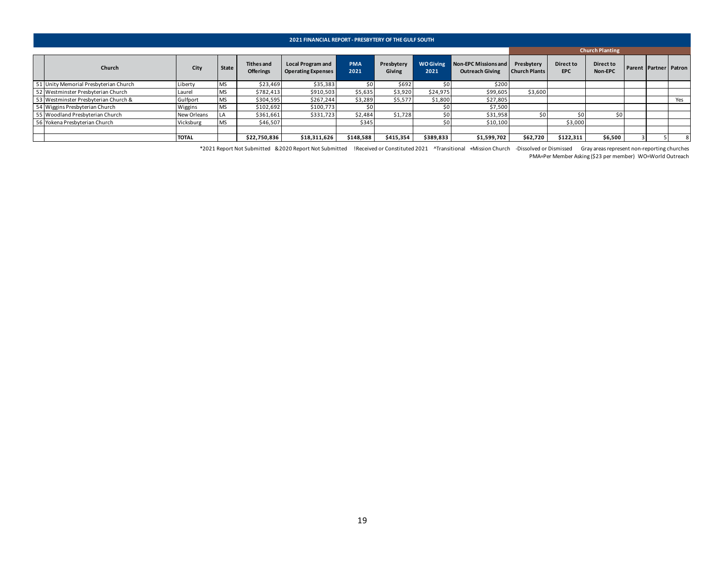| Church                                |              |           |                                       | <b>2021 FINANCIAL REPORT - PRESBYTERY OF THE GULF SOUTH</b> |                    |                             |                          |                                                       |                                    |                         |                        |                       |     |
|---------------------------------------|--------------|-----------|---------------------------------------|-------------------------------------------------------------|--------------------|-----------------------------|--------------------------|-------------------------------------------------------|------------------------------------|-------------------------|------------------------|-----------------------|-----|
|                                       |              |           |                                       |                                                             |                    |                             |                          |                                                       |                                    |                         |                        |                       |     |
|                                       |              |           |                                       |                                                             |                    |                             |                          |                                                       |                                    |                         | <b>Church Planting</b> |                       |     |
|                                       | City         | State     | <b>Tithes and</b><br><b>Offerings</b> | <b>Local Program and</b><br><b>Operating Expenses</b>       | <b>PMA</b><br>2021 | Presbytery<br><b>Giving</b> | <b>WO Giving</b><br>2021 | <b>Non-EPC Missions and</b><br><b>Outreach Giving</b> | Presbytery<br><b>Church Plants</b> | Direct to<br><b>EPC</b> | Direct to<br>Non-EPC   | Parent Partner Patron |     |
| 51 Unity Memorial Presbyterian Church | Liberty      | <b>MS</b> | \$23,469                              | \$35,383                                                    | SO I               | \$692                       | \$0                      | \$200                                                 |                                    |                         |                        |                       |     |
| 52 Westminster Presbyterian Church    | Laurel       | <b>MS</b> | \$782,413                             | \$910,503                                                   | \$5,635            | \$3,920                     | \$24,975                 | \$99,605                                              | \$3,600                            |                         |                        |                       |     |
| 53 Westminster Presbyterian Church &  | Gulfport     | <b>MS</b> | \$304,595                             | \$267,244                                                   | \$3,289            | \$5,577                     | \$1,800                  | \$27,805                                              |                                    |                         |                        |                       | Yes |
| 54 Wiggins Presbyterian Church        | Wiggins      | <b>MS</b> | \$102,692                             | \$100,773                                                   |                    |                             |                          | \$7,500                                               |                                    |                         |                        |                       |     |
| 55 Woodland Presbyterian Church       | New Orleans  |           | \$361,661                             | \$331,723                                                   | \$2,484            | \$1,728                     | \$0                      | \$31,958                                              | \$0                                |                         | S0.                    |                       |     |
| 56 Yokena Presbyterian Church         | Vicksburg    | <b>MS</b> | \$46,507                              |                                                             | \$345              |                             | S0                       | \$10,100                                              |                                    | \$3,000                 |                        |                       |     |
|                                       |              |           |                                       |                                                             |                    |                             |                          |                                                       |                                    |                         |                        |                       |     |
|                                       | <b>TOTAL</b> |           | \$22,750,836                          | \$18,311,626                                                | \$148,588          | \$415,354                   | \$389,833                | \$1,599,702                                           | \$62,720                           | \$122,311               | \$6,500                |                       |     |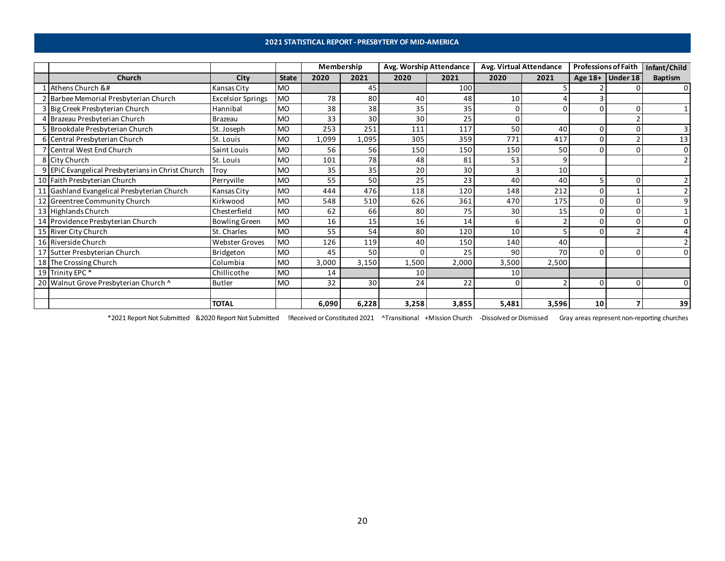### **2021 STATISTICAL REPORT - PRESBYTERY OF MID-AMERICA**

<span id="page-19-0"></span>

|                                                                                                                                                                                                                                                                                                                                                                                                                                                                                                                                                                                                                                                                                                                                                                                                                                                                                                                                                                                                                                                                                                                                                                                                                                                                                                                                                                                                                                                                                                                                                                                                                                                                                                                                                                                                                                                                                                                                                                                                                                                                                                                                                                                                                                                                                                                                                                                                                                                                                                                                                                                                                                                                                                                                                                                                                                                                                                                                                                                                                                                                                                                                                                                                                                                                                                                                                                                                                                                                                                                                                                                                                                                                                                                                                                                                                                                                                                                                                                                                                                                                                                                                                                                        |      |              | Membership |      | Avg. Worship Attendance |      | Avg. Virtual Attendance |      | <b>Professions of Faith</b> |                  | Infant/Child   |
|----------------------------------------------------------------------------------------------------------------------------------------------------------------------------------------------------------------------------------------------------------------------------------------------------------------------------------------------------------------------------------------------------------------------------------------------------------------------------------------------------------------------------------------------------------------------------------------------------------------------------------------------------------------------------------------------------------------------------------------------------------------------------------------------------------------------------------------------------------------------------------------------------------------------------------------------------------------------------------------------------------------------------------------------------------------------------------------------------------------------------------------------------------------------------------------------------------------------------------------------------------------------------------------------------------------------------------------------------------------------------------------------------------------------------------------------------------------------------------------------------------------------------------------------------------------------------------------------------------------------------------------------------------------------------------------------------------------------------------------------------------------------------------------------------------------------------------------------------------------------------------------------------------------------------------------------------------------------------------------------------------------------------------------------------------------------------------------------------------------------------------------------------------------------------------------------------------------------------------------------------------------------------------------------------------------------------------------------------------------------------------------------------------------------------------------------------------------------------------------------------------------------------------------------------------------------------------------------------------------------------------------------------------------------------------------------------------------------------------------------------------------------------------------------------------------------------------------------------------------------------------------------------------------------------------------------------------------------------------------------------------------------------------------------------------------------------------------------------------------------------------------------------------------------------------------------------------------------------------------------------------------------------------------------------------------------------------------------------------------------------------------------------------------------------------------------------------------------------------------------------------------------------------------------------------------------------------------------------------------------------------------------------------------------------------------------------------------------------------------------------------------------------------------------------------------------------------------------------------------------------------------------------------------------------------------------------------------------------------------------------------------------------------------------------------------------------------------------------------------------------------------------------------------------------------------|------|--------------|------------|------|-------------------------|------|-------------------------|------|-----------------------------|------------------|----------------|
| <b>Church</b>                                                                                                                                                                                                                                                                                                                                                                                                                                                                                                                                                                                                                                                                                                                                                                                                                                                                                                                                                                                                                                                                                                                                                                                                                                                                                                                                                                                                                                                                                                                                                                                                                                                                                                                                                                                                                                                                                                                                                                                                                                                                                                                                                                                                                                                                                                                                                                                                                                                                                                                                                                                                                                                                                                                                                                                                                                                                                                                                                                                                                                                                                                                                                                                                                                                                                                                                                                                                                                                                                                                                                                                                                                                                                                                                                                                                                                                                                                                                                                                                                                                                                                                                                                          | City | <b>State</b> | 2020       | 2021 | 2020                    | 2021 | 2020                    | 2021 |                             | Age 18+ Under 18 | <b>Baptism</b> |
| Athens Church &#</td><td>Kansas City</td><td><b>MO</b></td><td></td><td>45</td><td></td><td>100</td><td></td><td></td><td></td><td></td><td><math>\mathbf{0}</math></td></tr><tr><td>Barbee Memorial Presbyterian Church</td><td><b>Excelsior Springs</b></td><td><b>MO</b></td><td>78</td><td>80</td><td>40</td><td>48</td><td>10</td><td></td><td></td><td></td><td></td></tr><tr><td>3 Big Creek Presbyterian Church</td><td>Hannibal</td><td><b>MO</b></td><td>38</td><td>38</td><td>35</td><td>35</td><td></td><td>0</td><td>0</td><td></td><td></td></tr><tr><td>4 Brazeau Presbyterian Church</td><td>Brazeau</td><td><b>MO</b></td><td>33</td><td>30</td><td>30</td><td>25</td><td></td><td></td><td></td><td></td><td></td></tr><tr><td>5 Brookdale Presbyterian Church</td><td>St. Joseph</td><td><b>MO</b></td><td>253</td><td>251</td><td>111</td><td>117</td><td>50</td><td>40</td><td>0</td><td></td><td></td></tr><tr><td>6 Central Presbyterian Church</td><td>St. Louis</td><td><b>MO</b></td><td>1,099</td><td>1,095</td><td>305</td><td>359</td><td>771</td><td>417</td><td><math>\Omega</math></td><td></td><td>13</td></tr><tr><td>7 Central West End Church</td><td>Saint Louis</td><td><b>MO</b></td><td>56</td><td>56</td><td>150</td><td>150</td><td>150</td><td>50</td><td>0</td><td></td><td><math>\Omega</math></td></tr><tr><td>8 City Church</td><td>St. Louis</td><td><b>MO</b></td><td>101</td><td>78</td><td>48</td><td>81</td><td>53</td><td>9</td><td></td><td></td><td></td></tr><tr><td>9 EPIC Evangelical Presbyterians in Christ Church</td><td>Troy</td><td><b>MO</b></td><td>35</td><td>35</td><td>20</td><td>30</td><td></td><td>10<sup>1</sup></td><td></td><td></td><td></td></tr><tr><td>10 Faith Presbyterian Church</td><td>Perryville</td><td><b>MO</b></td><td>55</td><td>50</td><td>25</td><td>23</td><td>40</td><td>40</td><td>5</td><td></td><td></td></tr><tr><td>11 Gashland Evangelical Presbyterian Church</td><td>Kansas City</td><td><b>MO</b></td><td>444</td><td>476</td><td>118</td><td>120</td><td>148</td><td>212</td><td><math>\Omega</math></td><td></td><td></td></tr><tr><td>12 Greentree Community Church</td><td>Kirkwood</td><td><b>MO</b></td><td>548</td><td>510</td><td>626</td><td>361</td><td>470</td><td>175</td><td>0</td><td></td><td></td></tr><tr><td>13 Highlands Church</td><td>Chesterfield</td><td><b>MO</b></td><td>62</td><td>66</td><td>80</td><td>75</td><td>30</td><td>15</td><td><math>\Omega</math></td><td></td><td></td></tr><tr><td>14 Providence Presbyterian Church</td><td><b>Bowling Green</b></td><td><b>MO</b></td><td>16</td><td>15</td><td>16</td><td>14</td><td>6</td><td></td><td><math>\Omega</math></td><td></td><td></td></tr><tr><td>15 River City Church</td><td>St. Charles</td><td><b>MO</b></td><td>55</td><td>54</td><td>80</td><td>120</td><td>10</td><td></td><td><math>\Omega</math></td><td></td><td></td></tr><tr><td>16 Riverside Church</td><td><b>Webster Groves</b></td><td><b>MO</b></td><td>126</td><td>119</td><td>40</td><td>150</td><td>140</td><td>40</td><td></td><td></td><td></td></tr><tr><td>17 Sutter Presbyterian Church</td><td>Bridgeton</td><td><b>MO</b></td><td>45</td><td>50</td><td><math>\Omega</math></td><td>25</td><td>90</td><td>70</td><td>0</td><td></td><td></td></tr><tr><td>18 The Crossing Church</td><td>Columbia</td><td><b>MO</b></td><td>3,000</td><td>3,150</td><td>1,500</td><td>2,000</td><td>3,500</td><td>2,500</td><td></td><td></td><td></td></tr><tr><td>19 Trinity EPC*</td><td>Chillicothe</td><td><b>MO</b></td><td>14</td><td></td><td>10</td><td></td><td>10</td><td></td><td></td><td></td><td></td></tr><tr><td>20 Walnut Grove Presbyterian Church ^</td><td><b>Butler</b></td><td><b>MO</b></td><td>32</td><td>30</td><td>24</td><td>22</td><td></td><td></td><td>0</td><td></td><td>0</td></tr><tr><td></td><td></td><td></td><td></td><td></td><td></td><td></td><td></td><td></td><td></td><td></td><td></td></tr><tr><td></td><td><b>TOTAL</b></td><td></td><td>6,090</td><td>6,228</td><td>3,258</td><td>3,855</td><td>5,481</td><td>3,596</td><td>10</td><td></td><td>39</td></tr></tbody></table> |      |              |            |      |                         |      |                         |      |                             |                  |                |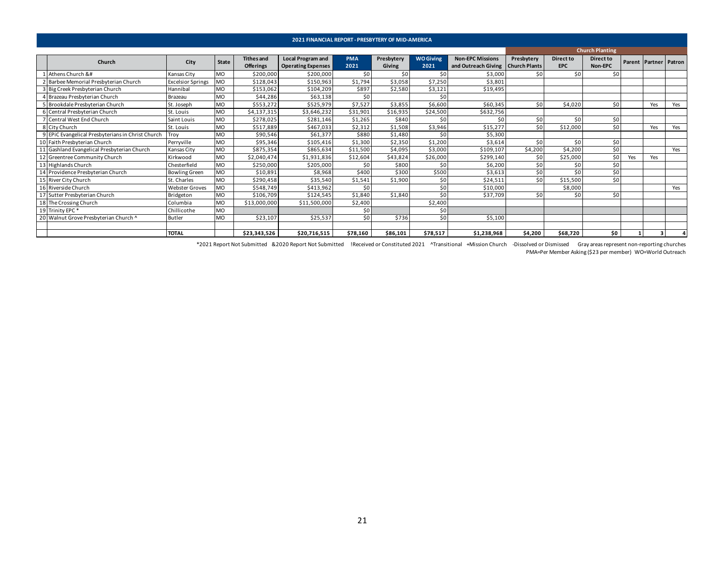<span id="page-20-0"></span>

|                                                                                                                                                                                                                                                                                                                                                                                                                                                                                                                                                                                                                                                                                                                                                                                                                                                                                                                                                                                                                                                                                                                                                                                                                                                                                                                                                                                                                                                                                                                                                                                                                                                                                                                                                                                                                                                                                                                                                                                                                                                                                                                                                                                                                                                                                                                                                                                                                                                                                                                                                                                                                                                                                                                                                                                                                                                                                                                                                                                                                                                                                                                                                                                                                                                                                                                                                                                                                                                                                                                                                                                                                                                                                                                                                                                                                                                                                                                                                                                                                                                                                                                                                                                                                                                                                                                                                                                                                                                                                                                                                                                                                                                                                                                                                                                                                                                                                                                                                                                                                                                                                                                                                                                                                                                                                                                                                                                     |      |              |                   | 2021 FINANCIAL REPORT - PRESBYTERY OF MID-AMERICA |            |            |                  |                                     |            |            |                        |  |                       |        |
|-------------------------------------------------------------------------------------------------------------------------------------------------------------------------------------------------------------------------------------------------------------------------------------------------------------------------------------------------------------------------------------------------------------------------------------------------------------------------------------------------------------------------------------------------------------------------------------------------------------------------------------------------------------------------------------------------------------------------------------------------------------------------------------------------------------------------------------------------------------------------------------------------------------------------------------------------------------------------------------------------------------------------------------------------------------------------------------------------------------------------------------------------------------------------------------------------------------------------------------------------------------------------------------------------------------------------------------------------------------------------------------------------------------------------------------------------------------------------------------------------------------------------------------------------------------------------------------------------------------------------------------------------------------------------------------------------------------------------------------------------------------------------------------------------------------------------------------------------------------------------------------------------------------------------------------------------------------------------------------------------------------------------------------------------------------------------------------------------------------------------------------------------------------------------------------------------------------------------------------------------------------------------------------------------------------------------------------------------------------------------------------------------------------------------------------------------------------------------------------------------------------------------------------------------------------------------------------------------------------------------------------------------------------------------------------------------------------------------------------------------------------------------------------------------------------------------------------------------------------------------------------------------------------------------------------------------------------------------------------------------------------------------------------------------------------------------------------------------------------------------------------------------------------------------------------------------------------------------------------------------------------------------------------------------------------------------------------------------------------------------------------------------------------------------------------------------------------------------------------------------------------------------------------------------------------------------------------------------------------------------------------------------------------------------------------------------------------------------------------------------------------------------------------------------------------------------------------------------------------------------------------------------------------------------------------------------------------------------------------------------------------------------------------------------------------------------------------------------------------------------------------------------------------------------------------------------------------------------------------------------------------------------------------------------------------------------------------------------------------------------------------------------------------------------------------------------------------------------------------------------------------------------------------------------------------------------------------------------------------------------------------------------------------------------------------------------------------------------------------------------------------------------------------------------------------------------------------------------------------------------------------------------------------------------------------------------------------------------------------------------------------------------------------------------------------------------------------------------------------------------------------------------------------------------------------------------------------------------------------------------------------------------------------------------------------------------------------------------------------------------------------|------|--------------|-------------------|---------------------------------------------------|------------|------------|------------------|-------------------------------------|------------|------------|------------------------|--|-----------------------|--------|
|                                                                                                                                                                                                                                                                                                                                                                                                                                                                                                                                                                                                                                                                                                                                                                                                                                                                                                                                                                                                                                                                                                                                                                                                                                                                                                                                                                                                                                                                                                                                                                                                                                                                                                                                                                                                                                                                                                                                                                                                                                                                                                                                                                                                                                                                                                                                                                                                                                                                                                                                                                                                                                                                                                                                                                                                                                                                                                                                                                                                                                                                                                                                                                                                                                                                                                                                                                                                                                                                                                                                                                                                                                                                                                                                                                                                                                                                                                                                                                                                                                                                                                                                                                                                                                                                                                                                                                                                                                                                                                                                                                                                                                                                                                                                                                                                                                                                                                                                                                                                                                                                                                                                                                                                                                                                                                                                                                                     |      |              |                   |                                                   |            |            |                  |                                     |            |            | <b>Church Planting</b> |  |                       |        |
| Church                                                                                                                                                                                                                                                                                                                                                                                                                                                                                                                                                                                                                                                                                                                                                                                                                                                                                                                                                                                                                                                                                                                                                                                                                                                                                                                                                                                                                                                                                                                                                                                                                                                                                                                                                                                                                                                                                                                                                                                                                                                                                                                                                                                                                                                                                                                                                                                                                                                                                                                                                                                                                                                                                                                                                                                                                                                                                                                                                                                                                                                                                                                                                                                                                                                                                                                                                                                                                                                                                                                                                                                                                                                                                                                                                                                                                                                                                                                                                                                                                                                                                                                                                                                                                                                                                                                                                                                                                                                                                                                                                                                                                                                                                                                                                                                                                                                                                                                                                                                                                                                                                                                                                                                                                                                                                                                                                                              | City | <b>State</b> | <b>Tithes and</b> | <b>Local Program and</b>                          | <b>PMA</b> | Presbytery | <b>WO Giving</b> | <b>Non-EPC Missions</b>             | Presbytery | Direct to  | <b>Direct to</b>       |  | <b>Parent Partner</b> | Patron |
|                                                                                                                                                                                                                                                                                                                                                                                                                                                                                                                                                                                                                                                                                                                                                                                                                                                                                                                                                                                                                                                                                                                                                                                                                                                                                                                                                                                                                                                                                                                                                                                                                                                                                                                                                                                                                                                                                                                                                                                                                                                                                                                                                                                                                                                                                                                                                                                                                                                                                                                                                                                                                                                                                                                                                                                                                                                                                                                                                                                                                                                                                                                                                                                                                                                                                                                                                                                                                                                                                                                                                                                                                                                                                                                                                                                                                                                                                                                                                                                                                                                                                                                                                                                                                                                                                                                                                                                                                                                                                                                                                                                                                                                                                                                                                                                                                                                                                                                                                                                                                                                                                                                                                                                                                                                                                                                                                                                     |      |              | <b>Offerings</b>  | <b>Operating Expenses</b>                         | 2021       | Giving     | 2021             | and Outreach Giving   Church Plants |            | <b>EPC</b> | Non-EPC                |  |                       |        |
| 1 Athens Church &#</td><td>Kansas City</td><td><b>MO</b></td><td>\$200,000</td><td>\$200,000</td><td>\$0</td><td>50</td><td>\$0</td><td>\$3,000</td><td>\$0</td><td>\$0</td><td>\$0</td><td></td><td></td><td></td></tr><tr><td>2 Barbee Memorial Presbyterian Church</td><td><b>Excelsior Springs</b></td><td><b>MO</b></td><td>\$128,043</td><td>\$150,963</td><td>\$1,794</td><td>\$3,058</td><td>\$7,250</td><td>\$3,801</td><td></td><td></td><td></td><td></td><td></td><td></td></tr><tr><td>3 Big Creek Presbyterian Church</td><td>Hannibal</td><td><b>MO</b></td><td>\$153,062</td><td>\$104,209</td><td>\$897</td><td>\$2,580</td><td>\$3,121</td><td>\$19,495</td><td></td><td></td><td></td><td></td><td></td><td></td></tr><tr><td>4 Brazeau Presbyterian Church</td><td>Brazeau</td><td><b>MO</b></td><td>\$44,286</td><td>\$63,138</td><td>\$0</td><td></td><td>\$0</td><td></td><td></td><td></td><td></td><td></td><td></td><td></td></tr><tr><td>5 Brookdale Presbyterian Church</td><td>St. Joseph</td><td><b>MO</b></td><td>\$553,272</td><td>\$525,979</td><td>\$7,527</td><td>\$3,855</td><td>\$6,600</td><td>\$60,345</td><td>\$0</td><td>\$4,020</td><td>\$0</td><td></td><td>Yes</td><td>Yes</td></tr><tr><td>6 Central Presbyterian Church</td><td>St. Louis</td><td><b>MO</b></td><td>\$4,137,315</td><td>\$3,646,232</td><td>\$31,901</td><td>\$16,935</td><td>\$24,500</td><td>\$632,756</td><td></td><td></td><td></td><td></td><td></td><td></td></tr><tr><td>7 Central West End Church</td><td>Saint Louis</td><td><b>MO</b></td><td>\$278,025</td><td>\$281,146</td><td>\$1,265</td><td>\$840</td><td>\$0</td><td>\$0</td><td>\$0</td><td>\$0</td><td>\$0</td><td></td><td></td><td></td></tr><tr><td>8 City Church</td><td>St. Louis</td><td><b>MO</b></td><td>\$517,889</td><td>\$467,033</td><td>\$2,312</td><td>\$1,508</td><td>\$3,946</td><td>\$15,277</td><td>\$0</td><td>\$12,000</td><td>\$0</td><td></td><td>Yes</td><td>Yes</td></tr><tr><td>9 EPIC Evangelical Presbyterians in Christ Church</td><td>Troy</td><td><b>MO</b></td><td>\$90,546</td><td>\$61,377</td><td>\$880</td><td>\$1,480</td><td>\$0</td><td>\$5,300</td><td></td><td></td><td></td><td></td><td></td><td></td></tr><tr><td>10 Faith Presbyterian Church</td><td>Perrvville</td><td><b>MO</b></td><td>\$95,346</td><td>\$105,416</td><td>\$1,300</td><td>\$2,350</td><td>\$1,200</td><td>\$3,614</td><td>\$0</td><td>\$0</td><td>\$0</td><td></td><td></td><td></td></tr><tr><td>11 Gashland Evangelical Presbyterian Church</td><td>Kansas City</td><td><b>MO</b></td><td>\$875,354</td><td>\$865,634</td><td>\$11,500</td><td>\$4,095</td><td>\$3,000</td><td>\$109,107</td><td>\$4,200</td><td>\$4,200</td><td>\$0</td><td></td><td></td><td>Yes</td></tr><tr><td>12 Greentree Community Church</td><td>Kirkwood</td><td><b>MO</b></td><td>\$2,040,474</td><td>\$1,931,836</td><td>\$12,604</td><td>\$43,824</td><td>\$26,000</td><td>\$299,140</td><td>\$0</td><td>\$25,000</td><td>\$0</td><td>Yes</td><td>Yes</td><td></td></tr><tr><td>13 Highlands Church</td><td>Chesterfield</td><td><b>MO</b></td><td>\$250,000</td><td>\$205,000</td><td>\$0</td><td>\$800</td><td>\$0</td><td>\$6,200</td><td>\$0</td><td>\$0</td><td>\$0</td><td></td><td></td><td></td></tr><tr><td>14 Providence Presbyterian Church</td><td><b>Bowling Green</b></td><td><b>MO</b></td><td>\$10,891</td><td>\$8,968</td><td>\$400</td><td>\$300</td><td>\$500</td><td>\$3,613</td><td>\$0</td><td>\$0</td><td>\$0</td><td></td><td></td><td></td></tr><tr><td>15 River City Church</td><td>St. Charles</td><td><b>MO</b></td><td>\$290,458</td><td>\$35,540</td><td>\$1,541</td><td>\$1,900</td><td>\$0</td><td>\$24,511</td><td>\$0</td><td>\$15,500</td><td>\$0</td><td></td><td></td><td></td></tr><tr><td>16 Riverside Church</td><td><b>Webster Groves</b></td><td><b>MO</b></td><td>\$548,749</td><td>\$413,962</td><td>\$0</td><td></td><td>\$0</td><td>\$10,000</td><td></td><td>\$8,000</td><td></td><td></td><td></td><td>Yes</td></tr><tr><td>17 Sutter Presbyterian Church</td><td>Bridgeton</td><td><b>MO</b></td><td>\$106,709</td><td>\$124,545</td><td>\$1,840</td><td>\$1,840</td><td>\$0</td><td>\$37,709</td><td>\$0</td><td>\$0</td><td>\$0</td><td></td><td></td><td></td></tr><tr><td>18 The Crossing Church</td><td>Columbia</td><td><b>MO</b></td><td>\$13,000,000</td><td>\$11,500,000</td><td>\$2,400</td><td></td><td>\$2,400</td><td></td><td></td><td></td><td></td><td></td><td></td><td></td></tr><tr><td>19 Trinity EPC*</td><td>Chillicothe</td><td><b>MO</b></td><td></td><td></td><td>\$0</td><td></td><td>\$0</td><td></td><td></td><td></td><td></td><td></td><td></td><td></td></tr><tr><td>20 Walnut Grove Presbyterian Church ^</td><td><b>Butler</b></td><td><b>MO</b></td><td>\$23,107</td><td>\$25,537</td><td>\$0</td><td>\$736</td><td>\$0</td><td>\$5,100</td><td></td><td></td><td></td><td></td><td></td><td></td></tr><tr><td></td><td></td><td></td><td></td><td></td><td></td><td></td><td></td><td></td><td></td><td></td><td></td><td></td><td></td><td></td></tr><tr><td></td><td><b>TOTAL</b></td><td></td><td>\$23,343,526</td><td>\$20,716,515</td><td>\$78,160</td><td>\$86,101</td><td>\$78,517</td><td>\$1,238,968</td><td>\$4,200</td><td>\$68,720</td><td>\$0</td><td></td><td></td><td></td></tr></tbody></table> |      |              |                   |                                                   |            |            |                  |                                     |            |            |                        |  |                       |        |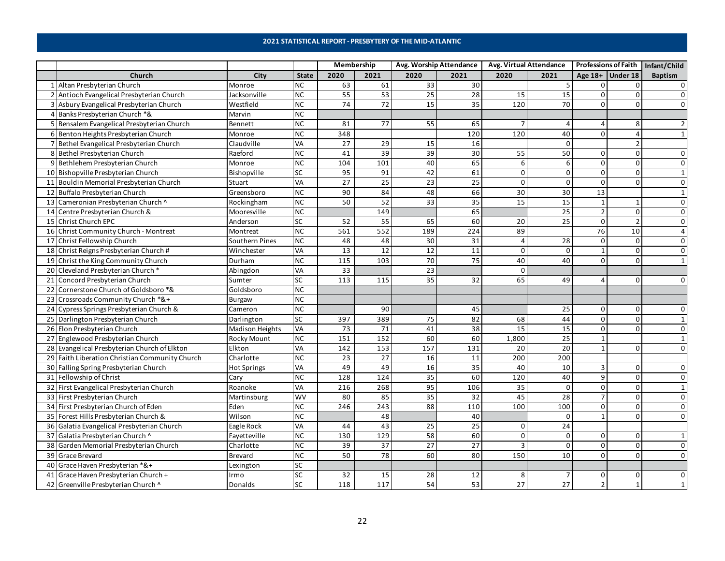#### **2021 STATISTICAL REPORT - PRESBYTERY OF THE MID-ATLANTIC**

<span id="page-21-0"></span>

|    |                                                |                        |                        |                 | Membership      |                   | Avg. Worship Attendance |          | <b>Avg. Virtual Attendance</b> |                |                    | Professions of Faith   Infant/Child |
|----|------------------------------------------------|------------------------|------------------------|-----------------|-----------------|-------------------|-------------------------|----------|--------------------------------|----------------|--------------------|-------------------------------------|
|    | Church                                         | City                   | <b>State</b>           | 2020            | 2021            | 2020              | 2021                    | 2020     | 2021                           |                | Age $18+$ Under 18 | <b>Baptism</b>                      |
|    | Altan Presbyterian Church                      | Monroe                 | <b>NC</b>              | 63              | 61              | 33                | 30                      |          |                                |                |                    |                                     |
| 2  | Antioch Evangelical Presbyterian Church        | Jacksonville           | NC                     | 55              | 53              | 25                | 28                      | 15       | 15                             | $\mathbf 0$    | $\Omega$           | $\Omega$                            |
|    | Asbury Evangelical Presbyterian Church         | Westfield              | <b>NC</b>              | 74              | $\overline{72}$ | 15                | 35                      | 120      | 70                             | $\Omega$       | $\Omega$           | $\Omega$                            |
|    | Banks Presbyterian Church *&                   | Marvin                 | NC                     |                 |                 |                   |                         |          |                                |                |                    |                                     |
| 5. | Bensalem Evangelical Presbyterian Church       | Bennett                | <b>NC</b>              | 81              | 77              | 55                | 65                      |          |                                |                |                    |                                     |
|    | 6 Benton Heights Presbyterian Church           | Monroe                 | $\overline{\text{NC}}$ | 348             |                 |                   | $\frac{120}{20}$        | 120      | 40                             | $\Omega$       |                    |                                     |
|    | 7 Bethel Evangelical Presbyterian Church       | Claudville             | VA                     | 27              | 29              | 15                | 16                      |          | $\Omega$                       |                |                    |                                     |
|    | 8 Bethel Presbyterian Church                   | Raeford                | <b>NC</b>              | 41              | 39              | 39                | 30                      | 55       | 50                             | 0              | 0                  | $\Omega$                            |
|    | 9 Bethlehem Presbyterian Church                | Monroe                 | NC                     | 104             | 101             | 40                | 65                      | 6        | 6                              | $\Omega$       |                    | $\Omega$                            |
|    | 10 Bishopville Presbyterian Church             | Bishopville            | SC                     | 95              | 91              | 42                | 61                      | $\Omega$ | $\mathbf{0}$                   | $\overline{0}$ | $\Omega$           | $\mathbf{1}$                        |
|    | 11 Bouldin Memorial Presbyterian Church        | Stuart                 | VA                     | 27              | 25              | 23                | $\overline{25}$         | $\Omega$ | $\Omega$                       | $\Omega$       | 0                  | $\Omega$                            |
|    | 12 Buffalo Presbyterian Church                 | Greensboro             | <b>NC</b>              | 90              | 84              | 48                | 66                      | 30       | 30                             | 13             |                    |                                     |
| 13 | Cameronian Presbyterian Church ^               | Rockingham             | <b>NC</b>              | 50              | 52              | 33                | 35                      | 15       | 15                             | 1              |                    | $\Omega$                            |
| 14 | Centre Presbyterian Church &                   | Mooresville            | <b>NC</b>              |                 | 149             |                   | 65                      |          | 25                             | $\overline{2}$ | $\Omega$           |                                     |
| 15 | <b>Christ Church EPC</b>                       | Anderson               | SC                     | 52              | 55              | 65                | 60                      | 20       | 25                             | 0              |                    | $\Omega$                            |
|    | 16 Christ Community Church - Montreat          | Montreat               | <b>NC</b>              | 561             | 552             | 189               | 224                     | 89       |                                | 76             | 10                 |                                     |
| 17 | Christ Fellowship Church                       | Southern Pines         | <b>NC</b>              | 48              | 48              | 30                | 31                      |          | 28                             | $\Omega$       | $\Omega$           | $\Omega$                            |
| 18 | Christ Reigns Presbyterian Church #            | Winchester             | VA                     | 13              | 12              | 12                | 11                      | $\Omega$ | $\Omega$                       |                | $\Omega$           | $\Omega$                            |
|    | 19 Christ the King Community Church            | Durham                 | NC                     | 115             | 103             | $\overline{70}$   | $\overline{75}$         | 40       | 40                             | $\Omega$       | $\Omega$           |                                     |
|    | 20 Cleveland Presbyterian Church*              | Abingdon               | VA                     | 33              |                 | 23                |                         | $\Omega$ |                                |                |                    |                                     |
| 21 | Concord Presbyterian Church                    | Sumter                 | SC                     | 113             | 115             | 35                | 32                      | 65       | 49                             | Δ              | U                  |                                     |
| 22 | Cornerstone Church of Goldsboro *&             | Goldsboro              | <b>NC</b>              |                 |                 |                   |                         |          |                                |                |                    |                                     |
|    | 23 Crossroads Community Church *&+             | Burgaw                 | <b>NC</b>              |                 |                 |                   |                         |          |                                |                |                    |                                     |
| 24 | Cypress Springs Presbyterian Church &          | Cameron                | <b>NC</b>              |                 | 90              |                   | 45                      |          | 25                             | $\Omega$       | 0                  | n                                   |
|    | 25 Darlington Presbyterian Church              | Darlington             | SC                     | 397             | 389             | 75                | 82                      | 68       | 44                             | 0              | $\mathbf{0}$       | $\mathbf{1}$                        |
|    | 26 Elon Presbyterian Church                    | <b>Madison Heights</b> | VA                     | 73              | 71              | 41                | 38                      | 15       | $\overline{15}$                | $\Omega$       | U                  | $\Omega$                            |
|    | 27 Englewood Presbyterian Church               | <b>Rocky Mount</b>     | <b>NC</b>              | 151             | 152             | 60                | 60                      | 1,800    | $\overline{25}$                |                |                    |                                     |
|    | 28 Evangelical Presbyterian Church of Elkton   | Elkton                 | VA                     | 142             | $\frac{153}{ }$ | $\frac{157}{157}$ | 131                     | 20       | 20                             |                | 0                  | $\Omega$                            |
|    | 29 Faith Liberation Christian Community Church | Charlotte              | <b>NC</b>              | 23              | 27              | 16                | 11                      | 200      | 200                            |                |                    |                                     |
|    | 30 Falling Spring Presbyterian Church          | <b>Hot Springs</b>     | VA                     | 49              | 49              | 16                | 35                      | 40       | 10                             | 3              | $\Omega$           | $\Omega$                            |
|    | 31 Fellowship of Christ                        | Cary                   | <b>NC</b>              | 128             | 124             | 35                | 60                      | 120      | 40                             | 9              | $\Omega$           | $\Omega$                            |
|    | 32 First Evangelical Presbyterian Church       | Roanoke                | VA                     | 216             | 268             | 95                | 106                     | 35       | $\mathbf 0$                    | $\overline{0}$ | $\mathbf{0}$       | $\mathbf{1}$                        |
|    | 33 First Presbyterian Church                   | Martinsburg            | <b>WV</b>              | 80              | 85              | 35                | $\overline{32}$         | 45       | $\overline{28}$                | 7              | $\Omega$           | $\Omega$                            |
|    | 34 First Presbyterian Church of Eden           | Eden                   | <b>NC</b>              | 246             | 243             | 88                | 110                     | 100      | 100                            | $\Omega$       | 0                  | $\Omega$                            |
|    | 35 Forest Hills Presbyterian Church &          | Wilson                 | <b>NC</b>              |                 | 48              |                   | 40                      |          | $\Omega$                       |                | $\Omega$           | $\Omega$                            |
|    | 36 Galatia Evangelical Presbyterian Church     | Eagle Rock             | VA                     | 44              | 43              | 25                | $\overline{25}$         | $\Omega$ | 24                             |                |                    |                                     |
| 37 | Galatia Presbyterian Church ^                  | Fayetteville           | <b>NC</b>              | 130             | 129             | 58                | 60                      | $\Omega$ | $\Omega$                       | 0              | 0                  |                                     |
| 38 | Garden Memorial Presbyterian Church            | Charlotte              | <b>NC</b>              | 39              | 37              | 27                | 27                      |          | $\mathbf 0$                    | $\mathbf 0$    | $\Omega$           | $\Omega$                            |
|    | 39 Grace Brevard                               | <b>Brevard</b>         | <b>NC</b>              | 50              | 78              | 60                | 80                      | 150      | 10                             | $\Omega$       | $\Omega$           | $\Omega$                            |
| 40 | Grace Haven Presbyterian *&+                   | Lexington              | SC                     |                 |                 |                   |                         |          |                                |                |                    |                                     |
| 41 | Grace Haven Presbyterian Church +              | Irmo                   | $\overline{\text{SC}}$ | $\overline{32}$ | 15              | 28                | $\overline{12}$         | 8        |                                | o              |                    |                                     |
|    | 42 Greenville Presbyterian Church ^            | <b>Donalds</b>         | <b>SC</b>              | 118             | $117$           | 54                | 53                      | 27       | 27                             | $\overline{2}$ | 1                  | $\mathbf{1}$                        |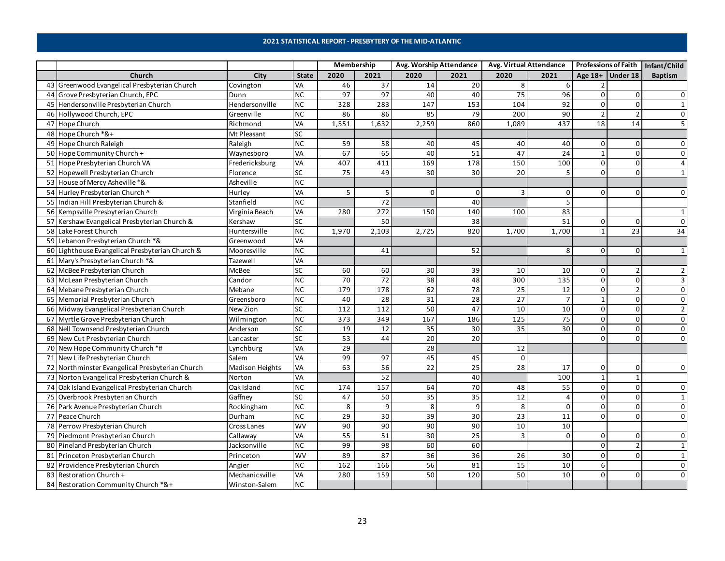#### **2021 STATISTICAL REPORT - PRESBYTERY OF THE MID-ATLANTIC**

|    |                                                 |                        |              | Membership      |                   |                 | Avg. Worship Attendance |          | <b>Avg. Virtual Attendance</b> |                |                    | Professions of Faith   Infant/Child |
|----|-------------------------------------------------|------------------------|--------------|-----------------|-------------------|-----------------|-------------------------|----------|--------------------------------|----------------|--------------------|-------------------------------------|
|    | Church                                          | City                   | <b>State</b> | 2020            | 2021              | 2020            | 2021                    | 2020     | 2021                           |                | Age $18+$ Under 18 | <b>Baptism</b>                      |
| 43 | Greenwood Evangelical Presbyterian Church       | Covington              | VA           | 46              | 37                | 14              | 20                      | 8        | 6                              |                |                    |                                     |
|    | 44 Grove Presbyterian Church, EPC               | Dunn                   | <b>NC</b>    | 97              | 97                | 40              | 40                      | 75       | 96                             | 0              |                    |                                     |
|    | 45 Hendersonville Presbyterian Church           | Hendersonville         | NC           | 328             | 283               | 147             | 153                     | 104      | 92                             | $\Omega$       | 0                  | $\mathbf{1}$                        |
|    | 46 Hollywood Church, EPC                        | Greenville             | <b>NC</b>    | 86              | 86                | 85              | 79                      | 200      | 90                             | $\overline{2}$ |                    | $\Omega$                            |
|    | 47 Hope Church                                  | Richmond               | VA           | 1,551           | 1,632             | 2,259           | 860                     | 1,089    | 437                            | 18             | 14                 | 5                                   |
|    | 48 Hope Church *&+                              | Mt Pleasant            | SC           |                 |                   |                 |                         |          |                                |                |                    |                                     |
|    | 49 Hope Church Raleigh                          | Raleigh                | <b>NC</b>    | 59              | 58                | 40              | 45                      | 40       | 40                             | 0              | 0                  | $\Omega$                            |
|    | 50 Hope Community Church +                      | Waynesboro             | VA           | 67              | 65                | 40              | 51                      | 47       | 24                             |                | $\Omega$           | $\Omega$                            |
|    | 51 Hope Presbyterian Church VA                  | Fredericksburg         | VA           | 407             | 411               | 169             | 178                     | 150      | 100                            | 0              | $\Omega$           | $\overline{a}$                      |
|    | 52 Hopewell Presbyterian Church                 | Florence               | SC           | 75              | 49                | 30 <sup>1</sup> | 30                      | 20       | 5                              | $\Omega$       | $\Omega$           | $\mathbf{1}$                        |
|    | 53 House of Mercy Asheville *&                  | Asheville              | <b>NC</b>    |                 |                   |                 |                         |          |                                |                |                    |                                     |
|    | 54 Hurley Presbyterian Church ^                 | Hurley                 | VA           | 5               | 5                 | $\Omega$        | $\mathbf 0$             |          | 0                              | 0              | 0                  |                                     |
|    | 55 Indian Hill Presbyterian Church &            | Stanfield              | <b>NC</b>    |                 | $\overline{72}$   |                 | 40                      |          | 5                              |                |                    |                                     |
|    | 56 Kempsville Presbyterian Church               | Virginia Beach         | VA           | 280             | 272               | 150             | 140                     | 100      | 83                             |                |                    |                                     |
| 57 | Kershaw Evangelical Presbyterian Church &       | Kershaw                | SC           |                 | 50                |                 | 38                      |          | 51                             | 0              | 0                  |                                     |
|    | 58 Lake Forest Church                           | Huntersville           | <b>NC</b>    | 1,970           | 2,103             | 2,725           | 820                     | 1,700    | 1,700                          |                | 23                 | 34                                  |
|    | 59 Lebanon Presbyterian Church *&               | Greenwood              | <b>VA</b>    |                 |                   |                 |                         |          |                                |                |                    |                                     |
|    | 60 Lighthouse Evangelical Presbyterian Church & | Mooresville            | <b>NC</b>    |                 | 41                |                 | 52                      |          | 8                              | $\Omega$       | $\Omega$           | $\mathbf{1}$                        |
|    | 61 Mary's Presbyterian Church *&                | Tazewell               | VA           |                 |                   |                 |                         |          |                                |                |                    |                                     |
|    | 62 McBee Presbyterian Church                    | McBee                  | SC           | 60              | 60                | 30 <sup>1</sup> | 39                      | 10       | 10                             | 0              |                    | $\overline{2}$                      |
|    | 63 McLean Presbyterian Church                   | Candor                 | <b>NC</b>    | 70              | 72                | 38              | 48                      | 300      | 135                            | $\Omega$       | $\Omega$           |                                     |
|    | 64 Mebane Presbyterian Church                   | Mebane                 | <b>NC</b>    | 179             | 178               | 62              | $\overline{78}$         | 25       | $\overline{12}$                | $\mathbf 0$    |                    | $\Omega$                            |
|    | 65 Memorial Presbyterian Church                 | Greensboro             | <b>NC</b>    | 40              | 28                | $\overline{31}$ | 28                      | 27       | $\overline{7}$                 |                | $\Omega$           | $\Omega$                            |
|    | 66 Midway Evangelical Presbyterian Church       | New Zion               | SC           | 112             | 112               | 50              | 47                      | 10       | 10                             | $\Omega$       | $\Omega$           |                                     |
| 67 | Myrtle Grove Presbyterian Church                | Wilmington             | <b>NC</b>    | 373             | 349               | 167             | 186                     | 125      | 75                             | 0              | $\overline{0}$     | $\mathbf 0$                         |
|    | 68 Nell Townsend Presbyterian Church            | Anderson               | SC           | 19              | 12                | 35              | 30                      | 35       | 30                             | $\Omega$       | $\Omega$           | $\Omega$                            |
|    | 69 New Cut Presbyterian Church                  | Lancaster              | SC           | 53              | 44                | 20              | 20                      |          |                                | $\Omega$       | $\Omega$           | $\Omega$                            |
|    | 70 New Hope Community Church *#                 | Lynchburg              | VA           | 29              |                   | 28              |                         | 12       |                                |                |                    |                                     |
|    | 71 New Life Presbyterian Church                 | Salem                  | <b>VA</b>    | 99              | 97                | 45              | 45                      | $\Omega$ |                                |                |                    |                                     |
|    | 72 Northminster Evangelical Presbyterian Church | <b>Madison Heights</b> | <b>VA</b>    | 63              | 56                | 22              | 25                      | 28       | 17                             | 0              | 0                  | $\Omega$                            |
|    | 73 Norton Evangelical Presbyterian Church &     | Norton                 | VA           |                 | 52                |                 | 40                      |          | 100                            | $\mathbf{1}$   |                    |                                     |
|    | 74 Oak Island Evangelical Presbyterian Church   | Oak Island             | NC           | 174             | 157               | 64              | $\overline{70}$         | 48       | 55                             | $\overline{0}$ | $\mathbf{0}$       | $\Omega$                            |
|    | 75 Overbrook Presbyterian Church                | Gaffney                | SC           | 47              | 50                | 35              | 35                      | 12       | $\Delta$                       | $\Omega$       | $\Omega$           | $\mathbf{1}$                        |
|    | 76 Park Avenue Presbyterian Church              | Rockingham             | <b>NC</b>    | 8               | 9                 | 8 <sup>1</sup>  | 9                       | 8        | $\Omega$                       | $\Omega$       | $\Omega$           | 0                                   |
|    | 77 Peace Church                                 | Durham                 | <b>NC</b>    | $\overline{29}$ | 30                | 39              | 30                      | 23       | 11                             | 0              | $\Omega$           | 0                                   |
|    | 78 Perrow Presbyterian Church                   | Cross Lanes            | <b>WV</b>    | 90              | 90                | $\overline{90}$ | 90                      | 10       | 10                             |                |                    |                                     |
|    | 79 Piedmont Presbyterian Church                 | Callaway               | VA           | 55              | 51                | 30              | 25                      | 3        | $\Omega$                       | $\mathbf 0$    | $\Omega$           | $\Omega$                            |
| 80 | Pineland Presbyterian Church                    | Jacksonville           | <b>NC</b>    | 99              | 98                | 60              | 60                      |          |                                | $\mathbf 0$    |                    | $\mathbf{1}$                        |
|    | 81 Princeton Presbyterian Church                | Princeton              | <b>WV</b>    | 89              | 87                | 36              | 36                      | 26       | 30                             | $\mathbf 0$    | $\Omega$           | $\mathbf{1}$                        |
| 82 | Providence Presbyterian Church                  | Angier                 | <b>NC</b>    | 162             | 166               | 56              | 81                      | 15       | 10                             | 6              |                    | $\mathbf 0$                         |
| 83 | Restoration Church +                            | Mechanicsville         | VA           | 280             | $\frac{159}{159}$ | 50              | 120                     | 50       | 10                             | 0              | O                  | $\Omega$                            |
| 84 | Restoration Community Church *&+                | Winston-Salem          | <b>NC</b>    |                 |                   |                 |                         |          |                                |                |                    |                                     |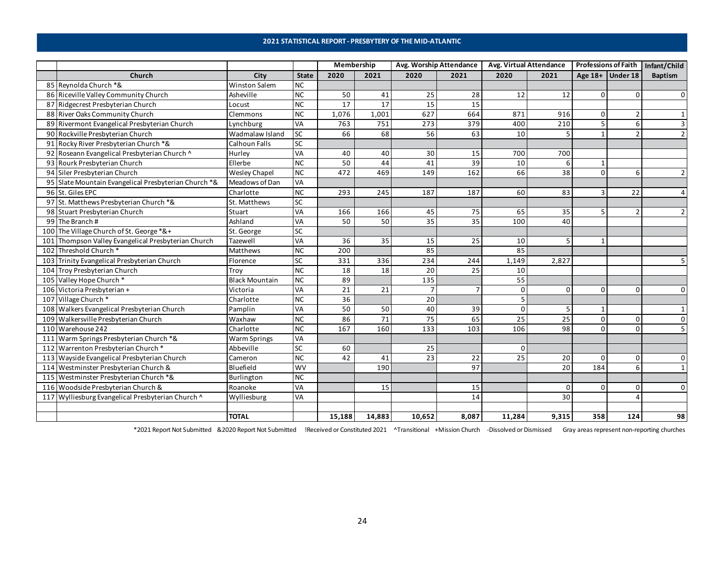#### **2021 STATISTICAL REPORT - PRESBYTERY OF THE MID-ATLANTIC**

|    |                                                      |                       |              | Membership |        | Avg. Worship Attendance |                | Avg. Virtual Attendance |          | <b>Professions of Faith</b> |                  | Infant/Child   |
|----|------------------------------------------------------|-----------------------|--------------|------------|--------|-------------------------|----------------|-------------------------|----------|-----------------------------|------------------|----------------|
|    | Church                                               | City                  | <b>State</b> | 2020       | 2021   | 2020                    | 2021           | 2020                    | 2021     |                             | Age 18+ Under 18 | <b>Baptism</b> |
|    | 85 Reynolda Church *&                                | <b>Winston Salem</b>  | <b>NC</b>    |            |        |                         |                |                         |          |                             |                  |                |
|    | 86 Riceville Valley Community Church                 | Asheville             | <b>NC</b>    | 50         | 41     | 25                      | 28             | 12                      | 12       | $\Omega$                    | <sup>0</sup>     | $\Omega$       |
|    | 87 Ridgecrest Presbyterian Church                    | Locust                | <b>NC</b>    | 17         | 17     | 15                      | 15             |                         |          |                             |                  |                |
|    | 88 River Oaks Community Church                       | Clemmons              | NC           | 1,076      | 1,001  | 627                     | 664            | 871                     | 916      | $\Omega$                    |                  |                |
| 89 | Rivermont Evangelical Presbyterian Church            | Lynchburg             | VA           | 763        | 751    | 273                     | 379            | 400                     | 210      |                             | 6                | 3              |
|    | 90 Rockville Presbyterian Church                     | Wadmalaw Island       | <b>SC</b>    | 66         | 68     | 56                      | 63             | 10                      |          |                             |                  | $\overline{2}$ |
|    | 91 Rocky River Presbyterian Church *&                | <b>Calhoun Falls</b>  | SC           |            |        |                         |                |                         |          |                             |                  |                |
| 92 | Roseann Evangelical Presbyterian Church ^            | Hurley                | VA           | 40         | 40     | 30                      | 15             | 700                     | 700      |                             |                  |                |
|    | 93 Rourk Presbyterian Church                         | Ellerbe               | NC           | 50         | 44     | $\overline{41}$         | 39             | 10                      | 6        |                             |                  |                |
|    | 94 Siler Presbyterian Church                         | Wesley Chapel         | <b>NC</b>    | 472        | 469    | 149                     | 162            | 66                      | 38       | $\Omega$                    | $6 \overline{6}$ | $\overline{2}$ |
|    | 95 Slate Mountain Evangelical Presbyterian Church *& | Meadows of Dan        | <b>VA</b>    |            |        |                         |                |                         |          |                             |                  |                |
|    | 96 St. Giles EPC                                     | Charlotte             | NC           | 293        | 245    | 187                     | 187            | 60                      | 83       |                             | 22               | $\overline{4}$ |
|    | 97 St. Matthews Presbyterian Church *&               | St. Matthews          | SC           |            |        |                         |                |                         |          |                             |                  |                |
| 98 | Stuart Presbyterian Church                           | Stuart                | VA           | 166        | 166    | 45                      | 75             | 65                      | 35       |                             |                  |                |
| 99 | The Branch#                                          | Ashland               | <b>VA</b>    | 50         | 50     | 35                      | 35             | 100                     | 40       |                             |                  |                |
|    | 100 The Village Church of St. George *&+             | St. George            | SC           |            |        |                         |                |                         |          |                             |                  |                |
|    | 101 Thompson Valley Evangelical Presbyterian Church  | Tazewell              | VA           | 36         | 35     | 15                      | 25             | 10                      |          |                             |                  |                |
|    | 102 Threshold Church *                               | Matthews              | <b>NC</b>    | 200        |        | 85                      |                | 85                      |          |                             |                  |                |
|    | 103 Trinity Evangelical Presbyterian Church          | Florence              | SC           | 331        | 336    | 234                     | 244            | 1,149                   | 2,827    |                             |                  | 5              |
|    | 104 Troy Presbyterian Church                         | Troy                  | NC           | 18         | 18     | 20                      | 25             | 10                      |          |                             |                  |                |
|    | 105 Valley Hope Church *                             | <b>Black Mountain</b> | NC           | 89         |        | 135                     |                | 55                      |          |                             |                  |                |
|    | 106 Victoria Presbyterian +                          | Victoria              | <b>VA</b>    | 21         | 21     | $\overline{7}$          | $\overline{7}$ | $\Omega$                | $\Omega$ | $\Omega$                    | $\Omega$         | 0              |
|    | 107 Village Church*                                  | Charlotte             | <b>NC</b>    | 36         |        | 20                      |                |                         |          |                             |                  |                |
|    | 108 Walkers Evangelical Presbyterian Church          | Pamplin               | <b>VA</b>    | 50         | 50     | 40                      | 39             | $\Omega$                |          |                             |                  | 1              |
|    | 109 Walkersville Presbyterian Church                 | Waxhaw                | <b>NC</b>    | 86         | 71     | 75                      | 65             | 25                      | 25       | $\Omega$                    | 0                | 0              |
|    | 110 Warehouse 242                                    | Charlotte             | <b>NC</b>    | 167        | 160    | 133                     | 103            | 106                     | 98       | $\Omega$                    | $\Omega$         | 5              |
|    | 111 Warm Springs Presbyterian Church *&              | <b>Warm Springs</b>   | VA           |            |        |                         |                |                         |          |                             |                  |                |
|    | 112 Warrenton Presbyterian Church*                   | Abbeville             | SC           | 60         |        | 25                      |                | $\Omega$                |          |                             |                  |                |
|    | 113 Wayside Evangelical Presbyterian Church          | Cameron               | <b>NC</b>    | 42         | 41     | 23                      | 22             | 25                      | 20       | $\Omega$                    | $\Omega$         | 0              |
|    | 114 Westminster Presbyterian Church &                | Bluefield             | <b>WV</b>    |            | 190    |                         | 97             |                         | 20       | 184                         | 6                | $\mathbf{1}$   |
|    | 115 Westminster Presbyterian Church *&               | Burlington            | <b>NC</b>    |            |        |                         |                |                         |          |                             |                  |                |
|    | 116 Woodside Presbyterian Church &                   | Roanoke               | VA           |            | 15     |                         | 15             |                         | $\Omega$ | $\Omega$                    | 0                | $\overline{0}$ |
|    | 117 Wylliesburg Evangelical Presbyterian Church ^    | Wylliesburg           | <b>VA</b>    |            |        |                         | 14             |                         | 30       |                             |                  |                |
|    |                                                      |                       |              |            |        |                         |                |                         |          |                             |                  |                |
|    |                                                      | <b>TOTAL</b>          |              | 15,188     | 14,883 | 10,652                  | 8,087          | 11,284                  | 9,315    | 358                         | 124              | 98             |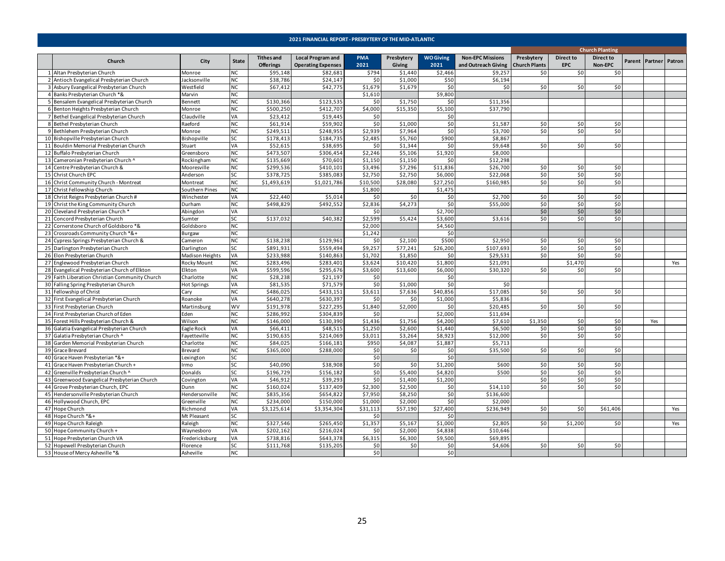<span id="page-24-0"></span>

|    |                                                |                    |              |                   |                           |                |            |                  |                         |                      |                  | <b>Church Planting</b> |        |                |     |
|----|------------------------------------------------|--------------------|--------------|-------------------|---------------------------|----------------|------------|------------------|-------------------------|----------------------|------------------|------------------------|--------|----------------|-----|
|    |                                                |                    |              | <b>Tithes and</b> | <b>Local Program and</b>  | <b>PMA</b>     | Presbytery | <b>WO Giving</b> | <b>Non-EPC Missions</b> | Presbytery           | <b>Direct to</b> | <b>Direct to</b>       |        |                |     |
|    | Church                                         | City               | <b>State</b> | <b>Offerings</b>  | <b>Operating Expenses</b> | 2021           | Giving     | 2021             | and Outreach Giving     | <b>Church Plants</b> | <b>EPC</b>       | Non-EPC                | Parent | Partner Patron |     |
|    | 1 Altan Presbyterian Church                    | Monroe             | <b>NC</b>    | \$95,148          | \$82,681                  | \$794          | \$1,440    | \$2,466          | \$9,257                 | \$0                  | \$0              | \$0                    |        |                |     |
|    | 2 Antioch Evangelical Presbyterian Church      | Jacksonville       | <b>NC</b>    | \$38,786          | \$24,147                  | \$0            | \$1,000    | \$50             | \$6,194                 |                      |                  |                        |        |                |     |
|    | 3 Asbury Evangelical Presbyterian Church       | Westfield          | <b>NC</b>    | \$67,412          | \$42,775                  | \$1,679        | \$1,679    | \$0              | \$0                     | \$0                  | \$0              | \$0                    |        |                |     |
|    | 4 Banks Presbyterian Church *&                 | Marvin             | <b>NC</b>    |                   |                           | \$1,610        |            | \$9,800          |                         |                      |                  |                        |        |                |     |
|    | 5 Bensalem Evangelical Presbyterian Church     | Bennett            | <b>NC</b>    | \$130,366         | \$123,535                 | \$0            | \$1,750    | \$C              | \$11,356                |                      |                  |                        |        |                |     |
|    | 6 Benton Heights Presbyterian Church           | Monroe             | <b>NC</b>    | \$500,250         | \$412,707                 | \$4,000        | \$15,350   | \$5,100          | \$37,790                |                      |                  |                        |        |                |     |
|    | 7 Bethel Evangelical Presbyterian Church       | Claudville         | VA           | \$23,412          | \$19,445                  | \$0            |            | \$0              |                         |                      |                  |                        |        |                |     |
|    | 8 Bethel Presbyterian Church                   | Raeford            | <b>NC</b>    | \$61,914          | \$59,902                  | \$0            | \$1,000    | \$0              | \$1,587                 | \$0                  | \$0              | \$0                    |        |                |     |
|    | 9 Bethlehem Presbyterian Church                | Monroe             | <b>NC</b>    | \$249,511         | \$248,955                 | \$2,939        | \$7,964    | \$0              | \$3,700                 | \$0                  | \$0              | \$0                    |        |                |     |
|    | 10 Bishopville Presbyterian Church             | Bishopville        | SC           | \$178,413         | \$184,735                 | \$2,485        | \$5,760    | \$900            | \$8,867                 |                      |                  |                        |        |                |     |
|    | 11 Bouldin Memorial Presbyterian Church        | Stuart             | VA           | \$52,615          | \$38,695                  | \$0            | \$1,344    | \$0              | \$9,648                 | \$0                  | \$0              | \$0                    |        |                |     |
|    | 12 Buffalo Presbyterian Church                 | Greensboro         | <b>NC</b>    | \$473,507         | \$306,454                 | \$2,246        | \$5,106    | \$1,920          | \$8,000                 |                      |                  |                        |        |                |     |
|    | 13 Cameronian Presbyterian Church ^            | Rockingham         | <b>NC</b>    | \$135,669         | \$70,601                  | \$1,150        | \$1,150    | \$C              | \$12,298                |                      |                  |                        |        |                |     |
|    | 14 Centre Presbyterian Church &                | Mooresville        | <b>NC</b>    | \$299,536         | \$410,101                 | \$3,496        | \$7,296    | \$11,836         | \$26,700                | \$0                  | \$0              | \$0                    |        |                |     |
|    | 15 Christ Church EPC                           | Anderson           | SC           | \$378,725         | \$385,083                 | \$2,750        | \$2,750    | \$6,000          | \$22,068                | \$0                  | \$0              | \$0                    |        |                |     |
|    | 16 Christ Community Church - Montreat          | Montreat           | <b>NC</b>    | \$1,493,619       | \$1,021,786               | \$10,500       | \$28,080   | \$27,250         | \$160,985               | \$0                  | \$0              | \$0                    |        |                |     |
|    | 17 Christ Fellowship Church                    | Southern Pines     | <b>NC</b>    |                   |                           | \$1,800        |            | \$1,475          |                         |                      |                  |                        |        |                |     |
|    |                                                |                    | VA           | \$22,440          | \$5,014                   |                | 50         |                  | \$2,700                 | \$0                  |                  | \$0                    |        |                |     |
|    | 18 Christ Reigns Presbyterian Church #         | Winchester         | <b>NC</b>    | \$498,829         |                           | \$0<br>\$2,836 |            | \$0<br>\$0       |                         |                      | \$0<br>\$0       | \$0                    |        |                |     |
|    | 19 Christ the King Community Church            | Durham             |              |                   | \$492,552                 |                | \$4,273    |                  | \$55,000                | \$0                  |                  |                        |        |                |     |
|    | 20 Cleveland Presbyterian Church *             | Abingdon           | VA           |                   |                           | \$0            |            | \$2,700          |                         | \$0                  | \$0              | \$0                    |        |                |     |
|    | 21 Concord Presbyterian Church                 | Sumter             | SC           | \$137,032         | \$40,382                  | \$2,599        | \$5,424    | \$3,600          | \$3,616                 | \$0                  | \$0              | \$0                    |        |                |     |
|    | 22 Cornerstone Church of Goldsboro *&          | Goldsboro          | <b>NC</b>    |                   |                           | \$2,000        |            | \$4,560          |                         |                      |                  |                        |        |                |     |
|    | 23 Crossroads Community Church *&+             | Burgaw             | <b>NC</b>    |                   |                           | \$1,242        |            | \$0              |                         |                      |                  |                        |        |                |     |
|    | 24 Cypress Springs Presbyterian Church &       | Cameron            | <b>NC</b>    | \$138,238         | \$129,961                 | \$0            | \$2,100    | \$500            | \$2,950                 | \$0                  | \$0              | \$0                    |        |                |     |
|    | 25 Darlington Presbyterian Church              | Darlington         | SC           | \$891,931         | \$559,494                 | \$9,257        | \$77,241   | \$26,200         | \$107,693               | \$0                  | \$0              | \$0                    |        |                |     |
|    | 26 Elon Presbyterian Church                    | Madison Heights    | VA           | \$233,988         | \$140,863                 | \$1,702        | \$1,850    | \$0              | \$29,531                | \$0                  | \$0              | 50                     |        |                |     |
|    | 27 Englewood Presbyterian Church               | Rocky Mount        | <b>NC</b>    | \$283,496         | \$283,401                 | \$3,624        | \$10,420   | \$1,800          | \$21,091                |                      | \$1,470          |                        |        |                | Yes |
|    | 28 Evangelical Presbyterian Church of Elkton   | Elkton             | VA           | \$599,596         | \$295,676                 | \$3,600        | \$13,600   | \$6,000          | \$30,320                | \$0                  | \$0              | \$0                    |        |                |     |
|    | 29 Faith Liberation Christian Community Church | Charlotte          | <b>NC</b>    | \$28,238          | \$21,197                  | \$0            |            | \$0              |                         |                      |                  |                        |        |                |     |
|    | 30 Falling Spring Presbyterian Church          | <b>Hot Springs</b> | VA           | \$81,535          | \$71,579                  | \$0            | \$1,000    | \$0              | \$0                     |                      |                  |                        |        |                |     |
|    | 31 Fellowship of Christ                        | Cary               | <b>NC</b>    | \$486,025         | \$433,151                 | \$3,611        | \$7,636    | \$40,856         | \$17,085                | \$0                  | \$0              | \$0                    |        |                |     |
|    | 32 First Evangelical Presbyterian Church       | Roanoke            | VA           | \$640,278         | \$630,397                 | \$0            | \$0        | \$1,000          | \$5,836                 |                      |                  |                        |        |                |     |
|    | 33 First Presbyterian Church                   | Martinsburg        | WV           | \$191,978         | \$227,295                 | \$1,840        | \$2,000    | \$0              | \$20,485                | \$0                  | \$0              | \$0                    |        |                |     |
|    | 34 First Presbyterian Church of Eden           | Eden               | <b>NC</b>    | \$286,992         | \$304,839                 | \$0            |            | \$2,000          | \$11,694                |                      |                  |                        |        |                |     |
|    | 35 Forest Hills Presbyterian Church &          | Wilson             | <b>NC</b>    | \$146,000         | \$130,390                 | \$1,436        | \$1,756    | \$4,200          | \$7,610                 | \$1,350              | \$0              | \$0                    |        | Yes            |     |
|    | 36 Galatia Evangelical Presbyterian Church     | Eagle Rock         | VA           | \$66,411          | \$48,515                  | \$1,250        | \$2,600    | \$1,440          | \$6,500                 | \$0                  | \$0              | \$0                    |        |                |     |
|    | 37 Galatia Presbyterian Church ^               | Fayetteville       | <b>NC</b>    | \$190,635         | \$214,069                 | \$3,011        | \$3,264    | \$8,923          | \$12,000                | \$0                  | \$0              | \$0                    |        |                |     |
|    | 38 Garden Memorial Presbyterian Church         | Charlotte          | <b>NC</b>    | \$84.025          | \$166,181                 | \$950          | \$4,087    | \$1,887          | \$5,713                 |                      |                  |                        |        |                |     |
|    | 39 Grace Brevard                               | Brevard            | <b>NC</b>    | \$365,000         | \$288,000                 | \$0            | \$0        | \$0              | \$35,500                | \$0                  | \$0              | \$0                    |        |                |     |
|    | 40 Grace Haven Presbyterian *&+                | Lexington          | SC           |                   |                           | \$0            |            | \$0              |                         |                      |                  |                        |        |                |     |
|    | 41 Grace Haven Presbyterian Church +           | Irmo               | SC           | \$40,090          | \$38,908                  | \$0            | \$0        | \$1,200          | \$600                   | \$0                  | \$0              | \$0                    |        |                |     |
|    | 42 Greenville Presbyterian Church ^            | Donalds            | SC           | \$196,729         | \$156,182                 | \$0            | \$5,400    | \$4,820          | \$500                   | \$0                  | \$0              | \$0                    |        |                |     |
|    | 43 Greenwood Evangelical Presbyterian Church   | Covington          | VA           | \$46,912          | \$39,293                  | \$0            | \$1,400    | \$1,200          |                         | \$0                  | \$0              | \$0                    |        |                |     |
|    | 44 Grove Presbyterian Church, EPC              | Dunn               | <b>NC</b>    | \$160,024         | \$137,409                 | \$2,300        | \$2,500    | \$0              | \$14,110                | \$0                  | 50 <sub>1</sub>  | \$0                    |        |                |     |
|    | 45 Hendersonville Presbyterian Church          | Hendersonville     | <b>NC</b>    | \$835,356         | \$654,822                 | \$7,950        | \$8,250    | \$0              | \$136,600               |                      |                  |                        |        |                |     |
|    | 46 Hollywood Church, EPC                       | Greenville         | <b>NC</b>    | \$234,000         | \$150,000                 | \$1,000        | \$2,000    | \$0              | \$2,000                 |                      |                  |                        |        |                |     |
|    | 47 Hope Church                                 | Richmond           | VA           | \$3,125,614       | \$3,354,304               | \$31,113       | \$57,190   | \$27,400         | \$236,949               | \$0                  | \$0              | \$61,406               |        |                | Yes |
| 48 | Hope Church *&+                                | Mt Pleasant        | SC           |                   |                           | \$0            |            | \$C              |                         |                      |                  |                        |        |                |     |
|    | 49 Hope Church Raleigh                         | Raleigh            | <b>NC</b>    | \$327,546         | \$265,450                 | \$1,357        | \$5,167    | \$1,000          | \$2,805                 | \$0                  | \$1,200          | \$0                    |        |                | Yes |
|    | 50 Hope Community Church +                     | Waynesboro         | VA           | \$202,162         | \$216,024                 | \$0            | \$2,000    | \$4,838          | \$10,646                |                      |                  |                        |        |                |     |
|    | 51 Hope Presbyterian Church VA                 | Fredericksburg     | VA           | \$738.816         | \$643.378                 | \$6,315        | \$6,300    | \$9,500          | \$69,895                |                      |                  |                        |        |                |     |
|    | 52 Hopewell Presbyterian Church                | Florence           | SC           | \$111,768         | \$135,205                 | \$0            | \$0        | \$0              | \$4,606                 | \$0                  | \$0              | \$0                    |        |                |     |
|    | 53 House of Mercy Asheville *&                 | Asheville          | <b>NC</b>    |                   |                           | \$0            |            | \$0              |                         |                      |                  |                        |        |                |     |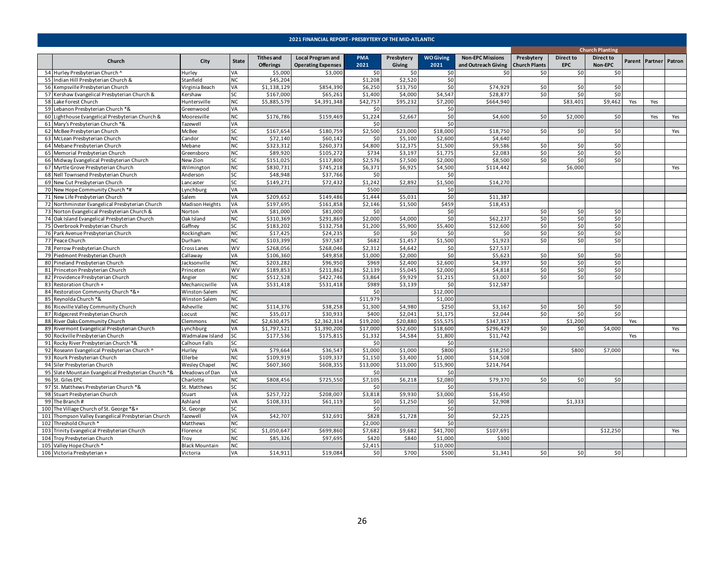|     |                                                      |                       |              |                   | 2021 FINANCIAL REPORT - PRESBYTERY OF THE MID-ATLANTIC |            |            |                  |                         |                      |                  |                        |        |                       |     |
|-----|------------------------------------------------------|-----------------------|--------------|-------------------|--------------------------------------------------------|------------|------------|------------------|-------------------------|----------------------|------------------|------------------------|--------|-----------------------|-----|
|     |                                                      |                       |              |                   |                                                        |            |            |                  |                         |                      |                  | <b>Church Planting</b> |        |                       |     |
|     | Church                                               | City                  | <b>State</b> | <b>Tithes and</b> | <b>Local Program and</b>                               | <b>PMA</b> | Presbytery | <b>WO Giving</b> | <b>Non-EPC Missions</b> | Presbytery           | <b>Direct to</b> | Direct to              | Parent | <b>Partner Patron</b> |     |
|     |                                                      |                       |              | <b>Offerings</b>  | <b>Operating Expenses</b>                              | 2021       | Giving     | 2021             | and Outreach Giving     | <b>Church Plants</b> | <b>EPC</b>       | Non-EPC                |        |                       |     |
|     | 54 Hurley Presbyterian Church ^                      | Hurley                | VA           | \$5,000           | \$3,000                                                | \$0        | \$0        | \$0              | \$0                     | \$0                  | \$0              | \$0                    |        |                       |     |
|     | 55 Indian Hill Presbyterian Church &                 | Stanfield             | <b>NC</b>    | \$45,204          |                                                        | \$1,208    | \$2,520    | \$0              |                         |                      |                  |                        |        |                       |     |
|     | 56 Kempsville Presbyterian Church                    | Virginia Beach        | VA           | \$1,138,129       | \$854,390                                              | \$6,250    | \$13,750   | \$0              | \$74,929                | \$0                  | \$0              | \$0                    |        |                       |     |
|     | 57 Kershaw Evangelical Presbyterian Church &         | Kershaw               | <b>SC</b>    | \$167,000         | \$65,261                                               | \$1,400    | \$4,000    | \$4,547          | \$28,877                | \$0                  | \$0              | \$0                    |        |                       |     |
|     | 58 Lake Forest Church                                | Huntersville          | <b>NC</b>    | \$5,885,579       | \$4,391,348                                            | \$42,757   | \$95,232   | \$7,200          | \$664,940               |                      | \$83,401         | \$9,462                | Yes    | Yes                   |     |
|     | 59 Lebanon Presbyterian Church *&                    | Greenwood             | VA           |                   |                                                        | \$0        |            | \$0              |                         |                      |                  |                        |        |                       |     |
|     | 60 Lighthouse Evangelical Presbyterian Church &      | Mooresville           | <b>NC</b>    | \$176,786         | \$159,469                                              | \$1,224    | \$2,667    | \$0              | \$4,600                 | \$0                  | \$2,000          | \$0                    |        | Yes                   | Yes |
|     | 61 Mary's Presbyterian Church *&                     | Tazewell              | VA           |                   |                                                        | \$0        |            | \$0              |                         |                      |                  |                        |        |                       |     |
|     | 62 McBee Presbyterian Church                         | McBee                 | SC           | \$167,654         | \$180,759                                              | \$2,500    | \$23,000   | \$18,000         | \$18,750                | \$0                  | \$0              | \$0                    |        |                       | Yes |
|     | 63 McLean Presbyterian Church                        | Candor                | <b>NC</b>    | \$72,140          | \$60,142                                               | \$0        | \$5,100    | \$2,600          | \$4,640                 |                      |                  |                        |        |                       |     |
|     | 64 Mebane Presbyterian Church                        | Mebane                | <b>NC</b>    | \$323,312         | \$260,373                                              | \$4,800    | \$12,375   | \$1,500          | \$9,586                 | \$0                  | \$0              | \$0                    |        |                       |     |
|     | 65 Memorial Presbyterian Church                      | Greensboro            | <b>NC</b>    | \$89,920          | \$105,272                                              | \$734      | \$3,197    | \$1,775          | \$2,083                 | \$0                  | \$0              | \$0                    |        |                       |     |
|     | 66 Midway Evangelical Presbyterian Church            | New Zion              | <b>SC</b>    | \$151,025         | \$117,800                                              | \$2,576    | \$7,500    | \$2,000          | \$8,500                 | \$0                  | \$0              | \$0                    |        |                       |     |
|     | 67 Myrtle Grove Presbyterian Church                  | Wilmington            | <b>NC</b>    | \$830,731         | \$745,218                                              | \$6,371    | \$6,925    | \$4,500          | \$114,442               |                      | \$6,000          |                        |        |                       | Yes |
|     | 68 Nell Townsend Presbyterian Church                 | Anderson              | SC           | \$48,948          | \$37,766                                               | \$0        |            | \$0              |                         |                      |                  |                        |        |                       |     |
|     | 69 New Cut Presbyterian Church                       | Lancaster             | SC           | \$149,271         | \$72,432                                               | \$1,242    | \$2,892    | \$1,500          | \$14,270                |                      |                  |                        |        |                       |     |
|     | 70 New Hope Community Church *#                      | Lynchburg             | VA           |                   |                                                        | \$500      |            | \$0              |                         |                      |                  |                        |        |                       |     |
|     | 71 New Life Presbyterian Church                      | Salem                 | VA           | \$209,652         | \$149,486                                              | \$1,444    | \$5,031    | \$0              | \$11,387                |                      |                  |                        |        |                       |     |
|     | 72 Northminster Evangelical Presbyterian Church      | Madison Heights       | VA           | \$197,695         | \$161,858                                              | \$2,146    | \$1,500    | \$459            | \$18,453                |                      |                  |                        |        |                       |     |
|     |                                                      |                       | VA           |                   |                                                        | \$0        |            | \$0              |                         |                      |                  |                        |        |                       |     |
|     | 73 Norton Evangelical Presbyterian Church &          | Norton                | <b>NC</b>    | \$81,000          | \$81,000<br>\$291.869                                  |            |            |                  |                         | \$0<br>\$0           | \$0              | \$0<br>\$0             |        |                       |     |
|     | 74 Oak Island Evangelical Presbyterian Church        | Oak Island            |              | \$310,369         |                                                        | \$2,000    | \$4,000    | \$0              | \$62,237                |                      | \$0              |                        |        |                       |     |
|     | 75 Overbrook Presbyterian Church                     | Gaffney               | SC           | \$183,202         | \$132,758                                              | \$1,200    | \$5,900    | \$5,400          | \$12,600                | \$0                  | \$0              | \$0                    |        |                       |     |
|     | 76 Park Avenue Presbyterian Church                   | Rockingham            | <b>NC</b>    | \$17,425          | \$24,235                                               | \$0        | \$0        | \$0              | \$0                     | \$0                  | \$0              | \$0                    |        |                       |     |
|     | 77 Peace Church                                      | Durham                | <b>NC</b>    | \$103,399         | \$97,587                                               | \$682      | \$1,457    | \$1,500          | \$1,923                 | \$0                  | \$0              | \$0                    |        |                       |     |
|     | 78 Perrow Presbyterian Church                        | Cross Lanes           | WV           | \$268,056         | \$268,046                                              | \$2,312    | \$4.642    | \$0              | \$27,537                |                      |                  |                        |        |                       |     |
|     | 79 Piedmont Presbyterian Church                      | Callaway              | VA           | \$106,360         | \$49,858                                               | \$1,000    | \$2,000    | \$0              | \$5,623                 | \$0                  | \$0              | \$0                    |        |                       |     |
|     | 80 Pineland Presbyterian Church                      | Jacksonville          | <b>NC</b>    | \$203,282         | \$96,950                                               | \$969      | \$2,400    | \$2,600          | \$4,397                 | \$0                  | \$0              | \$0                    |        |                       |     |
|     | 81 Princeton Presbyterian Church                     | Princeton             | WV           | \$189,853         | \$211,862                                              | \$2,139    | \$5,045    | \$2,000          | \$4,818                 | \$0                  | \$0              | \$0                    |        |                       |     |
|     | 82 Providence Presbyterian Church                    | Angier                | <b>NC</b>    | \$512,528         | \$422,746                                              | \$3,864    | \$9,929    | \$1,215          | \$3,007                 | \$0                  | \$0              | \$0                    |        |                       |     |
|     | 83 Restoration Church +                              | Mechanicsville        | VA           | \$531,418         | \$531,418                                              | \$989      | \$3,139    | \$0              | \$12,587                |                      |                  |                        |        |                       |     |
|     | 84 Restoration Community Church *&+                  | Winston-Salem         | <b>NC</b>    |                   |                                                        | \$0        |            | \$12,000         |                         |                      |                  |                        |        |                       |     |
|     | 85 Reynolda Church *&                                | Winston Salem         | <b>NC</b>    |                   |                                                        | \$11,979   |            | \$1,000          |                         |                      |                  |                        |        |                       |     |
|     | 86 Riceville Valley Community Church                 | Asheville             | <b>NC</b>    | \$114,376         | \$38,258                                               | \$1,300    | \$4,980    | \$250            | \$3,167                 | \$0                  | \$0              | \$0                    |        |                       |     |
|     | 87 Ridgecrest Presbyterian Church                    | Locust                | <b>NC</b>    | \$35,017          | \$30,933                                               | \$400      | \$2,041    | \$1,175          | \$2,044                 | \$0                  | \$0              | \$0                    |        |                       |     |
|     | 88 River Oaks Community Church                       | Clemmons              | <b>NC</b>    | \$2,630,475       | \$2,362,314                                            | \$19,200   | \$20,880   | \$55,575         | \$347,357               |                      | \$1,200          |                        | Yes    |                       |     |
|     | 89 Rivermont Evangelical Presbyterian Church         | vnchburg.             | VA           | \$1,797,521       | \$1,390,200                                            | \$17,000   | \$52,600   | \$18,600         | \$296,429               | \$0                  | \$0              | \$4,000                |        |                       | Yes |
|     | 90 Rockville Presbyterian Church                     | Wadmalaw Island       | SC.          | \$177,536         | \$175,815                                              | \$1,332    | \$4,584    | \$1,800          | \$11,742                |                      |                  |                        | Yes    |                       |     |
| 91  | Rocky River Presbyterian Church *&                   | Calhoun Falls         | SC           |                   |                                                        | \$0        |            | \$0              |                         |                      |                  |                        |        |                       |     |
|     | 92 Roseann Evangelical Presbyterian Church ^         | Hurley                | VA           | \$79,664          | \$36,547                                               | \$1,000    | \$1,000    | \$800            | \$18,250                |                      | \$800            | \$7,000                |        |                       | Yes |
|     | 93 Rourk Presbyterian Church                         | Ellerbe               | <b>NC</b>    | \$109,919         | \$109,337                                              | \$1,150    | \$3,400    | \$1,000          | \$14,508                |                      |                  |                        |        |                       |     |
|     | 94 Siler Presbyterian Church                         | Wesley Chapel         | NC           | \$607,360         | \$608,355                                              | \$13,000   | \$13,000   | \$15,900         | \$214,764               |                      |                  |                        |        |                       |     |
|     | 95 Slate Mountain Evangelical Presbyterian Church *& | Meadows of Dan        | VA           |                   |                                                        | \$0        |            | \$0              |                         |                      |                  |                        |        |                       |     |
|     | 96 St. Giles EPC                                     | Charlotte             | <b>NC</b>    | \$808,456         | \$725,550                                              | \$7,105    | \$6,218    | \$2,080          | \$79,370                | \$0                  | \$0              | \$0                    |        |                       |     |
|     | 97 St. Matthews Presbyterian Church *&               | St. Matthews          | SC           |                   |                                                        | \$0        |            | \$0              |                         |                      |                  |                        |        |                       |     |
|     | 98 Stuart Presbyterian Church                        | Stuart                | VA           | \$257,722         | \$208,007                                              | \$3,818    | \$9,930    | \$3,000          | \$16,450                |                      |                  |                        |        |                       |     |
|     | 99 The Branch#                                       | Ashland               | VA           | \$108,331         | \$61,119                                               | \$0        | \$1,250    | \$0              | \$2,908                 |                      | \$1,333          |                        |        |                       |     |
|     | 100 The Village Church of St. George *&+             | St. George            | SC           |                   |                                                        | \$0        |            | \$0              |                         |                      |                  |                        |        |                       |     |
| 101 | Thompson Valley Evangelical Presbyterian Church      | Tazewell              | VA           | \$42,707          | \$32,691                                               | \$828      | \$1,728    | \$0              | \$2,225                 |                      |                  |                        |        |                       |     |
|     | 102 Threshold Church <sup>*</sup>                    | Matthews              | <b>NC</b>    |                   |                                                        | \$2,000    |            | \$0              |                         |                      |                  |                        |        |                       |     |
|     | 103 Trinity Evangelical Presbyterian Church          | Florence              | SC           | \$1,050,647       | \$699,860                                              | \$7,682    | \$9,682    | \$41,700         | \$107,691               |                      |                  | \$12,250               |        |                       | Yes |
|     | 104 Troy Presbyterian Church                         | Troy                  | <b>NC</b>    | \$85,326          | \$97,695                                               | \$420      | \$840      | \$1,000          | \$300                   |                      |                  |                        |        |                       |     |
|     | 105 Valley Hope Church *                             | <b>Black Mountain</b> | <b>NC</b>    |                   |                                                        | \$2,415    |            | \$10,000         |                         |                      |                  |                        |        |                       |     |
|     | 106 Victoria Presbyterian +                          | Victoria              | VA           | \$14,911          | \$19,084                                               | \$0        | \$700      | \$500            | \$1,341                 | \$0                  | 50 <sub>1</sub>  | \$0                    |        |                       |     |
|     |                                                      |                       |              |                   |                                                        |            |            |                  |                         |                      |                  |                        |        |                       |     |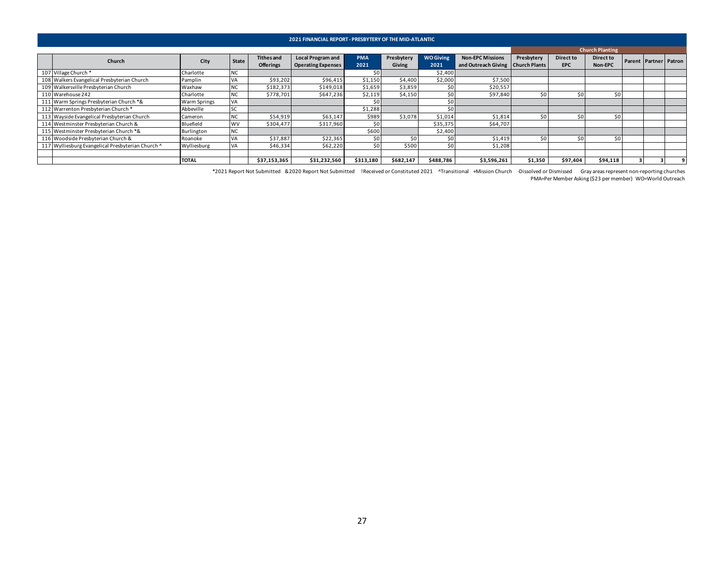|                                                   |                     |              |                                       | 2021 FINANCIAL REPORT - PRESBYTERY OF THE MID-ATLANTIC |                    |                      |                          |                                                                |            |                         |                        |                       |  |
|---------------------------------------------------|---------------------|--------------|---------------------------------------|--------------------------------------------------------|--------------------|----------------------|--------------------------|----------------------------------------------------------------|------------|-------------------------|------------------------|-----------------------|--|
|                                                   |                     |              |                                       |                                                        |                    |                      |                          |                                                                |            |                         | <b>Church Planting</b> |                       |  |
| Church                                            | City                | <b>State</b> | <b>Tithes and</b><br><b>Offerings</b> | <b>Local Program and</b><br><b>Operating Expenses</b>  | <b>PMA</b><br>2021 | Presbytery<br>Giving | <b>WO Giving</b><br>2021 | <b>Non-EPC Missions</b><br>and Outreach Giving   Church Plants | Presbytery | Direct to<br><b>EPC</b> | Direct to<br>Non-EPC   | Parent Partner Patron |  |
| 107 Village Church*                               | Charlotte           | <b>NC</b>    |                                       |                                                        |                    |                      | \$2,400                  |                                                                |            |                         |                        |                       |  |
| 108 Walkers Evangelical Presbyterian Church       | Pamplin             | VA           | \$93,202                              | \$96,415                                               | \$1,150            | \$4,400              | \$2,000                  | \$7,500                                                        |            |                         |                        |                       |  |
| 109 Walkersville Presbyterian Church              | Waxhaw              | <b>NC</b>    | \$182,373                             | \$149,018                                              | \$1,659            | \$3,859              | 50 <sub>1</sub>          | \$20,557                                                       |            |                         |                        |                       |  |
| 110 Warehouse 242                                 | Charlotte           | <b>NC</b>    | \$778,701                             | \$647,236                                              | \$2,119            | \$4,150              | \$0                      | \$97,840                                                       | \$0        | \$0                     | \$0                    |                       |  |
| 111 Warm Springs Presbyterian Church *&           | <b>Warm Springs</b> | VA           |                                       |                                                        |                    |                      | \$0                      |                                                                |            |                         |                        |                       |  |
| 112 Warrenton Presbyterian Church*                | Abbeville           | SC           |                                       |                                                        | \$1,288            |                      | \$0                      |                                                                |            |                         |                        |                       |  |
| 113 Wayside Evangelical Presbyterian Church       | Cameron             | <b>NC</b>    | \$54,919                              | \$63,147                                               | \$989              | \$3,078              | \$1,014                  | \$1,814                                                        | \$0        | \$0                     | \$0                    |                       |  |
| 114 Westminster Presbyterian Church &             | Bluefield           | <b>WV</b>    | \$304,477                             | \$317,960                                              | \$C                |                      | \$35,375                 | \$64,707                                                       |            |                         |                        |                       |  |
| 115 Westminster Presbyterian Church *&            | Burlington          | <b>NC</b>    |                                       |                                                        | \$600              |                      | \$2,400                  |                                                                |            |                         |                        |                       |  |
| 116 Woodside Presbyterian Church &                | Roanoke             | VA           | \$37,887                              | \$22,365                                               | \$0                | \$0                  | \$0                      | \$1,419                                                        | \$0        | \$0                     | \$0                    |                       |  |
| 117 Wylliesburg Evangelical Presbyterian Church ^ | Wylliesburg         | VA           | \$46,334                              | \$62,220                                               | \$0                | \$500                | 50 <sub>1</sub>          | \$1,208                                                        |            |                         |                        |                       |  |
|                                                   |                     |              |                                       |                                                        |                    |                      |                          |                                                                |            |                         |                        |                       |  |
|                                                   | <b>TOTAL</b>        |              | \$37,153,365                          | \$31,232,560                                           | \$313,180          | \$682,147            | \$488,786                | \$3,596,261                                                    | \$1,350    | \$97,404                | \$94,118               |                       |  |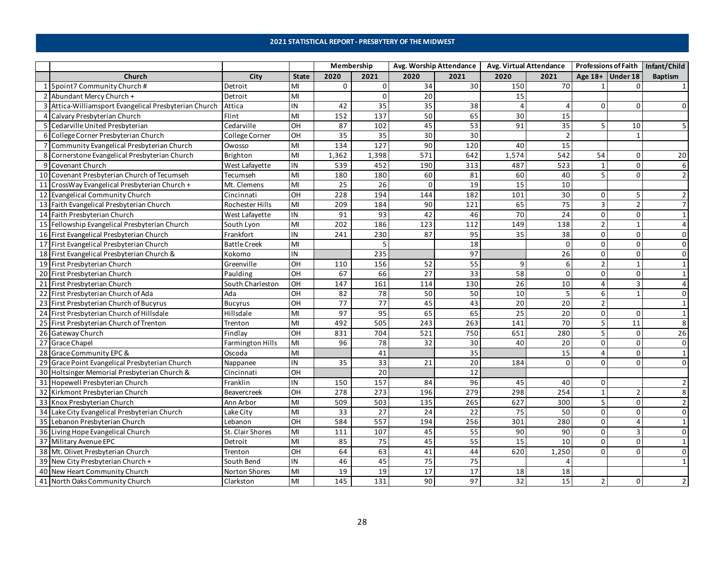### **2021 STATISTICAL REPORT - PRESBYTERY OF THE MIDWEST**

<span id="page-27-0"></span>

|                                                       |                     |                  | Membership      |                 | Avg. Worship Attendance |                 | Avg. Virtual Attendance |                 |          |                    | Professions of Faith Infant/Child |
|-------------------------------------------------------|---------------------|------------------|-----------------|-----------------|-------------------------|-----------------|-------------------------|-----------------|----------|--------------------|-----------------------------------|
| Church                                                | City                | <b>State</b>     | 2020            | 2021            | 2020                    | 2021            | 2020                    | 2021            |          | Age $18+$ Under 18 | <b>Baptism</b>                    |
| 1 Spoint7 Community Church #                          | Detroit             | MI               | 0               | $\Omega$        | 34                      | 30              | 150                     | 70              |          |                    |                                   |
| 2 Abundant Mercy Church +                             | Detroit             | MI               |                 | $\Omega$        | 20                      |                 | 15                      |                 |          |                    |                                   |
| 3 Attica-Williamsport Evangelical Presbyterian Church | Attica              | IN               | 42              | 35              | 35                      | 38              |                         |                 |          |                    |                                   |
| 4 Calvary Presbyterian Church                         | Flint               | MI               | 152             | 137             | 50                      | 65              | 30                      | 15              |          |                    |                                   |
| 5 Cedarville United Presbyterian                      | Cedarville          | OH               | 87              | 102             | 45                      | 53              | 91                      | 35              |          | 10                 |                                   |
| 6 College Corner Presbyterian Church                  | College Corner      | OH               | 35              | 35              | 30                      | 30              |                         |                 |          |                    |                                   |
| 7 Community Evangelical Presbyterian Church           | Owosso              | MI               | 134             | 127             | 90                      | 120             | 40                      | 15              |          |                    |                                   |
| 8 Cornerstone Evangelical Presbyterian Church         | Brighton            | MI               | 1,362           | 1,398           | 571                     | 642             | 1,574                   | 542             | 54       | $\Omega$           | 20                                |
| 9 Covenant Church                                     | West Lafayette      | IN               | 539             | 452             | 190                     | 313             | 487                     | 523             |          | $\Omega$           |                                   |
| 10 Covenant Presbyterian Church of Tecumseh           | Tecumseh            | MI               | 180             | 180             | 60                      | 81              | 60                      | 40              |          | $\Omega$           |                                   |
| 11 CrossWay Evangelical Presbyterian Church +         | Mt. Clemens         | MI               | 25              | 26              | $\Omega$                | 19              | $\overline{15}$         | 10              |          |                    |                                   |
| 12 Evangelical Community Church                       | Cincinnati          | OH               | 228             | 194             | 144                     | 182             | 101                     | 30              | $\Omega$ |                    |                                   |
| 13 Faith Evangelical Presbyterian Church              | Rochester Hills     | MI               | 209             | 184             | 90                      | 121             | 65                      | $\overline{75}$ |          |                    |                                   |
| 14 Faith Presbyterian Church                          | West Lafayette      | IN               | 91              | 93              | 42                      | 46              | 70                      | 24              | $\Omega$ | $\Omega$           |                                   |
| 15 Fellowship Evangelical Presbyterian Church         | South Lyon          | MI               | 202             | 186             | 123                     | 112             | 149                     | 138             |          |                    |                                   |
| 16 First Evangelical Presbyterian Church              | Frankfort           | IN               | 241             | 230             | 87                      | 95              | 35                      | 38              | $\Omega$ | $\Omega$           |                                   |
| 17 First Evangelical Presbyterian Church              | <b>Battle Creek</b> | MI               |                 |                 |                         | 18              |                         | $\Omega$        | $\Omega$ | $\Omega$           | $\Omega$                          |
| 18 First Evangelical Presbyterian Church &            | Kokomo              | IN               |                 | 235             |                         | 97              |                         | 26              | $\Omega$ | $\Omega$           |                                   |
| 19 First Presbyterian Church                          | Greenville          | $\overline{O}$ H | 110             | 156             | 52                      | 55              | 9                       | 6               |          |                    |                                   |
| 20 First Presbyterian Church                          | Paulding            | OH               | 67              | 66              | 27                      | 33              | 58                      | $\Omega$        | $\Omega$ | $\Omega$           |                                   |
| 21 First Presbyterian Church                          | South Charleston    | OH               | 147             | 161             | 114                     | 130             | $\overline{26}$         | 10              |          | 3                  |                                   |
| 22 First Presbyterian Church of Ada                   | Ada                 | OH               | 82              | $\overline{78}$ | 50                      | 50              | 10                      | 5               | 6        |                    |                                   |
| 23 First Presbyterian Church of Bucyrus               | <b>Bucyrus</b>      | OH               | $\overline{77}$ | 77              | 45                      | 43              | 20                      | 20              |          |                    | $\mathbf{1}$                      |
| 24 First Presbyterian Church of Hillsdale             | Hillsdale           | MI               | 97              | 95              | 65                      | 65              | 25                      | 20              | $\Omega$ | $\Omega$           |                                   |
| 25 First Presbyterian Church of Trenton               | Trenton             | MI               | 492             | 505             | 243                     | 263             | 141                     | 70              |          | 11                 | 8                                 |
| 26 Gateway Church                                     | Findlay             | OH               | 831             | 704             | 521                     | 750             | 651                     | 280             |          | $\Omega$           | 26                                |
| 27 Grace Chapel                                       | Farmington Hills    | MI               | 96              | 78              | 32                      | 30              | 40                      | 20              | $\Omega$ | $\Omega$           | $\mathbf 0$                       |
| 28 Grace Community EPC &                              | Oscoda              | MI               |                 | 41              |                         | 35              |                         | 15              |          | $\Omega$           |                                   |
| 29 Grace Point Evangelical Presbyterian Church        | Nappanee            | IN               | 35              | 33              | 21                      | 20              | 184                     | $\Omega$        | $\Omega$ | $\Omega$           | $\Omega$                          |
| 30 Holtsinger Memorial Presbyterian Church &          | Cincinnati          | $\overline{CH}$  |                 | 20              |                         | 12              |                         |                 |          |                    |                                   |
| 31 Hopewell Presbyterian Church                       | Franklin            | IN               | 150             | 157             | 84                      | 96              | 45                      | 40              | $\Omega$ |                    |                                   |
| 32 Kirkmont Presbyterian Church                       | Beavercreek         | OH               | 278             | 273             | 196                     | 279             | 298                     | 254             |          |                    |                                   |
| 33 Knox Presbyterian Church                           | Ann Arbor           | MI               | 509             | 503             | 135                     | 265             | 627                     | 300             |          | $\Omega$           |                                   |
| 34 Lake City Evangelical Presbyterian Church          | Lake City           | MI               | 33              | 27              | 24                      | 22              | 75                      | 50              | $\Omega$ |                    |                                   |
| 35 Lebanon Presbyterian Church                        | Lebanon             | OH               | 584             | 557             | 194                     | 256             | 301                     | 280             | $\Omega$ |                    |                                   |
| 36 Living Hope Evangelical Church                     | St. Clair Shores    | MI               | 111             | 107             | 45                      | 55              | 90                      | 90              |          |                    |                                   |
| 37 Military Avenue EPC                                | Detroit             | MI               | 85              | 75              | 45                      | $\overline{55}$ | 15                      | 10              | $\Omega$ | $\Omega$           |                                   |
| 38 Mt. Olivet Presbyterian Church                     | Trenton             | OH               | 64              | 63              | 41                      | 44              | 620                     | 1,250           |          |                    |                                   |
| 39 New City Presbyterian Church +                     | South Bend          | IN               | 46              | 45              | $\overline{75}$         | 75              |                         |                 |          |                    |                                   |
| 40 New Heart Community Church                         | Norton Shores       | MI               | 19              | 19              | 17                      | 17              | 18                      | 18              |          |                    |                                   |
| 41 North Oaks Community Church                        | Clarkston           | MI               | 145             | 131             | 90                      | 97              | 32                      | 15              |          | ΩI                 |                                   |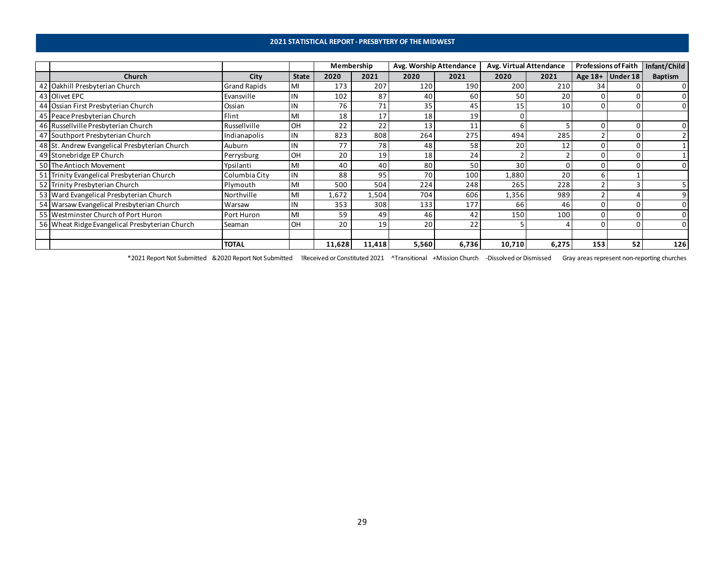### **2021 STATISTICAL REPORT - PRESBYTERY OF THE MIDWEST**

|                                                |                     |              | Membership |        |       | Avg. Worship Attendance | Avg. Virtual Attendance |       | <b>Professions of Faith</b> |                  | Infant/Child   |
|------------------------------------------------|---------------------|--------------|------------|--------|-------|-------------------------|-------------------------|-------|-----------------------------|------------------|----------------|
| Church                                         | City                | <b>State</b> | 2020       | 2021   | 2020  | 2021                    | 2020                    | 2021  |                             | Age 18+ Under 18 | <b>Baptism</b> |
| 42 Oakhill Presbyterian Church                 | <b>Grand Rapids</b> | MI           | 173        | 207    | 120   | 190                     | 200                     | 210   | 34                          |                  |                |
| 43 Olivet EPC                                  | Evansville          | IN           | 102        | 87     | 40    | 60                      | 50                      | 20    |                             |                  |                |
| 44 Ossian First Presbyterian Church            | Ossian              | IN           | 76         | 71     | 35    | 45                      | 15                      | 10    |                             |                  | $\Omega$       |
| 45 Peace Presbyterian Church                   | Flint               | MI           | 18         | 17     | 18    | 19                      |                         |       |                             |                  |                |
| 46 Russellville Presbyterian Church            | Russellville        | <b>OH</b>    | 22         | 22     | 13    | 11                      |                         |       |                             |                  | $\overline{0}$ |
| 47 Southport Presbyterian Church               | Indianapolis        | IN           | 823        | 808    | 264   | 275                     | 494                     | 285   |                             |                  |                |
| 48 St. Andrew Evangelical Presbyterian Church  | Auburn              |              | 77         | 78     | 48    | 58                      | 20                      |       |                             |                  |                |
| 49 Stonebridge EP Church                       | Perrysburg          | OH           | 20         | 19     | 18    | 24                      |                         |       |                             |                  |                |
| 50 The Antioch Movement                        | Ypsilanti           | MI           | 40         | 40     | 80    | 50                      | 30                      |       |                             |                  | $\Omega$       |
| 51 Trinity Evangelical Presbyterian Church     | Columbia City       | IN           | 88         | 95     | 70    | 100                     | 1,880                   | 20    |                             |                  |                |
| 52 Trinity Presbyterian Church                 | Plymouth            | MI           | 500        | 504    | 224   | 248                     | 265                     | 228   |                             |                  |                |
| 53 Ward Evangelical Presbyterian Church        | Northville          | MI           | 1,672      | 1,504  | 704   | 606                     | 1,356                   | 989   |                             |                  | 9              |
| 54 Warsaw Evangelical Presbyterian Church      | Warsaw              |              | 353        | 308    | 133   | 177                     | 66                      | 46    |                             |                  | $\overline{0}$ |
| 55 Westminster Church of Port Huron            | Port Huron          | MI           | 59         | 49     | 46    | 42                      | 150                     | 100   |                             |                  | $\overline{0}$ |
| 56 Wheat Ridge Evangelical Presbyterian Church | Seaman              | OH           | 20         | 19     | 20    | 22                      |                         |       |                             |                  | $\overline{0}$ |
|                                                |                     |              |            |        |       |                         |                         |       |                             |                  |                |
|                                                | <b>TOTAL</b>        |              | 11,628     | 11,418 | 5,560 | 6,736                   | 10,710                  | 6,275 | 153                         | 52               | 126            |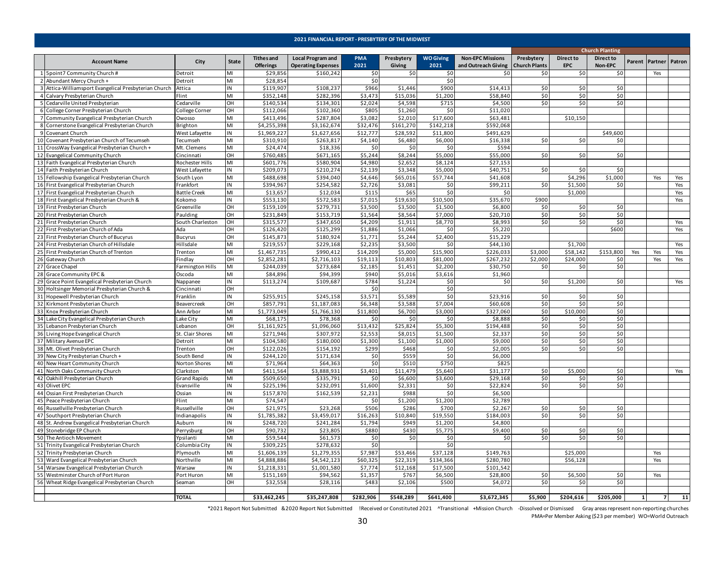<span id="page-29-0"></span>

|    |                                                       |                              |              |                                       | 2021 FINANCIAL REPORT - PRESBYTERY OF THE MIDWEST     |                    |                      |                          |                                                |                                    |                                |                        |              |                       |     |
|----|-------------------------------------------------------|------------------------------|--------------|---------------------------------------|-------------------------------------------------------|--------------------|----------------------|--------------------------|------------------------------------------------|------------------------------------|--------------------------------|------------------------|--------------|-----------------------|-----|
|    |                                                       |                              |              |                                       |                                                       |                    |                      |                          |                                                |                                    |                                | <b>Church Planting</b> |              |                       |     |
|    | <b>Account Name</b>                                   | City                         | <b>State</b> | <b>Tithes and</b><br><b>Offerings</b> | <b>Local Program and</b><br><b>Operating Expenses</b> | <b>PMA</b><br>2021 | Presbytery<br>Giving | <b>WO Giving</b><br>2021 | <b>Non-EPC Missions</b><br>and Outreach Giving | Presbytery<br><b>Church Plants</b> | <b>Direct to</b><br><b>EPC</b> | Direct to<br>Non-EPC   |              | Parent Partner Patron |     |
|    | 5point7 Community Church #                            | <b>Detroit</b>               | MI           | \$29,856                              | \$160,242                                             | \$0                | \$0                  | \$0                      | \$0                                            | \$0                                | \$0                            | \$0                    |              | Yes                   |     |
|    | 2 Abundant Mercy Church +                             | Detroit                      | MI           | \$28,854                              |                                                       | \$0                |                      | \$0                      |                                                |                                    |                                |                        |              |                       |     |
|    | 3 Attica-Williamsport Evangelical Presbyterian Church | Attica                       | IN           | \$119,907                             | \$108,237                                             | \$966              | \$1,446              | \$900                    | \$14,413                                       | \$0                                | \$0                            | \$0                    |              |                       |     |
|    | 4 Calvary Presbyterian Church                         | Flint                        | MI           | \$352,148                             | \$282,396                                             | \$3,473            | \$15,036             | \$1,200                  | \$58,840                                       | \$0                                | \$0                            | \$0                    |              |                       |     |
|    | 5 Cedarville United Presbyterian                      | Cedarville                   | OH           | \$140,534                             | \$134,301                                             | \$2,024            | \$4,598              | \$715                    | \$4,500                                        | \$0                                | \$0                            | \$0                    |              |                       |     |
|    | College Corner Presbyterian Church                    | College Corner               | OH           | \$112,066                             | \$102,360                                             | \$805              | \$1,260              | \$0                      | \$11,020                                       |                                    |                                |                        |              |                       |     |
|    | 7 Community Evangelical Presbyterian Church           | Owosso                       | MI           | \$413,496                             | \$287,804                                             | \$3,082            | \$2,010              | \$17,600                 | \$63,481                                       |                                    | \$10,150                       |                        |              |                       |     |
|    | 8 Cornerstone Evangelical Presbyterian Church         | Brighton                     | MI           | \$4,255,398                           | \$3,162,674                                           | \$32,476           | \$161,270            | \$142,218                | \$592,068                                      |                                    |                                |                        |              |                       |     |
| 9  | Covenant Church                                       | West Lafayette               | IN           | \$1,969,227                           | \$1,627,656                                           | \$12,777           | \$28,592             | \$11,800                 | \$491,629                                      |                                    |                                | \$49,600               |              |                       |     |
|    | 10 Covenant Presbyterian Church of Tecumseh           | Tecumseh                     | MI           | \$310,910                             | \$263,817                                             | \$4,140            | \$6,480              | \$6,000                  | \$16,338                                       | \$0                                | \$0                            | \$0                    |              |                       |     |
| 11 | CrossWay Evangelical Presbyterian Church +            | Mt. Clemens                  | MI           | \$24,474                              | \$18,336                                              | \$0                | \$0                  | \$0                      | \$594                                          |                                    |                                |                        |              |                       |     |
|    | 12 Evangelical Community Church                       | Cincinnati                   | OH           | \$760,485                             | \$671,165                                             | \$5,244            | \$8,244              | \$5,000                  | \$55,000                                       | \$0                                | \$0                            | \$0                    |              |                       |     |
|    | 13 Faith Evangelical Presbyterian Church              | Rochester Hills              | MI           | \$601,776                             | \$580,904                                             | \$4,980            | \$2,652              | \$8,124                  | \$27,153                                       |                                    |                                |                        |              |                       |     |
|    | 14 Faith Presbyterian Church                          | West Lafayette               | IN           | \$209,073                             | \$210,274                                             | \$2,139            | \$3,348              | \$5,000                  | \$40,751                                       | \$0                                | \$0                            | \$0                    |              |                       |     |
|    | 15 Fellowship Evangelical Presbyterian Church         | South Lyon                   | MI           | \$488,698                             | \$394,040                                             | \$4,646            | \$65,016             | \$57,744                 | \$41,608                                       |                                    | \$4,296                        | \$1,000                |              | Yes                   | Yes |
|    | 16 First Evangelical Presbyterian Church              | Frankfort                    | IN           | \$394,967                             | \$254,582                                             | \$2,726            | \$3,081              | \$0                      | \$99,211                                       | \$0                                | \$1.500                        | \$0                    |              |                       | Yes |
|    | 17 First Evangelical Presbyterian Church              | <b>Battle Creek</b>          | MI           | \$13,657                              | \$12,034                                              | \$115              | \$65                 | \$0                      | \$0                                            |                                    | \$1,000                        |                        |              |                       | Yes |
|    | 18 First Evangelical Presbyterian Church &            | <b>Kokomo</b>                | IN           | \$553,130                             | \$572,583                                             | \$7,015            | \$19,630             | \$10,500                 | \$35,670                                       | \$900                              |                                |                        |              |                       | Yes |
|    | 19 First Presbyterian Church                          | Greenville                   | OH           | \$159,109                             | \$279,731                                             | \$3,500            | \$3,500              | \$1,500                  | \$6,800                                        | \$0                                | \$0                            | \$0                    |              |                       |     |
|    | 20 First Presbyterian Church                          | Paulding                     | OH           | \$231,849                             | \$153,719                                             | \$1,564            | \$8,564              | \$7,000                  | \$20,710                                       | \$0                                | \$0                            | \$0                    |              |                       |     |
|    | 21 First Presbyterian Church                          | South Charleston             | OH           | \$315,577                             | \$347,650                                             | \$4,209            | \$1,911              | \$8,770                  | \$8,993                                        | \$0                                | \$0                            | \$0                    |              |                       | Yes |
|    | 22 First Presbyterian Church of Ada                   | Ada                          | OH           | \$126,420                             | \$125,299                                             | \$1,886            | \$1,066              | \$0                      | \$5,220                                        |                                    |                                | \$600                  |              |                       | Yes |
|    | 23 First Presbyterian Church of Bucyrus               | Bucyrus                      | OH           | \$145,873                             | \$180,924                                             | \$1,771            | \$5,244              | \$2,400                  | \$15,229                                       |                                    |                                |                        |              |                       |     |
|    | 24 First Presbyterian Church of Hillsdale             | Hillsdale                    | MI           | \$219,557                             | \$229,168                                             | \$2,235            | \$3,500              | \$0                      | \$44,130                                       |                                    | \$1,700                        |                        |              |                       | Yes |
|    | 25 First Presbyterian Church of Trenton               | Trenton                      | MI           | \$1,467,735                           | \$990,412                                             | \$14,209           | \$5,000              | \$15,900                 | \$226,033                                      | \$3,000                            | \$58,142                       | \$153,800              | Yes          | Yes                   | Yes |
|    | 26 Gateway Church                                     | Findlay                      | OH           | \$2,852,281                           | \$2,716,103                                           | \$19,113           | \$10,803             | \$81,000                 | \$267,232                                      | \$2,000                            | \$24,000                       | \$0                    |              | Yes                   | Yes |
|    | 27 Grace Chapel                                       | armington Hills <sup>-</sup> | MI           | \$244,039                             | \$273,684                                             | \$2,185            | \$1,451              | \$2,200                  | \$30,750                                       | \$0                                | \$0                            | \$0                    |              |                       |     |
| 28 | Grace Community EPC &                                 | Oscoda                       | MI           | \$84,896                              | \$94,399                                              | \$940              | \$5,016              | \$3,616                  | \$1,960                                        |                                    |                                |                        |              |                       |     |
|    | 29 Grace Point Evangelical Presbyterian Church        | Nappanee                     | IN           | \$113,274                             | \$109,687                                             | \$784              | \$1,224              | \$0                      | \$0                                            | \$0                                | \$1,200                        | \$0                    |              |                       | Yes |
|    | 30 Holtsinger Memorial Presbyterian Church &          | Cincinnat                    | OH           |                                       |                                                       | \$0                |                      | \$0                      |                                                |                                    |                                |                        |              |                       |     |
|    | 31 Hopewell Presbyterian Church                       | Franklin                     | IN           | \$255,915                             | \$245,158                                             | \$3,571            | \$5,589              | \$0                      | \$23,916                                       | \$0                                | \$0                            | \$0                    |              |                       |     |
|    | 32 Kirkmont Presbyterian Church                       | Beavercreek                  | OH           | \$857,791                             | \$1,187,083                                           | \$6,348            | \$3,588              | \$7,004                  | \$60,608                                       | \$0                                | \$0                            | \$0                    |              |                       |     |
| 33 | Knox Presbyterian Church                              | Ann Arboi                    | MI           | \$1,773,049                           | \$1,766,130                                           | \$11,800           | \$6,700              | \$3,000                  | \$327,060                                      | \$0                                | \$10,000                       | \$0                    |              |                       |     |
| 34 | Lake City Evangelical Presbyterian Church             | ake City.                    | MI           | \$68,175                              | \$78,368                                              | \$0                | \$0                  | \$0                      | \$8,888                                        | \$0                                | \$0                            | \$0                    |              |                       |     |
| 35 | Lebanon Presbyterian Church                           | Lebanon                      | OH           | \$1,161,925                           | \$1,096,060                                           | \$13,432           | \$25,824             | \$5,300                  | \$194,488                                      | \$0                                | \$0                            | \$0                    |              |                       |     |
| 36 | Living Hope Evangelical Church                        | St. Clair Shores             | MI           | \$271,946                             | \$307,972                                             | \$2,553            | \$8,015              | \$1,500                  | \$2,337                                        | \$0                                | \$0                            | \$0                    |              |                       |     |
|    | 37 Military Avenue EPC                                | Detroit                      | MI           | \$104,580                             | \$180,000                                             | \$1,300            | \$1,100              | \$1,000                  | \$9,000                                        | \$0                                | \$0                            | \$0                    |              |                       |     |
|    | 38 Mt. Olivet Presbyterian Church                     | Trenton                      | OH           | \$122,026                             | \$154,192                                             | \$299              | \$468                | \$0                      | \$2,005                                        | \$0                                | \$0                            | \$0                    |              |                       |     |
|    | 39 New City Presbyterian Church +                     | South Bend                   | IN           | \$244,120                             | \$171,634                                             | \$0                | \$559                | \$0                      | \$6,000                                        |                                    |                                |                        |              |                       |     |
|    | 40 New Heart Community Church                         | Norton Shores                | MI           | \$71,964                              | \$64,363                                              | \$0                | \$510                | \$750                    | \$825                                          |                                    |                                |                        |              |                       |     |
|    | 41 North Oaks Community Church                        | Clarkston                    | MI           | \$411,564                             | \$3,888,931                                           | \$3,401            | \$11,479             | \$5,640                  | \$31,177                                       | \$0                                | \$5,000                        | \$0                    |              |                       | Yes |
|    | 42 Oakhill Presbyterian Church                        | <b>Grand Rapids</b>          | MI           | \$509,650                             | \$335,791                                             | \$0                | \$6,600              | \$3,600                  | \$29,168                                       | \$0                                | \$0                            | \$0                    |              |                       |     |
| 43 | Olivet EPC                                            | Evansville                   | IN           | \$225,196                             | \$232,091                                             | \$1,600            | \$2,331              | \$0                      | \$22,824                                       | \$0                                | \$0                            | \$0                    |              |                       |     |
|    | 44 Ossian First Presbyterian Church                   | Ossian                       | IN           | \$157,870                             | \$162,539                                             | \$2,231            | \$988                | \$0                      | \$6,500                                        |                                    |                                |                        |              |                       |     |
| 45 | Peace Presbyterian Church                             | Flint                        | MI           | \$74,547                              |                                                       | \$0                | \$1,200              | \$1,200                  | \$2,789                                        |                                    |                                |                        |              |                       |     |
|    | 46 Russellville Presbyterian Church                   | Russellville                 | OH           | \$21,975                              | \$23,268                                              | \$506              | \$286                | \$700                    | \$2,267                                        | \$0                                | \$0                            | \$0                    |              |                       |     |
|    | 47 Southport Presbyterian Church                      | ndianapolis                  | IN           | \$1,785,382                           | \$3,459,017                                           | \$16,263           | \$10,840             | \$19,550                 | \$184,003                                      | \$0                                | \$0                            | \$0                    |              |                       |     |
| 48 | St. Andrew Evangelical Presbyterian Church            | Auburn                       | IN           | \$248,720                             | \$241,284                                             | \$1,794            | \$949                | \$1,200                  | \$4,800                                        |                                    |                                |                        |              |                       |     |
|    | 49 Stonebridge EP Church                              | Perrysburg                   | OH           | \$90,732                              | \$23,805                                              | \$880              | \$430                | \$5,775                  | \$9,400                                        | \$0                                | \$0                            | \$0                    |              |                       |     |
|    | 50 The Antioch Movement                               | Ypsilanti                    | MI           | \$59,544                              | \$61,573                                              | \$0                | \$0                  | \$0                      | \$0                                            | \$0                                | \$0                            | \$0                    |              |                       |     |
|    | 51 Trinity Evangelical Presbyterian Church            | Columbia City                | IN           | \$309,225                             | \$278,632                                             | \$0                |                      | \$0                      |                                                |                                    |                                |                        |              |                       |     |
|    | 52 Trinity Presbyterian Church                        | Plymouth                     | MI           | \$1,606,139                           | \$1,279,355                                           | \$7,987            | \$53,466             | \$37,128                 | \$149,763                                      |                                    | \$25,000                       |                        |              | Yes                   |     |
|    | 53 Ward Evangelical Presbyterian Church               | Northville                   | MI           | \$4,888,886                           | \$4,542,123                                           | \$60,325           | \$22,319             | \$134,366                | \$280,780                                      |                                    | \$56,128                       |                        |              | Yes                   |     |
|    | 54 Warsaw Evangelical Presbyterian Church             | Warsaw                       | IN           | \$1,218,331                           | \$1,001,580                                           | \$7,774            | \$12,168             | \$17,500                 | \$101,542                                      |                                    |                                |                        |              |                       |     |
|    | 55 Westminster Church of Port Huron                   | Port Huron                   | MI           | \$151,169                             | \$94,562                                              | \$1,357            | \$767                | \$6,500                  | \$28,800                                       | \$0                                | \$6,500                        | \$0                    |              | Yes                   |     |
|    | 56 Wheat Ridge Evangelical Presbyterian Church        | Seaman                       | OH           | \$32,558                              | \$28,116                                              | \$483              | \$2,106              | \$500                    | \$4,072                                        | \$0                                | \$0                            | \$0                    |              |                       |     |
|    |                                                       |                              |              |                                       |                                                       |                    |                      |                          |                                                |                                    |                                |                        |              |                       |     |
|    |                                                       | <b>TOTAL</b>                 |              | \$33,462,245                          | \$35,247,808                                          | \$282,906          | \$548,289            | \$641.400                | \$3,672,345                                    | \$5,900                            | \$204,616                      | \$205,000              | $\mathbf{1}$ | $\overline{7}$        | 11  |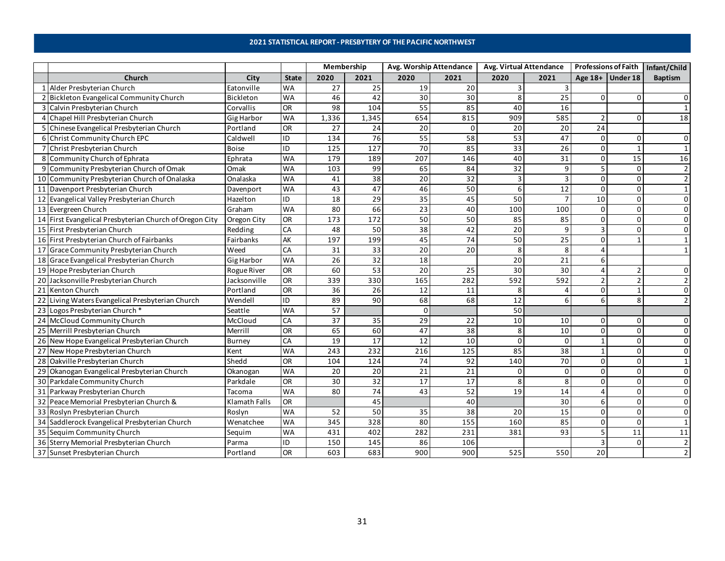### **2021 STATISTICAL REPORT - PRESBYTERY OF THE PACIFIC NORTHWEST**

<span id="page-30-0"></span>

|    |                                                         |                    |              | Membership |                 |                 | Avg. Worship Attendance | Avg. Virtual Attendance |                 | <b>Professions of Faith</b> |                  | Infant/Child   |
|----|---------------------------------------------------------|--------------------|--------------|------------|-----------------|-----------------|-------------------------|-------------------------|-----------------|-----------------------------|------------------|----------------|
|    | Church                                                  | City               | <b>State</b> | 2020       | 2021            | 2020            | 2021                    | 2020                    | 2021            |                             | Age 18+ Under 18 | <b>Baptism</b> |
|    | 1 Alder Presbyterian Church                             | Eatonville         | <b>WA</b>    | 27         | 25              | 19              | 20                      | 3                       | 3               |                             |                  |                |
|    | 2 Bickleton Evangelical Community Church                | <b>Bickleton</b>   | <b>WA</b>    | 46         | 42              | 30              | 30                      | 8                       | 25              | $\Omega$                    |                  | $\Omega$       |
|    | 3 Calvin Presbyterian Church                            | Corvallis          | OR           | 98         | 104             | 55              | 85                      | 40                      | 16              |                             |                  |                |
|    | 4 Chapel Hill Presbyterian Church                       | Gig Harbor         | <b>WA</b>    | 1,336      | 1,345           | 654             | 815                     | 909                     | 585             | $\overline{\phantom{0}}$    | <sup>0</sup>     | 18             |
|    | 5 Chinese Evangelical Presbyterian Church               | Portland           | OR           | 27         | 24              | 20              | $\Omega$                | 20                      | 20              | 24                          |                  |                |
|    | 6 Christ Community Church EPC                           | Caldwell           | ID           | 134        | 76              | 55              | 58                      | 53                      | 47              | $\Omega$                    |                  |                |
|    | Christ Presbyterian Church                              | <b>Boise</b>       | ID           | 125        | 127             | 70              | 85                      | 33                      | 26              | $\mathbf 0$                 | $\mathbf{1}$     |                |
| 8  | Community Church of Ephrata                             | Ephrata            | <b>WA</b>    | 179        | 189             | 207             | 146                     | 40                      | 31              | $\mathbf 0$                 | 15               | 16             |
| 9  | Community Presbyterian Church of Omak                   | Omak               | <b>WA</b>    | 103        | 99              | 65              | 84                      | 32                      | 9               | 5                           | $\Omega$         |                |
|    | 10 Community Presbyterian Church of Onalaska            | Onalaska           | <b>WA</b>    | 41         | $\overline{38}$ | 20              | 32                      | 3                       | $\overline{3}$  | 0                           | <sup>0</sup>     | $\overline{2}$ |
|    | 11 Davenport Presbyterian Church                        | Davenport          | <b>WA</b>    | 43         | 47              | 46              | 50                      | 6                       | $\overline{12}$ | $\Omega$                    | <sup>0</sup>     |                |
|    | 12 Evangelical Valley Presbyterian Church               | Hazelton           | ID           | 18         | 29              | 35              | 45                      | 50                      | $\overline{7}$  | 10                          | ŋ                | $\Omega$       |
|    | 13 Evergreen Church                                     | Graham             | <b>WA</b>    | 80         | 66              | $\overline{23}$ | 40                      | 100                     | 100             | 0                           | $\Omega$         | 0              |
|    | 14 First Evangelical Presbyterian Church of Oregon City | Oregon City        | OR           | 173        | 172             | 50              | 50                      | 85                      | 85              | $\Omega$                    |                  | $\Omega$       |
|    | 15 First Presbyterian Church                            | Redding            | CA           | 48         | 50              | 38              | 42                      | 20                      | 9               | $\overline{3}$              | n                | $\Omega$       |
|    | 16 First Presbyterian Church of Fairbanks               | Fairbanks          | AK           | 197        | 199             | 45              | 74                      | 50                      | 25              | $\Omega$                    |                  |                |
|    | 17 Grace Community Presbyterian Church                  | Weed               | CA           | 31         | 33              | 20              | 20                      | 8                       | 8               | $\Delta$                    |                  |                |
|    | 18 Grace Evangelical Presbyterian Church                | <b>Gig Harbor</b>  | <b>WA</b>    | 26         | 32              | 18              |                         | 20                      | $\overline{21}$ | 6                           |                  |                |
|    | 19 Hope Presbyterian Church                             | <b>Rogue River</b> | <b>OR</b>    | 60         | $\overline{53}$ | 20              | 25                      | 30                      | 30              | $\overline{a}$              |                  |                |
|    | 20 Jacksonville Presbyterian Church                     | Jacksonville       | OR           | 339        | 330             | 165             | 282                     | 592                     | 592             | $\overline{2}$              |                  |                |
|    | 21 Kenton Church                                        | Portland           | OR           | 36         | 26              | 12              | 11                      | 8                       | 4               | 0                           |                  | $\Omega$       |
| 22 | Living Waters Evangelical Presbyterian Church           | Wendell            | ID           | 89         | 90              | 68              | 68                      | 12                      | 6               | 6                           |                  |                |
|    | 23 Logos Presbyterian Church *                          | Seattle            | <b>WA</b>    | 57         |                 | $\mathbf 0$     |                         | 50                      |                 |                             |                  |                |
|    | 24 McCloud Community Church                             | McCloud            | CA           | 37         | 35              | 29              | 22                      | 10                      | 10              | $\Omega$                    |                  | 0              |
|    | 25 Merrill Presbyterian Church                          | Merrill            | 8            | 65         | 60              | 47              | 38                      | 8                       | 10              | $\Omega$                    |                  | $\Omega$       |
|    | 26 New Hope Evangelical Presbyterian Church             | <b>Burney</b>      | CA           | 19         | 17              | 12              | 10                      | $\Omega$                | $\Omega$        | $\mathbf{1}$                |                  | $\Omega$       |
|    | 27 New Hope Presbyterian Church                         | Kent               | <b>WA</b>    | 243        | 232             | 216             | 125                     | 85                      | 38              | $\mathbf{1}$                |                  | $\Omega$       |
|    | 28 Oakville Presbyterian Church                         | Shedd              | 8O           | 104        | 124             | 74              | 92                      | 140                     | $\overline{70}$ | $\mathbf 0$                 | $\Omega$         |                |
|    | 29 Okanogan Evangelical Presbyterian Church             | Okanogan           | <b>WA</b>    | 20         | 20              | 21              | 21                      | $\Omega$                | 0               | $\Omega$                    | $\Omega$         | $\Omega$       |
|    | 30 Parkdale Community Church                            | Parkdale           | 8O           | 30         | 32              | 17              | 17                      | 8                       | 8               | $\Omega$                    | $\Omega$         | 0              |
|    | 31 Parkway Presbyterian Church                          | Tacoma             | <b>WA</b>    | 80         | 74              | 43              | 52                      | 19                      | 14              | $\Delta$                    | <sup>0</sup>     | $\Omega$       |
|    | 32 Peace Memorial Presbyterian Church &                 | Klamath Falls      | OR           |            | 45              |                 | 40                      |                         | 30              | 6                           | O                | $\Omega$       |
|    | 33 Roslyn Presbyterian Church                           | Roslyn             | <b>WA</b>    | 52         | 50              | 35              | 38                      | 20                      | 15              | 0                           | O                | $\Omega$       |
|    | 34 Saddlerock Evangelical Presbyterian Church           | Wenatchee          | <b>WA</b>    | 345        | 328             | 80              | 155                     | 160                     | 85              | $\Omega$                    | <sup>0</sup>     |                |
|    | 35 Sequim Community Church                              | Sequim             | <b>WA</b>    | 431        | 402             | 282             | 231                     | 381                     | 93              | 5                           | 11               | 11             |
|    | 36 Sterry Memorial Presbyterian Church                  | Parma              | ID           | 150        | 145             | 86              | 106                     |                         |                 | $\overline{3}$              | ŋ                |                |
|    | 37 Sunset Presbyterian Church                           | Portland           | OR           | 603        | 683             | 900             | 900                     | 525                     | 550             | 20                          |                  |                |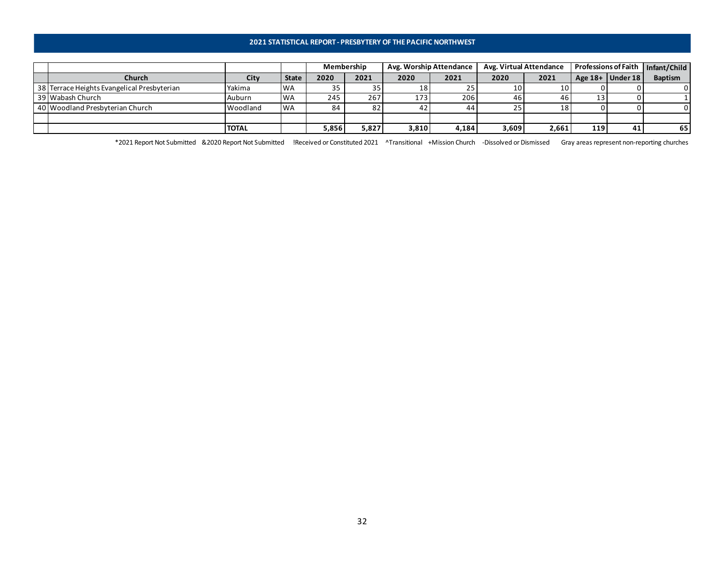### **2021 STATISTICAL REPORT - PRESBYTERY OF THE PACIFIC NORTHWEST**

|                                             |              |              | Membership |       |       | Avg. Worship Attendance | Avg. Virtual Attendance |       |     |                      | Professions of Faith   Infant/Child |
|---------------------------------------------|--------------|--------------|------------|-------|-------|-------------------------|-------------------------|-------|-----|----------------------|-------------------------------------|
| Church                                      | City         | <b>State</b> | 2020       | 2021  | 2020  | 2021                    | 2020                    | 2021  |     | Age $18+$ Under $18$ | <b>Baptism</b>                      |
| 38 Terrace Heights Evangelical Presbyterian | Yakima       | <b>WA</b>    | 35         |       | 18    | 25                      | 10                      | 10    |     |                      |                                     |
| 39 Wabash Church                            | Auburn       | <b>WA</b>    | 245        | 267   | 173   | 206                     | 461                     | 46    |     |                      |                                     |
| 40 Woodland Presbyterian Church             | Woodland     | <b>WA</b>    | 84         |       | 42    | 44                      | 25                      | 18    |     |                      |                                     |
|                                             |              |              |            |       |       |                         |                         |       |     |                      |                                     |
|                                             | <b>TOTAL</b> |              | 5,856      | 5,827 | 3,810 | 4,184                   | 3,609                   | 2,661 | 119 | 41                   | 65                                  |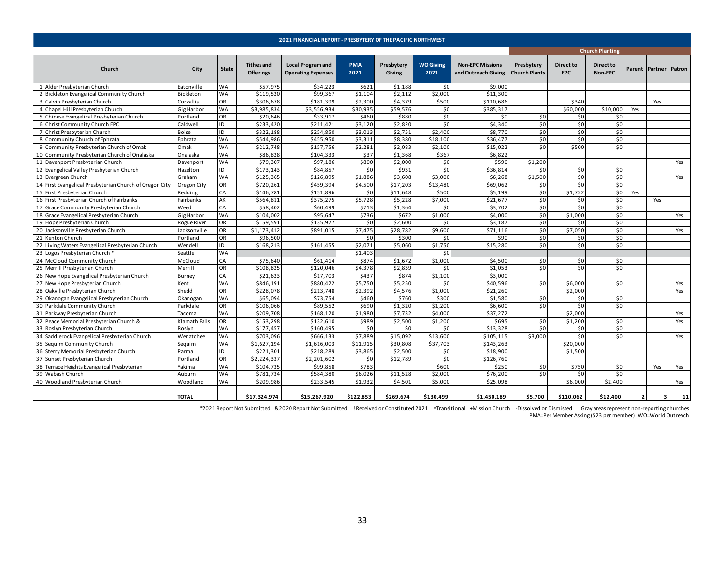<span id="page-32-0"></span>

|                                                         |                    |              |                                       | 2021 FINANCIAL REPORT - PRESBYTERY OF THE PACIFIC NORTHWEST |                    |                      |                          |                                                |                                    |                         |                        |     |                           |     |
|---------------------------------------------------------|--------------------|--------------|---------------------------------------|-------------------------------------------------------------|--------------------|----------------------|--------------------------|------------------------------------------------|------------------------------------|-------------------------|------------------------|-----|---------------------------|-----|
|                                                         |                    |              |                                       |                                                             |                    |                      |                          |                                                |                                    |                         | <b>Church Planting</b> |     |                           |     |
| Church                                                  | City               | <b>State</b> | <b>Tithes and</b><br><b>Offerings</b> | <b>Local Program and</b><br><b>Operating Expenses</b>       | <b>PMA</b><br>2021 | Presbytery<br>Giving | <b>WO Giving</b><br>2021 | <b>Non-EPC Missions</b><br>and Outreach Giving | Presbytery<br><b>Church Plants</b> | Direct to<br><b>EPC</b> | Direct to<br>Non-EPC   |     | Parent   Partner   Patron |     |
| 1 Alder Presbyterian Church                             | Eatonville         | <b>WA</b>    | \$57,975                              | \$34,223                                                    | \$621              | \$1,188              | \$0                      | \$9,000                                        |                                    |                         |                        |     |                           |     |
| 2 Bickleton Evangelical Community Church                | Bickleton          | WA           | \$119,520                             | \$99,367                                                    | \$1,104            | \$2,112              | \$2,000                  | \$11,300                                       |                                    |                         |                        |     |                           |     |
| 3 Calvin Presbyterian Church                            | Corvallis          | OR           | \$306,678                             | \$181,399                                                   | \$2,300            | \$4,379              | \$500                    | \$110,686                                      |                                    | \$340                   |                        |     | Yes                       |     |
| 4 Chapel Hill Presbyterian Church                       | <b>Gig Harbor</b>  | WA           | \$3,985,834                           | \$3,556,934                                                 | \$30,935           | \$59,576             | \$0                      | \$385,317                                      |                                    | \$60,000                | \$10,000               | Yes |                           |     |
| 5 Chinese Evangelical Presbyterian Church               | Portland           | OR           | \$20,646                              | \$33,917                                                    | \$460              | \$880                | \$0                      | \$0                                            | \$0                                | \$0                     | \$0                    |     |                           |     |
| 6 Christ Community Church EPC                           | Caldwell           | ID           | \$233,420                             | \$211,421                                                   | \$3,120            | \$2,820              | \$0                      | \$4,340                                        | \$0                                | \$0                     | \$0                    |     |                           |     |
| Christ Presbyterian Church                              | <b>Boise</b>       | ID           | \$322,188                             | \$254,850                                                   | \$3,013            | \$2,75               | \$2,400                  | \$8,770                                        | \$0                                | \$0                     | \$0                    |     |                           |     |
| 8 Community Church of Ephrata                           | Ephrata            | <b>WA</b>    | \$544,986                             | \$455,950                                                   | \$3,311            | \$8,380              | \$18,100                 | \$36,477                                       | \$0                                | \$0                     | \$0                    |     |                           |     |
| 9 Community Presbyterian Church of Omak                 | Omak               | <b>WA</b>    | \$212,748                             | \$157,756                                                   | \$2,281            | \$2,083              | \$2,100                  | \$15,022                                       | \$0                                | \$500                   | \$0                    |     |                           |     |
| 10 Community Presbyterian Church of Onalaska            | Onalaska           | WA           | \$86,828                              | \$104,333                                                   | \$37               | \$1,368              | \$367                    | \$6,822                                        |                                    |                         |                        |     |                           |     |
| 11 Davenport Presbyterian Church                        | Davenport          | WA           | \$79,307                              | \$97,186                                                    | \$800              | \$2,000              | \$0                      | \$590                                          | \$1,200                            |                         |                        |     |                           | Yes |
| 12 Evangelical Valley Presbyterian Church               | Hazelton           | ID           | \$173,143                             | \$84,857                                                    | \$0                | \$931                | \$0                      | \$36,814                                       | \$0                                | \$0                     | \$0                    |     |                           |     |
| 13 Evergreen Church                                     | Graham             | <b>WA</b>    | \$125,365                             | \$126,895                                                   | \$1,886            | \$3,608              | \$3,000                  | \$6,268                                        | \$1,500                            | \$0                     | \$0                    |     |                           | Yes |
| 14 First Evangelical Presbyterian Church of Oregon City | Oregon City        | OR           | \$720,261                             | \$459,394                                                   | \$4,500            | \$17,203             | \$13,480                 | \$69,062                                       | \$0                                | \$0                     | \$0                    |     |                           |     |
| 15 First Presbyterian Church                            | Redding            | CA           | \$146,781                             | \$151,896                                                   | \$0                | \$11,648             | \$500                    | \$5,199                                        | \$0                                | \$1,722                 | \$0                    | Yes |                           |     |
| 16 First Presbyterian Church of Fairbanks               | Fairbanks          | AK           | \$564,811                             | \$375,275                                                   | \$5,728            | \$5,228              | \$7,000                  | \$21,677                                       | \$0                                | \$0                     | \$0                    |     | Yes                       |     |
| 17 Grace Community Presbyterian Church                  | Weed               | CA           | \$58,402                              | \$60,499                                                    | \$713              | \$1,364              | \$0                      | \$3,702                                        | \$0                                | \$0                     | \$0                    |     |                           |     |
| 18 Grace Evangelical Presbyterian Church                | Gig Harbor         | <b>WA</b>    | \$104,002                             | \$95,647                                                    | \$736              | \$672                | \$1,000                  | \$4,000                                        | \$0                                | \$1,000                 | \$0                    |     |                           | Yes |
| 19 Hope Presbyterian Church                             | <b>Rogue River</b> | OR           | \$159,591                             | \$135,977                                                   | \$0                | \$2,600              | \$0                      | \$3,187                                        | \$0                                | \$0                     | \$0                    |     |                           |     |
| 20 Jacksonville Presbyterian Church                     | Jacksonville       | OR           | \$1,173,412                           | \$891,015                                                   | \$7,475            | \$28,782             | \$9,600                  | \$71,116                                       | \$0                                | \$7,050                 | \$0                    |     |                           | Yes |
| 21 Kenton Church                                        | Portland           | OR           | \$96,500                              |                                                             | \$0                | \$300                | \$0                      | \$90                                           | \$0                                | \$0                     | \$0                    |     |                           |     |
| 22 Living Waters Evangelical Presbyterian Church        | Wendell            | ID           | \$168,213                             | \$161,455                                                   | \$2,071            | \$5,060              | \$1,750                  | \$15,280                                       | \$0                                | \$0                     | \$0                    |     |                           |     |
| 23 Logos Presbyterian Church *                          | Seattle            | <b>WA</b>    |                                       |                                                             | \$1,403            |                      | \$0                      |                                                |                                    |                         |                        |     |                           |     |
| 24 McCloud Community Church                             | McCloud            | CA           | \$75,640                              | \$61,414                                                    | \$874              | \$1,672              | \$1,000                  | \$4,500                                        | \$0                                | \$0                     | \$0                    |     |                           |     |
| 25 Merrill Presbyterian Church                          | Merrill            | OR           | \$108,825                             | \$120,046                                                   | \$4,378            | \$2,839              | \$0                      | \$1,053                                        | \$0                                | \$0                     | \$0                    |     |                           |     |
| 26 New Hope Evangelical Presbyterian Church             | Burney             | CA           | \$21,623                              | \$17,703                                                    | \$437              | \$874                | \$1,100                  | \$3,000                                        |                                    |                         |                        |     |                           |     |
| 27 New Hope Presbyterian Church                         | Kent               | <b>WA</b>    | \$846,191                             | \$880,422                                                   | \$5,750            | \$5,250              | \$0                      | \$40,596                                       | \$0                                | \$6,000                 | \$0                    |     |                           | Yes |
| 28 Oakville Presbyterian Church                         | Shedd              | OR           | \$228,078                             | \$213,748                                                   | \$2,392            | \$4,576              | \$1,000                  | \$21,260                                       |                                    | \$2,000                 |                        |     |                           | Yes |
| 29 Okanogan Evangelical Presbyterian Church             | Okanogan           | <b>WA</b>    | \$65,094                              | \$73,754                                                    | \$460              | \$760                | \$300                    | \$1,580                                        | \$0                                | \$0                     | \$0                    |     |                           |     |
| 30 Parkdale Community Church                            | Parkdale           | OR           | \$106,066                             | \$89,552                                                    | \$690              | \$1,320              | \$1,200                  | \$6,600                                        | \$0                                | \$0                     | \$0                    |     |                           |     |
| 31 Parkway Presbyterian Church                          | Tacoma             | WA           | \$209,708                             | \$168,120                                                   | \$1,980            | \$7,732              | \$4,000                  | \$37,272                                       |                                    | \$2,000                 |                        |     |                           | Yes |
| 32 Peace Memorial Presbyterian Church &                 | Klamath Falls      | OR           | \$153,298                             | \$132,610                                                   | \$989              | \$2,500              | \$1,200                  | \$695                                          | \$0                                | \$1,200                 | \$0                    |     |                           | Yes |
| 33 Roslyn Presbyterian Church                           | Roslyn             | <b>WA</b>    | \$177,457                             | \$160,495                                                   | \$0                | \$0                  | \$0                      | \$13,328                                       | \$0                                | \$0                     | \$0                    |     |                           |     |
| 34 Saddlerock Evangelical Presbyterian Church           | Wenatchee          | <b>WA</b>    | \$703,096                             | \$666,133                                                   | \$7,889            | \$15,092             | \$13,600                 | \$105,115                                      | \$3,000                            | \$0                     | \$0                    |     |                           | Yes |
| 35 Sequim Community Church                              | Sequim             | <b>WA</b>    | \$1,627,194                           | \$1,616,003                                                 | \$11,915           | \$30,808             | \$37,703                 | \$143,263                                      |                                    | \$20,000                |                        |     |                           |     |
| 36 Sterry Memorial Presbyterian Church                  | Parma              | ID           | \$221,301                             | \$218,289                                                   | \$3,865            | \$2,500              | \$0                      | \$18,900                                       |                                    | \$1,500                 |                        |     |                           |     |
| 37 Sunset Presbyterian Church                           | Portland           | OR           | \$2,224,337                           | \$2,201,602                                                 | \$0                | \$12,789             | \$0                      | \$126,760                                      |                                    |                         |                        |     |                           |     |
| 38 Terrace Heights Evangelical Presbyterian             | Yakima             | <b>WA</b>    | \$104,735                             | \$99,858                                                    | \$783              |                      | \$600                    | \$250                                          | \$0                                | \$750                   | \$0                    |     | Yes                       | Yes |
| 39 Wabash Church                                        | Auburn             | <b>WA</b>    | \$781,734                             | \$584,380                                                   | \$6,026            | \$11,528             | \$2,000                  | \$76,200                                       | \$0                                | \$0                     | \$0                    |     |                           |     |
| 40 Woodland Presbyterian Church                         | Woodland           | <b>WA</b>    | \$209,986                             | \$233,545                                                   | \$1,932            | \$4,501              | \$5,000                  | \$25,098                                       |                                    | \$6,000                 | \$2,400                |     |                           | Yes |
|                                                         |                    |              |                                       |                                                             |                    |                      |                          |                                                |                                    |                         |                        |     |                           |     |
|                                                         | <b>TOTAL</b>       |              | \$17.324.974                          | \$15,267,920                                                | \$122,853          | \$269.674            | \$130.499                | \$1.450.189                                    | \$5.700                            | \$110.062               | \$12,400               | 2   | $\overline{\mathbf{3}}$   | 11  |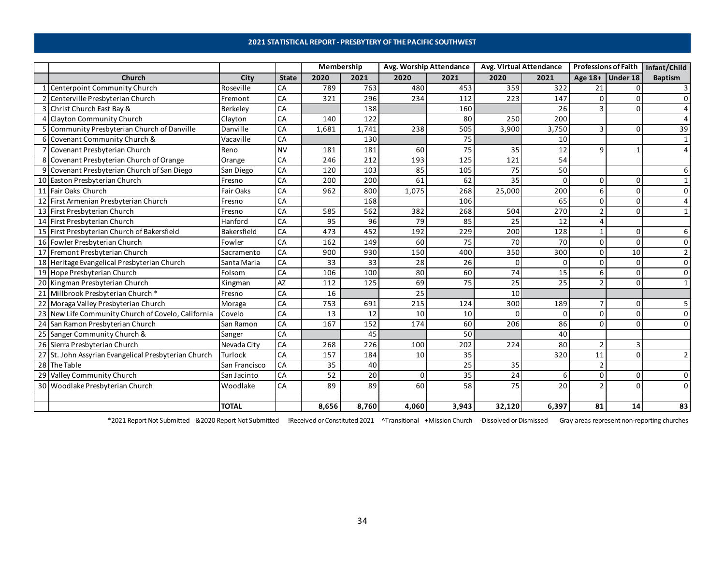### **2021 STATISTICAL REPORT - PRESBYTERY OF THE PACIFIC SOUTHWEST**

<span id="page-33-0"></span>

|    |                                                    |               |              | Membership |       | Avg. Worship Attendance |                 | Avg. Virtual Attendance |              | <b>Professions of Faith</b> |                    | Infant/Child   |
|----|----------------------------------------------------|---------------|--------------|------------|-------|-------------------------|-----------------|-------------------------|--------------|-----------------------------|--------------------|----------------|
|    | Church                                             | City          | <b>State</b> | 2020       | 2021  | 2020                    | 2021            | 2020                    | 2021         |                             | Age $18+$ Under 18 | <b>Baptism</b> |
|    | Centerpoint Community Church                       | Roseville     | CA           | 789        | 763   | 480                     | 453             | 359                     | 322          | 21                          |                    | 3              |
|    | 2 Centerville Presbyterian Church                  | Fremont       | CA           | 321        | 296   | 234                     | 112             | 223                     | 147          | 0                           |                    | $\Omega$       |
|    | 3 Christ Church East Bay &                         | Berkeley      | CA           |            | 138   |                         | 160             |                         | 26           | 3                           |                    |                |
|    | <b>Clayton Community Church</b>                    | Clayton       | CA           | 140        | 122   |                         | 80              | 250                     | 200          |                             |                    |                |
|    | Community Presbyterian Church of Danville          | Danville      | CA           | 1,681      | 1,741 | 238                     | 505             | 3,900                   | 3,750        | 3                           |                    | 39             |
|    | 6 Covenant Community Church &                      | Vacaville     | CA           |            | 130   |                         | $\overline{75}$ |                         | 10           |                             |                    |                |
|    | Covenant Presbyterian Church                       | Reno          | <b>NV</b>    | 181        | 181   | 60                      | 75              | 35                      | 12           | 9                           |                    |                |
|    | Covenant Presbyterian Church of Orange             | Orange        | CA           | 246        | 212   | 193                     | 125             | 121                     | 54           |                             |                    |                |
|    | 9 Covenant Presbyterian Church of San Diego        | San Diego     | CA           | 120        | 103   | 85                      | 105             | 75                      | 50           |                             |                    |                |
|    | 10 Easton Presbyterian Church                      | Fresno        | CA           | 200        | 200   | 61                      | 62              | 35                      | $\mathbf{0}$ | 0                           | n                  |                |
|    | 11 Fair Oaks Church                                | Fair Oaks     | CA           | 962        | 800   | 1,075                   | 268             | 25,000                  | 200          | 6                           | n                  | O              |
|    | 12 First Armenian Presbyterian Church              | Fresno        | CA           |            | 168   |                         | 106             |                         | 65           | 0                           |                    |                |
|    | 13 First Presbyterian Church                       | Fresno        | CA           | 585        | 562   | 382                     | 268             | 504                     | 270          | $\overline{2}$              |                    |                |
|    | 14 First Presbyterian Church                       | Hanford       | CA           | 95         | 96    | 79                      | 85              | 25                      | 12           | 4                           |                    |                |
|    | 15 First Presbyterian Church of Bakersfield        | Bakersfield   | CA           | 473        | 452   | 192                     | 229             | 200                     | 128          | $\mathbf{1}$                | n                  | 6              |
|    | 16 Fowler Presbyterian Church                      | Fowler        | CA           | 162        | 149   | 60                      | 75              | 70                      | 70           | 0                           | $\Omega$           | $\Omega$       |
|    | 17 Fremont Presbyterian Church                     | Sacramento    | CA           | 900        | 930   | 150                     | 400             | 350                     | 300          | 0                           | 10                 | $\mathcal{P}$  |
|    | 18 Heritage Evangelical Presbyterian Church        | Santa Maria   | CA           | 33         | 33    | 28                      | 26              | 0                       | $\mathbf{0}$ | 0                           |                    | $\Omega$       |
|    | 19 Hope Presbyterian Church                        | Folsom        | CA           | 106        | 100   | 80                      | 60              | 74                      | 15           | 6                           | $\Omega$           | $\Omega$       |
|    | 20 Kingman Presbyterian Church                     | Kingman       | AZ           | 112        | 125   | 69                      | 75              | 25                      | 25           | $\overline{2}$              |                    |                |
|    | 21 Millbrook Presbyterian Church*                  | Fresno        | CA           | 16         |       | 25                      |                 | 10                      |              |                             |                    |                |
|    | 22 Moraga Valley Presbyterian Church               | Moraga        | CA           | 753        | 691   | 215                     | 124             | 300                     | 189          | $\overline{7}$              |                    |                |
|    | 23 New Life Community Church of Covelo, California | Covelo        | CA           | 13         | 12    | 10                      | 10              | O.                      | $\Omega$     | 0                           |                    |                |
|    | 24 San Ramon Presbyterian Church                   | San Ramon     | CA           | 167        | 152   | 174                     | 60              | 206                     | 86           | 0                           | n                  | $\Omega$       |
|    | 25 Sanger Community Church &                       | Sanger        | CA           |            | 45    |                         | 50              |                         | 40           |                             |                    |                |
|    | 26 Sierra Presbyterian Church                      | Nevada City   | CA           | 268        | 226   | 100                     | 202             | 224                     | 80           | $\overline{2}$              |                    |                |
| 27 | St. John Assyrian Evangelical Presbyterian Church  | Turlock       | CA           | 157        | 184   | 10                      | 35              |                         | 320          | 11                          | n                  |                |
|    | 28 The Table                                       | San Francisco | CA           | 35         | 40    |                         | 25              | 35                      |              | $\overline{2}$              |                    |                |
|    | 29 Valley Community Church                         | San Jacinto   | CA           | 52         | 20    | 0                       | 35              | 24                      | 6            | 0                           | n                  | 0              |
|    | 30 Woodlake Presbyterian Church                    | Woodlake      | CA           | 89         | 89    | 60                      | 58              | 75                      | 20           | $\overline{2}$              |                    | 0              |
|    |                                                    |               |              |            |       |                         |                 |                         |              |                             |                    |                |
|    |                                                    | <b>TOTAL</b>  |              | 8,656      | 8,760 | 4,060                   | 3,943           | 32,120                  | 6,397        | 81                          | 14                 | 83             |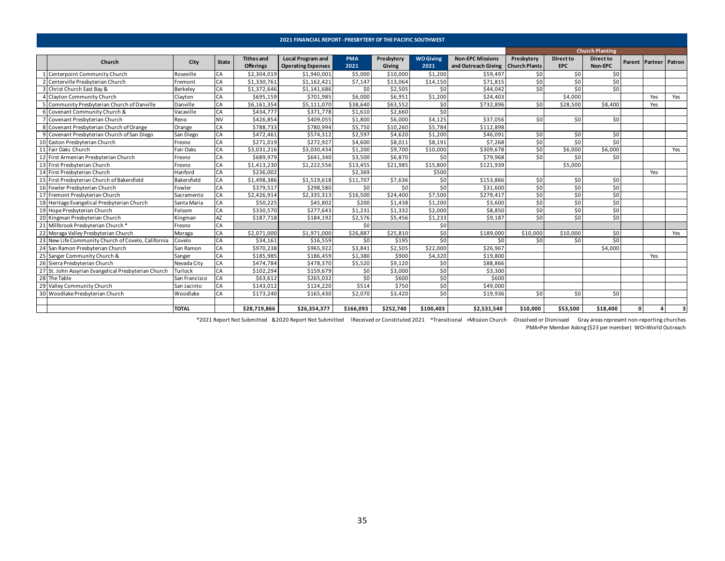<span id="page-34-0"></span>

|   |                                                      |               |              |                                       | <b>2021 FINANCIAL REPORT - PRESBYTERY OF THE PACIFIC SOUTHWEST</b> |                    |                             |                          |                                                                |                 |                                |                             |    |                       |     |
|---|------------------------------------------------------|---------------|--------------|---------------------------------------|--------------------------------------------------------------------|--------------------|-----------------------------|--------------------------|----------------------------------------------------------------|-----------------|--------------------------------|-----------------------------|----|-----------------------|-----|
|   |                                                      |               |              |                                       |                                                                    |                    |                             |                          |                                                                |                 |                                | <b>Church Planting</b>      |    |                       |     |
|   | Church                                               | City          | <b>State</b> | <b>Tithes and</b><br><b>Offerings</b> | <b>Local Program and</b><br><b>Operating Expenses</b>              | <b>PMA</b><br>2021 | Presbytery<br><b>Giving</b> | <b>WO Giving</b><br>2021 | <b>Non-EPC Missions</b><br>and Outreach Giving   Church Plants | Presbytery      | <b>Direct to</b><br><b>EPC</b> | <b>Direct to</b><br>Non-EPC |    | Parent Partner Patron |     |
|   | Centerpoint Community Church                         | Roseville     | CA           | \$2,304,019                           | \$1,940,001                                                        | \$5,000            | \$10,000                    | \$1,200                  | \$59,497                                                       | \$0             | \$0                            | \$0                         |    |                       |     |
|   | Centerville Presbyterian Church                      | Fremont       | CA           | \$1,330,761                           | \$1,162,421                                                        | \$7,147            | \$13,064                    | \$14,150                 | \$71,815                                                       | \$0             | 50                             | \$0                         |    |                       |     |
| 3 | Christ Church East Bay &                             | Berkeley      | CA           | \$1,372,646                           | \$1,141,686                                                        | \$0                | \$2,505                     | \$0                      | \$44,042                                                       | \$0             | 50                             | \$0                         |    |                       |     |
|   | <b>Clayton Community Church</b>                      | Clayton       | CA           | \$695.159                             | \$701,985                                                          | \$6,000            | \$6.951                     | \$1,200                  | \$24,403                                                       |                 | \$4,000                        |                             |    | Yes                   | Yes |
|   | Community Presbyterian Church of Danville            | Danville      | CA           | \$6,161,354                           | \$5,111,070                                                        | \$38,640           | \$63,552                    | \$0                      | \$732,896                                                      | 50 <sub>1</sub> | \$28,500                       | \$8,400                     |    | Yes                   |     |
|   | Covenant Community Church &                          | Vacaville     | CA           | \$434,777                             | \$371,778                                                          | \$1,610            | \$2,660                     | \$0                      |                                                                |                 |                                |                             |    |                       |     |
|   | Covenant Presbyterian Church                         | Reno          | <b>NV</b>    | \$426,854                             | \$409,055                                                          | \$1,800            | \$6,000                     | \$4,125                  | \$37,056                                                       | \$0             | \$0                            | \$0                         |    |                       |     |
|   | Covenant Presbyterian Church of Orange               | Orange        | <b>CA</b>    | \$788,733                             | \$780,994                                                          | \$5,750            | \$10,260                    | \$5,784                  | \$112,898                                                      |                 |                                |                             |    |                       |     |
| 9 | Covenant Presbyterian Church of San Diego            | San Diego     | <b>CA</b>    | \$472,461                             | \$574,312                                                          | \$2,597            | \$4,620                     | \$1,200                  | \$46,091                                                       | 50 <sub>1</sub> | \$0                            | \$0                         |    |                       |     |
|   | 10 Easton Presbyterian Church                        | Fresno        | CA           | \$271,019                             | \$272,927                                                          | \$4,600            | \$8,011                     | \$8,191                  | \$7,268                                                        | \$0             | \$0                            | \$0                         |    |                       |     |
|   | 11 Fair Oaks Church                                  | Fair Oaks     | CA           | \$3,031,216                           | \$3,030,434                                                        | \$1,200            | \$9,700                     | \$10,000                 | \$309,678                                                      | \$0             | \$6,000                        | \$6,000                     |    |                       | Yes |
|   | 12 First Armenian Presbyterian Church                | Fresno        | CA           | \$689,979                             | \$641,340                                                          | \$3,500            | \$6,870                     | \$0                      | \$79,968                                                       | 50 <sub>1</sub> | 50                             | \$0                         |    |                       |     |
|   | 13 First Presbyterian Church                         | Fresno        | <b>CA</b>    | \$1,413,230                           | \$1,222,556                                                        | \$13,455           | \$21,985                    | \$15,800                 | \$121,939                                                      |                 | \$5,000                        |                             |    |                       |     |
|   | 14 First Presbyterian Church                         | Hanford       | CA           | \$236,002                             |                                                                    | \$2,369            |                             | \$500                    |                                                                |                 |                                |                             |    | Yes                   |     |
|   | 15 First Presbyterian Church of Bakersfield          | Bakersfield   | <b>CA</b>    | \$1,498,386                           | \$1,519,618                                                        | \$11.707           | \$7,636                     | \$0                      | \$153,866                                                      | 50 <sub>1</sub> | \$0                            | \$0                         |    |                       |     |
|   | 16 Fowler Presbyterian Church                        | Fowler        | CA           | \$379.517                             | \$298,580                                                          | \$0                | \$0                         | \$0                      | \$31,600                                                       | \$0             | \$0                            | \$0                         |    |                       |     |
|   | 17 Fremont Presbyterian Church                       | Sacramento    | CA           | \$2,426,914                           | \$2,335,313                                                        | \$16,500           | \$24,400                    | \$7,500                  | \$279,417                                                      | \$0             | \$0                            | \$0                         |    |                       |     |
|   | 18 Heritage Evangelical Presbyterian Church          | Santa Maria   | CA           | \$50,225                              | \$45,802                                                           | \$200              | \$1,438                     | \$1,200                  | \$3,600                                                        | \$0             | \$0                            | \$0                         |    |                       |     |
|   | 19 Hope Presbyterian Church                          | Folsom        | CA           | \$330.570                             | \$277.643                                                          | \$1.231            | \$1.332                     | \$2,000                  | \$8,850                                                        | \$0             | \$0                            | \$0                         |    |                       |     |
|   | 20 Kingman Presbyterian Church                       | Kingman       | <b>AZ</b>    | \$187,718                             | \$184,192                                                          | \$2,576            | \$5,456                     | \$1,233                  | \$9,187                                                        | \$0             | 50                             | \$0                         |    |                       |     |
|   | 21 Millbrook Presbyterian Church*                    | Fresno        | CA           |                                       |                                                                    | \$0                |                             | \$0                      |                                                                |                 |                                |                             |    |                       |     |
|   | 22 Moraga Valley Presbyterian Church                 | Moraga        | <b>CA</b>    | \$2,071,000                           | \$1,971,000                                                        | \$26,887           | \$25,810                    | \$0                      | \$189,000                                                      | \$10,000        | \$10,000                       | \$0                         |    |                       | Yes |
|   | 23 New Life Community Church of Covelo, California   | Covelo        | <b>CA</b>    | \$34,161                              | \$16,559                                                           | \$0                | \$195                       | \$0                      | \$0                                                            | 50 <sub>1</sub> | \$0                            | \$0                         |    |                       |     |
|   | 24 San Ramon Presbyterian Church                     | San Ramon     | CA           | \$970,238                             | \$965,922                                                          | \$3,841            | \$2,505                     | \$22,000                 | \$26,967                                                       |                 |                                | \$4,000                     |    |                       |     |
|   | 25 Sanger Community Church &                         | Sanger        | CA           | \$185,985                             | \$186,459                                                          | \$1,380            | \$900                       | \$4,320                  | \$19,800                                                       |                 |                                |                             |    | Yes                   |     |
|   | 26 Sierra Presbyterian Church                        | Nevada City   | CA           | \$474,784                             | \$478,370                                                          | \$5,520            | \$9,120                     | \$0                      | \$88,866                                                       |                 |                                |                             |    |                       |     |
|   | 27 St. John Assyrian Evangelical Presbyterian Church | Turlock       | CA           | \$102,294                             | \$159,679                                                          | \$0                | \$3,000                     | \$0                      | \$3,300                                                        |                 |                                |                             |    |                       |     |
|   | 28 The Table                                         | San Francisco | CA           | \$63.612                              | \$265,032                                                          | \$0                | \$600                       | \$0                      | \$600                                                          |                 |                                |                             |    |                       |     |
|   | 29 Valley Community Church                           | San Jacinto   | CA           | \$143,012                             | \$124,220                                                          | \$514              | \$750                       | \$0                      | \$49,000                                                       |                 |                                |                             |    |                       |     |
|   | 30 Woodlake Presbyterian Church                      | Woodlake      | CA           | \$173,240                             | \$165,430                                                          | \$2,070            | \$3,420                     | \$0                      | \$19,936                                                       | \$0             | 50                             | \$0                         |    |                       |     |
|   |                                                      |               |              |                                       |                                                                    |                    |                             |                          |                                                                |                 |                                |                             |    |                       |     |
|   |                                                      | <b>TOTAL</b>  |              | \$28,719,866                          | \$26,354,377                                                       | \$166,093          | \$252,740                   | \$100.403                | \$2,531,540                                                    | \$10,000        | \$53,500                       | \$18,400                    | οI |                       |     |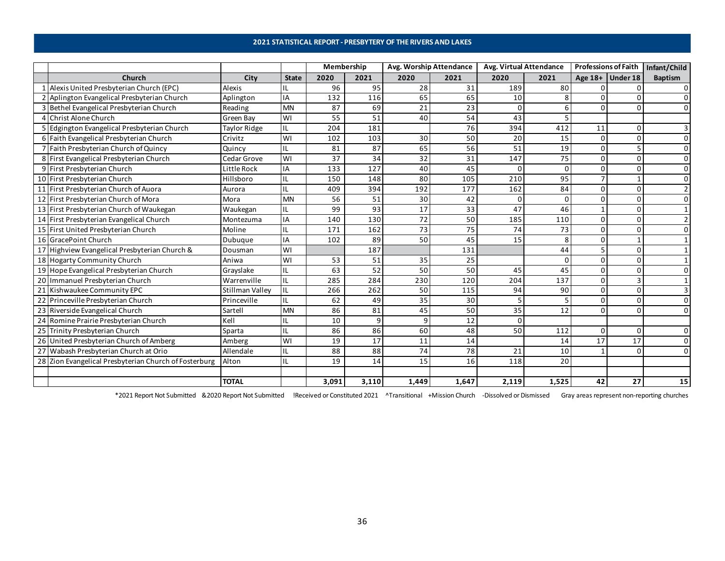### **2021 STATISTICAL REPORT - PRESBYTERY OF THE RIVERS AND LAKES**

<span id="page-35-0"></span>

|   |                                                       |                  |              | Membership |       | Avg. Worship Attendance |       | Avg. Virtual Attendance |             |          | <b>Professions of Faith</b> | Infant/Child   |
|---|-------------------------------------------------------|------------------|--------------|------------|-------|-------------------------|-------|-------------------------|-------------|----------|-----------------------------|----------------|
|   | Church                                                | City             | <b>State</b> | 2020       | 2021  | 2020                    | 2021  | 2020                    | 2021        |          | Age 18+ Under 18            | <b>Baptism</b> |
|   | 1 Alexis United Presbyterian Church (EPC)             | <b>Alexis</b>    | IL           | 96         | 95    | 28                      | 31    | 189                     | 80          |          |                             |                |
|   | 2 Aplington Evangelical Presbyterian Church           | Aplington        | IA           | 132        | 116   | 65                      | 65    | 10                      | 8           |          |                             |                |
|   | 3 Bethel Evangelical Presbyterian Church              | Reading          | <b>MN</b>    | 87         | 69    | 21                      | 23    | <sup>0</sup>            | 6           | $\Omega$ |                             |                |
| 4 | Christ Alone Church                                   | <b>Green Bay</b> | WI           | 55         | 51    | 40                      | 54    | 43                      | 5           |          |                             |                |
|   | 5 Edgington Evangelical Presbyterian Church           | Taylor Ridge     | IL           | 204        | 181   |                         | 76    | 394                     | 412         | 11       |                             |                |
|   | 6 Faith Evangelical Presbyterian Church               | Crivitz          | WI           | 102        | 103   | 30                      | 50    | 20                      | 15          | $\Omega$ |                             | $\Omega$       |
|   | Faith Presbyterian Church of Quincy                   | Quincy           | IL           | 81         | 87    | 65                      | 56    | 51                      | 19          | $\Omega$ |                             |                |
|   | 8 First Evangelical Presbyterian Church               | Cedar Grove      | WI           | 37         | 34    | 32                      | 31    | 147                     | 75          | $\Omega$ |                             |                |
|   | 9 First Presbyterian Church                           | Little Rock      | IA           | 133        | 127   | 40                      | 45    | $\Omega$                | 0           | $\Omega$ |                             | n              |
|   | 10 First Presbyterian Church                          | Hillsboro        | ΠL           | 150        | 148   | 80                      | 105   | 210                     | 95          |          |                             |                |
|   | 11 First Presbyterian Church of Auora                 | Aurora           | IL           | 409        | 394   | 192                     | 177   | 162                     | 84          | $\Omega$ |                             |                |
|   | 12 First Presbyterian Church of Mora                  | Mora             | <b>MN</b>    | 56         | 51    | 30                      | 42    |                         | 0           | $\Omega$ |                             |                |
|   | 13 First Presbyterian Church of Waukegan              | Waukegan         | IL           | 99         | 93    | 17                      | 33    | 47                      | 46          |          |                             |                |
|   | 14 First Presbyterian Evangelical Church              | Montezuma        | IA           | 140        | 130   | $\overline{72}$         | 50    | 185                     | 110         | $\Omega$ |                             |                |
|   | 15 First United Presbyterian Church                   | Moline           | IL           | 171        | 162   | 73                      | 75    | 74                      | 73          | $\Omega$ |                             |                |
|   | 16 GracePoint Church                                  | Dubuque          | IA           | 102        | 89    | 50                      | 45    | 15                      | 8           | $\Omega$ |                             |                |
|   | 17 Highview Evangelical Presbyterian Church &         | Dousman          | WI           |            | 187   |                         | 131   |                         | 44          | 5        |                             |                |
|   | 18 Hogarty Community Church                           | Aniwa            | WI           | 53         | 51    | 35                      | 25    |                         | $\mathbf 0$ | $\Omega$ |                             |                |
|   | 19 Hope Evangelical Presbyterian Church               | Grayslake        | IL           | 63         | 52    | 50                      | 50    | 45                      | 45          | $\Omega$ |                             |                |
|   | 20 Immanuel Presbyterian Church                       | Warrenville      | IL           | 285        | 284   | 230                     | 120   | 204                     | 137         | 0        |                             |                |
|   | 21 Kishwaukee Community EPC                           | Stillman Valley  | ΠL           | 266        | 262   | 50                      | 115   | 94                      | 90          | $\Omega$ | n                           |                |
|   | 22 Princeville Presbyterian Church                    | Princeville      | IL           | 62         | 49    | 35                      | 30    |                         | 5           | $\Omega$ |                             | $\Omega$       |
|   | 23 Riverside Evangelical Church                       | Sartell          | <b>MN</b>    | 86         | 81    | 45                      | 50    | 35                      | 12          | $\Omega$ | $\Omega$                    | $\Omega$       |
|   | 24 Romine Prairie Presbyterian Church                 | Kell             | IL           | 10         | 9     | 9                       | 12    |                         |             |          |                             |                |
|   | 25 Trinity Presbyterian Church                        | Sparta           | IL           | 86         | 86    | 60                      | 48    | 50                      | 112         | $\Omega$ | ŋ                           |                |
|   | 26 United Presbyterian Church of Amberg               | Amberg           | WI           | 19         | 17    | 11                      | 14    |                         | 14          | 17       | 17                          |                |
|   | 27 Wabash Presbyterian Church at Orio                 | Allendale        | IL           | 88         | 88    | 74                      | 78    | 21                      | 10          |          |                             |                |
|   | 28 Zion Evangelical Presbyterian Church of Fosterburg | Alton            | IL           | 19         | 14    | 15                      | 16    | 118                     | 20          |          |                             |                |
|   |                                                       |                  |              |            |       |                         |       |                         |             |          |                             |                |
|   |                                                       | <b>TOTAL</b>     |              | 3,091      | 3,110 | 1,449                   | 1,647 | 2,119                   | 1,525       | 42       | 27                          | 15             |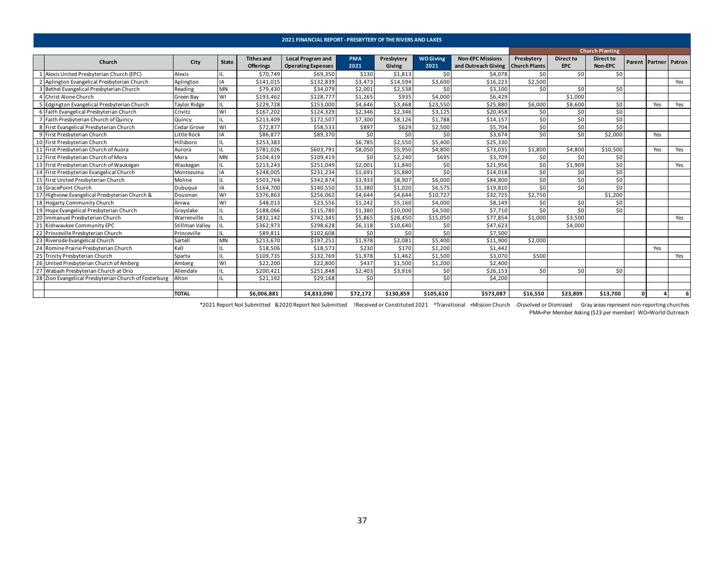<span id="page-36-0"></span>

|    |                                                       |                        |              |                                | 2021 FINANCIAL REPORT - PRESBYTERY OF THE RIVERS AND LAKES |                    |                      |                          |                                                |                                    |                         |                        |          |                       |     |
|----|-------------------------------------------------------|------------------------|--------------|--------------------------------|------------------------------------------------------------|--------------------|----------------------|--------------------------|------------------------------------------------|------------------------------------|-------------------------|------------------------|----------|-----------------------|-----|
|    |                                                       |                        |              |                                |                                                            |                    |                      |                          |                                                |                                    |                         | <b>Church Planting</b> |          |                       |     |
|    | Church                                                | City                   | State        | <b>Tithes and</b><br>Offerings | <b>Local Program and</b><br><b>Operating Expenses</b>      | <b>PMA</b><br>2021 | Presbytery<br>Giving | <b>WO Giving</b><br>2021 | <b>Non-EPC Missions</b><br>and Outreach Giving | Presbytery<br><b>Church Plants</b> | Direct to<br><b>EPC</b> | Direct to<br>Non-EPC   |          | Parent Partner Patron |     |
|    | Alexis United Presbyterian Church (EPC)               | Alexis                 |              | \$70,749                       | \$69,350                                                   | \$130              | \$1,813              | \$0                      | \$4,078                                        | \$0                                | \$0                     | \$0                    |          |                       |     |
|    | Aplington Evangelical Presbyterian Church             | Aplington              | IA           | \$141,015                      | \$132,839                                                  | \$3,473            | \$14,594             | \$3,600                  | \$16,223                                       | \$2,500                            |                         |                        |          |                       | Yes |
|    | 3 Bethel Evangelical Presbyterian Church              | Reading                | MN           | \$79,430                       | \$34,079                                                   | \$2,001            | \$2,538              | \$0                      | \$3,100                                        | \$0                                | \$0                     | \$0                    |          |                       |     |
|    | 4 Christ Alone Church                                 | Green Bay              | WI           | \$193,462                      | \$128,777                                                  | \$1,265            | \$935                | \$4,000                  | \$6,429                                        |                                    | \$1,000                 |                        |          |                       |     |
|    | Edgington Evangelical Presbyterian Church             | <b>Taylor Ridge</b>    | IL           | \$229,728                      | \$153,000                                                  | \$4,646            | \$3,468              | \$23,550                 | \$25,880                                       | \$6,000                            | \$8,600                 | \$0                    |          | Yes                   | Yes |
| 6  | Faith Evangelical Presbyterian Church                 | Crivitz                | WI           | \$167,202                      | \$124,329                                                  | \$2,346            | \$2,346              | \$3,125                  | \$20,458                                       | \$0                                | \$0                     | \$0                    |          |                       |     |
|    | Faith Presbyterian Church of Quincy                   | Quincy                 | IL           | \$213,409                      | \$172,507                                                  | \$7,300            | \$8,126              | \$1,788                  | \$14,157                                       | \$0                                | \$0                     | \$0                    |          |                       |     |
|    | 8 First Evangelical Presbyterian Church               | Cedar Grove            | WI           | \$72,877                       | \$58,533                                                   | \$897              | \$629                | \$2,500                  | \$5,704                                        | \$0                                | \$0                     | \$0                    |          |                       |     |
|    | 9 First Presbyterian Church                           | Little Rock            | IA           | \$86,877                       | \$89,370                                                   | \$0                | \$0                  | \$0                      | \$3,674                                        | \$0                                | \$0                     | \$2,000                |          | Yes                   |     |
|    | 10 First Presbyterian Church                          | Hillsboro              |              | \$253,383                      |                                                            | \$6,785            | \$2,550              | \$5,400                  | \$25,330                                       |                                    |                         |                        |          |                       |     |
|    | 11 First Presbyterian Church of Auora                 | Aurora                 | IL           | \$781,026                      | \$603,791                                                  | \$8,050            | \$5,950              | \$4,800                  | \$73,035                                       | \$1,800                            | \$4,800                 | \$10,500               |          | Yes                   | Yes |
|    | 12 First Presbyterian Church of Mora                  | Mora                   | <b>MN</b>    | \$104,419                      | \$109,419                                                  | \$0                | \$2,240              | \$695                    | \$3,709                                        | \$0                                | \$0                     | 50                     |          |                       |     |
|    | 13 First Presbyterian Church of Waukegan              | Waukegan               | IL           | \$213,243                      | \$251,049                                                  | \$2,001            | \$1,840              | \$0                      | \$21,956                                       | \$0                                | \$1,909                 | 50                     |          |                       | Yes |
|    | 14 First Presbyterian Evangelical Church              | Montezuma              | IA           | \$248,005                      | \$231,234                                                  | \$1,691            | \$5,880              | \$0                      | \$14,018                                       | \$0                                | \$0                     | 50                     |          |                       |     |
|    | 15 First United Presbyterian Church                   | Moline                 | IL           | \$503,764                      | \$342,874                                                  | \$3,933            | \$8,907              | \$6,000                  | \$84,800                                       | \$0                                | \$0                     | \$0                    |          |                       |     |
|    | 16 GracePoint Church                                  | Dubuque                | IA           | \$164,700                      | \$140,550                                                  | \$1,380            | \$1,020              | \$6,575                  | \$19,810                                       | \$0                                | \$0                     | \$0                    |          |                       |     |
| 17 | Highview Evangelical Presbyterian Church &            | Dousman                | WI           | \$376,863                      | \$256,062                                                  | \$4,644            | \$4,644              | \$10,727                 | \$32,725                                       | \$2,750                            |                         | \$1,200                |          |                       |     |
|    | 18 Hogarty Community Church                           | Aniwa                  | WI           | \$48,013                       | \$23,556                                                   | \$1,242            | \$5,160              | \$4,000                  | \$8,149                                        | \$0                                | \$0                     | 50                     |          |                       |     |
|    | 19 Hope Evangelical Presbyterian Church               | Grayslake              |              | \$188,066                      | \$115,780                                                  | \$1,380            | \$10,000             | \$4,500                  | \$7,710                                        | \$0                                | \$0                     | \$0                    |          |                       |     |
|    | 20 Immanuel Presbyterian Church                       | Warrenville            | IL           | \$832,142                      | \$742,345                                                  | \$5,865            | \$28,450             | \$15,050                 | \$77,854                                       | \$1,000                            | \$3,500                 |                        |          |                       | Yes |
| 21 | Kishwaukee Community EPC                              | <b>Stillman Valley</b> | $\mathbf{H}$ | \$362,973                      | \$298,628                                                  | \$6,118            | \$10,640             | \$0                      | \$47,623                                       |                                    | \$4,000                 |                        |          |                       |     |
|    | 22 Princeville Presbyterian Church                    | Princeville            | IL           | \$89,811                       | \$102,608                                                  | \$0                | \$0                  | \$0                      | \$7,500                                        |                                    |                         |                        |          |                       |     |
|    | 23 Riverside Evangelical Church                       | Sartell                | <b>MN</b>    | \$213,670                      | \$197,251                                                  | \$1,978            | \$2,08               | \$5,400                  | \$11,900                                       | \$2,000                            |                         |                        |          |                       |     |
| 24 | Romine Prairie Presbyterian Church                    | Kell                   |              | \$18,506                       | \$18,573                                                   | \$230              | \$170                | \$1,200                  | \$1,442                                        |                                    |                         |                        |          | Yes                   |     |
|    | 25 Trinity Presbyterian Church                        | Sparta                 | IL           | \$109,735                      | \$132,769                                                  | \$1,978            | \$1,462              | \$1,500                  | \$3,070                                        | \$500                              |                         |                        |          |                       | Yes |
| 26 | United Presbyterian Church of Amberg                  | Amberg                 | WI           | \$22,200                       | \$22,800                                                   | \$437              | \$1,500              | \$1,200                  | \$2,400                                        |                                    |                         |                        |          |                       |     |
|    | 27 Wabash Presbyterian Church at Orio                 | Allendale              |              | \$200,421                      | \$251,848                                                  | \$2,403            | \$3,916              | \$0                      | \$26,153                                       | \$0                                | \$0                     | \$0                    |          |                       |     |
|    | 28 Zion Evangelical Presbyterian Church of Fosterburg | Alton                  | ΠL           | \$21,192                       | \$29,168                                                   | \$0                |                      | 50                       | \$4,200                                        |                                    |                         |                        |          |                       |     |
|    |                                                       |                        |              |                                |                                                            |                    |                      |                          |                                                |                                    |                         |                        |          |                       |     |
|    |                                                       | <b>TOTAL</b>           |              | \$6,006,881                    | \$4,833,090                                                | \$72,172           | \$130,859            | \$105,610                | \$573,087                                      | \$16,550                           | \$23,809                | \$13,700               | $\Omega$ |                       |     |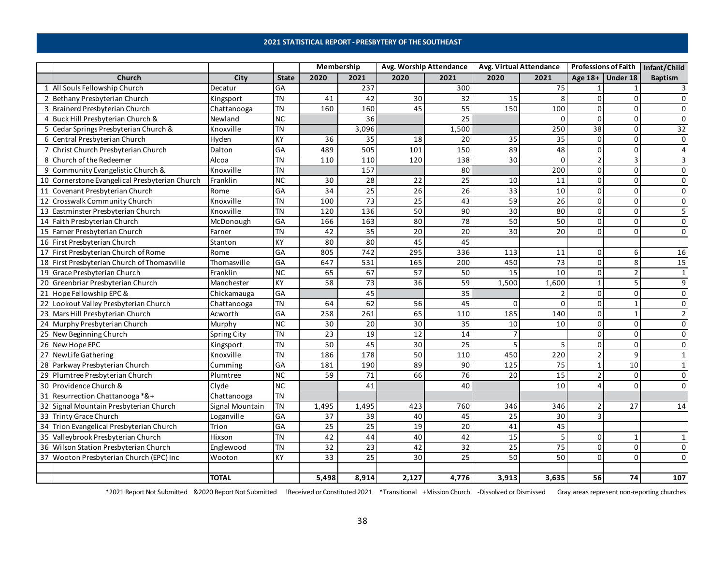### **2021 STATISTICAL REPORT - PRESBYTERY OF THE SOUTHEAST**

<span id="page-37-0"></span>

|   |                                                |                 |                  | Membership |                 | Avg. Worship Attendance |                 | Avg. Virtual Attendance |                  | <b>Professions of Faith</b> |                  | Infant/Child   |
|---|------------------------------------------------|-----------------|------------------|------------|-----------------|-------------------------|-----------------|-------------------------|------------------|-----------------------------|------------------|----------------|
|   | Church                                         | City            | <b>State</b>     | 2020       | 2021            | 2020                    | 2021            | 2020                    | 2021             |                             | Age 18+ Under 18 | <b>Baptism</b> |
|   | 1 All Souls Fellowship Church                  | Decatur         | GA               |            | 237             |                         | 300             |                         | 75               | $\mathbf{1}$                |                  | 3              |
|   | 2 Bethany Presbyterian Church                  | Kingsport       | <b>TN</b>        | 41         | 42              | 30                      | 32              | 15                      | 8                | $\mathbf 0$                 | $\Omega$         | $\mathbf 0$    |
|   | 3 Brainerd Presbyterian Church                 | Chattanooga     | <b>TN</b>        | 160        | 160             | 45                      | 55              | 150                     | 100              | $\mathsf{O}\xspace$         | $\Omega$         | 0              |
|   | 4 Buck Hill Presbyterian Church &              | Newland         | ${\sf NC}$       |            | 36              |                         | $\overline{25}$ |                         | $\Omega$         | $\mathbf 0$                 | $\mathbf 0$      | $\Omega$       |
|   | 5 Cedar Springs Presbyterian Church &          | Knoxville       | <b>TN</b>        |            | 3,096           |                         | 1,500           |                         | 250              | $\overline{38}$             | $\Omega$         | 32             |
|   | 6 Central Presbyterian Church                  | Hyden           | KY               | 36         | 35              | 18                      | 20              | 35                      | $\overline{35}$  | $\mathbf 0$                 | $\Omega$         | 0              |
|   | 7 Christ Church Presbyterian Church            | Dalton          | GA               | 489        | 505             | 101                     | 150             | 89                      | 48               | $\overline{\mathsf{o}}$     | $\Omega$         | $\overline{4}$ |
| 8 | Church of the Redeemer                         | Alcoa           | <b>TN</b>        | 110        | 110             | 120                     | 138             | 30                      | $\mathbf 0$      | $\overline{2}$              | 3                | $\overline{3}$ |
| 9 | Community Evangelistic Church &                | Knoxville       | <b>TN</b>        |            | 157             |                         | 80              |                         | 200              | $\mathbf 0$                 | 0                | 0              |
|   | 10 Cornerstone Evangelical Presbyterian Church | Franklin        | $NC$             | 30         | 28              | 22                      | 25              | 10                      | 11               | $\bullet$                   | $\mathbf 0$      | 0              |
|   | 11 Covenant Presbyterian Church                | Rome            | GA               | 34         | $\overline{25}$ | $\overline{26}$         | 26              | 33                      | 10               | $\mathbf 0$                 | $\mathbf 0$      | $\mathbf 0$    |
|   | 12 Crosswalk Community Church                  | Knoxville       | <b>TN</b>        | 100        | $\overline{73}$ | 25                      | 43              | 59                      | 26               | $\mathsf{O}\xspace$         | $\Omega$         | $\mathbf 0$    |
|   | 13 Eastminster Presbyterian Church             | Knoxville       | $\overline{T}N$  | 120        | 136             | 50                      | 90              | 30                      | 80               | $\pmb{0}$                   | $\Omega$         | 5              |
|   | 14 Faith Presbyterian Church                   | McDonough       | GA               | 166        | 163             | 80                      | $\overline{78}$ | 50                      | 50               | $\mathbf 0$                 | $\Omega$         | 0              |
|   | 15 Farner Presbyterian Church                  | Farner          | <b>TN</b>        | 42         | 35              | 20                      | 20              | 30                      | 20               | $\mathbf 0$                 | $\Omega$         | 0              |
|   | 16 First Presbyterian Church                   | Stanton         | KY               | 80         | 80              | 45                      | 45              |                         |                  |                             |                  |                |
|   | 17 First Presbyterian Church of Rome           | Rome            | $G$ A            | 805        | 742             | 295                     | 336             | 113                     | 11               | 0                           | 6                | 16             |
|   | 18 First Presbyterian Church of Thomasville    | Thomasville     | GA               | 647        | 531             | 165                     | 200             | 450                     | $\overline{73}$  | $\mathsf{O}\xspace$         | 8                | 15             |
|   | 19 Grace Presbyterian Church                   | Franklin        | $\overline{NC}$  | 65         | 67              | 57                      | 50              | 15                      | 10               | $\mathsf{O}\xspace$         | $\overline{2}$   | 1              |
|   | 20 Greenbriar Presbyterian Church              | Manchester      | KY               | 58         | $\overline{73}$ | 36                      | 59              | 1,500                   | 1,600            | $\mathbf{1}$                | 5                | 9              |
|   | 21 Hope Fellowship EPC &                       | Chickamauga     | GA               |            | 45              |                         | 35              |                         | 2                | $\mathbf 0$                 | $\mathbf 0$      | 0              |
|   | 22 Lookout Valley Presbyterian Church          | Chattanooga     | $\overline{T}$ N | 64         | 62              | 56                      | 45              | 0                       | 0                | $\mathsf{O}\xspace$         | $\mathbf{1}$     | $\mathbf 0$    |
|   | 23 Mars Hill Presbyterian Church               | Acworth         | GA               | 258        | 261             | 65                      | 110             | 185                     | 140              | $\mathbf 0$                 | $\mathbf{1}$     | $\overline{2}$ |
|   | 24 Murphy Presbyterian Church                  | Murphy          | <b>NC</b>        | 30         | 20              | 30                      | 35              | 10                      | 10               | $\mathsf{O}\xspace$         | $\Omega$         | 0              |
|   | 25 New Beginning Church                        | Spring City     | $\overline{T}N$  | 23         | 19              | 12                      | $\overline{14}$ |                         |                  | $\mathbf{0}$                | $\Omega$         | $\mathbf 0$    |
|   | 26 New Hope EPC                                | Kingsport       | <b>TN</b>        | 50         | 45              | 30                      | $\overline{25}$ |                         | 5                | $\mathbf 0$                 | $\Omega$         | $\Omega$       |
|   | 27 NewLife Gathering                           | Knoxville       | <b>TN</b>        | 186        | 178             | 50                      | 110             | 450                     | $\overline{220}$ | $\overline{2}$              | 9                | $\mathbf{1}$   |
|   | 28 Parkway Presbyterian Church                 | Cumming         | GA               | 181        | 190             | 89                      | $\overline{90}$ | 125                     | $\overline{75}$  | $\mathbf 1$                 | $\overline{10}$  | $\mathbf{1}$   |
|   | 29 Plumtree Presbyterian Church                | Plumtree        | $\overline{NC}$  | 59         | 71              | 66                      | 76              | 20                      | 15               | $\overline{2}$              | $\mathbf 0$      | 0              |
|   | 30 Providence Church &                         | Clyde           | NC               |            | 41              |                         | 40              |                         | 10               | 4                           | $\Omega$         | $\Omega$       |
|   | 31 Resurrection Chattanooga *&+                | Chattanooga     | <b>TN</b>        |            |                 |                         |                 |                         |                  |                             |                  |                |
|   | 32 Signal Mountain Presbyterian Church         | Signal Mountain | $\overline{T}N$  | 1,495      | 1,495           | 423                     | 760             | 346                     | 346              | $\overline{2}$              | 27               | 14             |
|   | 33 Trinty Grace Church                         | Loganville      | GA               | 37         | 39              | 40                      | 45              | 25                      | 30               | 3                           |                  |                |
|   | 34 Trion Evangelical Presbyterian Church       | Trion           | GA               | 25         | 25              | 19                      | 20              | 41                      | 45               |                             |                  |                |
|   | 35 Valleybrook Presbyterian Church             | Hixson          | $\overline{T}N$  | 42         | 44              | 40                      | 42              | 15                      | 5                | $\mathsf{O}\xspace$         | $\mathbf{1}$     | $\mathbf{1}$   |
|   | 36 Wilson Station Presbyterian Church          | Englewood       | <b>TN</b>        | 32         | 23              | 42                      | $\overline{32}$ | 25                      | 75               | $\mathbf 0$                 | $\Omega$         | 0              |
|   | 37 Wooton Presbyterian Church (EPC) Inc        | Wooton          | KY               | 33         | $\overline{25}$ | 30                      | $\overline{25}$ | 50                      | 50               | $\mathbf 0$                 | $\Omega$         | $\mathbf 0$    |
|   |                                                |                 |                  |            |                 |                         |                 |                         |                  |                             |                  |                |
|   |                                                | <b>TOTAL</b>    |                  | 5,498      | 8,914           | 2,127                   | 4,776           | 3,913                   | 3,635            | 56                          | 74               | 107            |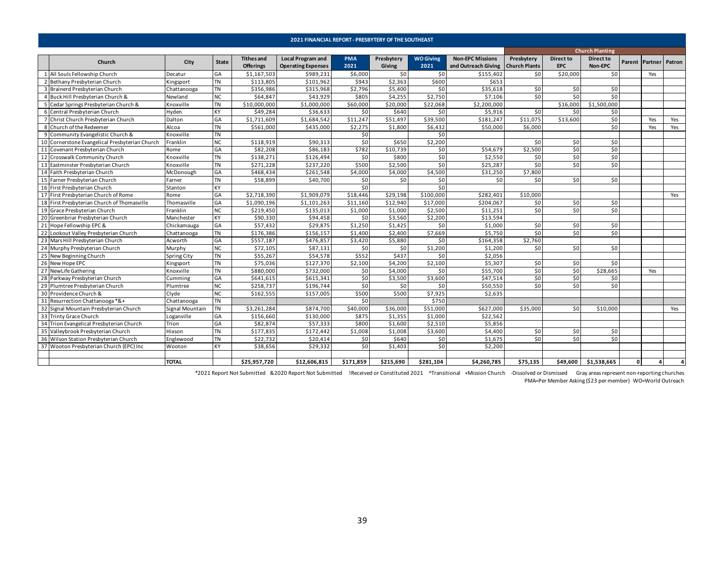<span id="page-38-0"></span>

|                                             |                 |              |                   | 2021 FINANCIAL REPORT - PRESBYTERY OF THE SOUTHEAST |            |            |                  |                                     |            |            |                        |              |                       |     |
|---------------------------------------------|-----------------|--------------|-------------------|-----------------------------------------------------|------------|------------|------------------|-------------------------------------|------------|------------|------------------------|--------------|-----------------------|-----|
|                                             |                 |              |                   |                                                     |            |            |                  |                                     |            |            | <b>Church Planting</b> |              |                       |     |
| Church                                      |                 |              | <b>Tithes and</b> | <b>Local Program and</b>                            | <b>PMA</b> | Presbytery | <b>WO Giving</b> | <b>Non-EPC Missions</b>             | Presbytery | Direct to  | Direct to              |              |                       |     |
|                                             | City            | <b>State</b> | <b>Offerings</b>  | <b>Operating Expenses</b>                           | 2021       | Giving     | 2021             | and Outreach Giving   Church Plants |            | <b>EPC</b> | Non-EPC                |              | Parent Partner Patron |     |
| All Souls Fellowship Church                 | Decatur         | GA           | \$1,167,503       | \$989,231                                           | \$6,000    | \$0        | \$0              | \$155,402                           | \$0        | \$20,000   | \$0                    |              | Yes                   |     |
| Bethany Presbyterian Church                 | Kingsport       | TN           | \$113,805         | \$101,962                                           | \$943      | \$2,363    | \$600            | \$653                               |            |            |                        |              |                       |     |
| Brainerd Presbyterian Church                | Chattanooga     | TN           | \$356,986         | \$315,968                                           | \$2,796    | \$5,400    | \$0              | \$35,618                            | \$0        | \$0        | \$0                    |              |                       |     |
| 4 Buck Hill Presbyterian Church &           | Newland         | <b>NC</b>    | \$64,847          | \$43,929                                            | \$805      | \$4,255    | \$2,750          | \$7,106                             | \$0        | \$0        | \$0                    |              |                       |     |
| 5 Cedar Springs Presbyterian Church &       | Knoxville       | TN           | \$10,000,000      | \$1,000,000                                         | \$60,000   | \$20,000   | \$22,068         | \$2,200,000                         |            | \$16,000   | \$1,500,000            |              |                       |     |
| 6 Central Presbyterian Church               | Hyden           | KY           | \$49,284          | \$36,633                                            | \$0        | \$640      | \$0              | \$5,916                             | \$0        | \$0        | \$0                    |              |                       |     |
| 7 Christ Church Presbyterian Church         | Dalton          | GA           | \$1,711,609       | \$1,684,542                                         | \$11,247   | \$51,497   | \$39,500         | \$181,247                           | \$11,075   | \$13,600   | \$0                    |              | Yes                   | Yes |
| 8 Church of the Redeemer                    | Alcoa           | TN           | \$561,000         | \$435,000                                           | \$2,275    | \$1,800    | \$6,432          | \$50,000                            | \$6,000    |            | 50                     |              | Yes                   | Yes |
| 9 Community Evangelistic Church &           | Knoxville       | TN           |                   |                                                     | \$0        |            | \$0              |                                     |            |            |                        |              |                       |     |
| Cornerstone Evangelical Presbyterian Church | Franklin        | <b>NC</b>    | \$118,919         | \$90,313                                            | \$0        | \$650      | \$2,200          |                                     | \$0        | \$0        | \$0                    |              |                       |     |
| Covenant Presbyterian Church                | Rome            | GA           | \$82,208          | \$86,183                                            | \$782      | \$10,739   | \$0              | \$54,679                            | \$2,500    | \$0        | \$0                    |              |                       |     |
| 12 Crosswalk Community Church               | Knoxville       | TN           | \$138,271         | 5126,494                                            | \$0        | \$800      | \$0              | \$2,550                             | \$0        | \$0        | $\overline{50}$        |              |                       |     |
| Eastminster Presbyterian Church             | Knoxville       | <b>TN</b>    | \$271,228         | \$237,220                                           | \$500      | \$2,500    | \$0              | \$25,287                            | \$0        | \$0        | \$0                    |              |                       |     |
| 14 Faith Presbyterian Church                | McDonough       | GA           | \$468,434         | \$261,548                                           | \$4,000    | \$4,000    | \$4,500          | \$31,250                            | \$7,800    |            |                        |              |                       |     |
| 15 Farner Presbyterian Church               | Farner          | TN           | \$58,899          | \$40,700                                            | \$0        | \$0        | \$0              | \$0                                 | \$0        | \$0        | \$0                    |              |                       |     |
| 16 First Presbyterian Church                | Stanton         | KY           |                   |                                                     | \$0        |            | \$0              |                                     |            |            |                        |              |                       |     |
| First Presbyterian Church of Rome           | Rome            | GA           | \$2,718,390       | \$1,909,079                                         | \$18,446   | \$29,198   | \$100,000        | \$282,401                           | \$10,000   |            |                        |              |                       | Yes |
| 18 First Presbyterian Church of Thomasville | Thomasville     | GA           | \$1,090,196       | \$1,101,263                                         | \$11,160   | \$12,940   | \$17,000         | \$204,067                           | \$0        | \$0        | \$0                    |              |                       |     |
| 19 Grace Presbyterian Church                | Franklin        | NC           | \$219,450         | \$135,013                                           | \$1,000    | \$1,000    | \$2,500          | \$11,251                            | \$0        | \$0        | \$0                    |              |                       |     |
| 20 Greenbriar Presbyterian Church           | Manchester      | KY           | \$90.330          | \$94,458                                            | \$0        | \$3,560    | \$2,200          | \$13,594                            |            |            |                        |              |                       |     |
| Hope Fellowship EPC &                       | Chickamauga     | GA           | \$57,432          | \$29,875                                            | \$1,250    | \$1,425    | \$0              | \$1,000                             | \$0        | \$0        | \$0                    |              |                       |     |
| Lookout Valley Presbyterian Church          | Chattanooga     | <b>TN</b>    | \$176,386         | \$156,157                                           | \$1,400    | \$2,400    | \$7,669          | \$5,750                             | \$0        | \$0        | \$0                    |              |                       |     |
| Mars Hill Presbyterian Church               | Acworth         | GA           | \$557,187         | \$476,857                                           | \$3,420    | \$5,880    | \$0              | \$164,358                           | \$2,760    |            |                        |              |                       |     |
| Murphy Presbyterian Church                  | Murphy          | <b>NC</b>    | \$72,105          | \$87,131                                            | \$0        | \$0        | \$1,200          | \$1,200                             | \$0        | \$0        | \$0                    |              |                       |     |
| New Beginning Church                        | Spring City     | <b>TN</b>    | \$55,267          | \$54,578                                            | \$552      | \$437      | \$0              | \$2,056                             |            |            |                        |              |                       |     |
| New Hope EPC                                | Kingsport       | TN           | \$75,036          | \$127,370                                           | \$2,100    | \$4,200    | \$2,100          | \$5,307                             | \$0        | \$0        | \$0                    |              |                       |     |
| NewLife Gathering                           | Knoxville       | <b>TN</b>    | \$880,000         | \$732,000                                           | \$0        | \$4,000    | \$0              | \$55,700                            | \$0        | \$0        | \$28,665               |              | Yes                   |     |
| Parkway Presbyterian Church                 | Cumming         | GA           | \$641,615         | \$615,341                                           | \$0        | \$3,500    | \$3,600          | \$47,514                            | \$0        | \$0        | \$0                    |              |                       |     |
| 29 Plumtree Presbyterian Church             | Plumtree        | <b>NC</b>    | \$258,737         | \$196,744                                           | \$0        | \$0        | \$0              | \$50,550                            | \$0        | \$0        | \$0                    |              |                       |     |
| 30 Providence Church &                      | Clyde           | ΝC           | \$162,555         | \$157,005                                           | \$500      | \$500      | \$7,925          | \$2,635                             |            |            |                        |              |                       |     |
| Resurrection Chattanooga *&+                | Chattanooga     | TN           |                   |                                                     | \$0        |            | \$750            |                                     |            |            |                        |              |                       |     |
| Signal Mountain Presbyterian Church         | Signal Mountain | <b>TN</b>    | \$3,261,284       | \$874,700                                           | \$40,000   | \$36,000   | \$51,000         | \$627,000                           | \$35,000   | \$0        | \$10,000               |              |                       | Yes |
| 33 Trinty Grace Church                      | Loganville      | GA           | \$156,660         | \$130,000                                           | \$875      | \$1,355    | \$1,000          | \$22,562                            |            |            |                        |              |                       |     |
| 34 Trion Evangelical Presbyterian Church    | Trion           | GA           | \$82,874          | \$57,333                                            | \$800      | \$1,600    | \$2,510          | \$5,856                             |            |            |                        |              |                       |     |
| Valleybrook Presbyterian Church             | Hixson          | <b>TN</b>    | \$177,835         | \$172,442                                           | \$1,008    | \$1,008    | \$3,600          | \$4,400                             | \$0        | \$0        | \$0                    |              |                       |     |
| Wilson Station Presbyterian Church          | Englewood       | <b>TN</b>    | \$22,732          | \$20,414                                            | \$0        | \$640      | \$0              | \$1,675                             | \$0        | \$0        | \$0                    |              |                       |     |
| Wooton Presbyterian Church (EPC) Inc        | Wooton          | KY           | \$38,656          | \$29,332                                            | \$0        | \$1,403    | \$0              | \$2,200                             |            |            |                        |              |                       |     |
|                                             |                 |              |                   |                                                     |            |            |                  |                                     |            |            |                        |              |                       |     |
|                                             | <b>TOTAL</b>    |              | \$25,957,720      | \$12,606,815                                        | \$171.859  | \$215.690  | \$281.104        | \$4,260,785                         | \$75.135   | \$49,600   | \$1,538,665            | $\mathbf{0}$ |                       |     |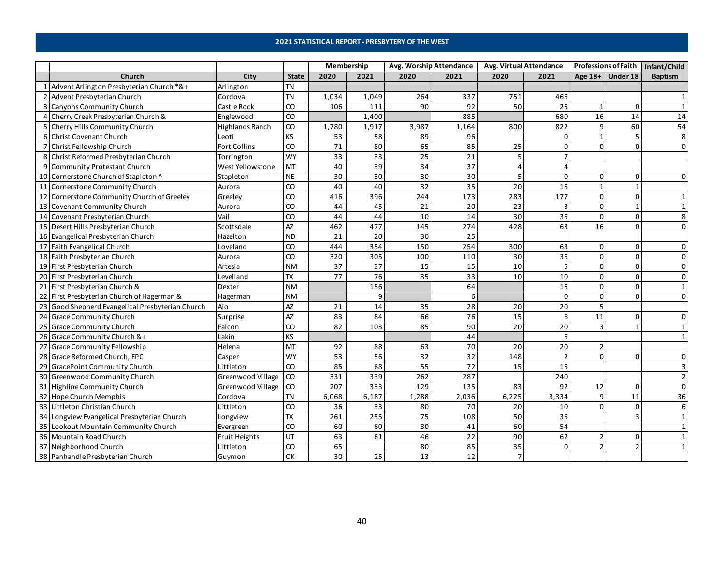## **2021 STATISTICAL REPORT - PRESBYTERY OF THE WEST**

<span id="page-39-0"></span>

|    |                                                  |                      |                 | Membership |       | Avg. Worship Attendance |       | Avg. Virtual Attendance |                 | <b>Professions of Faith</b> |                    | Infant/Child |
|----|--------------------------------------------------|----------------------|-----------------|------------|-------|-------------------------|-------|-------------------------|-----------------|-----------------------------|--------------------|--------------|
|    | Church                                           | City                 | <b>State</b>    | 2020       | 2021  | 2020                    | 2021  | 2020                    | 2021            |                             | Age $18+$ Under 18 | Baptism      |
|    | 1 Advent Arlington Presbyterian Church *&+       | Arlington            | <b>TN</b>       |            |       |                         |       |                         |                 |                             |                    |              |
|    | 2 Advent Presbyterian Church                     | Cordova              | <b>TN</b>       | 1,034      | 1,049 | 264                     | 337   | 751                     | 465             |                             |                    |              |
|    | 3 Canyons Community Church                       | Castle Rock          | CO              | 106        | 111   | 90                      | 92    | 50                      | 25              |                             | $\Omega$           |              |
|    | 4 Cherry Creek Presbyterian Church &             | Englewood            | $\overline{c}$  |            | 1,400 |                         | 885   |                         | 680             | 16                          | 14                 | 14           |
|    | 5 Cherry Hills Community Church                  | Highlands Ranch      | CO              | 1,780      | 1,917 | 3,987                   | 1,164 | 800                     | 822             | 9                           | 60                 | 54           |
|    | 6 Christ Covenant Church                         | Leoti                | KS              | 53         | 58    | 89                      | 96    |                         | 0               |                             |                    | 8            |
|    | 7 Christ Fellowship Church                       | Fort Collins         | CO              | 71         | 80    | 65                      | 85    | 25                      | $\Omega$        | $\Omega$                    |                    | $\Omega$     |
|    | 8 Christ Reformed Presbyterian Church            | Torrington           | <b>WY</b>       | 33         | 33    | $\overline{25}$         | 21    |                         | $\overline{7}$  |                             |                    |              |
|    | 9 Community Protestant Church                    | West Yellowstone     | <b>MT</b>       | 40         | 39    | $\overline{34}$         | 37    |                         | $\Delta$        |                             |                    |              |
|    | 10 Cornerstone Church of Stapleton ^             | Stapleton            | $\sf NE$        | 30         | 30    | 30                      | 30    |                         | $\mathbf 0$     | $\Omega$                    |                    | $\Omega$     |
|    | 11 Cornerstone Community Church                  | Aurora               | CO              | 40         | 40    | 32                      | 35    | 20                      | 15              |                             |                    |              |
| 12 | Cornerstone Community Church of Greeley          | Greeley              | CO              | 416        | 396   | 244                     | 173   | 283                     | 177             | $\Omega$                    | <sup>0</sup>       |              |
|    | 13 Covenant Community Church                     | Aurora               | CO              | 44         | 45    | 21                      | 20    | 23                      | 3               | $\mathbf 0$                 |                    |              |
|    | 14 Covenant Presbyterian Church                  | Vail                 | CO              | 44         | 44    | 10                      | 14    | 30                      | $\overline{35}$ | $\Omega$                    | $\Omega$           | 8            |
|    | 15 Desert Hills Presbyterian Church              | Scottsdale           | <b>AZ</b>       | 462        | 477   | 145                     | 274   | 428                     | 63              | 16                          |                    | $\Omega$     |
|    | 16 Evangelical Presbyterian Church               | Hazelton             | <b>ND</b>       | 21         | 20    | 30                      | 25    |                         |                 |                             |                    |              |
|    | 17 Faith Evangelical Church                      | Loveland             | CO              | 444        | 354   | 150                     | 254   | 300                     | 63              | $\Omega$                    | n                  | $\Omega$     |
|    | 18 Faith Presbyterian Church                     | Aurora               | CO              | 320        | 305   | 100                     | 110   | 30                      | 35              | $\Omega$                    | $\Omega$           | 0            |
|    | 19 First Presbyterian Church                     | Artesia              | <b>NM</b>       | 37         | 37    | 15                      | 15    | 10                      | 5               | $\Omega$                    | n                  | 0            |
|    | 20 First Presbyterian Church                     | Levelland            | ТX              | 77         | 76    | 35                      | 33    | 10                      | 10              | $\Omega$                    |                    | $\Omega$     |
|    | 21 First Presbyterian Church &                   | Dexter               | <b>NM</b>       |            | 156   |                         | 64    |                         | 15              | $\Omega$                    |                    |              |
|    | 22 First Presbyterian Church of Hagerman &       | Hagerman             | <b>NM</b>       |            | 9     |                         |       |                         | $\mathbf 0$     | $\Omega$                    |                    | $\Omega$     |
|    | 23 Good Shepherd Evangelical Presbyterian Church | Ajo                  | AZ              | 21         | 14    | 35                      | 28    | 20                      | $\overline{20}$ |                             |                    |              |
|    | 24 Grace Community Church                        | Surprise             | $\overline{AZ}$ | 83         | 84    | 66                      | 76    | $\overline{15}$         | 6               | 11                          | $\Omega$           | $\Omega$     |
|    | 25 Grace Community Church                        | Falcon               | CO              | 82         | 103   | 85                      | 90    | 20                      | 20              | 3                           |                    |              |
|    | 26 Grace Community Church &+                     | Lakin                | KS              |            |       |                         | 44    |                         | 5               |                             |                    |              |
|    | 27 Grace Community Fellowship                    | Helena               | MT              | 92         | 88    | 63                      | 70    | 20                      | 20              |                             |                    |              |
|    | 28 Grace Reformed Church, EPC                    | Casper               | <b>WY</b>       | 53         | 56    | $\overline{32}$         | 32    | 148                     | $\overline{2}$  | $\Omega$                    |                    | $\Omega$     |
| 29 | GracePoint Community Church                      | Littleton            | CO              | 85         | 68    | 55                      | 72    | 15                      | 15              |                             |                    |              |
|    | 30 Greenwood Community Church                    | Greenwood Village    | CO              | 331        | 339   | 262                     | 287   |                         | 240             |                             |                    |              |
|    | 31 Highline Community Church                     | Greenwood Village    | CO              | 207        | 333   | 129                     | 135   | 83                      | 92              | 12                          | $\Omega$           | $\Omega$     |
|    | 32 Hope Church Memphis                           | Cordova              | <b>TN</b>       | 6,068      | 6,187 | 1,288                   | 2,036 | 6,225                   | 3,334           | $\mathbf{q}$                | 11                 | 36           |
|    | 33 Littleton Christian Church                    | Littleton            | CO              | 36         | 33    | 80                      | 70    | 20                      | 10              | $\Omega$                    |                    | 6            |
| 34 | Longview Evangelical Presbyterian Church         | Longview             | TX              | 261        | 255   | $\overline{75}$         | 108   | 50                      | $\overline{35}$ |                             |                    |              |
|    | 35 Lookout Mountain Community Church             | Evergreen            | CO              | 60         | 60    | 30                      | 41    | 60                      | 54              |                             |                    |              |
|    | 36 Mountain Road Church                          | <b>Fruit Heights</b> | UT              | 63         | 61    | 46                      | 22    | 90                      | 62              | 2                           |                    |              |
|    | 37 Neighborhood Church                           | Littleton            | CO              | 65         |       | 80                      | 85    | 35                      | $\mathbf 0$     | $\overline{2}$              |                    |              |
|    | 38 Panhandle Presbyterian Church                 | Guymon               | OK              | 30         | 25    | 13                      | 12    |                         |                 |                             |                    |              |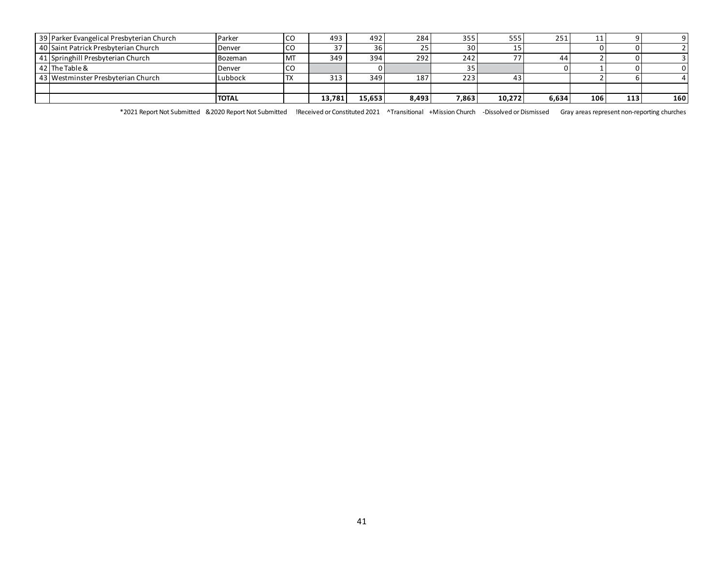| 39 Parker Evangelical Presbyterian Church | <b>Parker</b> | l CO           | 493     | 492              | 284   | 355             | 555    | 251   | . . |     |     |
|-------------------------------------------|---------------|----------------|---------|------------------|-------|-----------------|--------|-------|-----|-----|-----|
| 40 Saint Patrick Presbyterian Church      | Denver        | l CO           | $\lnot$ | 36               | 25    | 30 l            |        |       |     |     |     |
| 41 Springhill Presbyterian Church         | Bozeman       | M <sub>1</sub> | 349     | 394 <sub>1</sub> | 292   | 242             | ヮヮ     | 44    |     |     |     |
| 42 The Table &                            | Denver        | <b>CO</b>      |         |                  |       | 35 <sub>1</sub> |        |       |     |     |     |
| 43 Westminster Presbyterian Church        | Lubbock       | ᡰ⅄             | 313     | 349              | 187   | 223             |        |       |     |     |     |
|                                           |               |                |         |                  |       |                 |        |       |     |     |     |
|                                           | <b>TOTAL</b>  |                | 13.781  | 15,653           | 8,493 | 7,863           | 10.272 | 6,634 | 106 | 113 | 160 |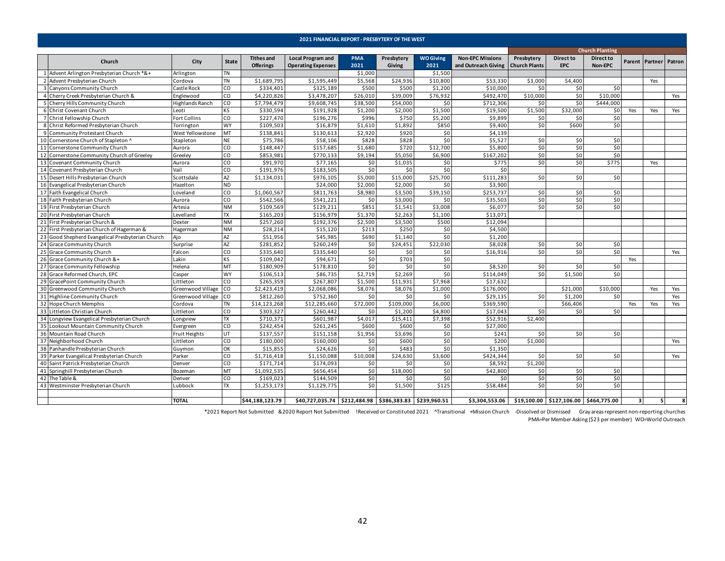<span id="page-41-0"></span>

|    |                                                                           |                            |              |                                       |                                                        |                    | 2021 FINANCIAL REPORT - PRESBYTERY OF THE WEST |                          |                                                            |                                    |                                |                             |     |     |                       |
|----|---------------------------------------------------------------------------|----------------------------|--------------|---------------------------------------|--------------------------------------------------------|--------------------|------------------------------------------------|--------------------------|------------------------------------------------------------|------------------------------------|--------------------------------|-----------------------------|-----|-----|-----------------------|
|    |                                                                           |                            |              |                                       |                                                        |                    |                                                |                          |                                                            |                                    |                                | <b>Church Planting</b>      |     |     |                       |
|    | Church                                                                    | City                       | <b>State</b> | <b>Tithes and</b><br><b>Offerings</b> | <b>Local Program and</b><br><b>Operating Expenses</b>  | <b>PMA</b><br>2021 | Presbytery<br>Giving                           | <b>WO Giving</b><br>2021 | <b>Non-EPC Missions</b><br>and Outreach Giving             | Presbytery<br><b>Church Plants</b> | <b>Direct to</b><br><b>EPC</b> | <b>Direct to</b><br>Non-EPC |     |     | Parent Partner Patron |
|    | 1 Advent Arlington Presbyterian Church *&+                                | Arlington                  | <b>TN</b>    |                                       |                                                        | \$1,000            |                                                | \$1,500                  |                                                            |                                    |                                |                             |     |     |                       |
|    | 2 Advent Presbyterian Church                                              | Cordova                    | <b>TN</b>    | \$1,689,795                           | \$1,595,449                                            | \$5,568            | \$24,936                                       | \$10,800                 | \$53,330                                                   | \$3,000                            | \$4,400                        |                             |     | Yes |                       |
|    | 3 Canyons Community Church                                                | Castle Rock                | CO           | \$334,401                             | \$325,189                                              | \$500              | \$500                                          | \$1,200                  | \$10,000                                                   | \$0                                | \$0                            | \$0                         |     |     |                       |
|    | 4 Cherry Creek Presbyterian Church &                                      | Englewood                  | CO           | \$4,220,826                           | \$3,478,207                                            | \$26,010           | \$39,009                                       | \$76,932                 | \$492,470                                                  | \$10,000                           | \$0                            | \$10,000                    |     |     | Yes                   |
|    | 5 Cherry Hills Community Church                                           | Highlands Ranch            | CO           | \$7,794,479                           | \$9,608,745                                            | \$38,500           | \$54,000                                       | \$0                      | \$712,306                                                  | \$0                                | \$0                            | \$444,000                   |     |     |                       |
|    | 6 Christ Covenant Church                                                  | Leoti                      | <b>KS</b>    | \$330,594                             | \$191,928                                              | \$1,200            | \$2,000                                        | \$1,500                  | \$19,500                                                   | \$1,500                            | \$32,000                       | \$0                         | Yes | Yes | Yes                   |
|    | 7 Christ Fellowship Church                                                | <b>Fort Collins</b>        | CO           | \$227,470                             | \$196,276                                              | \$996              | \$750                                          | \$5,200                  | \$9,899                                                    | \$0                                | \$0                            | \$0                         |     |     |                       |
|    | 8 Christ Reformed Presbyterian Church                                     | Torrington                 | <b>WY</b>    | \$109,503                             | \$16,879                                               | \$1,610            | \$1,892                                        | \$850                    | \$9,400                                                    | \$0                                | \$600                          | \$0                         |     |     |                       |
|    | 9 Community Protestant Church                                             | West Yellowstone           | MT           | \$138,841                             | \$130,613                                              | \$2,920            | \$920                                          | \$0                      | \$4,139                                                    |                                    |                                |                             |     |     |                       |
|    | 10 Cornerstone Church of Stapleton ^                                      | Stapleton                  | <b>NE</b>    | \$75,786                              | \$58,106                                               | \$828              | \$828                                          | \$0                      | \$5,527                                                    | \$0                                | \$0                            | \$0                         |     |     |                       |
| 11 | Cornerstone Community Church                                              | Aurora                     | CO           | \$148,447                             | \$157,685                                              | \$1,680            | \$720                                          | \$12,700                 | \$5,800                                                    | \$0                                | \$0                            | \$0                         |     |     |                       |
|    | 12 Cornerstone Community Church of Greeley                                | Greeley                    | CO           | \$853,981                             | \$770,133                                              | \$9,194            | \$5,050                                        | \$6,900                  | \$167,202                                                  | \$0                                | \$0                            | \$0                         |     |     |                       |
|    | 13 Covenant Community Church                                              | Aurora                     | CO           | \$91,970                              | \$77,165                                               | \$0                | \$1,035                                        | \$0                      | \$775                                                      | \$0                                | \$0                            | \$775                       |     | Yes |                       |
|    | 14 Covenant Presbyterian Church                                           | Vail                       | CO           | 5191,976                              | \$183,50                                               | \$0                | \$0                                            | \$0                      | \$0                                                        |                                    |                                |                             |     |     |                       |
|    | 15 Desert Hills Presbyterian Church                                       | Scottsdale                 | AZ           | \$1,134,031                           | \$976,105                                              | \$5,000            | \$15,000                                       | \$25,700                 | \$111,283                                                  | \$0                                | \$0                            | \$0                         |     |     |                       |
|    | 16 Evangelical Presbyterian Church                                        | Hazelton                   | <b>ND</b>    |                                       | \$24,000                                               | \$2,000            | \$2,000                                        | \$0                      | \$3,900                                                    |                                    |                                |                             |     |     |                       |
|    | 17 Faith Evangelical Church                                               | Loveland                   | CO           | \$1,060,567                           | \$811,763                                              | \$8,980            | \$3,500                                        | \$39,150                 | \$253,737                                                  | \$0                                | \$0                            | \$0                         |     |     |                       |
|    | 18 Faith Presbyterian Church                                              | Aurora                     | CO           | \$542,566                             | \$541,221                                              | \$0                | \$3,000                                        | \$0                      | \$35,503                                                   | \$0                                | \$0                            | \$0                         |     |     |                       |
|    | 19 First Presbyterian Church                                              | Artesia                    | <b>NM</b>    | \$109,569                             | \$129,211                                              | \$851              | \$1,541                                        | \$3,008                  | \$6,077                                                    | \$0                                | \$0                            | \$0                         |     |     |                       |
|    | 20 First Presbyterian Church                                              | Levelland                  | <b>TX</b>    | \$165,203                             | \$156,979                                              | \$1,370            | \$2,263                                        | \$1,100                  | \$13,071                                                   |                                    |                                |                             |     |     |                       |
|    | 21 First Presbyterian Church &                                            | Dexter                     | <b>NM</b>    | \$257,260                             | \$192,376                                              | \$2,500            | \$3,500                                        | \$500                    | \$12,094                                                   |                                    |                                |                             |     |     |                       |
|    | 22 First Presbyterian Church of Hagerman &                                | Hagerman                   | <b>NM</b>    | \$28,214                              | \$15,120                                               | \$213              | \$250                                          | \$0                      | \$4,500                                                    |                                    |                                |                             |     |     |                       |
|    | 23 Good Shepherd Evangelical Presbyterian Church                          | Ajo                        | AZ           | \$51,956                              | \$45,985                                               | \$690              | \$1,140                                        | \$0                      | \$1,200                                                    |                                    |                                |                             |     |     |                       |
|    | 24 Grace Community Church                                                 | Surprise                   | <b>AZ</b>    | \$281,852                             | \$260,249                                              | \$0                | \$24,451                                       | \$22,030                 | \$8,028                                                    | \$0                                | \$0                            | \$0                         |     |     |                       |
|    | 25 Grace Community Church                                                 | Falcon                     | CO           | \$335,640                             | \$335,640                                              | \$0                | \$0                                            | \$0                      | \$16,916                                                   | \$0                                | \$0                            | \$0                         |     |     | Yes                   |
|    | 26 Grace Community Church &+                                              | Lakin                      | <b>KS</b>    | \$109,042                             | \$94,671                                               | \$0                | \$703                                          | \$0                      |                                                            |                                    |                                |                             | Yes |     |                       |
|    | 27 Grace Community Fellowship                                             | Helena                     | MT           | \$180,909                             | \$178,810                                              | \$0                | \$0                                            | \$0                      | \$8,520                                                    | \$0                                | \$0                            | \$0                         |     |     |                       |
|    | 28 Grace Reformed Church, EPC                                             | Casper                     | <b>WY</b>    | \$106,513                             | \$86,735                                               | \$2,719            | \$2,269                                        | \$0                      | 5114,049                                                   | \$0                                | \$1,500                        | \$O                         |     |     |                       |
|    | 29 GracePoint Community Church                                            | Littleton                  | CO           | \$265,359                             | \$267,807                                              | \$1,500            | \$11,931                                       | \$7,968                  | \$17,632                                                   |                                    |                                |                             |     |     |                       |
|    | 30 Greenwood Community Church                                             | Greenwood Village          | CO           | \$2,423,419                           | \$2,068,086                                            | \$8,076            | \$8,076                                        | \$1,000                  | \$176,000                                                  |                                    | \$21,000                       | \$10,000                    |     | Yes | Yes                   |
|    | 31 Highline Community Church                                              | Greenwood Village CO       |              | \$812,260                             | \$752,360                                              | \$0                | \$0                                            | \$0                      | \$29,135                                                   | \$0                                | \$1,200                        | \$0                         |     |     | Yes                   |
|    | 32 Hope Church Memphis                                                    | Cordova                    | <b>TN</b>    | \$14,123,268                          | $\overline{512,285,660}$                               | \$72,000           | \$109,000                                      | \$6,000                  | \$369,590                                                  |                                    | \$66,406                       |                             | Yes | Yes | Yes                   |
|    | 33 Littleton Christian Church                                             | Littleton                  | CO           | \$303,327                             | \$260,442                                              | \$0                | \$1,200                                        | \$4,800                  | \$17,043                                                   | \$0                                | \$0                            | 50                          |     |     |                       |
|    | 34 Longview Evangelical Presbyterian Church                               | Longview                   | <b>TX</b>    | \$710,371                             | \$601,987                                              | \$4,017            | \$15,411                                       | \$7,398                  | \$52,916                                                   | \$2,400                            |                                |                             |     |     |                       |
|    | 35 Lookout Mountain Community Church                                      |                            | CO           | \$242,454                             | \$261,245                                              | \$600              | \$600                                          | \$0                      | \$27,000                                                   |                                    |                                |                             |     |     |                       |
|    | 36 Mountain Road Church                                                   | Evergreen<br>Fruit Heights | <b>UT</b>    | \$137,557                             | \$151,158                                              | \$1,956            | \$3,696                                        | \$0                      | \$241                                                      | \$0                                | \$0                            | \$0                         |     |     |                       |
|    | 37 Neighborhood Church                                                    | Littleton                  | CO           | \$180,000                             | \$160,000                                              | \$0                | \$600                                          | \$0                      | \$200                                                      | \$1,000                            |                                |                             |     |     | Yes                   |
|    | 38 Panhandle Presbyterian Church                                          |                            | OK           | \$15,855                              | \$24,626                                               | \$0                | \$483                                          | \$0                      | \$1,350                                                    |                                    |                                |                             |     |     |                       |
|    |                                                                           | Guymon                     | CO           |                                       |                                                        | \$10,008           |                                                | \$3,600                  |                                                            | \$0                                | \$0                            | \$0                         |     |     |                       |
|    | 39 Parker Evangelical Presbyterian Church                                 | Parker                     | CO           | \$1,716,418<br>\$171,714              | \$1,150,088<br>\$174,093                               | \$0                | \$24,630<br>\$0                                | \$0                      | \$424,344<br>\$8,592                                       | \$1,200                            |                                |                             |     |     | Yes                   |
|    | 40 Saint Patrick Presbyterian Church<br>41 Springhill Presbyterian Church | Denver                     |              | \$1,092,535                           | \$656,454                                              |                    | \$18,000                                       |                          |                                                            |                                    |                                | \$0                         |     |     |                       |
|    | 42 The Table &                                                            | Bozeman                    | MT<br>CO     |                                       |                                                        | \$0                | \$0                                            | \$0<br>\$0               | \$42,800<br>\$0                                            | \$0                                | \$0                            | \$0                         |     |     |                       |
|    |                                                                           | Denver                     |              | \$169,023                             | \$144,509                                              | \$0                |                                                |                          |                                                            | \$0                                | \$0                            |                             |     |     |                       |
|    | 43 Westminster Presbyterian Church                                        | Lubbock                    | <b>TX</b>    | \$1,253,173                           | \$1,129,775                                            | \$0                | \$1,500                                        | \$125                    | \$58,484                                                   | \$0                                | \$0                            | 50                          |     |     |                       |
|    |                                                                           | <b>TOTAL</b>               |              | \$44,188,123.79                       | \$40,727,035.74 \$212,484.98 \$386,383.83 \$239,960.51 |                    |                                                |                          | \$3,304,553.06   \$19,100.00   \$127,106.00   \$464,775.00 |                                    |                                |                             | 3   | -5  | 8                     |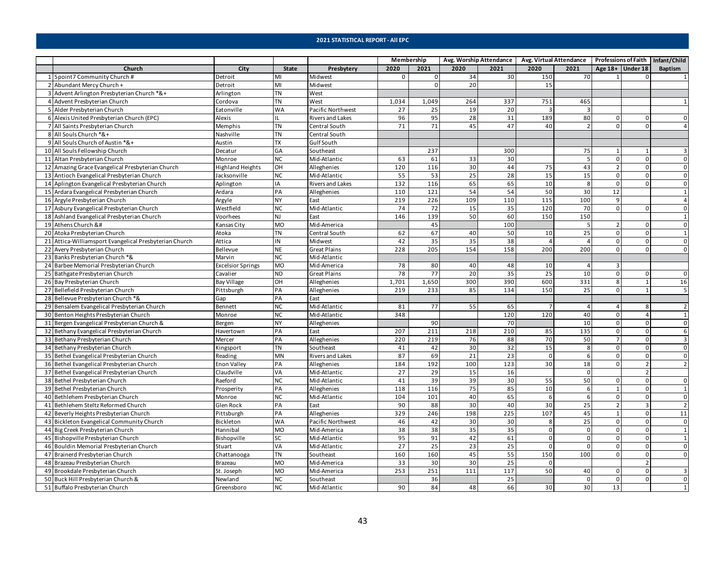<span id="page-42-0"></span>

|  |                                                                                                                                                                                                                                                                                                                                                                                                                                                                                                                                                                                                                                                                                                                                                                                                                                                                                                                                                                                                                                                                                                                                                                                                                                                                                                                                                                                                                                                                                                                                                                                                                                                                                                                                                                                                                                                                                                                                                                                                                                                                                                                                                                                                                                                                                                                                                                                                                                                                                                                                                                                                                                                                                                                                                                                                                                                                                                                                                                                                                                                                                                                                                                                                                                                                                                                                                                                                                                                                                                                                                                                                                                                                                                                                                                                                                                                                                                                                                                                                                                                                                                                                                                                                                                                                                                                                                                                                                                                                                                                                                                                                                                                                                                                                                                                                                                                                                                                                                                                                                                                                                                                                                                                                                                                                                                                                                                                                                                                                                                                                                                                                                                                                                                                                                                                                                                                                                                                                                                                                                                                                                                                                                                                                                                                                                                                                                                                                                                                                                                                                                                                                                                                                                                                                                                                                                                                                                                                                                                                                                                                                                                                                                                                                                                                                                                                                                                                                                                                                                                                                                                                                                                                                                                                                                                                                                                                                                                                                                                                                                                                                                                                                                                                                                                                                                                                                                                                                                                                                                                                                                                                                                                                                                                                                                                                                                                                                                                                                                                |                         |              |                         | Membership  |          |      | Avg. Worship Attendance |                | Avg. Virtual Attendance Professions of Faith Infant/Child |                |                    |                |
|--|----------------------------------------------------------------------------------------------------------------------------------------------------------------------------------------------------------------------------------------------------------------------------------------------------------------------------------------------------------------------------------------------------------------------------------------------------------------------------------------------------------------------------------------------------------------------------------------------------------------------------------------------------------------------------------------------------------------------------------------------------------------------------------------------------------------------------------------------------------------------------------------------------------------------------------------------------------------------------------------------------------------------------------------------------------------------------------------------------------------------------------------------------------------------------------------------------------------------------------------------------------------------------------------------------------------------------------------------------------------------------------------------------------------------------------------------------------------------------------------------------------------------------------------------------------------------------------------------------------------------------------------------------------------------------------------------------------------------------------------------------------------------------------------------------------------------------------------------------------------------------------------------------------------------------------------------------------------------------------------------------------------------------------------------------------------------------------------------------------------------------------------------------------------------------------------------------------------------------------------------------------------------------------------------------------------------------------------------------------------------------------------------------------------------------------------------------------------------------------------------------------------------------------------------------------------------------------------------------------------------------------------------------------------------------------------------------------------------------------------------------------------------------------------------------------------------------------------------------------------------------------------------------------------------------------------------------------------------------------------------------------------------------------------------------------------------------------------------------------------------------------------------------------------------------------------------------------------------------------------------------------------------------------------------------------------------------------------------------------------------------------------------------------------------------------------------------------------------------------------------------------------------------------------------------------------------------------------------------------------------------------------------------------------------------------------------------------------------------------------------------------------------------------------------------------------------------------------------------------------------------------------------------------------------------------------------------------------------------------------------------------------------------------------------------------------------------------------------------------------------------------------------------------------------------------------------------------------------------------------------------------------------------------------------------------------------------------------------------------------------------------------------------------------------------------------------------------------------------------------------------------------------------------------------------------------------------------------------------------------------------------------------------------------------------------------------------------------------------------------------------------------------------------------------------------------------------------------------------------------------------------------------------------------------------------------------------------------------------------------------------------------------------------------------------------------------------------------------------------------------------------------------------------------------------------------------------------------------------------------------------------------------------------------------------------------------------------------------------------------------------------------------------------------------------------------------------------------------------------------------------------------------------------------------------------------------------------------------------------------------------------------------------------------------------------------------------------------------------------------------------------------------------------------------------------------------------------------------------------------------------------------------------------------------------------------------------------------------------------------------------------------------------------------------------------------------------------------------------------------------------------------------------------------------------------------------------------------------------------------------------------------------------------------------------------------------------------------------------------------------------------------------------------------------------------------------------------------------------------------------------------------------------------------------------------------------------------------------------------------------------------------------------------------------------------------------------------------------------------------------------------------------------------------------------------------------------------------------------------------------------------------------------------------------------------------------------------------------------------------------------------------------------------------------------------------------------------------------------------------------------------------------------------------------------------------------------------------------------------------------------------------------------------------------------------------------------------------------------------------------------------------------------------------------------------------------------------------------------------------------------------------------------------------------------------------------------------------------------------------------------------------------------------------------------------------------------------------------------------------------------------------------------------------------------------------------------------------------------------------------------------------------------------------------------------------------------------------------------------------------------------------------------------------------------------------------------------------------------------------------------------------------------------------------------------------------------------------------------------------------------------------------------------------------------------------------------------------------------------------------------------------------------------------------------------------------------------------------------------------------------------------------------------------------------------------------------------------------------------------------------------------------------------------------------------------------------------------------------------------------------------------------------------------------------------------------------------------------------------------------------------------------------------------------------------------------------------------|-------------------------|--------------|-------------------------|-------------|----------|------|-------------------------|----------------|-----------------------------------------------------------|----------------|--------------------|----------------|
|  | Church                                                                                                                                                                                                                                                                                                                                                                                                                                                                                                                                                                                                                                                                                                                                                                                                                                                                                                                                                                                                                                                                                                                                                                                                                                                                                                                                                                                                                                                                                                                                                                                                                                                                                                                                                                                                                                                                                                                                                                                                                                                                                                                                                                                                                                                                                                                                                                                                                                                                                                                                                                                                                                                                                                                                                                                                                                                                                                                                                                                                                                                                                                                                                                                                                                                                                                                                                                                                                                                                                                                                                                                                                                                                                                                                                                                                                                                                                                                                                                                                                                                                                                                                                                                                                                                                                                                                                                                                                                                                                                                                                                                                                                                                                                                                                                                                                                                                                                                                                                                                                                                                                                                                                                                                                                                                                                                                                                                                                                                                                                                                                                                                                                                                                                                                                                                                                                                                                                                                                                                                                                                                                                                                                                                                                                                                                                                                                                                                                                                                                                                                                                                                                                                                                                                                                                                                                                                                                                                                                                                                                                                                                                                                                                                                                                                                                                                                                                                                                                                                                                                                                                                                                                                                                                                                                                                                                                                                                                                                                                                                                                                                                                                                                                                                                                                                                                                                                                                                                                                                                                                                                                                                                                                                                                                                                                                                                                                                                                                                                         | City                    | <b>State</b> | Presbytery              | 2020        | 2021     | 2020 | 2021                    | 2020           | 2021                                                      |                | Age $18+$ Under 18 | Baptism        |
|  | 5point7 Community Church #                                                                                                                                                                                                                                                                                                                                                                                                                                                                                                                                                                                                                                                                                                                                                                                                                                                                                                                                                                                                                                                                                                                                                                                                                                                                                                                                                                                                                                                                                                                                                                                                                                                                                                                                                                                                                                                                                                                                                                                                                                                                                                                                                                                                                                                                                                                                                                                                                                                                                                                                                                                                                                                                                                                                                                                                                                                                                                                                                                                                                                                                                                                                                                                                                                                                                                                                                                                                                                                                                                                                                                                                                                                                                                                                                                                                                                                                                                                                                                                                                                                                                                                                                                                                                                                                                                                                                                                                                                                                                                                                                                                                                                                                                                                                                                                                                                                                                                                                                                                                                                                                                                                                                                                                                                                                                                                                                                                                                                                                                                                                                                                                                                                                                                                                                                                                                                                                                                                                                                                                                                                                                                                                                                                                                                                                                                                                                                                                                                                                                                                                                                                                                                                                                                                                                                                                                                                                                                                                                                                                                                                                                                                                                                                                                                                                                                                                                                                                                                                                                                                                                                                                                                                                                                                                                                                                                                                                                                                                                                                                                                                                                                                                                                                                                                                                                                                                                                                                                                                                                                                                                                                                                                                                                                                                                                                                                                                                                                                                     | Detroit                 | MI           | Midwest                 | $\mathbf 0$ | $\Omega$ | 34   | 30                      | 150            | 70                                                        |                |                    |                |
|  | Abundant Mercy Church +                                                                                                                                                                                                                                                                                                                                                                                                                                                                                                                                                                                                                                                                                                                                                                                                                                                                                                                                                                                                                                                                                                                                                                                                                                                                                                                                                                                                                                                                                                                                                                                                                                                                                                                                                                                                                                                                                                                                                                                                                                                                                                                                                                                                                                                                                                                                                                                                                                                                                                                                                                                                                                                                                                                                                                                                                                                                                                                                                                                                                                                                                                                                                                                                                                                                                                                                                                                                                                                                                                                                                                                                                                                                                                                                                                                                                                                                                                                                                                                                                                                                                                                                                                                                                                                                                                                                                                                                                                                                                                                                                                                                                                                                                                                                                                                                                                                                                                                                                                                                                                                                                                                                                                                                                                                                                                                                                                                                                                                                                                                                                                                                                                                                                                                                                                                                                                                                                                                                                                                                                                                                                                                                                                                                                                                                                                                                                                                                                                                                                                                                                                                                                                                                                                                                                                                                                                                                                                                                                                                                                                                                                                                                                                                                                                                                                                                                                                                                                                                                                                                                                                                                                                                                                                                                                                                                                                                                                                                                                                                                                                                                                                                                                                                                                                                                                                                                                                                                                                                                                                                                                                                                                                                                                                                                                                                                                                                                                                                                        | Detroit                 | MI           | Midwest                 |             | $\Omega$ | 20   |                         | 15             |                                                           |                |                    |                |
|  | Advent Arlington Presbyterian Church *&+                                                                                                                                                                                                                                                                                                                                                                                                                                                                                                                                                                                                                                                                                                                                                                                                                                                                                                                                                                                                                                                                                                                                                                                                                                                                                                                                                                                                                                                                                                                                                                                                                                                                                                                                                                                                                                                                                                                                                                                                                                                                                                                                                                                                                                                                                                                                                                                                                                                                                                                                                                                                                                                                                                                                                                                                                                                                                                                                                                                                                                                                                                                                                                                                                                                                                                                                                                                                                                                                                                                                                                                                                                                                                                                                                                                                                                                                                                                                                                                                                                                                                                                                                                                                                                                                                                                                                                                                                                                                                                                                                                                                                                                                                                                                                                                                                                                                                                                                                                                                                                                                                                                                                                                                                                                                                                                                                                                                                                                                                                                                                                                                                                                                                                                                                                                                                                                                                                                                                                                                                                                                                                                                                                                                                                                                                                                                                                                                                                                                                                                                                                                                                                                                                                                                                                                                                                                                                                                                                                                                                                                                                                                                                                                                                                                                                                                                                                                                                                                                                                                                                                                                                                                                                                                                                                                                                                                                                                                                                                                                                                                                                                                                                                                                                                                                                                                                                                                                                                                                                                                                                                                                                                                                                                                                                                                                                                                                                                                       | Arlington               | <b>TN</b>    | West                    |             |          |      |                         |                |                                                           |                |                    |                |
|  | Advent Presbyterian Church                                                                                                                                                                                                                                                                                                                                                                                                                                                                                                                                                                                                                                                                                                                                                                                                                                                                                                                                                                                                                                                                                                                                                                                                                                                                                                                                                                                                                                                                                                                                                                                                                                                                                                                                                                                                                                                                                                                                                                                                                                                                                                                                                                                                                                                                                                                                                                                                                                                                                                                                                                                                                                                                                                                                                                                                                                                                                                                                                                                                                                                                                                                                                                                                                                                                                                                                                                                                                                                                                                                                                                                                                                                                                                                                                                                                                                                                                                                                                                                                                                                                                                                                                                                                                                                                                                                                                                                                                                                                                                                                                                                                                                                                                                                                                                                                                                                                                                                                                                                                                                                                                                                                                                                                                                                                                                                                                                                                                                                                                                                                                                                                                                                                                                                                                                                                                                                                                                                                                                                                                                                                                                                                                                                                                                                                                                                                                                                                                                                                                                                                                                                                                                                                                                                                                                                                                                                                                                                                                                                                                                                                                                                                                                                                                                                                                                                                                                                                                                                                                                                                                                                                                                                                                                                                                                                                                                                                                                                                                                                                                                                                                                                                                                                                                                                                                                                                                                                                                                                                                                                                                                                                                                                                                                                                                                                                                                                                                                                                     | Cordova                 | <b>TN</b>    | West                    | 1,034       | 1,049    | 264  | 337                     | 751            | 465                                                       |                |                    |                |
|  | 5 Alder Presbyterian Church                                                                                                                                                                                                                                                                                                                                                                                                                                                                                                                                                                                                                                                                                                                                                                                                                                                                                                                                                                                                                                                                                                                                                                                                                                                                                                                                                                                                                                                                                                                                                                                                                                                                                                                                                                                                                                                                                                                                                                                                                                                                                                                                                                                                                                                                                                                                                                                                                                                                                                                                                                                                                                                                                                                                                                                                                                                                                                                                                                                                                                                                                                                                                                                                                                                                                                                                                                                                                                                                                                                                                                                                                                                                                                                                                                                                                                                                                                                                                                                                                                                                                                                                                                                                                                                                                                                                                                                                                                                                                                                                                                                                                                                                                                                                                                                                                                                                                                                                                                                                                                                                                                                                                                                                                                                                                                                                                                                                                                                                                                                                                                                                                                                                                                                                                                                                                                                                                                                                                                                                                                                                                                                                                                                                                                                                                                                                                                                                                                                                                                                                                                                                                                                                                                                                                                                                                                                                                                                                                                                                                                                                                                                                                                                                                                                                                                                                                                                                                                                                                                                                                                                                                                                                                                                                                                                                                                                                                                                                                                                                                                                                                                                                                                                                                                                                                                                                                                                                                                                                                                                                                                                                                                                                                                                                                                                                                                                                                                                                    | Eatonville              | <b>WA</b>    | Pacific Northwest       | 27          | 25       | 19   | 20                      | $\overline{3}$ | 3                                                         |                |                    |                |
|  | 6 Alexis United Presbyterian Church (EPC)                                                                                                                                                                                                                                                                                                                                                                                                                                                                                                                                                                                                                                                                                                                                                                                                                                                                                                                                                                                                                                                                                                                                                                                                                                                                                                                                                                                                                                                                                                                                                                                                                                                                                                                                                                                                                                                                                                                                                                                                                                                                                                                                                                                                                                                                                                                                                                                                                                                                                                                                                                                                                                                                                                                                                                                                                                                                                                                                                                                                                                                                                                                                                                                                                                                                                                                                                                                                                                                                                                                                                                                                                                                                                                                                                                                                                                                                                                                                                                                                                                                                                                                                                                                                                                                                                                                                                                                                                                                                                                                                                                                                                                                                                                                                                                                                                                                                                                                                                                                                                                                                                                                                                                                                                                                                                                                                                                                                                                                                                                                                                                                                                                                                                                                                                                                                                                                                                                                                                                                                                                                                                                                                                                                                                                                                                                                                                                                                                                                                                                                                                                                                                                                                                                                                                                                                                                                                                                                                                                                                                                                                                                                                                                                                                                                                                                                                                                                                                                                                                                                                                                                                                                                                                                                                                                                                                                                                                                                                                                                                                                                                                                                                                                                                                                                                                                                                                                                                                                                                                                                                                                                                                                                                                                                                                                                                                                                                                                                      | Alexis                  | IL           | <b>Rivers and Lakes</b> | 96          | 95       | 28   | 31                      | 189            | 80                                                        | 0              | 0                  | 0              |
|  | 7 All Saints Presbyterian Church                                                                                                                                                                                                                                                                                                                                                                                                                                                                                                                                                                                                                                                                                                                                                                                                                                                                                                                                                                                                                                                                                                                                                                                                                                                                                                                                                                                                                                                                                                                                                                                                                                                                                                                                                                                                                                                                                                                                                                                                                                                                                                                                                                                                                                                                                                                                                                                                                                                                                                                                                                                                                                                                                                                                                                                                                                                                                                                                                                                                                                                                                                                                                                                                                                                                                                                                                                                                                                                                                                                                                                                                                                                                                                                                                                                                                                                                                                                                                                                                                                                                                                                                                                                                                                                                                                                                                                                                                                                                                                                                                                                                                                                                                                                                                                                                                                                                                                                                                                                                                                                                                                                                                                                                                                                                                                                                                                                                                                                                                                                                                                                                                                                                                                                                                                                                                                                                                                                                                                                                                                                                                                                                                                                                                                                                                                                                                                                                                                                                                                                                                                                                                                                                                                                                                                                                                                                                                                                                                                                                                                                                                                                                                                                                                                                                                                                                                                                                                                                                                                                                                                                                                                                                                                                                                                                                                                                                                                                                                                                                                                                                                                                                                                                                                                                                                                                                                                                                                                                                                                                                                                                                                                                                                                                                                                                                                                                                                                                               | Memphis                 | <b>TN</b>    | Central South           | 71          | 71       | 45   | 47                      | 40             | $\overline{2}$                                            | 0              | $\Omega$           | $\overline{4}$ |
|  | 8 All Souls Church *&+                                                                                                                                                                                                                                                                                                                                                                                                                                                                                                                                                                                                                                                                                                                                                                                                                                                                                                                                                                                                                                                                                                                                                                                                                                                                                                                                                                                                                                                                                                                                                                                                                                                                                                                                                                                                                                                                                                                                                                                                                                                                                                                                                                                                                                                                                                                                                                                                                                                                                                                                                                                                                                                                                                                                                                                                                                                                                                                                                                                                                                                                                                                                                                                                                                                                                                                                                                                                                                                                                                                                                                                                                                                                                                                                                                                                                                                                                                                                                                                                                                                                                                                                                                                                                                                                                                                                                                                                                                                                                                                                                                                                                                                                                                                                                                                                                                                                                                                                                                                                                                                                                                                                                                                                                                                                                                                                                                                                                                                                                                                                                                                                                                                                                                                                                                                                                                                                                                                                                                                                                                                                                                                                                                                                                                                                                                                                                                                                                                                                                                                                                                                                                                                                                                                                                                                                                                                                                                                                                                                                                                                                                                                                                                                                                                                                                                                                                                                                                                                                                                                                                                                                                                                                                                                                                                                                                                                                                                                                                                                                                                                                                                                                                                                                                                                                                                                                                                                                                                                                                                                                                                                                                                                                                                                                                                                                                                                                                                                                         | Nashville               | <b>TN</b>    | Central South           |             |          |      |                         |                |                                                           |                |                    |                |
|  | All Souls Church of Austin *&+                                                                                                                                                                                                                                                                                                                                                                                                                                                                                                                                                                                                                                                                                                                                                                                                                                                                                                                                                                                                                                                                                                                                                                                                                                                                                                                                                                                                                                                                                                                                                                                                                                                                                                                                                                                                                                                                                                                                                                                                                                                                                                                                                                                                                                                                                                                                                                                                                                                                                                                                                                                                                                                                                                                                                                                                                                                                                                                                                                                                                                                                                                                                                                                                                                                                                                                                                                                                                                                                                                                                                                                                                                                                                                                                                                                                                                                                                                                                                                                                                                                                                                                                                                                                                                                                                                                                                                                                                                                                                                                                                                                                                                                                                                                                                                                                                                                                                                                                                                                                                                                                                                                                                                                                                                                                                                                                                                                                                                                                                                                                                                                                                                                                                                                                                                                                                                                                                                                                                                                                                                                                                                                                                                                                                                                                                                                                                                                                                                                                                                                                                                                                                                                                                                                                                                                                                                                                                                                                                                                                                                                                                                                                                                                                                                                                                                                                                                                                                                                                                                                                                                                                                                                                                                                                                                                                                                                                                                                                                                                                                                                                                                                                                                                                                                                                                                                                                                                                                                                                                                                                                                                                                                                                                                                                                                                                                                                                                                                                 | Austin                  | TX           | Gulf South              |             |          |      |                         |                |                                                           |                |                    |                |
|  | 10 All Souls Fellowship Church                                                                                                                                                                                                                                                                                                                                                                                                                                                                                                                                                                                                                                                                                                                                                                                                                                                                                                                                                                                                                                                                                                                                                                                                                                                                                                                                                                                                                                                                                                                                                                                                                                                                                                                                                                                                                                                                                                                                                                                                                                                                                                                                                                                                                                                                                                                                                                                                                                                                                                                                                                                                                                                                                                                                                                                                                                                                                                                                                                                                                                                                                                                                                                                                                                                                                                                                                                                                                                                                                                                                                                                                                                                                                                                                                                                                                                                                                                                                                                                                                                                                                                                                                                                                                                                                                                                                                                                                                                                                                                                                                                                                                                                                                                                                                                                                                                                                                                                                                                                                                                                                                                                                                                                                                                                                                                                                                                                                                                                                                                                                                                                                                                                                                                                                                                                                                                                                                                                                                                                                                                                                                                                                                                                                                                                                                                                                                                                                                                                                                                                                                                                                                                                                                                                                                                                                                                                                                                                                                                                                                                                                                                                                                                                                                                                                                                                                                                                                                                                                                                                                                                                                                                                                                                                                                                                                                                                                                                                                                                                                                                                                                                                                                                                                                                                                                                                                                                                                                                                                                                                                                                                                                                                                                                                                                                                                                                                                                                                                 | Decatur                 | GA           | Southeast               |             | 237      |      | 300                     |                | 75                                                        | $\mathbf{1}$   |                    | 3              |
|  | 11 Altan Presbyterian Church                                                                                                                                                                                                                                                                                                                                                                                                                                                                                                                                                                                                                                                                                                                                                                                                                                                                                                                                                                                                                                                                                                                                                                                                                                                                                                                                                                                                                                                                                                                                                                                                                                                                                                                                                                                                                                                                                                                                                                                                                                                                                                                                                                                                                                                                                                                                                                                                                                                                                                                                                                                                                                                                                                                                                                                                                                                                                                                                                                                                                                                                                                                                                                                                                                                                                                                                                                                                                                                                                                                                                                                                                                                                                                                                                                                                                                                                                                                                                                                                                                                                                                                                                                                                                                                                                                                                                                                                                                                                                                                                                                                                                                                                                                                                                                                                                                                                                                                                                                                                                                                                                                                                                                                                                                                                                                                                                                                                                                                                                                                                                                                                                                                                                                                                                                                                                                                                                                                                                                                                                                                                                                                                                                                                                                                                                                                                                                                                                                                                                                                                                                                                                                                                                                                                                                                                                                                                                                                                                                                                                                                                                                                                                                                                                                                                                                                                                                                                                                                                                                                                                                                                                                                                                                                                                                                                                                                                                                                                                                                                                                                                                                                                                                                                                                                                                                                                                                                                                                                                                                                                                                                                                                                                                                                                                                                                                                                                                                                                   | Monroe                  | <b>NC</b>    | Mid-Atlantic            | 63          | 61       | 33   | 30                      |                | 5                                                         | $\mathbf 0$    | $\Omega$           | $\mathbf 0$    |
|  | 12 Amazing Grace Evangelical Presbyterian Church                                                                                                                                                                                                                                                                                                                                                                                                                                                                                                                                                                                                                                                                                                                                                                                                                                                                                                                                                                                                                                                                                                                                                                                                                                                                                                                                                                                                                                                                                                                                                                                                                                                                                                                                                                                                                                                                                                                                                                                                                                                                                                                                                                                                                                                                                                                                                                                                                                                                                                                                                                                                                                                                                                                                                                                                                                                                                                                                                                                                                                                                                                                                                                                                                                                                                                                                                                                                                                                                                                                                                                                                                                                                                                                                                                                                                                                                                                                                                                                                                                                                                                                                                                                                                                                                                                                                                                                                                                                                                                                                                                                                                                                                                                                                                                                                                                                                                                                                                                                                                                                                                                                                                                                                                                                                                                                                                                                                                                                                                                                                                                                                                                                                                                                                                                                                                                                                                                                                                                                                                                                                                                                                                                                                                                                                                                                                                                                                                                                                                                                                                                                                                                                                                                                                                                                                                                                                                                                                                                                                                                                                                                                                                                                                                                                                                                                                                                                                                                                                                                                                                                                                                                                                                                                                                                                                                                                                                                                                                                                                                                                                                                                                                                                                                                                                                                                                                                                                                                                                                                                                                                                                                                                                                                                                                                                                                                                                                                               | <b>Highland Heights</b> | OH           | Alleghenies             | 120         | 116      | 30   | 44                      | 75             | 43                                                        | $\overline{2}$ | $\mathbf 0$        | $\mathbf 0$    |
|  | 13 Antioch Evangelical Presbyterian Church                                                                                                                                                                                                                                                                                                                                                                                                                                                                                                                                                                                                                                                                                                                                                                                                                                                                                                                                                                                                                                                                                                                                                                                                                                                                                                                                                                                                                                                                                                                                                                                                                                                                                                                                                                                                                                                                                                                                                                                                                                                                                                                                                                                                                                                                                                                                                                                                                                                                                                                                                                                                                                                                                                                                                                                                                                                                                                                                                                                                                                                                                                                                                                                                                                                                                                                                                                                                                                                                                                                                                                                                                                                                                                                                                                                                                                                                                                                                                                                                                                                                                                                                                                                                                                                                                                                                                                                                                                                                                                                                                                                                                                                                                                                                                                                                                                                                                                                                                                                                                                                                                                                                                                                                                                                                                                                                                                                                                                                                                                                                                                                                                                                                                                                                                                                                                                                                                                                                                                                                                                                                                                                                                                                                                                                                                                                                                                                                                                                                                                                                                                                                                                                                                                                                                                                                                                                                                                                                                                                                                                                                                                                                                                                                                                                                                                                                                                                                                                                                                                                                                                                                                                                                                                                                                                                                                                                                                                                                                                                                                                                                                                                                                                                                                                                                                                                                                                                                                                                                                                                                                                                                                                                                                                                                                                                                                                                                                                                     | Jacksonville            | <b>NC</b>    | Mid-Atlantic            | 55          | 53       | 25   | 28                      | 15             | 15                                                        | 0              | $\Omega$           | $\mathbf 0$    |
|  | 14 Aplington Evangelical Presbyterian Church                                                                                                                                                                                                                                                                                                                                                                                                                                                                                                                                                                                                                                                                                                                                                                                                                                                                                                                                                                                                                                                                                                                                                                                                                                                                                                                                                                                                                                                                                                                                                                                                                                                                                                                                                                                                                                                                                                                                                                                                                                                                                                                                                                                                                                                                                                                                                                                                                                                                                                                                                                                                                                                                                                                                                                                                                                                                                                                                                                                                                                                                                                                                                                                                                                                                                                                                                                                                                                                                                                                                                                                                                                                                                                                                                                                                                                                                                                                                                                                                                                                                                                                                                                                                                                                                                                                                                                                                                                                                                                                                                                                                                                                                                                                                                                                                                                                                                                                                                                                                                                                                                                                                                                                                                                                                                                                                                                                                                                                                                                                                                                                                                                                                                                                                                                                                                                                                                                                                                                                                                                                                                                                                                                                                                                                                                                                                                                                                                                                                                                                                                                                                                                                                                                                                                                                                                                                                                                                                                                                                                                                                                                                                                                                                                                                                                                                                                                                                                                                                                                                                                                                                                                                                                                                                                                                                                                                                                                                                                                                                                                                                                                                                                                                                                                                                                                                                                                                                                                                                                                                                                                                                                                                                                                                                                                                                                                                                                                                   | Aplington               | IA           | <b>Rivers and Lakes</b> | 132         | 116      | 65   | 65                      | 10             | 8                                                         | $\Omega$       |                    | $\mathbf 0$    |
|  | 15 Ardara Evangelical Presbyterian Church                                                                                                                                                                                                                                                                                                                                                                                                                                                                                                                                                                                                                                                                                                                                                                                                                                                                                                                                                                                                                                                                                                                                                                                                                                                                                                                                                                                                                                                                                                                                                                                                                                                                                                                                                                                                                                                                                                                                                                                                                                                                                                                                                                                                                                                                                                                                                                                                                                                                                                                                                                                                                                                                                                                                                                                                                                                                                                                                                                                                                                                                                                                                                                                                                                                                                                                                                                                                                                                                                                                                                                                                                                                                                                                                                                                                                                                                                                                                                                                                                                                                                                                                                                                                                                                                                                                                                                                                                                                                                                                                                                                                                                                                                                                                                                                                                                                                                                                                                                                                                                                                                                                                                                                                                                                                                                                                                                                                                                                                                                                                                                                                                                                                                                                                                                                                                                                                                                                                                                                                                                                                                                                                                                                                                                                                                                                                                                                                                                                                                                                                                                                                                                                                                                                                                                                                                                                                                                                                                                                                                                                                                                                                                                                                                                                                                                                                                                                                                                                                                                                                                                                                                                                                                                                                                                                                                                                                                                                                                                                                                                                                                                                                                                                                                                                                                                                                                                                                                                                                                                                                                                                                                                                                                                                                                                                                                                                                                                                      | Ardara                  | PA           | Alleghenies             | 110         | 121      | 54   | 54                      | 50             | 30                                                        | 12             |                    | $\mathbf{1}$   |
|  | 16 Argyle Presbyterian Church                                                                                                                                                                                                                                                                                                                                                                                                                                                                                                                                                                                                                                                                                                                                                                                                                                                                                                                                                                                                                                                                                                                                                                                                                                                                                                                                                                                                                                                                                                                                                                                                                                                                                                                                                                                                                                                                                                                                                                                                                                                                                                                                                                                                                                                                                                                                                                                                                                                                                                                                                                                                                                                                                                                                                                                                                                                                                                                                                                                                                                                                                                                                                                                                                                                                                                                                                                                                                                                                                                                                                                                                                                                                                                                                                                                                                                                                                                                                                                                                                                                                                                                                                                                                                                                                                                                                                                                                                                                                                                                                                                                                                                                                                                                                                                                                                                                                                                                                                                                                                                                                                                                                                                                                                                                                                                                                                                                                                                                                                                                                                                                                                                                                                                                                                                                                                                                                                                                                                                                                                                                                                                                                                                                                                                                                                                                                                                                                                                                                                                                                                                                                                                                                                                                                                                                                                                                                                                                                                                                                                                                                                                                                                                                                                                                                                                                                                                                                                                                                                                                                                                                                                                                                                                                                                                                                                                                                                                                                                                                                                                                                                                                                                                                                                                                                                                                                                                                                                                                                                                                                                                                                                                                                                                                                                                                                                                                                                                                                  | Argyle                  | <b>NY</b>    | East                    | 219         | 226      | 109  | 110                     | 115            | 100                                                       | 9              |                    | $\overline{4}$ |
|  | 17 Asbury Evangelical Presbyterian Church                                                                                                                                                                                                                                                                                                                                                                                                                                                                                                                                                                                                                                                                                                                                                                                                                                                                                                                                                                                                                                                                                                                                                                                                                                                                                                                                                                                                                                                                                                                                                                                                                                                                                                                                                                                                                                                                                                                                                                                                                                                                                                                                                                                                                                                                                                                                                                                                                                                                                                                                                                                                                                                                                                                                                                                                                                                                                                                                                                                                                                                                                                                                                                                                                                                                                                                                                                                                                                                                                                                                                                                                                                                                                                                                                                                                                                                                                                                                                                                                                                                                                                                                                                                                                                                                                                                                                                                                                                                                                                                                                                                                                                                                                                                                                                                                                                                                                                                                                                                                                                                                                                                                                                                                                                                                                                                                                                                                                                                                                                                                                                                                                                                                                                                                                                                                                                                                                                                                                                                                                                                                                                                                                                                                                                                                                                                                                                                                                                                                                                                                                                                                                                                                                                                                                                                                                                                                                                                                                                                                                                                                                                                                                                                                                                                                                                                                                                                                                                                                                                                                                                                                                                                                                                                                                                                                                                                                                                                                                                                                                                                                                                                                                                                                                                                                                                                                                                                                                                                                                                                                                                                                                                                                                                                                                                                                                                                                                                                      | Westfield               | <b>NC</b>    | Mid-Atlantic            | 74          | 72       | 15   | 35                      | 120            | 70                                                        | 0              | $\Omega$           | $\mathbf 0$    |
|  | 18 Ashland Evangelical Presbyterian Church                                                                                                                                                                                                                                                                                                                                                                                                                                                                                                                                                                                                                                                                                                                                                                                                                                                                                                                                                                                                                                                                                                                                                                                                                                                                                                                                                                                                                                                                                                                                                                                                                                                                                                                                                                                                                                                                                                                                                                                                                                                                                                                                                                                                                                                                                                                                                                                                                                                                                                                                                                                                                                                                                                                                                                                                                                                                                                                                                                                                                                                                                                                                                                                                                                                                                                                                                                                                                                                                                                                                                                                                                                                                                                                                                                                                                                                                                                                                                                                                                                                                                                                                                                                                                                                                                                                                                                                                                                                                                                                                                                                                                                                                                                                                                                                                                                                                                                                                                                                                                                                                                                                                                                                                                                                                                                                                                                                                                                                                                                                                                                                                                                                                                                                                                                                                                                                                                                                                                                                                                                                                                                                                                                                                                                                                                                                                                                                                                                                                                                                                                                                                                                                                                                                                                                                                                                                                                                                                                                                                                                                                                                                                                                                                                                                                                                                                                                                                                                                                                                                                                                                                                                                                                                                                                                                                                                                                                                                                                                                                                                                                                                                                                                                                                                                                                                                                                                                                                                                                                                                                                                                                                                                                                                                                                                                                                                                                                                                     | Voorhees                | <b>NJ</b>    | East                    | 146         | 139      | 50   | 60                      | 150            | 150                                                       |                |                    | $\mathbf{1}$   |
|  | 19 Athens Church &#</td><td>Kansas City</td><td>M<sub>O</sub></td><td>Mid-America</td><td></td><td>45</td><td></td><td>100</td><td></td><td>5</td><td><math>\overline{2}</math></td><td><math>\Omega</math></td><td><math>\overline{0}</math></td></tr><tr><td></td><td>20 Atoka Presbyterian Church</td><td>Atoka</td><td><b>TN</b></td><td>Central South</td><td>62</td><td>67</td><td>40</td><td>50</td><td>10</td><td>25</td><td>0</td><td><math>\Omega</math></td><td><math>\mathbf{1}</math></td></tr><tr><td>21</td><td>Attica-Williamsport Evangelical Presbyterian Church</td><td>Attica</td><td>IN</td><td>Midwest</td><td>42</td><td>35</td><td>35</td><td>38</td><td><math>\overline{a}</math></td><td><math>\overline{a}</math></td><td><math>\mathbf 0</math></td><td><math>\Omega</math></td><td><math display="inline">\mathsf 0</math></td></tr><tr><td></td><td>22 Avery Presbyterian Church</td><td>Bellevue</td><td><b>NE</b></td><td><b>Great Plains</b></td><td>228</td><td>205</td><td>154</td><td>158</td><td>200</td><td>200</td><td>0</td><td><math>\Omega</math></td><td><math>\mathbf 0</math></td></tr><tr><td></td><td>23 Banks Presbyterian Church *&</td><td>Marvin</td><td><b>NC</b></td><td>Mid-Atlantic</td><td></td><td></td><td></td><td></td><td></td><td></td><td></td><td></td><td></td></tr><tr><td></td><td>24 Barbee Memorial Presbyterian Church</td><td><b>Excelsior Springs</b></td><td><b>MO</b></td><td>Mid-America</td><td>78</td><td>80</td><td>40</td><td>48</td><td>10</td><td><math>\Delta</math></td><td>3</td><td></td><td></td></tr><tr><td></td><td>25 Bathgate Presbyterian Church</td><td>Cavalier</td><td><b>ND</b></td><td><b>Great Plains</b></td><td>78</td><td>77</td><td>20</td><td>35</td><td>25</td><td>10</td><td>0</td><td></td><td><math>\mathbf 0</math></td></tr><tr><td></td><td>26 Bay Presbyterian Church</td><td><b>Bay Village</b></td><td>OH</td><td>Alleghenies</td><td>1,701</td><td>1,650</td><td>300</td><td>390</td><td>600</td><td>331</td><td>8</td><td></td><td>16</td></tr><tr><td></td><td>27 Bellefield Presbyterian Church</td><td>Pittsburgh</td><td>PA</td><td>Alleghenies</td><td>219</td><td>233</td><td>85</td><td>134</td><td>150</td><td>25</td><td><math>\Omega</math></td><td></td><td>5</td></tr><tr><td></td><td>28 Bellevue Presbyterian Church *&</td><td>Gap</td><td>PA</td><td>East</td><td></td><td></td><td></td><td></td><td></td><td></td><td></td><td></td><td></td></tr><tr><td></td><td>29 Bensalem Evangelical Presbyterian Church</td><td>Bennett</td><td><b>NC</b></td><td>Mid-Atlantic</td><td>81</td><td>77</td><td>55</td><td>65</td><td>-7</td><td><math>\overline{4}</math></td><td><math>\overline{4}</math></td><td>8</td><td><math>\overline{2}</math></td></tr><tr><td></td><td>30 Benton Heights Presbyterian Church</td><td>Monroe</td><td><b>NC</b></td><td>Mid-Atlantic</td><td>348</td><td></td><td></td><td>120</td><td>120</td><td>40</td><td><math>\Omega</math></td><td></td><td><math>\mathbf{1}</math></td></tr><tr><td></td><td>31 Bergen Evangelical Presbyterian Church &</td><td>Bergen</td><td><b>NY</b></td><td>Alleghenies</td><td></td><td>90</td><td></td><td>70</td><td></td><td>10</td><td>0</td><td></td><td><math display="inline">\mathsf 0</math></td></tr><tr><td></td><td>32 Bethany Evangelical Presbyterian Church</td><td>Havertown</td><td>PA</td><td>East</td><td>207</td><td>211</td><td>218</td><td>210</td><td>85</td><td>135</td><td>0</td><td><math>\Omega</math></td><td>6</td></tr><tr><td></td><td>33 Bethany Presbyterian Church</td><td>Mercer</td><td>PA</td><td>Alleghenies</td><td>220</td><td>219</td><td>76</td><td>88</td><td>70</td><td>50</td><td><math>\overline{7}</math></td><td><math>\Omega</math></td><td><math display="inline">\mathsf 3</math></td></tr><tr><td></td><td>34 Bethany Presbyterian Church</td><td>Kingsport</td><td><b>TN</b></td><td>Southeast</td><td>41</td><td>42</td><td>30</td><td>32</td><td>15</td><td>8</td><td>0</td><td>0</td><td><math display="inline">\mathsf 0</math></td></tr><tr><td></td><td>35 Bethel Evangelical Presbyterian Church</td><td>Reading</td><td><b>MN</b></td><td><b>Rivers and Lakes</b></td><td>87</td><td>69</td><td><math>\overline{21}</math></td><td>23</td><td><math>\mathbf 0</math></td><td>6</td><td>0</td><td><math>\Omega</math></td><td><math display="inline">\mathsf 0</math></td></tr><tr><td></td><td>36 Bethel Evangelical Presbyterian Church</td><td>Enon Valley</td><td>PA</td><td>Alleghenies</td><td>184</td><td>192</td><td>100</td><td>123</td><td><math>\overline{30}</math></td><td>18</td><td><math>\Omega</math></td><td></td><td><math>\overline{2}</math></td></tr><tr><td></td><td>37 Bethel Evangelical Presbyterian Church</td><td>Claudville</td><td>VA</td><td>Mid-Atlantic</td><td>27</td><td>29</td><td>15</td><td>16</td><td></td><td><math display="inline">\mathsf 0</math></td><td></td><td></td><td></td></tr><tr><td></td><td>38 Bethel Presbyterian Church</td><td>Raeford</td><td><b>NC</b></td><td>Mid-Atlantic</td><td>41</td><td>39</td><td>39</td><td>30</td><td>55</td><td>50</td><td>0</td><td><math>\Omega</math></td><td><math>\mathbf 0</math></td></tr><tr><td></td><td>39 Bethel Presbyterian Church</td><td>Prosperity</td><td>PA</td><td>Alleghenies</td><td>118</td><td>116</td><td>75</td><td>85</td><td>10</td><td>6</td><td><math>\mathbf{1}</math></td><td><math>\Omega</math></td><td><math>\mathbf{1}</math></td></tr><tr><td></td><td>40 Bethlehem Presbyterian Church</td><td>Monroe</td><td><b>NC</b></td><td>Mid-Atlantic</td><td>104</td><td>101</td><td>40</td><td>65</td><td>6</td><td>6</td><td>0</td><td><math>\mathbf 0</math></td><td><math>\mathbf 0</math></td></tr><tr><td></td><td>41 Bethlehem Steltz Reformed Church</td><td>Glen Rock</td><td>PA</td><td>East</td><td>90</td><td>88</td><td>30</td><td>40</td><td>30</td><td><math>\overline{25}</math></td><td><math>\overline{2}</math></td><td></td><td><math>\overline{2}</math></td></tr><tr><td></td><td>42 Beverly Heights Presbyterian Church</td><td>Pittsburgh</td><td>PA</td><td>Alleghenies</td><td>329</td><td>246</td><td>198</td><td>225</td><td>107</td><td>45</td><td><math>\mathbf{1}</math></td><td></td><td>11</td></tr><tr><td></td><td>43 Bickleton Evangelical Community Church</td><td>Bickleton</td><td><b>WA</b></td><td>Pacific Northwest</td><td>46</td><td>42</td><td>30</td><td>30</td><td>8</td><td>25</td><td><math display="inline">\mathsf 0</math></td><td><math>\Omega</math></td><td><math>\mathbf 0</math></td></tr><tr><td></td><td>44 Big Creek Presbyterian Church</td><td>Hannibal</td><td><b>MO</b></td><td>Mid-America</td><td>38</td><td>38</td><td>35</td><td>35</td><td><math>\mathbf{0}</math></td><td><math display="inline">\mathsf 0</math></td><td>0</td><td><math>\Omega</math></td><td><math>\mathbf{1}</math></td></tr><tr><td></td><td>45 Bishopville Presbyterian Church</td><td>Bishopville</td><td>SC</td><td>Mid-Atlantic</td><td>95</td><td>91</td><td>42</td><td>61</td><td><math>\mathbf{0}</math></td><td><math>\mathbf 0</math></td><td><math>\mathbf 0</math></td><td><math>\mathbf{0}</math></td><td><math>\mathbf{1}</math></td></tr><tr><td></td><td>46 Bouldin Memorial Presbyterian Church</td><td>Stuart</td><td>VA</td><td>Mid-Atlantic</td><td>27</td><td>25</td><td>23</td><td>25</td><td><math>\mathbf{0}</math></td><td><math>\mathbf 0</math></td><td>0</td><td><math>\mathbf 0</math></td><td><math>\mathbf 0</math></td></tr><tr><td>47</td><td>Brainerd Presbyterian Church</td><td>Chattanooga</td><td><math>\overline{TN}</math></td><td>Southeast</td><td>160</td><td>160</td><td>45</td><td>55</td><td>150</td><td>100</td><td><math>\Omega</math></td><td><math>\Omega</math></td><td><math>\mathbf 0</math></td></tr><tr><td></td><td>48 Brazeau Presbyterian Church</td><td>Brazeau</td><td><b>MO</b></td><td>Mid-America</td><td>33</td><td>30</td><td>30</td><td>25</td><td><math>\mathbf{0}</math></td><td></td><td></td><td></td><td></td></tr><tr><td></td><td>49 Brookdale Presbyterian Church</td><td>St. Joseph</td><td><b>MO</b></td><td>Mid-America</td><td>253</td><td>251</td><td>111</td><td>117</td><td>50</td><td>40</td><td><math>\Omega</math></td><td><math>\Omega</math></td><td><math>\overline{3}</math></td></tr><tr><td></td><td>50 Buck Hill Presbyterian Church &</td><td>Newland</td><td><b>NC</b></td><td>Southeast</td><td></td><td>36</td><td></td><td>25</td><td></td><td><math>\mathbf 0</math></td><td>0</td><td><math>\mathbf{0}</math></td><td><math display="inline">\mathsf 0</math></td></tr><tr><td></td><td>51 Buffalo Presbyterian Church</td><td>Greensboro</td><td><b>NC</b></td><td>Mid-Atlantic</td><td>90</td><td>84</td><td>48</td><td>66</td><td>30</td><td>30</td><td>13</td><td></td><td><math>\mathbf{1}</math></td></tr></tbody></table> |                         |              |                         |             |          |      |                         |                |                                                           |                |                    |                |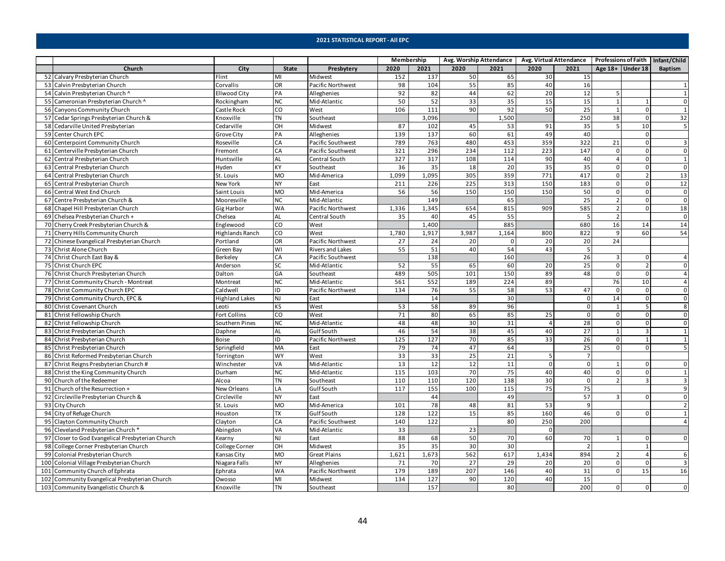|                                                  |                       |                |                         | Membership |       |       | Avg. Worship Attendance |                | Avg. Virtual Attendance Professions of Faith   Infant/Child |                    |                         |                         |
|--------------------------------------------------|-----------------------|----------------|-------------------------|------------|-------|-------|-------------------------|----------------|-------------------------------------------------------------|--------------------|-------------------------|-------------------------|
| Church                                           | City                  | <b>State</b>   | Presbytery              | 2020       | 2021  | 2020  | 2021                    | 2020           | 2021                                                        | Age $18+$ Under 18 |                         | Baptism                 |
| 52 Calvary Presbyterian Church                   | Flint                 | MI             | Midwest                 | 152        | 137   | 50    | 65                      | 30             | 15                                                          |                    |                         |                         |
| 53 Calvin Presbyterian Church                    | Corvallis             | OR             | Pacific Northwest       | 98         | 104   | 55    | 85                      | 40             | 16                                                          |                    |                         | $\mathbf{1}$            |
| 54 Calvin Presbyterian Church ^                  | <b>Ellwood City</b>   | PA             | Alleghenies             | 92         | 82    | 44    | 62                      | 20             | 12                                                          | 5                  |                         | $\mathbf{1}$            |
| 55 Cameronian Presbyterian Church ^              | Rockingham            | <b>NC</b>      | Mid-Atlantic            | 50         | 52    | 33    | 35                      | 15             | 15                                                          | $\mathbf{1}$       |                         | $\mathbf 0$             |
| 56 Canyons Community Church                      | Castle Rock           | CO             | West                    | 106        | 111   | 90    | 92                      | 50             | 25                                                          | $\mathbf{1}$       | $\Omega$                | $\mathbf{1}$            |
| 57 Cedar Springs Presbyterian Church &           | Knoxville             | <b>TN</b>      | Southeast               |            | 3,096 |       | 1,500                   |                | 250                                                         | 38                 | $\Omega$                | 32                      |
| 58 Cedarville United Presbyterian                | Cedarville            | OH             | Midwest                 | 87         | 102   | 45    | 53                      | 91             | 35                                                          | 5                  | 10                      | 5                       |
| 59 Center Church EPC                             | Grove City            | PA             | Alleghenies             | 139        | 137   | 60    | 61                      | 49             | 40                                                          |                    |                         |                         |
| 60 Centerpoint Community Church                  | Roseville             | CA             | Pacific Southwest       | 789        | 763   | 480   | 453                     | 359            | 322                                                         | 21                 | $\Omega$                | 3                       |
| 61 Centerville Presbyterian Church               | Fremont               | CA             | Pacific Southwest       | 321        | 296   | 234   | 112                     | 223            | 147                                                         | $\mathbf 0$        | $\Omega$                | $\mathbf 0$             |
| 62 Central Presbyterian Church                   | Huntsville            | <b>AL</b>      | Central South           | 327        | 317   | 108   | 114                     | 90             | 40                                                          | $\overline{4}$     | $\Omega$                | $\mathbf{1}$            |
| 63 Central Presbyterian Church                   | Hyden                 | KY             | Southeast               | 36         | 35    | 18    | 20                      | 35             | 35                                                          | $\mathbf 0$        | $\Omega$                | $\mathbf 0$             |
| 64 Central Presbyterian Church                   | St. Louis             | <b>MO</b>      | Mid-America             | 1,099      | 1,095 | 305   | 359                     | 771            | 417                                                         | $\mathbf 0$        |                         | 13                      |
| 65 Central Presbyterian Church                   | New York              | <b>NY</b>      | East                    | 211        | 226   | 225   | 313                     | 150            | 183                                                         | $\mathbf 0$        | $\Omega$                | 12                      |
| 66 Central West End Church                       | Saint Louis           | <b>MO</b>      | Mid-America             | 56         | 56    | 150   | 150                     | 150            | 50                                                          | $\mathbf 0$        | $\Omega$                | $\mathsf{O}$            |
| 67 Centre Presbyterian Church &                  | Mooresville           | <b>NC</b>      | Mid-Atlantic            |            | 149   |       | 65                      |                | 25                                                          | $\overline{2}$     | $\Omega$                | $\mathsf{o}$            |
| 68 Chapel Hill Presbyterian Church               | <b>Gig Harbor</b>     | <b>WA</b>      | Pacific Northwest       | 1,336      | 1,345 | 654   | 815                     | 909            | 585                                                         | $\overline{2}$     | $\Omega$                | 18                      |
| 69 Chelsea Presbyterian Church +                 | Chelsea               | <b>AL</b>      | Central South           | 35         | 40    | 45    | 55                      |                | 5                                                           | $\overline{2}$     |                         | $\mathsf 0$             |
| 70 Cherry Creek Presbyterian Church &            | Englewood             | $\overline{c}$ | West                    |            | 1,400 |       | 885                     |                | 680                                                         | 16                 | 14                      | 14                      |
| 71 Cherry Hills Community Church                 | Highlands Ranch       | CO             | West                    | 1,780      | 1,917 | 3,987 | 1,164                   | 800            | 822                                                         | 9                  | 60                      | 54                      |
| 72 Chinese Evangelical Presbyterian Church       | Portland              | OR             | Pacific Northwest       | 27         | 24    | 20    | 0                       | 20             | 20                                                          | 24                 |                         |                         |
| 73 Christ Alone Church                           | Green Bay             | WI             | <b>Rivers and Lakes</b> | 55         | 51    | 40    | 54                      | 43             | 5                                                           |                    |                         |                         |
| 74 Christ Church East Bay &                      | Berkeley              | CA             | Pacific Southwest       |            | 138   |       | 160                     |                | 26                                                          | 3                  | $\Omega$                | $\overline{4}$          |
| 75 Christ Church EPC                             | Anderson              | <b>SC</b>      | Mid-Atlantic            | 52         | 55    | 65    | 60                      | 20             | 25                                                          | 0                  |                         | $\mathbf 0$             |
| 76 Christ Church Presbyterian Church             | Dalton                | GA             | Southeast               | 489        | 505   | 101   | 150                     | 89             | 48                                                          | $\mathbf 0$        |                         | $\overline{4}$          |
| 77 Christ Community Church - Montreat            | Montreat              | <b>NC</b>      | Mid-Atlantic            | 561        | 552   | 189   | 224                     | 89             |                                                             | 76                 | 10                      | $\overline{4}$          |
| 78 Christ Community Church EPC                   | Caldwell              | ID             | Pacific Northwest       | 134        | 76    | 55    | 58                      | 53             | 47                                                          | $\mathsf 0$        | $\Omega$                | $\mathsf 0$             |
| 79 Christ Community Church, EPC &                | <b>Highland Lakes</b> | <b>NJ</b>      | East                    |            | 14    |       | 30                      |                | $\mathbf{0}$                                                | 14                 | $\overline{0}$          | $\mathbf 0$             |
| 80 Christ Covenant Church                        | Leoti                 | <b>KS</b>      | West                    | 53         | 58    | 89    | 96                      |                | $\mathbf 0$                                                 | 1                  | 5                       | 8                       |
| 81 Christ Fellowship Church                      | <b>Fort Collins</b>   | CO             | West                    | 71         | 80    | 65    | 85                      | 25             | $\mathbf 0$                                                 | $\mathbf 0$        | <sup>n</sup>            | $\mathsf{O}\xspace$     |
| 82 Christ Fellowship Church                      | Southern Pines        | <b>NC</b>      | Mid-Atlantic            | 48         | 48    | 30    | 31                      |                | 28                                                          | $\mathbf 0$        | $\Omega$                | $\mathsf{O}\xspace$     |
| 83 Christ Presbyterian Church                    | Daphne                | AL             | <b>GulfSouth</b>        | 46         | 54    | 38    | 45                      | 40             | 27                                                          | $\mathbf{1}$       | $\overline{\mathbf{z}}$ | $\mathbf{1}$            |
| 84 Christ Presbyterian Church                    | <b>Boise</b>          | ID             | Pacific Northwest       | 125        | 127   | 70    | 85                      | 33             | 26                                                          | $\mathbf 0$        |                         | $\mathbf{1}$            |
| 85 Christ Presbyterian Church                    | Springfield           | MA             | East                    | 79         | 74    | 47    | 64                      |                | 25                                                          | $\Omega$           | $\Omega$                | 5                       |
| 86 Christ Reformed Presbyterian Church           | Torrington            | <b>WY</b>      | West                    | 33         | 33    | 25    | 21                      | 5              | $\overline{7}$                                              |                    |                         |                         |
| 87 Christ Reigns Presbyterian Church #           | Winchester            | VA             | Mid-Atlantic            | 13         | 12    | 12    | 11                      | $\Omega$       | $\overline{0}$                                              | $\mathbf{1}$       | $\Omega$                | $\mathbf{0}$            |
| 88 Christ the King Community Church              | Durham                | <b>NC</b>      | Mid-Atlantic            | 115        | 103   | 70    | 75                      | 40             | 40                                                          | $\mathbf 0$        | $\Omega$                | $\mathbf{1}$            |
| 90 Church of the Redeemer                        | Alcoa                 | <b>TN</b>      | Southeast               | 110        | 110   | 120   | 138                     | 30             | $\mathbf{0}$                                                | $\overline{2}$     |                         | $\overline{\mathbf{3}}$ |
| 91 Church of the Resurrection +                  | New Orleans           | LA             | <b>GulfSouth</b>        | 117        | 155   | 100   | 115                     | 75             | 75                                                          |                    |                         | 9                       |
| 92 Circleville Presbyterian Church &             | Circleville           | <b>NY</b>      | East                    |            | 44    |       | 49                      |                | 57                                                          | 3                  | $\Omega$                | $\mathbf 0$             |
| 93 City Church                                   | St. Louis             | <b>MO</b>      | Mid-America             | 101        | 78    | 48    | 81                      | 53             | 9                                                           |                    |                         | $\overline{2}$          |
| 94 City of Refuge Church                         | Houston               | <b>TX</b>      | Gulf South              | 128        | 122   | 15    | 85                      | 160            | 46                                                          | $\Omega$           |                         | $\mathbf{1}$            |
| 95 Clayton Community Church                      | Clayton               | CA             | Pacific Southwest       | 140        | 122   |       | 80                      | 250            | 200                                                         |                    |                         | $\overline{a}$          |
| 96 Cleveland Presbyterian Church*                | Abingdon              | VA             | Mid-Atlantic            | 33         |       | 23    |                         | $\overline{0}$ |                                                             |                    |                         |                         |
| 97 Closer to God Evangelical Presbyterian Church | Kearny                | <b>NJ</b>      | East                    | 88         | 68    | 50    | 70                      | 60             | 70                                                          | 1                  | $\mathbf 0$             | $\mathbf 0$             |
| 98 College Corner Presbyterian Church            | College Corner        | OH             | Midwest                 | 35         | 35    | 30    | 30                      |                | $\overline{2}$                                              |                    |                         |                         |
| 99 Colonial Presbyterian Church                  | Kansas City           | <b>MO</b>      | <b>Great Plains</b>     | 1,621      | 1,673 | 562   | 617                     | 1,434          | 894                                                         |                    |                         | 6                       |
| 100 Colonial Village Presbyterian Church         | Niagara Falls         | <b>NY</b>      | Alleghenies             | 71         | 70    | 27    | 29                      | 20             | 20                                                          | $\mathbf 0$        | $\Omega$                | $\overline{\mathbf{3}}$ |
| 101 Community Church of Ephrata                  | Ephrata               | <b>WA</b>      | Pacific Northwest       | 179        | 189   | 207   | 146                     | 40             | 31                                                          | $\mathbf{0}$       | 15                      | 16                      |
| 102 Community Evangelical Presbyterian Church    | Owosso                | MI             | Midwest                 | 134        | 127   | 90    | 120                     | 40             | 15                                                          |                    |                         |                         |
| 103 Community Evangelistic Church &              | Knoxville             | <b>TN</b>      | Southeast               |            | 157   |       | 80                      |                | 200                                                         | $\mathbf 0$        | $\mathbf{0}$            | $\mathbf 0$             |
|                                                  |                       |                |                         |            |       |       |                         |                |                                                             |                    |                         |                         |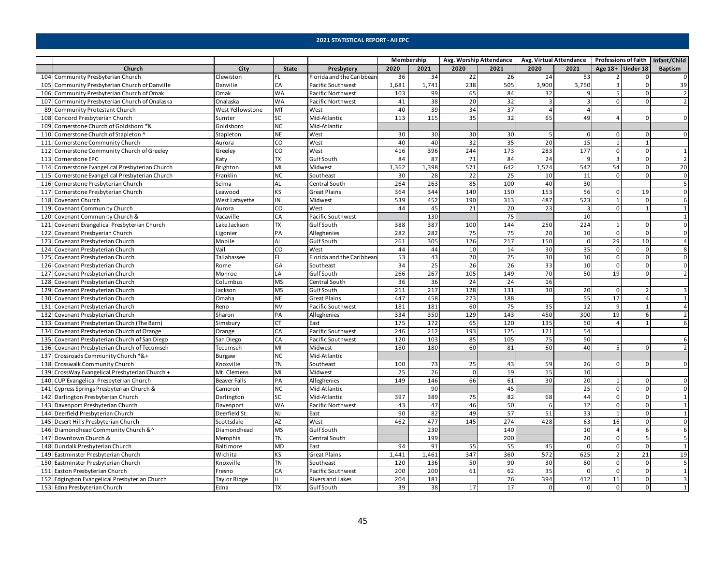|                                                 |                     |              |                           | Membership |       |                 | Avg. Worship Attendance |                | Avg. Virtual Attendance Professions of Faith   Infant/Child |                    |                 |                |
|-------------------------------------------------|---------------------|--------------|---------------------------|------------|-------|-----------------|-------------------------|----------------|-------------------------------------------------------------|--------------------|-----------------|----------------|
| Church                                          | City                | <b>State</b> | Presbytery                | 2020       | 2021  | 2020            | 2021                    | 2020           | 2021                                                        | Age $18+$ Under 18 |                 | <b>Baptism</b> |
| 104 Community Presbyterian Church               | Clewiston           | I FL         | Florida and the Caribbean | 36         | 34    | 22              | 26                      | 14             | 53                                                          |                    | $\Omega$        | $\mathbf 0$    |
| 105 Community Presbyterian Church of Danville   | Danville            | CA           | Pacific Southwest         | 1,681      | 1,741 | 238             | 505                     | 3,900          | 3,750                                                       | 3                  |                 | 39             |
| 106 Community Presbyterian Church of Omak       | Omak                | <b>WA</b>    | Pacific Northwest         | 103        | 99    | 65              | 84                      | 32             | 9                                                           | 5                  |                 | $\overline{2}$ |
| 107 Community Presbyterian Church of Onalaska   | Onalaska            | <b>WA</b>    | Pacific Northwest         | 41         | 38    | 20              | 32                      | $\overline{3}$ | $\overline{\mathbf{3}}$                                     | $\Omega$           | $\Omega$        | $\overline{2}$ |
| 89 Community Protestant Church                  | West Yellowstone    | MT           | West                      | 40         | 39    | 34              | 37                      | 4              | $\overline{4}$                                              |                    |                 |                |
| 108 Concord Presbyterian Church                 | Sumter              | SC           | Mid-Atlantic              | 113        | 115   | 35              | 32                      | 65             | 49                                                          | 4                  | $\Omega$        | $\mathbf{0}$   |
| 109 Cornerstone Church of Goldsboro *&          | Goldsboro           | <b>NC</b>    | Mid-Atlantic              |            |       |                 |                         |                |                                                             |                    |                 |                |
| 110 Cornerstone Church of Stapleton ^           | Stapleton           | <b>NE</b>    | West                      | 30         | 30    | 30              | 30                      | -5             | 0                                                           | 0                  |                 | $\mathbf{0}$   |
| 111 Cornerstone Community Church                | Aurora              | CO           | West                      | 40         | 40    | 32              | 35                      | 20             | 15                                                          | $\mathbf{1}$       |                 |                |
| 112 Cornerstone Community Church of Greeley     | Greeley             | CO           | West                      | 416        | 396   | 244             | 173                     | 283            | 177                                                         | $\mathbf 0$        | $\Omega$        | 1              |
| 113 Cornerstone EPC                             | Katy                | <b>TX</b>    | Gulf South                | 84         | 87    | 71              | 84                      | 24             | 9                                                           | $\overline{3}$     | $\Omega$        | $\overline{2}$ |
| 114 Cornerstone Evangelical Presbyterian Church | Brighton            | MI           | Midwest                   | 1,362      | 1,398 | 571             | 642                     | 1,574          | 542                                                         | 54                 | $\Omega$        | 20             |
| 115 Cornerstone Evangelical Presbyterian Church | Franklin            | <b>NC</b>    | Southeast                 | 30         | 28    | $\overline{22}$ | 25                      | 10             | 11                                                          | $\mathbf 0$        | $\Omega$        | $\overline{0}$ |
| 116 Cornerstone Presbyterian Church             | Selma               | <b>AL</b>    | Central South             | 264        | 263   | 85              | 100                     | 40             | 30                                                          |                    |                 | 5              |
| 117 Cornerstone Presbyterian Church             | Leawood             | <b>KS</b>    | <b>Great Plains</b>       | 364        | 344   | 140             | 150                     | 153            | 56                                                          | $\mathbf 0$        | 19              | $\mathbf 0$    |
| 118 Covenant Church                             | West Lafayette      | IN           | Midwest                   | 539        | 452   | 190             | 313                     | 487            | 523                                                         | 1                  | $\Omega$        | 6              |
| 119 Covenant Community Church                   | Aurora              | CO           | West                      | 44         | 45    | 21              | 20                      | 23             | 3                                                           | $\mathbf 0$        |                 | $\mathbf{1}$   |
| 120 Covenant Community Church &                 | Vacaville           | CA           | Pacific Southwest         |            | 130   |                 | 75                      |                | 10                                                          |                    |                 | $\mathbf 1$    |
| 121 Covenant Evangelical Presbyterian Church    | Lake Jackson        | Tx           | Gulf South                | 388        | 387   | 100             | 144                     | 250            | 224                                                         | $\mathbf{1}$       |                 | $\Omega$       |
| 122 Covenant Presbyerian Church                 | Ligonier            | PA           | Alleghenies               | 282        | 282   | 75              | 75                      | 20             | 10                                                          | $\mathsf 0$        | $\Omega$        | $\Omega$       |
| 123 Covenant Presbyterian Church                | Mobile              | <b>AL</b>    | <b>GulfSouth</b>          | 261        | 305   | 126             | 217                     | 150            | $\mathbf{0}$                                                | 29                 | 10              | $\overline{4}$ |
| 124 Covenant Presbyterian Church                | Vail                | CO           | West                      | 44         | 44    | 10              | 14                      | 30             | 35                                                          | $\mathbf 0$        | $\Omega$        | 8              |
| 125 Covenant Presbyterian Church                | Tallahassee         | FL           | Florida and the Caribbean | 53         | 43    | 20              | 25                      | 30             | 10                                                          | $\mathsf 0$        | $\mathbf 0$     | $\mathsf 0$    |
| 126 Covenant Presbyterian Church                | Rome                | GA           | Southeast                 | 34         | 25    | 26              | 26                      | 33             | 10                                                          | $\mathbf 0$        | 0               | $\mathbf 0$    |
| 127 Covenant Presbyterian Church                | Monroe              | LA           | <b>GulfSouth</b>          | 266        | 267   | 105             | 149                     | 70             | 50                                                          | 19                 | <sup>n</sup>    | $\overline{2}$ |
| 128 Covenant Presbyterian Church                | Columbus            | <b>MS</b>    | Central South             | 36         | 36    | 24              | 24                      | 16             |                                                             |                    |                 |                |
| 129 Covenant Presbyterian Church                | Jackson             | <b>MS</b>    | <b>GulfSouth</b>          | 211        | 217   | 128             | 131                     | 30             | 20                                                          | $\mathbf 0$        |                 | $\overline{3}$ |
| 130 Covenant Presbyterian Church                | Omaha               | <b>NE</b>    | <b>Great Plains</b>       | 447        | 458   | 273             | 188                     |                | 55                                                          | 17                 | $\Delta$        | $\mathbf{1}$   |
| 131 Covenant Presbyterian Church                | Reno                | <b>NV</b>    | Pacific Southwest         | 181        | 181   | 60              | 75                      | 35             | 12                                                          | 9                  | $\overline{1}$  | $\overline{4}$ |
| 132 Covenant Presbyterian Church                | Sharon              | PA           | Alleghenies               | 334        | 350   | 129             | 143                     | 450            | 300                                                         | 19                 | 6               | $\overline{2}$ |
| 133 Covenant Presbyterian Church (The Barn)     | Simsbury            | <b>CT</b>    | East                      | 175        | 172   | 65              | 120                     | 135            | 50                                                          | $\Delta$           |                 | 6              |
| 134 Covenant Presbyterian Church of Orange      | Orange              | CA           | Pacific Southwest         | 246        | 212   | 193             | 125                     | 121            | 54                                                          |                    |                 |                |
| 135 Covenant Presbyterian Church of San Diego   | San Diego           | CA           | Pacific Southwest         | 120        | 103   | 85              | 105                     | 75             | 50                                                          |                    |                 | 6              |
| 136 Covenant Presbyterian Church of Tecumseh    | Tecumseh            | MI           | Midwest                   | 180        | 180   | 60              | 81                      | 60             | 40                                                          | 5                  | $\Omega$        | $\overline{2}$ |
| 137 Crossroads Community Church *&+             | Burgaw              | <b>NC</b>    | Mid-Atlantic              |            |       |                 |                         |                |                                                             |                    |                 |                |
| 138 Crosswalk Community Church                  | Knoxville           | <b>TN</b>    | Southeast                 | 100        | 73    | 25              | 43                      | 59             | 26                                                          | $\Omega$           |                 | $\Omega$       |
| 139 CrossWay Evangelical Presbyterian Church +  | Mt. Clemens         | MI           | Midwest                   | 25         | 26    | $\Omega$        | 19                      | 15             | 10                                                          |                    |                 |                |
| 140 CUP Evangelical Presbyterian Church         | <b>Beaver Falls</b> | PA           | Alleghenies               | 149        | 146   | 66              | 61                      | 30             | 20                                                          | 1                  | $\Omega$        | 0              |
| 141 Cypress Springs Presbyterian Church &       | Cameron             | <b>NC</b>    | Mid-Atlantic              |            | 90    |                 | 45                      |                | 25                                                          | $\mathbf 0$        | $\Omega$        | $\mathbf 0$    |
| 142 Darlington Presbyterian Church              | Darlington          | <b>SC</b>    | Mid-Atlantic              | 397        | 389   | 75              | 82                      | 68             | 44                                                          | $\mathbf 0$        | $\Omega$        | $\mathbf{1}$   |
| 143 Davenport Presbyterian Church               | Davenport           | <b>WA</b>    | Pacific Northwest         | 43         | 47    | 46              | 50                      | 6              | 12                                                          | $\mathbf 0$        | $\Omega$        | $\mathbf{1}$   |
| 144 Deerfield Presbyterian Church               | Deerfield St.       | <b>NJ</b>    | East                      | 90         | 82    | 49              | 57                      | 51             | 33                                                          | $\mathbf{1}$       | $\Omega$        | $\mathbf{1}$   |
| 145 Desert Hills Presbyterian Church            | Scottsdale          | <b>AZ</b>    | West                      | 462        | 477   | 145             | 274                     | 428            | 63                                                          | 16                 | $\Omega$        | $\mathbf{0}$   |
| 146 Diamondhead Community Church & ^            | Diamondhead         | <b>MS</b>    | <b>GulfSouth</b>          |            | 230   |                 | 140                     |                | 10                                                          | 4                  | 6               | 6              |
| 147 Downtown Church &                           | Memphis             | <b>TN</b>    | Central South             |            | 199   |                 | 200                     |                | 20                                                          | $\mathbf 0$        | 5               | 5              |
| 148 Dundalk Presbyterian Church                 | Baltimore           | <b>MD</b>    | East                      | 94         | 91    | 55              | 55                      | 45             | $\mathbf 0$                                                 | $\mathbf 0$        | $\Omega$        | $\mathbf{1}$   |
| 149 Eastminster Presbyterian Church             | Wichita             | KS           | Great Plains              | 1,441      | 1,461 | 347             | 360                     | 572            | 625                                                         | $\overline{2}$     | $\overline{21}$ | 19             |
| 150 Eastminster Presbyterian Church             | Knoxville           | <b>TN</b>    | Southeast                 | 120        | 136   | 50              | 90                      | 30             | 80                                                          | $\mathbf 0$        | $\Omega$        | 5              |
| 151 Easton Presbyterian Church                  | Fresno              | CA           | Pacific Southwest         | 200        | 200   | 61              | 62                      | 35             | $\mathbf 0$                                                 | $\mathbf 0$        | $\Omega$        | $\mathbf{1}$   |
| 152 Edgington Evangelical Presbyterian Church   | <b>Taylor Ridge</b> | IL           | Rivers and Lakes          | 204        | 181   |                 | 76                      | 394            | 412                                                         | 11                 | $\Omega$        | 3              |
| 153 Edna Presbyterian Church                    | Edna                | <b>TX</b>    | Gulf South                | 39         | 38    | 17              | 17                      | $\mathbf 0$    | $\mathbf{0}$                                                | $\mathbf{0}$       | $\overline{0}$  | $\mathbf{1}$   |
|                                                 |                     |              |                           |            |       |                 |                         |                |                                                             |                    |                 |                |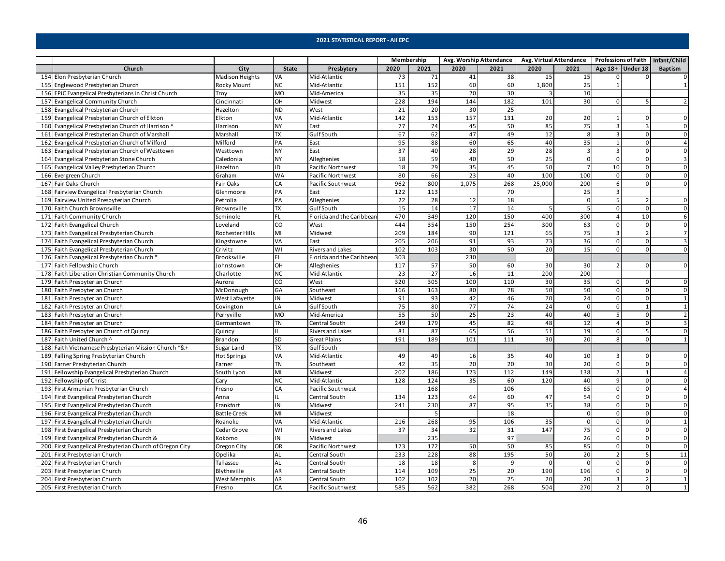|                                                          |                        |              |                           | Membership      |      |       | Avg. Worship Attendance |          | Avg. Virtual Attendance   Professions of Faith   Infant/Child |                    |                |                          |
|----------------------------------------------------------|------------------------|--------------|---------------------------|-----------------|------|-------|-------------------------|----------|---------------------------------------------------------------|--------------------|----------------|--------------------------|
| Church                                                   | City                   | <b>State</b> | Presbytery                | 2020            | 2021 | 2020  | 2021                    | 2020     | 2021                                                          | Age $18+$ Under 18 |                | Baptism                  |
| 154 Elon Presbyterian Church                             | <b>Madison Heights</b> | VA           | Mid-Atlantic              | 73              | 71   | 41    | 38                      | 15       | 15                                                            | $\Omega$           | $\Omega$       | $\mathbf 0$              |
| 155 Englewood Presbyterian Church                        | Rocky Mount            | <b>NC</b>    | Mid-Atlantic              | 151             | 152  | 60    | 60                      | 1,800    | 25                                                            | $\mathbf{1}$       |                | $\mathbf{1}$             |
| 156 EPIC Evangelical Presbyterians in Christ Church      | Troy                   | <b>MO</b>    | Mid-America               | 35              | 35   | 20    | 30                      |          | 10                                                            |                    |                |                          |
| 157 Evangelical Community Church                         | Cincinnati             | OH           | Midwest                   | 228             | 194  | 144   | 182                     | 101      | 30                                                            | $\Omega$           |                | $\overline{\phantom{a}}$ |
| 158 Evangelical Presbyterian Church                      | Hazelton               | <b>ND</b>    | West                      | 21              | 20   | 30    | 25                      |          |                                                               |                    |                |                          |
| 159 Evangelical Presbyterian Church of Elkton            | Elkton                 | VA           | Mid-Atlantic              | 142             | 153  | 157   | 131                     | 20       | 20                                                            | 1                  | $\Omega$       | $\overline{0}$           |
| 160 Evangelical Presbyterian Church of Harrison ^        | Harrison               | <b>NY</b>    | East                      | 77              | 74   | 45    | 50                      | 85       | 75                                                            | 3                  | $\mathbf{a}$   | $\mathbf 0$              |
| 161 Evangelical Presbyterian Church of Marshall          | Marshall               | <b>TX</b>    | <b>Gulf South</b>         | 67              | 62   | 47    | 49                      | 12       | 8                                                             | 3                  | <sup>0</sup>   | $\mathbf{0}$             |
| 162 Evangelical Presbyterian Church of Milford           | Milford                | PA           | East                      | 95              | 88   | 60    | 65                      | 40       | 35                                                            | $\mathbf{1}$       | $\Omega$       | $\overline{4}$           |
| 163 Evangelical Presbyterian Church of Westtown          | Westtown               | <b>NY</b>    | East                      | $\overline{37}$ | 40   | 28    | 29                      | 28       | $\overline{3}$                                                | 3                  | $\Omega$       | $\mathbf 0$              |
| 164 Evangelical Presbyterian Stone Church                | Caledonia              | <b>NY</b>    | Alleghenies               | 58              | 59   | 40    | 50                      | 25       | $\mathbf{0}$                                                  | $\mathbf 0$        | $\Omega$       | $\overline{\mathbf{3}}$  |
| 165 Evangelical Valley Presbyterian Church               | Hazelton               | ID           | Pacific Northwest         | 18              | 29   | 35    | 45                      | 50       | $\overline{7}$                                                | 10                 | $\Omega$       | $\mathbf 0$              |
| 166 Evergreen Church                                     | Graham                 | <b>WA</b>    | Pacific Northwest         | 80              | 66   | 23    | 40                      | 100      | 100                                                           | $\mathbf 0$        | <sup>n</sup>   | $\mathbf 0$              |
| 167 Fair Oaks Church                                     | Fair Oaks              | CA           | Pacific Southwest         | 962             | 800  | 1,075 | 268                     | 25,000   | 200                                                           | 6                  | $\Omega$       | $\mathbf{0}$             |
| 168 Fairview Evangelical Presbyterian Church             | Glenmoore              | PA           | East                      | 122             | 113  |       | 70                      |          | 25                                                            | 3                  |                |                          |
| 169 Fairview United Presbyterian Church                  | Petrolia               | PA           | Alleghenies               | 22              | 28   | 12    | 18                      |          | $\overline{0}$                                                | 5                  |                | $\mathbf 0$              |
| 170 Faith Church Brownsville                             | Brownsville            | <b>TX</b>    | <b>GulfSouth</b>          | 15              | 14   | 17    | 14                      | 5        | 5                                                             | $\mathbf 0$        | $\Omega$       | $\mathbf 0$              |
| 171 Faith Community Church                               | Seminole               | I FL         | Florida and the Caribbean | 470             | 349  | 120   | 150                     | 400      | 300                                                           | $\overline{4}$     | 10             | 6                        |
| 172 Faith Evangelical Church                             | Loveland               | CO           | West                      | 444             | 354  | 150   | 254                     | 300      | 63                                                            | $\mathbf 0$        | $\Omega$       | $\mathsf{O}\xspace$      |
| 173 Faith Evangelical Presbyterian Church                | Rochester Hills        | MI           | Midwest                   | 209             | 184  | 90    | 121                     | 65       | 75                                                            | 3                  |                | $\overline{7}$           |
| 174 Faith Evangelical Presbyterian Church                | Kingstowne             | VA           | East                      | 205             | 206  | 91    | 93                      | 73       | 36                                                            | $\mathbf 0$        | $\Omega$       | $\overline{\mathbf{3}}$  |
| 175 Faith Evangelical Presbyterian Church                | Crivitz                | WI           | <b>Rivers and Lakes</b>   | 102             | 103  | 30    | 50                      | 20       | 15                                                            | $\mathbf 0$        | $\Omega$       | $\mathbf 0$              |
| 176 Faith Evangelical Presbyterian Church *              | Brooksville            | <b>FL</b>    | Florida and the Caribbean | 303             |      | 230   |                         |          |                                                               |                    |                |                          |
| 177 Faith Fellowship Church                              | Johnstown              | OH           | Alleghenies               | 117             | 57   | 50    | 60                      | 30       | 30                                                            | $\mathcal{P}$      |                | $\mathbf 0$              |
| 178 Faith Liberation Christian Community Church          | Charlotte              | <b>NC</b>    | Mid-Atlantic              | 23              | 27   | 16    | 11                      | 200      | 200                                                           |                    |                |                          |
| 179 Faith Presbyterian Church                            | Aurora                 | CO           | West                      | 320             | 305  | 100   | 110                     | 30       | 35                                                            | $\mathbf 0$        | $\Omega$       | $\mathbf 0$              |
| 180 Faith Presbyterian Church                            | McDonough              | GA           | Southeast                 | 166             | 163  | 80    | 78                      | 50       | 50                                                            | $\mathsf 0$        | $\Omega$       | $\mathsf{O}\xspace$      |
| 181 Faith Presbyterian Church                            | West Lafayette         | IN           | Midwest                   | 91              | 93   | 42    | 46                      | 70       | 24                                                            | $\mathbf 0$        | $\mathbf{0}$   | $\mathbf{1}$             |
| 182 Faith Presbyterian Church                            | Covington              | LA           | <b>GulfSouth</b>          | 75              | 80   | 77    | 74                      | 24       | $\mathbf 0$                                                   | $\mathbf 0$        |                | $\mathbf{1}$             |
| 183 Faith Presbyterian Church                            | Perryville             | <b>MO</b>    | Mid-America               | 55              | 50   | 25    | 23                      | 40       | 40                                                            | 5                  | <sup>n</sup>   | $\overline{2}$           |
| 184 Faith Presbyterian Church                            | Germantown             | <b>TN</b>    | Central South             | 249             | 179  | 45    | 82                      | 48       | 12                                                            | $\overline{4}$     | $\Omega$       | 3                        |
| 186 Faith Presbyterian Church of Quincy                  | Quincy                 | IL           | <b>Rivers and Lakes</b>   | 81              | 87   | 65    | 56                      | 51       | 19                                                            | $\pmb{0}$          | 5              | $\mathbf 0$              |
| 187 Faith United Church ^                                | Brandon                | SD           | <b>Great Plains</b>       | 191             | 189  | 101   | 111                     | 30       | 20                                                            | 8                  | $\Omega$       | $\mathbf{1}$             |
| 188 Faith Vietnamese Presbyterian Mission Church *&+     | Sugar Land             | <b>TX</b>    | <b>GulfSouth</b>          |                 |      |       |                         |          |                                                               |                    |                |                          |
| 189 Falling Spring Presbyterian Church                   | <b>Hot Springs</b>     | VA           | Mid-Atlantic              | 49              | 49   | 16    | 35                      | 40       | 10                                                            | 3                  |                | $\Omega$                 |
| 190 Farner Presbyterian Church                           | Farner                 | <b>TN</b>    | Southeast                 | 42              | 35   | 20    | 20                      | 30       | 20                                                            | $\mathsf 0$        | $\Omega$       | 0                        |
| 191 Fellowship Evangelical Presbyterian Church           | South Lyon             | MI           | Midwest                   | 202             | 186  | 123   | 112                     | 149      | 138                                                           | $\overline{2}$     |                | $\overline{4}$           |
| 192 Fellowship of Christ                                 | Cary                   | <b>NC</b>    | Mid-Atlantic              | 128             | 124  | 35    | 60                      | 120      | 40                                                            | 9                  | $\Omega$       | $\mathbf 0$              |
| 193 First Armenian Presbyterian Church                   | Fresno                 | CA           | Pacific Southwest         |                 | 168  |       | 106                     |          | 65                                                            | $\mathsf 0$        | $\mathbf{0}$   | $\overline{4}$           |
| 194 First Evangelical Presbyterian Church                | Anna                   | IL           | Central South             | 134             | 123  | 64    | 60                      | 47       | 54                                                            | $\mathbf 0$        | $\Omega$       | $\mathbf 0$              |
| 195 First Evangelical Presbyterian Church                | Frankfort              | IN           | Midwest                   | 241             | 230  | 87    | 95                      | 35       | 38                                                            | $\Omega$           | $\Omega$       | $\Omega$                 |
| 196 First Evangelical Presbyterian Church                | <b>Battle Creek</b>    | MI           | Midwest                   |                 |      |       | 18                      |          | $\mathbf{0}$                                                  | $\mathbf 0$        | $\Omega$       | $\mathbf 0$              |
| 197 First Evangelical Presbyterian Church                | Roanoke                | VA           | Mid-Atlantic              | 216             | 268  | 95    | 106                     | 35       | $\overline{0}$                                                | $\mathbf 0$        | $\Omega$       | $\mathbf{1}$             |
| 198 First Evangelical Presbyterian Church                | Cedar Grove            | WI           | Rivers and Lakes          | 37              | 34   | 32    | 31                      | 147      | 75                                                            | $\mathbf 0$        | $\mathbf{0}$   | $\mathsf 0$              |
| 199 First Evangelical Presbyterian Church &              | Kokomo                 | IN           | Midwest                   |                 | 235  |       | 97                      |          | 26                                                            | $\mathsf 0$        | $\overline{0}$ | $\mathsf 0$              |
| 200 First Evangelical Presbyterian Church of Oregon City | Oregon City            | OR           | Pacific Northwest         | 173             | 172  | 50    | 50                      | 85       | 85                                                            | $\mathsf 0$        | $\Omega$       | $\mathbf 0$              |
| 201 First Presbyterian Church                            | Opelika                | AL           | Central South             | 233             | 228  | 88    | 195                     | 50       | 20                                                            | $\overline{2}$     |                | 11                       |
| 202 First Presbyterian Church                            | Tallassee              | <b>AL</b>    | Central South             | 18              | 18   | 8     | 9                       | $\Omega$ | $\mathbf 0$                                                   | $\mathbf 0$        | $\Omega$       | $\mathsf 0$              |
| 203 First Presbyterian Church                            | Blytheville            | AR           | <b>Central South</b>      | 114             | 109  | 25    | 20                      | 190      | 196                                                           | $\mathbf 0$        | $\Omega$       | $\mathbf 0$              |
| 204 First Presbyterian Church                            | West Memphis           | AR           | Central South             | 102             | 102  | 20    | 25                      | 20       | 20                                                            | 3                  | $\overline{2}$ | $\mathbf{1}$             |
| 205 First Presbyterian Church                            | Fresno                 | CA           | Pacific Southwest         | 585             | 562  | 382   | 268                     | 504      | 270                                                           | $\overline{2}$     | $\mathbf{0}$   | $\mathbf{1}$             |
|                                                          |                        |              |                           |                 |      |       |                         |          |                                                               |                    |                |                          |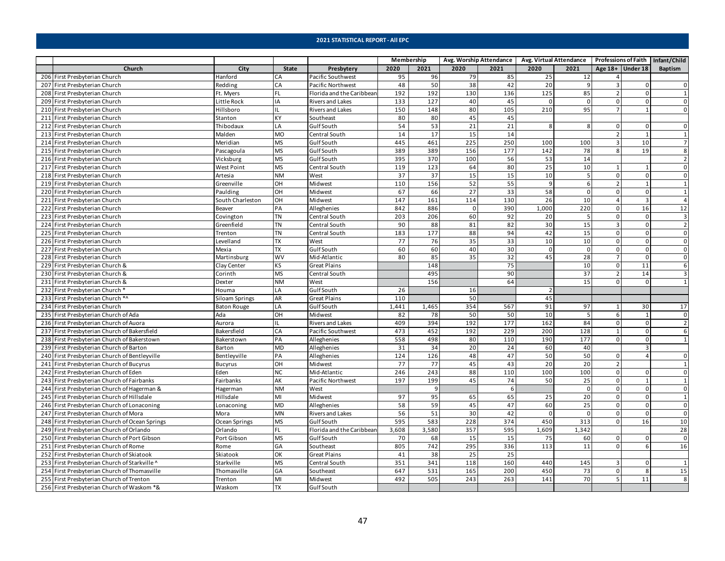|                                                |                    |              |                           | Membership |       |                 |      | Avg. Worship Attendance   Avg. Virtual Attendance   Professions of Faith   Infant/Child |             |                |                    |                |
|------------------------------------------------|--------------------|--------------|---------------------------|------------|-------|-----------------|------|-----------------------------------------------------------------------------------------|-------------|----------------|--------------------|----------------|
| Church                                         | City               | <b>State</b> | Presbytery                | 2020       | 2021  | 2020            | 2021 | 2020                                                                                    | 2021        |                | Age $18+$ Under 18 | Baptism        |
| 206 First Presbyterian Church                  | Hanford            | CA           | Pacific Southwest         | 95         | 96    | 79              | 85   | 25                                                                                      | 12          |                |                    |                |
| 207 First Presbyterian Church                  | Redding            | CA           | Pacific Northwest         | 48         | 50    | 38              | 42   | 20                                                                                      | 9           | 3              | $\Omega$           | $\mathsf 0$    |
| 208 First Presbyterian Church                  | Ft. Myers          | FL           | Florida and the Caribbean | 192        | 192   | 130             | 136  | 125                                                                                     | 85          | $\overline{2}$ |                    | $\overline{1}$ |
| 209 First Presbyterian Church                  | Little Rock        | IA           | <b>Rivers and Lakes</b>   | 133        | 127   | 40              | 45   | $\Omega$                                                                                | $\Omega$    | $\Omega$       | $\Omega$           | $\mathbf 0$    |
| 210 First Presbyterian Church                  | Hillsboro          | IL           | <b>Rivers and Lakes</b>   | 150        | 148   | 80              | 105  | 210                                                                                     | 95          | $\overline{7}$ |                    | $\mathbf 0$    |
| 211 First Presbyterian Church                  | Stanton            | <b>KY</b>    | Southeast                 | 80         | 80    | 45              | 45   |                                                                                         |             |                |                    |                |
| 212 First Presbyterian Church                  | Thibodaux          | LA           | <b>GulfSouth</b>          | 54         | 53    | 21              | 21   | 8                                                                                       | 8           | 0              | 0                  | 0              |
| 213 First Presbyterian Church                  | Malden             | <b>MO</b>    | Central South             | 14         | 17    | 15              | 14   |                                                                                         |             |                |                    | $\overline{1}$ |
| 214 First Presbyterian Church                  | Meridian           | <b>MS</b>    | <b>Gulf South</b>         | 445        | 461   | 225             | 250  | 100                                                                                     | 100         | $\overline{3}$ | 10                 | $\overline{7}$ |
| 215 First Presbyterian Church                  | Pascagoula         | <b>MS</b>    | <b>GulfSouth</b>          | 389        | 389   | 156             | 177  | 142                                                                                     | 78          | 8              | 19                 | 8              |
| 216 First Presbyterian Church                  | Vicksburg          | <b>MS</b>    | <b>GulfSouth</b>          | 395        | 370   | 100             | 56   | 53                                                                                      | 14          |                |                    | $\overline{2}$ |
| 217 First Presbyterian Church                  | <b>West Point</b>  | <b>MS</b>    | Central South             | 119        | 123   | 64              | 80   | 25                                                                                      | 10          | $\mathbf{1}$   |                    | $\mathbf 0$    |
| 218 First Presbyterian Church                  | Artesia            | <b>NM</b>    | West                      | 37         | 37    | 15              | 15   | 10                                                                                      | 5           | $\Omega$       | $\Omega$           | $\mathbf 0$    |
| 219 First Presbyterian Church                  | Greenville         | OH           | Midwest                   | 110        | 156   | 52              | 55   | $\overline{9}$                                                                          | 6           | $\overline{2}$ |                    | $\mathbf{1}$   |
| 220 First Presbyterian Church                  | Paulding           | OH           | Midwest                   | 67         | 66    | $\overline{27}$ | 33   | 58                                                                                      | $\mathbf 0$ | 0              | $\Omega$           | $\mathbf{1}$   |
| 221 First Presbyterian Church                  | South Charleston   | OH           | Midwest                   | 147        | 161   | 114             | 130  | 26                                                                                      | 10          | $\overline{4}$ | $\overline{3}$     | $\overline{4}$ |
| 222 First Presbyterian Church                  | Beaver             | PA           | Alleghenies               | 842        | 886   | $\Omega$        | 390  | 1,000                                                                                   | 220         | $\mathbf 0$    | 16                 | 12             |
| 223 First Presbyterian Church                  | Covington          | <b>TN</b>    | Central South             | 203        | 206   | 60              | 92   | 20                                                                                      | 5           | 0              | $\Omega$           | $\mathsf 3$    |
| 224 First Presbyterian Church                  | Greenfield         | <b>TN</b>    | Central South             | 90         | 88    | 81              | 82   | 30                                                                                      | 15          | $\overline{3}$ | $\Omega$           | $\overline{2}$ |
| 225 First Presbyterian Church                  | Trenton            | <b>TN</b>    | Central South             | 183        | 177   | 88              | 94   | 42                                                                                      | 15          | $\mathbf 0$    |                    | $\mathbf 0$    |
| 226 First Presbyterian Church                  | Levelland          | <b>TX</b>    | West                      | 77         | 76    | 35              | 33   | 10                                                                                      | 10          | $\Omega$       | $\Omega$           | $\mathbf 0$    |
| 227 First Presbyterian Church                  | Mexia              | <b>TX</b>    | <b>GulfSouth</b>          | 60         | 60    | 40              | 30   | $\overline{0}$                                                                          | $\mathsf 0$ | 0              | $\Omega$           | $\mathbf 0$    |
| 228 First Presbyterian Church                  | Martinsburg        | <b>WV</b>    | Mid-Atlantic              | 80         | 85    | 35              | 32   | 45                                                                                      | 28          | $\overline{7}$ | $\Omega$           | $\mathbf 0$    |
| 229 First Presbyterian Church &                | Clay Center        | KS           | Great Plains              |            | 148   |                 | 75   |                                                                                         | 10          | 0              | 11                 | 6              |
| 230 First Presbyterian Church &                | Corinth            | <b>MS</b>    | Central South             |            | 495   |                 | 90   |                                                                                         | 37          | $\overline{2}$ | 14                 | $\overline{3}$ |
| 231 First Presbyterian Church &                | Dexter             | <b>NM</b>    | West                      |            | 156   |                 | 64   |                                                                                         | 15          | $\Omega$       | $\Omega$           | $\overline{1}$ |
| 232 First Presbyterian Church *                | Houma              | LA           | <b>GulfSouth</b>          | 26         |       | 16              |      | $\overline{2}$                                                                          |             |                |                    |                |
| 233 First Presbyterian Church *^               | Siloam Springs     | AR           | <b>Great Plains</b>       | 110        |       | 50              |      | 45                                                                                      |             |                |                    |                |
| 234 First Presbyterian Church                  | <b>Baton Rouge</b> | LA           | <b>GulfSouth</b>          | 1,441      | 1,465 | 354             | 567  | 91                                                                                      | 97          | $\overline{1}$ | 30                 | 17             |
| 235 First Presbyterian Church of Ada           | Ada                | OH           | Midwest                   | 82         | 78    | 50              | 50   | 10                                                                                      | 5           | 6              |                    | $\mathbf 0$    |
| 236 First Presbyterian Church of Auora         | Aurora             | IL           | <b>Rivers and Lakes</b>   | 409        | 394   | 192             | 177  | 162                                                                                     | 84          | $\mathbf 0$    | $\Omega$           | $\overline{2}$ |
| 237 First Presbyterian Church of Bakersfield   | Bakersfield        | CA           | Pacific Southwest         | 473        | 452   | 192             | 229  | 200                                                                                     | 128         | $\mathbf{1}$   | $\Omega$           | 6              |
| 238 First Presbyterian Church of Bakerstown    | Bakerstown         | PA           | Alleghenies               | 558        | 498   | 80              | 110  | 190                                                                                     | 177         | $\mathbf 0$    | $\mathbf{0}$       | $\mathbf{1}$   |
| 239 First Presbyterian Church of Barton        | Barton             | <b>MD</b>    | Alleghenies               | 31         | 34    | 20              | 24   | 60                                                                                      | 40          |                | $\overline{3}$     |                |
| 240 First Presbyterian Church of Bentleyville  | Bentleyville       | PA           | Alleghenies               | 124        | 126   | 48              | 47   | 50                                                                                      | 50          | 0              | $\overline{a}$     | $\mathbf 0$    |
| 241 First Presbyterian Church of Bucyrus       | <b>Bucyrus</b>     | OH           | Midwest                   | 77         | 77    | 45              | 43   | 20                                                                                      | 20          | $\overline{2}$ |                    | $\mathbf{1}$   |
| 242 First Presbyterian Church of Eden          | Eden               | <b>NC</b>    | Mid-Atlantic              | 246        | 243   | 88              | 110  | 100                                                                                     | 100         | $\mathbf 0$    |                    | $\mathbf 0$    |
| 243 First Presbyterian Church of Fairbanks     | Fairbanks          | AK           | Pacific Northwest         | 197        | 199   | 45              | 74   | 50                                                                                      | 25          | $\Omega$       |                    | $\mathbf{1}$   |
| 244 First Presbyterian Church of Hagerman &    | Hagerman           | <b>NM</b>    | West                      |            | -9    |                 | 6    |                                                                                         | $\mathsf 0$ | $\mathbf 0$    | 0                  | $\mathsf 0$    |
| 245 First Presbyterian Church of Hillsdale     | Hillsdale          | MI           | Midwest                   | 97         | 95    | 65              | 65   | 25                                                                                      | 20          | $\mathbf 0$    | $\Omega$           | $\mathbf{1}$   |
| 246 First Presbyterian Church of Lonaconing    | Lonaconing         | <b>MD</b>    | Alleghenies               | 58         | 59    | 45              | 47   | 60                                                                                      | 25          | $\Omega$       | $\Omega$           | $\mathsf 0$    |
| 247 First Presbyterian Church of Mora          | Mora               | <b>MN</b>    | <b>Rivers and Lakes</b>   | 56         | 51    | 30              | 42   | $\mathbf{0}$                                                                            | $\mathsf 0$ | 0              |                    | $\mathsf 0$    |
| 248 First Presbyterian Church of Ocean Springs | Ocean Springs      | <b>MS</b>    | <b>GulfSouth</b>          | 595        | 583   | 228             | 374  | 450                                                                                     | 313         | $\mathbf 0$    | 16                 | 10             |
| 249 First Presbyterian Church of Orlando       | Orlando            | <b>FL</b>    | Florida and the Caribbean | 3,608      | 3,580 | 357             | 595  | 1,609                                                                                   | 1,342       |                |                    | 28             |
| 250 First Presbyterian Church of Port Gibson   | Port Gibson        | <b>MS</b>    | Gulf South                | 70         | 68    | 15              | 15   | 75                                                                                      | 60          | 0              | 0                  | $\mathsf 0$    |
| 251 First Presbyterian Church of Rome          | Rome               | GA           | Southeast                 | 805        | 742   | 295             | 336  | 113                                                                                     | 11          | $\mathbf 0$    | 6                  | 16             |
| 252 First Presbyterian Church of Skiatook      | Skiatook           | OK           | <b>Great Plains</b>       | 41         | 38    | 25              | 25   |                                                                                         |             |                |                    |                |
| 253 First Presbyterian Church of Starkville ^  | Starkville         | <b>MS</b>    | Central South             | 351        | 341   | 118             | 160  | 440                                                                                     | 145         | 3              | $\Omega$           | $\overline{1}$ |
| 254 First Presbyterian Church of Thomasville   | Thomasville        | GA           | Southeast                 | 647        | 531   | 165             | 200  | 450                                                                                     | 73          | $\mathbf 0$    | 8                  | 15             |
| 255 First Presbyterian Church of Trenton       | Trenton            | MI           | Midwest                   | 492        | 505   | 243             | 263  | 141                                                                                     | 70          | 5              | 11                 | 8              |
| 256 First Presbyterian Church of Waskom *&     | Waskom             | <b>TX</b>    | Gulf South                |            |       |                 |      |                                                                                         |             |                |                    |                |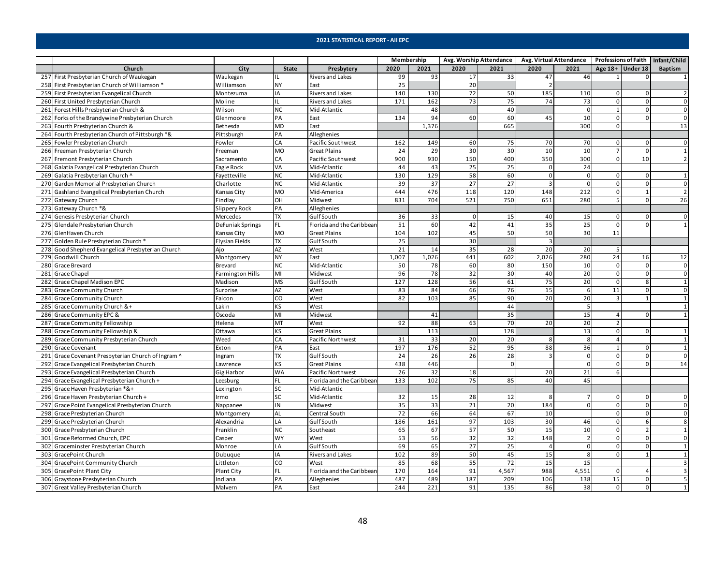|                                                    |                         |              |                           | Membership |                 |                 | Avg. Worship Attendance |                         | Avg. Virtual Attendance Professions of Faith   Infant/Child |                    |                |                     |
|----------------------------------------------------|-------------------------|--------------|---------------------------|------------|-----------------|-----------------|-------------------------|-------------------------|-------------------------------------------------------------|--------------------|----------------|---------------------|
| Church                                             | City                    | <b>State</b> | Presbytery                | 2020       | 2021            | 2020            | 2021                    | 2020                    | 2021                                                        | Age $18+$ Under 18 |                | <b>Baptism</b>      |
| 257 First Presbyterian Church of Waukegan          | Waukegan                | ΠL           | Rivers and Lakes          | 99         | 93              | 17              | 33                      | 47                      | 46                                                          | 1                  | $\Omega$       |                     |
| 258 First Presbyterian Church of Williamson *      | Williamson              | <b>NY</b>    | East                      | 25         |                 | 20              |                         |                         |                                                             |                    |                |                     |
| 259 First Presbyterian Evangelical Church          | Montezuma               | IA           | <b>Rivers and Lakes</b>   | 140        | 130             | 72              | 50                      | 185                     | 110                                                         | $\Omega$           |                |                     |
| 260 First United Presbyterian Church               | Moline                  | IL           | <b>Rivers and Lakes</b>   | 171        | 162             | 73              | 75                      | 74                      | 73                                                          | 0                  |                | 0                   |
| 261 Forest Hills Presbyterian Church &             | Wilson                  | <b>NC</b>    | Mid-Atlantic              |            | 48              |                 | 40                      |                         | $\mathbf{0}$                                                | $\mathbf{1}$       | $\Omega$       | $\mathsf{O}\xspace$ |
| 262 Forks of the Brandywine Presbyterian Church    | Glenmoore               | PA           | East                      | 134        | 94              | 60              | 60                      | 45                      | 10                                                          | $\Omega$           | $\Omega$       | $\Omega$            |
| 263 Fourth Presbyterian Church &                   | Bethesda                | <b>MD</b>    | East                      |            | 1,376           |                 | 665                     |                         | 300                                                         | $\Omega$           |                | 13                  |
| 264 Fourth Presbyterian Church of Pittsburgh *&    | Pittsburgh              | PA           | Alleghenies               |            |                 |                 |                         |                         |                                                             |                    |                |                     |
| 265 Fowler Presbyterian Church                     | Fowler                  | CA           | Pacific Southwest         | 162        | 149             | 60              | 75                      | 70                      | 70                                                          | $\Omega$           |                | $\Omega$            |
| 266 Freeman Presbyterian Church                    | Freeman                 | <b>MO</b>    | <b>Great Plains</b>       | 24         | 29              | 30              | 30                      | 10                      | 10                                                          | $\overline{7}$     | $\Omega$       | $\mathbf{1}$        |
| 267 Fremont Presbyterian Church                    | Sacramento              | CA           | Pacific Southwest         | 900        | 930             | 150             | 400                     | 350                     | 300                                                         | $\overline{0}$     | 10             | $\overline{2}$      |
| 268 Galatia Evangelical Presbyterian Church        | Eagle Rock              | VA           | Mid-Atlantic              | 44         | 43              | 25              | 25                      | $\mathbf 0$             | 24                                                          |                    |                |                     |
| 269 Galatia Presbyterian Church ^                  | Fayetteville            | <b>NC</b>    | Mid-Atlantic              | 130        | 129             | 58              | 60                      | $\mathbf{0}$            | $\overline{0}$                                              | 0                  | $\Omega$       | $\mathbf{1}$        |
| 270 Garden Memorial Presbyterian Church            | Charlotte               | <b>NC</b>    | Mid-Atlantic              | 39         | $\overline{37}$ | $\overline{27}$ | $\overline{27}$         | $\overline{\mathbf{3}}$ | $\overline{0}$                                              | $\Omega$           | $\Omega$       | $\Omega$            |
| 271 Gashland Evangelical Presbyterian Church       | Kansas City             | <b>MO</b>    | Mid-America               | 444        | 476             | 118             | 120                     | 148                     | 212                                                         | 0                  |                | $\mathbf 2$         |
| 272 Gateway Church                                 | Findlay                 | OH           | Midwest                   | 831        | 704             | 521             | 750                     | 651                     | 280                                                         | 5                  | $\Omega$       | 26                  |
| 273 Gateway Church *&                              | Slippery Rock           | PA           | Alleghenies               |            |                 |                 |                         |                         |                                                             |                    |                |                     |
| 274 Genesis Presbyterian Church                    | Mercedes                | <b>TX</b>    | <b>GulfSouth</b>          | 36         | 33              | 0               | 15                      | 40                      | 15                                                          | $\mathbf 0$        | $\Omega$       | $\mathbf 0$         |
| 275 Glendale Presbyterian Church                   | DeFuniak Springs        | FL           | Florida and the Caribbean | 51         | 60              | 42              | 41                      | 35                      | 25                                                          | $\Omega$           | <sup>n</sup>   | $\mathbf{1}$        |
| 276 GlenHaven Church                               | Kansas City             | <b>MO</b>    | <b>Great Plains</b>       | 104        | 102             | 45              | 50                      | 50                      | 30                                                          | 11                 |                |                     |
| 277 Golden Rule Presbyterian Church*               | <b>Elysian Fields</b>   | <b>TX</b>    | Gulf South                | 25         |                 | 30              |                         | $\overline{3}$          |                                                             |                    |                |                     |
| 278 Good Shepherd Evangelical Presbyterian Church  | Ajo                     | AZ           | West                      | 21         | 14              | 35              | 28                      | 20                      | 20                                                          | -5                 |                |                     |
| 279 Goodwill Church                                | Montgomery              | <b>NY</b>    | East                      | 1,007      | 1,026           | 441             | 602                     | 2,026                   | 280                                                         | 24                 | 16             | 12                  |
| 280 Grace Brevard                                  | Brevard                 | <b>NC</b>    | Mid-Atlantic              | 50         | 78              | 60              | 80                      | 150                     | 10                                                          | $\mathsf 0$        | $\mathbf 0$    | $\mathbf 0$         |
| 281 Grace Chapel                                   | <b>Farmington Hills</b> | MI           | Midwest                   | 96         | 78              | 32              | 30                      | 40                      | 20                                                          | $\Omega$           | <sup>0</sup>   | $\mathbf{0}$        |
| 282 Grace Chapel Madison EPC                       | Madison                 | <b>MS</b>    | <b>Gulf South</b>         | 127        | 128             | 56              | 61                      | 75                      | 20                                                          | $\mathbf 0$        | $\mathbf{g}$   | $\mathbf{1}$        |
| 283 Grace Community Church                         | Surprise                | AZ           | West                      | 83         | 84              | 66              | 76                      | 15                      | 6                                                           | 11                 | $\Omega$       | $\mathsf 0$         |
| 284 Grace Community Church                         | Falcon                  | CO           | West                      | 82         | 103             | 85              | 90                      | 20                      | 20                                                          | 3                  | $\mathbf{1}$   | $\mathbf{1}$        |
| 285 Grace Community Church &+                      | Lakin                   | <b>KS</b>    | West                      |            |                 |                 | 44                      |                         | 5                                                           |                    |                | $\mathbf{1}$        |
| 286 Grace Community EPC &                          | Oscoda                  | MI           | Midwest                   |            | 41              |                 | 35                      |                         | 15                                                          | 4                  |                | $\mathbf{1}$        |
| 287 Grace Community Fellowship                     | Helena                  | MT           | West                      | 92         | 88              | 63              | 70                      | 20                      | 20                                                          | $\overline{2}$     |                |                     |
| 288 Grace Community Fellowship &                   | Ottawa                  | <b>KS</b>    | <b>Great Plains</b>       |            | 113             |                 | 128                     |                         | 13                                                          | $\mathsf 0$        | $\Omega$       | $\mathbf{1}$        |
| 289 Grace Community Presbyterian Church            | Weed                    | CA           | Pacific Northwest         | 31         | 33              | 20              | 20                      | 8                       | $\overline{\mathbf{8}}$                                     | $\overline{4}$     |                | $\mathbf{1}$        |
| 290 Grace Covenant                                 | Exton                   | PA           | East                      | 197        | 176             | 52              | 95                      | 88                      | 36                                                          | $\mathbf{1}$       | 0              | $\overline{1}$      |
| 291 Grace Covenant Presbyterian Church of Ingram ^ | Ingram                  | <b>TX</b>    | <b>GulfSouth</b>          | 24         | 26              | 26              | 28                      | $\overline{\mathbf{3}}$ | $\mathbf 0$                                                 | $\mathbf 0$        | $\Omega$       | $\mathbf 0$         |
| 292 Grace Evangelical Presbyterian Church          | awrence                 | KS           | <b>Great Plains</b>       | 438        | 446             |                 | 0                       |                         | $\Omega$                                                    | $\Omega$           |                | 14                  |
| 293 Grace Evangelical Presbyterian Church          | Gig Harbor              | <b>WA</b>    | Pacific Northwest         | 26         | 32              | 18              |                         | 20                      | 21                                                          | 6                  |                |                     |
| 294 Grace Evangelical Presbyterian Church +        | Leesburg                | I FL         | Florida and the Caribbean | 133        | 102             | 75              | 85                      | 40                      | 45                                                          |                    |                |                     |
| 295 Grace Haven Presbyterian *&+                   | exington.               | <b>SC</b>    | Mid-Atlantic              |            |                 |                 |                         |                         |                                                             |                    |                |                     |
| 296 Grace Haven Presbyterian Church +              | Irmo                    | <b>SC</b>    | Mid-Atlantic              | 32         | 15              | 28              | 12                      | 8                       | $\overline{7}$                                              | $\mathbf 0$        | $\Omega$       | $\mathbf{0}$        |
| 297 Grace Point Evangelical Presbyterian Church    | Nappanee                | IN           | Midwest                   | 35         | 33              | $\overline{21}$ | 20                      | 184                     | $\Omega$                                                    | $\Omega$           |                | $\Omega$            |
| 298 Grace Presbyterian Church                      | Montgomery              | <b>AL</b>    | Central South             | 72         | 66              | 64              | 67                      | 10                      |                                                             | $\mathbf 0$        | <sup>0</sup>   | $\mathbf 0$         |
| 299 Grace Presbyterian Church                      | Alexandria              | LA           | <b>GulfSouth</b>          | 186        | 161             | 97              | 103                     | 30                      | 46                                                          | $\mathbf 0$        | 6              | 8                   |
| 300 Grace Presbyterian Church                      | Franklin                | <b>NC</b>    | Southeast                 | 65         | 67              | 57              | 50                      | 15                      | 10                                                          | $\Omega$           | $\mathcal{D}$  | 1                   |
| 301 Grace Reformed Church, EPC                     | Casper                  | <b>WY</b>    | West                      | 53         | 56              | 32              | 32                      | 148                     | $\overline{2}$                                              | $\mathsf 0$        | $\mathbf 0$    | $\mathsf{O}\xspace$ |
| 302 Graceminster Presbyterian Church               | Monroe                  | LA           | <b>Gulf South</b>         | 69         | 65              | 27              | 25                      | $\Delta$                | $\mathbf 0$                                                 | $\mathsf 0$        | $\mathbf 0$    | $\mathbf{1}$        |
| 303 GracePoint Church                              | Dubuque                 | IA           | Rivers and Lakes          | 102        | 89              | 50              | 45                      | 15                      | 8                                                           | $\Omega$           |                | $\mathbf{1}$        |
| 304 GracePoint Community Church                    | Littleton               | <b>CO</b>    | West                      | 85         | 68              | 55              | 72                      | 15                      | 15                                                          |                    |                | $\overline{3}$      |
| 305 GracePoint Plant City                          | <b>Plant City</b>       | <b>FL</b>    | Florida and the Caribbean | 170        | 164             | 91              | 4,567                   | 988                     | 4,551                                                       | $\Omega$           |                | $\overline{3}$      |
| 306 Graystone Presbyterian Church                  | Indiana                 | PA           | Alleghenies               | 487        | 489             | 187             | 209                     | 106                     | 138                                                         | 15                 | $\mathbf{0}$   | 5                   |
| 307 Great Valley Presbyterian Church               | Malvern                 | PA           | East                      | 244        | 221             | 91              | 135                     | 86                      | 38                                                          | $\mathbf 0$        | $\overline{0}$ | $\mathbf{1}$        |
|                                                    |                         |              |                           |            |                 |                 |                         |                         |                                                             |                    |                |                     |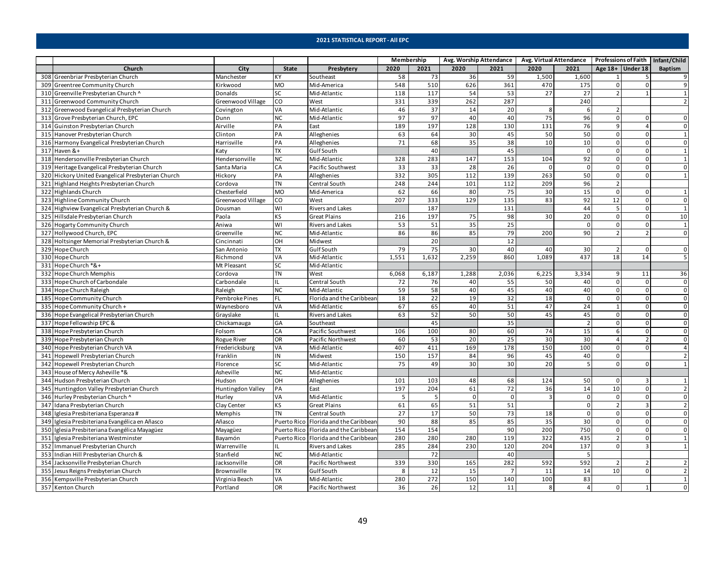|                                                    |                   |              |                                       | Membership |       |           | Avg. Worship Attendance |                | Avg. Virtual Attendance Professions of Faith   Infant/Child |                          |                         |                     |
|----------------------------------------------------|-------------------|--------------|---------------------------------------|------------|-------|-----------|-------------------------|----------------|-------------------------------------------------------------|--------------------------|-------------------------|---------------------|
| Church                                             | City              | <b>State</b> | Presbytery                            | 2020       | 2021  | 2020      | 2021                    | 2020           | 2021                                                        | Age $18+$ Under 18       |                         | Baptism             |
| 308 Greenbriar Presbyterian Church                 | Manchester        | KY           | Southeast                             | 58         | 73    | 36        | 59                      | 1,500          | 1,600                                                       | 1                        |                         | 9                   |
| 309 Greentree Community Church                     | Kirkwood          | <b>MO</b>    | Mid-America                           | 548        | 510   | 626       | 361                     | 470            | 175                                                         | $\mathbf 0$              | $\Omega$                | 9                   |
| 310 Greenville Presbyterian Church ^               | <b>Donalds</b>    | SC           | Mid-Atlantic                          | 118        | 117   | 54        | 53                      | 27             | 27                                                          | $\overline{2}$           |                         | $\mathbf{1}$        |
| 311 Greenwood Community Church                     | Greenwood Village | <b>CO</b>    | West                                  | 331        | 339   | 262       | 287                     |                | 240                                                         |                          |                         | $\overline{2}$      |
| 312 Greenwood Evangelical Presbyterian Church      | Covington         | VA           | Mid-Atlantic                          | 46         | 37    | 14        | 20                      | 8              | 6                                                           | $\overline{2}$           |                         |                     |
| 313 Grove Presbyterian Church, EPC                 | Dunn              | <b>NC</b>    | Mid-Atlantic                          | 97         | 97    | 40        | 40                      | 75             | 96                                                          | $\mathsf 0$              | $\Omega$                | $\mathbf 0$         |
| 314 Guinston Presbyterian Church                   | Airville          | PA           | East                                  | 189        | 197   | 128       | 130                     | 131            | 76                                                          | 9                        | $\Delta$                | $\mathbf 0$         |
| 315 Hanover Presbyterian Church                    | Clinton           | PA           | Alleghenies                           | 63         | 64    | 30        | 45                      | 50             | 50                                                          | $\Omega$                 | $\Omega$                | $\mathbf 1$         |
| 316 Harmony Evangelical Presbyterian Church        | Harrisville       | PA           | Alleghenies                           | 71         | 68    | 35        | 38                      | 10             | 10                                                          | $\mathbf 0$              | $\Omega$                | $\mathbf 0$         |
| 317 Haven &+                                       | Katy              | <b>TX</b>    | Gulf South                            |            | 40    |           | 45                      |                | $\mathbf 0$                                                 | $\mathsf 0$              | $\Omega$                | $\mathbf{1}$        |
| 318 Hendersonville Presbyterian Church             | Hendersonville    | <b>NC</b>    | Mid-Atlantic                          | 328        | 283   | 147       | 153                     | 104            | 92                                                          | $\mathbf 0$              | $\Omega$                | $\mathbf{1}$        |
| 319 Heritage Evangelical Presbyterian Church       | Santa Maria       | CA           | Pacific Southwest                     | 33         | 33    | 28        | 26                      | $\mathbf{0}$   | $\overline{0}$                                              | $\mathbf 0$              | $\Omega$                | $\mathbf 0$         |
| 320 Hickory United Evangelical Presbyterian Church | Hickory           | PA           | Alleghenies                           | 332        | 305   | 112       | 139                     | 263            | 50                                                          | $\mathsf 0$              | <sup>n</sup>            | $\mathbf{1}$        |
| 321 Highland Heights Presbyterian Church           | Cordova           | <b>TN</b>    | Central South                         | 248        | 244   | 101       | 112                     | 209            | 96                                                          | $\overline{2}$           |                         |                     |
| 322 Highlands Church                               | Chesterfield      | <b>MO</b>    | Mid-America                           | 62         | 66    | 80        | 75                      | 30             | 15                                                          | $\mathsf 0$              | $\Omega$                | $\mathbf{1}$        |
| 323 Highline Community Church                      | Greenwood Village | CO           | West                                  | 207        | 333   | 129       | 135                     | 83             | 92                                                          | 12                       | $\mathbf 0$             | $\mathbf 0$         |
| 324 Highview Evangelical Presbyterian Church &     | Dousman           | WI           | <b>Rivers and Lakes</b>               |            | 187   |           | 131                     |                | 44                                                          | 5                        | $\Omega$                | $\mathbf{1}$        |
| 325 Hillsdale Presbyterian Church                  | Paola             | <b>KS</b>    | <b>Great Plains</b>                   | 216        | 197   | 75        | 98                      | 30             | 20                                                          | $\mathbf 0$              | $\Omega$                | 10                  |
| 326 Hogarty Community Church                       | Aniwa             | WI           | <b>Rivers and Lakes</b>               | 53         | 51    | 35        | 25                      |                | $\mathbf 0$                                                 | $\mathbf 0$              | $\Omega$                | $\mathbf{1}$        |
| 327 Hollywood Church, EPC                          | Greenville        | <b>NC</b>    | Mid-Atlantic                          | 86         | 86    | 85        | 79                      | 200            | 90                                                          | $\overline{2}$           |                         | $\mathbf 0$         |
| 328 Holtsinger Memorial Presbyterian Church &      | Cincinnati        | OH           | Midwest                               |            | 20    |           | 12                      |                |                                                             |                          |                         |                     |
| 329 Hope Church                                    | San Antonio       | <b>TX</b>    | <b>GulfSouth</b>                      | 79         | 75    | 30        | 40                      | 40             | 30                                                          | 2                        | $\Omega$                | $\mathsf 0$         |
| 330 Hope Church                                    | Richmond          | VA           | Mid-Atlantic                          | 1,551      | 1,632 | 2,259     | 860                     | 1,089          | 437                                                         | 18                       | 14                      | 5                   |
| 331 Hope Church *&+                                | Mt Pleasant       | <b>SC</b>    | Mid-Atlantic                          |            |       |           |                         |                |                                                             |                          |                         |                     |
| 332 Hope Church Memphis                            | Cordova           | <b>TN</b>    | West                                  | 6,068      | 6,187 | 1,288     | 2,036                   | 6,225          | 3,334                                                       | 9                        | 11                      | 36                  |
| 333 Hope Church of Carbondale                      | Carbondale        | IL           | Central South                         | 72         | 76    | 40        | 55                      | 50             | 40                                                          | $\mathbf 0$              | $\Omega$                | $\pmb{0}$           |
| 334 Hope Church Raleigh                            | Raleigh           | <b>NC</b>    | Mid-Atlantic                          | 59         | 58    | 40        | 45                      | 40             | 40                                                          | $\mathsf 0$              | $\Omega$                | $\mathsf 0$         |
| 185 Hope Community Church                          | Pembroke Pines    | FL           | Florida and the Caribbean             | 18         | 22    | 19        | 32                      | 18             | $\mathbf{0}$                                                | $\mathbf 0$              | $\overline{0}$          | $\mathbf 0$         |
| 335 Hope Community Church +                        | Waynesboro        | VA           | Mid-Atlantic                          | 67         | 65    | 40        | 51                      | 47             | 24                                                          | $\mathbf{1}$             | $\Omega$                | $\mathsf 0$         |
| 336 Hope Evangelical Presbyterian Church           | Grayslake         | IL           | Rivers and Lakes                      | 63         | 52    | 50        | 50                      | 45             | 45                                                          | $\Omega$                 | $\Omega$                | $\mathsf{O}\xspace$ |
| 337 Hope Fellowship EPC &                          | Chickamauga       | GA           | Southeast                             |            | 45    |           | 35                      |                | $\overline{2}$                                              | $\Omega$                 | $\Omega$                | $\mathsf{O}\xspace$ |
| 338 Hope Presbyterian Church                       | Folsom            | CA           | Pacific Southwest                     | 106        | 100   | 80        | 60                      | 74             | 15                                                          | 6                        | $\Omega$                | $\mathsf 0$         |
| 339 Hope Presbyterian Church                       | Rogue River       | OR           | Pacific Northwest                     | 60         | 53    | 20        | 25                      | 30             | 30                                                          | $\overline{a}$           |                         | $\mathsf 0$         |
| 340 Hope Presbyterian Church VA                    | Fredericksburg    | VA           | Mid-Atlantic                          | 407        | 411   | 169       | 178                     | 150            | 100                                                         | $\mathbf 0$              | $\Omega$                | $\overline{4}$      |
| 341 Hopewell Presbyterian Church                   | Franklin          | IN           | Midwest                               | 150        | 157   | 84        | 96                      | 45             | 40                                                          | $\mathbf 0$              |                         | $\overline{2}$      |
| 342 Hopewell Presbyterian Church                   | Florence          | SC           | Mid-Atlantic                          | 75         | 49    | 30        | 30                      | 20             | 5                                                           | $\Omega$                 | $\Omega$                | $\mathbf{1}$        |
| 343 House of Mercy Asheville *&                    | Asheville         | <b>NC</b>    | Mid-Atlantic                          |            |       |           |                         |                |                                                             |                          |                         |                     |
| 344 Hudson Presbyterian Church                     | Hudson            | OH           | Alleghenies                           | 101        | 103   | 48        | 68                      | 124            | 50                                                          | 0                        |                         | $\mathbf{1}$        |
| 345 Huntingdon Valley Presbyterian Church          | Huntingdon Valley | PA           | East                                  | 197        | 204   | 61        | 72                      | 36             | 14                                                          | 10                       | 0                       | $\overline{2}$      |
| 346 Hurley Presbyterian Church ^                   | Hurley            | VA           | Mid-Atlantic                          | 5          | 5     | $\pmb{0}$ | $\mathsf{O}\xspace$     | $\overline{3}$ | $\overline{0}$                                              | $\mathbf 0$              | $\Omega$                | $\mathbf 0$         |
| 347 Idana Presbyterian Church                      | Clay Center       | KS           | <b>Great Plains</b>                   | 61         | 65    | 51        | 51                      |                | $\Omega$                                                    | $\overline{\phantom{a}}$ |                         | $\mathbf 2$         |
| 348 Iglesia Presbiteriana Esperanza #              | Memphis           | <b>TN</b>    | Central South                         | 27         | 17    | 50        | 73                      | 18             | $\mathbf{0}$                                                | $\mathbf 0$              | $\Omega$                | $\mathbf 0$         |
| 349 Iglesia Presbiteriana Evangélica en Añasco     | Añasco            |              | Puerto Rico Florida and the Caribbean | 90         | 88    | 85        | 85                      | 35             | 30                                                          | $\mathbf 0$              | $\Omega$                | $\mathbf 0$         |
| 350 Iglesia Presbiteriana Evangélica Mayagüez      | Mayagüez          |              | Puerto Rico Florida and the Caribbean | 154        | 154   |           | 90                      | 200            | 750                                                         | $\mathbf 0$              | $\mathbf{0}$            | $\mathsf 0$         |
| 351 Iglesia Presbiteriana Westminster              | Bayamón           |              | Puerto Rico Florida and the Caribbean | 280        | 280   | 280       | 119                     | 322            | 435                                                         | $\overline{2}$           | $\overline{0}$          | $\mathbf 1$         |
| 352 Immanuel Presbyterian Church                   | Warrenville       | IL           | <b>Rivers and Lakes</b>               | 285        | 284   | 230       | 120                     | 204            | 137                                                         | $\mathbf 0$              | $\overline{\mathbf{z}}$ | $\mathbf{1}$        |
| 353 Indian Hill Presbyterian Church &              | Stanfield         | <b>NC</b>    | Mid-Atlantic                          |            | 72    |           | 40                      |                | 5                                                           |                          |                         |                     |
| 354 Jacksonville Presbyterian Church               | Jacksonville      | OR           | Pacific Northwest                     | 339        | 330   | 165       | 282                     | 592            | 592                                                         | $\overline{2}$           |                         | $\overline{2}$      |
| 355 Jesus Reigns Presbyterian Church               | Brownsville       | <b>TX</b>    | <b>GulfSouth</b>                      | 8          | 12    | 15        | $\overline{7}$          | 11             | 14                                                          | 10                       | $\Omega$                | $\overline{2}$      |
| 356 Kempsville Presbyterian Church                 | Virginia Beach    | VA           | Mid-Atlantic                          | 280        | 272   | 150       | 140                     | 100            | 83                                                          |                          |                         | $\mathbf{1}$        |
| 357 Kenton Church                                  | Portland          | OR           | Pacific Northwest                     | 36         | 26    | 12        | 11                      | 8 <sup>°</sup> | $\overline{4}$                                              | $\mathbf 0$              | $\mathbf{1}$            | $\mathbf 0$         |
|                                                    |                   |              |                                       |            |       |           |                         |                |                                                             |                          |                         |                     |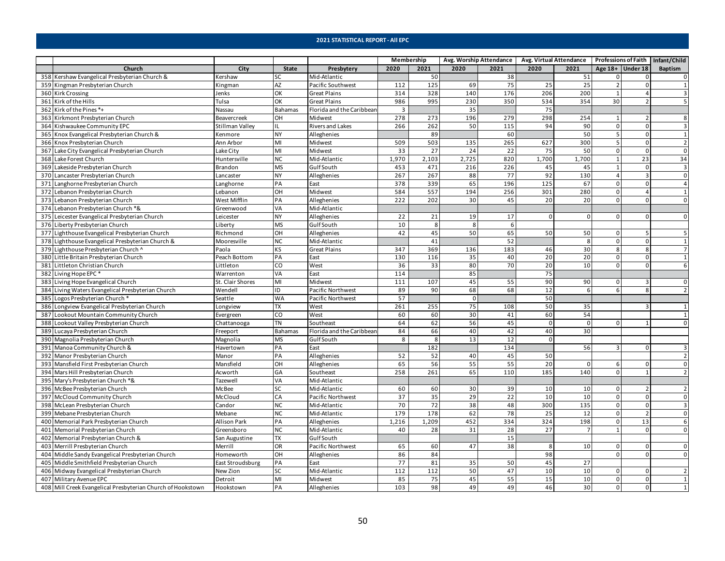|     |                                                             |                  |                          |                           | Membership |       |             | Avg. Worship Attendance |                 | Avg. Virtual Attendance   Professions of Faith   Infant/Child |                |                         |                |
|-----|-------------------------------------------------------------|------------------|--------------------------|---------------------------|------------|-------|-------------|-------------------------|-----------------|---------------------------------------------------------------|----------------|-------------------------|----------------|
|     | Church                                                      | City             | State                    | Presbytery                | 2020       | 2021  | 2020        | 2021                    | 2020            | 2021                                                          |                | Age $18+$ Under 18      | <b>Baptism</b> |
|     | 358 Kershaw Evangelical Presbyterian Church &               | Kershaw          | SC                       | Mid-Atlantic              |            | 50    |             | 38                      |                 | 51                                                            | 0              | $\overline{0}$          | $\mathbf{0}$   |
|     | 359 Kingman Presbyterian Church                             | Kingman          | <b>AZ</b>                | Pacific Southwest         | 112        | 125   | 69          | 75                      | 25              | 25                                                            | $\overline{2}$ | $\Omega$                | $\overline{1}$ |
|     | 360 Kirk Crossing                                           | Jenks            | OK                       | <b>Great Plains</b>       | 314        | 328   | 140         | 176                     | 206             | 200                                                           | $\mathbf{1}$   | 4                       | 3              |
|     | 361 Kirk of the Hills                                       | Tulsa            | OK                       | <b>Great Plains</b>       | 986        | 995   | 230         | 350                     | 534             | 354                                                           | 30             | $\overline{2}$          | 5              |
|     | 362 Kirk of the Pines *+                                    | Nassau           | <b>Bahamas</b>           | Florida and the Caribbear | 3          |       | 35          |                         | 75              |                                                               |                |                         |                |
|     | 363 Kirkmont Presbyterian Church                            | Beavercreek      | OН                       | Midwest                   | 278        | 273   | 196         | 279                     | 298             | 254                                                           | 1              | $\overline{2}$          | 8              |
|     | 364 Kishwaukee Community EPC                                | Stillman Valley  | IL                       | Rivers and Lakes          | 266        | 262   | 50          | 115                     | 94              | 90                                                            | $\mathsf 0$    | $\overline{0}$          | 3              |
|     | 365 Knox Evangelical Presbyterian Church &                  | Kenmore          | <b>NY</b>                | Alleghenies               |            | 89    |             | 60                      |                 | 50                                                            | 5              | οI                      | $\mathbf{1}$   |
|     | 366 Knox Presbyterian Church                                | Ann Arbor        | MI                       | Midwest                   | 509        | 503   | 135         | 265                     | 627             | 300                                                           | 5              | $\Omega$                | $\overline{2}$ |
|     | 367 Lake City Evangelical Presbyterian Church               | Lake City        | MI                       | Midwest                   | 33         | 27    | 24          | 22                      | 75              | 50                                                            | 0              | $\overline{0}$          | $\mathbf 0$    |
|     | 368 Lake Forest Church                                      | Huntersville     | <b>NC</b>                | Mid-Atlantic              | 1,970      | 2,103 | 2,725       | 820                     | 1,700           | 1,700                                                         | $\mathbf{1}$   | 23                      | 34             |
|     | 369 Lakeside Presbyterian Church                            | Brandon          | <b>MS</b>                | Gulf South                | 453        | 471   | 216         | 226                     | 45              | 45                                                            | 1              | $\overline{0}$          | $\overline{3}$ |
| 370 | Lancaster Presbyterian Church                               | Lancaster        | NY                       | Alleghenies               | 267        | 267   | 88          | 77                      | 92              | 130                                                           | $\overline{4}$ | $\overline{\mathbf{3}}$ | $\Omega$       |
| 371 | Langhorne Presbyterian Church                               | Langhorne        | PA                       | East                      | 378        | 339   | 65          | 196                     | 125             | 67                                                            | $\mathbf 0$    | $\overline{0}$          | $\overline{4}$ |
|     | 372 Lebanon Presbyterian Church                             | Lebanon          | OН                       | Midwest                   | 584        | 557   | 194         | 256                     | 301             | 280                                                           | $\mathbf 0$    | 4                       | $\mathbf{1}$   |
|     | 373 Lebanon Presbyterian Church                             | West Mifflin     | PA                       | Alleghenies               | 222        | 202   | 30          | 45                      | 20              | 20                                                            | $\overline{0}$ | $\Omega$                | $\Omega$       |
|     | 374 Lebanon Presbyterian Church *&                          | Greenwood        | VA                       | Mid-Atlantic              |            |       |             |                         |                 |                                                               |                |                         |                |
|     | 375 Leicester Evangelical Presbyterian Church               | Leicester        | <b>NY</b>                | Alleghenies               | 22         | 21    | 19          | 17                      | $\overline{0}$  | $\mathbf{0}$                                                  | 0              | $\overline{0}$          | $\mathbf 0$    |
|     | 376 Liberty Presbyterian Church                             | .iberty          | $\overline{\mathsf{MS}}$ | Gulf South                | 10         | 8     | 8           | 6                       |                 |                                                               |                |                         |                |
|     | 377 Lighthouse Evangelical Presbyterian Church              | Richmond         | OН                       | Alleghenies               | 42         | 45    | 50          | 65                      | 50              | 50                                                            | 0              | 5                       | 5              |
|     | 378 Lighthouse Evangelical Presbyterian Church &            | Mooresville      | <b>NC</b>                | Mid-Atlantic              |            | 41    |             | 52                      |                 | 8                                                             | $\mathsf 0$    | $\overline{0}$          | $\mathbf{1}$   |
|     | 379 Lighthouse Presbyterian Church ^                        | Paola            | KS                       | <b>Great Plains</b>       | 347        | 369   | 136         | 183                     | 46              | 30                                                            | 8              | 8 <sup>1</sup>          | $\overline{7}$ |
|     | 380 Little Britain Presbyterian Church                      | Peach Bottom     | PA                       | East                      | 130        | 116   | 35          | 40                      | 20              | 20                                                            | 0              | $\overline{0}$          | 1              |
|     | 381 Littleton Christian Church                              | Littleton        | CO                       | West                      | 36         | 33    | 80          | 70                      | 20              | 10                                                            | 0              | $\overline{0}$          | 6              |
|     | 382 Living Hope EPC*                                        | Warrenton        | VA                       | East                      | 114        |       | 85          |                         | 75              |                                                               |                |                         |                |
|     | 383 Living Hope Evangelical Church                          | St. Clair Shores | MI                       | Midwest                   | 111        | 107   | 45          | 55                      | 90              | 90                                                            | $\Omega$       | $\overline{3}$          | $\mathbf{0}$   |
|     | 384 Living Waters Evangelical Presbyterian Church           | Wendell          | ID                       | Pacific Northwest         | 89         | 90    | 68          | 68                      | 12              | 6                                                             | 6              | 8 <sup>1</sup>          | $\overline{2}$ |
|     | 385 Logos Presbyterian Church *                             | Seattle          | WA                       | Pacific Northwest         | 57         |       | $\mathbf 0$ |                         | 50              |                                                               |                |                         |                |
|     | 386 Longview Evangelical Presbyterian Church                | Longview         | TX                       | West                      | 261        | 255   | 75          | 108                     | 50              | 35                                                            |                | 3                       | 1              |
| 387 | Lookout Mountain Community Church                           | Evergreen        | CO                       | West                      | 60         | 60    | 30          | 41                      | 60              | 54                                                            |                |                         | 1              |
|     | 388 Lookout Valley Presbyterian Church                      | Chattanooga      | TN                       | Southeast                 | 64         | 62    | 56          | 45                      | $\mathbf 0$     | $\mathbf 0$                                                   | $\Omega$       |                         | $\Omega$       |
|     | 389 Lucaya Presbyterian Church                              | Freeport         | Bahamas                  | Florida and the Caribbear | 84         | 66    | 40          | 42                      | 40              | 30                                                            |                |                         |                |
|     | 390 Magnolia Presbyterian Church                            | Magnolia         | <b>MS</b>                | Gulf South                | 8          | 8     | 13          | 12                      | $\Omega$        |                                                               |                |                         |                |
|     | 391 Manoa Community Church &                                | Havertown        | PA                       | East                      |            | 182   |             | 134                     |                 | 56                                                            | $\mathbf{a}$   | $\Omega$                | 3              |
| 392 | Manor Presbyterian Church                                   | Manor            | PA                       | Alleghenies               | 52         | 52    | 40          | 45                      | 50              |                                                               |                |                         | $\overline{2}$ |
|     | 393 Mansfield First Presbyterian Church                     | Mansfield        | OН                       | Alleghenies               | 65         | 56    | 55          | 55                      | $\overline{20}$ | $\mathbf{0}$                                                  | 6              | $\overline{0}$          | $\mathbf 0$    |
|     | 394 Mars Hill Presbyterian Church                           | Acworth          | GA                       | Southeast                 | 258        | 261   | 65          | 110                     | 185             | 140                                                           | $\mathbf 0$    | $\overline{1}$          | $\overline{2}$ |
|     | 395 Mary's Presbyterian Church *&                           | Tazewell         | VA                       | Mid-Atlantic              |            |       |             |                         |                 |                                                               |                |                         |                |
|     | 396 McBee Presbyterian Church                               | McBee            | SC                       | Mid-Atlantic              | 60         | 60    | 30          | 39                      | 10              | 10                                                            | 0              | $\overline{2}$          | $\overline{2}$ |
|     | 397 McCloud Community Church                                | McCloud          | CA                       | Pacific Northwest         | 37         | 35    | 29          | 22                      | 10              | 10                                                            | 0              | $\overline{0}$          | $\mathbf 0$    |
|     | 398 McLean Presbyterian Church                              | Candor           | <b>NC</b>                | Mid-Atlantic              | 70         | 72    | 38          | 48                      | 300             | 135                                                           | $\mathbf 0$    | $\Omega$                | $\overline{3}$ |
|     | 399 Mebane Presbyterian Church                              | Mebane           | NC                       | Mid-Atlantic              | 179        | 178   | 62          | 78                      | 25              | 12                                                            | $\mathbf 0$    | $\overline{2}$          | $\overline{0}$ |
|     | 400 Memorial Park Presbyterian Church                       | Allison Park     | PA                       | Alleghenies               | 1,216      | 1,209 | 452         | 334                     | 324             | 198                                                           | 0              | 13                      | 6              |
| 401 | Memorial Presbyterian Church                                | Greensboro       | NC                       | Mid-Atlantic              | 40         | 28    | 31          | 28                      | 27              | $\overline{7}$                                                | $\mathbf{1}$   | $\Omega$                | $\overline{0}$ |
| 402 | Memorial Presbyterian Church &                              | San Augustine    | TX                       | Gulf South                |            |       |             | 15                      |                 |                                                               |                |                         |                |
|     | 403 Merrill Presbyterian Church                             | Merrill          | OR                       | Pacific Northwest         | 65         | 60    | 47          | 38                      | 8               | 10                                                            | 0              | $\overline{0}$          | $\mathbf 0$    |
|     | 404 Middle Sandy Evangelical Presbyterian Church            | Homeworth        | OН                       | Alleghenies               | 86         | 84    |             |                         | 98              |                                                               | $\mathbf 0$    | $\Omega$                | $\mathbf{0}$   |
| 405 | Middle Smithfield Presbyterian Church                       | East Stroudsburg | PA                       | East                      | 77         | 81    | 35          | 50                      | 45              | 27                                                            |                |                         |                |
|     | 406 Midway Evangelical Presbyterian Church                  | New Zion         | SC                       | Mid-Atlantic              | 112        | 112   | 50          | 47                      | 10              | 10                                                            | 0              | ٥I                      | $\overline{2}$ |
|     | 407 Military Avenue EPC                                     | Detroit          | MI                       | Midwest                   | 85         | 75    | 45          | 55                      | 15              | 10                                                            | 0              | $\overline{0}$          | $\mathbf{1}$   |
|     | 408 Mill Creek Evangelical Presbyterian Church of Hookstown | Hookstown        | PA                       | Alleghenies               | 103        | 98    | 49          | 49                      | 46              | 30                                                            | $\overline{0}$ | $\overline{0}$          | $\mathbf{1}$   |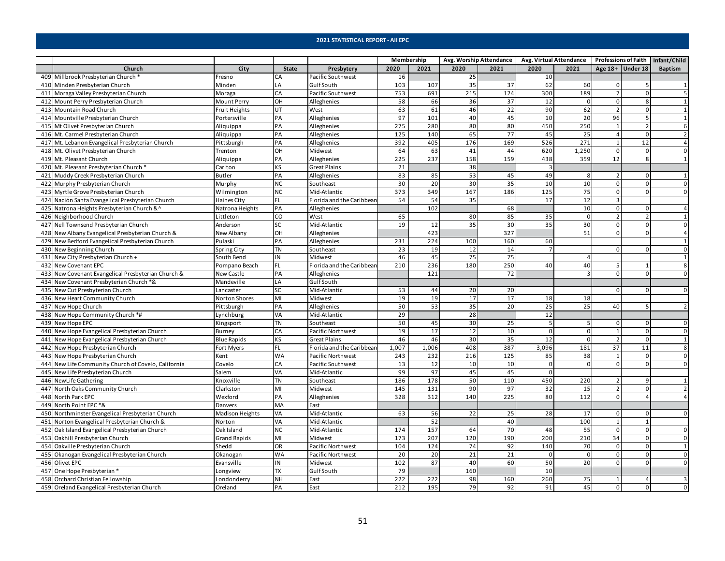|                                                     |                      |              |                           | Membership |       |                 | Avg. Worship Attendance |          | Avg. Virtual Attendance   Professions of Faith   Infant/Child |                    |                |                |
|-----------------------------------------------------|----------------------|--------------|---------------------------|------------|-------|-----------------|-------------------------|----------|---------------------------------------------------------------|--------------------|----------------|----------------|
| Church                                              | City                 | <b>State</b> | Presbytery                | 2020       | 2021  | 2020            | 2021                    | 2020     | 2021                                                          | Age $18+$ Under 18 |                | <b>Baptism</b> |
| 409 Millbrook Presbyterian Church *                 | Fresno               | CA           | Pacific Southwest         | 16         |       | 25              |                         | 10       |                                                               |                    |                |                |
| 410 Minden Presbyterian Church                      | Minden               | LA           | <b>GulfSouth</b>          | 103        | 107   | 35              | 37                      | 62       | 60                                                            | 0                  |                | $\mathbf{1}$   |
| 411 Moraga Valley Presbyterian Church               | Moraga               | CA           | Pacific Southwest         | 753        | 691   | 215             | 124                     | 300      | 189                                                           |                    | <sup>0</sup>   | 5              |
| 412 Mount Perry Presbyterian Church                 | Mount Perry          | OH           | Alleghenies               | 58         | 66    | 36              | 37                      | 12       | $\Omega$                                                      | $\mathsf 0$        |                |                |
| 413 Mountain Road Church                            | <b>Fruit Heights</b> | UT           | West                      | 63         | 61    | 46              | 22                      | 90       | 62                                                            | $\overline{2}$     | $\Omega$       | $\mathbf{1}$   |
| 414 Mountville Presbyterian Church                  | Portersville         | PA           | Alleghenies               | 97         | 101   | 40              | 45                      | 10       | $\overline{20}$                                               | 96                 |                | $\mathbf{1}$   |
| 415 Mt Olivet Presbyterian Church                   | Aliquippa            | PA           | Alleghenies               | 275        | 280   | 80              | 80                      | 450      | 250                                                           | 1                  |                | 6              |
| 416 Mt. Carmel Presbyterian Church                  | Aliquippa            | PA           | Alleghenies               | 125        | 140   | 65              | 77                      | 45       | 25                                                            | $\overline{4}$     | $\Omega$       | $\overline{2}$ |
| 417 Mt. Lebanon Evangelical Presbyterian Church     | Pittsburgh           | PA           | Alleghenies               | 392        | 405   | 176             | 169                     | 526      | 271                                                           | $\mathbf{1}$       | 12             | $\overline{a}$ |
| 418 Mt. Olivet Presbyterian Church                  | Trenton              | OH           | Midwest                   | 64         | 63    | 41              | 44                      | 620      | 1,250                                                         | $\mathsf 0$        | $\Omega$       | $\pmb{0}$      |
| 419 Mt. Pleasant Church                             | Aliquippa            | PA           | Alleghenies               | 225        | 237   | 158             | 159                     | 438      | 359                                                           | 12                 | 8              | $\mathbf{1}$   |
| 420 Mt. Pleasant Presbyterian Church '              | Carlton              | <b>KS</b>    | <b>Great Plains</b>       | 21         |       | 38              |                         | 3        |                                                               |                    |                |                |
| 421 Muddy Creek Presbyterian Church                 | <b>Butler</b>        | PA           | Alleghenies               | 83         | 85    | 53              | 45                      | 49       | 8                                                             | $\overline{2}$     | $\Omega$       | $\mathbf{1}$   |
| 422 Murphy Presbyterian Church                      | Murphy               | <b>NC</b>    | Southeast                 | 30         | 20    | 30              | 35                      | 10       | 10                                                            | $\Omega$           |                | $\mathbf 0$    |
| 423 Myrtle Grove Presbyterian Church                | Wilmington           | <b>NC</b>    | Mid-Atlantic              | 373        | 349   | 167             | 186                     | 125      | 75                                                            | $\Omega$           | <sup>n</sup>   | $\Omega$       |
| 424 Nación Santa Evangelical Presbyterian Church    | <b>Haines City</b>   | FL           | Florida and the Caribbean | 54         | 54    | 35              |                         | 17       | 12                                                            | 3                  |                |                |
| 425 Natrona Heights Presbyterian Church &^          | Natrona Heights      | PA           | Alleghenies               |            | 102   |                 | 68                      |          | 10                                                            | $\mathbf 0$        | $\Omega$       | $\overline{a}$ |
| 426 Neighborhood Church                             | Littleton            | CO           | West                      | 65         |       | 80              | 85                      | 35       | $\mathbf 0$                                                   | $\overline{2}$     |                | $\mathbf{1}$   |
| 427 Nell Townsend Presbyterian Church               | Anderson             | <b>SC</b>    | Mid-Atlantic              | 19         | 12    | 35              | 30                      | 35       | 30                                                            | 0                  | 0              | 0              |
| 428 New Albany Evangelical Presbyterian Church &    | New Albany           | OH           | Alleghenies               |            | 423   |                 | 327                     |          | 51                                                            | $\Omega$           | $\Omega$       | $\overline{a}$ |
| 429 New Bedford Evangelical Presbyterian Church     | Pulaski              | PA           | Alleghenies               | 231        | 224   | 100             | 160                     | 60       |                                                               |                    |                | $\mathbf{1}$   |
| 430 New Beginning Church                            | Spring City          | <b>TN</b>    | Southeast                 | 23         | 19    | 12              | 14                      |          |                                                               | $\Omega$           |                | $\mathbf 0$    |
| 431 New City Presbyterian Church +                  | South Bend           | IN           | Midwest                   | 46         | 45    | 75              | 75                      |          | $\overline{4}$                                                |                    |                | $\mathbf{1}$   |
| 432 New Covenant EPC                                | Pompano Beach        | <b>FL</b>    | Florida and the Caribbean | 210        | 236   | 180             | 250                     | 40       | 40                                                            | 5                  |                | 8              |
| 433 New Covenant Evangelical Presbyterian Church &  | New Castle           | PA           | Alleghenies               |            | 121   |                 | 72                      |          | $\overline{3}$                                                | $\Omega$           |                | $\Omega$       |
| 434 New Covenant Presbyterian Church *&             | Mandeville           | LA           | Gulf South                |            |       |                 |                         |          |                                                               |                    |                |                |
| 435 New Cut Presbyterian Church                     | Lancaster            | <b>SC</b>    | Mid-Atlantic              | 53         | 44    | 20              | 20                      |          |                                                               | $\mathbf 0$        |                | $\overline{0}$ |
| 436 New Heart Community Church                      | Norton Shores        | MI           | Midwest                   | 19         | 19    | 17              | 17                      | 18       | 18                                                            |                    |                |                |
| 437 New Hope Church                                 | Pittsburgh           | PA           | Alleghenies               | 50         | 53    | 35              | 20                      | 25       | 25                                                            | 40                 | 5              | $\overline{z}$ |
| 438 New Hope Community Church *#                    | Lynchburg            | VA           | Mid-Atlantic              | 29         |       | 28              |                         | 12       |                                                               |                    |                |                |
| 439 New Hope EPC                                    | Kingsport            | <b>TN</b>    | Southeast                 | 50         | 45    | 30              | 25                      | 5        | 5                                                             | 0                  |                | 0              |
| 440 New Hope Evangelical Presbyterian Church        | Burney               | CA           | Pacific Northwest         | 19         | 17    | 12              | 10                      | $\Omega$ | $\mathbf 0$                                                   | $\mathbf{1}$       | $\Omega$       | $\mathbf 0$    |
| 441 New Hope Evangelical Presbyterian Church        | <b>Blue Rapids</b>   | KS           | <b>Great Plains</b>       | 46         | 46    | 30              | 35                      | 12       | $\mathbf 0$                                                   | $\overline{2}$     | $\Omega$       | $\mathbf{1}$   |
| 442 New Hope Presbyterian Church                    | Fort Myers           | FL           | Florida and the Caribbean | 1,007      | 1,006 | 408             | 387                     | 3,096    | 181                                                           | 37                 | 11             | 8              |
| 443 New Hope Presbyterian Church                    | Kent                 | <b>WA</b>    | Pacific Northwest         | 243        | 232   | 216             | 125                     | 85       | 38                                                            | 1                  | $\Omega$       | $\mathbf 0$    |
| 444 New Life Community Church of Covelo, California | Covelo               | CA           | Pacific Southwest         | 13         | 12    | 10              | 10                      | $\Omega$ | $\Omega$                                                      | $\Omega$           |                | $\mathbf 0$    |
| 445 New Life Presbyterian Church                    | Salem                | <b>VA</b>    | Mid-Atlantic              | 99         | 97    | 45              | 45                      | $\Omega$ |                                                               |                    |                |                |
| 446 NewLife Gathering                               | Knoxville            | <b>TN</b>    | Southeast                 | 186        | 178   | 50              | 110                     | 450      | 220                                                           | $\overline{2}$     | q              |                |
| 447 North Oaks Community Church                     | Clarkston            | MI           | Midwest                   | 145        | 131   | 90              | 97                      | 32       | 15                                                            | $\overline{2}$     | $\Omega$       | $\overline{2}$ |
| 448 North Park EPC                                  | Wexford              | PA           | Alleghenies               | 328        | 312   | 140             | 225                     | 80       | 112                                                           | $\mathbf 0$        | $\Delta$       | $\overline{4}$ |
| 449 North Point EPC *&                              | Danvers              | MA           | East                      |            |       |                 |                         |          |                                                               |                    |                |                |
| 450 Northminster Evangelical Presbyterian Church    | Madison Heights      | VA           | Mid-Atlantic              | 63         | 56    | 22              | 25                      | 28       | 17                                                            | $\mathbf 0$        |                | $\mathbf{0}$   |
| 451 Norton Evangelical Presbyterian Church &        | Norton               | VA           | Mid-Atlantic              |            | 52    |                 | 40                      |          | 100                                                           | $\mathbf{1}$       |                |                |
| 452 Oak Island Evangelical Presbyterian Church      | Oak Island           | <b>NC</b>    | Mid-Atlantic              | 174        | 157   | 64              | 70                      | 48       | 55                                                            | $\mathsf 0$        | $\Omega$       | $\mathbf 0$    |
| 453 Oakhill Presbyterian Church                     | <b>Grand Rapids</b>  | MI           | Midwest                   | 173        | 207   | 120             | 190                     | 200      | 210                                                           | 34                 | $\Omega$       | $\mathsf 0$    |
| 454 Oakville Presbyterian Church                    | Shedd                | OR           | Pacific Northwest         | 104        | 124   | 74              | 92                      | 140      | 70                                                            | $\mathbf 0$        | $\Omega$       | $\overline{1}$ |
| 455 Okanogan Evangelical Presbyterian Church        | Okanogan             | <b>WA</b>    | Pacific Northwest         | 20         | 20    | $\overline{21}$ | $\overline{21}$         | 0        | $\overline{0}$                                                | $\overline{0}$     | 0              | $\mathbf{0}$   |
| 456 Olivet EPC                                      | Evansville           | IN           | Midwest                   | 102        | 87    | 40              | 60                      | 50       | 20                                                            | $\Omega$           | $\Omega$       | $\mathbf 0$    |
| 457 One Hope Presbyterian                           | Longview             | <b>TX</b>    | Gulf South                | 79         |       | 160             |                         | 10       |                                                               |                    |                |                |
| 458 Orchard Christian Fellowship                    | Londonderry          | <b>NH</b>    | East                      | 222        | 222   | 98              | 160                     | 260      | 75                                                            | 1                  |                | 3              |
| 459 Oreland Evangelical Presbyterian Church         | Oreland              | PA           | East                      | 212        | 195   | 79              | 92                      | 91       | 45                                                            | $\mathbf{0}$       | $\overline{0}$ | $\mathbf{0}$   |
|                                                     |                      |              |                           |            |       |                 |                         |          |                                                               |                    |                |                |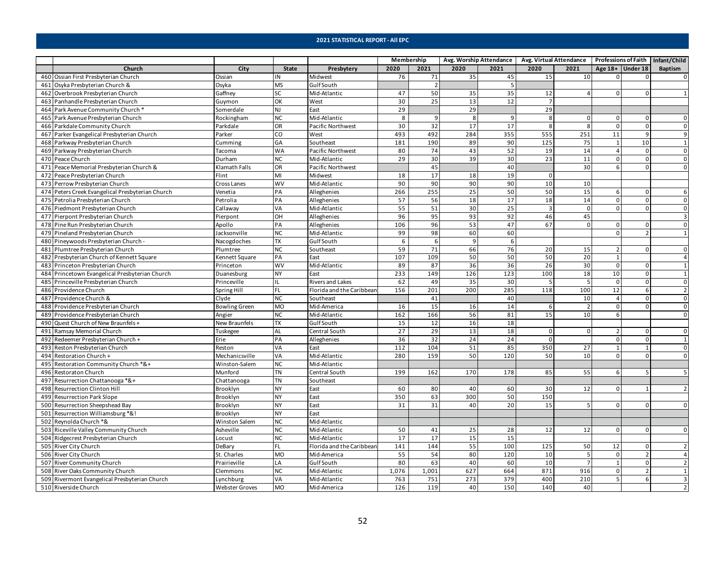|     |                                                  |                       |              |                           | Membership |       |                 | Avg. Worship Attendance | Avg. Virtual Attendance |                 |                | <b>Professions of Faith</b> | Infant/Child            |
|-----|--------------------------------------------------|-----------------------|--------------|---------------------------|------------|-------|-----------------|-------------------------|-------------------------|-----------------|----------------|-----------------------------|-------------------------|
|     | Church                                           | City                  | <b>State</b> | Presbytery                | 2020       | 2021  | 2020            | 2021                    | 2020                    | 2021            |                | Age $18+$ Under 18          | Baptism                 |
|     | 460 Ossian First Presbyterian Church             | Ossian                | IN           | Midwest                   | 76         | 71    | 35              | 45                      | 15                      | 10              | <sup>0</sup>   |                             | 0                       |
| 461 | Osyka Presbyterian Church &                      | Osyka                 | <b>MS</b>    | <b>GulfSouth</b>          |            |       |                 | 5                       |                         |                 |                |                             |                         |
| 462 | Overbrook Presbyterian Church                    | Gaffney               | SC           | Mid-Atlantic              | 47         | 50    | 35              | 35                      | 12                      | $\overline{a}$  | $\Omega$       |                             |                         |
|     | 463 Panhandle Presbyterian Church                | Guymon                | OK           | West                      | 30         | 25    | 13              | 12                      | $\overline{7}$          |                 |                |                             |                         |
|     | 464 Park Avenue Community Church '               | Somerdale             | <b>NJ</b>    | East                      | 29         |       | 29              |                         | 29                      |                 |                |                             |                         |
|     | 465 Park Avenue Presbyterian Church              | Rockingham            | <b>NC</b>    | Mid-Atlantic              | 8          | 9     | 8               | 9                       | 8                       | $\mathsf 0$     | 0              | $\mathbf{0}$                | 0                       |
|     | 466 Parkdale Community Church                    | Parkdale              | <b>OR</b>    | Pacific Northwest         | 30         | 32    | $\overline{17}$ | $\overline{17}$         | 8                       | 8               | $\mathbf 0$    | $\Omega$                    | $\mathbf 0$             |
| 467 | Parker Evangelical Presbyterian Church           | Parker                | CO           | West                      | 493        | 492   | 284             | 355                     | 555                     | 251             | 11             |                             | 9                       |
|     | 468 Parkway Presbyterian Church                  | Cumming               | GA           | Southeast                 | 181        | 190   | 89              | 90                      | 125                     | 75              | $\mathbf{1}$   | 10                          | $\mathbf 1$             |
|     | 469 Parkway Presbyterian Church                  | Tacoma                | <b>WA</b>    | Pacific Northwest         | 80         | 74    | 43              | 52                      | 19                      | 14              | $\overline{4}$ | $\Omega$                    | $\overline{0}$          |
|     | 470 Peace Church                                 | Durham                | <b>NC</b>    | Mid-Atlantic              | 29         | 30    | 39              | 30                      | 23                      | 11              | $\mathsf 0$    | $\mathbf{0}$                | $\mathsf 0$             |
| 471 | Peace Memorial Presbyterian Church &             | Klamath Falls         | OR           | Pacific Northwest         |            | 45    |                 | 40                      |                         | 30              | 6              | $\Omega$                    | $\mathbf 0$             |
| 472 | Peace Presbyterian Church                        | Flint                 | M            | Midwest                   | 18         | 17    | 18              | 19                      | $\Omega$                |                 |                |                             |                         |
| 473 | Perrow Presbyterian Church                       | Cross Lanes           | <b>WV</b>    | Mid-Atlantic              | 90         | 90    | 90              | 90                      | 10                      | 10              |                |                             |                         |
|     | 474 Peters Creek Evangelical Presbyterian Church | Venetia               | PA           | Alleghenies               | 266        | 255   | 25              | 50                      | 50                      | 15              | 6              | $\Omega$                    | 6                       |
|     | 475 Petrolia Presbyterian Church                 | Petrolia              | PA           | Alleghenies               | 57         | 56    | 18              | 17                      | 18                      | 14              | $\Omega$       | $\Omega$                    | $\mathsf 0$             |
|     | 476 Piedmont Presbyterian Church                 | Callaway              | VA           | Mid-Atlantic              | 55         | 51    | 30              | 25                      | $\overline{3}$          | $\mathbf 0$     | 0              | 0                           | $\mathbf 0$             |
|     | 477 Pierpont Presbyterian Church                 | Pierpont              | OH           | Alleghenies               | 96         | 95    | 93              | 92                      | 46                      | 45              |                |                             | $\overline{\mathbf{3}}$ |
|     | 478 Pine Run Presbyterian Church                 | Apollo                | PA           | Alleghenies               | 106        | 96    | 53              | 47                      | 67                      | $\mathbf 0$     | 0              | $\Omega$                    | $\overline{0}$          |
|     | 479 Pineland Presbyterian Church                 | Jacksonville          | <b>NC</b>    | Mid-Atlantic              | 99         | 98    | 60              | 60                      |                         |                 | $\mathbf 0$    |                             | $\mathbf{1}$            |
|     | 480 Pineywoods Presbyterian Church -             | Nacogdoches           | <b>TX</b>    | Gulf South                | 6          | 6     | 9               | 6                       |                         |                 |                |                             |                         |
|     | 481 Plumtree Presbyterian Church                 | Plumtree              | <b>NC</b>    | Southeast                 | 59         | 71    | 66              | 76                      | 20                      | 15              | $\overline{2}$ | $\Omega$                    | $\mathsf 0$             |
| 482 | Presbyterian Church of Kennett Square            | Kennett Square        | PA           | East                      | 107        | 109   | 50              | 50                      | 50                      | $\overline{20}$ | $\mathbf{1}$   |                             | $\overline{4}$          |
|     | 483 Princeton Presbyterian Church                | Princeton             | <b>WV</b>    | Mid-Atlantic              | 89         | 87    | 36              | 36                      | 26                      | 30              | $\mathbf 0$    | $\Omega$                    | $\mathbf{1}$            |
|     | 484 Princetown Evangelical Presbyterian Church   | Duanesburg            | <b>NY</b>    | East                      | 233        | 149   | 126             | 123                     | 100                     | 18              | 10             |                             | $\mathbf{1}$            |
|     | 485 Princeville Presbyterian Church              | Princeville           | IL           | <b>Rivers and Lakes</b>   | 62         | 49    | 35              | 30                      | 5                       | 5               | $\mathsf 0$    | $\Omega$                    | $\mathbf 0$             |
|     | 486 Providence Church                            | Spring Hill           | <b>FL</b>    | Florida and the Caribbear | 156        | 201   | 200             | 285                     | 118                     | 100             | 12             | 6                           | $\overline{2}$          |
|     | 487 Providence Church &                          | Clyde                 | <b>NC</b>    | Southeast                 |            | 41    |                 | 40                      |                         | 10              | $\overline{4}$ | $\mathbf{0}$                | $\mathsf 0$             |
|     | 488 Providence Presbyterian Church               | <b>Bowling Green</b>  | <b>MO</b>    | Mid-America               | 16         | 15    | 16              | 14                      | 6                       | $\overline{2}$  | $\Omega$       | $\Omega$                    | $\mathsf 0$             |
|     | 489 Providence Presbyterian Church               | Angier                | <b>NC</b>    | Mid-Atlantic              | 162        | 166   | 56              | 81                      | 15                      | 10              | 6              |                             | $\mathbf 0$             |
|     | 490 Quest Church of New Braunfels +              | New Braunfels         | <b>TX</b>    | <b>GulfSouth</b>          | 15         | 12    | 16              | 18                      |                         |                 |                |                             |                         |
| 491 | Ramsay Memorial Church                           | Tuskegee              | <b>AL</b>    | Central South             | 27         | 29    | 13              | 18                      | $\mathbf{0}$            | $\mathbf 0$     | $\overline{2}$ | $\Omega$                    | $\mathsf 0$             |
| 492 | Redeemer Presbyterian Church +                   | Erie                  | PA           | Alleghenies               | 36         | 32    | 24              | 24                      | $\mathbf{0}$            |                 | $\mathbf 0$    | $\mathbf{0}$                | $\mathbf{1}$            |
|     | 493 Reston Presbyterian Church                   | Reston                | VA           | East                      | 112        | 104   | 51              | 85                      | 350                     | 27              | $\mathbf{1}$   | $\mathbf{1}$                | $\overline{0}$          |
| 494 | Restoration Church +                             | Mechanicsville        | VA           | Mid-Atlantic              | 280        | 159   | 50              | 120                     | 50                      | 10              | $\Omega$       | $\Omega$                    | $\mathbf 0$             |
| 495 | Restoration Community Church *&+                 | Winston-Salem         | <b>NC</b>    | Mid-Atlantic              |            |       |                 |                         |                         |                 |                |                             |                         |
|     | 496 Restoraton Church                            | Munford               | <b>TN</b>    | Central South             | 199        | 162   | 170             | 178                     | 85                      | 55              | 6              |                             | 5                       |
| 497 | Resurrection Chattanooga *&+                     | Chattanooga           | TN           | Southeast                 |            |       |                 |                         |                         |                 |                |                             |                         |
|     | 498 Resurrection Clinton Hill                    | Brooklyn              | <b>NY</b>    | East                      | 60         | 80    | 40              | 60                      | 30                      | 12              | 0              |                             | $\overline{2}$          |
| 499 | <b>Resurrection Park Slope</b>                   | Brooklyn              | <b>NY</b>    | East                      | 350        | 63    | 300             | 50                      | 150                     |                 |                |                             |                         |
|     | 500 Resurrection Sheepshead Bay                  | Brooklyn              | <b>NY</b>    | East                      | 31         | 31    | 40              | 20                      | 15                      | 5               | $\Omega$       | 0                           | $\mathbf 0$             |
|     | 501 Resurrection Williamsburg *&!                | Brooklyn              | <b>NY</b>    | East                      |            |       |                 |                         |                         |                 |                |                             |                         |
|     | 502 Reynolda Church *&                           | <b>Winston Salem</b>  | <b>NC</b>    | Mid-Atlantic              |            |       |                 |                         |                         |                 |                |                             |                         |
|     | 503 Riceville Valley Community Church            | Asheville             | NC           | Mid-Atlantic              | 50         | 41    | 25              | 28                      | 12                      | 12              | 0              | $\Omega$                    | 0                       |
|     | 504 Ridgecrest Presbyterian Church               | Locust                | <b>NC</b>    | Mid-Atlantic              | 17         | 17    | 15              | 15                      |                         |                 |                |                             |                         |
|     | 505 River City Church                            | DeBary                | <b>FL</b>    | Florida and the Caribbean | 141        | 144   | 55              | 100                     | 125                     | 50              | 12             | $\Omega$                    | $\overline{2}$          |
|     | 506 River City Church                            | St. Charles           | <b>MO</b>    | Mid-America               | 55         | 54    | 80              | 120                     | 10                      | 5               | 0              |                             | $\overline{4}$          |
|     | 507 River Community Church                       | Prairieville          | LA           | Gulf South                | 80         | 63    | 40              | 60                      | 10                      | $\overline{7}$  | $\mathbf{1}$   | $\Omega$                    | $\overline{2}$          |
|     | 508 River Oaks Community Church                  | Clemmons              | <b>NC</b>    | Mid-Atlantic              | 1,076      | 1,001 | 627             | 664                     | 871                     | 916             | 0              | $\mathcal{P}$               | $\mathbf{1}$            |
|     | 509 Rivermont Evangelical Presbyterian Church    | Lynchburg             | VA           | Mid-Atlantic              | 763        | 751   | 273             | 379                     | 400                     | 210             | 5              | 6                           | $\mathbf{3}$            |
|     | 510 Riverside Church                             | <b>Webster Groves</b> | <b>MO</b>    | Mid-America               | 126        | 119   | 40              | 150                     | 140                     | 40              |                |                             | $\overline{2}$          |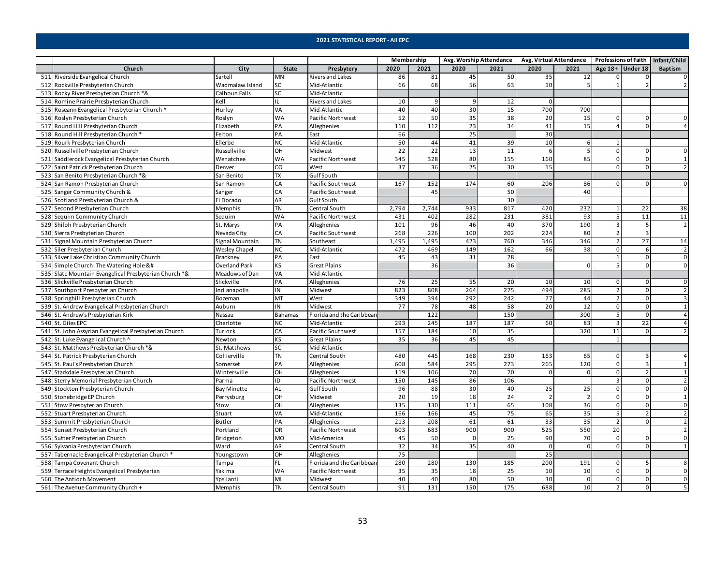|                                                                                                                                                                                                                                                                                                                                                                                                                                                                                                                                                                                                                                                                                                                                                                                                                                                                                                                                                                                                                                                                                                                                                                                                                                                                                                                                                                                                                                                                                                                                                                                                                                                                                                                                                                                                                                                                                                                                                                                                                                                                                                                                                                                                                                                                                                                                                                                                                                                                                                                                                                                                                                                                                                                                                                                                                                                                                                                                                                                                                                                                                                                                                                                                                                                                                                                                                                                                                                                                                                                                                                                                                                                                                                                                                                                                                                                                                                                                                                                                                                                                                                                                                                                                                                                                                                                                                                                                                                                                                                                                                                                                                                                                                                                                                                                                                                                                                                                                                                                                                                                                                                                                                                                                                                                                                                                                                                                                                                                                                                                                                                                                                                                                                                                                                                                                                                                                                                                                                                                                                                                                                                                                                                                                                                                                                                                                                                                                                                                                                                                                                                                                                                                                                                                                                                                                                                                                                                                                                                                                                                                                                                                                                                                                                                                                                   |                 |              |                         | Membership      |                 |      | Avg. Worship Attendance |          | Avg. Virtual Attendance   Professions of Faith   Infant/Child |                    |                |                |
|-----------------------------------------------------------------------------------------------------------------------------------------------------------------------------------------------------------------------------------------------------------------------------------------------------------------------------------------------------------------------------------------------------------------------------------------------------------------------------------------------------------------------------------------------------------------------------------------------------------------------------------------------------------------------------------------------------------------------------------------------------------------------------------------------------------------------------------------------------------------------------------------------------------------------------------------------------------------------------------------------------------------------------------------------------------------------------------------------------------------------------------------------------------------------------------------------------------------------------------------------------------------------------------------------------------------------------------------------------------------------------------------------------------------------------------------------------------------------------------------------------------------------------------------------------------------------------------------------------------------------------------------------------------------------------------------------------------------------------------------------------------------------------------------------------------------------------------------------------------------------------------------------------------------------------------------------------------------------------------------------------------------------------------------------------------------------------------------------------------------------------------------------------------------------------------------------------------------------------------------------------------------------------------------------------------------------------------------------------------------------------------------------------------------------------------------------------------------------------------------------------------------------------------------------------------------------------------------------------------------------------------------------------------------------------------------------------------------------------------------------------------------------------------------------------------------------------------------------------------------------------------------------------------------------------------------------------------------------------------------------------------------------------------------------------------------------------------------------------------------------------------------------------------------------------------------------------------------------------------------------------------------------------------------------------------------------------------------------------------------------------------------------------------------------------------------------------------------------------------------------------------------------------------------------------------------------------------------------------------------------------------------------------------------------------------------------------------------------------------------------------------------------------------------------------------------------------------------------------------------------------------------------------------------------------------------------------------------------------------------------------------------------------------------------------------------------------------------------------------------------------------------------------------------------------------------------------------------------------------------------------------------------------------------------------------------------------------------------------------------------------------------------------------------------------------------------------------------------------------------------------------------------------------------------------------------------------------------------------------------------------------------------------------------------------------------------------------------------------------------------------------------------------------------------------------------------------------------------------------------------------------------------------------------------------------------------------------------------------------------------------------------------------------------------------------------------------------------------------------------------------------------------------------------------------------------------------------------------------------------------------------------------------------------------------------------------------------------------------------------------------------------------------------------------------------------------------------------------------------------------------------------------------------------------------------------------------------------------------------------------------------------------------------------------------------------------------------------------------------------------------------------------------------------------------------------------------------------------------------------------------------------------------------------------------------------------------------------------------------------------------------------------------------------------------------------------------------------------------------------------------------------------------------------------------------------------------------------------------------------------------------------------------------------------------------------------------------------------------------------------------------------------------------------------------------------------------------------------------------------------------------------------------------------------------------------------------------------------------------------------------------------------------------------------------------------------------------------------------------------------------------------------------------------------------------------------------------------------------------------------------------------------------------------------------------------------------------------------------------------------------------------------------------------------------------------------------------------------------------------------------------------------------------------------------------------------------------------------------------------------------------------------------------|-----------------|--------------|-------------------------|-----------------|-----------------|------|-------------------------|----------|---------------------------------------------------------------|--------------------|----------------|----------------|
| Church                                                                                                                                                                                                                                                                                                                                                                                                                                                                                                                                                                                                                                                                                                                                                                                                                                                                                                                                                                                                                                                                                                                                                                                                                                                                                                                                                                                                                                                                                                                                                                                                                                                                                                                                                                                                                                                                                                                                                                                                                                                                                                                                                                                                                                                                                                                                                                                                                                                                                                                                                                                                                                                                                                                                                                                                                                                                                                                                                                                                                                                                                                                                                                                                                                                                                                                                                                                                                                                                                                                                                                                                                                                                                                                                                                                                                                                                                                                                                                                                                                                                                                                                                                                                                                                                                                                                                                                                                                                                                                                                                                                                                                                                                                                                                                                                                                                                                                                                                                                                                                                                                                                                                                                                                                                                                                                                                                                                                                                                                                                                                                                                                                                                                                                                                                                                                                                                                                                                                                                                                                                                                                                                                                                                                                                                                                                                                                                                                                                                                                                                                                                                                                                                                                                                                                                                                                                                                                                                                                                                                                                                                                                                                                                                                                                                            | City            | <b>State</b> | Presbytery              | 2020            | 2021            | 2020 | 2021                    | 2020     | 2021                                                          | Age $18+$ Under 18 |                | <b>Baptism</b> |
| 511 Riverside Evangelical Church                                                                                                                                                                                                                                                                                                                                                                                                                                                                                                                                                                                                                                                                                                                                                                                                                                                                                                                                                                                                                                                                                                                                                                                                                                                                                                                                                                                                                                                                                                                                                                                                                                                                                                                                                                                                                                                                                                                                                                                                                                                                                                                                                                                                                                                                                                                                                                                                                                                                                                                                                                                                                                                                                                                                                                                                                                                                                                                                                                                                                                                                                                                                                                                                                                                                                                                                                                                                                                                                                                                                                                                                                                                                                                                                                                                                                                                                                                                                                                                                                                                                                                                                                                                                                                                                                                                                                                                                                                                                                                                                                                                                                                                                                                                                                                                                                                                                                                                                                                                                                                                                                                                                                                                                                                                                                                                                                                                                                                                                                                                                                                                                                                                                                                                                                                                                                                                                                                                                                                                                                                                                                                                                                                                                                                                                                                                                                                                                                                                                                                                                                                                                                                                                                                                                                                                                                                                                                                                                                                                                                                                                                                                                                                                                                                                  | Sartell         | <b>MN</b>    | <b>Rivers and Lakes</b> | 86              | 81              | 45   | 50                      | 35       | 12                                                            | 0                  | $\Omega$       | $\mathbf{0}$   |
| 512 Rockville Presbyterian Church                                                                                                                                                                                                                                                                                                                                                                                                                                                                                                                                                                                                                                                                                                                                                                                                                                                                                                                                                                                                                                                                                                                                                                                                                                                                                                                                                                                                                                                                                                                                                                                                                                                                                                                                                                                                                                                                                                                                                                                                                                                                                                                                                                                                                                                                                                                                                                                                                                                                                                                                                                                                                                                                                                                                                                                                                                                                                                                                                                                                                                                                                                                                                                                                                                                                                                                                                                                                                                                                                                                                                                                                                                                                                                                                                                                                                                                                                                                                                                                                                                                                                                                                                                                                                                                                                                                                                                                                                                                                                                                                                                                                                                                                                                                                                                                                                                                                                                                                                                                                                                                                                                                                                                                                                                                                                                                                                                                                                                                                                                                                                                                                                                                                                                                                                                                                                                                                                                                                                                                                                                                                                                                                                                                                                                                                                                                                                                                                                                                                                                                                                                                                                                                                                                                                                                                                                                                                                                                                                                                                                                                                                                                                                                                                                                                 | Wadmalaw Island | <b>SC</b>    | Mid-Atlantic            | 66              | 68              | 56   | 63                      | 10       | 5                                                             | $\mathbf{1}$       |                | $\overline{2}$ |
| 513 Rocky River Presbyterian Church *&                                                                                                                                                                                                                                                                                                                                                                                                                                                                                                                                                                                                                                                                                                                                                                                                                                                                                                                                                                                                                                                                                                                                                                                                                                                                                                                                                                                                                                                                                                                                                                                                                                                                                                                                                                                                                                                                                                                                                                                                                                                                                                                                                                                                                                                                                                                                                                                                                                                                                                                                                                                                                                                                                                                                                                                                                                                                                                                                                                                                                                                                                                                                                                                                                                                                                                                                                                                                                                                                                                                                                                                                                                                                                                                                                                                                                                                                                                                                                                                                                                                                                                                                                                                                                                                                                                                                                                                                                                                                                                                                                                                                                                                                                                                                                                                                                                                                                                                                                                                                                                                                                                                                                                                                                                                                                                                                                                                                                                                                                                                                                                                                                                                                                                                                                                                                                                                                                                                                                                                                                                                                                                                                                                                                                                                                                                                                                                                                                                                                                                                                                                                                                                                                                                                                                                                                                                                                                                                                                                                                                                                                                                                                                                                                                                            | Calhoun Falls   | <b>SC</b>    | Mid-Atlantic            |                 |                 |      |                         |          |                                                               |                    |                |                |
| 514 Romine Prairie Presbyterian Church                                                                                                                                                                                                                                                                                                                                                                                                                                                                                                                                                                                                                                                                                                                                                                                                                                                                                                                                                                                                                                                                                                                                                                                                                                                                                                                                                                                                                                                                                                                                                                                                                                                                                                                                                                                                                                                                                                                                                                                                                                                                                                                                                                                                                                                                                                                                                                                                                                                                                                                                                                                                                                                                                                                                                                                                                                                                                                                                                                                                                                                                                                                                                                                                                                                                                                                                                                                                                                                                                                                                                                                                                                                                                                                                                                                                                                                                                                                                                                                                                                                                                                                                                                                                                                                                                                                                                                                                                                                                                                                                                                                                                                                                                                                                                                                                                                                                                                                                                                                                                                                                                                                                                                                                                                                                                                                                                                                                                                                                                                                                                                                                                                                                                                                                                                                                                                                                                                                                                                                                                                                                                                                                                                                                                                                                                                                                                                                                                                                                                                                                                                                                                                                                                                                                                                                                                                                                                                                                                                                                                                                                                                                                                                                                                                            | Kell            | IL           | <b>Rivers and Lakes</b> | 10              | q               | 9    | 12                      | $\Omega$ |                                                               |                    |                |                |
| 515 Roseann Evangelical Presbyterian Church ^                                                                                                                                                                                                                                                                                                                                                                                                                                                                                                                                                                                                                                                                                                                                                                                                                                                                                                                                                                                                                                                                                                                                                                                                                                                                                                                                                                                                                                                                                                                                                                                                                                                                                                                                                                                                                                                                                                                                                                                                                                                                                                                                                                                                                                                                                                                                                                                                                                                                                                                                                                                                                                                                                                                                                                                                                                                                                                                                                                                                                                                                                                                                                                                                                                                                                                                                                                                                                                                                                                                                                                                                                                                                                                                                                                                                                                                                                                                                                                                                                                                                                                                                                                                                                                                                                                                                                                                                                                                                                                                                                                                                                                                                                                                                                                                                                                                                                                                                                                                                                                                                                                                                                                                                                                                                                                                                                                                                                                                                                                                                                                                                                                                                                                                                                                                                                                                                                                                                                                                                                                                                                                                                                                                                                                                                                                                                                                                                                                                                                                                                                                                                                                                                                                                                                                                                                                                                                                                                                                                                                                                                                                                                                                                                                                     | Hurley          | VA           | Mid-Atlantic            | 40              | 40              | 30   | 15                      | 700      | 700                                                           |                    |                |                |
| 516 Roslyn Presbyterian Church                                                                                                                                                                                                                                                                                                                                                                                                                                                                                                                                                                                                                                                                                                                                                                                                                                                                                                                                                                                                                                                                                                                                                                                                                                                                                                                                                                                                                                                                                                                                                                                                                                                                                                                                                                                                                                                                                                                                                                                                                                                                                                                                                                                                                                                                                                                                                                                                                                                                                                                                                                                                                                                                                                                                                                                                                                                                                                                                                                                                                                                                                                                                                                                                                                                                                                                                                                                                                                                                                                                                                                                                                                                                                                                                                                                                                                                                                                                                                                                                                                                                                                                                                                                                                                                                                                                                                                                                                                                                                                                                                                                                                                                                                                                                                                                                                                                                                                                                                                                                                                                                                                                                                                                                                                                                                                                                                                                                                                                                                                                                                                                                                                                                                                                                                                                                                                                                                                                                                                                                                                                                                                                                                                                                                                                                                                                                                                                                                                                                                                                                                                                                                                                                                                                                                                                                                                                                                                                                                                                                                                                                                                                                                                                                                                                    | Roslyn          | <b>WA</b>    | Pacific Northwest       | 52              | 50              | 35   | 38                      | 20       | 15                                                            | 0                  | $\Omega$       | $\Omega$       |
| 517 Round Hill Presbyterian Church                                                                                                                                                                                                                                                                                                                                                                                                                                                                                                                                                                                                                                                                                                                                                                                                                                                                                                                                                                                                                                                                                                                                                                                                                                                                                                                                                                                                                                                                                                                                                                                                                                                                                                                                                                                                                                                                                                                                                                                                                                                                                                                                                                                                                                                                                                                                                                                                                                                                                                                                                                                                                                                                                                                                                                                                                                                                                                                                                                                                                                                                                                                                                                                                                                                                                                                                                                                                                                                                                                                                                                                                                                                                                                                                                                                                                                                                                                                                                                                                                                                                                                                                                                                                                                                                                                                                                                                                                                                                                                                                                                                                                                                                                                                                                                                                                                                                                                                                                                                                                                                                                                                                                                                                                                                                                                                                                                                                                                                                                                                                                                                                                                                                                                                                                                                                                                                                                                                                                                                                                                                                                                                                                                                                                                                                                                                                                                                                                                                                                                                                                                                                                                                                                                                                                                                                                                                                                                                                                                                                                                                                                                                                                                                                                                                | Elizabeth       | PA           | Alleghenies             | 110             | 112             | 23   | 34                      | 41       | 15                                                            | 4                  | <sup>n</sup>   | $\Delta$       |
| 518 Round Hill Presbyterian Church *                                                                                                                                                                                                                                                                                                                                                                                                                                                                                                                                                                                                                                                                                                                                                                                                                                                                                                                                                                                                                                                                                                                                                                                                                                                                                                                                                                                                                                                                                                                                                                                                                                                                                                                                                                                                                                                                                                                                                                                                                                                                                                                                                                                                                                                                                                                                                                                                                                                                                                                                                                                                                                                                                                                                                                                                                                                                                                                                                                                                                                                                                                                                                                                                                                                                                                                                                                                                                                                                                                                                                                                                                                                                                                                                                                                                                                                                                                                                                                                                                                                                                                                                                                                                                                                                                                                                                                                                                                                                                                                                                                                                                                                                                                                                                                                                                                                                                                                                                                                                                                                                                                                                                                                                                                                                                                                                                                                                                                                                                                                                                                                                                                                                                                                                                                                                                                                                                                                                                                                                                                                                                                                                                                                                                                                                                                                                                                                                                                                                                                                                                                                                                                                                                                                                                                                                                                                                                                                                                                                                                                                                                                                                                                                                                                              | Felton          | PA           | East                    | 66              |                 | 25   |                         | 30       |                                                               |                    |                |                |
| 519 Rourk Presbyterian Church                                                                                                                                                                                                                                                                                                                                                                                                                                                                                                                                                                                                                                                                                                                                                                                                                                                                                                                                                                                                                                                                                                                                                                                                                                                                                                                                                                                                                                                                                                                                                                                                                                                                                                                                                                                                                                                                                                                                                                                                                                                                                                                                                                                                                                                                                                                                                                                                                                                                                                                                                                                                                                                                                                                                                                                                                                                                                                                                                                                                                                                                                                                                                                                                                                                                                                                                                                                                                                                                                                                                                                                                                                                                                                                                                                                                                                                                                                                                                                                                                                                                                                                                                                                                                                                                                                                                                                                                                                                                                                                                                                                                                                                                                                                                                                                                                                                                                                                                                                                                                                                                                                                                                                                                                                                                                                                                                                                                                                                                                                                                                                                                                                                                                                                                                                                                                                                                                                                                                                                                                                                                                                                                                                                                                                                                                                                                                                                                                                                                                                                                                                                                                                                                                                                                                                                                                                                                                                                                                                                                                                                                                                                                                                                                                                                     | Ellerbe         | <b>NC</b>    | Mid-Atlantic            | 50              | 44              | 41   | 39                      | 10       | 6                                                             | $\mathbf{1}$       |                |                |
| 520 Russellville Presbyterian Church                                                                                                                                                                                                                                                                                                                                                                                                                                                                                                                                                                                                                                                                                                                                                                                                                                                                                                                                                                                                                                                                                                                                                                                                                                                                                                                                                                                                                                                                                                                                                                                                                                                                                                                                                                                                                                                                                                                                                                                                                                                                                                                                                                                                                                                                                                                                                                                                                                                                                                                                                                                                                                                                                                                                                                                                                                                                                                                                                                                                                                                                                                                                                                                                                                                                                                                                                                                                                                                                                                                                                                                                                                                                                                                                                                                                                                                                                                                                                                                                                                                                                                                                                                                                                                                                                                                                                                                                                                                                                                                                                                                                                                                                                                                                                                                                                                                                                                                                                                                                                                                                                                                                                                                                                                                                                                                                                                                                                                                                                                                                                                                                                                                                                                                                                                                                                                                                                                                                                                                                                                                                                                                                                                                                                                                                                                                                                                                                                                                                                                                                                                                                                                                                                                                                                                                                                                                                                                                                                                                                                                                                                                                                                                                                                                              | Russellville    | HO           | Midwest                 | $\overline{22}$ | $\overline{22}$ | 13   | 11                      | -6       | $\overline{5}$                                                | $\mathbf 0$        | $\Omega$       | $\Omega$       |
| 521 Saddlerock Evangelical Presbyterian Church                                                                                                                                                                                                                                                                                                                                                                                                                                                                                                                                                                                                                                                                                                                                                                                                                                                                                                                                                                                                                                                                                                                                                                                                                                                                                                                                                                                                                                                                                                                                                                                                                                                                                                                                                                                                                                                                                                                                                                                                                                                                                                                                                                                                                                                                                                                                                                                                                                                                                                                                                                                                                                                                                                                                                                                                                                                                                                                                                                                                                                                                                                                                                                                                                                                                                                                                                                                                                                                                                                                                                                                                                                                                                                                                                                                                                                                                                                                                                                                                                                                                                                                                                                                                                                                                                                                                                                                                                                                                                                                                                                                                                                                                                                                                                                                                                                                                                                                                                                                                                                                                                                                                                                                                                                                                                                                                                                                                                                                                                                                                                                                                                                                                                                                                                                                                                                                                                                                                                                                                                                                                                                                                                                                                                                                                                                                                                                                                                                                                                                                                                                                                                                                                                                                                                                                                                                                                                                                                                                                                                                                                                                                                                                                                                                    | Wenatchee       | <b>WA</b>    | Pacific Northwest       | 345             | 328             | 80   | 155                     | 160      | 85                                                            | $\mathsf 0$        | $\mathbf 0$    | $\mathbf{1}$   |
| 522 Saint Patrick Presbyterian Church                                                                                                                                                                                                                                                                                                                                                                                                                                                                                                                                                                                                                                                                                                                                                                                                                                                                                                                                                                                                                                                                                                                                                                                                                                                                                                                                                                                                                                                                                                                                                                                                                                                                                                                                                                                                                                                                                                                                                                                                                                                                                                                                                                                                                                                                                                                                                                                                                                                                                                                                                                                                                                                                                                                                                                                                                                                                                                                                                                                                                                                                                                                                                                                                                                                                                                                                                                                                                                                                                                                                                                                                                                                                                                                                                                                                                                                                                                                                                                                                                                                                                                                                                                                                                                                                                                                                                                                                                                                                                                                                                                                                                                                                                                                                                                                                                                                                                                                                                                                                                                                                                                                                                                                                                                                                                                                                                                                                                                                                                                                                                                                                                                                                                                                                                                                                                                                                                                                                                                                                                                                                                                                                                                                                                                                                                                                                                                                                                                                                                                                                                                                                                                                                                                                                                                                                                                                                                                                                                                                                                                                                                                                                                                                                                                             | Denver          | CO           | West                    | 37              | 36              | 25   | 30                      | 15       |                                                               | $\mathbf 0$        | 0              | $\overline{2}$ |
| 523 San Benito Presbyterian Church *&                                                                                                                                                                                                                                                                                                                                                                                                                                                                                                                                                                                                                                                                                                                                                                                                                                                                                                                                                                                                                                                                                                                                                                                                                                                                                                                                                                                                                                                                                                                                                                                                                                                                                                                                                                                                                                                                                                                                                                                                                                                                                                                                                                                                                                                                                                                                                                                                                                                                                                                                                                                                                                                                                                                                                                                                                                                                                                                                                                                                                                                                                                                                                                                                                                                                                                                                                                                                                                                                                                                                                                                                                                                                                                                                                                                                                                                                                                                                                                                                                                                                                                                                                                                                                                                                                                                                                                                                                                                                                                                                                                                                                                                                                                                                                                                                                                                                                                                                                                                                                                                                                                                                                                                                                                                                                                                                                                                                                                                                                                                                                                                                                                                                                                                                                                                                                                                                                                                                                                                                                                                                                                                                                                                                                                                                                                                                                                                                                                                                                                                                                                                                                                                                                                                                                                                                                                                                                                                                                                                                                                                                                                                                                                                                                                             | San Benito      | TX           | <b>GulfSouth</b>        |                 |                 |      |                         |          |                                                               |                    |                |                |
| 524 San Ramon Presbyterian Church                                                                                                                                                                                                                                                                                                                                                                                                                                                                                                                                                                                                                                                                                                                                                                                                                                                                                                                                                                                                                                                                                                                                                                                                                                                                                                                                                                                                                                                                                                                                                                                                                                                                                                                                                                                                                                                                                                                                                                                                                                                                                                                                                                                                                                                                                                                                                                                                                                                                                                                                                                                                                                                                                                                                                                                                                                                                                                                                                                                                                                                                                                                                                                                                                                                                                                                                                                                                                                                                                                                                                                                                                                                                                                                                                                                                                                                                                                                                                                                                                                                                                                                                                                                                                                                                                                                                                                                                                                                                                                                                                                                                                                                                                                                                                                                                                                                                                                                                                                                                                                                                                                                                                                                                                                                                                                                                                                                                                                                                                                                                                                                                                                                                                                                                                                                                                                                                                                                                                                                                                                                                                                                                                                                                                                                                                                                                                                                                                                                                                                                                                                                                                                                                                                                                                                                                                                                                                                                                                                                                                                                                                                                                                                                                                                                 | San Ramon       | CA           | Pacific Southwest       | 167             | 152             | 174  | 60                      | 206      | 86                                                            | $\Omega$           |                | $\mathbf{0}$   |
| 525 Sanger Community Church &                                                                                                                                                                                                                                                                                                                                                                                                                                                                                                                                                                                                                                                                                                                                                                                                                                                                                                                                                                                                                                                                                                                                                                                                                                                                                                                                                                                                                                                                                                                                                                                                                                                                                                                                                                                                                                                                                                                                                                                                                                                                                                                                                                                                                                                                                                                                                                                                                                                                                                                                                                                                                                                                                                                                                                                                                                                                                                                                                                                                                                                                                                                                                                                                                                                                                                                                                                                                                                                                                                                                                                                                                                                                                                                                                                                                                                                                                                                                                                                                                                                                                                                                                                                                                                                                                                                                                                                                                                                                                                                                                                                                                                                                                                                                                                                                                                                                                                                                                                                                                                                                                                                                                                                                                                                                                                                                                                                                                                                                                                                                                                                                                                                                                                                                                                                                                                                                                                                                                                                                                                                                                                                                                                                                                                                                                                                                                                                                                                                                                                                                                                                                                                                                                                                                                                                                                                                                                                                                                                                                                                                                                                                                                                                                                                                     | Sanger          | CA           | Pacific Southwest       |                 | 45              |      | 50                      |          | 40                                                            |                    |                |                |
| 526 Scotland Presbyterian Church &                                                                                                                                                                                                                                                                                                                                                                                                                                                                                                                                                                                                                                                                                                                                                                                                                                                                                                                                                                                                                                                                                                                                                                                                                                                                                                                                                                                                                                                                                                                                                                                                                                                                                                                                                                                                                                                                                                                                                                                                                                                                                                                                                                                                                                                                                                                                                                                                                                                                                                                                                                                                                                                                                                                                                                                                                                                                                                                                                                                                                                                                                                                                                                                                                                                                                                                                                                                                                                                                                                                                                                                                                                                                                                                                                                                                                                                                                                                                                                                                                                                                                                                                                                                                                                                                                                                                                                                                                                                                                                                                                                                                                                                                                                                                                                                                                                                                                                                                                                                                                                                                                                                                                                                                                                                                                                                                                                                                                                                                                                                                                                                                                                                                                                                                                                                                                                                                                                                                                                                                                                                                                                                                                                                                                                                                                                                                                                                                                                                                                                                                                                                                                                                                                                                                                                                                                                                                                                                                                                                                                                                                                                                                                                                                                                                | El Dorado       | <b>AR</b>    | <b>GulfSouth</b>        |                 |                 |      | 30                      |          |                                                               |                    |                |                |
| 527 Second Presbyterian Church                                                                                                                                                                                                                                                                                                                                                                                                                                                                                                                                                                                                                                                                                                                                                                                                                                                                                                                                                                                                                                                                                                                                                                                                                                                                                                                                                                                                                                                                                                                                                                                                                                                                                                                                                                                                                                                                                                                                                                                                                                                                                                                                                                                                                                                                                                                                                                                                                                                                                                                                                                                                                                                                                                                                                                                                                                                                                                                                                                                                                                                                                                                                                                                                                                                                                                                                                                                                                                                                                                                                                                                                                                                                                                                                                                                                                                                                                                                                                                                                                                                                                                                                                                                                                                                                                                                                                                                                                                                                                                                                                                                                                                                                                                                                                                                                                                                                                                                                                                                                                                                                                                                                                                                                                                                                                                                                                                                                                                                                                                                                                                                                                                                                                                                                                                                                                                                                                                                                                                                                                                                                                                                                                                                                                                                                                                                                                                                                                                                                                                                                                                                                                                                                                                                                                                                                                                                                                                                                                                                                                                                                                                                                                                                                                                                    | Memphis         | <b>TN</b>    | Central South           | 2,794           | 2,744           | 933  | 817                     | 420      | 232                                                           | $\mathbf{1}$       | 22             | 38             |
| 528 Sequim Community Church                                                                                                                                                                                                                                                                                                                                                                                                                                                                                                                                                                                                                                                                                                                                                                                                                                                                                                                                                                                                                                                                                                                                                                                                                                                                                                                                                                                                                                                                                                                                                                                                                                                                                                                                                                                                                                                                                                                                                                                                                                                                                                                                                                                                                                                                                                                                                                                                                                                                                                                                                                                                                                                                                                                                                                                                                                                                                                                                                                                                                                                                                                                                                                                                                                                                                                                                                                                                                                                                                                                                                                                                                                                                                                                                                                                                                                                                                                                                                                                                                                                                                                                                                                                                                                                                                                                                                                                                                                                                                                                                                                                                                                                                                                                                                                                                                                                                                                                                                                                                                                                                                                                                                                                                                                                                                                                                                                                                                                                                                                                                                                                                                                                                                                                                                                                                                                                                                                                                                                                                                                                                                                                                                                                                                                                                                                                                                                                                                                                                                                                                                                                                                                                                                                                                                                                                                                                                                                                                                                                                                                                                                                                                                                                                                                                       | Sequim          | <b>WA</b>    | Pacific Northwest       | 431             | 402             | 282  | 231                     | 381      | 93                                                            | 5                  | 11             | 11             |
| 529 Shiloh Presbyterian Church                                                                                                                                                                                                                                                                                                                                                                                                                                                                                                                                                                                                                                                                                                                                                                                                                                                                                                                                                                                                                                                                                                                                                                                                                                                                                                                                                                                                                                                                                                                                                                                                                                                                                                                                                                                                                                                                                                                                                                                                                                                                                                                                                                                                                                                                                                                                                                                                                                                                                                                                                                                                                                                                                                                                                                                                                                                                                                                                                                                                                                                                                                                                                                                                                                                                                                                                                                                                                                                                                                                                                                                                                                                                                                                                                                                                                                                                                                                                                                                                                                                                                                                                                                                                                                                                                                                                                                                                                                                                                                                                                                                                                                                                                                                                                                                                                                                                                                                                                                                                                                                                                                                                                                                                                                                                                                                                                                                                                                                                                                                                                                                                                                                                                                                                                                                                                                                                                                                                                                                                                                                                                                                                                                                                                                                                                                                                                                                                                                                                                                                                                                                                                                                                                                                                                                                                                                                                                                                                                                                                                                                                                                                                                                                                                                                    | St. Marys       | PA           | Alleghenies             | 101             | 96              | 46   | 40                      | 370      | 190                                                           | $\overline{3}$     |                | $\overline{2}$ |
| 530 Sierra Presbyterian Church                                                                                                                                                                                                                                                                                                                                                                                                                                                                                                                                                                                                                                                                                                                                                                                                                                                                                                                                                                                                                                                                                                                                                                                                                                                                                                                                                                                                                                                                                                                                                                                                                                                                                                                                                                                                                                                                                                                                                                                                                                                                                                                                                                                                                                                                                                                                                                                                                                                                                                                                                                                                                                                                                                                                                                                                                                                                                                                                                                                                                                                                                                                                                                                                                                                                                                                                                                                                                                                                                                                                                                                                                                                                                                                                                                                                                                                                                                                                                                                                                                                                                                                                                                                                                                                                                                                                                                                                                                                                                                                                                                                                                                                                                                                                                                                                                                                                                                                                                                                                                                                                                                                                                                                                                                                                                                                                                                                                                                                                                                                                                                                                                                                                                                                                                                                                                                                                                                                                                                                                                                                                                                                                                                                                                                                                                                                                                                                                                                                                                                                                                                                                                                                                                                                                                                                                                                                                                                                                                                                                                                                                                                                                                                                                                                                    | Nevada City     | CA           | Pacific Southwest       | 268             | 226             | 100  | 202                     | 224      | 80                                                            | $\overline{2}$     | $\overline{3}$ |                |
| 531 Signal Mountain Presbyterian Church                                                                                                                                                                                                                                                                                                                                                                                                                                                                                                                                                                                                                                                                                                                                                                                                                                                                                                                                                                                                                                                                                                                                                                                                                                                                                                                                                                                                                                                                                                                                                                                                                                                                                                                                                                                                                                                                                                                                                                                                                                                                                                                                                                                                                                                                                                                                                                                                                                                                                                                                                                                                                                                                                                                                                                                                                                                                                                                                                                                                                                                                                                                                                                                                                                                                                                                                                                                                                                                                                                                                                                                                                                                                                                                                                                                                                                                                                                                                                                                                                                                                                                                                                                                                                                                                                                                                                                                                                                                                                                                                                                                                                                                                                                                                                                                                                                                                                                                                                                                                                                                                                                                                                                                                                                                                                                                                                                                                                                                                                                                                                                                                                                                                                                                                                                                                                                                                                                                                                                                                                                                                                                                                                                                                                                                                                                                                                                                                                                                                                                                                                                                                                                                                                                                                                                                                                                                                                                                                                                                                                                                                                                                                                                                                                                           | Signal Mountain | <b>TN</b>    | Southeast               | 1,495           | 1,495           | 423  | 760                     | 346      | 346                                                           | $\overline{2}$     | 27             | 14             |
| 532 Siler Presbyterian Church                                                                                                                                                                                                                                                                                                                                                                                                                                                                                                                                                                                                                                                                                                                                                                                                                                                                                                                                                                                                                                                                                                                                                                                                                                                                                                                                                                                                                                                                                                                                                                                                                                                                                                                                                                                                                                                                                                                                                                                                                                                                                                                                                                                                                                                                                                                                                                                                                                                                                                                                                                                                                                                                                                                                                                                                                                                                                                                                                                                                                                                                                                                                                                                                                                                                                                                                                                                                                                                                                                                                                                                                                                                                                                                                                                                                                                                                                                                                                                                                                                                                                                                                                                                                                                                                                                                                                                                                                                                                                                                                                                                                                                                                                                                                                                                                                                                                                                                                                                                                                                                                                                                                                                                                                                                                                                                                                                                                                                                                                                                                                                                                                                                                                                                                                                                                                                                                                                                                                                                                                                                                                                                                                                                                                                                                                                                                                                                                                                                                                                                                                                                                                                                                                                                                                                                                                                                                                                                                                                                                                                                                                                                                                                                                                                                     | Wesley Chapel   | <b>NC</b>    | Mid-Atlantic            | 472             | 469             | 149  | 162                     | 66       | 38                                                            | $\mathbf 0$        | 6              | $\overline{2}$ |
| 533 Silver Lake Christian Community Church                                                                                                                                                                                                                                                                                                                                                                                                                                                                                                                                                                                                                                                                                                                                                                                                                                                                                                                                                                                                                                                                                                                                                                                                                                                                                                                                                                                                                                                                                                                                                                                                                                                                                                                                                                                                                                                                                                                                                                                                                                                                                                                                                                                                                                                                                                                                                                                                                                                                                                                                                                                                                                                                                                                                                                                                                                                                                                                                                                                                                                                                                                                                                                                                                                                                                                                                                                                                                                                                                                                                                                                                                                                                                                                                                                                                                                                                                                                                                                                                                                                                                                                                                                                                                                                                                                                                                                                                                                                                                                                                                                                                                                                                                                                                                                                                                                                                                                                                                                                                                                                                                                                                                                                                                                                                                                                                                                                                                                                                                                                                                                                                                                                                                                                                                                                                                                                                                                                                                                                                                                                                                                                                                                                                                                                                                                                                                                                                                                                                                                                                                                                                                                                                                                                                                                                                                                                                                                                                                                                                                                                                                                                                                                                                                                        | <b>Brackney</b> | PA           | East                    | 45              | 43              | 31   | 28                      |          |                                                               | $\mathbf{1}$       | 0              | $\mathsf 0$    |
| 534 Simple Church: The Watering Hole &#</td><td>Overland Park</td><td>KS</td><td><b>Great Plains</b></td><td></td><td>36</td><td></td><td>36</td><td></td><td><math>\Omega</math></td><td>5</td><td></td><td><math>\Omega</math></td></tr><tr><td>535 Slate Mountain Evangelical Presbyterian Church *&</td><td>Meadows of Dan</td><td>VA</td><td>Mid-Atlantic</td><td></td><td></td><td></td><td></td><td></td><td></td><td></td><td></td><td></td></tr><tr><td>536 Slickville Presbyterian Church</td><td>Slickville</td><td>PA</td><td>Alleghenies</td><td>76</td><td>25</td><td>55</td><td>20</td><td>10</td><td>10</td><td>0</td><td><math>\Omega</math></td><td><math>\mathbf 0</math></td></tr><tr><td>537 Southport Presbyterian Church</td><td>Indianapolis</td><td>IN</td><td>Midwest</td><td>823</td><td>808</td><td>264</td><td>275</td><td>494</td><td>285</td><td><math>\overline{2}</math></td><td><math>\Omega</math></td><td><math>\overline{2}</math></td></tr><tr><td>538 Springhill Presbyterian Church</td><td>Bozeman</td><td><b>MT</b></td><td>West</td><td>349</td><td>394</td><td>292</td><td>242</td><td>77</td><td>44</td><td><math>\overline{2}</math></td><td><math>\Omega</math></td><td><math>\overline{\mathbf{3}}</math></td></tr><tr><td>539 St. Andrew Evangelical Presbyterian Church</td><td>Auburn</td><td>IN</td><td>Midwest</td><td>77</td><td>78</td><td>48</td><td>58</td><td>20</td><td>12</td><td><math>\mathbf 0</math></td><td><math>\Omega</math></td><td><math>\mathbf{1}</math></td></tr><tr><td>546 St. Andrew's Presbyterian Kirk</td><td>Nassau</td><td><b>Bahamas</b></td><td>Florida and the Caribbean</td><td></td><td>122</td><td></td><td>150</td><td></td><td>300</td><td>5</td><td></td><td><math>\overline{4}</math></td></tr><tr><td>540 St. Giles EPC</td><td>Charlotte</td><td><b>NC</b></td><td>Mid-Atlantic</td><td>293</td><td>245</td><td>187</td><td>187</td><td>60</td><td>83</td><td><math>\overline{3}</math></td><td>22</td><td><math>\overline{a}</math></td></tr><tr><td>541 St. John Assyrian Evangelical Presbyterian Church</td><td>Turlock</td><td>CA</td><td>Pacific Southwest</td><td>157</td><td>184</td><td>10</td><td>35</td><td></td><td>320</td><td>11</td><td><math>\Omega</math></td><td></td></tr><tr><td>542 St. Luke Evangelical Church ^</td><td>Newton</td><td><b>KS</b></td><td><b>Great Plains</b></td><td>35</td><td>36</td><td>45</td><td>45</td><td></td><td></td><td>1</td><td></td><td></td></tr><tr><td>543 St. Matthews Presbyterian Church *&</td><td>St. Matthews</td><td>SC</td><td>Mid-Atlantic</td><td></td><td></td><td></td><td></td><td></td><td></td><td></td><td></td><td></td></tr><tr><td>544 St. Patrick Presbyterian Church</td><td>Collierville</td><td><b>TN</b></td><td>Central South</td><td>480</td><td>445</td><td>168</td><td>230</td><td>163</td><td>65</td><td>0</td><td></td><td><math>\overline{a}</math></td></tr><tr><td>545 St. Paul's Presbyterian Church</td><td>Somerset</td><td>PA</td><td>Alleghenies</td><td>608</td><td>584</td><td>295</td><td>273</td><td>265</td><td>120</td><td><math>\mathbf 0</math></td><td><math>\overline{\mathbf{3}}</math></td><td><math>\overline{1}</math></td></tr><tr><td>547 Starkdale Presbyterian Church</td><td>Wintersville</td><td>OH</td><td>Alleghenies</td><td>119</td><td>106</td><td>70</td><td>70</td><td><math>\Omega</math></td><td><math>\mathbf 0</math></td><td><math>\mathbf 0</math></td><td></td><td><math>\mathbf{1}</math></td></tr><tr><td>548 Sterry Memorial Presbyterian Church</td><td>Parma</td><td>ID</td><td>Pacific Northwest</td><td>150</td><td>145</td><td>86</td><td>106</td><td></td><td></td><td>3</td><td><math>\Omega</math></td><td><math>\overline{2}</math></td></tr><tr><td>549 Stockton Presbyterian Church</td><td><b>Bay Minette</b></td><td><b>AL</b></td><td>Gulf South</td><td>96</td><td>88</td><td>30</td><td>40</td><td>25</td><td>25</td><td><math display="inline">\mathsf 0</math></td><td><math>\mathbf{0}</math></td><td><math display="inline">\mathsf 0</math></td></tr><tr><td>550 Stonebridge EP Church</td><td>Perrysburg</td><td>OH</td><td>Midwest</td><td>20</td><td>19</td><td>18</td><td>24</td><td></td><td><math>\overline{2}</math></td><td><math>\mathbf 0</math></td><td><sup>0</sup></td><td><math>\overline{1}</math></td></tr><tr><td>551 Stow Presbyterian Church</td><td>Stow</td><td>OH</td><td>Alleghenies</td><td>135</td><td>130</td><td>111</td><td>65</td><td>108</td><td>36</td><td><math>\mathbf 0</math></td><td><math>\Omega</math></td><td>0</td></tr><tr><td>552 Stuart Presbyterian Church</td><td>Stuart</td><td>VA</td><td>Mid-Atlantic</td><td>166</td><td>166</td><td>45</td><td>75</td><td>65</td><td>35</td><td>5</td><td></td><td><math>\overline{2}</math></td></tr><tr><td>553 Summit Presbyterian Church</td><td><b>Butler</b></td><td>PA</td><td>Alleghenies</td><td>213</td><td>208</td><td>61</td><td>61</td><td>33</td><td>35</td><td><math>\overline{2}</math></td><td><math>\Omega</math></td><td><math>\overline{2}</math></td></tr><tr><td>554 Sunset Presbyterian Church</td><td>Portland</td><td>OR</td><td>Pacific Northwest</td><td>603</td><td>683</td><td>900</td><td>900</td><td>525</td><td>550</td><td>20</td><td></td><td><math>\overline{2}</math></td></tr><tr><td>555 Sutter Presbyterian Church</td><td>Bridgeton</td><td><b>MO</b></td><td>Mid-America</td><td>45</td><td>50</td><td><math>\mathbf 0</math></td><td>25</td><td>90</td><td>70</td><td><math display="inline">\mathsf 0</math></td><td><math>\mathbf{0}</math></td><td><math display="inline">\mathsf 0</math></td></tr><tr><td>556 Sylvania Presbyterian Church</td><td>Ward</td><td>AR</td><td><b>Central South</b></td><td>32</td><td>34</td><td>35</td><td>40</td><td>0</td><td><math>\Omega</math></td><td><math>\mathbf 0</math></td><td><math>\Omega</math></td><td>1</td></tr><tr><td>557 Tabernacle Evangelical Presbyterian Church *</td><td>Youngstown</td><td>OH</td><td>Alleghenies</td><td>75</td><td></td><td></td><td></td><td>25</td><td></td><td></td><td></td><td></td></tr><tr><td>558 Tampa Covenant Church</td><td>Tampa</td><td>FL</td><td>Florida and the Caribbean</td><td>280</td><td>280</td><td>130</td><td>185</td><td>200</td><td>191</td><td><math>\mathbf 0</math></td><td></td><td>8</td></tr><tr><td>559 Terrace Heights Evangelical Presbyterian</td><td>Yakima</td><td><b>WA</b></td><td>Pacific Northwest</td><td>35</td><td>35</td><td>18</td><td>25</td><td>10</td><td>10</td><td><math>\mathbf 0</math></td><td><math>\Omega</math></td><td><math>\mathbf 0</math></td></tr><tr><td>560 The Antioch Movement</td><td>Ypsilanti</td><td>MI</td><td>Midwest</td><td>40</td><td>40</td><td>80</td><td>50</td><td>30</td><td><math>\mathbf{0}</math></td><td><math display="inline">\mathsf 0</math></td><td><math>\mathbf{0}</math></td><td><math display="inline">\mathsf 0</math></td></tr><tr><td>561 The Avenue Community Church +</td><td>Memphis</td><td><b>TN</b></td><td>Central South</td><td>91</td><td>131</td><td>150</td><td>175</td><td>688</td><td>10</td><td><math>\overline{2}</math></td><td><math>\overline{0}</math></td><td>5</td></tr></tbody></table> |                 |              |                         |                 |                 |      |                         |          |                                                               |                    |                |                |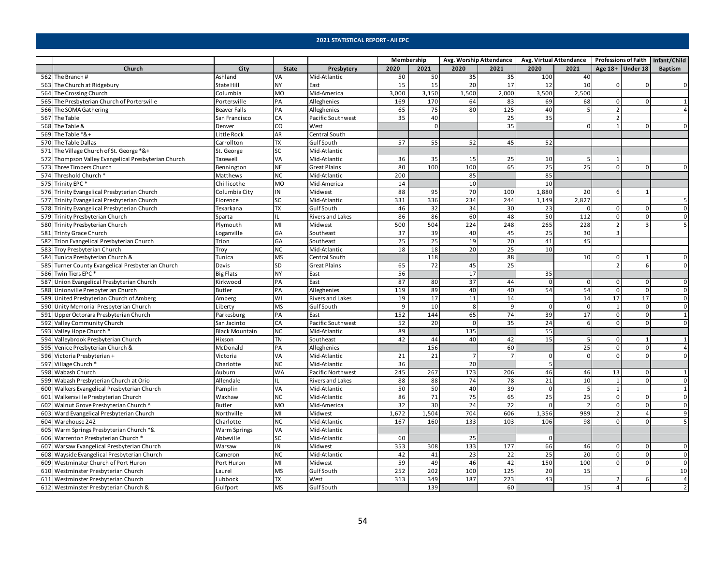|                                                     |                       |              |                         | Membership |             |          | Avg. Worship Attendance |              | Avg. Virtual Attendance   Professions of Faith   Infant/Child |                    |              |                |
|-----------------------------------------------------|-----------------------|--------------|-------------------------|------------|-------------|----------|-------------------------|--------------|---------------------------------------------------------------|--------------------|--------------|----------------|
| Church                                              | City                  | <b>State</b> | Presbytery              | 2020       | 2021        | 2020     | 2021                    | 2020         | 2021                                                          | Age $18+$ Under 18 |              | Baptism        |
| 562 The Branch #                                    | Ashland               | VA           | Mid-Atlantic            | 50         | 50          | 35       | 35                      | 100          | 40                                                            |                    |              |                |
| 563 The Church at Ridgebury                         | State Hill            | <b>NY</b>    | East                    | 15         | 15          | 20       | 17                      | 12           | 10                                                            | $\Omega$           |              | $\mathbf 0$    |
| 564 The Crossing Church                             | Columbia              | <b>MO</b>    | Mid-America             | 3,000      | 3,150       | 1,500    | 2,000                   | 3,500        | 2,500                                                         |                    |              |                |
| 565 The Presbyterian Church of Portersville         | Portersville          | PA           | Alleghenies             | 169        | 170         | 64       | 83                      | 69           | 68                                                            | $\Omega$           |              |                |
| 566 The SOMA Gathering                              | <b>Beaver Falls</b>   | PA           | Alleghenies             | 65         | 75          | 80       | 125                     | 40           | 5                                                             | $\overline{2}$     |              |                |
| 567 The Table                                       | San Francisco         | CA           | Pacific Southwest       | 35         | 40          |          | 25                      | 35           |                                                               | $\overline{2}$     |              |                |
| 568 The Table &                                     | Denver                | CO           | West                    |            | $\mathbf 0$ |          | 35                      |              | 0                                                             | 1                  | $\mathbf{0}$ | $\mathbf{0}$   |
| 569 The Table *&+                                   | Little Rock           | AR           | Central South           |            |             |          |                         |              |                                                               |                    |              |                |
| 570 The Table Dallas                                | Carrollton            | <b>TX</b>    | <b>Gulf South</b>       | 57         | 55          | 52       | 45                      | 52           |                                                               |                    |              |                |
| 571 The Village Church of St. George *&+            | St. George            | <b>SC</b>    | Mid-Atlantic            |            |             |          |                         |              |                                                               |                    |              |                |
| 572 Thompson Valley Evangelical Presbyterian Church | Tazewell              | VA           | Mid-Atlantic            | 36         | 35          | 15       | 25                      | 10           | 5                                                             | 1                  |              |                |
| 573 Three Timbers Church                            | Bennington            | <b>NE</b>    | <b>Great Plains</b>     | 80         | 100         | 100      | 65                      | 25           | $\overline{25}$                                               | $\Omega$           | $\Omega$     | $\Omega$       |
| 574 Threshold Church *                              | Matthews              | <b>NC</b>    | Mid-Atlantic            | 200        |             | 85       |                         | 85           |                                                               |                    |              |                |
| 575 Trinity EPC*                                    | Chillicothe           | <b>MO</b>    | Mid-America             | 14         |             | 10       |                         | 10           |                                                               |                    |              |                |
| 576 Trinity Evangelical Presbyterian Church         | Columbia City         | IN           | Midwest                 | 88         | 95          | 70       | 100                     | 1,880        | 20                                                            | 6                  |              |                |
| 577 Trinity Evangelical Presbyterian Church         | Florence              | SC           | Mid-Atlantic            | 331        | 336         | 234      | 244                     | 1,149        | 2,827                                                         |                    |              | 5              |
| 578 Trinity Evangelical Presbyterian Church         | Texarkana             | <b>TX</b>    | Gulf South              | 46         | 32          | 34       | 30                      | 23           | $\mathbf 0$                                                   | $\mathbf 0$        | $\Omega$     | $\mathbf 0$    |
| 579 Trinity Presbyterian Church                     | Sparta                | π            | Rivers and Lakes        | 86         | 86          | 60       | 48                      | 50           | 112                                                           | $\mathbf 0$        | $\Omega$     | $\mathbf 0$    |
| 580 Trinity Presbyterian Church                     | Plymouth              | MI           | Midwest                 | 500        | 504         | 224      | 248                     | 265          | 228                                                           | $\overline{2}$     |              | 5              |
| 581 Trinty Grace Church                             | Loganville            | GA           | Southeast               | 37         | 39          | 40       | 45                      | 25           | 30                                                            | 3                  |              |                |
| 582 Trion Evangelical Presbyterian Church           | Trion                 | GA           | Southeast               | 25         | 25          | 19       | 20                      | 41           | 45                                                            |                    |              |                |
| 583 Troy Presbyterian Church                        | Troy                  | <b>NC</b>    | Mid-Atlantic            | 18         | 18          | 20       | 25                      | 10           |                                                               |                    |              |                |
| 584 Tunica Presbyterian Church &                    | Tunica                | <b>MS</b>    | Central South           |            | 118         |          | 88                      |              | 10                                                            | $\mathbf 0$        |              | $\mathbf{0}$   |
| 585 Turner County Evangelical Presbyterian Church   | Davis                 | SD           | <b>Great Plains</b>     | 65         | 72          | 45       | 25                      |              |                                                               | $\mathfrak{p}$     | 6            | $\Omega$       |
| 586 Twin Tiers EPC*                                 | <b>Big Flats</b>      | <b>NY</b>    | East                    | 56         |             | 17       |                         | 35           |                                                               |                    |              |                |
| 587 Union Evangelical Presbyterian Church           | Kirkwood              | PA           | East                    | 87         | 80          | 37       | 44                      | $\Omega$     | $\mathbf 0$                                                   | $\mathbf 0$        | $\Omega$     | $\mathbf 0$    |
| 588 Unionville Presbyterian Church                  | <b>Butler</b>         | PA           | Alleghenies             | 119        | 89          | 40       | 40                      | 54           | 54                                                            | $\mathsf 0$        | $\Omega$     | $\mathsf 0$    |
| 589 United Presbyterian Church of Amberg            | Amberg                | WI           | <b>Rivers and Lakes</b> | 19         | 17          | 11       | 14                      |              | 14                                                            | 17                 | 17           | $\mathbf 0$    |
| 590 Unity Memorial Presbyterian Church              | Liberty               | <b>MS</b>    | <b>GulfSouth</b>        | 9          | 10          | 8        | 9                       | 0            | $\mathbf 0$                                                   | $\mathbf{1}$       | $\Omega$     | $\mathsf 0$    |
| 591 Upper Octorara Presbyterian Church              | Parkesburg            | PA           | East                    | 152        | 144         | 65       | 74                      | 39           | 17                                                            | $\mathbf 0$        | $\Omega$     | $\mathbf{1}$   |
| 592 Valley Community Church                         | San Jacinto           | CA           | Pacific Southwest       | 52         | 20          | $\Omega$ | 35                      | 24           | 6                                                             | $\Omega$           | $\Omega$     | $\mathbf{0}$   |
| 593 Valley Hope Church *                            | <b>Black Mountain</b> | <b>NC</b>    | Mid-Atlantic            | 89         |             | 135      |                         | 55           |                                                               |                    |              |                |
| 594 Valleybrook Presbyterian Church                 | Hixson                | <b>TN</b>    | Southeast               | 42         | 44          | 40       | 42                      | 15           | 5                                                             | $\mathbf 0$        |              | 1              |
| 595 Venice Presbyterian Church &                    | McDonald              | PA           | Alleghenies             |            | 156         |          | 60                      |              | 25                                                            | $\mathbf 0$        | $\mathbf{0}$ | $\overline{4}$ |
| 596 Victoria Presbyterian +                         | Victoria              | VA           | Mid-Atlantic            | 21         | 21          |          | $\overline{7}$          | $\Omega$     | $\overline{0}$                                                | $\Omega$           | <sup>n</sup> | $\Omega$       |
| 597 Village Church *                                | Charlotte             | <b>NC</b>    | Mid-Atlantic            | 36         |             | 20       |                         |              |                                                               |                    |              |                |
| 598 Wabash Church                                   | Auburn                | <b>WA</b>    | Pacific Northwest       | 245        | 267         | 173      | 206                     | 46           | 46                                                            | 13                 | $\Omega$     | $\mathbf{1}$   |
| 599 Wabash Presbyterian Church at Orio              | Allendale             | <b>IL</b>    | Rivers and Lakes        | 88         | 88          | 74       | 78                      | 21           | 10                                                            | 1                  | $\Omega$     | $\mathbf 0$    |
| 600 Walkers Evangelical Presbyterian Church         | Pamplin               | VA           | Mid-Atlantic            | 50         | 50          | 40       | 39                      | 0            | 5                                                             | 1                  |              | $\mathbf{1}$   |
| 601 Walkersville Presbyterian Church                | Waxhaw                | <b>NC</b>    | Mid-Atlantic            | 86         | 71          | 75       | 65                      | 25           | 25                                                            | $\mathbf 0$        | $\Omega$     | $\mathbf{0}$   |
| 602 Walnut Grove Presbyterian Church ^              | Butler                | <b>MO</b>    | Mid-America             | 32         | 30          | 24       | 22                      | $\Omega$     |                                                               | $\Omega$           | $\Omega$     | $\Omega$       |
| 603 Ward Evangelical Presbyterian Church            | Northville            | MI           | Midwest                 | 1,672      | 1,504       | 704      | 606                     | 1,356        | 989                                                           | $\overline{2}$     |              | $\overline{9}$ |
| 604 Warehouse 242                                   | Charlotte             | <b>NC</b>    | Mid-Atlantic            | 167        | 160         | 133      | 103                     | 106          | 98                                                            | $\Omega$           |              | 5              |
| 605 Warm Springs Presbyterian Church *&             | Warm Springs          | VA           | Mid-Atlantic            |            |             |          |                         |              |                                                               |                    |              |                |
| 606 Warrenton Presbyterian Church *                 | Abbeville             | SC           | Mid-Atlantic            | 60         |             | 25       |                         | $\mathbf{0}$ |                                                               |                    |              |                |
| 607 Warsaw Evangelical Presbyterian Church          | Warsaw                | IN           | Midwest                 | 353        | 308         | 133      | 177                     | 66           | 46                                                            | 0                  | $\Omega$     | 0              |
| 608 Wayside Evangelical Presbyterian Church         | Cameron               | <b>NC</b>    | Mid-Atlantic            | 42         | 41          | 23       | 22                      | 25           | 20                                                            | 0                  | 0            | $\mathbf 0$    |
| 609 Westminster Church of Port Huron                | Port Huron            | MI           | Midwest                 | 59         | 49          | 46       | 42                      | 150          | 100                                                           | $\mathbf 0$        | $\Omega$     | $\mathsf 0$    |
| 610 Westminster Presbyterian Church                 | Laurel                | <b>MS</b>    | Gulf South              | 252        | 202         | 100      | 125                     | 20           | 15                                                            |                    |              | 10             |
| 611 Westminster Presbyterian Church                 | Lubbock               | <b>TX</b>    | West                    | 313        | 349         | 187      | 223                     | 43           |                                                               | $\overline{2}$     | 6            | $\overline{4}$ |
| 612 Westminster Presbyterian Church &               | Gulfport              | <b>MS</b>    | Gulf South              |            | 139         |          | 60                      |              | 15                                                            | $\overline{4}$     |              | $\overline{2}$ |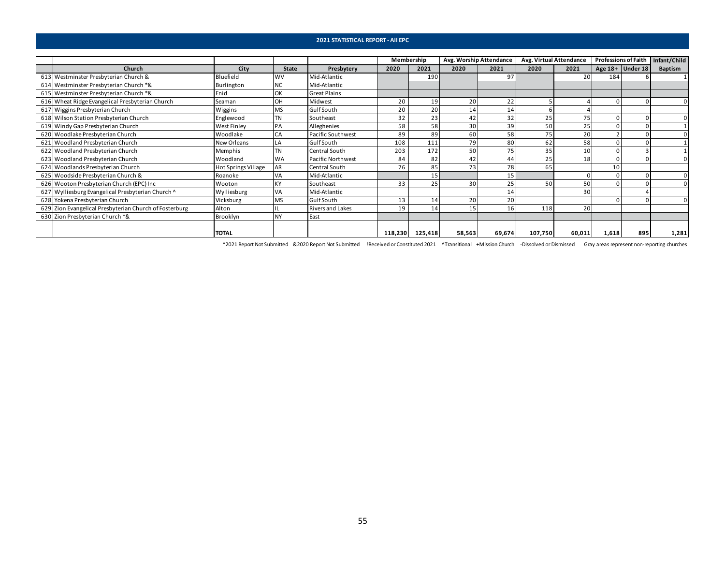|                                                        |                            |           |                     | Membership |                 | Avg. Worship Attendance |        | Avg. Virtual Attendance |        | <b>Professions of Faith</b> |                    | Infant/Child |
|--------------------------------------------------------|----------------------------|-----------|---------------------|------------|-----------------|-------------------------|--------|-------------------------|--------|-----------------------------|--------------------|--------------|
| Church                                                 | City                       | State     | Presbytery          | 2020       | 2021            | 2020                    | 2021   | 2020                    | 2021   |                             | Age $18+$ Under 18 | Baptism      |
| 613 Westminster Presbyterian Church &                  | Bluefield                  | <b>WV</b> | Mid-Atlantic        |            | 190             |                         | 97     |                         | 20     | 184                         |                    |              |
| 614 Westminster Presbyterian Church *&                 | Burlington                 | <b>NC</b> | Mid-Atlantic        |            |                 |                         |        |                         |        |                             |                    |              |
| 615 Westminster Presbyterian Church *&                 | Enid                       | OK        | <b>Great Plains</b> |            |                 |                         |        |                         |        |                             |                    |              |
| 616 Wheat Ridge Evangelical Presbyterian Church        | Seaman                     | OH        | Midwest             | 20         | 19              | 20                      | 22     |                         |        |                             |                    |              |
| 617 Wiggins Presbyterian Church                        | Wiggins                    | <b>MS</b> | Gulf South          | 20         | 20 <sub>1</sub> | 14 <sub>1</sub>         | 14     |                         |        |                             |                    |              |
| 618 Wilson Station Presbyterian Church                 | Englewood                  | ΤN        | Southeast           | 32         | 23              | 42                      | 32     | 25                      | 75     |                             |                    |              |
| 619 Windy Gap Presbyterian Church                      | West Finley                | PA        | Alleghenies         | 58         | 58              | 30                      | 39     | 50                      | 25     |                             |                    |              |
| 620 Woodlake Presbyterian Church                       | Woodlake                   | CA        | Pacific Southwest   | 89         | 89              | 60                      | 58     | 75                      | 20     |                             |                    |              |
| 621 Woodland Presbyterian Church                       | New Orleans                | LA        | <b>GulfSouth</b>    | 108        | 111             | 79                      | 80     | 62                      | 58     |                             |                    |              |
| 622 Woodland Presbyterian Church                       | Memphis                    | <b>TN</b> | Central South       | 203        | 172             | 50                      | 75     | 35                      | 10     |                             |                    |              |
| 623 Woodland Presbyterian Church                       | Woodland                   | <b>WA</b> | Pacific Northwest   | 84         | 82              | 42                      | 44     | 25                      | 18     |                             |                    |              |
| 624 Woodlands Presbyterian Church                      | <b>Hot Springs Village</b> | AR        | Central South       | 76         | 85              | 73                      | 78     | 65                      |        | 10                          |                    |              |
| 625 Woodside Presbyterian Church &                     | Roanoke                    | VA        | Mid-Atlantic        |            | 15              |                         | 15     |                         |        |                             |                    | $\Omega$     |
| 626 Wooton Presbyterian Church (EPC) Inc               | Wooton                     |           | Southeast           | 33         | 25              | 30 <sup>1</sup>         | 25     | 50                      | 50     |                             |                    | $\Omega$     |
| 627 Wylliesburg Evangelical Presbyterian Church ^      | Wylliesburg                | VA        | Mid-Atlantic        |            |                 |                         | 14     |                         | 30     |                             |                    |              |
| 628 Yokena Presbyterian Church                         | Vicksburg                  | <b>MS</b> | GulfSouth           | 13         | 14              | 20                      | 20     |                         |        |                             |                    |              |
| 629 Zion Evangelical Presbyterian Church of Fosterburg | Alton                      |           | Rivers and Lakes    | 19         | 14              | 15 <sub>1</sub>         | 16     | 118                     | 20     |                             |                    |              |
| 630 Zion Presbyterian Church *&                        | Brooklyn                   | <b>NY</b> | East                |            |                 |                         |        |                         |        |                             |                    |              |
|                                                        |                            |           |                     |            |                 |                         |        |                         |        |                             |                    |              |
|                                                        | <b>TOTAL</b>               |           |                     | 118,230    | 125,418         | 58,563                  | 69,674 | 107,750                 | 60,011 | 1,618                       | 895                | 1,281        |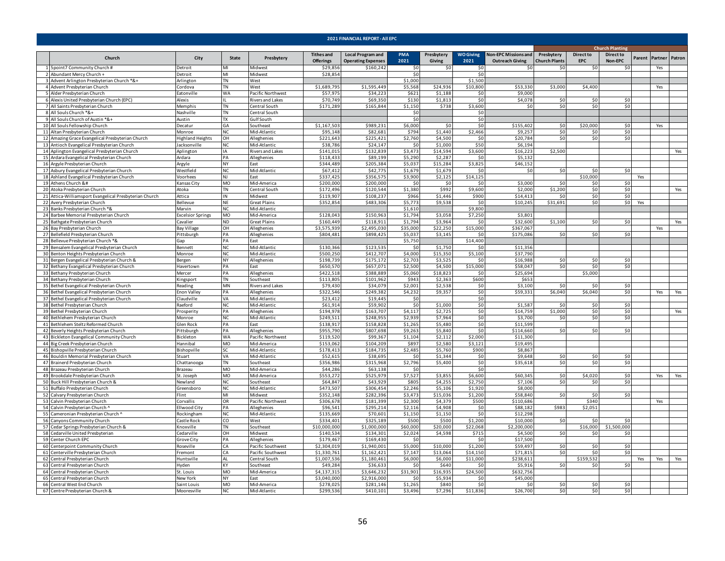<span id="page-55-0"></span>

|                                                                                                                                                                                                                                                                                                                                                                                                                                                                                                                                                                                                                                                                                                                                                                                                                                                                                                                                                                                                                                                                                                                                                                                                                                                                                                                                                                                                                                                                                                                                                                                                                                                                                                                                                                                                                                                                                                                                                                                                                                                                                                                                                                                                                                                                                                                                                                                                                                                                                                                                                                                                                                                                                                                                                                                                                                                                                                                                                                                                                                                                                                                                                                                                                                                                                                                                                                                                                                                                                                                                                                                                                                                                                                                                                                                                                                                                                                                                                                                                                                                                                                                                                                                                                                                                                                                                                                                                                                                                                                                                                                                                                                                                                                                                                                                                                                                                                                                                                                                                                                                                                                                                                                                                                                                                                                                                                                                                                                                                                                                                                                                                                                                                                                                                                                                                                                                                                                                                                                                                                                                                                                                                                                                                                                                                                                                                                                                                                                                                                                                                                                                                                                                                                                                                                                                                                                                                                                                                                                                                                                                                                                                                                                                                                                                                                                                                                                                                                                                                                                                                                                                                                                                                                                                                                                                                                                                                                                                                                                                                                                                                                                                                                                                                                                                                                                                                                                                                                                                                                                                                                                                                                                                                                                                                                                                                                                                                                                                                                                                                                                                                                                                                                                                                                                                                                                                                                                                                                                                                                                                                                                                                                                                                                                                                                                                                                                                                                                                                                                                                                                                                                                                                                                                                                                                                                                                                                                                                                                                                                                                                                                                                                                                                                                                                                                                                                                                                                                                                                                                                                                                                                                                                                                                                                                                                                                                                                                                                                                                                                                                                                                                                                                                                                                                                                                                                                                                                                                                                                                                                                                                                                                                                                                                                                                                                                                                                                                                                                                                                                                                                                                                                                                                                                                                                                                                                                                                                                                                                                                                                                                                                                                       |                         |                        |                           | <b>2021 FINANCIAL REPORT - AII EPC</b> |                                                       |                    |                      |                          |                                                       |                                    |                                |                             |     |                       |     |
|-------------------------------------------------------------------------------------------------------------------------------------------------------------------------------------------------------------------------------------------------------------------------------------------------------------------------------------------------------------------------------------------------------------------------------------------------------------------------------------------------------------------------------------------------------------------------------------------------------------------------------------------------------------------------------------------------------------------------------------------------------------------------------------------------------------------------------------------------------------------------------------------------------------------------------------------------------------------------------------------------------------------------------------------------------------------------------------------------------------------------------------------------------------------------------------------------------------------------------------------------------------------------------------------------------------------------------------------------------------------------------------------------------------------------------------------------------------------------------------------------------------------------------------------------------------------------------------------------------------------------------------------------------------------------------------------------------------------------------------------------------------------------------------------------------------------------------------------------------------------------------------------------------------------------------------------------------------------------------------------------------------------------------------------------------------------------------------------------------------------------------------------------------------------------------------------------------------------------------------------------------------------------------------------------------------------------------------------------------------------------------------------------------------------------------------------------------------------------------------------------------------------------------------------------------------------------------------------------------------------------------------------------------------------------------------------------------------------------------------------------------------------------------------------------------------------------------------------------------------------------------------------------------------------------------------------------------------------------------------------------------------------------------------------------------------------------------------------------------------------------------------------------------------------------------------------------------------------------------------------------------------------------------------------------------------------------------------------------------------------------------------------------------------------------------------------------------------------------------------------------------------------------------------------------------------------------------------------------------------------------------------------------------------------------------------------------------------------------------------------------------------------------------------------------------------------------------------------------------------------------------------------------------------------------------------------------------------------------------------------------------------------------------------------------------------------------------------------------------------------------------------------------------------------------------------------------------------------------------------------------------------------------------------------------------------------------------------------------------------------------------------------------------------------------------------------------------------------------------------------------------------------------------------------------------------------------------------------------------------------------------------------------------------------------------------------------------------------------------------------------------------------------------------------------------------------------------------------------------------------------------------------------------------------------------------------------------------------------------------------------------------------------------------------------------------------------------------------------------------------------------------------------------------------------------------------------------------------------------------------------------------------------------------------------------------------------------------------------------------------------------------------------------------------------------------------------------------------------------------------------------------------------------------------------------------------------------------------------------------------------------------------------------------------------------------------------------------------------------------------------------------------------------------------------------------------------------------------------------------------------------------------------------------------------------------------------------------------------------------------------------------------------------------------------------------------------------------------------------------------------------------------------------------------------------------------------------------------------------------------------------------------------------------------------------------------------------------------------------------------------------------------------------------------------------------------------------------------------------------------------------------------------------------------------------------------------------------------------------------------------------------------------------------------------------------------------------------------------------------------------------------------------------------------------------------------------------------------------------------------------------------------------------------------------------------------------------------------------------------------------------------------------------------------------------------------------------------------------------------------------------------------------------------------------------------------------------------------------------------------------------------------------------------------------------------------------------------------------------------------------------------------------------------------------------------------------------------------------------------------------------------------------------------------------------------------------------------------------------------------------------------------------------------------------------------------------------------------------------------------------------------------------------------------------------------------------------------------------------------------------------------------------------------------------------------------------------------------------------------------------------------------------------------------------------------------------------------------------------------------------------------------------------------------------------------------------------------------------------------------------------------------------------------------------------------------------------------------------------------------------------------------------------------------------------------------------------------------------------------------------------------------------------------------------------------------------------------------------------------------------------------------------------------------------------------------------------------------------------------------------------------------------------------------------------------------------------------------------------------------------------------------------------------------------------------------------------------------------------------------------------------------------------------------------------------------------------------------------------------------------------------------------------------------------------------------------------------------------------------------------------------------------------------------------------------------------------------------------------------------------------------------------------------------------------------------------------------------------------------------------------------------------------------------------------------------------------------------------------------------------------------------------------------------------------------------------------------------------------------------------------------------------------------------------------------------------------------------------------------------------------------------------------------------------------------------------------------------------------------------------------------------------------------------------------------------------------------------------------------------------------------------------------------------------------------------------------------------------------------------------------------------------------------------------------------------------------------------------------------------------------------------------------------------------------------------------------------------------------------------------------------------------------------------------------------------------------------------------------------------------------------------------------------------------------------------------------------------------------------------------------------------------------------------------------------------------------------------------------------------------------------------------------------------------------------------------------------------------------------------------------------------------------------------------------------------------------------------------------------------------------------------------------------------------------------------------------------------------------------------------------------------------------------------------------------------------------------------------------------------------------------------------------------------------------------------------------------------------------------------------------------------------------------------------------------------------------------------------------------------------------------------------------------------------------------------------------------------------------------------------------------------------------------------------------------------------------------------------------------------------------------------------------------------------------------------------------------------------------------------------------------------------------------------------------------------------------------------------------------------------------------------------------------------------------------------------------------------------------------------------------------------------------------------------------------------------------------------------------------------------------------------------------------------------------------------------------------------------------------------------------------------------------------------------------------------------------------------------------------------------------------------------------------------------------------------------------------------------------------------------------------------------------------------------------------------------------------------------------------------------------------------------------------------------------------------------------------------------------------------------------------------------------------------------------------------------------------------------------|-------------------------|------------------------|---------------------------|----------------------------------------|-------------------------------------------------------|--------------------|----------------------|--------------------------|-------------------------------------------------------|------------------------------------|--------------------------------|-----------------------------|-----|-----------------------|-----|
|                                                                                                                                                                                                                                                                                                                                                                                                                                                                                                                                                                                                                                                                                                                                                                                                                                                                                                                                                                                                                                                                                                                                                                                                                                                                                                                                                                                                                                                                                                                                                                                                                                                                                                                                                                                                                                                                                                                                                                                                                                                                                                                                                                                                                                                                                                                                                                                                                                                                                                                                                                                                                                                                                                                                                                                                                                                                                                                                                                                                                                                                                                                                                                                                                                                                                                                                                                                                                                                                                                                                                                                                                                                                                                                                                                                                                                                                                                                                                                                                                                                                                                                                                                                                                                                                                                                                                                                                                                                                                                                                                                                                                                                                                                                                                                                                                                                                                                                                                                                                                                                                                                                                                                                                                                                                                                                                                                                                                                                                                                                                                                                                                                                                                                                                                                                                                                                                                                                                                                                                                                                                                                                                                                                                                                                                                                                                                                                                                                                                                                                                                                                                                                                                                                                                                                                                                                                                                                                                                                                                                                                                                                                                                                                                                                                                                                                                                                                                                                                                                                                                                                                                                                                                                                                                                                                                                                                                                                                                                                                                                                                                                                                                                                                                                                                                                                                                                                                                                                                                                                                                                                                                                                                                                                                                                                                                                                                                                                                                                                                                                                                                                                                                                                                                                                                                                                                                                                                                                                                                                                                                                                                                                                                                                                                                                                                                                                                                                                                                                                                                                                                                                                                                                                                                                                                                                                                                                                                                                                                                                                                                                                                                                                                                                                                                                                                                                                                                                                                                                                                                                                                                                                                                                                                                                                                                                                                                                                                                                                                                                                                                                                                                                                                                                                                                                                                                                                                                                                                                                                                                                                                                                                                                                                                                                                                                                                                                                                                                                                                                                                                                                                                                                                                                                                                                                                                                                                                                                                                                                                                                                                                                                                       |                         |                        |                           |                                        |                                                       |                    |                      |                          |                                                       |                                    |                                | <b>Church Planting</b>      |     |                       |     |
| Church                                                                                                                                                                                                                                                                                                                                                                                                                                                                                                                                                                                                                                                                                                                                                                                                                                                                                                                                                                                                                                                                                                                                                                                                                                                                                                                                                                                                                                                                                                                                                                                                                                                                                                                                                                                                                                                                                                                                                                                                                                                                                                                                                                                                                                                                                                                                                                                                                                                                                                                                                                                                                                                                                                                                                                                                                                                                                                                                                                                                                                                                                                                                                                                                                                                                                                                                                                                                                                                                                                                                                                                                                                                                                                                                                                                                                                                                                                                                                                                                                                                                                                                                                                                                                                                                                                                                                                                                                                                                                                                                                                                                                                                                                                                                                                                                                                                                                                                                                                                                                                                                                                                                                                                                                                                                                                                                                                                                                                                                                                                                                                                                                                                                                                                                                                                                                                                                                                                                                                                                                                                                                                                                                                                                                                                                                                                                                                                                                                                                                                                                                                                                                                                                                                                                                                                                                                                                                                                                                                                                                                                                                                                                                                                                                                                                                                                                                                                                                                                                                                                                                                                                                                                                                                                                                                                                                                                                                                                                                                                                                                                                                                                                                                                                                                                                                                                                                                                                                                                                                                                                                                                                                                                                                                                                                                                                                                                                                                                                                                                                                                                                                                                                                                                                                                                                                                                                                                                                                                                                                                                                                                                                                                                                                                                                                                                                                                                                                                                                                                                                                                                                                                                                                                                                                                                                                                                                                                                                                                                                                                                                                                                                                                                                                                                                                                                                                                                                                                                                                                                                                                                                                                                                                                                                                                                                                                                                                                                                                                                                                                                                                                                                                                                                                                                                                                                                                                                                                                                                                                                                                                                                                                                                                                                                                                                                                                                                                                                                                                                                                                                                                                                                                                                                                                                                                                                                                                                                                                                                                                                                                                                                                                | City                    | State                  | Presbytery                | <b>Tithes and</b><br>Offerings         | <b>Local Program and</b><br><b>Operating Expenses</b> | <b>PMA</b><br>2021 | Presbytery<br>Giving | <b>WO Giving</b><br>2021 | <b>Non-EPC Missions and</b><br><b>Outreach Giving</b> | Presbytery<br><b>Church Plants</b> | <b>Direct to</b><br><b>EPC</b> | <b>Direct to</b><br>Non-EPC |     | Parent Partner Patron |     |
| 1 5point7 Community Church #                                                                                                                                                                                                                                                                                                                                                                                                                                                                                                                                                                                                                                                                                                                                                                                                                                                                                                                                                                                                                                                                                                                                                                                                                                                                                                                                                                                                                                                                                                                                                                                                                                                                                                                                                                                                                                                                                                                                                                                                                                                                                                                                                                                                                                                                                                                                                                                                                                                                                                                                                                                                                                                                                                                                                                                                                                                                                                                                                                                                                                                                                                                                                                                                                                                                                                                                                                                                                                                                                                                                                                                                                                                                                                                                                                                                                                                                                                                                                                                                                                                                                                                                                                                                                                                                                                                                                                                                                                                                                                                                                                                                                                                                                                                                                                                                                                                                                                                                                                                                                                                                                                                                                                                                                                                                                                                                                                                                                                                                                                                                                                                                                                                                                                                                                                                                                                                                                                                                                                                                                                                                                                                                                                                                                                                                                                                                                                                                                                                                                                                                                                                                                                                                                                                                                                                                                                                                                                                                                                                                                                                                                                                                                                                                                                                                                                                                                                                                                                                                                                                                                                                                                                                                                                                                                                                                                                                                                                                                                                                                                                                                                                                                                                                                                                                                                                                                                                                                                                                                                                                                                                                                                                                                                                                                                                                                                                                                                                                                                                                                                                                                                                                                                                                                                                                                                                                                                                                                                                                                                                                                                                                                                                                                                                                                                                                                                                                                                                                                                                                                                                                                                                                                                                                                                                                                                                                                                                                                                                                                                                                                                                                                                                                                                                                                                                                                                                                                                                                                                                                                                                                                                                                                                                                                                                                                                                                                                                                                                                                                                                                                                                                                                                                                                                                                                                                                                                                                                                                                                                                                                                                                                                                                                                                                                                                                                                                                                                                                                                                                                                                                                                                                                                                                                                                                                                                                                                                                                                                                                                                                                                                                          | Detroit                 | MI                     | Midwest                   | \$29,856                               | \$160,242                                             | -SO                | 50                   | -SO                      | ۹r                                                    | \$0                                | -SO                            | S0                          |     | Yes                   |     |
| 2 Abundant Mercy Church +                                                                                                                                                                                                                                                                                                                                                                                                                                                                                                                                                                                                                                                                                                                                                                                                                                                                                                                                                                                                                                                                                                                                                                                                                                                                                                                                                                                                                                                                                                                                                                                                                                                                                                                                                                                                                                                                                                                                                                                                                                                                                                                                                                                                                                                                                                                                                                                                                                                                                                                                                                                                                                                                                                                                                                                                                                                                                                                                                                                                                                                                                                                                                                                                                                                                                                                                                                                                                                                                                                                                                                                                                                                                                                                                                                                                                                                                                                                                                                                                                                                                                                                                                                                                                                                                                                                                                                                                                                                                                                                                                                                                                                                                                                                                                                                                                                                                                                                                                                                                                                                                                                                                                                                                                                                                                                                                                                                                                                                                                                                                                                                                                                                                                                                                                                                                                                                                                                                                                                                                                                                                                                                                                                                                                                                                                                                                                                                                                                                                                                                                                                                                                                                                                                                                                                                                                                                                                                                                                                                                                                                                                                                                                                                                                                                                                                                                                                                                                                                                                                                                                                                                                                                                                                                                                                                                                                                                                                                                                                                                                                                                                                                                                                                                                                                                                                                                                                                                                                                                                                                                                                                                                                                                                                                                                                                                                                                                                                                                                                                                                                                                                                                                                                                                                                                                                                                                                                                                                                                                                                                                                                                                                                                                                                                                                                                                                                                                                                                                                                                                                                                                                                                                                                                                                                                                                                                                                                                                                                                                                                                                                                                                                                                                                                                                                                                                                                                                                                                                                                                                                                                                                                                                                                                                                                                                                                                                                                                                                                                                                                                                                                                                                                                                                                                                                                                                                                                                                                                                                                                                                                                                                                                                                                                                                                                                                                                                                                                                                                                                                                                                                                                                                                                                                                                                                                                                                                                                                                                                                                                                                                                                             | Detroit                 | MI                     | Midwest                   | \$28,854                               |                                                       | \$0                |                      | \$0                      |                                                       |                                    |                                |                             |     |                       |     |
| Advent Arlington Presbyterian Church *&+                                                                                                                                                                                                                                                                                                                                                                                                                                                                                                                                                                                                                                                                                                                                                                                                                                                                                                                                                                                                                                                                                                                                                                                                                                                                                                                                                                                                                                                                                                                                                                                                                                                                                                                                                                                                                                                                                                                                                                                                                                                                                                                                                                                                                                                                                                                                                                                                                                                                                                                                                                                                                                                                                                                                                                                                                                                                                                                                                                                                                                                                                                                                                                                                                                                                                                                                                                                                                                                                                                                                                                                                                                                                                                                                                                                                                                                                                                                                                                                                                                                                                                                                                                                                                                                                                                                                                                                                                                                                                                                                                                                                                                                                                                                                                                                                                                                                                                                                                                                                                                                                                                                                                                                                                                                                                                                                                                                                                                                                                                                                                                                                                                                                                                                                                                                                                                                                                                                                                                                                                                                                                                                                                                                                                                                                                                                                                                                                                                                                                                                                                                                                                                                                                                                                                                                                                                                                                                                                                                                                                                                                                                                                                                                                                                                                                                                                                                                                                                                                                                                                                                                                                                                                                                                                                                                                                                                                                                                                                                                                                                                                                                                                                                                                                                                                                                                                                                                                                                                                                                                                                                                                                                                                                                                                                                                                                                                                                                                                                                                                                                                                                                                                                                                                                                                                                                                                                                                                                                                                                                                                                                                                                                                                                                                                                                                                                                                                                                                                                                                                                                                                                                                                                                                                                                                                                                                                                                                                                                                                                                                                                                                                                                                                                                                                                                                                                                                                                                                                                                                                                                                                                                                                                                                                                                                                                                                                                                                                                                                                                                                                                                                                                                                                                                                                                                                                                                                                                                                                                                                                                                                                                                                                                                                                                                                                                                                                                                                                                                                                                                                                                                                                                                                                                                                                                                                                                                                                                                                                                                                                                                                              | Arlington               | <b>TN</b><br><b>TN</b> | West                      |                                        | \$1.595.449                                           | \$1,000            | \$24.936             | \$1,500<br>\$10.800      |                                                       |                                    |                                |                             |     |                       |     |
| 4 Advent Presbyterian Church<br>Alder Presbyterian Church                                                                                                                                                                                                                                                                                                                                                                                                                                                                                                                                                                                                                                                                                                                                                                                                                                                                                                                                                                                                                                                                                                                                                                                                                                                                                                                                                                                                                                                                                                                                                                                                                                                                                                                                                                                                                                                                                                                                                                                                                                                                                                                                                                                                                                                                                                                                                                                                                                                                                                                                                                                                                                                                                                                                                                                                                                                                                                                                                                                                                                                                                                                                                                                                                                                                                                                                                                                                                                                                                                                                                                                                                                                                                                                                                                                                                                                                                                                                                                                                                                                                                                                                                                                                                                                                                                                                                                                                                                                                                                                                                                                                                                                                                                                                                                                                                                                                                                                                                                                                                                                                                                                                                                                                                                                                                                                                                                                                                                                                                                                                                                                                                                                                                                                                                                                                                                                                                                                                                                                                                                                                                                                                                                                                                                                                                                                                                                                                                                                                                                                                                                                                                                                                                                                                                                                                                                                                                                                                                                                                                                                                                                                                                                                                                                                                                                                                                                                                                                                                                                                                                                                                                                                                                                                                                                                                                                                                                                                                                                                                                                                                                                                                                                                                                                                                                                                                                                                                                                                                                                                                                                                                                                                                                                                                                                                                                                                                                                                                                                                                                                                                                                                                                                                                                                                                                                                                                                                                                                                                                                                                                                                                                                                                                                                                                                                                                                                                                                                                                                                                                                                                                                                                                                                                                                                                                                                                                                                                                                                                                                                                                                                                                                                                                                                                                                                                                                                                                                                                                                                                                                                                                                                                                                                                                                                                                                                                                                                                                                                                                                                                                                                                                                                                                                                                                                                                                                                                                                                                                                                                                                                                                                                                                                                                                                                                                                                                                                                                                                                                                                                                                                                                                                                                                                                                                                                                                                                                                                                                                                                                                                             | Cordova<br>Eatonville   | WA                     | West<br>Pacific Northwest | \$1,689,795<br>\$57,97                 | \$34,223                                              | \$5,568<br>\$621   | \$1.188              | \$0                      | \$53,33<br>\$9,000                                    | \$3,000                            | \$4,400                        |                             |     | Yes                   |     |
| 6 Alexis United Presbyterian Church (EPC)                                                                                                                                                                                                                                                                                                                                                                                                                                                                                                                                                                                                                                                                                                                                                                                                                                                                                                                                                                                                                                                                                                                                                                                                                                                                                                                                                                                                                                                                                                                                                                                                                                                                                                                                                                                                                                                                                                                                                                                                                                                                                                                                                                                                                                                                                                                                                                                                                                                                                                                                                                                                                                                                                                                                                                                                                                                                                                                                                                                                                                                                                                                                                                                                                                                                                                                                                                                                                                                                                                                                                                                                                                                                                                                                                                                                                                                                                                                                                                                                                                                                                                                                                                                                                                                                                                                                                                                                                                                                                                                                                                                                                                                                                                                                                                                                                                                                                                                                                                                                                                                                                                                                                                                                                                                                                                                                                                                                                                                                                                                                                                                                                                                                                                                                                                                                                                                                                                                                                                                                                                                                                                                                                                                                                                                                                                                                                                                                                                                                                                                                                                                                                                                                                                                                                                                                                                                                                                                                                                                                                                                                                                                                                                                                                                                                                                                                                                                                                                                                                                                                                                                                                                                                                                                                                                                                                                                                                                                                                                                                                                                                                                                                                                                                                                                                                                                                                                                                                                                                                                                                                                                                                                                                                                                                                                                                                                                                                                                                                                                                                                                                                                                                                                                                                                                                                                                                                                                                                                                                                                                                                                                                                                                                                                                                                                                                                                                                                                                                                                                                                                                                                                                                                                                                                                                                                                                                                                                                                                                                                                                                                                                                                                                                                                                                                                                                                                                                                                                                                                                                                                                                                                                                                                                                                                                                                                                                                                                                                                                                                                                                                                                                                                                                                                                                                                                                                                                                                                                                                                                                                                                                                                                                                                                                                                                                                                                                                                                                                                                                                                                                                                                                                                                                                                                                                                                                                                                                                                                                                                                                                                                             | Nexis                   |                        | Rivers and Lakes          | \$70.749                               | \$69.350                                              | \$130              | \$1.813              | \$0                      | \$4,078                                               | \$0                                | \$0                            | \$0                         |     |                       |     |
| 7 All Saints Presbyterian Church                                                                                                                                                                                                                                                                                                                                                                                                                                                                                                                                                                                                                                                                                                                                                                                                                                                                                                                                                                                                                                                                                                                                                                                                                                                                                                                                                                                                                                                                                                                                                                                                                                                                                                                                                                                                                                                                                                                                                                                                                                                                                                                                                                                                                                                                                                                                                                                                                                                                                                                                                                                                                                                                                                                                                                                                                                                                                                                                                                                                                                                                                                                                                                                                                                                                                                                                                                                                                                                                                                                                                                                                                                                                                                                                                                                                                                                                                                                                                                                                                                                                                                                                                                                                                                                                                                                                                                                                                                                                                                                                                                                                                                                                                                                                                                                                                                                                                                                                                                                                                                                                                                                                                                                                                                                                                                                                                                                                                                                                                                                                                                                                                                                                                                                                                                                                                                                                                                                                                                                                                                                                                                                                                                                                                                                                                                                                                                                                                                                                                                                                                                                                                                                                                                                                                                                                                                                                                                                                                                                                                                                                                                                                                                                                                                                                                                                                                                                                                                                                                                                                                                                                                                                                                                                                                                                                                                                                                                                                                                                                                                                                                                                                                                                                                                                                                                                                                                                                                                                                                                                                                                                                                                                                                                                                                                                                                                                                                                                                                                                                                                                                                                                                                                                                                                                                                                                                                                                                                                                                                                                                                                                                                                                                                                                                                                                                                                                                                                                                                                                                                                                                                                                                                                                                                                                                                                                                                                                                                                                                                                                                                                                                                                                                                                                                                                                                                                                                                                                                                                                                                                                                                                                                                                                                                                                                                                                                                                                                                                                                                                                                                                                                                                                                                                                                                                                                                                                                                                                                                                                                                                                                                                                                                                                                                                                                                                                                                                                                                                                                                                                                                                                                                                                                                                                                                                                                                                                                                                                                                                                                                                                                      | Memphis                 | <b>TN</b>              | Central South             | \$171,289                              | \$165,844                                             | \$1,150            | \$738                | \$3,600                  | S.                                                    | $\overline{50}$                    | 50                             | \$0                         |     |                       |     |
| 8 All Souls Church *&+                                                                                                                                                                                                                                                                                                                                                                                                                                                                                                                                                                                                                                                                                                                                                                                                                                                                                                                                                                                                                                                                                                                                                                                                                                                                                                                                                                                                                                                                                                                                                                                                                                                                                                                                                                                                                                                                                                                                                                                                                                                                                                                                                                                                                                                                                                                                                                                                                                                                                                                                                                                                                                                                                                                                                                                                                                                                                                                                                                                                                                                                                                                                                                                                                                                                                                                                                                                                                                                                                                                                                                                                                                                                                                                                                                                                                                                                                                                                                                                                                                                                                                                                                                                                                                                                                                                                                                                                                                                                                                                                                                                                                                                                                                                                                                                                                                                                                                                                                                                                                                                                                                                                                                                                                                                                                                                                                                                                                                                                                                                                                                                                                                                                                                                                                                                                                                                                                                                                                                                                                                                                                                                                                                                                                                                                                                                                                                                                                                                                                                                                                                                                                                                                                                                                                                                                                                                                                                                                                                                                                                                                                                                                                                                                                                                                                                                                                                                                                                                                                                                                                                                                                                                                                                                                                                                                                                                                                                                                                                                                                                                                                                                                                                                                                                                                                                                                                                                                                                                                                                                                                                                                                                                                                                                                                                                                                                                                                                                                                                                                                                                                                                                                                                                                                                                                                                                                                                                                                                                                                                                                                                                                                                                                                                                                                                                                                                                                                                                                                                                                                                                                                                                                                                                                                                                                                                                                                                                                                                                                                                                                                                                                                                                                                                                                                                                                                                                                                                                                                                                                                                                                                                                                                                                                                                                                                                                                                                                                                                                                                                                                                                                                                                                                                                                                                                                                                                                                                                                                                                                                                                                                                                                                                                                                                                                                                                                                                                                                                                                                                                                                                                                                                                                                                                                                                                                                                                                                                                                                                                                                                                                                                | Nashville               | <b>TN</b>              | Central South             |                                        |                                                       | - \$0              |                      | \$0                      |                                                       |                                    |                                |                             |     |                       |     |
| 9 All Souls Church of Austin *&+                                                                                                                                                                                                                                                                                                                                                                                                                                                                                                                                                                                                                                                                                                                                                                                                                                                                                                                                                                                                                                                                                                                                                                                                                                                                                                                                                                                                                                                                                                                                                                                                                                                                                                                                                                                                                                                                                                                                                                                                                                                                                                                                                                                                                                                                                                                                                                                                                                                                                                                                                                                                                                                                                                                                                                                                                                                                                                                                                                                                                                                                                                                                                                                                                                                                                                                                                                                                                                                                                                                                                                                                                                                                                                                                                                                                                                                                                                                                                                                                                                                                                                                                                                                                                                                                                                                                                                                                                                                                                                                                                                                                                                                                                                                                                                                                                                                                                                                                                                                                                                                                                                                                                                                                                                                                                                                                                                                                                                                                                                                                                                                                                                                                                                                                                                                                                                                                                                                                                                                                                                                                                                                                                                                                                                                                                                                                                                                                                                                                                                                                                                                                                                                                                                                                                                                                                                                                                                                                                                                                                                                                                                                                                                                                                                                                                                                                                                                                                                                                                                                                                                                                                                                                                                                                                                                                                                                                                                                                                                                                                                                                                                                                                                                                                                                                                                                                                                                                                                                                                                                                                                                                                                                                                                                                                                                                                                                                                                                                                                                                                                                                                                                                                                                                                                                                                                                                                                                                                                                                                                                                                                                                                                                                                                                                                                                                                                                                                                                                                                                                                                                                                                                                                                                                                                                                                                                                                                                                                                                                                                                                                                                                                                                                                                                                                                                                                                                                                                                                                                                                                                                                                                                                                                                                                                                                                                                                                                                                                                                                                                                                                                                                                                                                                                                                                                                                                                                                                                                                                                                                                                                                                                                                                                                                                                                                                                                                                                                                                                                                                                                                                                                                                                                                                                                                                                                                                                                                                                                                                                                                                                                                      | Austin                  | TX                     | Gulf South                |                                        |                                                       | \$0                |                      | \$0                      |                                                       |                                    |                                |                             |     |                       |     |
| 10 All Souls Fellowship Church                                                                                                                                                                                                                                                                                                                                                                                                                                                                                                                                                                                                                                                                                                                                                                                                                                                                                                                                                                                                                                                                                                                                                                                                                                                                                                                                                                                                                                                                                                                                                                                                                                                                                                                                                                                                                                                                                                                                                                                                                                                                                                                                                                                                                                                                                                                                                                                                                                                                                                                                                                                                                                                                                                                                                                                                                                                                                                                                                                                                                                                                                                                                                                                                                                                                                                                                                                                                                                                                                                                                                                                                                                                                                                                                                                                                                                                                                                                                                                                                                                                                                                                                                                                                                                                                                                                                                                                                                                                                                                                                                                                                                                                                                                                                                                                                                                                                                                                                                                                                                                                                                                                                                                                                                                                                                                                                                                                                                                                                                                                                                                                                                                                                                                                                                                                                                                                                                                                                                                                                                                                                                                                                                                                                                                                                                                                                                                                                                                                                                                                                                                                                                                                                                                                                                                                                                                                                                                                                                                                                                                                                                                                                                                                                                                                                                                                                                                                                                                                                                                                                                                                                                                                                                                                                                                                                                                                                                                                                                                                                                                                                                                                                                                                                                                                                                                                                                                                                                                                                                                                                                                                                                                                                                                                                                                                                                                                                                                                                                                                                                                                                                                                                                                                                                                                                                                                                                                                                                                                                                                                                                                                                                                                                                                                                                                                                                                                                                                                                                                                                                                                                                                                                                                                                                                                                                                                                                                                                                                                                                                                                                                                                                                                                                                                                                                                                                                                                                                                                                                                                                                                                                                                                                                                                                                                                                                                                                                                                                                                                                                                                                                                                                                                                                                                                                                                                                                                                                                                                                                                                                                                                                                                                                                                                                                                                                                                                                                                                                                                                                                                                                                                                                                                                                                                                                                                                                                                                                                                                                                                                                                                                        | Decatur                 | GA                     | Southeast                 | \$1,167,503                            | \$989,23                                              | \$6,000            | \$0                  | \$0                      | \$155,402                                             | \$0                                | \$20,000                       | \$0                         |     | Yes                   |     |
| 11 Altan Presbyterian Church                                                                                                                                                                                                                                                                                                                                                                                                                                                                                                                                                                                                                                                                                                                                                                                                                                                                                                                                                                                                                                                                                                                                                                                                                                                                                                                                                                                                                                                                                                                                                                                                                                                                                                                                                                                                                                                                                                                                                                                                                                                                                                                                                                                                                                                                                                                                                                                                                                                                                                                                                                                                                                                                                                                                                                                                                                                                                                                                                                                                                                                                                                                                                                                                                                                                                                                                                                                                                                                                                                                                                                                                                                                                                                                                                                                                                                                                                                                                                                                                                                                                                                                                                                                                                                                                                                                                                                                                                                                                                                                                                                                                                                                                                                                                                                                                                                                                                                                                                                                                                                                                                                                                                                                                                                                                                                                                                                                                                                                                                                                                                                                                                                                                                                                                                                                                                                                                                                                                                                                                                                                                                                                                                                                                                                                                                                                                                                                                                                                                                                                                                                                                                                                                                                                                                                                                                                                                                                                                                                                                                                                                                                                                                                                                                                                                                                                                                                                                                                                                                                                                                                                                                                                                                                                                                                                                                                                                                                                                                                                                                                                                                                                                                                                                                                                                                                                                                                                                                                                                                                                                                                                                                                                                                                                                                                                                                                                                                                                                                                                                                                                                                                                                                                                                                                                                                                                                                                                                                                                                                                                                                                                                                                                                                                                                                                                                                                                                                                                                                                                                                                                                                                                                                                                                                                                                                                                                                                                                                                                                                                                                                                                                                                                                                                                                                                                                                                                                                                                                                                                                                                                                                                                                                                                                                                                                                                                                                                                                                                                                                                                                                                                                                                                                                                                                                                                                                                                                                                                                                                                                                                                                                                                                                                                                                                                                                                                                                                                                                                                                                                                                                                                                                                                                                                                                                                                                                                                                                                                                                                                                                                                                          | Monroe                  | <b>NC</b>              | Mid-Atlantic              | \$95,148                               | \$82,681                                              | \$794              | \$1,440              | \$2,466                  | \$9,25                                                | \$0                                | \$0                            | \$0                         |     |                       |     |
| 12 Amazing Grace Evangelical Presbyterian Church                                                                                                                                                                                                                                                                                                                                                                                                                                                                                                                                                                                                                                                                                                                                                                                                                                                                                                                                                                                                                                                                                                                                                                                                                                                                                                                                                                                                                                                                                                                                                                                                                                                                                                                                                                                                                                                                                                                                                                                                                                                                                                                                                                                                                                                                                                                                                                                                                                                                                                                                                                                                                                                                                                                                                                                                                                                                                                                                                                                                                                                                                                                                                                                                                                                                                                                                                                                                                                                                                                                                                                                                                                                                                                                                                                                                                                                                                                                                                                                                                                                                                                                                                                                                                                                                                                                                                                                                                                                                                                                                                                                                                                                                                                                                                                                                                                                                                                                                                                                                                                                                                                                                                                                                                                                                                                                                                                                                                                                                                                                                                                                                                                                                                                                                                                                                                                                                                                                                                                                                                                                                                                                                                                                                                                                                                                                                                                                                                                                                                                                                                                                                                                                                                                                                                                                                                                                                                                                                                                                                                                                                                                                                                                                                                                                                                                                                                                                                                                                                                                                                                                                                                                                                                                                                                                                                                                                                                                                                                                                                                                                                                                                                                                                                                                                                                                                                                                                                                                                                                                                                                                                                                                                                                                                                                                                                                                                                                                                                                                                                                                                                                                                                                                                                                                                                                                                                                                                                                                                                                                                                                                                                                                                                                                                                                                                                                                                                                                                                                                                                                                                                                                                                                                                                                                                                                                                                                                                                                                                                                                                                                                                                                                                                                                                                                                                                                                                                                                                                                                                                                                                                                                                                                                                                                                                                                                                                                                                                                                                                                                                                                                                                                                                                                                                                                                                                                                                                                                                                                                                                                                                                                                                                                                                                                                                                                                                                                                                                                                                                                                                                                                                                                                                                                                                                                                                                                                                                                                                                                                                                                                                      | <b>Highland Heights</b> | OH                     | Alleghenies               | \$221,643                              | \$225,421                                             | \$2,760            | \$4,500              | \$0                      | \$20,784                                              | \$0                                | \$0                            | \$0                         |     |                       |     |
| 13 Antioch Evangelical Presbyterian Church                                                                                                                                                                                                                                                                                                                                                                                                                                                                                                                                                                                                                                                                                                                                                                                                                                                                                                                                                                                                                                                                                                                                                                                                                                                                                                                                                                                                                                                                                                                                                                                                                                                                                                                                                                                                                                                                                                                                                                                                                                                                                                                                                                                                                                                                                                                                                                                                                                                                                                                                                                                                                                                                                                                                                                                                                                                                                                                                                                                                                                                                                                                                                                                                                                                                                                                                                                                                                                                                                                                                                                                                                                                                                                                                                                                                                                                                                                                                                                                                                                                                                                                                                                                                                                                                                                                                                                                                                                                                                                                                                                                                                                                                                                                                                                                                                                                                                                                                                                                                                                                                                                                                                                                                                                                                                                                                                                                                                                                                                                                                                                                                                                                                                                                                                                                                                                                                                                                                                                                                                                                                                                                                                                                                                                                                                                                                                                                                                                                                                                                                                                                                                                                                                                                                                                                                                                                                                                                                                                                                                                                                                                                                                                                                                                                                                                                                                                                                                                                                                                                                                                                                                                                                                                                                                                                                                                                                                                                                                                                                                                                                                                                                                                                                                                                                                                                                                                                                                                                                                                                                                                                                                                                                                                                                                                                                                                                                                                                                                                                                                                                                                                                                                                                                                                                                                                                                                                                                                                                                                                                                                                                                                                                                                                                                                                                                                                                                                                                                                                                                                                                                                                                                                                                                                                                                                                                                                                                                                                                                                                                                                                                                                                                                                                                                                                                                                                                                                                                                                                                                                                                                                                                                                                                                                                                                                                                                                                                                                                                                                                                                                                                                                                                                                                                                                                                                                                                                                                                                                                                                                                                                                                                                                                                                                                                                                                                                                                                                                                                                                                                                                                                                                                                                                                                                                                                                                                                                                                                                                                                                                                                            | Jacksonville            | <b>NC</b>              | Mid-Atlantic              | \$38,786                               | \$24,147                                              | -ŚC                | \$1,000              | \$50                     | \$6,19                                                |                                    |                                |                             |     |                       |     |
| 14 Aplington Evangelical Presbyterian Church                                                                                                                                                                                                                                                                                                                                                                                                                                                                                                                                                                                                                                                                                                                                                                                                                                                                                                                                                                                                                                                                                                                                                                                                                                                                                                                                                                                                                                                                                                                                                                                                                                                                                                                                                                                                                                                                                                                                                                                                                                                                                                                                                                                                                                                                                                                                                                                                                                                                                                                                                                                                                                                                                                                                                                                                                                                                                                                                                                                                                                                                                                                                                                                                                                                                                                                                                                                                                                                                                                                                                                                                                                                                                                                                                                                                                                                                                                                                                                                                                                                                                                                                                                                                                                                                                                                                                                                                                                                                                                                                                                                                                                                                                                                                                                                                                                                                                                                                                                                                                                                                                                                                                                                                                                                                                                                                                                                                                                                                                                                                                                                                                                                                                                                                                                                                                                                                                                                                                                                                                                                                                                                                                                                                                                                                                                                                                                                                                                                                                                                                                                                                                                                                                                                                                                                                                                                                                                                                                                                                                                                                                                                                                                                                                                                                                                                                                                                                                                                                                                                                                                                                                                                                                                                                                                                                                                                                                                                                                                                                                                                                                                                                                                                                                                                                                                                                                                                                                                                                                                                                                                                                                                                                                                                                                                                                                                                                                                                                                                                                                                                                                                                                                                                                                                                                                                                                                                                                                                                                                                                                                                                                                                                                                                                                                                                                                                                                                                                                                                                                                                                                                                                                                                                                                                                                                                                                                                                                                                                                                                                                                                                                                                                                                                                                                                                                                                                                                                                                                                                                                                                                                                                                                                                                                                                                                                                                                                                                                                                                                                                                                                                                                                                                                                                                                                                                                                                                                                                                                                                                                                                                                                                                                                                                                                                                                                                                                                                                                                                                                                                                                                                                                                                                                                                                                                                                                                                                                                                                                                                                                                                          | Aplington               | IA                     | Rivers and Lakes          | \$141,01                               | \$132,83                                              | \$3,47             | \$14,594             | \$3,600                  | \$16,22                                               | \$2,500                            |                                |                             |     |                       | Yes |
| 15 Ardara Evangelical Presbyterian Church                                                                                                                                                                                                                                                                                                                                                                                                                                                                                                                                                                                                                                                                                                                                                                                                                                                                                                                                                                                                                                                                                                                                                                                                                                                                                                                                                                                                                                                                                                                                                                                                                                                                                                                                                                                                                                                                                                                                                                                                                                                                                                                                                                                                                                                                                                                                                                                                                                                                                                                                                                                                                                                                                                                                                                                                                                                                                                                                                                                                                                                                                                                                                                                                                                                                                                                                                                                                                                                                                                                                                                                                                                                                                                                                                                                                                                                                                                                                                                                                                                                                                                                                                                                                                                                                                                                                                                                                                                                                                                                                                                                                                                                                                                                                                                                                                                                                                                                                                                                                                                                                                                                                                                                                                                                                                                                                                                                                                                                                                                                                                                                                                                                                                                                                                                                                                                                                                                                                                                                                                                                                                                                                                                                                                                                                                                                                                                                                                                                                                                                                                                                                                                                                                                                                                                                                                                                                                                                                                                                                                                                                                                                                                                                                                                                                                                                                                                                                                                                                                                                                                                                                                                                                                                                                                                                                                                                                                                                                                                                                                                                                                                                                                                                                                                                                                                                                                                                                                                                                                                                                                                                                                                                                                                                                                                                                                                                                                                                                                                                                                                                                                                                                                                                                                                                                                                                                                                                                                                                                                                                                                                                                                                                                                                                                                                                                                                                                                                                                                                                                                                                                                                                                                                                                                                                                                                                                                                                                                                                                                                                                                                                                                                                                                                                                                                                                                                                                                                                                                                                                                                                                                                                                                                                                                                                                                                                                                                                                                                                                                                                                                                                                                                                                                                                                                                                                                                                                                                                                                                                                                                                                                                                                                                                                                                                                                                                                                                                                                                                                                                                                                                                                                                                                                                                                                                                                                                                                                                                                                                                                                                                             | Ardara                  | PA                     | Alleghenies               | \$118,433                              | \$89,199                                              | \$5,290            | \$2,287              | \$0                      | \$5,13                                                |                                    |                                |                             |     |                       |     |
| 16 Argyle Presbyterian Church                                                                                                                                                                                                                                                                                                                                                                                                                                                                                                                                                                                                                                                                                                                                                                                                                                                                                                                                                                                                                                                                                                                                                                                                                                                                                                                                                                                                                                                                                                                                                                                                                                                                                                                                                                                                                                                                                                                                                                                                                                                                                                                                                                                                                                                                                                                                                                                                                                                                                                                                                                                                                                                                                                                                                                                                                                                                                                                                                                                                                                                                                                                                                                                                                                                                                                                                                                                                                                                                                                                                                                                                                                                                                                                                                                                                                                                                                                                                                                                                                                                                                                                                                                                                                                                                                                                                                                                                                                                                                                                                                                                                                                                                                                                                                                                                                                                                                                                                                                                                                                                                                                                                                                                                                                                                                                                                                                                                                                                                                                                                                                                                                                                                                                                                                                                                                                                                                                                                                                                                                                                                                                                                                                                                                                                                                                                                                                                                                                                                                                                                                                                                                                                                                                                                                                                                                                                                                                                                                                                                                                                                                                                                                                                                                                                                                                                                                                                                                                                                                                                                                                                                                                                                                                                                                                                                                                                                                                                                                                                                                                                                                                                                                                                                                                                                                                                                                                                                                                                                                                                                                                                                                                                                                                                                                                                                                                                                                                                                                                                                                                                                                                                                                                                                                                                                                                                                                                                                                                                                                                                                                                                                                                                                                                                                                                                                                                                                                                                                                                                                                                                                                                                                                                                                                                                                                                                                                                                                                                                                                                                                                                                                                                                                                                                                                                                                                                                                                                                                                                                                                                                                                                                                                                                                                                                                                                                                                                                                                                                                                                                                                                                                                                                                                                                                                                                                                                                                                                                                                                                                                                                                                                                                                                                                                                                                                                                                                                                                                                                                                                                                                                                                                                                                                                                                                                                                                                                                                                                                                                                                                                                                         | Argyle                  | NY                     | East                      | \$344,489                              | \$205,384                                             | \$5,037            | \$15,284             | \$3,825                  | \$46,15                                               |                                    |                                |                             |     |                       |     |
| 17 Asbury Evangelical Presbyterian Church<br>18 Ashland Evangelical Presbyterian Church                                                                                                                                                                                                                                                                                                                                                                                                                                                                                                                                                                                                                                                                                                                                                                                                                                                                                                                                                                                                                                                                                                                                                                                                                                                                                                                                                                                                                                                                                                                                                                                                                                                                                                                                                                                                                                                                                                                                                                                                                                                                                                                                                                                                                                                                                                                                                                                                                                                                                                                                                                                                                                                                                                                                                                                                                                                                                                                                                                                                                                                                                                                                                                                                                                                                                                                                                                                                                                                                                                                                                                                                                                                                                                                                                                                                                                                                                                                                                                                                                                                                                                                                                                                                                                                                                                                                                                                                                                                                                                                                                                                                                                                                                                                                                                                                                                                                                                                                                                                                                                                                                                                                                                                                                                                                                                                                                                                                                                                                                                                                                                                                                                                                                                                                                                                                                                                                                                                                                                                                                                                                                                                                                                                                                                                                                                                                                                                                                                                                                                                                                                                                                                                                                                                                                                                                                                                                                                                                                                                                                                                                                                                                                                                                                                                                                                                                                                                                                                                                                                                                                                                                                                                                                                                                                                                                                                                                                                                                                                                                                                                                                                                                                                                                                                                                                                                                                                                                                                                                                                                                                                                                                                                                                                                                                                                                                                                                                                                                                                                                                                                                                                                                                                                                                                                                                                                                                                                                                                                                                                                                                                                                                                                                                                                                                                                                                                                                                                                                                                                                                                                                                                                                                                                                                                                                                                                                                                                                                                                                                                                                                                                                                                                                                                                                                                                                                                                                                                                                                                                                                                                                                                                                                                                                                                                                                                                                                                                                                                                                                                                                                                                                                                                                                                                                                                                                                                                                                                                                                                                                                                                                                                                                                                                                                                                                                                                                                                                                                                                                                                                                                                                                                                                                                                                                                                                                                                                                                                                                                                                                               | Westfield<br>Voorhees   | <b>NC</b><br>NJ        | Mid-Atlantic<br>East      | \$67,41<br>\$337,425                   | \$42,77<br>\$356,575                                  | \$1,679<br>\$3,900 | \$1,679<br>\$2,125   | -Ś<br>\$14,125           | Ś0                                                    | \$0                                | \$10,000                       | \$0                         | Yes |                       |     |
| 19 Athens Church &#</td><td>Kansas City</td><td><b>MO</b></td><td>Mid-America</td><td>\$200,000</td><td>\$200,000</td><td>\$0</td><td>\$0</td><td>\$0</td><td>\$3,000</td><td>\$0</td><td>\$0</td><td>\$0</td><td></td><td></td><td></td></tr><tr><td>20 Atoka Presbyterian Church</td><td>Atoka</td><td><b>TN</b></td><td>Central South</td><td>\$172.496</td><td>\$120.544</td><td>\$1,380</td><td>\$992</td><td>\$9,600</td><td>\$2,000</td><td>\$1,200</td><td>\$0</td><td>\$0</td><td></td><td></td><td>Yes</td></tr><tr><td>21 Attica-Williamsport Evangelical Presbyterian Church</td><td>Attica</td><td>IN</td><td>Midwest</td><td>\$119,907</td><td>\$108,237</td><td>\$966</td><td>\$1.446</td><td>\$900</td><td>\$14,413</td><td>\$0</td><td>\$0</td><td>\$0</td><td></td><td></td><td></td></tr><tr><td>22 Avery Presbyterian Church</td><td>Bellevue</td><td><b>NE</b></td><td><b>Great Plains</b></td><td>\$352,854</td><td>\$483,306</td><td>\$5,773</td><td>\$9,538</td><td>\$0</td><td>\$10,245</td><td>\$31,691</td><td>\$0</td><td>\$0</td><td>Yes</td><td></td><td></td></tr><tr><td>23 Banks Presbyterian Church *&</td><td>Marvin</td><td><b>NC</b></td><td>Mid-Atlantic</td><td></td><td></td><td>\$1,610</td><td></td><td>\$9,800</td><td></td><td></td><td></td><td></td><td></td><td></td><td></td></tr><tr><td>24 Barbee Memorial Presbyterian Church</td><td><b>Excelsior Springs</b></td><td>MO</td><td>Mid-America</td><td>\$128,043</td><td>\$150,963</td><td>\$1,794</td><td>\$3,058</td><td>\$7,250</td><td>\$3,801</td><td></td><td></td><td></td><td></td><td></td><td></td></tr><tr><td>25 Bathgate Presbyterian Church</td><td>Cavalier</td><td><b>ND</b></td><td><b>Great Plains</b></td><td>\$160,449</td><td>\$118,91</td><td>\$1,794</td><td>\$3,964</td><td><math>\mathsf{S}</math></td><td>\$32,600</td><td>\$1,100</td><td>50</td><td>\$0</td><td></td><td></td><td>Yes</td></tr><tr><td>26 Bay Presbyterian Church</td><td>Bay Village</td><td>OH</td><td>Alleghenies</td><td>\$3,575,939</td><td>\$2,495,03</td><td>\$35,000</td><td>\$22,250</td><td>\$15,000</td><td>\$367,06</td><td></td><td></td><td></td><td></td><td>Yes</td><td></td></tr><tr><td>27 Bellefield Presbyterian Church</td><td>Pittsburgh</td><td>PA</td><td>Alleghenies</td><td>\$804,483</td><td>\$898,425</td><td>\$5,037</td><td>\$3,145</td><td>-SO</td><td>\$175,086</td><td>\$0</td><td>\$0</td><td>\$0</td><td></td><td></td><td></td></tr><tr><td>28 Bellevue Presbyterian Church *&</td><td>Gap</td><td>PA</td><td>Fast</td><td></td><td></td><td>\$5,750</td><td></td><td>\$14,400</td><td></td><td></td><td></td><td></td><td></td><td></td><td></td></tr><tr><td>29 Bensalem Evangelical Presbyterian Church</td><td>Bennett</td><td><b>NC</b></td><td>Mid-Atlantic</td><td>\$130,366</td><td>\$123,535</td><td>\$0</td><td>\$1,750</td><td>\$0</td><td>\$11,35</td><td></td><td></td><td></td><td></td><td></td><td></td></tr><tr><td>30 Benton Heights Presbyterian Church</td><td>Monroe</td><td><b>NC</b></td><td>Mid-Atlantic</td><td>\$500,250</td><td>\$412,707</td><td>\$4,000</td><td>\$15,350</td><td>\$5,100</td><td>\$37,79</td><td></td><td></td><td></td><td></td><td></td><td></td></tr><tr><td>31 Bergen Evangelical Presbyterian Church &</td><td>Bergen</td><td><b>NY</b></td><td>Alleghenies</td><td>\$198.73</td><td>\$175.172</td><td>\$2,703</td><td>\$3.525</td><td>-SC</td><td>\$16,98</td><td>\$0</td><td>-SO</td><td>\$0</td><td></td><td></td><td></td></tr><tr><td>32 Bethany Evangelical Presbyterian Church<br>33 Bethany Presbyterian Church</td><td>lavertown<br>Mercer</td><td>PA<br>PA</td><td>East<br>Alleghenies</td><td>\$650,570<br>\$422.518</td><td>\$657,071<br>\$388,889</td><td>\$2,500<br>\$5,060</td><td>\$4,500<br>\$18,823</td><td>\$15,000<br>\$0</td><td>\$58,04<br>\$25.694</td><td>\$0</td><td>\$0<br>\$5,000</td><td>\$0</td><td></td><td></td><td></td></tr><tr><td>34 Bethany Presbyterian Church</td><td></td><td>TN</td><td>Southeast</td><td>\$113,805</td><td>\$101.962</td><td>\$943</td><td>\$2,363</td><td>\$600</td><td>\$65</td><td></td><td></td><td></td><td></td><td></td><td></td></tr><tr><td>35 Bethel Evangelical Presbyterian Church</td><td><b>Kingsport</b><br>Reading</td><td>MN</td><td><b>Rivers and Lakes</b></td><td>\$79,430</td><td>\$34,079</td><td>\$2,001</td><td>\$2,538</td><td>\$0</td><td>\$3,100</td><td>\$0</td><td>\$0</td><td>\$0</td><td></td><td></td><td></td></tr><tr><td>36 Bethel Evangelical Presbyterian Church</td><td>Enon Valley</td><td>PA</td><td>Alleghenies</td><td>\$322,546</td><td>\$249,382</td><td>\$4,232</td><td>\$9,357</td><td>\$0</td><td>\$59,331</td><td>\$6,040</td><td>\$6,040</td><td>\$0</td><td></td><td>Yes</td><td>Yes</td></tr><tr><td>37 Bethel Evangelical Presbyterian Church</td><td>Claudville</td><td>VA</td><td>Mid-Atlantic</td><td>\$23,41</td><td>\$19,445</td><td>\$0</td><td></td><td>\$0</td><td></td><td></td><td></td><td></td><td></td><td></td><td></td></tr><tr><td>38 Bethel Presbyterian Church</td><td>Raeford</td><td>NC</td><td>Mid-Atlantic</td><td>\$61,914</td><td>\$59,90</td><td>\$0</td><td>\$1,000</td><td>\$0</td><td>\$1,58</td><td>\$0</td><td>\$0</td><td>\$0</td><td></td><td></td><td></td></tr><tr><td>39 Bethel Presbyterian Church</td><td>rosperity</td><td>PA</td><td>Alleghenies</td><td>\$194,978</td><td>\$163,70</td><td>\$4,11]</td><td>\$2,725</td><td>\$0</td><td>\$14,759</td><td>\$1,000</td><td>\$0</td><td>\$0</td><td></td><td></td><td>Yes</td></tr><tr><td>40 Bethlehem Presbyterian Church</td><td>Monroe</td><td><b>NC</b></td><td>Mid-Atlantic</td><td>\$249.51</td><td>\$248.95</td><td>\$2.939</td><td>\$7.964</td><td>50</td><td>\$3,700</td><td><math>\overline{50}</math></td><td>50</td><td>50</td><td></td><td></td><td></td></tr><tr><td>41 Bethlehem Steltz Reformed Church</td><td>Glen Rock</td><td>PA</td><td>Fast</td><td>\$138,91</td><td>\$158,82</td><td>\$1,26</td><td>\$5,480</td><td>\$0</td><td>\$11,59</td><td></td><td></td><td></td><td></td><td></td><td></td></tr><tr><td>42 Beverly Heights Presbyterian Church</td><td><sup>2</sup>ittsburgh</td><td>PA</td><td>Alleghenies</td><td>\$955,790</td><td>\$807,698</td><td>\$9,263</td><td>\$5,840</td><td>\$0</td><td>\$114,660</td><td>\$0</td><td>50</td><td>\$0</td><td></td><td></td><td></td></tr><tr><td>43 Bickleton Evangelical Community Church</td><td>Bickleton</td><td><b>WA</b></td><td>Pacific Northwest</td><td>\$119,520</td><td>\$99,367</td><td>\$1,104</td><td>\$2,112</td><td>\$2,000</td><td>\$11,300</td><td></td><td></td><td></td><td></td><td></td><td></td></tr><tr><td>44 Big Creek Presbyterian Church</td><td><b>Hannibal</b></td><td>MO</td><td>Mid-America</td><td>\$153,062</td><td>\$104,209</td><td>\$897</td><td>\$2,580</td><td>\$3,121</td><td>\$19,49</td><td></td><td></td><td></td><td></td><td></td><td></td></tr><tr><td>45 Bishopville Presbyterian Church</td><td><b>Bishopville</b></td><td>SC</td><td>Mid-Atlantic</td><td>\$178,413</td><td>\$184,735</td><td>\$2,485</td><td>\$5,760</td><td>\$900</td><td>\$8,867</td><td></td><td></td><td></td><td></td><td></td><td></td></tr><tr><td>46 Bouldin Memorial Presbyterian Church</td><td>Stuart</td><td>VA</td><td>Mid-Atlantic</td><td>\$52,61</td><td>\$38,695</td><td>- \$0</td><td>\$1.344</td><td>\$0</td><td>\$9.648</td><td>\$0</td><td>\$0</td><td>\$0</td><td></td><td></td><td></td></tr><tr><td>47 Brainerd Presbyterian Church<br>48 Brazeau Presbyterian Church</td><td>Chattanooga<br>Brazeau</td><td><b>TN</b><br><b>MO</b></td><td>Southeast<br>Mid-America</td><td>\$356,986<br>\$44,286</td><td>\$315,968<br>\$63,138</td><td>\$2,796<br>\$0</td><td>\$5,400</td><td>\$0<br>\$0</td><td>\$35,618</td><td>\$0</td><td>\$0</td><td>\$0</td><td></td><td></td><td></td></tr><tr><td>49 Brookdale Presbyterian Church</td><td>St. Joseph</td><td>MO</td><td>Mid-America</td><td>\$553,272</td><td>\$525,979</td><td>\$7,527</td><td>\$3,855</td><td>\$6,600</td><td>\$60,345</td><td>\$0</td><td>\$4,020</td><td>\$0</td><td></td><td>Yes</td><td>Yes</td></tr><tr><td>50 Buck Hill Presbyterian Church &</td><td>Newland</td><td><b>NC</b></td><td>Southeast</td><td>\$64,847</td><td>\$43,929</td><td>\$805</td><td>\$4,255</td><td>\$2,750</td><td>\$7,106</td><td>\$0</td><td>\$0</td><td>\$0</td><td></td><td></td><td></td></tr><tr><td>51 Buffalo Presbyterian Church</td><td>Greensboro</td><td>NC</td><td>Mid-Atlantic</td><td>\$473,507</td><td>\$306,454</td><td>\$2,246</td><td>\$5,106</td><td>\$1,920</td><td>\$8,00</td><td></td><td></td><td></td><td></td><td></td><td></td></tr><tr><td>52 Calvary Presbyterian Church</td><td>Flint</td><td>MI</td><td>Midwest</td><td>\$352,148</td><td>\$282,39</td><td>\$3,47</td><td>\$15,036</td><td>\$1,200</td><td>\$58,840</td><td>\$0</td><td>50</td><td>\$0</td><td></td><td></td><td></td></tr><tr><td>53 Calvin Presbyterian Church</td><td>Corvallis</td><td>OR</td><td>Pacific Northwest</td><td>\$306,678</td><td>\$181,399</td><td>\$2,300</td><td>\$4,379</td><td>\$500</td><td>\$110,686</td><td></td><td>\$340</td><td></td><td></td><td>Yes</td><td></td></tr><tr><td>54 Calvin Presbyterian Church</td><td>Ellwood City</td><td>PA</td><td>Alleghenies</td><td>\$96,54</td><td>\$295,214</td><td>\$2,116</td><td>\$4,908</td><td>\$0</td><td>\$88,18</td><td>\$983</td><td>\$2,051</td><td></td><td></td><td></td><td></td></tr><tr><td>55 Cameronian Presbyterian Church ^</td><td>Rockingham</td><td><b>NC</b></td><td>Mid-Atlantic</td><td>\$135,669</td><td>\$70,601</td><td>\$1,150</td><td>\$1,150</td><td>\$0</td><td>\$12,298</td><td></td><td></td><td></td><td></td><td></td><td></td></tr><tr><td>56 Canyons Community Church</td><td>Castle Rock</td><td>CO</td><td>West</td><td>\$334,401</td><td>\$325,189</td><td>\$500</td><td>\$500</td><td>\$1,200</td><td>\$10,00</td><td>\$0</td><td>\$0</td><td>\$0</td><td></td><td></td><td></td></tr><tr><td>57 Cedar Springs Presbyterian Church &</td><td>Knoxville</td><td><b>TN</b></td><td>Southeast</td><td>\$10,000,000</td><td>\$1,000,000</td><td>\$60,000</td><td>\$20,000</td><td>\$22,068</td><td>\$2,200,00</td><td></td><td>\$16,000</td><td>\$1,500,000</td><td></td><td></td><td></td></tr><tr><td>58 Cedarville United Presbyterian</td><td>edarville</td><td>OH</td><td>Midwest</td><td>\$140,53</td><td>\$134,301</td><td>\$2,024</td><td>\$4,598</td><td>\$715</td><td>\$4,50</td><td>\$0</td><td>\$0</td><td>\$0</td><td></td><td></td><td></td></tr><tr><td>59 Center Church EPC</td><td>Grove City</td><td>PA</td><td>Alleghenies</td><td>\$179,46</td><td>\$169,430</td><td>\$0</td><td></td><td>50</td><td>\$17,50</td><td></td><td></td><td></td><td></td><td></td><td></td></tr><tr><td>60 Centerpoint Community Church</td><td>oseville</td><td>СA</td><td>Pacific Southwest</td><td>\$2,304.019</td><td>\$1,940,001</td><td>\$5,000</td><td>\$10,000</td><td>\$1,200</td><td>\$59,49</td><td>\$0</td><td>\$0</td><td>\$0</td><td></td><td></td><td></td></tr><tr><td>61 Centerville Presbyterian Church</td><td>Fremont</td><td>СA</td><td>Pacific Southwest</td><td>\$1,330,761</td><td>\$1,162,421</td><td>\$7,147</td><td>\$13,064</td><td>\$14,150</td><td>\$71,815</td><td>\$0</td><td>\$0</td><td>\$0</td><td></td><td></td><td></td></tr><tr><td>62 Central Presbyterian Church</td><td><b>Huntsville</b></td><td>AL</td><td>Central South</td><td>\$1,007,536</td><td>\$1,180,461</td><td>\$6,000</td><td>\$6,000</td><td>\$11,000</td><td>\$238,611</td><td></td><td>\$159,532</td><td></td><td>Yes</td><td>Yes</td><td>Yes</td></tr><tr><td>63 Central Presbyterian Church<br>64 Central Presbyterian Church</td><td><b>Hyden</b><br>St. Louis</td><td>КY<br>MO</td><td>Southeast<br>Mid-America</td><td>\$49,284<br>\$4,137,31</td><td>\$36,633<br>\$3,646,232</td><td>\$0<br>\$31,901</td><td>\$640<br>\$16,935</td><td>\$0<br>\$24,500</td><td>\$5,916<br>\$632,756</td><td>\$0</td><td>\$0</td><td>\$0</td><td></td><td></td><td></td></tr><tr><td>65 Central Presbyterian Church</td><td>New Yorl</td><td>NY</td><td>East</td><td>\$3,040,000</td><td>\$2,916,000</td><td>\$0</td><td>\$5.934</td><td>\$0</td><td>\$45,000</td><td></td><td></td><td></td><td></td><td></td><td></td></tr><tr><td>66 Central West End Church</td><td>Saint Louis</td><td>MO</td><td>Mid-America</td><td>\$278,02</td><td>\$281,146</td><td>\$1,265</td><td>\$840</td><td>\$0</td><td>50</td><td>\$0</td><td>\$0</td><td>\$0</td><td></td><td></td><td></td></tr><tr><td>67 Centre Presbyterian Church &</td><td>Mooresville</td><td><b>NC</b></td><td>Mid-Atlantic</td><td>\$299,536</td><td>\$410,101</td><td>\$3.496</td><td>\$7,296</td><td>\$11.836</td><td>\$26,700</td><td>\$0</td><td>50</td><td>\$0</td><td></td><td></td><td></td></tr><tr><td></td><td></td><td></td><td></td><td></td><td></td><td></td><td></td><td></td><td></td><td></td><td></td><td></td><td></td><td></td><td></td></tr></tbody></table> |                         |                        |                           |                                        |                                                       |                    |                      |                          |                                                       |                                    |                                |                             |     |                       |     |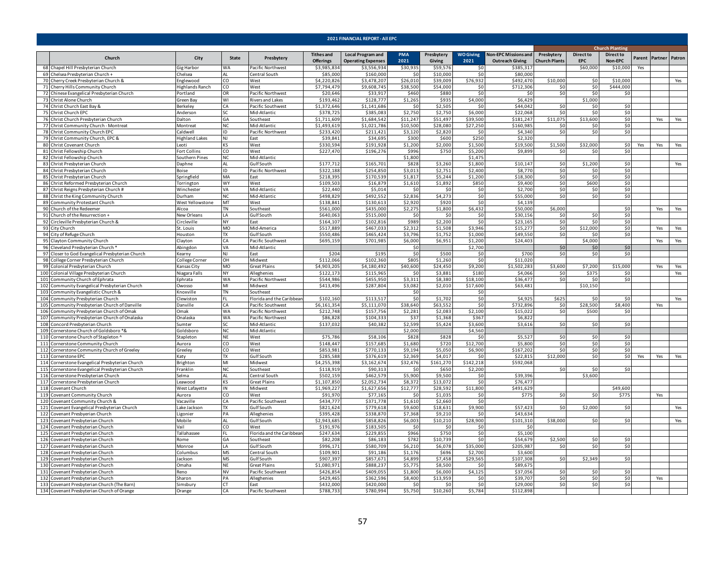| 2021 FINANCIAL REPORT - All EPC                                                      |                            |                 |                                                |                                       |                                                       |                     |                      |                          |                                                       |                                    |                                |                             |     |                       |     |
|--------------------------------------------------------------------------------------|----------------------------|-----------------|------------------------------------------------|---------------------------------------|-------------------------------------------------------|---------------------|----------------------|--------------------------|-------------------------------------------------------|------------------------------------|--------------------------------|-----------------------------|-----|-----------------------|-----|
|                                                                                      |                            |                 |                                                |                                       |                                                       |                     |                      |                          |                                                       |                                    |                                | <b>Church Planting</b>      |     |                       |     |
| Church                                                                               | City                       | State           | Presbytery                                     | <b>Tithes and</b><br><b>Offerings</b> | <b>Local Program and</b><br><b>Operating Expenses</b> | <b>PMA</b><br>2021  | Presbytery<br>Giving | <b>WO Giving</b><br>2021 | <b>Non-EPC Missions and</b><br><b>Outreach Giving</b> | Presbytery<br><b>Church Plants</b> | <b>Direct to</b><br><b>EPC</b> | <b>Direct to</b><br>Non-EPC |     | Parent Partner Patron |     |
| 68 Chapel Hill Presbyterian Church                                                   | Gig Harbor                 | WA              | Pacific Northwest                              | \$3,985,834                           | \$3,556,934                                           | \$30,935            | \$59,576             | \$0                      | \$385,317                                             |                                    | \$60,000                       | \$10,000                    | Yes |                       |     |
| 69 Chelsea Presbyterian Church +                                                     | Chelsea                    | AI              | Central South                                  | \$85,000                              | \$160,000                                             | \$0                 | \$10,000             | \$0                      | \$80,000                                              |                                    |                                |                             |     |                       |     |
| 70 Cherry Creek Presbyterian Church &                                                | Englewood                  | CO<br>CO        | West                                           | \$4,220,826<br>\$7.794.479            | \$3,478,207                                           | \$26,010<br>\$38.50 | \$39,009             | \$76,932                 | \$492,470<br>\$712,306                                | \$10,000                           | \$0                            | \$10,000<br>\$444,000       |     |                       | Yes |
| 71 Cherry Hills Community Church<br>72 Chinese Evangelical Presbyterian Church       | lighlands Ranch<br>ortland | OR              | West<br>Pacific Northwest                      | \$20,646                              | \$9,608,745<br>\$33,917                               | \$460               | \$54,000<br>\$880    | \$0<br>\$0               | S0                                                    | \$0<br>\$0                         | \$0<br>\$0                     | \$0                         |     |                       |     |
| 73 Christ Alone Church                                                               | Green Bay                  | W١              | <b>Rivers and Lakes</b>                        | \$193.462                             | \$128,777                                             | \$1,265             | \$935                | \$4,000                  | \$6,429                                               |                                    | \$1,000                        |                             |     |                       |     |
| 74 Christ Church East Bay &                                                          | 3erkeley                   | CA              | Pacific Southwest                              | \$1,372,646                           | \$1,141,686                                           | \$0                 | \$2,505              | \$0                      | \$44,042                                              | \$0                                | \$0                            | \$0                         |     |                       |     |
| 75 Christ Church EPC                                                                 | Anderson                   | SC.             | Mid-Atlantic                                   | \$378,725                             | \$385,083                                             | \$2,750             | \$2,750              | \$6,000                  | \$22,068                                              | 50                                 | \$0                            | \$0                         |     |                       |     |
| 76 Christ Church Presbyterian Church                                                 | Dalton                     | GА              | Southeast                                      | \$1,711,609                           | \$1,684,542                                           | \$11,247            | \$51,497             | \$39,500                 | \$181,247                                             | \$11,075                           | \$13,600                       | \$0                         |     | Yes                   | Yes |
| 77 Christ Community Church - Montreat                                                | Montreat                   | NC.             | Mid-Atlantic                                   | \$1.493.619                           | \$1.021.786                                           | \$10,500            | \$28,080             | \$27.250                 | \$160.98                                              | \$0                                | \$0                            | \$0                         |     |                       |     |
| 78 Christ Community Church EPC                                                       | Caldwell                   | ID              | Pacific Northwest                              | \$233.420                             | \$211,421                                             | \$3,120             | \$2,820              | \$0                      | \$4,34                                                | \$0                                | \$0                            | \$0                         |     |                       |     |
| 79 Christ Community Church, EPC &<br>80 Christ Covenant Church                       | lighland Lakes<br>Leoti    | NJ<br>KS        | East<br>West                                   | \$39,841<br>\$330.594                 | \$34,695<br>\$191,928                                 | \$300<br>\$1,200    | \$600<br>\$2,000     | \$250<br>\$1.500         | \$2,32<br>\$19,500                                    | \$1,500                            | \$32,000                       | \$0                         | Yes | Yes                   | Yes |
| 81 Christ Fellowship Church                                                          | Fort Collins               | $\overline{c}$  | West                                           | \$227,470                             | \$196,276                                             | \$996               | \$750                | \$5,200                  | \$9,899                                               | \$0                                | \$0                            | 50                          |     |                       |     |
| 82 Christ Fellowship Church                                                          | Southern Pines             | NC              | Mid-Atlantic                                   |                                       |                                                       | \$1,800             |                      | \$1,475                  |                                                       |                                    |                                |                             |     |                       |     |
| 83 Christ Presbyterian Church                                                        | Daphne                     | ΔI              | Gulf South                                     | \$177,712                             | \$165,701                                             | \$828               | \$3,260              | \$1,800                  | \$10,14]                                              | \$0                                | \$1,200                        | \$0                         |     |                       | Yes |
| 84 Christ Presbyterian Church                                                        | Boise                      | ID              | Pacific Northwest                              | \$322,188                             | \$254,850                                             | \$3,013             | \$2,751              | \$2,400                  | \$8,770                                               | \$0                                | \$0                            | \$0                         |     |                       |     |
| 85 Christ Presbyterian Church                                                        | Springfield                | МA              | East                                           | \$218,395                             | \$170,539                                             | \$1,817             | \$5,244              | \$1,200                  | \$18,300                                              | \$0                                | \$0                            | \$0                         |     |                       |     |
| 86 Christ Reformed Presbyterian Church                                               | Torrington                 | <b>WY</b>       | West                                           | \$109,503                             | \$16,879                                              | \$1,610             | \$1,892              | \$850                    | \$9,400                                               | \$0                                | \$600                          | \$0                         |     |                       |     |
| 87 Christ Reigns Presbyterian Church #                                               | Winchester<br>Durham       | VA              | Mid-Atlantic<br>Mid-Atlantic                   | \$22,440<br>\$498,829                 | \$5,014<br>\$492,552                                  | \$0<br>\$2,836      | \$0<br>\$4,273       | \$0<br>\$0               | \$2,700<br>\$55,000                                   | \$0<br>\$0                         | \$0<br>\$0                     | \$0<br>\$0                  |     |                       |     |
| 88 Christ the King Community Church<br>89 Community Protestant Church                | West Yellowstone           | ΝC<br>MT        | West                                           | \$138,841                             | \$130,613                                             | \$2,920             | \$920                | \$0                      | \$4,139                                               |                                    |                                |                             |     |                       |     |
| 90 Church of the Redeemer                                                            | Alcoa                      | TN              | Southeast                                      | \$561,000                             | \$435,000                                             | \$2,275             | \$1,800              | \$6,432                  | \$50,000                                              | \$6,000                            |                                | \$0                         |     | Yes                   | Yes |
| 91 Church of the Resurrection +                                                      | New Orleans                | I A             | Gulf South                                     | \$640.063                             | \$515,000                                             | \$0                 | \$0                  | \$0                      | \$30,156                                              | \$0                                | 50                             | \$0                         |     |                       |     |
| 92 Circleville Presbyterian Church &                                                 | Circleville                | NY              | East                                           | \$164.10                              | \$102.816                                             | \$989               | \$2,200              | \$0                      | \$23.165                                              | \$0                                | \$0                            | \$0                         |     |                       |     |
| 93 City Church                                                                       | St. Louis                  | <b>MO</b>       | Mid-America                                    | \$517,889                             | \$467,033                                             | \$2.312             | \$1.508              | \$3,946                  | \$15.27                                               | \$0                                | \$12,000                       | \$0                         |     | Yes                   | Yes |
| 94 City of Refuge Church                                                             | Houston                    | $\overline{R}$  | Gulf South                                     | \$550,486                             | \$465,424                                             | \$3.796             | \$1,752              | \$1,000                  | \$49,550                                              | \$0                                | \$0                            | \$0                         |     |                       |     |
| 95 Clayton Community Church                                                          | Clayton                    | CA              | Pacific Southwest                              | \$695,159                             | \$701,985                                             | \$6,000             | \$6,951              | \$1,200                  | \$24,403                                              |                                    | \$4,000                        |                             |     | Yes                   | Yes |
| 96 Cleveland Presbyterian Church<br>97 Closer to God Evangelical Presbyterian Church | Abingdon<br>Kearny         | VA<br>NJ        | Mid-Atlantic<br>East                           | \$204                                 | \$195                                                 | \$0<br>\$0          | \$500                | \$2,700<br>\$0           | \$700                                                 | \$0<br>\$0                         | \$0<br>\$0                     | \$0<br>\$0                  |     |                       |     |
| 98 College Corner Presbyterian Church                                                | College Corner             | OН              | Midwest                                        | \$112,066                             | \$102,360                                             | \$805               | \$1,260              | \$0                      | \$11,020                                              |                                    |                                |                             |     |                       |     |
| 99 Colonial Presbyterian Church                                                      | Kansas City                | MO              | <b>Great Plains</b>                            | \$4,903,205                           | \$4,180,492                                           | \$40,600            | \$24,450             | \$9,200                  | \$1,502,283                                           | \$3,600                            | \$7,200                        | \$15,000                    |     | Yes                   | Yes |
| 100 Colonial Village Presbyterian Church                                             | Niagara Falls              | NY              | Alleghenies                                    | \$122,173                             | \$115,965                                             | \$0                 | \$3,881              | \$180                    | \$4,066                                               | \$0                                | \$375                          | \$0                         |     |                       | Yes |
| 101 Community Church of Ephrata                                                      | Ephrata                    | WA              | Pacific Northwest                              | \$544,986                             | \$455,950                                             | \$3,311             | \$8,380              | \$18,100                 | \$36,477                                              | 50                                 | 50                             | \$0                         |     |                       |     |
| 102 Community Evangelical Presbyterian Church                                        | Owosso                     | мı              | Midwest                                        | \$413,496                             | \$287,804                                             | \$3,082             | \$2,010              | \$17,600                 | \$63,483                                              |                                    | \$10,150                       |                             |     |                       |     |
| 103 Community Evangelistic Church &                                                  | Knoxville                  | TN              | Southeast                                      |                                       |                                                       | \$0                 |                      | \$0                      |                                                       |                                    |                                |                             |     |                       |     |
| 104 Community Presbyterian Church<br>105 Community Presbyterian Church of Danville   | Clewiston<br>Danville      | СA              | Florida and the Caribbear<br>Pacific Southwest | \$102,160<br>\$6,161,354              | \$113,51<br>\$5,111,070                               | \$0<br>\$38,640     | \$1,702<br>\$63,552  | \$0<br>\$0               | \$4,92<br>\$732,896                                   | \$625<br>\$0                       | \$ſ<br>\$28,500                | \$0<br>\$8,400              |     | Yes                   | Yes |
| 106 Community Presbyterian Church of Omak                                            | <b>Omak</b>                | WA              | Pacific Northwest                              | \$212,748                             | \$157,756                                             | \$2,281             | \$2,083              | \$2,100                  | \$15,02                                               | 50                                 | \$500                          | \$0                         |     |                       |     |
| 107 Community Presbyterian Church of Onalaska                                        | Onalaska                   | <b>WA</b>       | Pacific Northwest                              | \$86,828                              | \$104,333                                             | \$37                | \$1,368              | \$367                    | \$6.822                                               |                                    |                                |                             |     |                       |     |
| 108 Concord Presbyterian Church                                                      | Sumter                     | SC.             | Mid-Atlantic                                   | \$137,032                             | \$40,382                                              | \$2,599             | \$5,424              | \$3,600                  | \$3,616                                               | 50                                 | \$0                            | \$0                         |     |                       |     |
| 109 Cornerstone Church of Goldsboro *&                                               | Goldsboro                  | NC              | Mid-Atlantic                                   |                                       |                                                       | \$2,000             |                      | \$4,560                  |                                                       |                                    |                                |                             |     |                       |     |
| 110 Cornerstone Church of Stapleton ^                                                | Stapleton                  | NF              | West                                           | \$75,786                              | \$58,106                                              | \$828               | \$828                | \$0                      | \$5,52                                                | \$0                                | \$0                            | \$0                         |     |                       |     |
| 111 Cornerstone Community Church                                                     | Aurora                     | CO              | West                                           | \$148.447                             | \$157,685                                             | \$1,680             | \$720                | \$12,700                 | \$5,800                                               | \$0                                | \$0                            | \$0                         |     |                       |     |
| 112 Cornerstone Community Church of Greeley<br>113 Cornerstone EPC                   | Greeley                    | CO.<br>TX.      | West<br><b>Gulf</b> South                      | \$853,981<br>\$285,588                | \$770,133<br>\$376,619                                | \$9,194<br>\$2,369  | \$5,050<br>\$4,017   | \$6,900<br>\$0           | \$167,202<br>\$22,81                                  | \$0<br>\$12,000                    | \$0<br>\$0                     | \$0<br>\$0                  |     |                       |     |
| 114 Cornerstone Evangelical Presbyterian Church                                      | Katy<br>Brighton           | MI              | Midwest                                        | \$4,255,398                           | \$3,162,674                                           | \$32,476            | \$161,270            | \$142,218                | \$592,068                                             |                                    |                                |                             | Yes | Yes                   | Yes |
| 115 Cornerstone Evangelical Presbyterian Church                                      | Franklin                   | ΝC              | Southeast                                      | \$118,919                             | \$90,313                                              | S0                  | \$650                | \$2,200                  |                                                       | \$0                                | \$0                            | -SO                         |     |                       |     |
| 116 Cornerstone Presbyterian Church                                                  | Selma                      | AL              | Central South                                  | \$502,159                             | \$462,579                                             | \$5,900             | \$9,500              | \$0                      | \$39,396                                              |                                    | \$3,600                        |                             |     |                       |     |
| 117 Cornerstone Presbyterian Church                                                  | Leawood                    | KS              | Great Plains                                   | \$1,107,850                           | \$2,052,734                                           | \$8,372             | \$13,072             | \$0                      | \$76,477                                              |                                    |                                |                             |     |                       |     |
| 118 Covenant Church                                                                  | West Lafayette             | ΙN              | Midwest                                        | \$1,969,227                           | \$1,627,656                                           | \$12,777            | \$28,592             | \$11,800                 | \$491,629                                             |                                    |                                | \$49,600                    |     |                       |     |
| 119 Covenant Community Church                                                        | Aurora                     | CO.             | West                                           | \$91,970                              | \$77,165                                              | \$0                 | \$1.035              | \$0                      | \$77                                                  | \$0                                | \$0                            | \$775                       |     | Yes                   |     |
| 120 Covenant Community Church &                                                      | Vacaville                  | CA<br><b>TX</b> | Pacific Southwest                              | \$434.777                             | \$371,778                                             | \$1.610             | \$2,660              | \$0<br>\$9,900           | \$57,423                                              | \$0                                | \$2,000                        |                             |     |                       |     |
| 121 Covenant Evangelical Presbyterian Church<br>122 Covenant Presbyerian Church      | Lake Jackson<br>Ligonier   | PA              | Gulf South<br>Alleghenies                      | \$821,624<br>\$395,428                | \$779,618<br>\$338,870                                | \$9,600<br>\$7,368  | \$18,631<br>\$9,210  | \$0                      | \$43,634                                              |                                    |                                | \$0                         |     |                       | Yes |
| 123 Covenant Presbyterian Church                                                     | Mobile                     | ΔI              | Gulf South                                     | \$2,943,685                           | \$858,826                                             | \$6,003             | \$10,210             | \$28,900                 | \$101,310                                             | \$38,000                           | \$0                            | \$0                         |     |                       | Yes |
| 124 Covenant Presbyterian Church                                                     | Vail                       | CO              | West                                           | \$191.976                             | \$183,505                                             | \$0                 | \$0                  | \$0                      | \$C                                                   |                                    |                                |                             |     |                       |     |
| 125 Covenant Presbyterian Church                                                     | Tallahassee                |                 | Florida and the Caribbear                      | \$247.634                             | \$229.85                                              | \$966               | \$750                | \$0                      | \$5,100                                               |                                    |                                |                             |     |                       |     |
| 126 Covenant Presbyterian Church                                                     | Rome                       | GА              | Southeast                                      | \$82,208                              | \$86,183                                              | \$782               | \$10.739             | \$0                      | \$54.679                                              | \$2,500                            | \$0                            | \$0                         |     |                       |     |
| 127 Covenant Presbyterian Church                                                     | Monroe                     | I A             | Gulf South                                     | \$996.171                             | \$580,709                                             | \$6,210             | \$6,078              | \$35,000                 | \$205,987                                             | \$0                                | \$0                            | S <sub>0</sub>              |     |                       |     |
| 128 Covenant Presbyterian Church                                                     | Columbus                   | ΜS              | Central South                                  | \$109,901                             | \$91,186                                              | \$1,176             | \$696                | \$2,700                  | \$3,600                                               |                                    |                                |                             |     |                       |     |
| 129 Covenant Presbyterian Church<br>130 Covenant Presbyterian Church                 | Jackson<br><b>Omaha</b>    | MS<br>NE        | Gulf South<br><b>Great Plains</b>              | \$907,397<br>\$1,080,971              | \$857,671<br>\$888,237                                | \$4,899<br>\$5,775  | \$7,458<br>\$8,500   | \$29,565<br>\$0          | \$107,308<br>\$89,67                                  | \$0                                | \$2,349                        | \$0                         |     |                       |     |
| 131 Covenant Presbyterian Church                                                     | Reno                       | NV              | Pacific Southwest                              | \$426,854                             | \$409,055                                             | \$1,800             | \$6,000              | \$4,125                  | \$37,05                                               | \$0                                | \$0                            | \$0                         |     |                       |     |
| 132 Covenant Presbyterian Church                                                     | Sharon                     | PA              | Alleghenies                                    | \$429,465                             | \$362,596                                             | \$8,400             | \$13,959             | \$0                      | \$39,70                                               | \$0                                | \$0                            | \$0                         |     | Yes                   |     |
| 133 Covenant Presbyterian Church (The Barn)                                          | Simsbury                   | СT              | East                                           | \$432,000                             | \$420,000                                             | 50                  | \$0                  | \$0                      | \$29,000                                              | \$0                                | \$0                            | 50                          |     |                       |     |
| 134 Covenant Presbyterian Church of Orange                                           | Orange                     | CA              | Pacific Southwest                              | \$788,733                             | \$780,994                                             | \$5.750             | \$10,260             | \$5,784                  | \$112.898                                             |                                    |                                |                             |     |                       |     |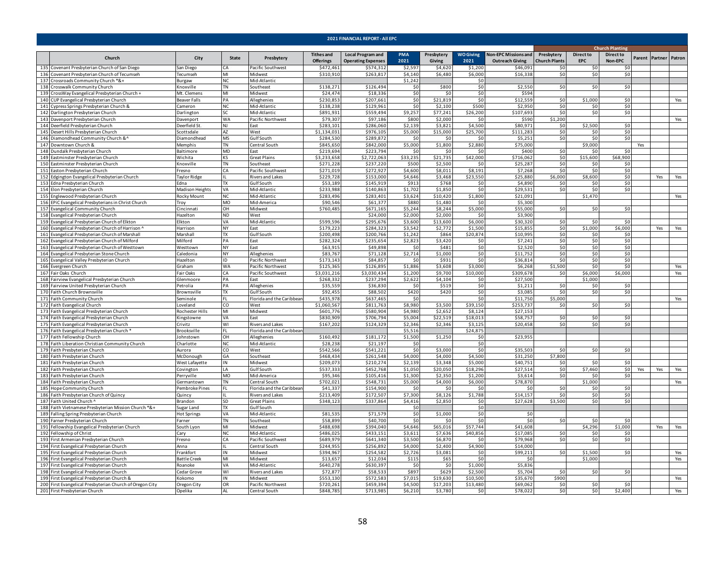|     | 2021 FINANCIAL REPORT - All EPC                                                                   |                                     |                        |                                |                                       |                                                       |                    |                       |                          |                                                       |                                    |                                |                             |     |                       |            |
|-----|---------------------------------------------------------------------------------------------------|-------------------------------------|------------------------|--------------------------------|---------------------------------------|-------------------------------------------------------|--------------------|-----------------------|--------------------------|-------------------------------------------------------|------------------------------------|--------------------------------|-----------------------------|-----|-----------------------|------------|
|     |                                                                                                   |                                     |                        |                                |                                       |                                                       |                    |                       |                          |                                                       |                                    |                                | <b>Church Planting</b>      |     |                       |            |
|     | Church                                                                                            | City                                | State                  | Presbytery                     | <b>Tithes and</b><br><b>Offerings</b> | <b>Local Program and</b><br><b>Operating Expenses</b> | PMA<br>2021        | Presbytery<br>Giving  | <b>WO Giving</b><br>2021 | <b>Non-EPC Missions and</b><br><b>Outreach Giving</b> | Presbytery<br><b>Church Plants</b> | <b>Direct to</b><br><b>EPC</b> | <b>Direct to</b><br>Non-EPC |     | Parent Partner Patron |            |
| 135 | Covenant Presbyterian Church of San Diego                                                         | San Diego                           | ۰Δ                     | Pacific Southwest              | \$472.461                             | \$574.31                                              | \$2.597            | \$4,620               | \$1,200                  | \$46.09                                               | \$0                                | \$n                            | ۹r                          |     |                       |            |
|     | 136 Covenant Presbyterian Church of Tecumseh                                                      | Tecumseh                            | MI                     | Midwest                        | \$310,910                             | \$263,817                                             | \$4,140            | \$6,480               | \$6,000                  | \$16,33                                               | \$0                                | \$0                            | \$0                         |     |                       |            |
|     | 137 Crossroads Community Church *&+                                                               | Burgaw                              | NC.                    | Mid-Atlantic                   |                                       |                                                       | \$1,242            |                       | \$0                      |                                                       |                                    |                                |                             |     |                       |            |
| 139 | 138 Crosswalk Community Church                                                                    | Knoxville<br>Mt. Clemens            | <b>TN</b><br>MI        | Southeast<br>Midwest           | \$138,271<br>\$24,474                 | \$126,494<br>\$18,336                                 | \$0                | \$800                 | \$0                      | \$2,550<br>\$59                                       | \$0                                | \$0                            | \$0                         |     |                       |            |
|     | CrossWay Evangelical Presbyterian Church +<br>140 CUP Evangelical Presbyterian Church             | Beaver Falls                        | PА                     | Alleghenies                    | \$230,853                             | \$207,661                                             | \$0<br>\$0         | <b>SO</b><br>\$21,819 | \$0<br>\$0               | \$12,559                                              | \$0                                | \$1,000                        | \$0                         |     |                       | Yes        |
|     | 141 Cypress Springs Presbyterian Church &                                                         | Cameron                             | NC                     | Mid-Atlantic                   | \$138,238                             | \$129.961                                             | \$0                | \$2,100               | \$500                    | \$2,950                                               | \$0                                | \$0                            | \$0                         |     |                       |            |
|     | 142 Darlington Presbyterian Church                                                                | <b>Darlington</b>                   | SC.                    | Mid-Atlantic                   | \$891,93                              | \$559,494                                             | \$9,257            | \$77,241              | \$26,200                 | \$107,69                                              | \$0                                | \$0                            | \$0                         |     |                       |            |
|     | 143 Davenport Presbyterian Church                                                                 | Davenport                           | WA                     | Pacific Northwest              | \$79,307                              | 597,186                                               | \$800              | \$2,000               | \$0                      | \$590                                                 | \$1,200                            |                                |                             |     |                       | Yes        |
|     | 144 Deerfield Presbyterian Church                                                                 | Deerfield St                        | <b>NJ</b>              | East                           | \$283,101                             | \$286,060                                             | \$2,139            | \$3,821               | \$4,500                  | \$80,971                                              | \$0                                | \$2,500                        | \$0                         |     |                       |            |
|     | 145 Desert Hills Presbyterian Church                                                              | Scottsdale                          | AZ                     | West                           | \$1,134,031                           | \$976,105                                             | \$5,000            | \$15,000              | \$25,700                 | \$111,28                                              | \$0                                | 50                             | \$0                         |     |                       |            |
|     | 146 Diamondhead Community Church &^                                                               | iamondhead                          | <b>MS</b>              | Gulf South                     | \$284,530                             | \$289,87                                              | \$0                | \$0                   | \$0                      | \$5,25                                                | \$0                                | \$0                            | \$0                         |     |                       |            |
|     | 147 Downtown Church &                                                                             | Memphis                             | <b>TN</b>              | Central South                  | \$845.650                             | \$842,000                                             | \$5,000            | \$1,800               | \$2,880                  | \$75.00                                               |                                    | \$9,000                        |                             | Yes |                       |            |
|     | 148 Dundalk Presbyterian Church                                                                   | <b>Baltimore</b>                    | <b>MD</b>              | Fast                           | \$219,694                             | \$223,794                                             | SO                 | \$0                   | \$0                      | \$400                                                 | \$0                                | \$0                            | \$0                         |     |                       |            |
|     | 149 Eastminster Presbyterian Church                                                               | Wichita                             | KS                     | <b>Great Plains</b>            | \$3,233,658                           | \$2,722,063                                           | \$33,235           | \$21,735              | \$42,000                 | \$716,062                                             | \$0<br>\$0                         | \$15,600                       | \$68,900                    |     |                       |            |
|     | 150 Eastminster Presbyterian Church<br>151 Easton Presbyterian Church                             | Knoxville<br>Fresno                 | <b>TN</b><br>CA        | Southeast<br>Pacific Southwest | \$271,228<br>\$271,019                | \$237,220<br>\$272,927                                | \$500<br>\$4,600   | \$2,500<br>\$8,011    | \$0<br>\$8,191           | \$25,287<br>\$7,268                                   | \$0                                | \$0<br>\$0                     | \$0<br>\$0                  |     |                       |            |
|     | 152 Edgington Evangelical Presbyterian Church                                                     | Taylor Ridge                        |                        | Rivers and Lakes               | \$229,728                             | \$153,000                                             | \$4,646            | \$3,468               | \$23,550                 | \$25,880                                              | \$6,000                            | \$8,600                        | \$0                         |     | Yes                   | Yes        |
|     | 153 Edna Presbyterian Church                                                                      | Edna                                | TX                     | Gulf South                     | \$53,189                              | \$145,919                                             | \$913              | \$768                 | \$0                      | \$4,890                                               | \$0                                | \$0                            | \$0                         |     |                       |            |
|     | 154 Elon Presbyterian Church                                                                      | Madison Heights                     | VA                     | Mid-Atlantic                   | \$233,988                             | \$140,863                                             | \$1,702            | \$1,850               | \$0                      | \$29,531                                              | \$0                                | \$0                            | \$0                         |     |                       |            |
|     | 155 Englewood Presbyterian Church                                                                 | Rocky Mount                         | NC                     | Mid-Atlantic                   | \$283,496                             | \$283,401                                             | \$3,624            | \$10,420              | \$1,800                  | \$21,091                                              |                                    | \$1,470                        |                             |     |                       | Yes        |
|     | 156 EPIC Evangelical Presbyterians in Christ Church                                               | Troy                                | MO                     | Mid-America                    | \$90,546                              | \$61,377                                              | \$880              | \$1,480               | \$0                      | \$5,300                                               |                                    |                                |                             |     |                       |            |
|     | 157 Evangelical Community Church                                                                  | Cincinnati                          | OH                     | Midwest                        | \$760,485                             | \$671,165                                             | \$5,244            | \$8,244               | \$5,000                  | \$55,000                                              | \$0                                | \$0                            | \$0                         |     |                       |            |
|     | 158 Evangelical Presbyterian Church                                                               | Hazelton                            | <b>ND</b>              | West                           |                                       | \$24,000                                              | \$2,000            | \$2,000               | -SO                      | \$3,900                                               |                                    |                                |                             |     |                       |            |
|     | 159 Evangelical Presbyterian Church of Elkton                                                     | Elkton                              | VA                     | Mid-Atlantic                   | \$599,596                             | \$295,67                                              | \$3,600            | \$13,600              | \$6,000                  | \$30,32                                               | \$0                                | \$0                            |                             |     |                       |            |
|     | 160 Evangelical Presbyterian Church of Harrison                                                   | Harrison                            | NY                     | East                           | \$179,223                             | \$284,323                                             | \$3,542            | \$2,772               | \$1,500                  | \$15,85                                               | \$0                                | \$1,000                        | \$6,000                     |     | Yes                   | Yes        |
|     | 161 Evangelical Presbyterian Church of Marshall                                                   | Marshall                            | <b>TX</b><br>PA        | Gulf South<br>East             | \$200,498<br>\$282,324                | \$200,766<br>\$235,654                                | \$1,242<br>\$2,823 | \$864<br>\$3,420      | \$20,874<br>\$0          | \$10,99<br>\$7,241                                    | \$0<br>\$0                         | \$0<br>\$0                     | \$0<br>\$0                  |     |                       |            |
|     | 162 Evangelical Presbyterian Church of Milford<br>163 Evangelical Presbyterian Church of Westtown | Milford<br>Westtown                 | NY.                    | East                           | \$63,915                              | \$49,898                                              | \$0                | \$481                 | \$0                      | \$2,520                                               | \$0                                | \$0                            | \$0                         |     |                       |            |
|     | 164 Evangelical Presbyterian Stone Church                                                         | Caledonia                           | <b>NY</b>              | Alleghenies                    | \$83,767                              | \$71,128                                              | \$2,714            | \$1,000               | \$0                      | \$11,75                                               | \$0                                | \$0                            | \$0                         |     |                       |            |
|     | 165 Evangelical Valley Presbyterian Church                                                        | lazelton                            | ID                     | Pacific Northwest              | \$173,143                             | \$84,85                                               | $\mathsf{S}$       | \$931                 | \$0                      | \$36,81                                               | \$0                                | \$0                            | \$0                         |     |                       |            |
|     | 166 Evergreen Church                                                                              | <b>Graham</b>                       | WA                     | Pacific Northwest              | \$125,365                             | \$126,895                                             | \$1,886            | \$3,608               | \$3,000                  | \$6,268                                               | \$1,500                            | \$0                            | \$0                         |     |                       | Yes        |
|     | 167 Fair Oaks Church                                                                              | Fair Oaks                           | ſА.                    | Pacific Southwest              | \$3.031.216                           | \$3.030.434                                           | \$1.200            | \$9.700               | \$10,000                 | \$309.678                                             | \$0                                | \$6,000                        | \$6,000                     |     |                       | Yes        |
|     | 168 Fairview Evangelical Presbyterian Church                                                      | Slenmoore                           | PA                     | East                           | \$268,332                             | \$237,294                                             | \$2,622            | \$4,104               | \$0                      | \$27,500                                              |                                    | \$1,000                        |                             |     |                       |            |
|     | 169 Fairview United Presbyterian Church                                                           | Petrolia                            | PA                     | Alleghenies                    | \$35,559                              | \$36,830                                              | \$0                | \$519                 | \$0                      | \$1,211                                               | \$0                                | \$0                            | \$0                         |     |                       |            |
|     | 170 Faith Church Brownsville                                                                      | Brownsville                         | TX                     | Gulf South                     | \$92,455                              | \$88,502                                              | \$420              | \$420                 | \$0                      | \$3,08                                                | \$0                                | \$0                            | \$0                         |     |                       |            |
|     | 171 Faith Community Church                                                                        | Seminole                            |                        | Florida and the Caribbear      | \$435.978                             | \$637.465                                             | - \$0              |                       | \$0                      | \$11.75                                               | \$5,000                            |                                |                             |     |                       | Yes        |
|     | 172 Faith Evangelical Church                                                                      | Loveland                            | CO<br>MI               | West                           | \$1,060,567<br>\$601,776              | \$811,763                                             | \$8.980            | \$3,500<br>\$2,652    | \$39,150<br>\$8,124      | \$253.737<br>\$27,15                                  | \$0                                | 50 <sup>1</sup>                | \$0                         |     |                       |            |
|     | 173 Faith Evangelical Presbyterian Church<br>174 Faith Evangelical Presbyterian Church            | Rochester Hills<br><b>Cingstown</b> | <b>VA</b>              | Midwest<br>Fast                | \$830,909                             | \$580,904<br>\$706,794                                | \$4,980<br>\$5,004 | \$22,519              | \$18,013                 | \$58.75                                               | \$0                                | 50                             | 50                          |     |                       |            |
|     | 175 Faith Evangelical Presbyterian Church                                                         | Crivitz                             | WI                     | <b>Rivers and Lakes</b>        | \$167,202                             | \$124,329                                             | \$2,346            | \$2,346               | \$3,125                  | \$20,45                                               | \$0                                | 50                             | \$0                         |     |                       |            |
|     | 176 Faith Evangelical Presbyterian Church                                                         | Brooksville                         | FI.                    | Florida and the Caribbea       |                                       |                                                       | \$5,516            |                       | \$24,875                 |                                                       |                                    |                                |                             |     |                       |            |
|     | 177 Faith Fellowship Church                                                                       | Johnstown                           | OH                     | Alleghenies                    | \$160,492                             | \$181,172                                             | \$1,500            | \$1,250               | \$0                      | \$23,95!                                              |                                    |                                |                             |     |                       |            |
|     | 178 Faith Liberation Christian Community Church                                                   | Charlotte                           | <b>NC</b>              | Mid-Atlantic                   | \$28,238                              | \$21,197                                              | \$0                |                       | \$0                      |                                                       |                                    |                                |                             |     |                       |            |
|     | 179 Faith Presbyterian Church                                                                     | Aurora                              | CO                     | West                           | \$542,566                             | \$541,221                                             | \$0                | \$3,000               | \$0                      | \$35,503                                              | \$0                                | \$0                            | \$0                         |     |                       |            |
|     | 180 Faith Presbyterian Church                                                                     | McDonough                           | GA                     | Southeast                      | \$468,434                             | \$261,548                                             | \$4,000            | \$4,000               | \$4,500                  | \$31,250                                              | \$7,800                            |                                |                             |     |                       |            |
|     | 181 Faith Presbyterian Church                                                                     | West Lafayette                      | IN                     | Midwest                        | \$209,07                              | \$210,274                                             | \$2,139            | \$3,348               | \$5,000                  | \$40,75                                               | \$0                                | \$0                            | \$0                         |     |                       |            |
|     | 182 Faith Presbyterian Church                                                                     | Covington                           | LA                     | Gulf South                     | \$537,333                             | \$452,768                                             | \$1,050            | \$20,050              | \$18,296                 | \$27,514                                              | \$0                                | \$7,460                        | \$0                         | Yes | Yes                   | Yes        |
|     | 183 Faith Presbyterian Church                                                                     | Perryville<br>Germantown            | <b>MO</b><br><b>TN</b> | Mid-America<br>Central South   | \$95,346<br>\$702,021                 | \$105,416<br>\$548,731                                | \$1,300            | \$2,350<br>\$4,000    | \$1,200                  | \$3,614<br>\$78,870                                   | \$0                                | 50<br>\$1,000                  | \$0                         |     |                       |            |
|     | 184 Faith Presbyterian Church<br>185 Hope Community Church                                        | Pembroke Pines                      |                        | lorida and the Caribbea        | \$41,337                              | \$154,900                                             | \$5,000<br>\$0     | \$0                   | \$6,000<br>\$0           | ŠI.                                                   | \$0                                | \$0                            | \$0                         |     |                       | Yes        |
|     | 186 Faith Presbyterian Church of Quincy                                                           | Ouincy                              |                        | Rivers and Lakes               | \$213.409                             | \$172.507                                             | \$7,300            | \$8.126               | \$1.788                  | \$14.15                                               | \$0                                | \$0                            | \$0                         |     |                       |            |
|     | 187 Faith United Church ^                                                                         | Brandon                             | SD                     | <b>Great Plains</b>            | \$348.123                             | \$337,864                                             | \$4,416            | \$2,850               | \$0                      | \$27,628                                              | \$3,500                            | \$0                            | \$0                         |     |                       |            |
|     | 188 Faith Vietnamese Presbyterian Mission Church *&+                                              | Sugar Land                          | <b>TX</b>              | Gulf South                     |                                       |                                                       | \$0                |                       | \$0                      |                                                       |                                    |                                |                             |     |                       |            |
|     | 189 Falling Spring Presbyterian Church                                                            | <b>Hot Springs</b>                  | VA                     | Mid-Atlantic                   | \$81,535                              | \$71,579                                              | \$0                | \$1,000               | \$0                      | -SC                                                   |                                    |                                |                             |     |                       |            |
|     | 190 Farner Presbyterian Church                                                                    | Farner                              | <b>TN</b>              | Southeast                      | \$58,899                              | \$40,700                                              | \$0                | \$0                   | \$0                      | \$0                                                   | \$0                                | \$0                            | \$0                         |     |                       |            |
|     | 191 Fellowship Evangelical Presbyterian Church                                                    | South Lyon                          | MI                     | Viidwest                       | \$488,698                             | \$394.040                                             | \$4,646            | \$65,016              | \$57,744                 | \$41.608                                              |                                    | \$4,296                        | \$1,000                     |     | Yes                   | Yes        |
|     | 192 Fellowship of Christ                                                                          | Cary                                | <b>NC</b>              | Mid-Atlantic                   | \$486,025                             | \$433,151                                             | \$3,611            | \$7,636               | \$40,856                 | \$17,085                                              | \$0                                | \$0                            | \$0                         |     |                       |            |
|     | 193 First Armenian Presbyterian Church                                                            | Fresno                              | ſА.                    | Pacific Southwest              | \$689.979                             | \$641.340                                             | \$3.500            | \$6,870               | \$0                      | \$79.968                                              | \$0                                | \$0                            | \$0                         |     |                       |            |
|     | 194 First Evangelical Presbyterian Church                                                         | Anna                                |                        | Central South                  | \$244,955                             | \$256,892                                             | \$4,000            | \$2,400               | \$4,900                  | \$14,000                                              |                                    |                                |                             |     |                       |            |
|     | 195 First Evangelical Presbyterian Church<br>196 First Evangelical Presbyterian Church            | Frankfort<br><b>Battle Creek</b>    | ΙN<br>MI               | Midwest<br>Midwest             | \$394,967<br>\$13,657                 | \$254,582<br>\$12,034                                 | \$2,726<br>\$115   | \$3,081<br>\$65       | \$0<br>\$0               | \$99,211<br>\$0                                       | \$0                                | \$1,500<br>\$1,000             | \$0                         |     |                       | Yes<br>Yes |
|     | 197 First Evangelical Presbyterian Church                                                         | Roanoke                             | VA                     | Mid-Atlantic                   | \$640,278                             | \$630,39                                              | - \$0              | \$0                   | \$1,000                  | \$5,836                                               |                                    |                                |                             |     |                       |            |
|     | 198 First Evangelical Presbyterian Church                                                         | Cedar Grove                         | WI                     | <b>Rivers and Lakes</b>        | \$72,87                               | \$58,53                                               | \$897              | \$629                 | \$2,500                  | \$5,704                                               | \$0                                | \$0                            | \$0                         |     |                       |            |
|     | 199 First Evangelical Presbyterian Church &                                                       | Kokomo                              | ΙN                     | Midwest                        | \$553,130                             | \$572,58                                              | \$7,015            | \$19,630              | \$10,500                 | \$35,67                                               | \$900                              |                                |                             |     |                       | Yes        |
|     | 200 First Evangelical Presbyterian Church of Oregon City                                          | Oregon City                         | OR                     | Pacific Northwest              | \$720,26                              | \$459,394                                             | \$4,500            | \$17,203              | \$13,480                 | \$69,06                                               | \$0                                | \$0                            | \$0                         |     |                       |            |
|     | 201 First Presbyterian Church                                                                     | Opelika                             | <b>AL</b>              | Central South                  | \$848,785                             | \$713,985                                             | \$6,210            | \$3,780               | \$0                      | \$78,022                                              | \$0                                | 50                             | \$2,400                     |     |                       | Yes        |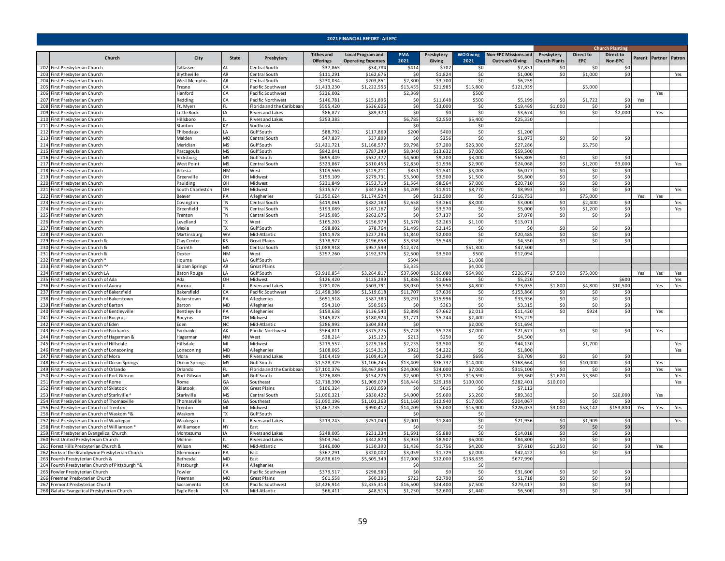|     |                                                                                            |                        |                  |                                         |                                       | 2021 FINANCIAL REPORT - All EPC                       |                     |                      |                          |                                                       |                                    |                                |                             |     |                       |            |
|-----|--------------------------------------------------------------------------------------------|------------------------|------------------|-----------------------------------------|---------------------------------------|-------------------------------------------------------|---------------------|----------------------|--------------------------|-------------------------------------------------------|------------------------------------|--------------------------------|-----------------------------|-----|-----------------------|------------|
|     |                                                                                            |                        |                  |                                         |                                       |                                                       |                     |                      |                          |                                                       |                                    |                                | <b>Church Planting</b>      |     |                       |            |
|     | Church                                                                                     | City                   | State            | Presbytery                              | <b>Tithes and</b><br><b>Offerings</b> | <b>Local Program and</b><br><b>Operating Expenses</b> | <b>PMA</b><br>2021  | Presbytery<br>Giving | <b>WO Giving</b><br>2021 | <b>Non-EPC Missions and</b><br><b>Outreach Giving</b> | Presbytery<br><b>Church Plants</b> | <b>Direct to</b><br><b>EPC</b> | <b>Direct to</b><br>Non-EPC |     | Parent Partner Patron |            |
|     | 202 First Presbyterian Church                                                              | Tallassee              | AI               | Central South                           | \$37,865                              | \$34,784                                              | \$414               | \$702                | \$C                      | \$7,831                                               | \$0                                | \$0                            | \$0                         |     |                       |            |
|     | 203 First Presbyterian Church                                                              | Blytheville            | AR               | Central South                           | \$111,291                             | \$162,676                                             | -SC                 | \$1,824              | \$0                      | \$1,000                                               | \$0                                | \$1,000                        | \$0                         |     |                       | Yes        |
|     | 204 First Presbyterian Church<br>205 First Presbyterian Church                             | West Memphis<br>resno  | AR<br>ſА.        | entral South<br>acific Southwest        | \$230,034<br>\$1,413,230              | \$203,85<br>\$1,222,556                               | \$2,300<br>\$13,455 | \$3,700<br>\$21,985  | \$0<br>\$15,800          | \$6,25<br>\$121,939                                   |                                    | \$5,000                        |                             |     |                       |            |
|     | 206 First Presbyterian Church                                                              | lanford                | CA.              | acific Southwest                        | \$236,002                             |                                                       | \$2,369             |                      | \$500                    |                                                       |                                    |                                |                             |     | Yes                   |            |
|     | 207 First Presbyterian Church                                                              | Redding                | CA               | acific Northwest                        | \$146.781                             | \$151,896                                             | \$0                 | \$11,648             | \$500                    | \$5,199                                               | \$0                                | \$1,722                        | \$0                         | Yes |                       |            |
|     | 208 First Presbyterian Church                                                              | t. Myers               | FL.              | lorida and the Caribbear                | \$595,420                             | \$536,606                                             | \$0                 | \$3,000              | \$0                      | \$19,469                                              | \$1,000                            | \$0                            | \$0                         |     |                       |            |
|     | 209 First Presbyterian Church                                                              | Little Rock            | IA               | Rivers and Lakes                        | \$86,877                              | \$89,370                                              | \$0                 | -SO                  | \$0                      | \$3,674                                               | \$0                                | \$0                            | \$2,000                     |     | Yes                   |            |
|     | 210 First Presbyterian Church                                                              | Hillsboro              |                  | Rivers and Lakes                        | \$253,383                             |                                                       | \$6,785             | \$2,550              | \$5,400                  | \$25,330                                              |                                    |                                |                             |     |                       |            |
|     | 211 First Presbyterian Church                                                              | Stanton                | <b>KY</b>        | Southeast                               |                                       |                                                       | -ŚC                 |                      | \$0                      |                                                       |                                    |                                |                             |     |                       |            |
|     | 212 First Presbyterian Church<br>213 First Presbyterian Church                             | Thibodaux<br>Malden    | I A<br>MO        | Gulf South<br>Central South             | \$88.792<br>\$47,83                   | \$117,869<br>\$37,89                                  | \$200<br>\$C        | \$400<br>\$256       | \$0<br>\$0               | \$1,200<br>\$1,07                                     | \$0                                | \$0                            | \$0                         |     |                       |            |
|     | 214 First Presbyterian Church                                                              | Meridian               | <b>MS</b>        | Gulf South                              | \$1,421,721                           | \$1,168,577                                           | \$9,798             | \$7,200              | \$26,300                 | \$27,28                                               |                                    | \$5,750                        |                             |     |                       |            |
|     | 215 First Presbyterian Church                                                              | Pascagoula             | <b>MS</b>        | Gulf South                              | \$842,041                             | \$787,249                                             | \$8,040             | \$13,632             | \$7,000                  | \$59,500                                              |                                    |                                |                             |     |                       |            |
|     | 216 First Presbyterian Church                                                              | Vicksburg              | <b>MS</b>        | Gulf South                              | \$695,449                             | \$632,377                                             | \$4,600             | \$9,200              | \$3,000                  | \$65,805                                              | \$0                                | \$0                            | \$0                         |     |                       |            |
|     | 217 First Presbyterian Church                                                              | West Point             | <b>MS</b>        | Central South                           | \$323,867                             | \$310,453                                             | \$2,830             | \$1,936              | \$2,900                  | \$24,06                                               | \$0                                | \$1,200                        | \$3,000                     |     |                       | Yes        |
|     | 218 First Presbyterian Church                                                              | Artesia                | <b>NM</b>        | West                                    | \$109,569                             | \$129,211                                             | \$851               | \$1,541              | \$3,008                  | \$6,07                                                | \$0                                | \$0                            | \$0                         |     |                       |            |
|     | 219 First Presbyterian Church                                                              | Greenville             | OH               | Midwest                                 | \$159,109                             | \$279,731                                             | \$3,500             | \$3,500              | \$1,500                  | \$6,800                                               | \$0                                | \$0                            | \$0                         |     |                       |            |
|     | 220 First Presbyterian Church                                                              | Paulding               | OH               | Midwest                                 | \$231,849                             | \$153,719                                             | \$1,564             | \$8,564              | \$7,000                  | \$20,710                                              | \$0                                | \$0                            | \$0                         |     |                       |            |
|     | 221 First Presbyterian Church                                                              | outh Charleston        | OH               | Midwest                                 | \$315,57                              | \$347,650                                             | \$4,209             | \$1,911              | \$8,770                  | \$8,99                                                | \$0                                | \$0                            | \$0                         |     |                       | Yes        |
|     | 222 First Presbyterian Church<br>223 First Presbyterian Church                             | Beaver<br>Covington    | PA<br><b>TN</b>  | Alleghenies<br>Central South            | 51,350,624<br>\$419,061               | \$1,174,524<br>\$382,184                              | \$0<br>\$2,658      | \$12,500<br>\$3,264  | \$0<br>\$8,000           | \$216,752<br>\$3,000                                  | \$0                                | \$75,000<br>\$2,400            | \$0                         | Yes | Yes                   | Yes        |
|     | 224 First Presbyterian Church                                                              | Greenfield             | <b>TN</b>        | Central South                           | \$193,089                             | \$167,167                                             | -SC                 | \$3,570              | \$0                      | \$5,000                                               | \$0                                | \$1,200                        | \$0                         |     |                       | Yes        |
|     | 225 First Presbyterian Church                                                              | Trenton                | <b>TN</b>        | Central South                           | \$415.085                             | \$262,676                                             | -ŚC                 | \$7,137              | 50                       | \$7,07                                                | \$0                                | \$0                            | \$0                         |     |                       |            |
|     | 226 First Presbyterian Church                                                              | Levelland              | <b>TX</b>        | West                                    | \$165.203                             | \$156.97                                              | \$1,370             | \$2.263              | \$1.100                  | \$13.071                                              |                                    |                                |                             |     |                       |            |
|     | 227 First Presbyterian Church                                                              | Mexia                  | <b>TX</b>        | Gulf South                              | \$98,802                              | \$78,764                                              | \$1,495             | \$2,145              | \$0                      | -SC                                                   | \$0                                | \$0                            | \$0                         |     |                       |            |
|     | 228 First Presbyterian Church                                                              | Martinsburg            | <b>WV</b>        | Mid-Atlantic                            | \$191,978                             | \$227,295                                             | \$1,840             | \$2,000              | \$0                      | \$20,48                                               | \$0                                | \$0                            | \$0                         |     |                       |            |
|     | 229 First Presbyterian Church &                                                            | Clay Center            | KS               | <b>Great Plains</b>                     | \$178,977                             | \$196,658                                             | \$3,358             | \$5,548              | \$0                      | \$4,350                                               | \$0                                | \$0                            | \$0                         |     |                       |            |
|     | 230 First Presbyterian Church &                                                            | Corinth                | <b>MS</b>        | Central South                           | \$1,088,918                           | \$957,599                                             | \$12,374            |                      | \$51,300                 | \$47,500                                              |                                    |                                |                             |     |                       |            |
|     | 231 First Presbyterian Church &                                                            | Dexter<br>louma        | <b>NM</b><br>I A | West<br>Gulf South                      | \$257,260                             | \$192,376                                             | \$2,500<br>\$50     | \$3,500              | \$500<br>\$1,008         | \$12,094                                              |                                    |                                |                             |     |                       |            |
|     | 232 First Presbyterian Church *<br>233 First Presbyterian Church */                        | siloam Springs         | AR               | Great Plains                            |                                       |                                                       | \$3,33!             |                      | \$4,000                  |                                                       |                                    |                                |                             |     |                       |            |
|     | 234 First Presbyterian Church LA                                                           | <b>Baton Rouge</b>     | LA               | Gulf South                              | \$3,910,854                           | \$3,264,817                                           | \$37,600            | \$136,080            | \$64,980                 | \$226,972                                             | \$7,500                            | \$75,000                       |                             | Yes | Yes                   | Yes        |
|     | 235 First Presbyterian Church of Ada                                                       | Ada                    | OH               | Midwest                                 | \$126,420                             | \$125,299                                             | \$1,886             | \$1,066              | \$0                      | \$5,220                                               |                                    |                                | \$600                       |     |                       | Yes        |
|     | 236 First Presbyterian Church of Auora                                                     | Aurora                 |                  | Rivers and Lakes                        | \$781,026                             | \$603,791                                             | \$8,050             | \$5,950              | \$4,800                  | \$73,035                                              | \$1,800                            | \$4,800                        | \$10,500                    |     | Yes                   | Yes        |
|     | 237 First Presbyterian Church of Bakersfield                                               | Bakersfield            | CA               | Pacific Southwest                       | \$1,498,386                           | \$1,519,618                                           | \$11,707            | \$7,636              | \$0                      | \$153,866                                             | \$0                                | \$0                            | \$0                         |     |                       |            |
|     | 238 First Presbyterian Church of Bakerstown                                                | <b>Bakerstown</b>      | PA               | Alleghenies                             | \$651,918                             | \$587,380                                             | \$9,291             | \$15,99              | \$0                      | \$33,936                                              | \$0                                | \$0                            | \$0                         |     |                       |            |
|     | 239 First Presbyterian Church of Barton                                                    | Barton                 | MD               | Alleghenies                             | \$54,310                              | \$50,56                                               | -SC                 | \$363                | \$0                      | \$3,31                                                | \$0                                | \$0                            | \$0                         |     |                       |            |
| 241 | 240 First Presbyterian Church of Bentleyville                                              | Bentleyville           | PA<br>OH         | Alleghenies                             | \$159,638<br>\$145,873                | \$136,540<br>\$180,924                                | \$2,898<br>\$1,771  | \$7,662<br>\$5.244   | \$2,013<br>\$2,400       | \$11,42<br>\$15,229                                   | \$0                                | \$924                          | \$0                         |     | Yes                   |            |
|     | First Presbyterian Church of Bucyrus<br>242 First Presbyterian Church of Eden              | Bucyrus<br>Eden        | N <sub>C</sub>   | Midwest<br>Mid-Atlantic                 | \$286,992                             | \$304,839                                             | <b>SC</b>           |                      | \$2,000                  | \$11,694                                              |                                    |                                |                             |     |                       |            |
|     | 243 First Presbyterian Church of Fairbanks                                                 | Fairbanks              | AK               | Pacific Northwest                       | \$564,811                             | \$375,275                                             | \$5,728             | \$5,228              | \$7,000                  | \$21,677                                              | \$0                                | \$0                            | \$0                         |     | Yes                   |            |
|     | 244 First Presbyterian Church of Hagerman &                                                | lagerman               | <b>NM</b>        | West                                    | \$28,214                              | \$15,120                                              | \$213               | \$250                | \$0                      | \$4,50                                                |                                    |                                |                             |     |                       |            |
|     | 245 First Presbyterian Church of Hillsdale                                                 | <b>Hillsdale</b>       | MI               | Midwest                                 | \$219,557                             | \$229,168                                             | \$2,23              | \$3,500              | \$0                      | \$44,130                                              |                                    | \$1,700                        |                             |     |                       | Yes        |
|     | 246 First Presbyterian Church of Lonaconing                                                | Lonaconing             | MD               | Alleghenies                             | \$108,065                             | \$154,310                                             | \$922               | \$4,222              | \$0                      | \$1,800                                               |                                    |                                |                             |     |                       | Yes        |
|     | 247 First Presbyterian Church of Mora                                                      | Mora                   | <b>MN</b>        | Rivers and Lakes                        | \$104,419                             | \$109,419                                             | \$0                 | \$2,240              | \$695                    | \$3,709                                               | \$0                                | \$0                            | \$0                         |     |                       |            |
|     | 248 First Presbyterian Church of Ocean Springs                                             | Ocean Springs          | <b>MS</b>        | Gulf South                              | \$1,528,329                           | \$1,106,245                                           | \$13,409            | \$36,737             | \$14,000                 | \$168,664<br>\$315,100                                | \$0<br>\$0                         | \$10,000                       | \$0<br>\$0                  |     | Yes                   |            |
|     | 249 First Presbyterian Church of Orlando<br>250 First Presbyterian Church of Port Gibson   | Orlando<br>Port Gibson | FL.<br><b>MS</b> | Florida and the Caribbear<br>Gulf South | \$7,100,376<br>\$226,889              | \$8,467,864<br>\$154,276                              | \$24,000<br>\$2,500 | \$24,000<br>\$1,120  | \$7,000<br>\$16,590      | \$9,360                                               | \$1,620                            | -SO<br>\$3,360                 | \$0                         |     | Yes                   | Yes<br>Yes |
|     | 251 First Presbyterian Church of Rome                                                      | Rome                   | GA               | Southeast                               | \$2,718,390                           | \$1,909,079                                           | \$18,446            | \$29,198             | \$100,000                | \$282,401                                             | \$10,000                           |                                |                             |     |                       | Yes        |
|     | 252 First Presbyterian Church of Skiatook                                                  | Skiatook               | ОК               | Great Plains                            | \$106,324                             | \$103,059                                             | -ŚC                 | \$615                | \$0                      | \$7,112                                               |                                    |                                |                             |     |                       |            |
|     | 253 First Presbyterian Church of Starkville                                                | Starkville             | <b>MS</b>        | Central South                           | \$1.096.321                           | \$830.422                                             | \$4,000             | \$5,600              | \$5,260                  | \$89.38                                               |                                    | \$0                            | \$20,000                    |     | Yes                   |            |
|     | 254 First Presbyterian Church of Thomasville                                               | Thomasville            | GA               | Southeast                               | \$1,090,196                           | \$1,101,263                                           | \$11,160            | \$12,940             | \$17,000                 | \$204,067                                             | \$0                                | \$0                            | \$ſ                         |     |                       |            |
|     | 255 First Presbyterian Church of Trenton                                                   | Trenton                | MI               | Midwest                                 | \$1,467,735                           | \$990,412                                             | \$14,209            | \$5,000              | \$15,900                 | \$226,033                                             | \$3,000                            | \$58,142                       | \$153,800                   | Yes | Yes                   | Yes        |
|     | 256 First Presbyterian Church of Waskom *&                                                 | Waskom                 | <b>TX</b>        | Gulf South                              |                                       |                                                       | \$C                 |                      | \$0                      |                                                       |                                    |                                |                             |     |                       |            |
|     | 257 First Presbyterian Church of Waukegan<br>258 First Presbyterian Church of Williamson ' | Waukegan<br>Williamson | NY               | Rivers and Lakes<br>Fast                | \$213,243                             | \$251,049                                             | \$2,001<br>ŜI       | \$1,840              | \$0<br>\$0               | \$21,95                                               | \$0<br>\$0                         | \$1,909                        | \$0                         |     |                       | Yes        |
|     | 259 First Presbyterian Evangelical Church                                                  | Montezuma              | IΔ               | <b>Rivers and Lakes</b>                 | \$248.005                             | \$231.234                                             | \$1,691             | \$5.880              | \$0                      | \$14.018                                              | \$0                                | \$0<br>\$0                     | \$0<br>\$0                  |     |                       |            |
|     | 260 First United Presbyterian Church                                                       | Moline                 |                  | Rivers and Lakes                        | \$503.764                             | \$342,874                                             | \$3,933             | \$8.907              | \$6,000                  | \$84,800                                              | \$0                                | \$0                            | \$0                         |     |                       |            |
|     | 261 Forest Hills Presbyterian Church &                                                     | Wilson                 | N <sub>C</sub>   | Mid-Atlantic                            | \$146,000                             | \$130,390                                             | \$1,436             | \$1,756              | \$4,200                  | \$7,610                                               | \$1,350                            | \$0                            | \$0                         |     | Yes                   |            |
|     | 262 Forks of the Brandywine Presbyterian Church                                            | Glenmoore              | PA               | East                                    | \$367,291                             | \$320,002                                             | \$3,059             | \$1,729              | \$2,000                  | \$42,422                                              | \$0                                | \$0                            | \$0                         |     |                       |            |
|     | 263 Fourth Presbyterian Church &                                                           | Bethesda               | MD               | East                                    | \$8,638,619                           | \$5,605,349                                           | \$17,000            | \$12,000             | \$138,635                | \$677,990                                             |                                    |                                |                             |     |                       |            |
|     | 264 Fourth Presbyterian Church of Pittsburgh *&                                            | Pittsburgh             | PA               | Alleghenies                             |                                       |                                                       | \$C                 |                      | \$0                      |                                                       |                                    |                                |                             |     |                       |            |
|     | 265 Fowler Presbyterian Church                                                             | Fowler                 | CA               | Pacific Southwest                       | \$379,51                              | \$298,580                                             | \$C                 | \$0                  | \$0                      | \$31,600                                              | \$0                                | \$0                            | \$0                         |     |                       |            |
|     | 266 Freeman Presbyterian Church                                                            | <sup>:</sup> reeman    | MO               | Great Plains                            | \$61,558                              | \$60,296                                              | \$723               | \$2,790              | \$0                      | \$1,718                                               | \$0                                | \$0                            | \$0                         |     |                       |            |
|     | 267 Fremont Presbyterian Church                                                            | Sacramento             | СA<br>VA         | Pacific Southwest                       | \$2,426,914<br>\$66,411               | \$2,335,313<br>\$48,515                               | \$16,500<br>\$1,250 | \$24,400<br>\$2,600  | \$7,500<br>\$1,440       | \$279,41<br>\$6,500                                   | \$0<br>\$0                         | \$0<br>\$0                     | \$0<br>\$0                  |     |                       |            |
|     | 268 Galatia Evangelical Presbyterian Church                                                | Eagle Rock             |                  | Mid-Atlantic                            |                                       |                                                       |                     |                      |                          |                                                       |                                    |                                |                             |     |                       |            |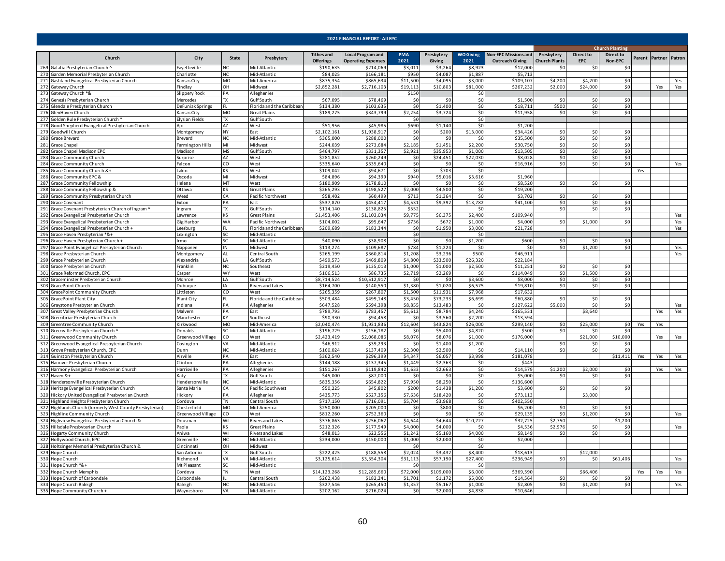|     | 2021 FINANCIAL REPORT - All EPC                                                                    |                               |                         |                                   |                                       |                                                       |                   |                      |                          |                                                       |                                    |                                |                             |     |                       |     |
|-----|----------------------------------------------------------------------------------------------------|-------------------------------|-------------------------|-----------------------------------|---------------------------------------|-------------------------------------------------------|-------------------|----------------------|--------------------------|-------------------------------------------------------|------------------------------------|--------------------------------|-----------------------------|-----|-----------------------|-----|
|     |                                                                                                    |                               |                         |                                   |                                       |                                                       |                   |                      |                          |                                                       |                                    |                                | <b>Church Planting</b>      |     |                       |     |
|     | Church                                                                                             | City                          | State                   | Presbytery                        | <b>Tithes and</b><br><b>Offerings</b> | <b>Local Program and</b><br><b>Operating Expenses</b> | PMA<br>2021       | Presbytery<br>Giving | <b>WO Giving</b><br>2021 | <b>Non-EPC Missions and</b><br><b>Outreach Giving</b> | Presbytery<br><b>Church Plants</b> | <b>Direct to</b><br><b>EPC</b> | <b>Direct to</b><br>Non-EPC |     | Parent Partner Patron |     |
|     | 269 Galatia Presbyterian Church                                                                    | Fayetteville                  | NC.                     | Mid-Atlantic                      | \$190,635                             | \$214,069                                             | \$3,011           | \$3,264              | \$8,923                  | \$12,000                                              | \$0                                | \$0                            | -SC                         |     |                       |     |
|     | 270 Garden Memorial Presbyterian Church                                                            | Charlotte                     | NC                      | Mid-Atlantic                      | \$84,025                              | \$166,181                                             | \$950             | \$4,087              | \$1,887                  | \$5,713                                               |                                    |                                |                             |     |                       |     |
|     | 271 Gashland Evangelical Presbyterian Church                                                       | ansas City                    | MO                      | Mid-America                       | \$875,354                             | \$865,634                                             | \$11,500          | \$4,095              | \$3,000                  | \$109,107                                             | \$4,200                            | \$4,200                        | \$0                         |     |                       | Yes |
|     | 272 Gateway Church<br>273 Gateway Church *&                                                        | indlay<br>lippery Rock        | DН<br>PA                | Midwest<br>Alleghenies            | \$2,852,281                           | \$2,716,103                                           | \$19,113<br>\$150 | \$10,803             | \$81,000<br>\$0          | \$267,232                                             | \$2,000                            | \$24,000                       | \$0                         |     | Yes                   | Yes |
|     | 274 Genesis Presbyterian Church                                                                    | Mercedes                      | <b>TX</b>               | Gulf South                        | \$67.095                              | \$78,469                                              | \$0               | \$0                  | \$0                      | \$1,500                                               | \$0                                | \$0                            | \$0                         |     |                       |     |
|     | 275 Glendale Presbyterian Church                                                                   | DeFuniak Springs              |                         | Florida and the Caribbear         | \$134,380                             | \$103,63                                              | \$0               | \$1,400              | \$0                      | \$18,711                                              | \$500                              | \$0                            | \$0                         |     |                       |     |
|     | 276 GlenHaven Church                                                                               | Kansas City                   | <b>MO</b>               | Great Plains                      | \$189,275                             | \$343,799                                             | \$2,254           | \$3,724              | \$0                      | \$11,958                                              | \$0                                | 50                             | \$0                         |     |                       |     |
|     | 277 Golden Rule Presbyterian Church *                                                              | Elysian Fields                | TX                      | Gulf South                        |                                       |                                                       | \$0               |                      | \$0                      |                                                       |                                    |                                |                             |     |                       |     |
|     | 278 Good Shepherd Evangelical Presbyterian Church                                                  |                               | AZ                      | West                              | \$51,956                              | \$45,98                                               | \$690             | \$1,140              | \$0                      | \$1,200                                               |                                    |                                |                             |     |                       |     |
|     | 279 Goodwill Church                                                                                | Montgomery                    | NY                      | East                              | \$2,102,161                           | \$1,938,91                                            | \$0               | \$200                | \$13,000                 | \$34,426                                              | \$0                                | \$0                            | \$0                         |     |                       |     |
|     | 280 Grace Brevard                                                                                  | 3revard                       | NC                      | Mid-Atlantic                      | \$365,000                             | \$288,00                                              | \$0               | \$0                  | \$0                      | \$35,500                                              | \$0                                | \$0                            | \$0                         |     |                       |     |
|     | 281 Grace Chapel                                                                                   | armington Hills               | $\overline{\mathsf{M}}$ | Midwest                           | \$244.03                              | \$273.684                                             | \$2.185           | \$1.451              | \$2,200                  | \$30.750                                              | \$0                                | \$0                            | 50                          |     |                       |     |
|     | 282 Grace Chapel Madison EPC                                                                       | Madison                       | <b>MS</b>               | Gulf South                        | \$464,797                             | \$331,35                                              | \$2.921           | \$35,953             | \$1.000                  | \$13,50                                               | \$0                                | \$0                            | \$0                         |     |                       |     |
|     | 283 Grace Community Church                                                                         | Surprise                      | AZ                      | West                              | \$281,852                             | \$260,249                                             | \$0               | \$24,451             | \$22,030                 | \$8,028                                               | \$0                                | \$0                            | \$0                         |     |                       |     |
|     | 284 Grace Community Church                                                                         | Falcon                        | CO                      | West                              | \$335,640                             | \$335,640                                             | \$0               | \$0                  | \$0                      | \$16,916                                              | \$0                                | \$0                            | \$0                         |     |                       | Yes |
|     | 285 Grace Community Church &+                                                                      | .akin                         | ΚS<br>MI                | West                              | \$109,042<br>\$84,896                 | \$94,671<br>\$94,399                                  | \$0<br>\$940      | \$703<br>\$5,016     | \$0<br>\$3,616           | \$1,960                                               |                                    |                                |                             | Yes |                       |     |
| 286 | Grace Community EPC &<br>287 Grace Community Fellowship                                            | Oscoda<br>Helena              | MT                      | Midwest<br>West                   | \$180.909                             | \$178.810                                             | \$0               | \$0                  | \$0                      | \$8.520                                               | \$0                                | \$0                            | \$0                         |     |                       |     |
|     | 288 Grace Community Fellowship &                                                                   | Ottawa                        | ۲S.                     | Great Plains                      | \$265,293                             | \$198,527                                             | \$2,000           | \$4,500              | \$0                      | \$19,200                                              |                                    |                                |                             |     |                       |     |
|     | 289 Grace Community Presbyterian Church                                                            | Need                          | СA                      | Pacific Northwest                 | \$58,402                              | \$60,499                                              | \$713             | \$1,364              | \$0                      | \$3,702                                               | \$0                                | \$0                            | \$0                         |     |                       |     |
|     | 290 Grace Covenant                                                                                 | Exton                         | PA                      | East                              | \$537,870                             | \$454,417                                             | \$4,531           | \$9,392              | \$13,782                 | \$41,100                                              | \$0                                | \$0                            | \$0                         |     |                       |     |
|     | 291 Grace Covenant Presbyterian Church of Ingram ^                                                 | Ingram                        | TX.                     | Gulf South                        | \$114,140                             | \$138,825                                             | \$552             |                      | \$0                      |                                                       | \$0                                | \$0                            | \$0                         |     |                       |     |
|     | 292 Grace Evangelical Presbyterian Church                                                          | Lawrence                      | KS.                     | <b>Great Plains</b>               | \$1,453,406                           | \$1,103,034                                           | \$9,775           | \$6,375              | \$2,400                  | \$109,940                                             |                                    |                                |                             |     |                       | Yes |
|     | 293 Grace Evangelical Presbyterian Church                                                          | Gig Harbor                    | WA                      | Pacific Northwest                 | \$104,002                             | \$95,64                                               | \$736             | \$672                | \$1,000                  | \$4,000                                               | \$0                                | \$1,000                        | \$0                         |     |                       | Yes |
|     | 294 Grace Evangelical Presbyterian Church +                                                        | Leesbura                      |                         | Florida and the Caribbear         | \$209,689                             | \$183,344                                             | \$0               | \$1,950              | \$3,000                  | \$21,728                                              |                                    |                                |                             |     |                       | Yes |
|     | 295 Grace Haven Presbyterian *&+                                                                   | exington                      | SC.                     | Mid-Atlantic                      |                                       |                                                       | \$0               |                      | \$0                      |                                                       |                                    |                                |                             |     |                       |     |
|     | 296 Grace Haven Presbyterian Church +                                                              | Irmo                          | SC                      | Mid-Atlantic                      | \$40,090                              | \$38,908                                              | \$0               | \$0                  | \$1,200                  | \$600                                                 | \$0                                | \$0                            | \$0                         |     |                       |     |
|     | 297 Grace Point Evangelical Presbyterian Church                                                    | Nappanee                      | ΙN                      | Midwest                           | \$113,274                             | \$109,687                                             | \$784             | \$1,224              | \$0                      | \$0                                                   | \$0                                | \$1,200                        | \$0                         |     |                       | Yes |
|     | 298 Grace Presbyterian Church                                                                      | Montgomery                    |                         | Central South                     | \$265,199                             | \$360,81                                              | \$1,208           | \$3,236              | \$500                    | \$46,91:                                              |                                    |                                |                             |     |                       | Yes |
|     | 299 Grace Presbyterian Church                                                                      | lexandria                     | I A                     | Gulf South                        | \$499.57                              | \$469,809                                             | \$4.800           | \$33,500             | \$26,320                 | \$22.184                                              |                                    |                                |                             |     |                       |     |
|     | 300 Grace Presbyterian Church                                                                      | ranklin                       | ЧC.                     | Southeast                         | \$219.450                             | \$135,013                                             | \$1.000           | \$1,000              | \$2,500                  | \$11,25                                               | \$0                                | \$0                            | \$0                         |     |                       |     |
|     | 301 Grace Reformed Church, EPC                                                                     | Casper                        | <b>WY</b>               | West                              | \$106.513                             | \$86,735                                              | \$2,719           | \$2,269              | \$0                      | \$114.049                                             | \$0                                | \$1,500                        | \$0                         |     |                       |     |
|     | 302 Graceminster Presbyterian Church<br>303 GracePoint Church                                      | Monroe                        | I A<br>ΙA               | Gulf South                        | \$8,714,524<br>\$164,700              | \$10,512,917<br>\$140,550                             | \$0<br>\$1,380    | \$0                  | \$3,600                  | \$8,000<br>\$19,810                                   | \$0<br>\$0                         | \$0<br>\$0                     | \$0<br>\$0                  |     |                       |     |
|     | 304 GracePoint Community Church                                                                    | Dubuque<br>Littleton          | CO                      | Rivers and Lakes<br>West          | \$265,359                             | \$267,807                                             | \$1,500           | \$1,020<br>\$11,931  | \$6,575<br>\$7,968       | \$17,632                                              |                                    |                                |                             |     |                       |     |
|     | 305 GracePoint Plant City                                                                          | Plant City                    |                         | Florida and the Caribbear         | \$503,484                             | \$499,148                                             | \$3,450           | \$73,233             | \$6,699                  | \$60,880                                              | \$0                                | \$0                            | \$0                         |     |                       |     |
|     | 306 Graystone Presbyterian Church                                                                  | Indiana                       | PA                      | Alleghenies                       | \$647,528                             | \$594,398                                             | \$8,855           | \$13,483             | \$0                      | \$127,622                                             | \$5,000                            | \$0                            | \$0                         |     |                       | Yes |
|     | 307 Great Valley Presbyterian Church                                                               | Malvern                       | PA                      | East                              | \$789,793                             | \$783,45                                              | \$5,612           | \$8,784              | \$4,240                  | \$165,533                                             |                                    | \$8,640                        |                             |     | Yes                   | Yes |
| 308 | Greenbriar Presbyterian Church                                                                     | Mancheste                     | KY                      | Southeast                         | \$90,330                              | \$94,45                                               | \$0               | \$3,560              | \$2,200                  | \$13,594                                              |                                    |                                |                             |     |                       |     |
|     | 309 Greentree Community Church                                                                     | irkwood                       | M <sub>O</sub>          | Mid-America                       | \$2,040,474                           | \$1,931,836                                           | \$12,604          | \$43,824             | \$26,000                 | \$299,140                                             | \$0                                | \$25,000                       | \$0                         | Yes | Yes                   |     |
|     | 310 Greenville Presbyterian Church                                                                 | Donalds                       | SC                      | Mid-Atlantic                      | \$196,729                             | \$156,182                                             | \$0               | \$5,400              | \$4,820                  | \$500                                                 | \$0                                | \$0                            | \$0                         |     |                       |     |
|     | 311 Greenwood Community Church                                                                     | Greenwood Village             | CO                      | West                              | \$2,423,419                           | \$2,068,086                                           | \$8,076           | \$8,076              | \$1,000                  | \$176,000                                             |                                    | \$21,000                       | \$10,000                    |     | Yes                   | Yes |
|     | 312 Greenwood Evangelical Presbyterian Church                                                      | Covington                     | VA                      | Mid-Atlantic                      | \$46,912                              | \$39,29                                               | \$0               | \$1,400              | \$1,200                  |                                                       | \$0                                | \$0                            | \$0                         |     |                       |     |
|     | 313 Grove Presbyterian Church, EPC                                                                 | Junn                          | NC                      | Mid-Atlantic                      | \$160,024                             | \$137,409                                             | \$2,300           | \$2,500              | \$0                      | \$14,110                                              | \$0                                | \$0                            | \$0                         |     |                       |     |
|     | 314 Guinston Presbyterian Church                                                                   | Airville                      | PА                      | Fast                              | \$362.540                             | \$296.399                                             | \$4.347           | \$6.057              | \$3,998                  | \$181.078                                             |                                    |                                | \$11,411                    | Yes | Yes                   | Yes |
|     | 315 Hanover Presbyterian Church                                                                    | linton                        | PA                      | Alleghenies                       | \$144.188                             | \$137,345                                             | \$1.449           | \$2,363              | \$0                      | \$443                                                 |                                    |                                |                             |     |                       |     |
|     | 316 Harmony Evangelical Presbyterian Church                                                        | Harrisville                   | PA                      | Alleghenies                       | \$151,267                             | \$119,842                                             | \$1,633           | \$2,663              | \$0                      | \$14,579                                              | \$1,200                            | \$2,000                        | \$0                         |     | Yes                   | Yes |
|     | 317 Haven &+                                                                                       | Katy                          | TX.                     | Gulf South                        | \$45,000                              | \$87,000                                              | \$0               | \$0                  | \$0                      | \$5,000                                               | \$0                                | \$0                            | \$0                         |     |                       |     |
|     | 318 Hendersonville Presbyterian Church                                                             | Hendersonville<br>Santa Maria | ΝC<br>CA                | Mid-Atlantic<br>Pacific Southwest | \$835,356<br>\$50,225                 | \$654,822<br>\$45,80                                  | \$7,950<br>\$200  | \$8,250<br>\$1,438   | \$0<br>\$1,200           | \$136,600                                             | \$0                                | \$0                            | \$0                         |     |                       |     |
|     | 319 Heritage Evangelical Presbyterian Church<br>320 Hickory United Evangelical Presbyterian Church | Hickory                       | PА                      | Alleghenies                       | \$435,773                             | \$527,356                                             | \$7,636           | \$18,420             | \$0                      | \$3,600<br>\$73,113                                   |                                    | \$3,000                        |                             |     |                       |     |
|     | 321 Highland Heights Presbyterian Church                                                           | Cordova                       | TN                      | Central South                     | \$717,150                             | \$716,09                                              | \$5,704           | \$3,968              | \$0                      | \$402,550                                             |                                    |                                |                             |     |                       |     |
|     | 322 Highlands Church (formerly West County Presbyterian)                                           | Chesterfield                  | MO                      | Mid-America                       | \$250,000                             | \$205,000                                             | \$0               | \$800                | \$0                      | \$6,200                                               | \$0                                | \$0                            | \$0                         |     |                       |     |
|     | 323 Highline Community Church                                                                      | Greenwood Village             | CO                      | West                              | \$812,260                             | \$752,360                                             | \$0               | -SO                  | \$0                      | \$29,135                                              | \$0                                | \$1,200                        | \$0                         |     |                       | Yes |
|     | 324 Highview Evangelical Presbyterian Church &                                                     | Dousman                       | W١                      | Rivers and Lakes                  | \$376,863                             | \$256,062                                             | \$4.644           | \$4,644              | \$10,727                 | \$32,725                                              | \$2,750                            |                                | \$1,200                     |     |                       |     |
|     | 325 Hillsdale Presbyterian Church                                                                  | Paola                         | KS.                     | Great Plains                      | \$212,32                              | \$177,549                                             | \$4,000           | \$4,000              | \$C                      | \$4,536                                               | \$2,976                            | \$0                            | \$0                         |     |                       | Yes |
|     | 326 Hogarty Community Church                                                                       | Aniwa                         | WI                      | Rivers and Lakes                  | \$48,013                              | \$23,556                                              | \$1.242           | \$5,160              | \$4,000                  | \$8,149                                               | \$0                                | \$0                            | \$0                         |     |                       |     |
|     | 327 Hollywood Church, EPC                                                                          | ireenville                    | NC.                     | Mid-Atlantic                      | \$234,000                             | \$150,000                                             | \$1,000           | \$2,000              | \$0                      | \$2,000                                               |                                    |                                |                             |     |                       |     |
|     | 328 Holtsinger Memorial Presbyterian Church &                                                      | Cincinnati                    | OН                      | Midwest                           |                                       |                                                       | \$0               |                      | \$0                      |                                                       |                                    |                                |                             |     |                       |     |
|     | 329 Hope Church                                                                                    | San Antonio                   | ГX                      | Gulf South                        | \$222,425                             | \$188,558                                             | \$2,024           | \$3,432              | \$8,400                  | \$18,613                                              |                                    | \$12,000                       |                             |     |                       |     |
|     | 330 Hope Church                                                                                    | <b>kichmond</b>               | VA                      | Mid-Atlantic                      | \$3,125,614                           | \$3,354,304                                           | \$31,113          | \$57,190             | \$27,400                 | \$236,949                                             | \$0                                | \$0                            | \$61,406                    |     |                       | Yes |
|     | 331 Hope Church *&+                                                                                | Mt Pleasant                   | SC.                     | Mid-Atlantic                      |                                       |                                                       | \$0               |                      | \$0                      |                                                       |                                    |                                |                             |     |                       |     |
|     | 332 Hope Church Memphis                                                                            | Cordova                       | TN                      | West                              | \$14,123,268                          | \$12,285,660                                          | \$72,000          | \$109,000            | \$6,000                  | \$369,590                                             |                                    | \$66,406                       |                             | Yes | Yes                   | Yes |
|     | 333 Hope Church of Carbondale                                                                      | Carbondale                    |                         | Central South                     | \$262,438                             | \$182,243                                             | \$1,701           | \$1,172              | \$5,000                  | \$14,564                                              | \$0                                | \$0                            | \$0                         |     |                       |     |
|     | 334 Hope Church Raleigh                                                                            | Raleigh                       | NC                      | Mid-Atlantic                      | \$327,546                             | \$265,450                                             | \$1,35            | \$5,167              | \$1,000                  | \$2,805                                               | \$0                                | \$1,200                        | \$0                         |     |                       | Yes |
|     | 335 Hope Community Church +                                                                        | Waynesboro                    | VA                      | Mid-Atlantic                      | \$202,162                             | \$216.024                                             | 50                | \$2,000              | \$4.838                  | \$10.646                                              |                                    |                                |                             |     |                       |     |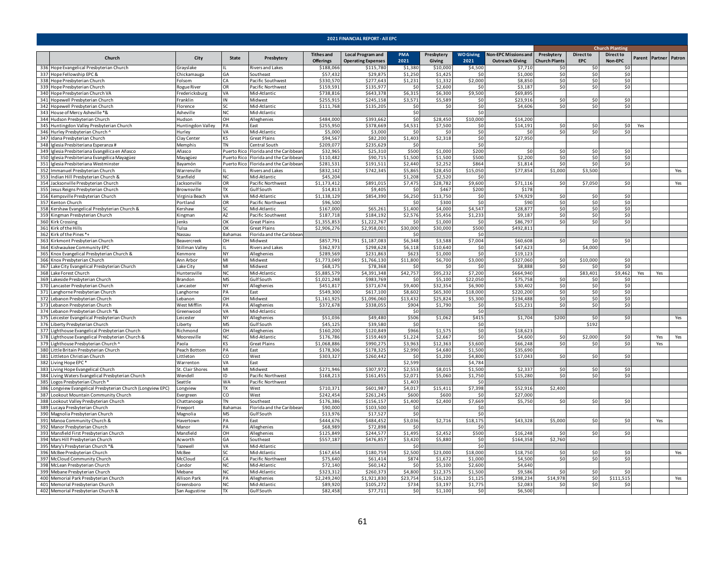|     | 2021 FINANCIAL REPORT - All EPC                                          |                                 |                |                                       |                                       |                                                       |                    |                      |                          |                                                       |                                    |                                |                             |     |                       |     |
|-----|--------------------------------------------------------------------------|---------------------------------|----------------|---------------------------------------|---------------------------------------|-------------------------------------------------------|--------------------|----------------------|--------------------------|-------------------------------------------------------|------------------------------------|--------------------------------|-----------------------------|-----|-----------------------|-----|
|     |                                                                          |                                 |                |                                       |                                       |                                                       |                    |                      |                          |                                                       |                                    |                                | <b>Church Planting</b>      |     |                       |     |
|     | Church                                                                   | City                            | State          | Presbytery                            | <b>Tithes and</b><br><b>Offerings</b> | <b>Local Program and</b><br><b>Operating Expenses</b> | <b>PMA</b><br>2021 | Presbytery<br>Giving | <b>WO Giving</b><br>2021 | <b>Non-EPC Missions and</b><br><b>Outreach Giving</b> | Presbytery<br><b>Church Plants</b> | <b>Direct to</b><br><b>EPC</b> | <b>Direct to</b><br>Non-EPC |     | Parent Partner Patron |     |
| 336 | Hope Evangelical Presbyterian Church                                     | Grayslake                       |                | <b>Rivers and Lakes</b>               | \$188,066                             | \$115.780                                             | \$1,380            | \$10,000             | \$4,500                  | \$7.71                                                | \$0                                | \$0                            |                             |     |                       |     |
| 337 | Hope Fellowship EPC &                                                    | Chickamauga                     | GА             | Southeast                             | \$57,432                              | \$29,87                                               | \$1,250            | \$1,425              | SO                       | \$1,000                                               | \$0                                | \$0                            | \$0                         |     |                       |     |
|     | 338 Hope Presbyterian Church                                             | Folsom                          | CA.            | Pacific Southwest                     | \$330,570                             | \$277,643                                             | \$1,231            | \$1,332              | \$2,000                  | \$8,850                                               | \$0                                | \$0                            | \$0                         |     |                       |     |
|     | 339 Hope Presbyterian Church                                             | Rogue River                     | OR             | Pacific Northwest                     | \$159,591                             | \$135,977                                             | S0                 | \$2,600              | Ś0                       | \$3,187                                               | \$0                                | \$0                            | \$0                         |     |                       |     |
|     | 340 Hope Presbyterian Church VA<br>341 Hopewell Presbyterian Church      | Fredericksburg<br>Franklin      | VA<br>ΙN       | Mid-Atlantic<br>Midwest               | \$738,816<br>\$255,91                 | \$643,378<br>\$245,158                                | \$6,315<br>\$3,571 | \$6,300<br>\$5,589   | \$9,500<br>\$0           | \$69,89<br>\$23.91                                    | \$0                                | \$0                            | \$0                         |     |                       |     |
|     | 342 Hopewell Presbyterian Church                                         | Florence                        | SC.            | Mid-Atlantic                          | \$111.768                             | \$135,205                                             | \$0                | \$0                  | \$0                      | \$4,606                                               | \$0                                | \$0                            | \$0                         |     |                       |     |
|     | 343 House of Mercy Asheville *&                                          | Asheville                       | NC.            | Mid-Atlantic                          |                                       |                                                       | \$0                |                      | \$0                      |                                                       |                                    |                                |                             |     |                       |     |
|     | 344 Hudson Presbyterian Church                                           | Hudson                          | OH             | Alleghenies                           | \$484,000                             | \$393,662                                             | \$0                | \$28,450             | \$10,000                 | \$14,200                                              |                                    |                                |                             |     |                       |     |
|     | 345 Huntingdon Valley Presbyterian Church                                | Huntingdon Valley               | PA             | East                                  | \$255,950                             | \$378,669                                             | \$4,531            | \$7,500              | \$0                      | \$14,191                                              | \$0                                | 50                             | 50                          | Yes |                       |     |
|     | 346 Hurley Presbyterian Church ^                                         | Hurlev                          | VA             | Mid-Atlantic                          | \$5,000                               | \$3,000                                               | \$0                | \$0                  | \$0                      | -SC                                                   | \$0                                | 50                             | \$0                         |     |                       |     |
|     | 347 Idana Presbyterian Church                                            | Clay Center                     | κs             | Great Plains                          | \$94.567                              | \$82,200                                              | \$1,403            | \$2,318              | \$0                      | \$27,950                                              |                                    |                                |                             |     |                       |     |
|     | 348 Iglesia Presbiteriana Esperanza #                                    | Memphis                         | <b>TN</b>      | Central South                         | \$209,077                             | \$235,62                                              | \$0                |                      | \$0                      |                                                       |                                    |                                |                             |     |                       |     |
|     | 349 Iglesia Presbiteriana Evangélica en Añasco                           | Añasco                          | Puerto Rico    | Florida and the Caribbear             | \$32,965                              | \$25,310                                              | \$500              | \$1,000              | \$200                    | <b>SC</b>                                             | \$0                                | \$0                            | \$0                         |     |                       |     |
|     | 350 Iglesia Presbiteriana Evangélica Mayagüez                            | Mayagüez                        |                | Puerto Rico Florida and the Caribbear | \$110,482                             | \$90,715                                              | \$1,500            | \$1,500              | \$500                    | \$2,200                                               | \$0                                | \$0                            | \$0                         |     |                       |     |
|     | 351 Iglesia Presbiteriana Westminster                                    | Bayamón                         |                | Puerto Rico Florida and the Caribbear | \$281,531                             | \$191,511                                             | \$2,440            | \$2,252              | \$864                    | \$1,814                                               | \$0                                | \$0                            | \$0                         |     |                       |     |
|     | 352 Immanuel Presbyterian Church                                         | Warrenville                     |                | Rivers and Lakes                      | \$832,142                             | \$742,345                                             | \$5,865            | \$28,450             | \$15,050                 | \$77,854                                              | \$1,000                            | \$3,500                        |                             |     |                       | Yes |
|     | 353 Indian Hill Presbyterian Church &                                    | Stanfield                       | NC.            | Mid-Atlantic                          | \$45,204<br>\$1,173,412               | \$891,015                                             | \$1,208            | \$2,520              | \$0<br>\$9,600           | \$71,116                                              | \$0                                | \$7,050                        |                             |     |                       |     |
| 354 | Jacksonville Presbyterian Church<br>355 Jesus Reigns Presbyterian Church | acksonville<br>Brownsville      | OR<br>TX       | Pacific Northwest<br>Gulf South       | \$14,813                              | \$9,405                                               | \$7,475<br>\$0     | \$28,782<br>\$467    | \$200                    | \$178                                                 |                                    |                                | \$0                         |     |                       | Yes |
| 356 | Kempsville Presbyterian Church                                           | /irginia Beach                  | VA             | Mid-Atlantic                          | \$1,138,129                           | \$854,390                                             | \$6,250            | \$13,750             | \$0                      | \$74,929                                              | \$0                                | \$0                            | \$0                         |     |                       |     |
|     | 357 Kenton Church                                                        | Portland                        | OR             | Pacific Northwest                     | \$96,500                              |                                                       | \$0                | \$300                | \$0                      | \$90                                                  | \$0                                | \$0                            | 50                          |     |                       |     |
|     | 358 Kershaw Evangelical Presbyterian Church &                            | Kershaw                         | SC             | Mid-Atlantic                          | \$167,000                             | \$65,261                                              | \$1,400            | \$4,000              | \$4,547                  | \$28,877                                              | \$0                                | \$0                            | \$0                         |     |                       |     |
|     | 359 Kingman Presbyterian Church                                          | Kingman                         | AZ             | Pacific Southwest                     | \$187,718                             | \$184,192                                             | \$2,576            | \$5,456              | \$1,233                  | \$9,187                                               | \$0                                | \$0                            | \$0                         |     |                       |     |
|     | 360 Kirk Crossing                                                        | Jenks                           | ОК             | Great Plains                          | \$1,355,85                            | \$1,222,767                                           | -SC                | \$1,000              | \$0                      | \$86,79                                               | \$0                                | 50 <sup>1</sup>                | \$0                         |     |                       |     |
|     | 361 Kirk of the Hills                                                    | Tulsa                           | OK             | <b>Great Plains</b>                   | \$2,906,276                           | \$2,958,001                                           | \$30,000           | \$30,000             | \$500                    | \$492,81                                              |                                    |                                |                             |     |                       |     |
|     | 362 Kirk of the Pines*+                                                  | Nassau                          | <b>Bahamas</b> | Florida and the Caribbear             |                                       |                                                       | \$0                |                      | \$0                      |                                                       |                                    |                                |                             |     |                       |     |
|     | 363 Kirkmont Presbyterian Church                                         | Beavercreek                     | OH             | Midwest                               | \$857,791                             | \$1,187,083                                           | \$6.348            | \$3.588              | \$7,004                  | \$60,608                                              | 50                                 | \$0                            | \$0                         |     |                       |     |
|     | 364 Kishwaukee Community EPC                                             | Stillman Valley                 |                | Rivers and Lakes                      | \$362,973                             | \$298,628                                             | \$6,118            | \$10,640             | \$0                      | \$47,623                                              |                                    | \$4,000                        |                             |     |                       |     |
|     | 365 Knox Evangelical Presbyterian Church &                               | Kenmore                         | <b>NY</b>      | Alleghenies                           | \$289,569                             | \$231,863                                             | \$623              | \$1,000              | \$0                      | \$19,123                                              |                                    |                                |                             |     |                       |     |
|     | 366 Knox Presbyterian Church                                             | Ann Arbor                       | MI             | Midwest                               | \$1,773,049                           | \$1,766,130                                           | \$11,800           | \$6,700              | \$3,000                  | \$327,060                                             | \$0                                | \$10,000                       | ۹r<br>Ś٢                    |     |                       |     |
| 367 | Lake City Evangelical Presbyterian Church<br>368 Lake Forest Church      | ake City<br><b>luntersville</b> | MI<br>NC       | Midwest<br>Mid-Atlantic               | \$68,175<br>\$5,885,579               | \$78,368<br>\$4,391,348                               | \$<br>\$42,757     | \$0<br>\$95,232      | \$ſ<br>\$7,200           | \$8,88<br>\$664,940                                   | \$0                                | \$0<br>\$83,401                |                             |     | Yes                   |     |
|     | 369 Lakeside Presbyterian Church                                         | Brandon                         | <b>MS</b>      | <b>Gulf</b> South                     | \$1,021,248                           | \$983,769                                             | $\mathsf{S}$       | \$5,100              | \$22,050                 | \$75,758                                              | \$0                                | \$0                            | \$9,462<br>\$0              | Yes |                       |     |
|     | 370 Lancaster Presbyterian Church                                        | Lancaster                       | <b>NY</b>      | Alleghenies                           | \$451,817                             | \$371,674                                             | \$9,400            | \$32,354             | \$6,900                  | \$30,402                                              | \$0                                | \$0                            | \$0                         |     |                       |     |
|     | 371 Langhorne Presbyterian Church                                        | Langhorne                       | PA             | East                                  | \$549,300                             | \$617,100                                             | \$8,602            | \$65,300             | \$18,000                 | \$220,200                                             | \$0                                | \$0                            | \$0                         |     |                       |     |
|     | 372 Lebanon Presbyterian Church                                          | Lebanon                         | OH             | Midwest                               | \$1,161,925                           | \$1,096,060                                           | \$13,432           | \$25,824             | \$5,300                  | \$194,488                                             | \$0                                | \$0                            | \$0                         |     |                       |     |
|     | 373 Lebanon Presbyterian Church                                          | West Mifflin                    | PA             | Alleghenies                           | \$372,678                             | \$338,055                                             | \$904              | \$1,790              | \$0                      | \$15,231                                              | \$0                                | \$0                            | \$0                         |     |                       |     |
|     | 374 Lebanon Presbyterian Church *&                                       | Greenwood                       | VA             | Mid-Atlantic                          |                                       |                                                       | \$0                |                      | \$0                      |                                                       |                                    |                                |                             |     |                       |     |
|     | 375 Leicester Evangelical Presbyterian Church                            | Leicester                       | <b>NY</b>      | Alleghenies                           | \$51.036                              | \$49,480                                              | \$506              | \$1,062              | \$415                    | \$1.704                                               | \$200                              | \$0                            | \$0                         |     |                       | Yes |
| 376 | Liberty Presbyterian Church                                              | iberty                          | <b>MS</b>      | Gulf South                            | \$45,125                              | \$39,580                                              | \$0                |                      | \$0                      |                                                       |                                    | \$192                          |                             |     |                       |     |
| 377 | Lighthouse Evangelical Presbyterian Church                               | Richmond                        | OH             | Alleghenies                           | \$160,200                             | \$120,849                                             | \$966              | \$1,575              | \$0                      | \$18,623                                              |                                    |                                |                             |     |                       |     |
|     | 378 Lighthouse Evangelical Presbyterian Church &                         | Mooresville                     | <b>NC</b>      | Mid-Atlantic                          | \$176,786                             | \$159,469                                             | \$1,224            | \$2,667              | \$0                      | \$4,600                                               | \$0                                | \$2,000                        | \$0                         |     | Yes                   | Yes |
|     | 379 Lighthouse Presbyterian Church '                                     | aola                            | <b>KS</b>      | <b>Great Plains</b>                   | \$1,068,886                           | \$990,275                                             | \$3,963            | \$12,363             | \$3,600                  | \$66,248                                              | \$0                                | \$0                            | \$0                         |     | Yes                   |     |
|     | 380 Little Britain Presbyterian Church                                   | Peach Bottom<br>ittleton        | PA<br>CO       | East<br>West                          | \$178,306<br>\$303,327                | \$178,32                                              | \$2,990            | \$4,680              | \$1,500<br>\$4,800       | \$35,69                                               |                                    |                                | \$0                         |     |                       |     |
|     | 381 Littleton Christian Church<br>382 Living Hope EPC*                   | Warrenton                       | VA             | Fast                                  |                                       | \$260,442                                             | \$0<br>\$2,599     | \$1,200              | \$4,784                  | \$17,043                                              | \$0                                | \$0                            |                             |     |                       |     |
|     | 383 Living Hope Evangelical Church                                       | St. Clair Shores                | MI             | Midwest                               | \$271,946                             | \$307,972                                             | \$2,553            | \$8,015              | \$1,500                  | \$2,337                                               | \$0                                | \$0                            | \$0                         |     |                       |     |
|     | 384 Living Waters Evangelical Presbyterian Church                        | Wendell                         | ID             | Pacific Northwest                     | \$168,213                             | \$161,455                                             | \$2,071            | \$5,060              | \$1,750                  | \$15,280                                              | - \$0                              | \$0                            | \$0                         |     |                       |     |
|     | 385 Logos Presbyterian Church *                                          | Seattle                         | WA             | Pacific Northwest                     |                                       |                                                       | \$1,403            |                      | \$0                      |                                                       |                                    |                                |                             |     |                       |     |
|     | 386 Longview Evangelical Presbyterian Church (Longview EPC)              | Longview                        | TX             | West                                  | \$710,371                             | \$601,987                                             | \$4,017            | \$15,411             | \$7,398                  | \$52,916                                              | \$2,400                            |                                |                             |     |                       |     |
|     | 387 Lookout Mountain Community Church                                    | Evergreer                       | CO             | West                                  | \$242,454                             | \$261,24                                              | \$600              | \$600                | -SO                      | \$27,000                                              |                                    |                                |                             |     |                       |     |
|     | 388 Lookout Valley Presbyterian Church                                   | Chattanooga                     | TN             | Southeast                             | \$176,386                             | \$156,157                                             | \$1,400            | \$2,400              | \$7,669                  | \$5,750                                               | \$0                                | \$0                            | \$C                         |     |                       |     |
|     | 389 Lucaya Presbyterian Church                                           | reeport                         | Bahamas        | Florida and the Caribbear             | \$90,000                              | \$103,500                                             | \$0                |                      | \$0                      |                                                       |                                    |                                |                             |     |                       |     |
|     | 390 Magnolia Presbyterian Church                                         | Magnolia                        | <b>MS</b>      | Gulf South                            | \$13,976                              | \$17,527                                              | \$0                |                      | \$0                      |                                                       |                                    |                                |                             |     |                       |     |
|     | 391 Manoa Community Church &                                             | Havertown                       | PA             | East                                  | \$444,676                             | \$484,452                                             | \$3,036            | \$2,716              | \$18,175                 | \$43,328                                              | \$5,000                            | \$0                            | \$0                         |     | Yes                   |     |
|     | 392 Manor Presbyterian Church                                            | Manor                           | PA             | Alleghenies                           | \$68,989                              | \$72,898                                              | $\mathsf{S}$       |                      | Ś0                       |                                                       |                                    |                                |                             |     |                       |     |
|     | 393 Mansfield First Presbyterian Church                                  | Mansfiel d                      | OH             | Alleghenies                           | \$125,849                             | \$244,577                                             | \$1,495            | \$2,452<br>\$5,880   | \$500                    | \$16,24                                               | \$0                                | \$0                            | \$0                         |     |                       |     |
|     | 394 Mars Hill Presbyterian Church<br>395 Mary's Presbyterian Church *&   | Acworth<br><b>Tazewell</b>      | GА<br>VA       | Southeast<br>Mid-Atlantic             | \$557,187                             | \$476,857                                             | \$3,420<br>SO      |                      | \$0<br>\$0               | \$164,358                                             | \$2,760                            |                                |                             |     |                       |     |
|     | 396 McBee Presbyterian Church                                            | McBee                           | 72             | Mid-Atlantic                          | \$167,654                             | \$180,759                                             | \$2,500            | \$23,000             | \$18,000                 | \$18,750                                              | \$0                                | \$0                            | \$0                         |     |                       | Yes |
|     | 397 McCloud Community Church                                             | McCloud                         | ĩА             | Pacific Northwest                     | \$75,640                              | \$61,414                                              | \$874              | \$1,672              | \$1,000                  | \$4,500                                               | \$0                                | \$0                            | 50                          |     |                       |     |
|     | 398 McLean Presbyterian Church                                           | Candor                          | NC.            | Mid-Atlantic                          | \$72,140                              | \$60,142                                              | \$0                | \$5,100              | \$2,600                  | \$4,640                                               |                                    |                                |                             |     |                       |     |
|     | 399 Mebane Presbyterian Church                                           | Mebane                          | NC.            | Mid-Atlantic                          | \$323,312                             | \$260,37                                              | \$4,800            | \$12,375             | \$1,500                  | \$9,586                                               | \$0                                | \$0                            |                             |     |                       |     |
|     | 400 Memorial Park Presbyterian Church                                    | Allison Par                     | PA             | Alleghenies                           | \$2,249,240                           | \$1,921,83                                            | \$23,754           | \$16,120             | \$1,125                  | \$398,234                                             | \$14,978                           | \$0                            | \$111,51                    |     |                       | Yes |
|     | 401 Memorial Presbyterian Church                                         | Greensboro                      | NC             | Mid-Atlantic                          | \$89,920                              | \$105,272                                             | \$734              | \$3,197              | \$1,775                  | \$2,083                                               | \$0                                | \$0                            | \$0                         |     |                       |     |
|     | 402 Memorial Presbyterian Church &                                       | San Augustine                   | $\overline{R}$ | <b>Gulf South</b>                     | \$82,458                              | \$77,711                                              | 50                 | \$1,100              | $\overline{50}$          | \$6,500                                               |                                    |                                |                             |     |                       |     |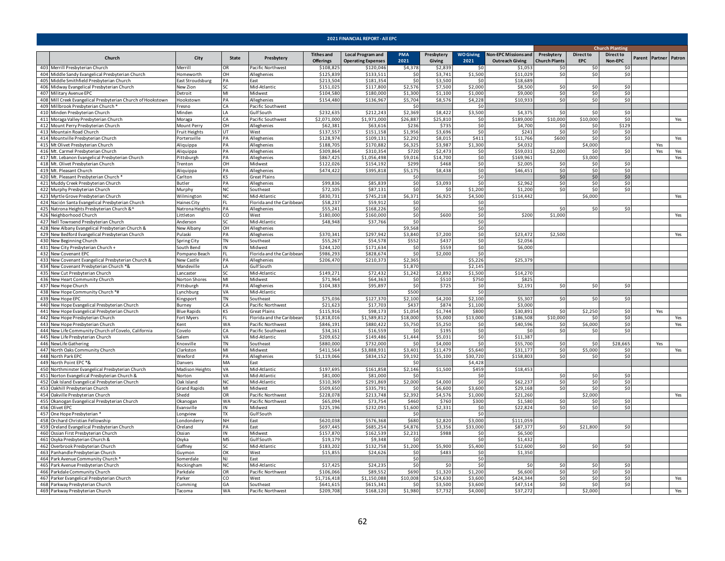|     | 2021 FINANCIAL REPORT - All EPC                                                         |                                   |              |                                    |                                       |                                                       |                    |                      |                          |                                                       |                                    |                                |                             |                        |                       |     |  |  |  |  |  |
|-----|-----------------------------------------------------------------------------------------|-----------------------------------|--------------|------------------------------------|---------------------------------------|-------------------------------------------------------|--------------------|----------------------|--------------------------|-------------------------------------------------------|------------------------------------|--------------------------------|-----------------------------|------------------------|-----------------------|-----|--|--|--|--|--|
|     |                                                                                         |                                   |              |                                    |                                       |                                                       |                    |                      |                          |                                                       |                                    |                                |                             | <b>Church Planting</b> |                       |     |  |  |  |  |  |
|     | Church                                                                                  | City                              | <b>State</b> | Presbytery                         | <b>Tithes and</b><br><b>Offerings</b> | <b>Local Program and</b><br><b>Operating Expenses</b> | <b>PMA</b><br>2021 | Presbytery<br>Giving | <b>WO Giving</b><br>2021 | <b>Non-EPC Missions and</b><br><b>Outreach Giving</b> | Presbytery<br><b>Church Plants</b> | <b>Direct to</b><br><b>EPC</b> | <b>Direct to</b><br>Non-EPC |                        | Parent Partner Patron |     |  |  |  |  |  |
|     | 403 Merrill Presbyterian Church                                                         | Merrill                           | <b>OR</b>    | Pacific Northwest                  | \$108,825                             | \$120,046                                             | \$4,378            | \$2,839              | \$0                      | \$1,053                                               | \$0                                | \$0                            | \$0                         |                        |                       |     |  |  |  |  |  |
|     | 404 Middle Sandy Evangelical Presbyterian Church                                        | Homeworth                         | OН           | Alleghenies                        | \$125,839                             | \$133,511                                             | \$0                | \$3,741              | \$1,500                  | \$11,029                                              | \$0                                | \$0                            | \$0                         |                        |                       |     |  |  |  |  |  |
|     | 405 Middle Smithfield Presbyterian Church<br>406 Midway Evangelical Presbyterian Church | East Stroudsburg                  | PA<br>۲C     | East<br>Mid-Atlantic               | \$213,504<br>\$151.025                | \$181,354<br>\$117,800                                | \$0<br>\$2.57      | \$3,500<br>\$7,500   | \$C<br>\$2,000           | \$18,689<br>\$8,500                                   | \$0                                |                                | \$0                         |                        |                       |     |  |  |  |  |  |
|     | 407 Military Avenue EPC                                                                 | <b>New Zion</b><br><b>Detroit</b> | MI           | Midwest                            | \$104.580                             | \$180,000                                             | \$1,300            | \$1,100              | \$1,000                  | \$9.00                                                | \$0                                | \$0<br>\$0                     | \$0                         |                        |                       |     |  |  |  |  |  |
|     | 408 Mill Creek Evangelical Presbyterian Church of Hookstown                             | <b>Hookstown</b>                  | PА           | Alleghenies                        | \$154,480                             | \$136,967                                             | \$5,704            | \$8,576              | \$4,228                  | \$10.933                                              | \$0                                | \$0                            | \$0                         |                        |                       |     |  |  |  |  |  |
|     | 409 Millbrook Presbyterian Church*                                                      | resno                             | CA           | Pacific Southwest                  |                                       |                                                       | \$0                |                      | \$0                      |                                                       |                                    |                                |                             |                        |                       |     |  |  |  |  |  |
|     | 410 Minden Presbyterian Church                                                          | Minden                            | I A          | Gulf South                         | \$232,635                             | \$212,243                                             | \$2,369            | \$8,422              | \$3,500                  | \$4.37                                                | \$0                                | \$0                            | \$0                         |                        |                       |     |  |  |  |  |  |
|     | 411 Moraga Valley Presbyterian Church                                                   | Moraga                            | СA           | Pacific Southwest                  | \$2,071,000                           | \$1,971,000                                           | \$26,887           | \$25,810             | \$0                      | \$189,000                                             | \$10,000                           | \$10,000                       | \$0                         |                        |                       | Yes |  |  |  |  |  |
|     | 412 Mount Perry Presbyterian Church                                                     | Mount Perry                       | OН           | Alleghenies                        | \$62,381                              | \$63,616                                              | \$236              | \$735                | \$0                      | \$4,700                                               | \$0                                | \$0                            | \$129                       |                        |                       |     |  |  |  |  |  |
|     | 413 Mountain Road Church                                                                | Fruit Heights                     | UT           | West                               | \$137,557                             | \$151,158                                             | \$1,956            | \$3,696              | \$0                      | \$24                                                  | \$0                                | \$0                            | \$0                         |                        |                       |     |  |  |  |  |  |
|     | 414 Mountville Presbyterian Church                                                      | ortersville                       | PA           | Alleghenies                        | \$128,974                             | \$109,13                                              | \$2,292            | \$8,015              | \$411                    | \$11,766                                              | \$600                              | \$0                            | \$0                         |                        |                       | Yes |  |  |  |  |  |
|     | 415 Mt Olivet Presbyterian Church                                                       | Aliquippa                         | PA           | Alleghenies                        | \$188.70                              | \$170,882                                             | \$6.325            | \$3.987              | \$1.300                  | \$4,03                                                |                                    | \$4,000                        |                             |                        | Yes                   |     |  |  |  |  |  |
|     | 416 Mt. Carmel Presbyterian Church                                                      | Aliquippa                         | PA           | Alleghenies                        | \$309,864                             | \$310,354                                             | \$720              | \$2,473              | \$0                      | \$59,03                                               | \$2,000                            | \$0                            | 50                          |                        | Yes                   | Yes |  |  |  |  |  |
|     | 417 Mt. Lebanon Evangelical Presbyterian Church                                         | Pittsburgh                        | PA           | Alleghenies                        | \$867,425                             | \$1,056,498                                           | \$9,016            | \$14,700             | \$0                      | \$169,96:                                             |                                    | \$3,000                        |                             |                        |                       | Yes |  |  |  |  |  |
|     | 418 Mt. Olivet Presbyterian Church                                                      | Trenton                           | OH           | Midwest                            | \$122,026                             | \$154,192                                             | \$299              | \$468                | \$0                      | \$2,005                                               | \$0<br>\$0                         | \$0                            | \$0<br>\$0                  |                        |                       |     |  |  |  |  |  |
|     | 419 Mt. Pleasant Church<br>420 Mt. Pleasant Presbyterian Church '                       | Aliquippa<br>Carlton              | PA<br>KS     | Alleghenies<br><b>Great Plains</b> | \$474,422                             | \$395,818                                             | \$5,175<br>Ś0      | \$8,438              | \$0<br>\$0               | \$46,451                                              | \$0                                | \$0<br>\$0                     | \$0                         |                        |                       |     |  |  |  |  |  |
|     | 421 Muddy Creek Presbyterian Church                                                     | Butler                            | PА           | Alleghenies                        | \$99,836                              | \$85,839                                              | \$0                | \$3,093              | \$0                      | \$2,962                                               | \$0                                | \$0                            | \$0                         |                        |                       |     |  |  |  |  |  |
|     | 422 Murphy Presbyterian Church                                                          | Murphy                            | NC.          | Southeast                          | \$72.105                              | \$87.131                                              | \$0                | \$0                  | \$1,200                  | \$1,200                                               | \$0                                | \$0                            | \$0                         |                        |                       |     |  |  |  |  |  |
|     | 423 Myrtle Grove Presbyterian Church                                                    | Wilmington                        | ΝC           | Mid-Atlantic                       | \$830,731                             | \$745,218                                             | \$6,371            | \$6,925              | \$4,500                  | \$114,442                                             |                                    | \$6,000                        |                             |                        |                       | Yes |  |  |  |  |  |
|     | 424 Nación Santa Evangelical Presbyterian Church                                        | Haines City                       | FL.          | Florida and the Caribbear          | \$58,237                              | \$59,912                                              | \$0                |                      | \$0                      |                                                       |                                    |                                |                             |                        |                       |     |  |  |  |  |  |
|     | 425 Natrona Heights Presbyterian Church &^                                              | Natrona Heights                   | PA           | Alleghenies                        | \$55,241                              | \$168,226                                             | \$0                |                      | \$0                      |                                                       | \$0                                | \$0                            | -SO                         |                        |                       |     |  |  |  |  |  |
|     | 426 Neighborhood Church                                                                 | Littleton                         | CO           | West                               | \$180,000                             | \$160,000                                             | \$0                | \$600                | \$0                      | \$200                                                 | \$1,000                            |                                |                             |                        |                       | Yes |  |  |  |  |  |
|     | 427 Nell Townsend Presbyterian Church                                                   | Anderson                          | SC.          | Mid-Atlantic                       | \$48.948                              | \$37,766                                              | \$0                |                      | \$0                      |                                                       |                                    |                                |                             |                        |                       |     |  |  |  |  |  |
|     | 428 New Albany Evangelical Presbyterian Church &                                        | New Albany                        | OH           | Alleghenies                        |                                       |                                                       | \$9,568            |                      | \$0                      |                                                       |                                    |                                |                             |                        |                       |     |  |  |  |  |  |
|     | 429 New Bedford Evangelical Presbyterian Church                                         | Pulaski                           | PA           | Alleghenies                        | \$370.341                             | \$297,94                                              | \$3.840            | \$7,200              | \$0                      | \$23.47                                               | \$2,500                            |                                |                             |                        |                       | Yes |  |  |  |  |  |
|     | 430 New Beginning Church                                                                | Spring City                       | TN           | Southeast                          | \$55,267                              | \$54,578                                              | \$552              | \$437                | \$0                      | \$2,056                                               |                                    |                                |                             |                        |                       |     |  |  |  |  |  |
|     | 431 New City Presbyterian Church +                                                      | South Bend                        | IN           | Midwest                            | $\overline{52}44,120$                 | \$171,634                                             | \$0                | \$559                | \$0                      | \$6,000                                               |                                    |                                |                             |                        |                       |     |  |  |  |  |  |
|     | 432 New Covenant EPC                                                                    | Pompano Beach                     | FL.          | Florida and the Caribbear          | \$986,293                             | \$828,674                                             | \$0                | \$2,000              | \$0                      |                                                       |                                    |                                |                             |                        |                       |     |  |  |  |  |  |
|     | 433 New Covenant Evangelical Presbyterian Church &                                      | <b>Vew Castle</b>                 | PA           | Alleghenies                        | \$206,470                             | \$210,373                                             | \$2.365            |                      | \$5,226                  | \$25,37                                               |                                    |                                |                             |                        |                       |     |  |  |  |  |  |
|     | 434 New Covenant Presbyterian Church *&<br>435 New Cut Presbyterian Church              | Mandeville<br>.ancaster           | I A          | Gulf South<br>Mid-Atlantic         | \$149,271                             | \$72,432                                              | \$1,870<br>\$1,242 | \$2,892              | \$2,145<br>\$1,500       | \$14,270                                              |                                    |                                |                             |                        |                       |     |  |  |  |  |  |
|     | 436 New Heart Community Church                                                          | Norton Shores                     | MI           | Midwest                            | \$71.964                              | \$64,363                                              | \$0                | \$510                | \$750                    | \$825                                                 |                                    |                                |                             |                        |                       |     |  |  |  |  |  |
|     | 437 New Hope Church                                                                     | Pittsburgh                        | PА           | Alleghenies                        | \$104,383                             | \$95,897                                              | \$0                | \$725                | \$0                      | \$2,191                                               | \$0                                | \$0                            | \$0                         |                        |                       |     |  |  |  |  |  |
|     | 438 New Hope Community Church *#                                                        | ynchburg                          | VA           | Mid-Atlantic                       |                                       |                                                       | \$500              |                      | \$0                      |                                                       |                                    |                                |                             |                        |                       |     |  |  |  |  |  |
|     | 439 New Hope EPC                                                                        | <b>Cingsport</b>                  | TN           | Southeast                          | \$75,036                              | \$127,370                                             | \$2,100            | \$4,200              | \$2,100                  | \$5,307                                               | \$0                                | \$0                            | \$0                         |                        |                       |     |  |  |  |  |  |
|     | 440 New Hope Evangelical Presbyterian Church                                            | Burney                            | CA           | Pacific Northwest                  | \$21,623                              | \$17,703                                              | \$437              | \$874                | \$1,100                  | \$3,000                                               |                                    |                                |                             |                        |                       |     |  |  |  |  |  |
|     | 441 New Hope Evangelical Presbyterian Church                                            | <b>Blue Rapids</b>                | ΚS           | <b>Great Plains</b>                | \$115,916                             | \$98,173                                              | \$1,054            | \$1,744              | \$800                    | \$30,89                                               | \$0                                | \$2,250                        | \$0                         |                        | Yes                   |     |  |  |  |  |  |
|     | 442 New Hope Presbyterian Church                                                        | Fort Myers                        | FI.          | Florida and the Caribbear          | \$1,818,016                           | \$1,589,812                                           | \$18,000           | \$5,000              | \$13,000                 | \$186,508                                             | \$10,000                           | 50                             | S <sub>0</sub>              |                        |                       | Yes |  |  |  |  |  |
|     | 443 New Hope Presbyterian Church                                                        | Kent                              | <b>WA</b>    | Pacific Northwest                  | \$846,191                             | \$880,42                                              | \$5,750            | \$5,250              | \$0                      | \$40,596                                              | \$0                                | \$6,000                        | 50                          |                        |                       | Yes |  |  |  |  |  |
|     | 444 New Life Community Church of Covelo, California                                     | Covelo                            | CA           | Pacific Southwest                  | \$34,161                              | \$16,559                                              | \$0                | \$195                | \$0                      | \$0                                                   | \$0                                | \$0                            | \$0                         |                        |                       |     |  |  |  |  |  |
|     | 445 New Life Presbyterian Church                                                        | Salem                             | VA           | Mid-Atlantic                       | \$209,652                             | \$149,486                                             | \$1,444            | \$5,031              | \$0                      | \$11,387                                              |                                    |                                |                             |                        |                       |     |  |  |  |  |  |
|     | 446 NewLife Gathering                                                                   | Knoxville                         | TN           | Southeast                          | \$880,000                             | \$732,000                                             | \$0                | \$4,000              | \$0                      | \$55,700                                              | \$0                                | \$0                            | \$28,665                    |                        | Yes                   |     |  |  |  |  |  |
|     | 447 North Oaks Community Church<br>448 North Park EPC                                   | Clarkston<br>Wexford              | MI<br>PA     | Midwest                            | \$411,564                             | \$3,888,931                                           | \$3,401<br>\$9.192 | \$11,479             | \$5,640<br>\$30.720      | \$31,177<br>\$158.803                                 | \$0<br>50                          | \$5,000<br>\$0                 | \$0<br>\$0                  |                        |                       | Yes |  |  |  |  |  |
|     | 449 North Point EPC *&                                                                  | Danvers                           | MA           | Alleghenies<br>Fast                | \$1,119,066                           | \$834,152                                             | S0                 | \$5,100              | \$4,428                  |                                                       |                                    |                                |                             |                        |                       |     |  |  |  |  |  |
|     | 450 Northminster Evangelical Presbyterian Church                                        | Madison Heights                   | VA           | Mid-Atlantic                       | \$197.695                             | \$161,858                                             | \$2,146            | \$1,500              | \$459                    | \$18,45                                               |                                    |                                |                             |                        |                       |     |  |  |  |  |  |
|     | 451 Norton Evangelical Presbyterian Church &                                            | Norton                            | VA           | Mid-Atlantic                       | \$81,000                              | \$81,000                                              | \$0                |                      | \$0                      |                                                       | \$0                                | \$0                            | \$0                         |                        |                       |     |  |  |  |  |  |
|     | 452 Oak Island Evangelical Presbyterian Church                                          | Oak Island                        | NC           | Mid-Atlantic                       | \$310,369                             | \$291,869                                             | \$2,000            | \$4,000              | \$0                      | \$62,237                                              | \$0                                | \$0                            | \$0                         |                        |                       |     |  |  |  |  |  |
|     | 453 Oakhill Presbyterian Church                                                         | <b>Grand Rapids</b>               | MI           | Midwest                            | \$509,650                             | \$335,791                                             | \$0                | \$6,600              | \$3,600                  | \$29,168                                              | \$0                                | \$0                            | \$0                         |                        |                       |     |  |  |  |  |  |
|     | 454 Oakville Presbyterian Church                                                        | Shedd                             | <b>OR</b>    | Pacific Northwest                  | \$228,078                             | \$213,748                                             | \$2,392            | \$4,576              | \$1,000                  | \$21,260                                              |                                    | \$2,000                        |                             |                        |                       | Yes |  |  |  |  |  |
|     | 455 Okanogan Evangelical Presbyterian Church                                            | .<br>Okanogan                     | WA           | Pacific Northwest                  | \$65,094                              | \$73,754                                              | \$460              | \$760                | \$300                    | \$1,580                                               | \$0                                | \$0                            | \$0                         |                        |                       |     |  |  |  |  |  |
|     | 456 Olivet EPC                                                                          | Evansville                        | IN           | Midwest                            | \$225,196                             | \$232,09                                              | \$1,600            | \$2,331              | \$0                      | \$22,824                                              | \$0                                | \$0                            | 50                          |                        |                       |     |  |  |  |  |  |
|     | 457 One Hope Presbyterian *                                                             | Longview                          | <b>TX</b>    | <b>Gulf South</b>                  |                                       |                                                       | \$0                |                      | \$0                      |                                                       |                                    |                                |                             |                        |                       |     |  |  |  |  |  |
|     | 458 Orchard Christian Fellowship                                                        | Londonderry                       | NH           | East                               | \$620,038                             | \$576,368                                             | \$680              | \$2,820              | \$3,000                  | \$111,059                                             |                                    |                                |                             |                        |                       |     |  |  |  |  |  |
|     | 459 Oreland Evangelical Presbyterian Church                                             | Oreland                           | PA           | East                               | \$697,445                             | \$685,254                                             | \$4,876            | \$3,356              | \$33,000                 | \$87,377                                              | \$0                                | \$21,800                       | \$0                         |                        |                       |     |  |  |  |  |  |
| 460 | Ossian First Presbyterian Church                                                        | Ossian                            | IN           | Midwest                            | \$157,870                             | \$162,539                                             | \$2,231            | \$988                | \$0                      | \$6,50                                                |                                    |                                |                             |                        |                       |     |  |  |  |  |  |
|     | 461 Osyka Presbyterian Church &                                                         | Osyka                             | МS           | Gulf South                         | \$19.179                              | \$9,348                                               | \$0                |                      | \$0                      | \$1,43                                                |                                    |                                |                             |                        |                       |     |  |  |  |  |  |
|     | 462 Overbrook Presbyterian Church                                                       | Gaffney                           | SC.<br>ОК    | Mid-Atlantic                       | \$183.202                             | \$132,758                                             | \$1,200            | \$5,900<br>\$483     | \$5,400                  | \$12,600                                              | \$0                                | \$0                            | \$0                         |                        |                       |     |  |  |  |  |  |
|     | 463 Panhandle Presbyterian Church<br>464 Park Avenue Community Church                   | Guymon<br>Somerdale               | NJ           | West                               | \$15,855                              | \$24,626                                              | \$0<br>\$0         |                      | \$0<br>\$0               | \$1,350                                               |                                    |                                |                             |                        |                       |     |  |  |  |  |  |
|     | 465 Park Avenue Presbyterian Church                                                     | Rockingham                        | NC           | East<br>Mid-Atlantic               | \$17,425                              | \$24,235                                              | \$0                | \$0                  | \$0                      | \$0                                                   | \$0                                | \$0                            | \$0                         |                        |                       |     |  |  |  |  |  |
|     | 466 Parkdale Community Church                                                           | Parkdale                          | OR           | Pacific Northwest                  | \$106,066                             | \$89,55                                               | \$690              | \$1,320              | \$1,200                  | \$6,600                                               | \$0                                | \$0                            | \$0                         |                        |                       |     |  |  |  |  |  |
|     | 467 Parker Evangelical Presbyterian Church                                              | Parker                            | CO           | West                               | \$1,716,418                           | \$1,150,088                                           | \$10,008           | \$24,630             | \$3,600                  | \$424,344                                             | \$0                                | \$0                            | \$0                         |                        |                       | Yes |  |  |  |  |  |
|     | 468 Parkway Presbyterian Church                                                         | Cumming                           | GA           | Southeast                          | \$641,61                              | \$615,341                                             | \$0                | \$3,500              | \$3,600                  | \$47,514                                              | \$0                                | \$0                            | \$0                         |                        |                       |     |  |  |  |  |  |
|     | 469 Parkway Presbyterian Church                                                         | Tacoma                            | <b>WA</b>    | Pacific Northwest                  | \$209,708                             | \$168,120                                             | \$1,980            | \$7.732              | \$4,000                  | \$37.272                                              |                                    | \$2,000                        |                             |                        |                       | Yes |  |  |  |  |  |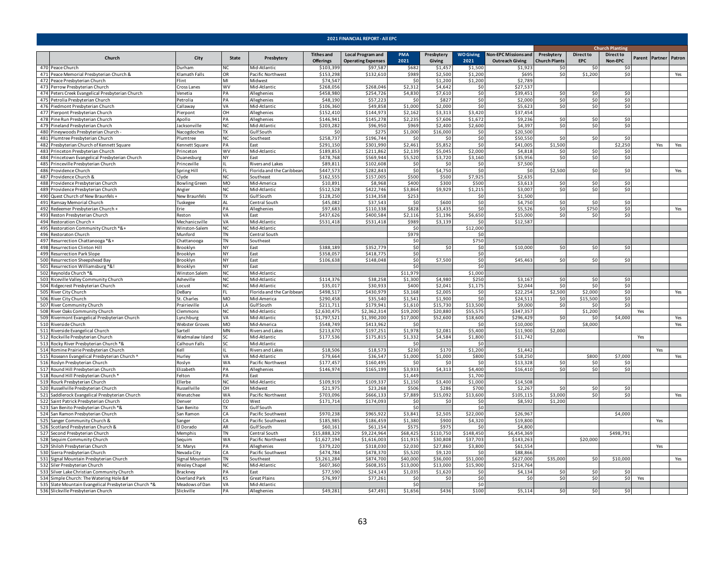| 2021 FINANCIAL REPORT - All EPC |                                                                                                                                                                                                                                                                                                                                                                                                                                                                                                                                                                                                                                                                                                                                                                                                                         |                             |                                   |                                    |                                       |                                                       |                      |                      |                           |                                                       |                                    |                                |                             |     |                       |            |  |  |  |
|---------------------------------|-------------------------------------------------------------------------------------------------------------------------------------------------------------------------------------------------------------------------------------------------------------------------------------------------------------------------------------------------------------------------------------------------------------------------------------------------------------------------------------------------------------------------------------------------------------------------------------------------------------------------------------------------------------------------------------------------------------------------------------------------------------------------------------------------------------------------|-----------------------------|-----------------------------------|------------------------------------|---------------------------------------|-------------------------------------------------------|----------------------|----------------------|---------------------------|-------------------------------------------------------|------------------------------------|--------------------------------|-----------------------------|-----|-----------------------|------------|--|--|--|
|                                 |                                                                                                                                                                                                                                                                                                                                                                                                                                                                                                                                                                                                                                                                                                                                                                                                                         |                             |                                   |                                    |                                       |                                                       |                      |                      |                           |                                                       |                                    |                                | <b>Church Planting</b>      |     |                       |            |  |  |  |
|                                 | Church                                                                                                                                                                                                                                                                                                                                                                                                                                                                                                                                                                                                                                                                                                                                                                                                                  | City                        | State                             | Presbytery                         | <b>Tithes and</b><br><b>Offerings</b> | <b>Local Program and</b><br><b>Operating Expenses</b> | PMA<br>2021          | Presbytery<br>Giving | <b>WO Giving</b><br>2021  | <b>Non-EPC Missions and</b><br><b>Outreach Giving</b> | Presbytery<br><b>Church Plants</b> | <b>Direct to</b><br><b>EPC</b> | <b>Direct to</b><br>Non-EPC |     | Parent Partner Patron |            |  |  |  |
|                                 | 470 Peace Church                                                                                                                                                                                                                                                                                                                                                                                                                                                                                                                                                                                                                                                                                                                                                                                                        | Durham                      | <b>NC</b>                         | Mid-Atlantic                       | \$103,399                             | \$97,587                                              | \$682                | \$1,457              | \$1,500                   | \$1,923                                               | \$0                                | \$0                            | \$0                         |     |                       |            |  |  |  |
|                                 | 471 Peace Memorial Presbyterian Church &                                                                                                                                                                                                                                                                                                                                                                                                                                                                                                                                                                                                                                                                                                                                                                                | Klamath Falls               | <b>OR</b>                         | Pacific Northwest                  | \$153,298                             | \$132,610                                             | \$989                | \$2,500              | \$1,200                   | \$69                                                  | \$0                                | \$1,200                        | \$0                         |     |                       | Yes        |  |  |  |
|                                 | 472 Peace Presbyterian Church<br>473 Perrow Presbyterian Church                                                                                                                                                                                                                                                                                                                                                                                                                                                                                                                                                                                                                                                                                                                                                         | Flint<br>Cross Lanes        | MI<br>WV                          | Midwest<br>Viid-Atlantic           | \$74,547<br>\$268,056                 | \$268,046                                             | Ś١<br>\$2,31         | \$1,200<br>\$4.642   | \$1,200<br>\$0            | \$2,78<br>\$27,53                                     |                                    |                                |                             |     |                       |            |  |  |  |
|                                 | 474 Peters Creek Evangelical Presbyterian Church                                                                                                                                                                                                                                                                                                                                                                                                                                                                                                                                                                                                                                                                                                                                                                        | /enetia                     | PА                                | Alleghenies                        | \$458,980                             | \$254,726                                             | \$4,830              | \$7,610              | \$0                       | \$39,451                                              | \$0                                | \$0                            | \$0                         |     |                       |            |  |  |  |
|                                 | 475 Petrolia Presbyterian Church                                                                                                                                                                                                                                                                                                                                                                                                                                                                                                                                                                                                                                                                                                                                                                                        | Petrolia                    | PA                                | Alleghenies                        | \$48,190                              | \$57,223                                              | -ŚC                  | \$827                | \$0                       | \$2,000                                               | \$0                                | \$0                            | \$0                         |     |                       |            |  |  |  |
|                                 | 476 Piedmont Presbyterian Church                                                                                                                                                                                                                                                                                                                                                                                                                                                                                                                                                                                                                                                                                                                                                                                        | Callaway                    | VA                                | Mid-Atlantic                       | \$106,360                             | \$49,858                                              | \$1,000              | \$2,000              | \$0                       | \$5,623                                               | \$0                                | \$0                            | \$0                         |     |                       |            |  |  |  |
|                                 | 477 Pierpont Presbyterian Church                                                                                                                                                                                                                                                                                                                                                                                                                                                                                                                                                                                                                                                                                                                                                                                        | Pierpont                    | OH                                | Alleghenies                        | \$152,410                             | \$144,973                                             | \$2,162              | \$3,313              | \$3,420                   | \$37,454                                              |                                    |                                |                             |     |                       |            |  |  |  |
|                                 | 478 Pine Run Presbyterian Church                                                                                                                                                                                                                                                                                                                                                                                                                                                                                                                                                                                                                                                                                                                                                                                        | Apollo                      | PA                                | Alleghenies                        | \$146,941                             | \$145,278                                             | \$2,235              | \$7,606              | \$1,672                   | \$9,236                                               | \$0                                | \$0                            | \$0                         |     |                       |            |  |  |  |
|                                 | 479 Pineland Presbyterian Church                                                                                                                                                                                                                                                                                                                                                                                                                                                                                                                                                                                                                                                                                                                                                                                        | Jacksonville                | NC                                | Mid-Atlantic                       | \$203.282                             | \$96,950                                              | \$969                | \$2,400              | \$2,600                   | \$4.397                                               | \$0                                | \$0                            | \$0                         |     |                       |            |  |  |  |
|                                 | 480 Pineywoods Presbyterian Church<br>481 Plumtree Presbyterian Church                                                                                                                                                                                                                                                                                                                                                                                                                                                                                                                                                                                                                                                                                                                                                  | Nacogdoches                 | <b>TX</b><br>NC                   | Gulf South<br>Southeast            | -SC<br>\$258,737                      | \$275<br>\$196,744                                    | \$1,000<br>\$C       | \$16,000<br>\$0      | \$0<br>\$0                | \$20,500<br>\$50,55                                   | \$0                                | \$0                            | \$0                         |     |                       |            |  |  |  |
| 482                             | Presbyterian Church of Kennett Square                                                                                                                                                                                                                                                                                                                                                                                                                                                                                                                                                                                                                                                                                                                                                                                   | lumtree<br>Cennett Square   | PΔ                                | Fast                               | \$291,150                             | \$301,990                                             | \$2,461              | \$5.852              | \$0                       | \$41,005                                              | \$1,500                            |                                | \$2.250                     |     | Yes                   | Yes        |  |  |  |
|                                 | 483 Princeton Presbyterian Church                                                                                                                                                                                                                                                                                                                                                                                                                                                                                                                                                                                                                                                                                                                                                                                       | Princeton                   | <b>WV</b>                         | Mid-Atlantic                       | \$189,853                             | \$211,862                                             | \$2,139              | \$5,045              | \$2,000                   | \$4,81                                                | \$0                                | \$0                            | \$0                         |     |                       |            |  |  |  |
|                                 | 484 Princetown Evangelical Presbyterian Church                                                                                                                                                                                                                                                                                                                                                                                                                                                                                                                                                                                                                                                                                                                                                                          | Duanesburg                  | NY                                | East                               | \$478,768                             | \$569,944                                             | \$5,520              | \$3,720              | \$3,160                   | \$35,95                                               | \$0                                | \$0                            | \$0                         |     |                       |            |  |  |  |
|                                 | 485 Princeville Presbyterian Church                                                                                                                                                                                                                                                                                                                                                                                                                                                                                                                                                                                                                                                                                                                                                                                     | Princeville                 |                                   | Rivers and Lakes                   | \$89,811                              | \$102,608                                             | \$C                  | \$0                  | \$0                       | \$7,500                                               |                                    |                                |                             |     |                       |            |  |  |  |
|                                 | 486 Providence Church                                                                                                                                                                                                                                                                                                                                                                                                                                                                                                                                                                                                                                                                                                                                                                                                   | Spring Hill                 |                                   | Florida and the Caribbear          | \$447,573                             | \$282,843                                             | \$0                  | \$4,750              | \$0                       | -S                                                    | \$2,500                            | \$0                            | \$0                         |     |                       | Yes        |  |  |  |
|                                 | 487 Providence Church &                                                                                                                                                                                                                                                                                                                                                                                                                                                                                                                                                                                                                                                                                                                                                                                                 | Clyde                       | NC                                | Southeast                          | \$162,555                             | \$157,005                                             | \$500                | \$500                | \$7,925                   | \$2,635                                               |                                    |                                |                             |     |                       |            |  |  |  |
|                                 | 488 Providence Presbyterian Church                                                                                                                                                                                                                                                                                                                                                                                                                                                                                                                                                                                                                                                                                                                                                                                      | <b>Bowling Green</b>        | <b>MO</b>                         | Mid-America                        | \$10.891                              | \$8,968                                               | \$400                | \$300                | \$500                     | \$3,613                                               | \$0                                | \$0                            | \$0                         |     |                       |            |  |  |  |
|                                 | 489 Providence Presbyterian Church                                                                                                                                                                                                                                                                                                                                                                                                                                                                                                                                                                                                                                                                                                                                                                                      | Angier                      | NC                                | Mid-Atlantic                       | \$512,528                             | \$422,746                                             | \$3,864              | \$9,929              | \$1,215                   | \$3,007                                               | \$0                                | \$0                            | \$0                         |     |                       |            |  |  |  |
|                                 | 490 Quest Church of New Braunfels +<br>491 Ramsay Memorial Church                                                                                                                                                                                                                                                                                                                                                                                                                                                                                                                                                                                                                                                                                                                                                       | New Braunfels<br>Tuskegee   | TX<br><b>AL</b>                   | Gulf South<br>Central South        | \$128,250<br>\$45,082                 | \$134,358<br>\$37,543                                 | \$253<br>\$0         | \$600                | \$0<br>\$0                | \$1,500<br>\$4,750                                    | \$0                                | \$0                            | \$0                         |     |                       |            |  |  |  |
|                                 | 492 Redeemer Presbyterian Church +                                                                                                                                                                                                                                                                                                                                                                                                                                                                                                                                                                                                                                                                                                                                                                                      | Erie                        | PA                                | Alleghenies                        | \$97,683                              | \$110,338                                             | \$828                | \$3,43               | \$0                       | \$5,52                                                | \$0                                | \$750                          | \$0                         |     |                       | Yes        |  |  |  |
|                                 | 493 Reston Presbyterian Church                                                                                                                                                                                                                                                                                                                                                                                                                                                                                                                                                                                                                                                                                                                                                                                          | Reston                      | VA                                | Fast                               | \$437,626                             | \$400,584                                             | \$2,116              | \$1,196              | \$6,650                   | \$15,000                                              | \$0                                | -SO                            | \$0                         |     |                       |            |  |  |  |
|                                 | 494 Restoration Church +                                                                                                                                                                                                                                                                                                                                                                                                                                                                                                                                                                                                                                                                                                                                                                                                | Mechanicsville              | VA                                | Mid-Atlantic                       | \$531.418                             | \$531.418                                             | \$989                | \$3,139              | \$0                       | \$12.587                                              |                                    |                                |                             |     |                       |            |  |  |  |
|                                 | 495 Restoration Community Church *&+                                                                                                                                                                                                                                                                                                                                                                                                                                                                                                                                                                                                                                                                                                                                                                                    | Winston-Salem               | <b>NC</b>                         | Mid-Atlantic                       |                                       |                                                       | \$0                  |                      | \$12,000                  |                                                       |                                    |                                |                             |     |                       |            |  |  |  |
|                                 | 496 Restoraton Church                                                                                                                                                                                                                                                                                                                                                                                                                                                                                                                                                                                                                                                                                                                                                                                                   | Munford                     | $\overline{\mathsf{T}}\mathsf{N}$ | Central South                      |                                       |                                                       | \$979                |                      | \$0                       |                                                       |                                    |                                |                             |     |                       |            |  |  |  |
|                                 | 497 Resurrection Chattanooga *&+                                                                                                                                                                                                                                                                                                                                                                                                                                                                                                                                                                                                                                                                                                                                                                                        | Chattanooga                 | TN                                | Southeast                          |                                       |                                                       | \$0                  |                      | \$750                     |                                                       |                                    |                                |                             |     |                       |            |  |  |  |
|                                 | 498 Resurrection Clinton Hill                                                                                                                                                                                                                                                                                                                                                                                                                                                                                                                                                                                                                                                                                                                                                                                           | Brooklyn                    | <b>NY</b>                         | East                               | \$388,189                             | \$352,779                                             | \$0                  | \$0                  | \$0                       | \$10,00                                               | \$0                                | \$0                            | \$0                         |     |                       |            |  |  |  |
| 499                             | Resurrection Park Slope                                                                                                                                                                                                                                                                                                                                                                                                                                                                                                                                                                                                                                                                                                                                                                                                 | Brooklyn                    | <b>NY</b>                         | East                               | \$358,057                             | \$418,77!                                             | \$C                  |                      | \$0                       | \$45,463                                              |                                    |                                |                             |     |                       |            |  |  |  |
| 500                             | Resurrection Sheepshead Bay<br>501 Resurrection Williamsburg *&!                                                                                                                                                                                                                                                                                                                                                                                                                                                                                                                                                                                                                                                                                                                                                        | Brooklyn<br>Brooklyn        | NY<br>NY                          | East<br>East                       | \$106,638                             | \$148,048                                             | \$0<br>\$0           | \$7,500              | \$0<br>\$0                |                                                       | \$0                                | \$0                            | \$0                         |     |                       |            |  |  |  |
|                                 | 502 Reynolda Church *&                                                                                                                                                                                                                                                                                                                                                                                                                                                                                                                                                                                                                                                                                                                                                                                                  | Winston Salem               | NC                                | Mid-Atlantic                       |                                       |                                                       | \$11,979             |                      | \$1,000                   |                                                       |                                    |                                |                             |     |                       |            |  |  |  |
|                                 | 503 Riceville Valley Community Church                                                                                                                                                                                                                                                                                                                                                                                                                                                                                                                                                                                                                                                                                                                                                                                   | Asheville                   | <b>NC</b>                         | Mid-Atlantic                       | \$114,376                             | \$38,258                                              | \$1,300              | \$4,980              | \$250                     | \$3,16                                                | \$0                                | \$0                            | \$0                         |     |                       |            |  |  |  |
|                                 | 504 Ridgecrest Presbyterian Church                                                                                                                                                                                                                                                                                                                                                                                                                                                                                                                                                                                                                                                                                                                                                                                      | Locust                      | <b>NC</b>                         | Mid-Atlantic                       | \$35,017                              | \$30,933                                              | \$400                | \$2,041              | \$1,175                   | \$2,044                                               | \$0                                | \$0                            | \$0                         |     |                       |            |  |  |  |
|                                 | 505 River City Church                                                                                                                                                                                                                                                                                                                                                                                                                                                                                                                                                                                                                                                                                                                                                                                                   | DeBary                      | FL.                               | Florida and the Caribbear          | \$498,517                             | \$430,979                                             | \$3,168              | \$2,005              | \$0                       | \$22,25                                               | \$2,500                            | \$2,000                        | \$0                         |     |                       | Yes        |  |  |  |
|                                 | 506 River City Church                                                                                                                                                                                                                                                                                                                                                                                                                                                                                                                                                                                                                                                                                                                                                                                                   | St. Charles                 | MO                                | Mid-America                        | \$290,458                             | \$35,540                                              | \$1,54               | \$1,900              | \$0                       | \$24,51                                               | \$0                                | \$15,500                       | \$0                         |     |                       |            |  |  |  |
|                                 | 507 River Community Church                                                                                                                                                                                                                                                                                                                                                                                                                                                                                                                                                                                                                                                                                                                                                                                              | Prairieville                | LA                                | Gulf South                         | \$211,711                             | \$179,941                                             | \$1,61               | \$15,730             | \$13,500                  | \$9,000                                               | \$0                                | \$0                            | \$0                         |     |                       |            |  |  |  |
| 508                             | River Oaks Community Church                                                                                                                                                                                                                                                                                                                                                                                                                                                                                                                                                                                                                                                                                                                                                                                             | Clemmons                    | NC<br>VA                          | Mid-Atlantic                       | \$2,630,475<br>\$1,797,521            | \$2,362,314<br>\$1,390,200                            | \$19,200<br>\$17,000 | \$20,880<br>\$52,600 | \$55,57<br>\$18,600       | \$347,35<br>\$296,429                                 | 50                                 | \$1,200<br>\$0                 | \$4,000                     | Yes |                       |            |  |  |  |
|                                 | 509 Rivermont Evangelical Presbyterian Church<br>510 Riverside Church                                                                                                                                                                                                                                                                                                                                                                                                                                                                                                                                                                                                                                                                                                                                                   | ynchburg<br>Webster Groves  | <b>MO</b>                         | Mid-Atlantic<br>Mid-America        | \$548,749                             | \$413,962                                             | \$C                  |                      | \$0                       | \$10,000                                              |                                    | \$8,000                        |                             |     |                       | Yes<br>Yes |  |  |  |
|                                 | 511 Riverside Evangelical Church                                                                                                                                                                                                                                                                                                                                                                                                                                                                                                                                                                                                                                                                                                                                                                                        | Sartell                     | MN                                | Rivers and Lakes                   | \$213,670                             | \$197,251                                             | \$1,978              | \$2,081              | \$5,400                   | \$11,900                                              | \$2,000                            |                                |                             |     |                       |            |  |  |  |
|                                 | 512 Rockville Presbyterian Church                                                                                                                                                                                                                                                                                                                                                                                                                                                                                                                                                                                                                                                                                                                                                                                       | Wadmalaw Island             | <b>SC</b>                         | Mid-Atlantic                       | \$177,536                             | \$175,815                                             | \$1,33               | \$4.584              | \$1,800                   | \$11,742                                              |                                    |                                |                             | Yes |                       |            |  |  |  |
|                                 | 513 Rocky River Presbyterian Church *&                                                                                                                                                                                                                                                                                                                                                                                                                                                                                                                                                                                                                                                                                                                                                                                  | Calhoun Falls               | SC.                               | Mid-Atlantic                       |                                       |                                                       | \$C                  |                      | \$0                       |                                                       |                                    |                                |                             |     |                       |            |  |  |  |
|                                 | 514 Romine Prairie Presbyterian Church                                                                                                                                                                                                                                                                                                                                                                                                                                                                                                                                                                                                                                                                                                                                                                                  | Kell                        |                                   | Rivers and Lakes                   | \$18,506                              | \$18,573                                              | \$230                | \$170                | \$1,200                   | \$1,442                                               |                                    |                                |                             |     | Yes                   |            |  |  |  |
|                                 | 515 Roseann Evangelical Presbyterian Church ^                                                                                                                                                                                                                                                                                                                                                                                                                                                                                                                                                                                                                                                                                                                                                                           | Hurley                      | VA                                | Mid-Atlantic                       | \$79,664                              | \$36,547                                              | \$1,000              | \$1,000              | \$800                     | \$18,250                                              |                                    | \$800                          | \$7,000                     |     |                       | Yes        |  |  |  |
|                                 | 516 Roslyn Presbyterian Church                                                                                                                                                                                                                                                                                                                                                                                                                                                                                                                                                                                                                                                                                                                                                                                          | Roslyn                      | WA                                | Pacific Northwest                  | \$177,457                             | \$160,495                                             | \$0                  | \$0                  | \$0                       | \$13,328                                              | \$0                                | \$0                            | \$0                         |     |                       |            |  |  |  |
|                                 | 517 Round Hill Presbyterian Church                                                                                                                                                                                                                                                                                                                                                                                                                                                                                                                                                                                                                                                                                                                                                                                      | Elizabeth                   | PA                                | Alleghenies                        | \$146,974                             | \$165,199                                             | \$3,933              | \$4,313              | \$4,400                   | \$16,410                                              | \$0                                | \$0                            | \$0                         |     |                       |            |  |  |  |
|                                 | 518 Round Hill Presbyterian Church *<br>519 Rourk Presbyterian Church                                                                                                                                                                                                                                                                                                                                                                                                                                                                                                                                                                                                                                                                                                                                                   | Felton<br>Ellerbe           | PA<br><b>NC</b>                   | East<br>Mid-Atlantic               | \$109,91                              | \$109,337                                             | \$1,449<br>\$1,150   | \$3,400              | \$1,700<br>\$1,000        | \$14,508                                              |                                    |                                |                             |     |                       |            |  |  |  |
|                                 | 520 Russellville Presbyterian Church                                                                                                                                                                                                                                                                                                                                                                                                                                                                                                                                                                                                                                                                                                                                                                                    | Russellville                | OH                                | Midwest                            | \$21,975                              | \$23,268                                              | \$506                | \$286                | \$700                     | \$2,26                                                | \$0                                | \$0                            | \$0                         |     |                       |            |  |  |  |
| 521                             | Saddlerock Evangelical Presbyterian Church                                                                                                                                                                                                                                                                                                                                                                                                                                                                                                                                                                                                                                                                                                                                                                              | Wenatchee                   | <b>WA</b>                         | Pacific Northwest                  | \$703,096                             | \$666,133                                             | \$7,889              | \$15,092             | \$13,600                  | \$105.115                                             | \$3,000                            | \$0                            | \$0                         |     |                       | Yes        |  |  |  |
| 522                             | Saint Patrick Presbyterian Church                                                                                                                                                                                                                                                                                                                                                                                                                                                                                                                                                                                                                                                                                                                                                                                       | Denver                      | CO                                | West                               | \$171,714                             | \$174,093                                             | \$0                  | \$0                  | \$0                       | \$8,592                                               | \$1,200                            |                                |                             |     |                       |            |  |  |  |
|                                 | 523 San Benito Presbyterian Church *&                                                                                                                                                                                                                                                                                                                                                                                                                                                                                                                                                                                                                                                                                                                                                                                   | San Benito                  | <b>TX</b>                         | Gulf South                         |                                       |                                                       | \$0                  |                      | \$0                       |                                                       |                                    |                                |                             |     |                       |            |  |  |  |
|                                 | 524 San Ramon Presbyterian Church                                                                                                                                                                                                                                                                                                                                                                                                                                                                                                                                                                                                                                                                                                                                                                                       | San Ramon                   | CA                                | Pacific Southwest                  | \$970,238                             | \$965,922                                             | \$3,841              | \$2,505              | \$22,000                  | \$26,967                                              |                                    |                                | \$4,000                     |     |                       |            |  |  |  |
|                                 | 525 Sanger Community Church &                                                                                                                                                                                                                                                                                                                                                                                                                                                                                                                                                                                                                                                                                                                                                                                           | ianger                      | CA                                | Pacific Southwest                  | \$185,985                             | \$186,459                                             | \$1,380              | \$900                | \$4,320                   | \$19,80                                               |                                    |                                |                             |     | Yes                   |            |  |  |  |
|                                 | 526 Scotland Presbyterian Church &<br>527 Second Presbyterian Church                                                                                                                                                                                                                                                                                                                                                                                                                                                                                                                                                                                                                                                                                                                                                    | El Dorado<br><b>Memphis</b> | AR<br><b>TN</b>                   | <b>Gulf South</b><br>Central South | \$60,161<br>\$15,888,329              | \$61,154<br>\$9.224.964                               | \$575<br>\$68.42     | \$975<br>\$110.750   | $\mathsf{S}$<br>\$148.450 | \$4,800<br>\$6.454.369                                |                                    |                                | \$498,791                   |     |                       |            |  |  |  |
|                                 | 528 Sequim Community Church                                                                                                                                                                                                                                                                                                                                                                                                                                                                                                                                                                                                                                                                                                                                                                                             | equim                       | <b>WA</b>                         | acific Northwest?                  | \$1,627.194                           | \$1,616,003                                           | \$11.915             | \$30.808             | \$37,703                  | \$143.263                                             |                                    | \$20,000                       |                             |     |                       |            |  |  |  |
|                                 | 529 Shiloh Presbyterian Church                                                                                                                                                                                                                                                                                                                                                                                                                                                                                                                                                                                                                                                                                                                                                                                          | St. Marys                   | PA                                | Alleghenies                        | \$379,220                             | \$318,030                                             | \$2,030              | \$27,860             | \$3,800                   | \$61,55                                               |                                    |                                |                             |     | Yes                   |            |  |  |  |
|                                 | 530 Sierra Presbyterian Church                                                                                                                                                                                                                                                                                                                                                                                                                                                                                                                                                                                                                                                                                                                                                                                          | Nevada City                 | CA                                | Pacific Southwest                  | \$474,784                             | \$478,370                                             | \$5,520              | \$9,120              | \$0                       | \$88,866                                              |                                    |                                |                             |     |                       |            |  |  |  |
|                                 | 531 Signal Mountain Presbyterian Church                                                                                                                                                                                                                                                                                                                                                                                                                                                                                                                                                                                                                                                                                                                                                                                 | Signal Mountain             | <b>TN</b>                         | Southeast                          | \$3,261,284                           | \$874,700                                             | \$40,000             | \$36,000             | \$51,000                  | \$627,000                                             | \$35,000                           | \$0                            | \$10,000                    |     |                       | Yes        |  |  |  |
|                                 | 532 Siler Presbyterian Church                                                                                                                                                                                                                                                                                                                                                                                                                                                                                                                                                                                                                                                                                                                                                                                           | Wesley Chapel               | <b>NC</b>                         | Mid-Atlantic                       | \$607,360                             | \$608,355                                             | \$13,000             | \$13,000             | \$15,900                  | \$214,764                                             |                                    |                                |                             |     |                       |            |  |  |  |
|                                 | 533 Silver Lake Christian Community Church                                                                                                                                                                                                                                                                                                                                                                                                                                                                                                                                                                                                                                                                                                                                                                              | Brackney                    | PA                                | Fast                               | \$77,590                              | \$24,143                                              | \$1,035              | \$1,620              | \$0                       | \$4,134                                               | \$0                                | \$0                            | \$0                         |     |                       |            |  |  |  |
|                                 | 534 Simple Church: The Watering Hole &#</td><td>Overland Park</td><td>κs</td><td>Great Plains</td><td>\$76,997</td><td>\$77,26:</td><td>\$C</td><td>\$0</td><td>\$0</td><td>\$0</td><td>\$0</td><td>\$0</td><td>\$0</td><td>Yes</td><td></td><td></td></tr><tr><td></td><td>535 Slate Mountain Evangelical Presbyterian Church *&</td><td>Meadows of Dan</td><td>VA</td><td>Mid-Atlantic</td><td></td><td>\$47,491</td><td>\$0<br>\$1,656</td><td>\$436</td><td>\$0<br>\$100</td><td></td><td>50</td><td>\$0</td><td>\$0</td><td></td><td></td><td></td></tr><tr><td></td><td>536 Slickville Presbyterian Church</td><td>Slickville</td><td>PA</td><td>Alleghenies</td><td>\$49,281</td><td></td><td></td><td></td><td></td><td>\$5,114</td><td></td><td></td><td></td><td></td><td></td><td></td></tr></tbody></table> |                             |                                   |                                    |                                       |                                                       |                      |                      |                           |                                                       |                                    |                                |                             |     |                       |            |  |  |  |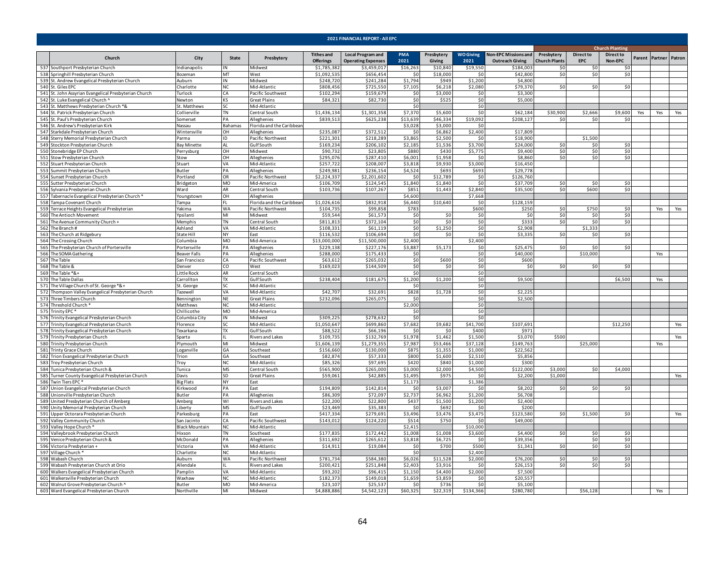| 2021 FINANCIAL REPORT - All EPC                                                                 |                        |                           |                                          |                                 |                                          |                     |                     |                     |                                    |                             |                        |                  |     |                       |     |  |  |  |
|-------------------------------------------------------------------------------------------------|------------------------|---------------------------|------------------------------------------|---------------------------------|------------------------------------------|---------------------|---------------------|---------------------|------------------------------------|-----------------------------|------------------------|------------------|-----|-----------------------|-----|--|--|--|
|                                                                                                 |                        |                           |                                          |                                 |                                          |                     |                     |                     |                                    |                             | <b>Church Planting</b> |                  |     |                       |     |  |  |  |
| Church                                                                                          | City                   | State                     | Presbytery                               | <b>Tithes and</b>               | <b>Local Program and</b>                 | <b>PMA</b>          | Presbytery          | <b>WO Giving</b>    | <b>Non-EPC Missions and</b>        | Presbytery                  | <b>Direct to</b>       | <b>Direct to</b> |     | Parent Partner Patron |     |  |  |  |
| 537 Southport Presbyterian Church                                                               | <b>Indianapolis</b>    | IN                        | Midwest                                  | <b>Offerings</b><br>\$1,785,382 | <b>Operating Expenses</b><br>\$3.459.017 | 2021<br>\$16,263    | Giving<br>\$10,840  | 2021<br>\$19,550    | <b>Outreach Giving</b><br>\$184,00 | <b>Church Plants</b><br>\$0 | EPC<br>50              | Non-EPC<br>ŚΩ    |     |                       |     |  |  |  |
| 538 Springhill Presbyterian Church                                                              | Bozeman                | MT                        | West                                     | \$1,092,535                     | \$656,454                                | $\mathsf{S}$        | \$18,000            | 50                  | \$42,800                           | \$0                         | \$0                    | \$0              |     |                       |     |  |  |  |
| 539 St. Andrew Evangelical Presbyterian Church                                                  | Auburn                 | IN                        | Midwest                                  | \$248,720                       | \$241,284                                | \$1,794             | \$949               | \$1,200             | \$4,800                            |                             |                        |                  |     |                       |     |  |  |  |
| 540 St. Giles EPC                                                                               | Charlotte              | NC.                       | Mid-Atlantic                             | \$808,456                       | \$725,550                                | \$7,105             | \$6,218             | \$2,080             | \$79,370                           | \$0                         | \$0                    | \$0              |     |                       |     |  |  |  |
| 541 St. John Assyrian Evangelical Presbyterian Church                                           | Turlock                | <b>CA</b>                 | Pacific Southwest                        | \$102,294                       | \$159,679                                | \$0                 | \$3,000             | \$0                 | \$3,300                            |                             |                        |                  |     |                       |     |  |  |  |
| 542 St. Luke Evangelical Church '                                                               | Vewton                 | KS                        | Great Plains                             | \$84,321                        | \$82,730                                 | \$0                 | \$525               | \$0                 | \$5,000                            |                             |                        |                  |     |                       |     |  |  |  |
| 543 St. Matthews Presbyterian Church *&                                                         | St. Matthews           | SC.                       | Mid-Atlantic                             |                                 |                                          | SO                  |                     | \$0                 |                                    |                             |                        |                  |     |                       |     |  |  |  |
| 544 St. Patrick Presbyterian Church                                                             | Collierville           | TN                        | entral South                             | \$1,436,134<br>\$839,513        | \$1,301,358                              | \$7,370             | \$5,600             | \$0                 | \$62,184                           | \$30,900<br>\$0             | \$2,666<br>\$0         | \$9,600          | Yes | Yes                   | Yes |  |  |  |
| 545 St. Paul's Presbyterian Church<br>546 St. Andrew's Presbyterian Kirk                        | Somerset<br>Nassau     | PA<br>Bahamas             | Alleghenies<br>Florida and the Caribbear |                                 | \$625,238                                | \$13,639<br>\$3,028 | \$46,334<br>\$3,000 | \$19,092<br>\$0     | \$208,127                          |                             |                        | -SO              |     |                       |     |  |  |  |
| 547 Starkdale Presbyterian Church                                                               | Wintersville           | OH                        | Alleghenies                              | \$235,087                       | \$372,512                                | -SC                 | \$6,862             | \$2,400             | \$17,809                           |                             |                        |                  |     |                       |     |  |  |  |
| 548 Sterry Memorial Presbyterian Church                                                         | Parma                  | ID                        | Pacific Northwest                        | \$221.301                       | \$218,289                                | \$3,865             | \$2,500             | \$0                 | \$18,90                            |                             | \$1,500                |                  |     |                       |     |  |  |  |
| 549 Stockton Presbyterian Church                                                                | Bay Minette            | AL                        | Gulf South                               | \$169,234                       | \$206,102                                | \$2,185             | \$1,536             | \$3,700             | \$24,000                           | \$0                         | \$0                    | \$n              |     |                       |     |  |  |  |
| 550 Stonebridge EP Church                                                                       | Perrysburg             | OH                        | Midwest                                  | \$90,732                        | \$23,805                                 | \$880               | \$430               | \$5,775             | \$9,400                            | \$0                         | \$0                    | SO <sub>2</sub>  |     |                       |     |  |  |  |
| 551 Stow Presbyterian Church                                                                    | Stow                   | OH                        | Alleghenies                              | \$295,076                       | \$287,410                                | \$6,001             | \$1,958             | \$0                 | \$8,860                            | 50                          | \$0                    | 50               |     |                       |     |  |  |  |
| 552 Stuart Presbyterian Church                                                                  | Stuart                 | VA                        | Mid-Atlantic                             | \$257,722                       | \$208,007                                | \$3,818             | \$9,930             | \$3,000             | \$16,450                           |                             |                        |                  |     |                       |     |  |  |  |
| 553 Summit Presbyterian Church                                                                  | Butler                 | PA                        | Alleghenies                              | \$249,981                       | \$236,154                                | \$4,524             | \$693               | \$693               | \$29,778                           |                             |                        |                  |     |                       |     |  |  |  |
| 554 Sunset Presbyterian Church<br>555 Sutter Presbyterian Church                                | Portland<br>Bridgeton  | OR<br>MO                  | Pacific Northwest<br>Mid-America         | \$2,224,33<br>\$106,709         | \$2,201,602<br>\$124,545                 | \$0<br>\$1,840      | \$12,789<br>\$1,840 | \$0<br>\$0          | \$126,760<br>\$37,709              | \$0                         | \$0                    | \$0              |     |                       |     |  |  |  |
| 556 Sylvania Presbyterian Church                                                                | Ward                   | AR                        | Central South                            | \$103,736                       | \$107,267                                | \$851               | \$1,443             | \$2,840             | \$35,500                           | \$0                         | \$600                  | 50               |     |                       |     |  |  |  |
| 557 Tabernacle Evangelical Presbyterian Church *                                                | Youngstown             | OH                        | Alleghenies                              |                                 |                                          | \$4,600             |                     | \$7,668             |                                    |                             |                        |                  |     |                       |     |  |  |  |
| 558 Tampa Covenant Church                                                                       | Tampa                  | FL.                       | Florida and the Caribbear                | \$1,026,616                     | \$832,918                                | \$6,440             | \$10,640            | \$0                 | \$128,159                          |                             |                        |                  |     |                       |     |  |  |  |
| 559 Terrace Heights Evangelical Presbyterian                                                    | Yakima                 | WA                        | Pacific Northwest                        | \$104,735                       | \$99,858                                 | \$783               |                     | \$600               | \$250                              | \$0                         | \$750                  | \$0              |     | Yes                   | Yes |  |  |  |
| 560 The Antioch Movement                                                                        | Ypsilanti              | MI                        | Midwest                                  | \$59,544                        | \$61,57                                  | \$0                 | \$0                 | \$0                 | -SC                                | \$0                         | \$0                    | \$0              |     |                       |     |  |  |  |
| 561 The Avenue Community Church +                                                               | Memphis                | <b>TN</b>                 | Central South                            | \$811,813                       | \$372,104                                | \$0                 | 50                  | \$0                 | \$333                              | \$0                         | \$0                    | 50               |     |                       |     |  |  |  |
| 562 The Branch #<br>563 The Church at Ridgebury                                                 | Ashland<br>State Hil   | VA<br><b>NY</b>           | Mid-Atlantic<br>Fast                     | \$108,331<br>\$116.53           | \$61,119<br>\$106,694                    | \$0<br>\$0          | \$1,250<br>\$0      | \$0<br>\$0          | \$2,908<br>\$3,33                  | \$0                         | \$1,333<br>50          | SO <sub>2</sub>  |     |                       |     |  |  |  |
| 564 The Crossing Church                                                                         | Columbia               | <b>MO</b>                 | Mid-America                              | \$13,000,000                    | \$11,500,000                             | \$2,400             |                     | \$2,400             |                                    |                             |                        |                  |     |                       |     |  |  |  |
| 565 The Presbyterian Church of Portersville                                                     | Portersville           | PA                        | Alleghenies                              | \$229,138                       | \$227,176                                | \$3.887             | \$5,173             | \$0                 | \$25.47                            | 50                          | \$0                    | SO <sub>2</sub>  |     |                       |     |  |  |  |
| 566 The SOMA Gathering                                                                          | Beaver Falls           | PA                        | Alleghenies                              | \$288,000                       | \$175,433                                | \$0                 |                     | \$0                 | \$40,000                           |                             | \$10,000               |                  |     | Yes                   |     |  |  |  |
| 567 The Table                                                                                   | San Francisco          | CA                        | Pacific Southwest                        | \$63,61                         | \$265,032                                | \$0                 | \$600               | \$0                 | \$600                              |                             |                        |                  |     |                       |     |  |  |  |
| 568 The Table &                                                                                 | Denver                 | CO                        | West                                     | \$169,023                       | \$144,509                                | \$0                 | \$0                 | \$0                 | -ŚC                                | \$0                         | \$0                    | \$0              |     |                       |     |  |  |  |
| 569 The Table *&+                                                                               | Little Rock            | AR                        | Central South                            |                                 |                                          | \$0                 |                     | \$0                 |                                    |                             |                        |                  |     |                       |     |  |  |  |
| 570 The Table Dallas                                                                            | Carrollton             | <b>TX</b>                 | Gulf South                               | \$238,404                       | \$181,675                                | \$1,200             | \$1,200             | \$0                 | \$9,500                            |                             |                        | \$6,500          |     | Yes                   |     |  |  |  |
| 571 The Village Church of St. George *&+<br>572 Thompson Valley Evangelical Presbyterian Church | St. George             | <b>SC</b><br><b>VA</b>    | Mid-Atlantic<br>Mid-Atlantic             | \$42,707                        | \$32,691                                 | -SC<br>\$828        | \$1,728             | \$0<br>\$0          | \$2,225                            |                             |                        |                  |     |                       |     |  |  |  |
| 573 Three Timbers Church                                                                        | Tazewell<br>Bennington | <b>NE</b>                 | <b>Great Plains</b>                      | \$232,096                       | \$265,07                                 | \$0                 |                     | \$0                 | \$2,500                            |                             |                        |                  |     |                       |     |  |  |  |
| 574 Threshold Church *                                                                          | Matthews               | <b>NC</b>                 | Mid-Atlantic                             |                                 |                                          | \$2,000             |                     | \$0                 |                                    |                             |                        |                  |     |                       |     |  |  |  |
| 575 Trinity EPC*                                                                                | Chillicothe            | MO                        | Mid-America                              |                                 |                                          | \$0                 |                     | \$0                 |                                    |                             |                        |                  |     |                       |     |  |  |  |
| 576 Trinity Evangelical Presbyterian Church                                                     | Columbia City          | IN                        | Midwest                                  | \$309.22                        | \$278.63                                 | SO                  |                     | \$0                 |                                    |                             |                        |                  |     |                       |     |  |  |  |
| 577 Trinity Evangelical Presbyterian Church                                                     | Florence               | <b>SC</b>                 | Mid-Atlantic                             | \$1,050,64                      | \$699,860                                | \$7,682             | \$9,682             | \$41.700            | \$107,69                           |                             |                        | \$12,250         |     |                       | Yes |  |  |  |
| 578 Trinity Evangelical Presbyterian Church                                                     | Texarkana              | TX                        | Gulf South                               | \$88,522                        | \$66,196                                 | \$0                 | \$0                 | \$400               | \$971                              |                             |                        |                  |     |                       |     |  |  |  |
| 579 Trinity Presbyterian Church                                                                 | Sparta                 |                           | <b>Rivers and Lakes</b>                  | \$109,735                       | \$132,769                                | \$1,978             | \$1,462             | \$1,500             | \$3,070                            | \$500                       |                        |                  |     |                       | Yes |  |  |  |
| 580 Trinity Presbyterian Church<br>581 Trinty Grace Church                                      | Plymouth<br>Loganville | MI<br>GA                  | Midwest<br>Southeast                     | \$1,606,139<br>\$156,660        | \$1,279,355<br>\$130,000                 | \$7,987<br>\$875    | \$53,466<br>\$1,355 | \$37,128<br>\$1,000 | \$149,763<br>\$22,562              |                             | \$25,000               |                  |     | Yes                   |     |  |  |  |
| 582 Trion Evangelical Presbyterian Church                                                       | Trion                  | GA                        | Southeast                                | \$82,874                        | \$57,333                                 | \$800               | \$1,600             | \$2,510             | \$5,856                            |                             |                        |                  |     |                       |     |  |  |  |
| 583 Troy Presbyterian Church                                                                    | Troy                   | NC.                       | Mid-Atlantic                             | \$85,326                        | \$97,695                                 | \$420               | \$840               | \$1,000             | \$300                              |                             |                        |                  |     |                       |     |  |  |  |
| 584 Tunica Presbyterian Church 8                                                                | Tunica                 | <b>MS</b>                 | Central South                            | \$565,900                       | \$265,000                                | \$3,000             | \$2,000             | \$4,500             | \$122,000                          | \$3,000                     | \$0                    | \$4,000          |     |                       |     |  |  |  |
| 585 Turner County Evangelical Presbyterian Church                                               | Davis                  | SD                        | Great Plains                             | \$59,061                        | \$42,885                                 | \$1,495             | \$975               | \$0                 | \$2,200                            | \$1,000                     |                        |                  |     |                       | Yes |  |  |  |
| 586 Twin Tiers EPC *                                                                            | <b>Big Flats</b>       | <b>NY</b>                 | East                                     |                                 |                                          | \$1,173             |                     | \$1,386             |                                    |                             |                        |                  |     |                       |     |  |  |  |
| 587 Union Evangelical Presbyterian Church                                                       | Kirkwood               | PA                        | East                                     | \$194,809                       | \$142,814                                | \$0                 | \$3,007             | \$0                 | \$8,202                            | \$0                         | \$0                    | -SO              |     |                       |     |  |  |  |
| 588 Unionville Presbyterian Church                                                              | Butler                 | PA                        | Alleghenies                              | \$86,309                        | \$72,097                                 | \$2,737             | \$6,962             | \$1,200             | \$6,70                             |                             |                        |                  |     |                       |     |  |  |  |
| 589 United Presbyterian Church of Amberg<br>590 Unity Memorial Presbyterian Church              | Amberg<br>iberty.      | WI<br><b>MS</b>           | <b>Rivers and Lakes</b><br>Gulf South    | \$22,200<br>\$23,469            | \$22,800<br>\$35,383                     | \$437<br>\$0        | \$1,500<br>\$692    | \$1,200<br>\$0      | \$2,400<br>\$200                   |                             |                        |                  |     |                       |     |  |  |  |
| 591 Upper Octorara Presbyterian Church                                                          | Parkesburg             | PA                        | East                                     | \$417,334                       | \$279,691                                | \$3,496             | \$3.476             | \$3,475             | \$123,580                          | \$0                         | \$1,500                | SO <sub>2</sub>  |     |                       | Yes |  |  |  |
| 592 Valley Community Church                                                                     | San Jacinto            | CA                        | Pacific Southwest                        | \$143,012                       | \$124,220                                | \$514               | \$750               | \$0                 | \$49,000                           |                             |                        |                  |     |                       |     |  |  |  |
| 593 Valley Hope Church                                                                          | Black Mountain         | <b>NC</b>                 | Mid-Atlantic                             |                                 |                                          | \$2,41              |                     | \$10,000            |                                    |                             |                        |                  |     |                       |     |  |  |  |
| 594 Valleybrook Presbyterian Church                                                             | lixson                 | <b>TN</b>                 | Southeast                                | \$177.835                       | \$172,442                                | \$1.008             | \$1,008             | \$3,600             | \$4,40                             | \$0                         | \$0                    | \$0              |     |                       |     |  |  |  |
| 595 Venice Presbyterian Church &                                                                | McDonald               | PA                        | Alleghenies                              | \$311,692                       | \$265,612                                | \$3,818             | \$6,725             | \$0                 | \$39,35                            |                             | \$0                    | \$0              |     |                       |     |  |  |  |
| 596 Victoria Presbyterian +                                                                     | Victoria               | VA                        | Mid-Atlantic                             | \$14,911                        | \$19,084                                 | \$0                 | \$700               | \$500               | \$1.341                            | \$0                         | \$0                    | \$0              |     |                       |     |  |  |  |
| 597 Village Church*                                                                             | Charlotte              | NC                        | Mid-Atlantic                             | \$781,734                       | \$584,380                                | \$0                 |                     | \$2,400             |                                    | \$0                         |                        | SO <sub>2</sub>  |     |                       |     |  |  |  |
| 598 Wabash Church<br>599 Wabash Presbyterian Church at Orio                                     | Auburn<br>Allendale    | <b>WA</b><br>$\mathbf{H}$ | Pacific Northwest<br>Rivers and Lakes    | \$200,421                       | \$251,848                                | \$6,026<br>\$2,403  | \$11,528<br>\$3,916 | \$2,000<br>\$0      | \$76,200<br>\$26,153               | \$0                         | \$0<br>\$0             | \$0              |     |                       |     |  |  |  |
| 600 Walkers Evangelical Presbyterian Church                                                     | Pamplin                | VA                        | Mid-Atlantic                             | \$93,202                        | \$96,41                                  | \$1,150             | \$4,400             | \$2,000             | \$7,500                            |                             |                        |                  |     |                       |     |  |  |  |
| 601 Walkersville Presbyterian Church                                                            | Waxhaw                 | <b>NC</b>                 | Mid-Atlantic                             | \$182,373                       | \$149,018                                | \$1,659             | \$3,859             | \$0                 | \$20,55                            |                             |                        |                  |     |                       |     |  |  |  |
| 602 Walnut Grove Presbyterian Church                                                            | <b>Butler</b>          | MO                        | Mid-America                              | \$23,107                        | \$25,53                                  | \$0                 | \$736               | \$0                 | \$5,10                             |                             |                        |                  |     |                       |     |  |  |  |
| 603 Ward Evangelical Presbyterian Church                                                        | Northville             | MI                        | Midwest                                  | \$4,888,886                     | \$4,542,123                              | \$60.325            | \$22,319            | \$134,366           | \$280,780                          |                             | \$56.128               |                  |     | Yes                   |     |  |  |  |